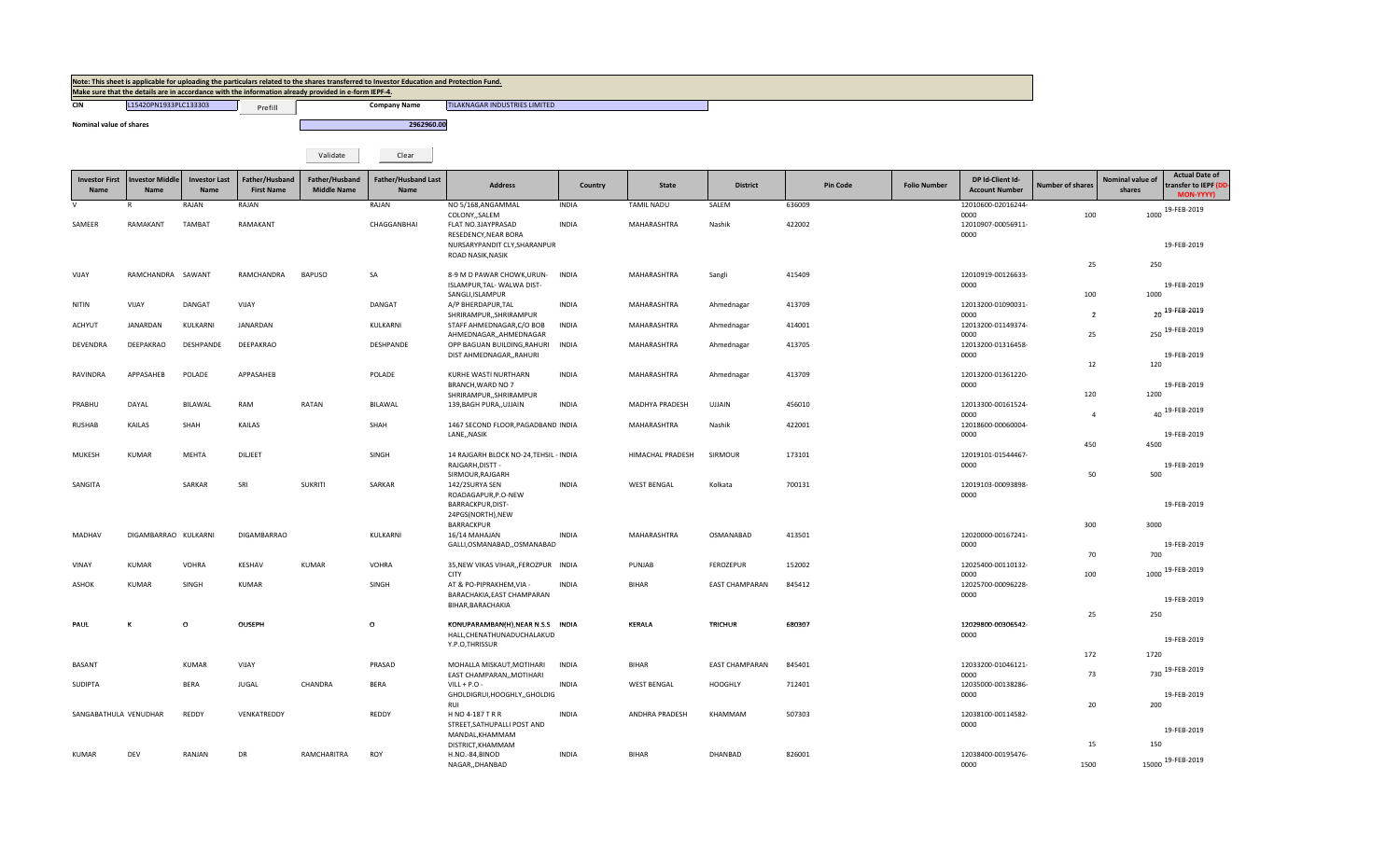|                               |                                |                              |                                     | Make sure that the details are in accordance with the information already provided in e-form IEPF-4. | Note: This sheet is applicable for uploading the particulars related to the shares transferred to Investor Education and Protection Fund. |                                                                 |              |                    |                       |                 |                     |                                           |                         |                            |                                                             |
|-------------------------------|--------------------------------|------------------------------|-------------------------------------|------------------------------------------------------------------------------------------------------|-------------------------------------------------------------------------------------------------------------------------------------------|-----------------------------------------------------------------|--------------|--------------------|-----------------------|-----------------|---------------------|-------------------------------------------|-------------------------|----------------------------|-------------------------------------------------------------|
| <b>CIN</b>                    | L15420PN1933PLC133303          |                              | Prefill                             |                                                                                                      | <b>Company Name</b>                                                                                                                       | TILAKNAGAR INDUSTRIES LIMITED                                   |              |                    |                       |                 |                     |                                           |                         |                            |                                                             |
| Nominal value of shares       |                                |                              |                                     |                                                                                                      | 2962960.00                                                                                                                                |                                                                 |              |                    |                       |                 |                     |                                           |                         |                            |                                                             |
|                               |                                |                              |                                     |                                                                                                      |                                                                                                                                           |                                                                 |              |                    |                       |                 |                     |                                           |                         |                            |                                                             |
|                               |                                |                              |                                     | Validate                                                                                             | Clear                                                                                                                                     |                                                                 |              |                    |                       |                 |                     |                                           |                         |                            |                                                             |
| <b>Investor First</b><br>Name | <b>Investor Middle</b><br>Name | <b>Investor Last</b><br>Name | Father/Husband<br><b>First Name</b> | Father/Husband<br><b>Middle Name</b>                                                                 | <b>Father/Husband Last</b><br>Name                                                                                                        | <b>Address</b>                                                  | Country      | <b>State</b>       | <b>District</b>       | <b>Pin Code</b> | <b>Folio Number</b> | DP Id-Client Id-<br><b>Account Number</b> | <b>Number of shares</b> | Nominal value of<br>shares | <b>Actual Date of</b><br>transfer to IEPF (DD-<br>MON-YYYY) |
|                               |                                | RAJAN                        | RAJAN                               |                                                                                                      | RAJAN                                                                                                                                     | NO 5/168, ANGAMMAL                                              | <b>INDIA</b> | <b>TAMIL NADU</b>  | SALEM                 | 636009          |                     | 12010600-02016244-                        |                         |                            | 1000 19-FEB-2019                                            |
| SAMEER                        | RAMAKANT                       | <b>TAMBAT</b>                | RAMAKANT                            |                                                                                                      | CHAGGANBHAI                                                                                                                               | COLONY,, SALEM<br>FLAT NO.3JAYPRASAD<br>RESEDENCY, NEAR BORA    | <b>INDIA</b> | MAHARASHTRA        | Nashik                | 422002          |                     | 0000<br>12010907-00056911-<br>0000        | 100                     |                            |                                                             |
|                               |                                |                              |                                     |                                                                                                      |                                                                                                                                           | NURSARYPANDIT CLY, SHARANPUR<br>ROAD NASIK, NASIK               |              |                    |                       |                 |                     |                                           |                         |                            | 19-FEB-2019                                                 |
| VIJAY                         | RAMCHANDRA SAWANT              |                              | RAMCHANDRA                          | <b>BAPUSO</b>                                                                                        | SA                                                                                                                                        | 8-9 M D PAWAR CHOWK, URUN- INDIA<br>ISLAMPUR, TAL- WALWA DIST-  |              | MAHARASHTRA        | Sangli                | 415409          |                     | 12010919-00126633-<br>0000                | 25                      | 250                        | 19-FEB-2019                                                 |
|                               |                                |                              |                                     |                                                                                                      |                                                                                                                                           | SANGLI, ISLAMPUR                                                |              |                    |                       |                 |                     |                                           | 100                     | 1000                       |                                                             |
| <b>NITIN</b>                  | VIJAY                          | DANGAT                       | VIJAY                               |                                                                                                      | DANGAT                                                                                                                                    | A/P BHERDAPUR, TAL<br>SHRIRAMPUR,, SHRIRAMPUR                   | <b>INDIA</b> | MAHARASHTRA        | Ahmednagar            | 413709          |                     | 12013200-01090031<br>0000                 | $\overline{2}$          |                            | 20 19-FEB-2019                                              |
| ACHYUT                        | JANARDAN                       | KULKARNI                     | JANARDAN                            |                                                                                                      | KULKARNI                                                                                                                                  | STAFF AHMEDNAGAR, C/O BOB<br>AHMEDNAGAR,,AHMEDNAGAR             | <b>INDIA</b> | MAHARASHTRA        | Ahmednagar            | 414001          |                     | 12013200-01149374-<br>0000                | 25                      |                            | 250 19-FEB-2019                                             |
| <b>DEVENDRA</b>               | DEEPAKRAO                      | DESHPANDE                    | DEEPAKRAO                           |                                                                                                      | DESHPANDE                                                                                                                                 | OPP BAGUAN BUILDING, RAHURI<br>DIST AHMEDNAGAR,, RAHURI         | INDIA        | MAHARASHTRA        | Ahmednagar            | 413705          |                     | 12013200-01316458-<br>0000                |                         |                            | 19-FEB-2019                                                 |
| RAVINDRA                      | APPASAHEB                      | POLADE                       | APPASAHEB                           |                                                                                                      | POLADE                                                                                                                                    | KURHE WASTI NURTHARN                                            | <b>INDIA</b> | MAHARASHTRA        | Ahmednagar            | 413709          |                     | 12013200-01361220-                        | 12                      | 120                        |                                                             |
|                               |                                |                              |                                     |                                                                                                      |                                                                                                                                           | BRANCH, WARD NO 7<br>SHRIRAMPUR,, SHRIRAMPUR                    |              |                    |                       |                 |                     | 0000                                      | 120                     | 1200                       | 19-FEB-2019                                                 |
| PRABHU                        | DAYAL                          | BILAWAL                      | RAM                                 | <b>RATAN</b>                                                                                         | BILAWAL                                                                                                                                   | 139, BAGH PURA,, UJJAIN                                         | <b>INDIA</b> | MADHYA PRADESH     | <b>UJJAIN</b>         | 456010          |                     | 12013300-00161524-<br>0000                | $\overline{4}$          |                            | 40 19-FEB-2019                                              |
| <b>RUSHAB</b>                 | KAILAS                         | SHAH                         | KAILAS                              |                                                                                                      | SHAH                                                                                                                                      | 1467 SECOND FLOOR, PAGADBAND INDIA<br>LANE,, NASIK              |              | MAHARASHTRA        | Nashik                | 422001          |                     | 12018600-00060004-<br>0000                |                         |                            | 19-FEB-2019                                                 |
| MUKESH                        | KUMAR                          | MEHTA                        | DILJEET                             |                                                                                                      | SINGH                                                                                                                                     | 14 RAJGARH BLOCK NO-24, TEHSIL - INDIA                          |              | HIMACHAL PRADESH   | SIRMOUR               | 173101          |                     | 12019101-01544467-                        | 450                     | 4500                       |                                                             |
|                               |                                |                              |                                     |                                                                                                      |                                                                                                                                           | RAJGARH, DISTT -<br>SIRMOUR, RAJGARH                            |              |                    |                       |                 |                     | 0000                                      | 50                      | 500                        | 19-FEB-2019                                                 |
| SANGITA                       |                                | SARKAR                       | SRI                                 | <b>SUKRITI</b>                                                                                       | SARKAR                                                                                                                                    | 142/2SURYA SEN<br>ROADAGAPUR, P.O-NEW                           | <b>INDIA</b> | <b>WEST BENGAL</b> | Kolkata               | 700131          |                     | 12019103-00093898<br>0000                 |                         |                            |                                                             |
|                               |                                |                              |                                     |                                                                                                      |                                                                                                                                           | BARRACKPUR, DIST-<br>24PGS(NORTH), NEW                          |              |                    |                       |                 |                     |                                           |                         |                            | 19-FEB-2019                                                 |
| MADHAV                        | DIGAMBARRAO KULKARNI           |                              | DIGAMBARRAO                         |                                                                                                      | KULKARNI                                                                                                                                  | <b>BARRACKPUR</b><br>16/14 MAHAJAN                              | <b>INDIA</b> | MAHARASHTRA        | OSMANABAD             | 413501          |                     | 12020000-00167241-                        | 300                     | 3000                       |                                                             |
|                               |                                |                              |                                     |                                                                                                      |                                                                                                                                           | GALLI, OSMANABAD, , OSMANABAD                                   |              |                    |                       |                 |                     | 0000                                      | 70                      | 700                        | 19-FEB-2019                                                 |
| VINAY                         | KUMAR                          | VOHRA                        | KESHAV                              | <b>KUMAR</b>                                                                                         | VOHRA                                                                                                                                     | 35, NEW VIKAS VIHAR, , FEROZPUR INDIA<br><b>CITY</b>            |              | PUNJAB             | FEROZEPUR             | 152002          |                     | 12025400-00110132-<br>0000                | 100                     |                            | 1000 19-FEB-2019                                            |
| ASHOK                         | <b>KUMAR</b>                   | SINGH                        | KUMAR                               |                                                                                                      | SINGH                                                                                                                                     | AT & PO-PIPRAKHEM, VIA -<br>BARACHAKIA, EAST CHAMPARAN          | <b>INDIA</b> | <b>BIHAR</b>       | <b>EAST CHAMPARAN</b> | 845412          |                     | 12025700-00096228-<br>0000                |                         |                            |                                                             |
|                               |                                |                              |                                     |                                                                                                      |                                                                                                                                           | BIHAR, BARACHAKIA                                               |              |                    |                       |                 |                     |                                           | 25                      | 250                        | 19-FEB-2019                                                 |
| PAUL                          | к                              | $\mathsf{o}\,$               | OUSEPH                              |                                                                                                      | $\mathsf{o}$                                                                                                                              | KONUPARAMBAN(H), NEAR N.S.S INDIA<br>HALL, CHENATHUNADUCHALAKUD |              | KERALA             | TRICHUR               | 680307          |                     | 12029800-00306542-<br>0000                |                         |                            |                                                             |
|                               |                                |                              |                                     |                                                                                                      |                                                                                                                                           | Y.P.O,THRISSUR                                                  |              |                    |                       |                 |                     |                                           | 172                     | 1720                       | 19-FEB-2019                                                 |
| BASANT                        |                                | <b>KUMAR</b>                 | VIJAY                               |                                                                                                      | PRASAD                                                                                                                                    | MOHALLA MISKAUT, MOTIHARI<br>EAST CHAMPARAN,, MOTIHARI          | <b>INDIA</b> | <b>BIHAR</b>       | <b>EAST CHAMPARAN</b> | 845401          |                     | 12033200-01046121-<br>0000                | 73                      |                            | 730 19-FEB-2019                                             |
| <b>SUDIPTA</b>                |                                | <b>BERA</b>                  | <b>JUGAL</b>                        | CHANDRA                                                                                              | <b>BERA</b>                                                                                                                               | $VILL + P.O -$<br>GHOLDIGRUI, HOOGHLY, GHOLDIG                  | <b>INDIA</b> | <b>WEST BENGAL</b> | <b>HOOGHLY</b>        | 712401          |                     | 12035000-00138286-<br>0000                |                         |                            | 19-FEB-2019                                                 |
|                               |                                |                              |                                     |                                                                                                      |                                                                                                                                           | RIII                                                            |              |                    |                       |                 |                     |                                           | 20                      | 200                        |                                                             |
| SANGABATHULA VENUDHAR         |                                | REDDY                        | VENKATREDDY                         |                                                                                                      | REDDY                                                                                                                                     | H NO 4-187 T R R<br>STREET, SATHUPALLI POST AND                 | <b>INDIA</b> | ANDHRA PRADESH     | KHAMMAM               | 507303          |                     | 12038100-00114582-<br>0000                |                         |                            | 19-FEB-2019                                                 |
|                               |                                |                              |                                     |                                                                                                      |                                                                                                                                           | MANDAL, KHAMMAM<br>DISTRICT, KHAMMAM                            |              |                    |                       |                 |                     |                                           | 15                      | 150                        |                                                             |
| KUMAR                         | DEV                            | RANJAN                       | DR                                  | RAMCHARITRA                                                                                          | ROY                                                                                                                                       | H.NO.-84,BINOD<br>NAGARDHANBAD                                  | <b>INDIA</b> | <b>BIHAR</b>       | DHANBAD               | 826001          |                     | 12038400-00195476-<br>0000                | 1500                    |                            | 15000 19-FEB-2019                                           |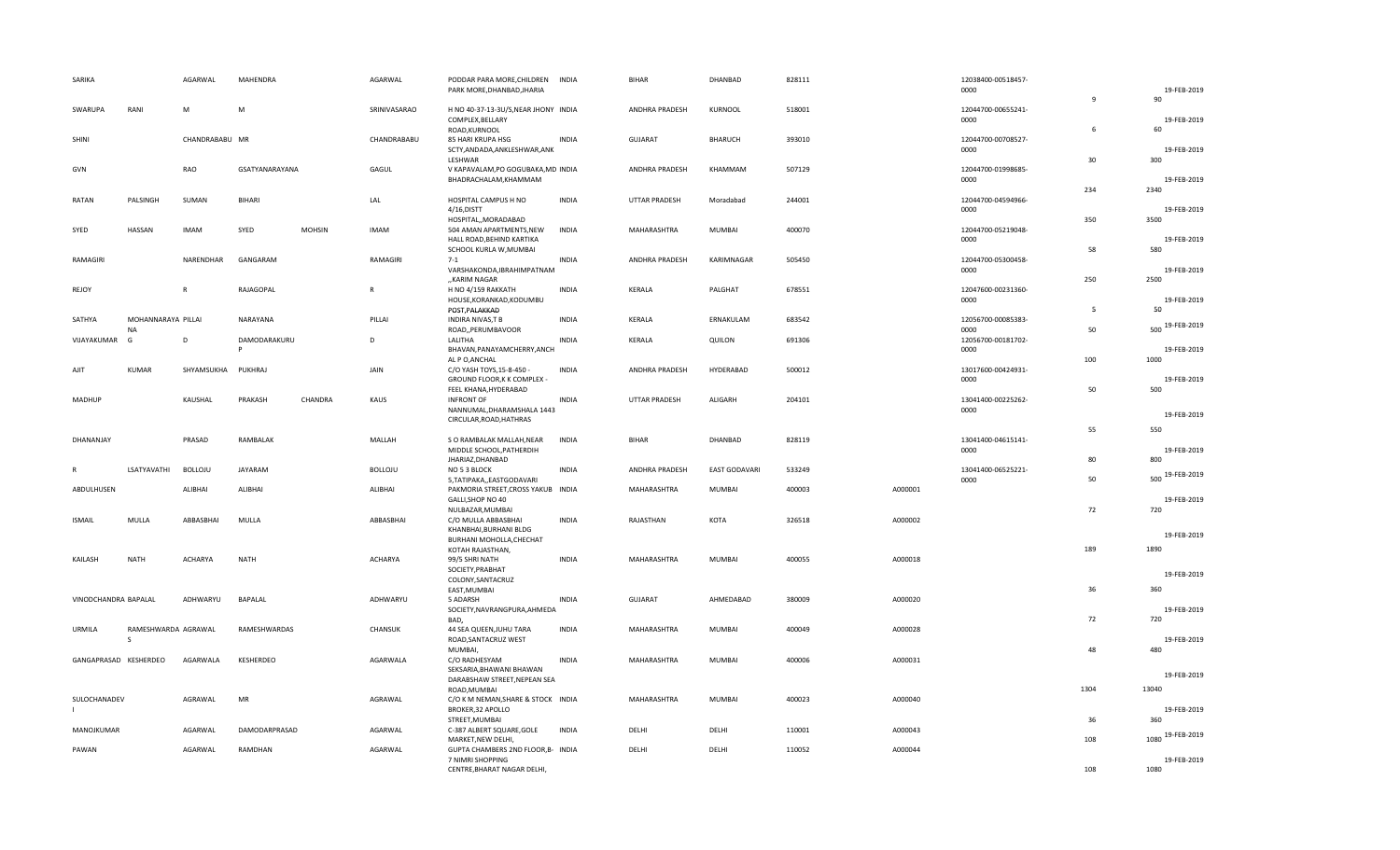| SARIKA                |                                 | AGARWAL            | MAHENDRA       |               | AGARWAL        | PODDAR PARA MORE, CHILDREN<br>PARK MORE, DHANBAD, JHARIA                              | <b>INDIA</b> | <b>BIHAR</b>         | DHANBAD              | 828111 |         | 12038400-00518457-<br>0000 |              | 19-FEB-2019          |
|-----------------------|---------------------------------|--------------------|----------------|---------------|----------------|---------------------------------------------------------------------------------------|--------------|----------------------|----------------------|--------|---------|----------------------------|--------------|----------------------|
|                       |                                 |                    |                |               |                |                                                                                       |              |                      |                      |        |         |                            | $\mathbf{q}$ | 90                   |
| SWARUPA               | RANI                            | М                  | M              |               | SRINIVASARAO   | H NO 40-37-13-3U/S, NEAR JHONY INDIA<br>COMPLEX, BELLARY<br>ROAD, KURNOOL             |              | ANDHRA PRADESH       | KURNOOL              | 518001 |         | 12044700-00655241-<br>0000 | 6            | 19-FEB-2019<br>60    |
| <b>SHINI</b>          |                                 | CHANDRABABU MR     |                |               | CHANDRABABU    | 85 HARI KRUPA HSG<br>SCTY, ANDADA, ANKLESHWAR, ANK                                    | <b>INDIA</b> | <b>GUJARAT</b>       | BHARUCH              | 393010 |         | 12044700-00708527-<br>0000 |              | 19-FEB-2019          |
| GVN                   |                                 | RAO                | GSATYANARAYANA |               | GAGUL          | LESHWAR<br>V KAPAVALAM, PO GOGUBAKA, MD INDIA                                         |              | ANDHRA PRADESH       | KHAMMAM              | 507129 |         | 12044700-01998685-         | 30           | 300                  |
| RATAN                 | PALSINGH                        | SUMAN              | BIHARI         |               | LAL            | BHADRACHALAM, KHAMMAM<br>HOSPITAL CAMPUS H NO                                         | <b>INDIA</b> | <b>UTTAR PRADESH</b> | Moradabad            | 244001 |         | 0000<br>12044700-04594966- | 234          | 19-FEB-2019<br>2340  |
|                       |                                 |                    |                |               |                | 4/16, DISTT<br>HOSPITAL,, MORADABAD                                                   |              |                      |                      |        |         | 0000                       | 350          | 19-FEB-2019<br>3500  |
| SYED                  | HASSAN                          | <b>IMAM</b>        | SYED           | <b>MOHSIN</b> | <b>IMAM</b>    | 504 AMAN APARTMENTS, NEW<br>HALL ROAD, BEHIND KARTIKA<br>SCHOOL KURLA W, MUMBAI       | <b>INDIA</b> | MAHARASHTRA          | <b>MUMBAI</b>        | 400070 |         | 12044700-05219048-<br>0000 | 58           | 19-FEB-2019<br>580   |
| RAMAGIRI              |                                 | NARENDHAR          | GANGARAM       |               | RAMAGIRI       | $7 - 1$<br>VARSHAKONDA, IBRAHIMPATNAM<br>"KARIM NAGAR                                 | <b>INDIA</b> | ANDHRA PRADESH       | KARIMNAGAR           | 505450 |         | 12044700-05300458-<br>0000 | 250          | 19-FEB-2019<br>2500  |
| REJOY                 |                                 | R                  | RAJAGOPAL      |               | R              | H NO 4/159 RAKKATH<br>HOUSE, KORANKAD, KODUMBU<br>POST, PALAKKAD                      | <b>INDIA</b> | KERALA               | PALGHAT              | 678551 |         | 12047600-00231360-<br>0000 | -5           | 19-FEB-2019<br>50    |
| SATHYA                | MOHANNARAYA PILLAI<br><b>NA</b> |                    | NARAYANA       |               | PILLAI         | INDIRA NIVAS, TB<br>ROAD,, PERUMBAVOOR                                                | <b>INDIA</b> | KERALA               | ERNAKULAM            | 683542 |         | 12056700-00085383-<br>0000 | 50           | 500 19-FEB-2019      |
| VIJAYAKUMAR           | G                               | D                  | DAMODARAKURU   |               | D              | LALITHA<br>BHAVAN, PANAYAMCHERRY, ANCH                                                | <b>INDIA</b> | KERALA               | QUILON               | 691306 |         | 12056700-00181702-<br>0000 |              | 19-FEB-2019<br>1000  |
| AJIT                  | <b>KUMAR</b>                    | SHYAMSUKHA PUKHRAJ |                |               | JAIN           | AL P O, ANCHAL<br>C/O YASH TOYS, 15-8-450 -<br>GROUND FLOOR, K K COMPLEX -            | <b>INDIA</b> | ANDHRA PRADESH       | HYDERABAD            | 500012 |         | 13017600-00424931-<br>0000 | 100          | 19-FEB-2019          |
| MADHUP                |                                 | KAUSHAL            | PRAKASH        | CHANDRA       | KAUS           | FEEL KHANA, HYDERABAD<br><b>INFRONT OF</b><br>NANNUMAL, DHARAMSHALA 1443              | <b>INDIA</b> | <b>UTTAR PRADESH</b> | ALIGARH              | 204101 |         | 13041400-00225262-<br>0000 | 50           | 500<br>19-FEB-2019   |
|                       |                                 |                    |                |               |                | CIRCULAR, ROAD, HATHRAS                                                               |              | <b>BIHAR</b>         |                      |        |         |                            | 55           | 550                  |
| DHANANJAY             |                                 | PRASAD             | RAMBALAK       |               | MALLAH         | S O RAMBALAK MALLAH, NEAR<br>MIDDLE SCHOOL, PATHERDIH<br>JHARIAZ, DHANBAD             | <b>INDIA</b> |                      | DHANBAD              | 828119 |         | 13041400-04615141-<br>0000 | 80           | 19-FEB-2019<br>800   |
|                       | LSATYAVATHI                     | <b>BOLLOJU</b>     | JAYARAM        |               | <b>BOLLOJU</b> | NO 5 3 BLOCK<br>5, TATIPAKA,, EASTGODAVARI                                            | INDIA        | ANDHRA PRADESH       | <b>EAST GODAVARI</b> | 533249 |         | 13041400-06525221-<br>0000 | 50           | 500 19-FEB-2019      |
| ABDULHUSEN            |                                 | ALIBHAI            | ALIBHAI        |               | ALIBHAI        | PAKMORIA STREET, CROSS YAKUB INDIA<br>GALLI, SHOP NO 40<br>NULBAZAR, MUMBAI           |              | MAHARASHTRA          | <b>MUMBAI</b>        | 400003 | A000001 |                            | 72           | 19-FEB-2019<br>720   |
| <b>ISMAIL</b>         | MULLA                           | ABBASBHAI          | MULLA          |               | ABBASBHAI      | C/O MULLA ABBASBHAI<br>KHANBHAI, BURHANI BLDG                                         | <b>INDIA</b> | RAJASTHAN            | KOTA                 | 326518 | A000002 |                            |              | 19-FEB-2019          |
| KAILASH               | <b>NATH</b>                     | <b>ACHARYA</b>     | <b>NATH</b>    |               | ACHARYA        | BURHANI MOHOLLA, CHECHAT<br>KOTAH RAJASTHAN,<br>99/5 SHRI NATH                        | <b>INDIA</b> | MAHARASHTRA          | <b>MUMBAI</b>        | 400055 | A000018 |                            | 189          | 1890                 |
|                       |                                 |                    |                |               |                | SOCIETY, PRABHAT<br>COLONY, SANTACRUZ<br>EAST, MUMBAI                                 |              |                      |                      |        |         |                            | 36           | 19-FEB-2019<br>360   |
| VINODCHANDRA BAPALAL  |                                 | ADHWARYU           | <b>BAPALAL</b> |               | ADHWARYU       | 5 ADARSH<br>SOCIETY, NAVRANGPURA, AHMEDA                                              | <b>INDIA</b> | <b>GUJARAT</b>       | AHMEDABAD            | 380009 | A000020 |                            |              | 19-FEB-2019          |
| URMILA                | RAMESHWARDA AGRAWAL<br>S        |                    | RAMESHWARDAS   |               | CHANSUK        | BAD,<br>44 SEA QUEEN, JUHU TARA<br>ROAD, SANTACRUZ WEST                               | <b>INDIA</b> | MAHARASHTRA          | <b>MUMBAI</b>        | 400049 | A000028 |                            | 72           | 720<br>19-FEB-2019   |
| GANGAPRASAD KESHERDEO |                                 | AGARWALA           | KESHERDEO      |               | AGARWALA       | <b>MUMBAI</b><br>C/O RADHESYAM<br>SEKSARIA, BHAWANI BHAWAN                            | <b>INDIA</b> | MAHARASHTRA          | <b>MUMBAI</b>        | 400006 | A000031 |                            | 48           | 480                  |
|                       |                                 |                    |                |               |                | DARABSHAW STREET, NEPEAN SEA<br>ROAD, MUMBAI                                          |              |                      |                      |        |         |                            | 1304         | 19-FEB-2019<br>13040 |
| SULOCHANADEV          |                                 | AGRAWAL            | MR             |               | AGRAWAL        | C/O K M NEMAN, SHARE & STOCK INDIA<br>BROKER, 32 APOLLO<br>STREET, MUMBAI             |              | MAHARASHTRA          | MUMBAI               | 400023 | A000040 |                            | 36           | 19-FEB-2019<br>360   |
| MANOJKUMAR            |                                 | AGARWAL            | DAMODARPRASAD  |               | AGARWAL        | C-387 ALBERT SQUARE, GOLE<br>MARKET, NEW DELHI,                                       | <b>INDIA</b> | DELHI                | DELHI                | 110001 | A000043 |                            | 108          | 19-FEB-2019<br>1080  |
| PAWAN                 |                                 | AGARWAL            | RAMDHAN        |               | AGARWAL        | GUPTA CHAMBERS 2ND FLOOR, B- INDIA<br>7 NIMRI SHOPPING<br>CENTRE, BHARAT NAGAR DELHI, |              | DELHI                | DELHI                | 110052 | A000044 |                            | 108          | 19-FEB-2019<br>1080  |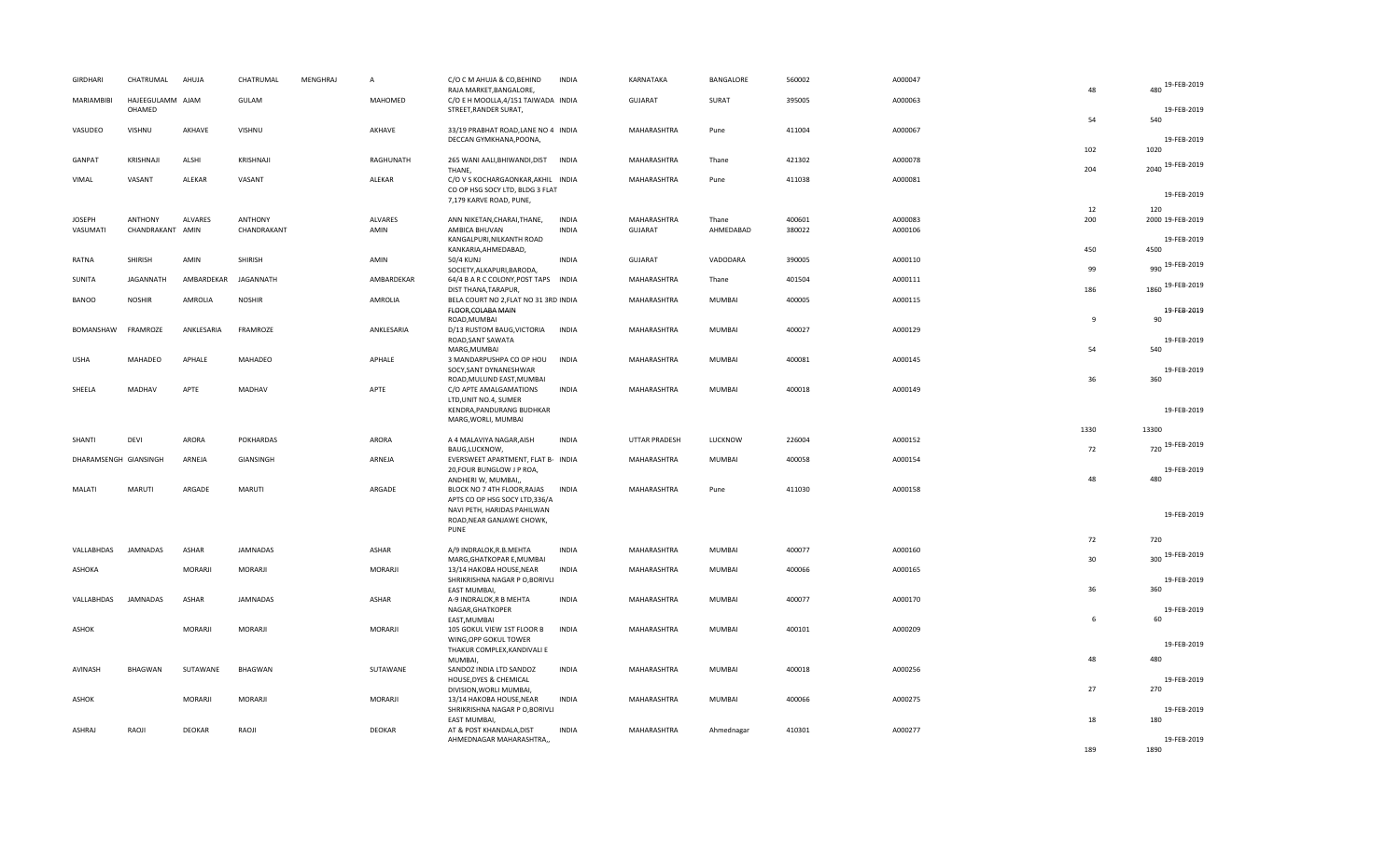| <b>GIRDHARI</b>           | CHATRUMAL                          | AHUJA          | CHATRUMAL                     | <b>MENGHRAJ</b> | $\overline{A}$  | C/O C M AHUJA & CO, BEHIND<br>RAJA MARKET, BANGALORE,                               | <b>INDIA</b>                 | KARNATAKA              | BANGALORE          | 560002           | A000047            | 48           | 480 19-FEB-2019                 |
|---------------------------|------------------------------------|----------------|-------------------------------|-----------------|-----------------|-------------------------------------------------------------------------------------|------------------------------|------------------------|--------------------|------------------|--------------------|--------------|---------------------------------|
| MARIAMBIBI                | HAJEEGULAMM AJAM<br>OHAMED         |                | GULAM                         |                 | MAHOMED         | C/O E H MOOLLA, 4/151 TAIWADA INDIA<br>STREET, RANDER SURAT,                        |                              | <b>GUJARAT</b>         | SURAT              | 395005           | A000063            | 54           | 19-FEB-2019<br>540              |
| VASUDEO                   | VISHNU                             | AKHAVE         | VISHNU                        |                 | AKHAVE          | 33/19 PRABHAT ROAD, LANE NO 4 INDIA<br>DECCAN GYMKHANA, POONA,                      |                              | MAHARASHTRA            | Pune               | 411004           | A000067            |              | 19-FEB-2019                     |
| GANPAT                    | KRISHNAJI                          | ALSHI          | KRISHNAJI                     |                 | RAGHUNATH       | 265 WANI AALI, BHIWANDI, DIST INDIA<br>THANE,                                       |                              | MAHARASHTRA            | Thane              | 421302           | A000078            | 102<br>204   | 1020<br>2040 19-FEB-2019        |
| VIMAL                     | VASANT                             | ALEKAR         | VASANT                        |                 | ALEKAR          | C/O V S KOCHARGAONKAR, AKHIL INDIA<br>CO OP HSG SOCY LTD, BLDG 3 FLAT               |                              | MAHARASHTRA            | Pune               | 411038           | A000081            |              |                                 |
|                           |                                    |                |                               |                 |                 | 7,179 KARVE ROAD, PUNE,                                                             |                              |                        |                    |                  |                    | 12           | 19-FEB-2019<br>120              |
| <b>JOSEPH</b><br>VASUMATI | <b>ANTHONY</b><br>CHANDRAKANT AMIN | <b>ALVARES</b> | <b>ANTHONY</b><br>CHANDRAKANT |                 | ALVARES<br>AMIN | ANN NIKETAN, CHARAI, THANE,<br>AMBICA BHUVAN<br>KANGALPURI, NILKANTH ROAD           | <b>INDIA</b><br><b>INDIA</b> | MAHARASHTRA<br>GUJARAT | Thane<br>AHMEDABAD | 400601<br>380022 | A000083<br>A000106 | 200          | 2000 19-FEB-2019<br>19-FEB-2019 |
| RATNA                     | SHIRISH                            | AMIN           | SHIRISH                       |                 | AMIN            | KANKARIA, AHMEDABAD,<br>50/4 KUNJ                                                   | <b>INDIA</b>                 | <b>GUJARAT</b>         | VADODARA           | 390005           | A000110            | 450          | 4500                            |
| SUNITA                    | JAGANNATH                          | AMBARDEKAR     | JAGANNATH                     |                 | AMBARDEKAR      | SOCIETY, ALKAPURI, BARODA,<br>64/4 B A R C COLONY, POST TAPS INDIA                  |                              | MAHARASHTRA            | Thane              | 401504           | A000111            | 99           | 990 19-FEB-2019                 |
| <b>BANOO</b>              | <b>NOSHIR</b>                      | AMROLIA        | <b>NOSHIR</b>                 |                 | AMROLIA         | DIST THANA, TARAPUR,<br>BELA COURT NO 2, FLAT NO 31 3RD INDIA                       |                              | MAHARASHTRA            | <b>MUMBAI</b>      | 400005           | A000115            | 186          | 1860 19-FEB-2019                |
| BOMANSHAW                 | FRAMROZE                           | ANKLESARIA     | FRAMROZE                      |                 | ANKLESARIA      | FLOOR, COLABA MAIN<br>ROAD, MUMBAI<br>D/13 RUSTOM BAUG, VICTORIA                    | <b>INDIA</b>                 | MAHARASHTRA            | MUMBAI             | 400027           | A000129            | $\mathbf{q}$ | 19-FEB-2019<br>90               |
|                           |                                    |                |                               |                 |                 | ROAD, SANT SAWATA<br>MARG, MUMBAI                                                   |                              |                        |                    |                  |                    | 54           | 19-FEB-2019<br>540              |
| <b>USHA</b>               | MAHADEO                            | APHALE         | MAHADEO                       |                 | APHALE          | 3 MANDARPUSHPA CO OP HOU<br>SOCY, SANT DYNANESHWAR<br>ROAD, MULUND EAST, MUMBAI     | <b>INDIA</b>                 | MAHARASHTRA            | MUMBAI             | 400081           | A000145            | 36           | 19-FEB-2019<br>360              |
| SHEELA                    | MADHAV                             | APTE           | MADHAV                        |                 | APTE            | C/O APTE AMALGAMATIONS<br>LTD, UNIT NO.4, SUMER                                     | <b>INDIA</b>                 | MAHARASHTRA            | MUMBAI             | 400018           | A000149            |              |                                 |
|                           |                                    |                |                               |                 |                 | KENDRA, PANDURANG BUDHKAR<br>MARG, WORLI, MUMBAI                                    |                              |                        |                    |                  |                    |              | 19-FEB-2019                     |
| SHANTI                    | DEVI                               | ARORA          | <b>POKHARDAS</b>              |                 | ARORA           | A 4 MALAVIYA NAGAR, AISH                                                            | <b>INDIA</b>                 | <b>UTTAR PRADESH</b>   | LUCKNOW            | 226004           | A000152            | 1330         | 13300<br>720 19-FEB-2019        |
| DHARAMSENGH GIANSINGH     |                                    | ARNEJA         | GIANSINGH                     |                 | ARNEJA          | BAUG,LUCKNOW,<br>EVERSWEET APARTMENT, FLAT B- INDIA<br>20, FOUR BUNGLOW J P ROA,    |                              | MAHARASHTRA            | MUMBAI             | 400058           | A000154            | 72           | 19-FEB-2019                     |
| MALATI                    | <b>MARUTI</b>                      | ARGADE         | MARUTI                        |                 | ARGADE          | ANDHERI W, MUMBAI,,<br>BLOCK NO 7 4TH FLOOR, RAJAS<br>APTS CO OP HSG SOCY LTD,336/A | <b>INDIA</b>                 | MAHARASHTRA            | Pune               | 411030           | A000158            | 48           | 480                             |
|                           |                                    |                |                               |                 |                 | NAVI PETH, HARIDAS PAHILWAN<br>ROAD, NEAR GANJAWE CHOWK,<br>PUNE                    |                              |                        |                    |                  |                    |              | 19-FEB-2019                     |
| VALLABHDAS                | <b>JAMNADAS</b>                    | ASHAR          | JAMNADAS                      |                 | ASHAR           | A/9 INDRALOK, R.B. MEHTA                                                            | <b>INDIA</b>                 | MAHARASHTRA            | MUMBAI             | 400077           | A000160            | 72           | 720                             |
| ASHOKA                    |                                    | MORARJI        | <b>MORARJI</b>                |                 | MORARJI         | MARG, GHATKOPAR E, MUMBAI<br>13/14 HAKOBA HOUSE, NEAR                               | <b>INDIA</b>                 | MAHARASHTRA            | <b>MUMBAI</b>      | 400066           | A000165            | 30           | 300 19-FEB-2019                 |
| VALLABHDAS                | <b>JAMNADAS</b>                    | ASHAR          |                               |                 |                 | SHRIKRISHNA NAGAR P O, BORIVLI<br><b>EAST MUMBAI</b>                                |                              |                        |                    |                  |                    | 36           | 19-FEB-2019<br>360              |
|                           |                                    |                | JAMNADAS                      |                 | ASHAR           | A-9 INDRALOK, R B MEHTA<br>NAGAR, GHATKOPER<br>EAST, MUMBAI                         | <b>INDIA</b>                 | MAHARASHTRA            | MUMBAI             | 400077           | A000170            | 6            | 19-FEB-2019<br>60               |
| ASHOK                     |                                    | MORARJI        | MORARJI                       |                 | MORARJI         | 105 GOKUL VIEW 1ST FLOOR B<br>WING, OPP GOKUL TOWER                                 | <b>INDIA</b>                 | MAHARASHTRA            | MUMBAI             | 400101           | A000209            |              | 19-FEB-2019                     |
|                           |                                    |                |                               |                 |                 | THAKUR COMPLEX, KANDIVALI E<br>MUMBAI,                                              |                              |                        |                    |                  |                    | 48           | 480                             |
| AVINASH                   | BHAGWAN                            | SUTAWANE       | BHAGWAN                       |                 | SUTAWANE        | SANDOZ INDIA LTD SANDOZ<br>HOUSE, DYES & CHEMICAL<br>DIVISION, WORLI MUMBAI,        | <b>INDIA</b>                 | MAHARASHTRA            | MUMBAI             | 400018           | A000256            | 27           | 19-FEB-2019<br>270              |
| ASHOK                     |                                    | MORARJI        | MORARJI                       |                 | MORARJI         | 13/14 HAKOBA HOUSE, NEAR<br>SHRIKRISHNA NAGAR P O, BORIVLI                          | <b>INDIA</b>                 | MAHARASHTRA            | MUMBAI             | 400066           | A000275            | 18           | 19-FEB-2019                     |
| ASHRAJ                    | RAOJI                              | DEOKAR         | RAOJI                         |                 | <b>DEOKAR</b>   | EAST MUMBAI,<br>AT & POST KHANDALA, DIST<br>AHMEDNAGAR MAHARASHTRA,,                | <b>INDIA</b>                 | MAHARASHTRA            | Ahmednagar         | 410301           | A000277            |              | 180<br>19-FEB-2019              |
|                           |                                    |                |                               |                 |                 |                                                                                     |                              |                        |                    |                  |                    | 189          | 1890                            |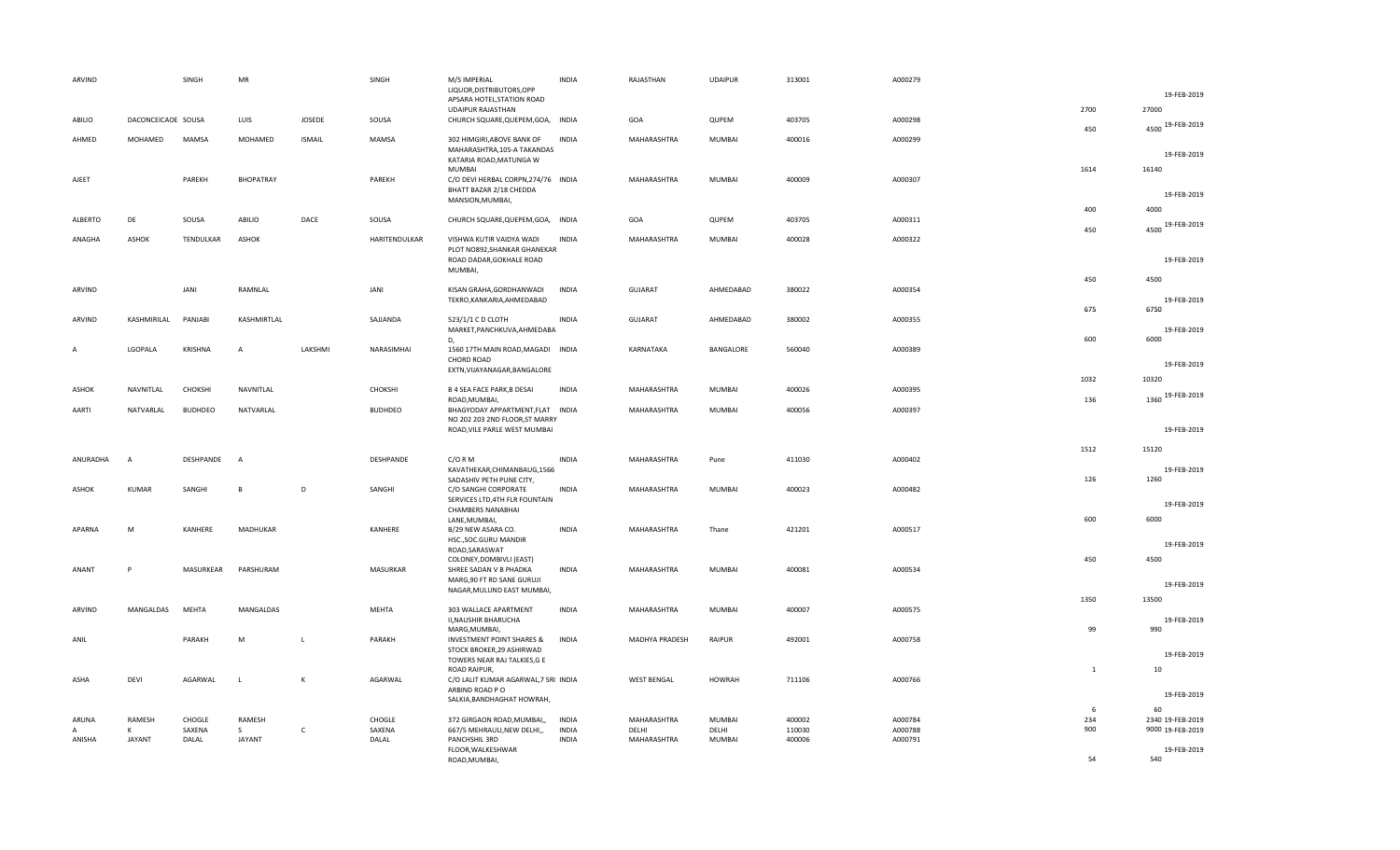| ARVIND       |                    | SINGH          | <b>MR</b>      |               | SINGH          | M/S IMPERIAL                         | <b>INDIA</b> | RAJASTHAN          | <b>UDAIPUR</b> | 313001 | A000279 |      |                  |
|--------------|--------------------|----------------|----------------|---------------|----------------|--------------------------------------|--------------|--------------------|----------------|--------|---------|------|------------------|
|              |                    |                |                |               |                | LIQUOR, DISTRIBUTORS, OPP            |              |                    |                |        |         |      | 19-FEB-2019      |
|              |                    |                |                |               |                | APSARA HOTEL, STATION ROAD           |              |                    |                |        |         |      |                  |
|              |                    |                |                |               |                | <b>UDAIPUR RAJASTHAN</b>             |              |                    |                |        |         | 2700 | 27000            |
| ABILIO       | DACONCEICAOE SOUSA |                | LUIS           | JOSEDE        | SOUSA          | CHURCH SQUARE, QUEPEM, GOA, INDIA    |              | GOA                | QUPEM          | 403705 | A000298 |      |                  |
|              |                    |                |                |               |                |                                      |              |                    |                |        |         | 450  | 4500 19-FEB-2019 |
|              |                    |                |                |               |                |                                      |              |                    |                |        |         |      |                  |
| AHMED        | MOHAMED            | MAMSA          | MOHAMED        | <b>ISMAIL</b> | <b>MAMSA</b>   | 302 HIMGIRI, ABOVE BANK OF           | <b>INDIA</b> | MAHARASHTRA        | MUMBAI         | 400016 | A000299 |      |                  |
|              |                    |                |                |               |                | MAHARASHTRA, 105-A TAKANDAS          |              |                    |                |        |         |      | 19-FEB-2019      |
|              |                    |                |                |               |                | KATARIA ROAD, MATUNGA W              |              |                    |                |        |         |      |                  |
|              |                    |                |                |               |                | <b>MUMBAI</b>                        |              |                    |                |        |         | 1614 | 16140            |
| AJEET        |                    | PAREKH         | BHOPATRAY      |               | PAREKH         | C/O DEVI HERBAL CORPN, 274/76 INDIA  |              | MAHARASHTRA        | MUMBAI         | 400009 | A000307 |      |                  |
|              |                    |                |                |               |                | BHATT BAZAR 2/18 CHEDDA              |              |                    |                |        |         |      |                  |
|              |                    |                |                |               |                |                                      |              |                    |                |        |         |      | 19-FEB-2019      |
|              |                    |                |                |               |                | MANSION, MUMBAI,                     |              |                    |                |        |         |      |                  |
|              |                    |                |                |               |                |                                      |              |                    |                |        |         | 400  | 4000             |
| ALBERTO      | DE                 | SOUSA          | ABILIO         | DACE          | SOUSA          | CHURCH SQUARE, QUEPEM, GOA, INDIA    |              | GOA                | QUPEM          | 403705 | A000311 |      |                  |
|              |                    |                |                |               |                |                                      |              |                    |                |        |         | 450  | 4500 19-FEB-2019 |
| ANAGHA       | <b>ASHOK</b>       | TENDULKAR      | ASHOK          |               | HARITENDULKAR  | VISHWA KUTIR VAIDYA WADI             | <b>INDIA</b> | MAHARASHTRA        | MUMBAI         | 400028 | A000322 |      |                  |
|              |                    |                |                |               |                | PLOT NO892, SHANKAR GHANEKAR         |              |                    |                |        |         |      |                  |
|              |                    |                |                |               |                |                                      |              |                    |                |        |         |      | 19-FEB-2019      |
|              |                    |                |                |               |                | ROAD DADAR, GOKHALE ROAD             |              |                    |                |        |         |      |                  |
|              |                    |                |                |               |                | MUMBAI,                              |              |                    |                |        |         |      |                  |
|              |                    |                |                |               |                |                                      |              |                    |                |        |         | 450  | 4500             |
| ARVIND       |                    | JANI           | RAMNLAL        |               | JANI           | KISAN GRAHA, GORDHANWADI             | <b>INDIA</b> | <b>GUJARAT</b>     | AHMEDABAD      | 380022 | A000354 |      |                  |
|              |                    |                |                |               |                | TEKRO, KANKARIA, AHMEDABAD           |              |                    |                |        |         |      | 19-FEB-2019      |
|              |                    |                |                |               |                |                                      |              |                    |                |        |         | 675  | 6750             |
|              |                    |                |                |               |                |                                      |              |                    |                |        |         |      |                  |
| ARVIND       | KASHMIRILAL        | PANJABI        | KASHMIRTLAL    |               | SAJJANDA       | 523/1/1 C D CLOTH                    | <b>INDIA</b> | GUJARAT            | AHMEDABAD      | 380002 | A000355 |      |                  |
|              |                    |                |                |               |                | MARKET, PANCHKUVA, AHMEDABA          |              |                    |                |        |         |      | 19-FEB-2019      |
|              |                    |                |                |               |                | D.                                   |              |                    |                |        |         | 600  | 6000             |
| А            | LGOPALA            | KRISHNA        | А              | LAKSHMI       | NARASIMHAI     | 1560 17TH MAIN ROAD, MAGADI INDIA    |              | KARNATAKA          | BANGALORE      | 560040 | A000389 |      |                  |
|              |                    |                |                |               |                | <b>CHORD ROAD</b>                    |              |                    |                |        |         |      |                  |
|              |                    |                |                |               |                |                                      |              |                    |                |        |         |      | 19-FEB-2019      |
|              |                    |                |                |               |                | EXTN, VIJAYANAGAR, BANGALORE         |              |                    |                |        |         |      |                  |
|              |                    |                |                |               |                |                                      |              |                    |                |        |         | 1032 | 10320            |
| ASHOK        | NAVNITLAL          | CHOKSHI        | NAVNITLAL      |               | CHOKSHI        | <b>B 4 SEA FACE PARK, B DESAI</b>    | <b>INDIA</b> | MAHARASHTRA        | MUMBAI         | 400026 | A000395 |      |                  |
|              |                    |                |                |               |                | ROAD, MUMBAI,                        |              |                    |                |        |         | 136  | 1360 19-FEB-2019 |
|              | NATVARLAL          | <b>BUDHDEO</b> | NATVARLAL      |               | <b>BUDHDEO</b> | BHAGYODAY APPARTMENT, FLAT INDIA     |              | MAHARASHTRA        | <b>MUMBAI</b>  | 400056 | A000397 |      |                  |
|              |                    |                |                |               |                |                                      |              |                    |                |        |         |      |                  |
| AARTI        |                    |                |                |               |                |                                      |              |                    |                |        |         |      |                  |
|              |                    |                |                |               |                | NO 202 203 2ND FLOOR, ST MARRY       |              |                    |                |        |         |      |                  |
|              |                    |                |                |               |                | ROAD, VILE PARLE WEST MUMBAI         |              |                    |                |        |         |      | 19-FEB-2019      |
|              |                    |                |                |               |                |                                      |              |                    |                |        |         |      |                  |
|              |                    |                |                |               |                |                                      |              |                    |                |        |         | 1512 | 15120            |
|              | $\overline{A}$     |                | $\overline{A}$ |               |                |                                      | <b>INDIA</b> |                    |                |        |         |      |                  |
| ANURADHA     |                    | DESHPANDE      |                |               | DESHPANDE      | $C/O$ R M                            |              | MAHARASHTRA        | Pune           | 411030 | A000402 |      |                  |
|              |                    |                |                |               |                | KAVATHEKAR, CHIMANBAUG, 1566         |              |                    |                |        |         |      | 19-FEB-2019      |
|              |                    |                |                |               |                | SADASHIV PETH PUNE CITY,             |              |                    |                |        |         | 126  | 1260             |
| <b>ASHOK</b> | <b>KUMAR</b>       | SANGHI         | $\overline{B}$ | D             | SANGHI         | C/O SANGHI CORPORATE                 | <b>INDIA</b> | MAHARASHTRA        | MUMBAI         | 400023 | A000482 |      |                  |
|              |                    |                |                |               |                | SERVICES LTD, 4TH FLR FOUNTAIN       |              |                    |                |        |         |      |                  |
|              |                    |                |                |               |                | CHAMBERS NANABHAI                    |              |                    |                |        |         |      | 19-FEB-2019      |
|              |                    |                |                |               |                |                                      |              |                    |                |        |         |      |                  |
|              |                    |                |                |               |                | LANE, MUMBAI,                        |              |                    |                |        |         | 600  | 6000             |
| APARNA       | M                  | KANHERE        | MADHUKAR       |               | KANHERE        | B/29 NEW ASARA CO.                   | <b>INDIA</b> | MAHARASHTRA        | Thane          | 421201 | A000517 |      |                  |
|              |                    |                |                |               |                | HSC., SOC. GURU MANDIR               |              |                    |                |        |         |      |                  |
|              |                    |                |                |               |                | ROAD, SARASWAT                       |              |                    |                |        |         |      | 19-FEB-2019      |
|              |                    |                |                |               |                | COLONEY, DOMBIVLI (EAST)             |              |                    |                |        |         | 450  | 4500             |
| ANANT        | P                  | MASURKEAR      | PARSHURAM      |               | MASURKAR       | SHREE SADAN V B PHADKA               | <b>INDIA</b> | MAHARASHTRA        | MUMBAI         | 400081 | A000534 |      |                  |
|              |                    |                |                |               |                |                                      |              |                    |                |        |         |      |                  |
|              |                    |                |                |               |                | MARG, 90 FT RD SANE GURUJI           |              |                    |                |        |         |      | 19-FEB-2019      |
|              |                    |                |                |               |                | NAGAR, MULUND EAST MUMBAI,           |              |                    |                |        |         |      |                  |
|              |                    |                |                |               |                |                                      |              |                    |                |        |         | 1350 | 13500            |
| ARVIND       | MANGALDAS          | <b>MEHTA</b>   | MANGALDAS      |               | MEHTA          | 303 WALLACE APARTMENT                | <b>INDIA</b> | MAHARASHTRA        | MUMBAI         | 400007 | A000575 |      |                  |
|              |                    |                |                |               |                | II, NAUSHIR BHARUCHA                 |              |                    |                |        |         |      | 19-FEB-2019      |
|              |                    |                |                |               |                | MARG, MUMBAI,                        |              |                    |                |        |         | 99   | 990              |
| ANIL         |                    | PARAKH         | ${\sf M}$      | $\perp$       | PARAKH         | <b>INVESTMENT POINT SHARES &amp;</b> | <b>INDIA</b> | MADHYA PRADESH     | RAIPUR         | 492001 | A000758 |      |                  |
|              |                    |                |                |               |                |                                      |              |                    |                |        |         |      |                  |
|              |                    |                |                |               |                | STOCK BROKER, 29 ASHIRWAD            |              |                    |                |        |         |      | 19-FEB-2019      |
|              |                    |                |                |               |                | TOWERS NEAR RAJ TALKIES, G E         |              |                    |                |        |         |      |                  |
|              |                    |                |                |               |                | ROAD RAIPUR,                         |              |                    |                |        |         | 1    | 10               |
| ASHA         | DEVI               | AGARWAL        | L              | К             | AGARWAL        | C/O LALIT KUMAR AGARWAL, 7 SRI INDIA |              | <b>WEST BENGAL</b> | <b>HOWRAH</b>  | 711106 | A000766 |      |                  |
|              |                    |                |                |               |                | ARBIND ROAD PO                       |              |                    |                |        |         |      |                  |
|              |                    |                |                |               |                |                                      |              |                    |                |        |         |      | 19-FEB-2019      |
|              |                    |                |                |               |                | SALKIA, BANDHAGHAT HOWRAH,           |              |                    |                |        |         | 6    |                  |
|              |                    |                |                |               |                |                                      |              |                    |                |        |         |      | 60               |
| ARUNA        | RAMESH             | CHOGLE         | RAMESH         |               | CHOGLE         | 372 GIRGAON ROAD, MUMBAI,,           | <b>INDIA</b> | MAHARASHTRA        | MUMBAI         | 400002 | A000784 | 234  | 2340 19-FEB-2019 |
| A            | к                  | SAXENA         | S              | c             | SAXENA         | 667/5 MEHRAULI, NEW DELHI,,          | <b>INDIA</b> | DELHI              | DELHI          | 110030 | A000788 | 900  | 9000 19-FEB-2019 |
| ANISHA       | <b>JAYANT</b>      | DALAL          | JAYANT         |               | DALAL          | PANCHSHIL 3RD                        | <b>INDIA</b> | MAHARASHTRA        | MUMBAI         | 400006 | A000791 |      |                  |
|              |                    |                |                |               |                | FLOOR, WALKESHWAR                    |              |                    |                |        |         | 54   | 19-FEB-2019      |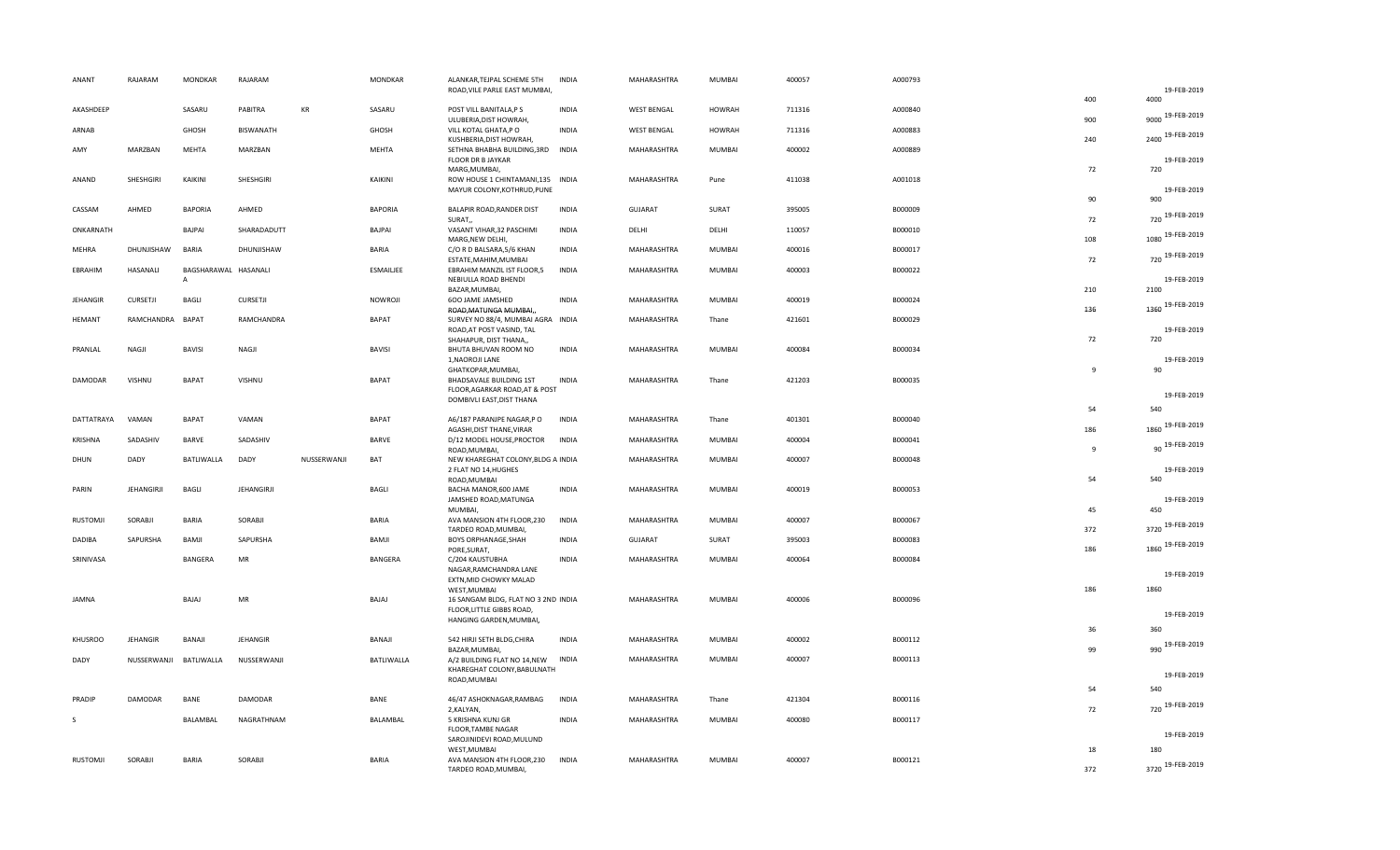| ANANT           | RAJARAM                | <b>MONDKAR</b>                       | RAJARAM     |             | MONDKAR          | ALANKAR, TEJPAL SCHEME 5TH<br>ROAD, VILE PARLE EAST MUMBAI,      | INDIA        | MAHARASHTRA        | MUMBAI        | 400057 | A000793 |              | 19-FEB-2019             |
|-----------------|------------------------|--------------------------------------|-------------|-------------|------------------|------------------------------------------------------------------|--------------|--------------------|---------------|--------|---------|--------------|-------------------------|
|                 |                        |                                      |             |             |                  |                                                                  |              |                    |               |        |         | 400          | 4000                    |
| AKASHDEEP       |                        | SASARU                               | PABITRA     | KR          | SASARU           | POST VILL BANITALA, PS<br>ULUBERIA, DIST HOWRAH,                 | <b>INDIA</b> | <b>WEST BENGAL</b> | <b>HOWRAH</b> | 711316 | A000840 | 900          | 9000 19-FEB-2019        |
| ARNAB           |                        | GHOSH                                | BISWANATH   |             | GHOSH            | VILL KOTAL GHATA,P O<br>KUSHBERIA, DIST HOWRAH,                  | <b>INDIA</b> | <b>WEST BENGAL</b> | <b>HOWRAH</b> | 711316 | A000883 | 240          | 2400 19-FEB-2019        |
| AMY             | MARZBAN                | <b>MEHTA</b>                         | MARZBAN     |             | MEHTA            | SETHNA BHABHA BUILDING, 3RD INDIA<br>FLOOR DR B JAYKAR           |              | MAHARASHTRA        | MUMBAI        | 400002 | A000889 |              | 19-FEB-2019             |
|                 |                        |                                      |             |             |                  | MARG, MUMBAI,                                                    |              |                    |               |        |         | 72           | 720                     |
| ANAND           | SHESHGIRI              | KAIKINI                              | SHESHGIRI   |             | KAIKINI          | ROW HOUSE 1 CHINTAMANI, 135 INDIA<br>MAYUR COLONY, KOTHRUD, PUNE |              | MAHARASHTRA        | Pune          | 411038 | A001018 |              | 19-FEB-2019             |
| CASSAM          | AHMED                  | <b>BAPORIA</b>                       | AHMED       |             | <b>BAPORIA</b>   | BALAPIR ROAD, RANDER DIST                                        | <b>INDIA</b> | <b>GUJARAT</b>     | SURAT         | 395005 | B000009 | 90           | 900                     |
| ONKARNATH       |                        | BAJPAI                               | SHARADADUTT |             | BAJPAI           | SURAT,<br>VASANT VIHAR, 32 PASCHIMI                              | INDIA        | DELHI              | DELHI         | 110057 | B000010 | 72           | 720 19-FEB-2019         |
|                 |                        |                                      |             |             |                  | MARG, NEW DELHI,                                                 |              |                    |               |        |         | 108          | 1080 19-FEB-2019        |
| MEHRA           | DHUNJISHAW             | <b>BARIA</b>                         | DHUNJISHAW  |             | <b>BARIA</b>     | C/O R D BALSARA, 5/6 KHAN<br>ESTATE, MAHIM, MUMBAI               | <b>INDIA</b> | MAHARASHTRA        | MUMBAI        | 400016 | B000017 | 72           | 720 19-FEB-2019         |
| EBRAHIM         | HASANALI               | BAGSHARAWAL HASANALI<br>$\mathsf{A}$ |             |             | <b>ESMAILJEE</b> | EBRAHIM MANZIL IST FLOOR,5<br>NEBIULLA ROAD BHENDI               | <b>INDIA</b> | MAHARASHTRA        | MUMBAI        | 400003 | B000022 |              | 19-FEB-2019             |
| <b>JEHANGIR</b> | CURSETJI               | BAGLI                                | CURSETJI    |             | NOWROJI          | BAZAR, MUMBAI,<br>600 JAME JAMSHED                               | INDIA        | MAHARASHTRA        | MUMBAI        | 400019 | B000024 | 210          | 2100                    |
| <b>HEMANT</b>   | RAMCHANDRA BAPAT       |                                      | RAMCHANDRA  |             | <b>BAPAT</b>     | ROAD, MATUNGA MUMBAI,,<br>SURVEY NO 88/4, MUMBAI AGRA INDIA      |              | MAHARASHTRA        | Thane         | 421601 | B000029 | 136          | 1360 19-FEB-2019        |
|                 |                        |                                      |             |             |                  | ROAD, AT POST VASIND, TAL                                        |              |                    |               |        |         |              | 19-FEB-2019             |
| PRANLAL         | NAGJI                  | <b>BAVISI</b>                        | NAGJI       |             | <b>BAVISI</b>    | SHAHAPUR, DIST THANA,,<br>BHUTA BHUVAN ROOM NO                   | <b>INDIA</b> | MAHARASHTRA        | MUMBAI        | 400084 | B000034 | 72           | 720                     |
|                 |                        |                                      |             |             |                  | 1, NAOROJI LANE<br>GHATKOPAR, MUMBAI,                            |              |                    |               |        |         | $\mathbf{q}$ | 19-FEB-2019<br>90       |
| DAMODAR         | VISHNU                 | <b>BAPAT</b>                         | VISHNU      |             | <b>BAPAT</b>     | BHADSAVALE BUILDING 1ST<br>FLOOR, AGARKAR ROAD, AT & POST        | <b>INDIA</b> | MAHARASHTRA        | Thane         | 421203 | B000035 |              |                         |
|                 |                        |                                      |             |             |                  | DOMBIVLI EAST, DIST THANA                                        |              |                    |               |        |         |              | 19-FEB-2019             |
| DATTATRAYA      | VAMAN                  | <b>BAPAT</b>                         | VAMAN       |             | <b>BAPAT</b>     | A6/187 PARANJPE NAGAR,P O                                        | <b>INDIA</b> | MAHARASHTRA        | Thane         | 401301 | B000040 | 54           | 540<br>1860 19-FEB-2019 |
| KRISHNA         | SADASHIV               | <b>BARVE</b>                         | SADASHIV    |             | <b>BARVE</b>     | AGASHI, DIST THANE, VIRAR<br>D/12 MODEL HOUSE, PROCTOR           | INDIA        | MAHARASHTRA        | MUMBAI        | 400004 | B000041 | 186          |                         |
| DHUN            | DADY                   | BATLIWALLA                           | DADY        | NUSSERWANJI | BAT              | ROAD, MUMBAI,<br>NEW KHAREGHAT COLONY, BLDG A INDIA              |              | MAHARASHTRA        | MUMBAI        | 400007 | B000048 | $\mathbf{q}$ | 90 19-FEB-2019          |
|                 |                        |                                      |             |             |                  | 2 FLAT NO 14, HUGHES<br>ROAD, MUMBAI                             |              |                    |               |        |         | 54           | 19-FEB-2019<br>540      |
| PARIN           | JEHANGIRJI             | BAGLI                                | JEHANGIRJI  |             | BAGLI            | BACHA MANOR,600 JAME                                             | <b>INDIA</b> | MAHARASHTRA        | MUMBAI        | 400019 | B000053 |              |                         |
|                 |                        |                                      |             |             |                  | JAMSHED ROAD, MATUNGA<br>MUMBAI,                                 |              |                    |               |        |         | 45           | 19-FEB-2019<br>450      |
| RUSTOMJI        | SORABJI                | <b>BARIA</b>                         | SORABJI     |             | BARIA            | AVA MANSION 4TH FLOOR, 230<br>TARDEO ROAD, MUMBAI,               | <b>INDIA</b> | MAHARASHTRA        | MUMBAI        | 400007 | B000067 | 372          | 3720 19-FEB-2019        |
| DADIBA          | SAPURSHA               | BAMJI                                | SAPURSHA    |             | BAMJI            | BOYS ORPHANAGE, SHAH<br>PORE, SURAT,                             | <b>INDIA</b> | <b>GUJARAT</b>     | SURAT         | 395003 | B000083 | 186          | 1860 19-FEB-2019        |
| SRINIVASA       |                        | BANGERA                              | MR          |             | BANGERA          | C/204 KAUSTUBHA                                                  | <b>INDIA</b> | MAHARASHTRA        | MUMBAI        | 400064 | B000084 |              |                         |
|                 |                        |                                      |             |             |                  | NAGAR, RAMCHANDRA LANE<br>EXTN, MID CHOWKY MALAD                 |              |                    |               |        |         |              | 19-FEB-2019             |
| <b>JAMNA</b>    |                        | BAJAJ                                | MR          |             | BAJAJ            | WEST, MUMBAI<br>16 SANGAM BLDG, FLAT NO 3 2ND INDIA              |              | MAHARASHTRA        | MUMBAI        | 400006 | B000096 | 186          | 1860                    |
|                 |                        |                                      |             |             |                  | FLOOR, LITTLE GIBBS ROAD,<br>HANGING GARDEN, MUMBAI,             |              |                    |               |        |         |              | 19-FEB-2019             |
| <b>KHUSROO</b>  | JEHANGIR               | BANAJI                               | JEHANGIR    |             | BANAJI           | 542 HIRJI SETH BLDG, CHIRA                                       | <b>INDIA</b> | MAHARASHTRA        | MUMBAI        | 400002 | B000112 | 36           | 360                     |
|                 |                        |                                      |             |             |                  | BAZAR, MUMBAI,                                                   |              |                    |               |        |         | 99           | 990 19-FEB-2019         |
| DADY            | NUSSERWANJI BATLIWALLA |                                      | NUSSERWANJI |             | BATLIWALLA       | A/2 BUILDING FLAT NO 14, NEW<br>KHAREGHAT COLONY, BABULNATH      | <b>INDIA</b> | MAHARASHTRA        | <b>MUMBAI</b> | 400007 | B000113 |              | 19-FEB-2019             |
|                 |                        |                                      |             |             |                  | ROAD, MUMBAI                                                     |              |                    |               |        |         | 54           | 540                     |
| PRADIP          | <b>DAMODAR</b>         | BANE                                 | DAMODAR     |             | BANE             | 46/47 ASHOKNAGAR, RAMBAG<br>2, KALYAN,                           | <b>INDIA</b> | MAHARASHTRA        | Thane         | 421304 | B000116 | 72           | 720 19-FEB-2019         |
| s               |                        | BALAMBAL                             | NAGRATHNAM  |             | BALAMBAL         | 5 KRISHNA KUNJ GR<br>FLOOR, TAMBE NAGAR                          | <b>INDIA</b> | MAHARASHTRA        | MUMBAI        | 400080 | B000117 |              |                         |
|                 |                        |                                      |             |             |                  | SAROJINIDEVI ROAD, MULUND                                        |              |                    |               |        |         |              | 19-FEB-2019             |
| RUSTOMJI        | SORABJI                | <b>BARIA</b>                         | SORABJI     |             | BARIA            | WEST, MUMBAI<br>AVA MANSION 4TH FLOOR, 230                       | INDIA        | MAHARASHTRA        | MUMBAI        | 400007 | B000121 | 18           | 180<br>3720 19-FEB-2019 |
|                 |                        |                                      |             |             |                  | TARDEO ROAD, MUMBAI,                                             |              |                    |               |        |         | 372          |                         |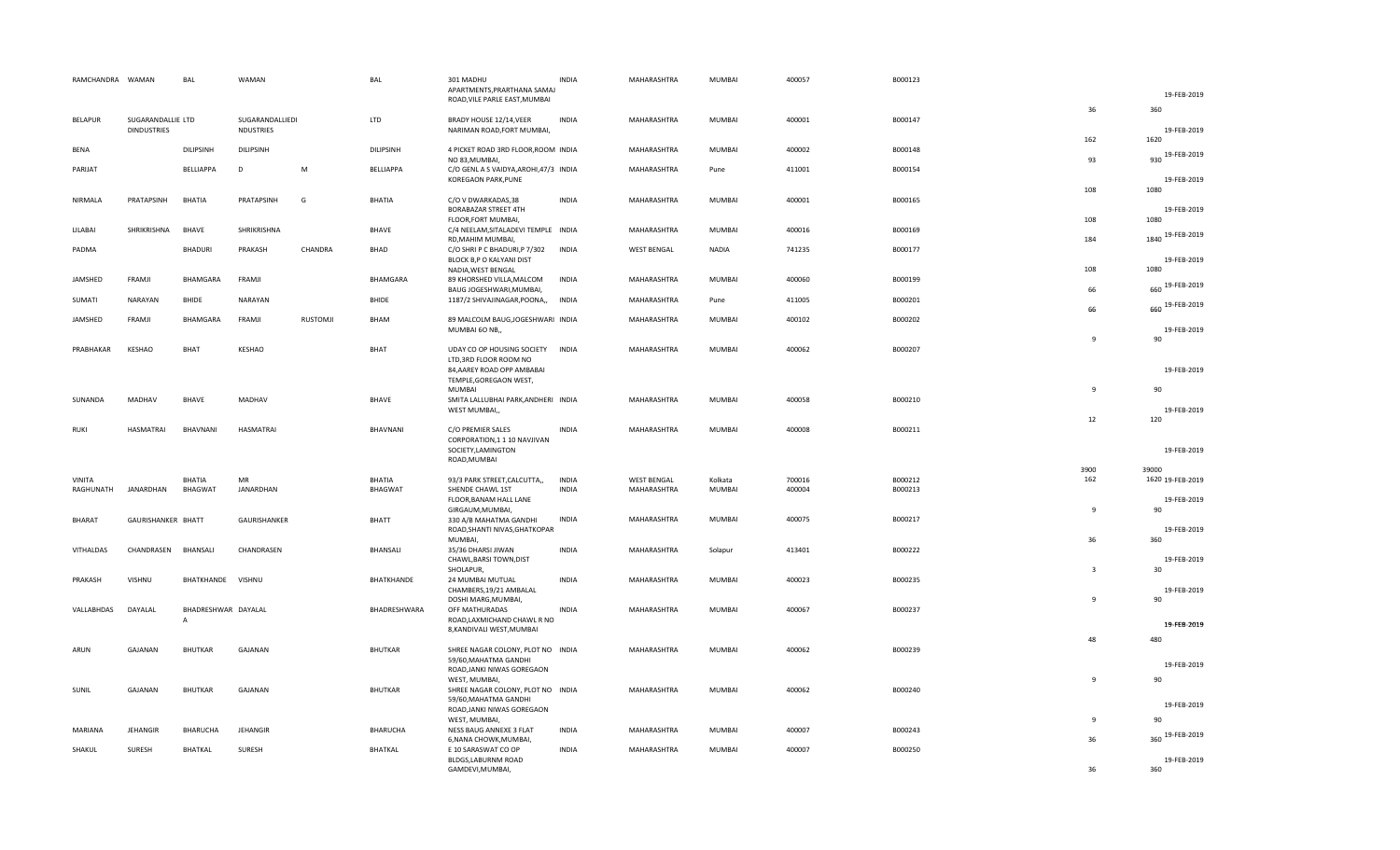| RAMCHANDRA WAMAN |                                         | BAL                                   | WAMAN                               |                 | BAL              | 301 MADHU<br>APARTMENTS, PRARTHANA SAMAJ                                        | <b>INDIA</b> | MAHARASHTRA        | MUMBAI        | 400057 | B000123 |                | 19-FEB-2019                 |
|------------------|-----------------------------------------|---------------------------------------|-------------------------------------|-----------------|------------------|---------------------------------------------------------------------------------|--------------|--------------------|---------------|--------|---------|----------------|-----------------------------|
|                  |                                         |                                       |                                     |                 |                  | ROAD, VILE PARLE EAST, MUMBAI                                                   |              |                    |               |        |         | 36             | 360                         |
| <b>BELAPUR</b>   | SUGARANDALLIE LTD<br><b>DINDUSTRIES</b> |                                       | SUGARANDALLIEDI<br><b>NDUSTRIES</b> |                 | LTD              | BRADY HOUSE 12/14, VEER<br>NARIMAN ROAD, FORT MUMBAI,                           | <b>INDIA</b> | MAHARASHTRA        | MUMBAI        | 400001 | B000147 |                | 19-FEB-2019                 |
| <b>BENA</b>      |                                         | <b>DILIPSINH</b>                      | <b>DILIPSINH</b>                    |                 | <b>DILIPSINH</b> | 4 PICKET ROAD 3RD FLOOR, ROOM INDIA<br>NO 83, MUMBAI                            |              | MAHARASHTRA        | MUMBAI        | 400002 | B000148 | 162<br>93      | 1620<br>930 19-FEB-2019     |
| PARIJAT          |                                         | BELLIAPPA                             | $\mathsf D$                         | M               | <b>BELLIAPPA</b> | C/O GENL A S VAIDYA, AROHI, 47/3 INDIA<br>KOREGAON PARK, PUNE                   |              | MAHARASHTRA        | Pune          | 411001 | B000154 |                | 19-FEB-2019                 |
| NIRMALA          | PRATAPSINH                              | BHATIA                                | PRATAPSINH                          | G               | <b>BHATIA</b>    | C/O V DWARKADAS,38<br><b>BORABAZAR STREET 4TH</b>                               | <b>INDIA</b> | MAHARASHTRA        | MUMBAI        | 400001 | B000165 | 108            | 1080<br>19-FEB-2019<br>1080 |
| LILABAI          | SHRIKRISHNA                             | BHAVE                                 | SHRIKRISHNA                         |                 | <b>BHAVE</b>     | FLOOR, FORT MUMBAI,<br>C/4 NEELAM, SITALADEVI TEMPLE INDIA<br>RD, MAHIM MUMBAI, |              | MAHARASHTRA        | <b>MUMBAI</b> | 400016 | B000169 | 108<br>184     | 1840 19-FEB-2019            |
| PADMA            |                                         | <b>BHADURI</b>                        | PRAKASH                             | CHANDRA         | BHAD             | C/O SHRI P C BHADURI, P 7/302<br>BLOCK B,P O KALYANI DIST<br>NADIA, WEST BENGAL | <b>INDIA</b> | <b>WEST BENGAL</b> | <b>NADIA</b>  | 741235 | B000177 | 108            | 19-FEB-2019<br>1080         |
| JAMSHED          | FRAMJI                                  | BHAMGARA                              | FRAMJI                              |                 | BHAMGARA         | 89 KHORSHED VILLA, MALCOM<br>BAUG JOGESHWARI, MUMBAI,                           | <b>INDIA</b> | MAHARASHTRA        | MUMBAI        | 400060 | B000199 | 66             | 660 19-FEB-2019             |
| SUMATI           | NARAYAN                                 | <b>BHIDE</b>                          | <b>NARAYAN</b>                      |                 | BHIDE            | 1187/2 SHIVAJINAGAR, POONA,,                                                    | <b>INDIA</b> | MAHARASHTRA        | Pune          | 411005 | B000201 | 66             | 660 19-FEB-2019             |
| JAMSHED          | FRAMJI                                  | BHAMGARA                              | FRAMJI                              | <b>RUSTOMJI</b> | BHAM             | 89 MALCOLM BAUG, JOGESHWARI INDIA<br>MUMBAI 60 NB,,                             |              | MAHARASHTRA        | MUMBAI        | 400102 | B000202 | $\mathbf{q}$   | 19-FEB-2019<br>90           |
| PRABHAKAR        | KESHAO                                  | <b>BHAT</b>                           | KESHAO                              |                 | <b>BHAT</b>      | UDAY CO OP HOUSING SOCIETY INDIA<br>LTD, 3RD FLOOR ROOM NO                      |              | MAHARASHTRA        | <b>MUMBAI</b> | 400062 | B000207 |                |                             |
|                  |                                         |                                       |                                     |                 |                  | 84, AAREY ROAD OPP AMBABAI<br>TEMPLE, GOREGAON WEST,<br><b>MUMBAI</b>           |              |                    |               |        |         | $\overline{9}$ | 19-FEB-2019<br>90           |
| SUNANDA          | MADHAV                                  | BHAVE                                 | MADHAV                              |                 | <b>BHAVE</b>     | SMITA LALLUBHAI PARK, ANDHERI INDIA<br>WEST MUMBAI,,                            |              | MAHARASHTRA        | MUMBAI        | 400058 | B000210 | 12             | 19-FEB-2019<br>120          |
| <b>RUKI</b>      | HASMATRAI                               | <b>BHAVNANI</b>                       | <b>HASMATRAI</b>                    |                 | BHAVNANI         | C/O PREMIER SALES<br>CORPORATION, 1 1 10 NAVJIVAN                               | <b>INDIA</b> | MAHARASHTRA        | <b>MUMBAI</b> | 400008 | B000211 |                |                             |
|                  |                                         |                                       |                                     |                 |                  | SOCIETY, LAMINGTON<br>ROAD, MUMBAI                                              |              |                    |               |        |         | 3900           | 19-FEB-2019<br>39000        |
| VINITA           |                                         | <b>BHATIA</b>                         | MR                                  |                 | BHATIA           | 93/3 PARK STREET, CALCUTTA,,                                                    | <b>INDIA</b> | <b>WEST BENGAL</b> | Kolkata       | 700016 | B000212 | 162            | 1620 19-FEB-2019            |
| RAGHUNATH        | JANARDHAN                               | BHAGWAT                               | JANARDHAN                           |                 | <b>BHAGWAT</b>   | SHENDE CHAWL 1ST<br>FLOOR, BANAM HALL LANE<br>GIRGAUM, MUMBAI,                  | <b>INDIA</b> | MAHARASHTRA        | MUMBAI        | 400004 | B000213 | $\overline{9}$ | 19-FEB-2019<br>90           |
| BHARAT           | GAURISHANKER BHATT                      |                                       | GAURISHANKER                        |                 | <b>BHATT</b>     | 330 A/B MAHATMA GANDHI<br>ROAD, SHANTI NIVAS, GHATKOPAR                         | <b>INDIA</b> | MAHARASHTRA        | MUMBAI        | 400075 | B000217 |                | 19-FEB-2019                 |
| VITHALDAS        | CHANDRASEN                              | BHANSALI                              | CHANDRASEN                          |                 | BHANSALI         | MUMBAI,<br>35/36 DHARSI JIWAN                                                   | <b>INDIA</b> | MAHARASHTRA        | Solapur       | 413401 | B000222 | 36             | 360                         |
|                  |                                         |                                       | VISHNU                              |                 | BHATKHANDE       | CHAWL, BARSI TOWN, DIST<br>SHOLAPUR,<br>24 MUMBAI MUTUAL                        | <b>INDIA</b> | MAHARASHTRA        | MUMBAI        | 400023 | B000235 | $\overline{3}$ | 19-FEB-2019<br>30           |
| PRAKASH          | VISHNU                                  | BHATKHANDE                            |                                     |                 |                  | CHAMBERS, 19/21 AMBALAL<br>DOSHI MARG, MUMBAI,                                  |              |                    |               |        |         | $\overline{9}$ | 19-FEB-2019<br>90           |
| VALLABHDAS       | DAYALAL                                 | BHADRESHWAR DAYALAL<br>$\overline{A}$ |                                     |                 | BHADRESHWARA     | OFF MATHURADAS<br>ROAD, LAXMICHAND CHAWL R NO                                   | <b>INDIA</b> | MAHARASHTRA        | <b>MUMBAI</b> | 400067 | B000237 |                | 19-FEB-2019                 |
| ARUN             | GAJANAN                                 | <b>BHUTKAR</b>                        | GAJANAN                             |                 | <b>BHUTKAR</b>   | 8, KANDIVALI WEST, MUMBAI<br>SHREE NAGAR COLONY, PLOT NO INDIA                  |              | MAHARASHTRA        | <b>MUMBAI</b> | 400062 | B000239 | 48             | 480                         |
|                  |                                         |                                       |                                     |                 |                  | 59/60, MAHATMA GANDHI<br>ROAD, JANKI NIWAS GOREGAON                             |              |                    |               |        |         |                | 19-FEB-2019                 |
| SUNIL            | GAJANAN                                 | <b>BHUTKAR</b>                        | GAJANAN                             |                 | <b>BHUTKAR</b>   | WEST, MUMBAI<br>SHREE NAGAR COLONY, PLOT NO INDIA                               |              | MAHARASHTRA        | MUMBAI        | 400062 | B000240 | $\overline{9}$ | 90                          |
|                  |                                         |                                       |                                     |                 |                  | 59/60, MAHATMA GANDHI<br>ROAD, JANKI NIWAS GOREGAON<br>WEST, MUMBAI,            |              |                    |               |        |         | $\overline{9}$ | 19-FEB-2019<br>90           |
| MARIANA          | JEHANGIR                                | BHARUCHA                              | <b>JEHANGIR</b>                     |                 | BHARUCHA         | NESS BAUG ANNEXE 3 FLAT<br>6, NANA CHOWK, MUMBAI,                               | <b>INDIA</b> | MAHARASHTRA        | MUMBAI        | 400007 | B000243 | 36             | 360 19-FEB-2019             |
| SHAKUL           | SURESH                                  | BHATKAL                               | SURESH                              |                 | <b>BHATKAL</b>   | E 10 SARASWAT CO OP<br>BLDGS,LABURNM ROAD<br>GAMDEVI, MUMBAI,                   | <b>INDIA</b> | MAHARASHTRA        | MUMBAI        | 400007 | B000250 | 36             | 19-FEB-2019<br>360          |
|                  |                                         |                                       |                                     |                 |                  |                                                                                 |              |                    |               |        |         |                |                             |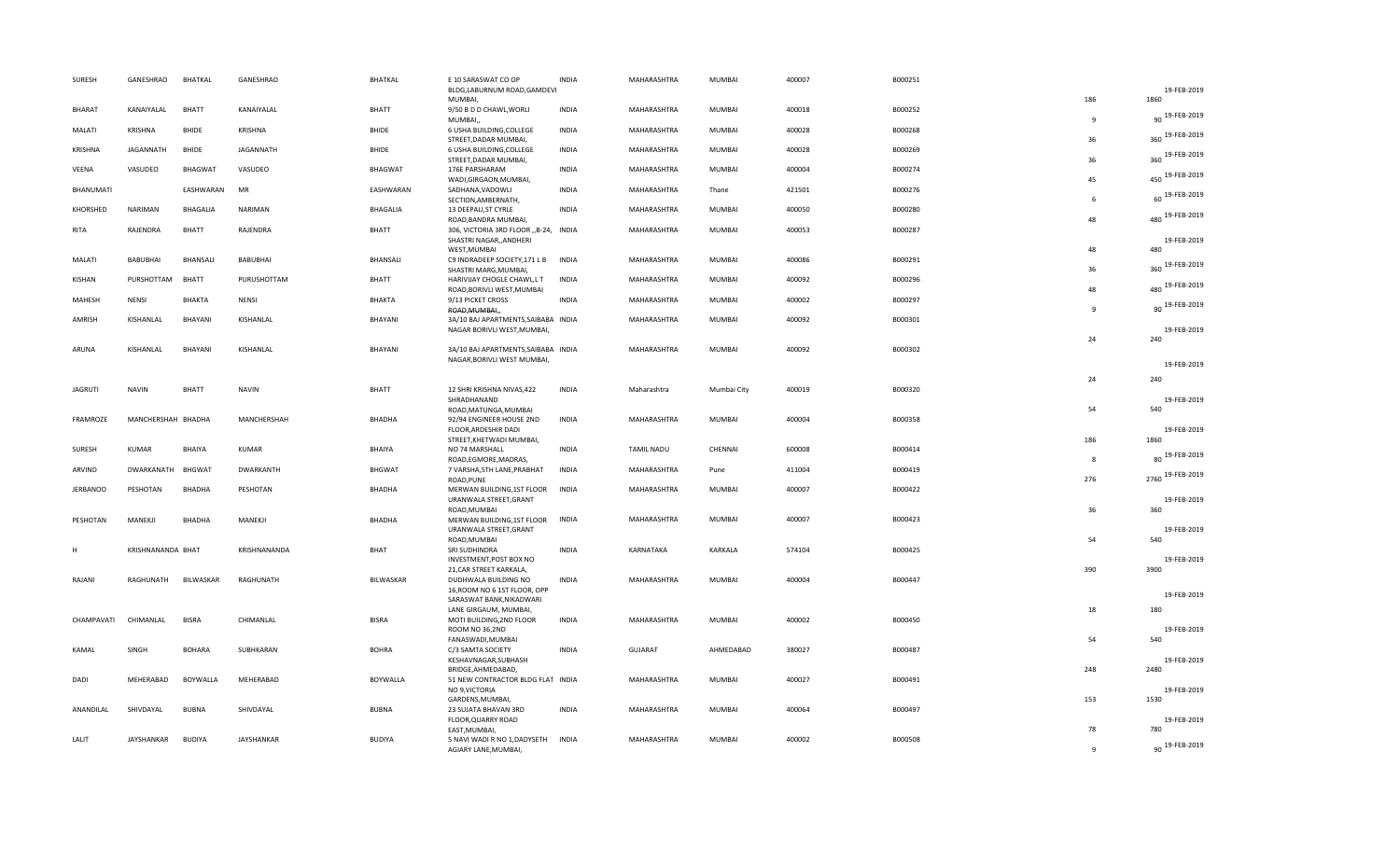| SURESH          | GANESHRAO          | BHATKAL         | GANESHRAO        | <b>BHATKAL</b>  | E 10 SARASWAT CO OP                                                             | <b>INDIA</b> | MAHARASHTRA       | MUMBAI        | 400007 | B000251 |                    |                        |
|-----------------|--------------------|-----------------|------------------|-----------------|---------------------------------------------------------------------------------|--------------|-------------------|---------------|--------|---------|--------------------|------------------------|
|                 |                    |                 |                  |                 | BLDG,LABURNUM ROAD,GAMDEVI<br>MUMBAI,                                           |              |                   |               |        |         | 186                | 19-FEB-2019<br>1860    |
| <b>BHARAT</b>   | KANAIYALAL         | <b>BHATT</b>    | KANAIYALAL       | BHATT           | 9/50 B D D CHAWL, WORLI<br>MUMBAI,,                                             | <b>INDIA</b> | MAHARASHTRA       | MUMBAI        | 400018 | B000252 | 9                  | 90 19-FEB-2019         |
| MALATI          | <b>KRISHNA</b>     | <b>BHIDE</b>    | KRISHNA          | <b>BHIDE</b>    | 6 USHA BUILDING, COLLEGE<br>STREET, DADAR MUMBAI,                               | <b>INDIA</b> | MAHARASHTRA       | MUMBAI        | 400028 | B000268 | 36                 | 360 19-FEB-2019        |
| KRISHNA         | <b>JAGANNATH</b>   | <b>BHIDE</b>    | <b>JAGANNATH</b> | <b>BHIDE</b>    | 6 USHA BUILDING, COLLEGE<br>STREET, DADAR MUMBAI,                               | <b>INDIA</b> | MAHARASHTRA       | <b>MUMBAI</b> | 400028 | B000269 | 36                 | 360 19-FEB-2019        |
| VEENA           | VASUDEO            | <b>BHAGWAT</b>  | VASUDEO          | <b>BHAGWAT</b>  | 176E PARSHARAM<br>WADI, GIRGAON, MUMBAI,                                        | <b>INDIA</b> | MAHARASHTRA       | <b>MUMBAI</b> | 400004 | B000274 | 45                 | 450 19-FEB-2019        |
| BHANUMATI       |                    | EASHWARAN       | MR               | EASHWARAN       | SADHANA, VADOWLI<br>SECTION, AMBERNATH,                                         | <b>INDIA</b> | MAHARASHTRA       | Thane         | 421501 | B000276 | -6                 | 60 19-FEB-2019         |
| KHORSHED        | <b>NARIMAN</b>     | <b>BHAGALIA</b> | NARIMAN          | <b>BHAGALIA</b> | 13 DEEPALI, ST CYRLE<br>ROAD, BANDRA MUMBAI,                                    | <b>INDIA</b> | MAHARASHTRA       | MUMBAI        | 400050 | B000280 | 48                 | 480 19-FEB-2019        |
| RITA            | RAJENDRA           | <b>BHATT</b>    | RAJENDRA         | <b>BHATT</b>    | 306, VICTORIA 3RD FLOOR "B-24, INDIA<br>SHASTRI NAGAR,, ANDHERI                 |              | MAHARASHTRA       | MUMBAI        | 400053 | B000287 |                    | 19-FEB-2019            |
| MALATI          | BABUBHAI           | BHANSALI        | BABUBHAI         | BHANSALI        | WEST, MUMBAI<br>C9 INDRADEEP SOCIETY, 171 L B                                   | <b>INDIA</b> | MAHARASHTRA       | MUMBAI        | 400086 | B000291 | 48                 | 480<br>360 19-FEB-2019 |
| KISHAN          | PURSHOTTAM         | <b>BHATT</b>    | PURUSHOTTAM      | BHATT           | SHASTRI MARG, MUMBAI,<br>HARIVIJAY CHOGLE CHAWL,L T                             | INDIA        | MAHARASHTRA       | MUMBAI        | 400092 | B000296 | 36                 | 480 19-FEB-2019        |
| MAHESH          | <b>NENSI</b>       | <b>BHAKTA</b>   | <b>NENSI</b>     | <b>BHAKTA</b>   | ROAD, BORIVLI WEST, MUMBAI<br>9/13 PICKET CROSS                                 | <b>INDIA</b> | MAHARASHTRA       | MUMBAI        | 400002 | B000297 | 48<br>$\mathbf{q}$ | 90 19-FEB-2019         |
| AMRISH          | KISHANLAL          | BHAYANI         | KISHANLAL        | BHAYANI         | ROAD, MUMBAI,,<br>3A/10 BAJ APARTMENTS, SAIBABA INDIA                           |              | MAHARASHTRA       | MUMBAI        | 400092 | B000301 |                    |                        |
|                 |                    |                 |                  |                 | NAGAR BORIVLI WEST, MUMBAI,                                                     |              |                   |               |        | B000302 | 24                 | 19-FEB-2019<br>240     |
| ARUNA           | KISHANLAL          | BHAYANI         | KISHANLAL        | BHAYANI         | 3A/10 BAJ APARTMENTS, SAIBABA INDIA<br>NAGAR, BORIVLI WEST MUMBAI,              |              | MAHARASHTRA       | MUMBAI        | 400092 |         |                    | 19-FEB-2019            |
|                 |                    |                 |                  |                 |                                                                                 |              |                   |               |        |         | 24                 | 240                    |
| <b>JAGRUTI</b>  | <b>NAVIN</b>       | <b>BHATT</b>    | <b>NAVIN</b>     | BHATT           | 12 SHRI KRISHNA NIVAS, 422<br>SHRADHANAND                                       | <b>INDIA</b> | Maharashtra       | Mumbai City   | 400019 | B000320 |                    | 19-FEB-2019            |
| FRAMROZE        | MANCHERSHAH BHADHA |                 | MANCHERSHAH      | BHADHA          | ROAD, MATUNGA, MUMBAI<br>92/94 ENGINEER HOUSE 2ND                               | <b>INDIA</b> | MAHARASHTRA       | MUMBAI        | 400004 | B000358 | 54                 | 540                    |
|                 |                    |                 |                  |                 | FLOOR, ARDESHIR DADI<br>STREET, KHETWADI MUMBAI,                                |              |                   |               |        |         | 186                | 19-FEB-2019<br>1860    |
| SURESH          | KUMAR              | <b>BHAIYA</b>   | KUMAR            | BHAIYA          | NO 74 MARSHALL<br>ROAD, EGMORE, MADRAS,                                         | <b>INDIA</b> | <b>TAMIL NADU</b> | CHENNAI       | 600008 | B000414 | 8                  | 19-FEB-2019<br>80      |
| ARVIND          | DWARKANATH         | <b>BHGWAT</b>   | DWARKANTH        | <b>BHGWAT</b>   | 7 VARSHA, 5TH LANE, PRABHAT<br>ROAD, PUNE                                       | <b>INDIA</b> | MAHARASHTRA       | Pune          | 411004 | B000419 | 276                | 2760 19-FEB-2019       |
| <b>JERBANOO</b> | PESHOTAN           | BHADHA          | PESHOTAN         | BHADHA          | MERWAN BUILDING, 1ST FLOOR<br>URANWALA STREET, GRANT<br>ROAD, MUMBAI            | <b>INDIA</b> | MAHARASHTRA       | <b>MUMBAI</b> | 400007 | B000422 | 36                 | 19-FEB-2019<br>360     |
| PESHOTAN        | MANEKJI            | <b>BHADHA</b>   | MANEKJI          | BHADHA          | MERWAN BUILDING, 1ST FLOOR<br>URANWALA STREET, GRANT                            | <b>INDIA</b> | MAHARASHTRA       | MUMBAI        | 400007 | B000423 |                    | 19-FEB-2019            |
|                 |                    |                 |                  |                 | ROAD, MUMBAI                                                                    |              |                   |               |        |         | 54                 | 540                    |
| H               | KRISHNANANDA BHAT  |                 | KRISHNANANDA     | BHAT            | SRI SUDHINDRA<br>INVESTMENT, POST BOX NO                                        | <b>INDIA</b> | KARNATAKA         | KARKALA       | 574104 | B000425 | 390                | 19-FEB-2019            |
| RAJANI          | RAGHUNATH          | BILWASKAR       | RAGHUNATH        | BILWASKAR       | 21, CAR STREET KARKALA,<br>DUDHWALA BUILDING NO<br>16, ROOM NO 6 1ST FLOOR, OPP | <b>INDIA</b> | MAHARASHTRA       | MUMBAI        | 400004 | B000447 |                    | 3900                   |
|                 |                    |                 |                  |                 | SARASWAT BANK, NIKADWARI                                                        |              |                   |               |        |         | 18                 | 19-FEB-2019<br>180     |
| CHAMPAVATI      | CHIMANLAL          | <b>BISRA</b>    | CHIMANLAL        | <b>BISRA</b>    | LANE GIRGAUM, MUMBAI,<br>MOTI BUILDING, 2ND FLOOR                               | <b>INDIA</b> | MAHARASHTRA       | MUMBAI        | 400002 | B000450 |                    |                        |
| KAMAL           | SINGH              | <b>BOHARA</b>   | SUBHKARAN        | <b>BOHRA</b>    | ROOM NO 36,2ND<br>FANASWADI, MUMBAI                                             | <b>INDIA</b> | <b>GUJARAT</b>    | AHMEDABAD     | 380027 | B000487 | 54                 | 19-FEB-2019<br>540     |
|                 |                    |                 |                  |                 | C/3 SAMTA SOCIETY<br>KESHAVNAGAR, SUBHASH<br>BRIDGE, AHMEDABAD,                 |              |                   |               |        |         | 248                | 19-FEB-2019<br>2480    |
| DADI            | MEHERABAD          | BOYWALLA        | MEHERABAD        | BOYWALLA        | 51 NEW CONTRACTOR BLDG FLAT INDIA<br>NO 9, VICTORIA                             |              | MAHARASHTRA       | MUMBAI        | 400027 | B000491 |                    | 19-FEB-2019            |
|                 |                    |                 |                  |                 | GARDENS, MUMBAI,                                                                |              |                   |               |        |         | 153                | 1530                   |
| ANANDILAL       | SHIVDAYAL          | <b>BUBNA</b>    | SHIVDAYAL        | <b>BUBNA</b>    | 23 SUJATA BHAVAN 3RD<br>FLOOR, QUARRY ROAD                                      | <b>INDIA</b> | MAHARASHTRA       | MUMBAI        | 400064 | B000497 |                    | 19-FEB-2019            |
| LALIT           | JAYSHANKAR         | <b>BUDIYA</b>   | JAYSHANKAR       | <b>BUDIYA</b>   | EAST, MUMBAI,<br>5 NAVI WADI R NO 1, DADYSETH INDIA                             |              | MAHARASHTRA       | MUMBAI        | 400002 | B000508 | 78                 | 780<br>90 19-FEB-2019  |
|                 |                    |                 |                  |                 | AGIARY LANE.MUMBAI.                                                             |              |                   |               |        |         | -9                 |                        |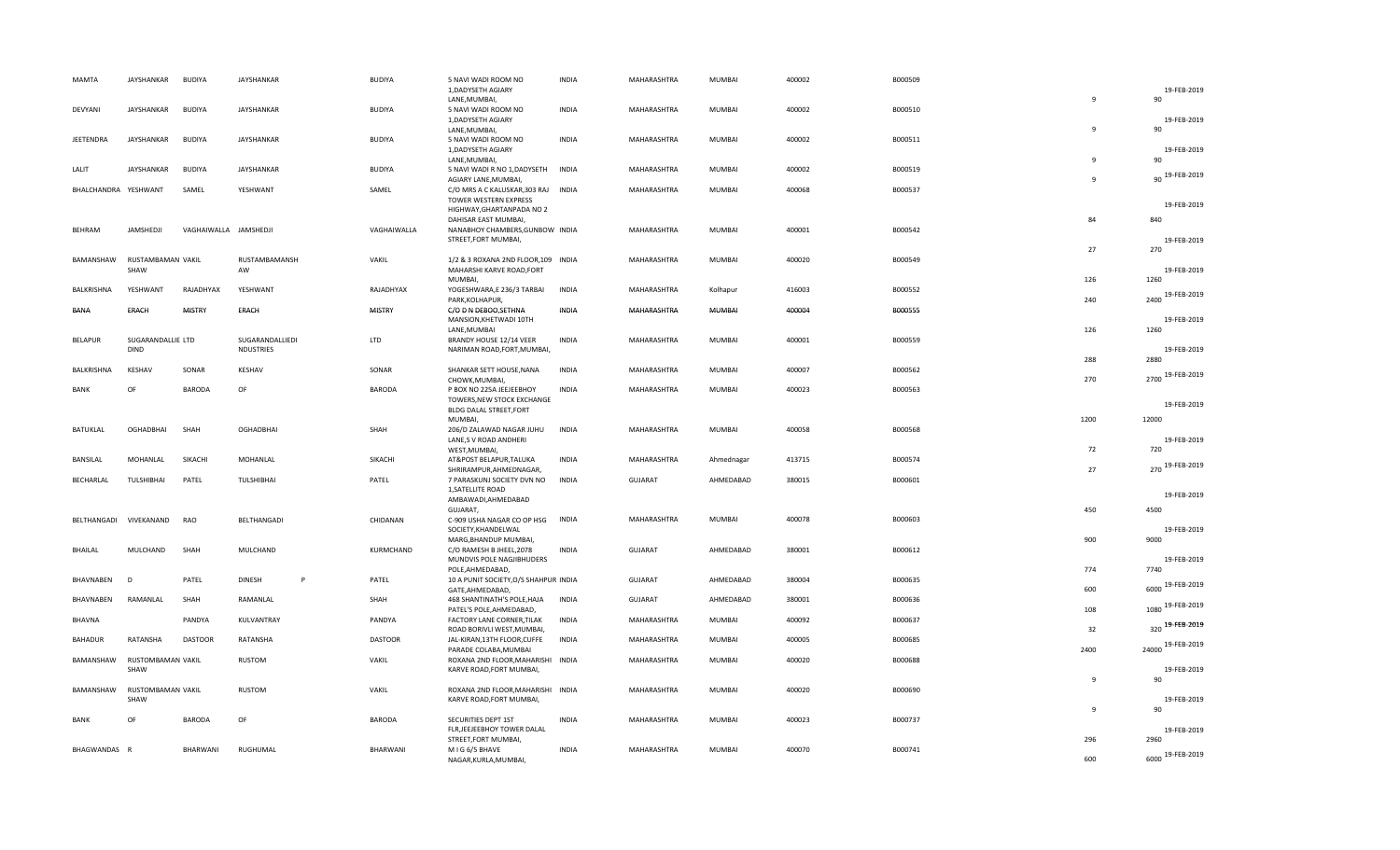| <b>MAMTA</b>         | JAYSHANKAR                       | <b>BUDIYA</b>         | JAYSHANKAR                          | <b>BUDIYA</b>  | 5 NAVI WADI ROOM NO                                        | <b>INDIA</b> | MAHARASHTRA    | MUMBAI        | 400002 | B000509 |              |                     |
|----------------------|----------------------------------|-----------------------|-------------------------------------|----------------|------------------------------------------------------------|--------------|----------------|---------------|--------|---------|--------------|---------------------|
|                      |                                  |                       |                                     |                | 1, DADYSETH AGIARY                                         |              |                |               |        |         |              | 19-FEB-2019         |
|                      |                                  |                       |                                     |                | LANE, MUMBAI,                                              |              |                |               |        |         | 9            | 90                  |
| DEVYANI              | JAYSHANKAR                       | <b>BUDIYA</b>         | JAYSHANKAR                          | <b>BUDIYA</b>  | 5 NAVI WADI ROOM NO                                        | <b>INDIA</b> | MAHARASHTRA    | <b>MUMBAI</b> | 400002 | B000510 |              |                     |
|                      |                                  |                       |                                     |                | 1, DADYSETH AGIARY                                         |              |                |               |        |         | $\mathbf{q}$ | 19-FEB-2019<br>90   |
| JEETENDRA            | JAYSHANKAR                       | <b>BUDIYA</b>         | <b>JAYSHANKAR</b>                   | <b>BUDIYA</b>  | LANE, MUMBAI,<br>5 NAVI WADI ROOM NO                       | <b>INDIA</b> | MAHARASHTRA    | <b>MUMBAI</b> | 400002 | B000511 |              |                     |
|                      |                                  |                       |                                     |                | 1, DADYSETH AGIARY                                         |              |                |               |        |         |              | 19-FEB-2019         |
|                      |                                  |                       |                                     |                | LANE, MUMBAI,                                              |              |                |               |        |         | 9            | 90                  |
| LALIT                | JAYSHANKAR                       | <b>BUDIYA</b>         | <b>JAYSHANKAR</b>                   | <b>BUDIYA</b>  | 5 NAVI WADI R NO 1, DADYSETH                               | <b>INDIA</b> | MAHARASHTRA    | <b>MUMBAI</b> | 400002 | B000519 |              | 90 19-FEB-2019      |
|                      |                                  |                       |                                     |                | AGIARY LANE, MUMBAI,                                       |              |                |               |        |         | $\mathbf{q}$ |                     |
| BHALCHANDRA YESHWANT |                                  | SAMEL                 | YESHWANT                            | SAMEL          | C/O MRS A C KALUSKAR, 303 RAJ                              | <b>INDIA</b> | MAHARASHTRA    | <b>MUMBAI</b> | 400068 | B000537 |              |                     |
|                      |                                  |                       |                                     |                | TOWER WESTERN EXPRESS<br>HIGHWAY, GHARTANPADA NO 2         |              |                |               |        |         |              | 19-FEB-2019         |
|                      |                                  |                       |                                     |                | DAHISAR EAST MUMBAI,                                       |              |                |               |        |         | 84           | 840                 |
| <b>BEHRAM</b>        | JAMSHEDJI                        | VAGHAIWALLA JAMSHEDJI |                                     | VAGHAIWALLA    | NANABHOY CHAMBERS, GUNBOW INDIA                            |              | MAHARASHTRA    | <b>MUMBAI</b> | 400001 | B000542 |              |                     |
|                      |                                  |                       |                                     |                | STREET, FORT MUMBAI,                                       |              |                |               |        |         |              | 19-FEB-2019         |
|                      |                                  |                       |                                     |                |                                                            |              |                |               |        |         | 27           | 270                 |
|                      | BAMANSHAW RUSTAMBAMAN VAKIL      |                       | RUSTAMBAMANSH                       | VAKIL          | 1/2 & 3 ROXANA 2ND FLOOR, 109 INDIA                        |              | MAHARASHTRA    | <b>MUMBAI</b> | 400020 | B000549 |              |                     |
|                      | SHAW                             |                       | AW                                  |                | MAHARSHI KARVE ROAD, FORT<br>MUMBAI,                       |              |                |               |        |         | 126          | 19-FEB-2019<br>1260 |
| BALKRISHNA           | YESHWANT                         | RAJADHYAX             | YESHWANT                            | RAJADHYAX      | YOGESHWARA,E 236/3 TARBAI                                  | <b>INDIA</b> | MAHARASHTRA    | Kolhapur      | 416003 | B000552 |              |                     |
|                      |                                  |                       |                                     |                | PARK, KOLHAPUR,                                            |              |                |               |        |         | 240          | 19-FEB-2019<br>2400 |
| BANA                 | ERACH                            | <b>MISTRY</b>         | ERACH                               | <b>MISTRY</b>  | C/O D N DEBOO, SETHNA                                      | INDIA        | MAHARASHTRA    | <b>MUMBAI</b> | 400004 | B000555 |              |                     |
|                      |                                  |                       |                                     |                | MANSION, KHETWADI 10TH                                     |              |                |               |        |         |              | 19-FEB-2019         |
|                      |                                  |                       |                                     |                | LANE, MUMBAI                                               |              |                |               |        |         | 126          | 1260                |
| <b>BELAPUR</b>       | SUGARANDALLIE LTD<br><b>DIND</b> |                       | SUGARANDALLIEDI<br><b>NDUSTRIES</b> | LTD            | BRANDY HOUSE 12/14 VEER<br>NARIMAN ROAD, FORT, MUMBAI,     | <b>INDIA</b> | MAHARASHTRA    | <b>MUMBAI</b> | 400001 | B000559 |              | 19-FEB-2019         |
|                      |                                  |                       |                                     |                |                                                            |              |                |               |        |         | 288          | 2880                |
| BALKRISHNA           | KESHAV                           | SONAR                 | KESHAV                              | SONAR          | SHANKAR SETT HOUSE, NANA                                   | <b>INDIA</b> | MAHARASHTRA    | <b>MUMBAI</b> | 400007 | B000562 |              |                     |
|                      |                                  |                       |                                     |                | CHOWK, MUMBAI,                                             |              |                |               |        |         | 270          | 2700 19-FEB-2019    |
| <b>BANK</b>          | OF                               | BARODA                | OF                                  | BARODA         | P BOX NO 225A JEEJEEBHOY                                   | <b>INDIA</b> | MAHARASHTRA    | MUMBAI        | 400023 | B000563 |              |                     |
|                      |                                  |                       |                                     |                | TOWERS, NEW STOCK EXCHANGE                                 |              |                |               |        |         |              | 19-FEB-2019         |
|                      |                                  |                       |                                     |                | BLDG DALAL STREET, FORT                                    |              |                |               |        |         |              |                     |
| BATUKLAL             | <b>OGHADBHAI</b>                 | SHAH                  | <b>OGHADBHAI</b>                    | SHAH           | MUMBAI,<br>206/D ZALAWAD NAGAR JUHU                        | <b>INDIA</b> | MAHARASHTRA    | MUMBAI        | 400058 | B000568 | 1200         | 12000               |
|                      |                                  |                       |                                     |                | LANE, S V ROAD ANDHERI                                     |              |                |               |        |         |              | 19-FEB-2019         |
|                      |                                  |                       |                                     |                | WEST, MUMBAI,                                              |              |                |               |        |         | 72           | 720                 |
| BANSILAL             | MOHANLAL                         | SIKACHI               | MOHANLAL                            | SIKACHI        | AT&POST BELAPUR, TALUKA                                    | <b>INDIA</b> | MAHARASHTRA    | Ahmednagar    | 413715 | B000574 |              |                     |
|                      |                                  |                       |                                     |                | SHRIRAMPUR, AHMEDNAGAR,                                    |              |                |               |        |         | 27           | 270 19-FEB-2019     |
| BECHARLAL            | TULSHIBHAI                       | PATEL                 | TULSHIBHAI                          | PATEL          | 7 PARASKUNJ SOCIETY DVN NO                                 | <b>INDIA</b> | <b>GUJARAT</b> | AHMEDABAD     | 380015 | B000601 |              |                     |
|                      |                                  |                       |                                     |                | 1, SATELLITE ROAD                                          |              |                |               |        |         |              | 19-FEB-2019         |
|                      |                                  |                       |                                     |                | AMBAWADI, AHMEDABAD<br>GUJARAT,                            |              |                |               |        |         | 450          | 4500                |
| BELTHANGADI          | VIVEKANAND                       | RAO                   | BELTHANGADI                         | CHIDANAN       | C-909 USHA NAGAR CO OP HSG                                 | <b>INDIA</b> | MAHARASHTRA    | MUMBAI        | 400078 | B000603 |              |                     |
|                      |                                  |                       |                                     |                | SOCIETY, KHANDELWAL                                        |              |                |               |        |         |              | 19-FEB-2019         |
|                      |                                  |                       |                                     |                | MARG, BHANDUP MUMBAI,                                      |              |                |               |        |         | 900          | 9000                |
| <b>BHAILAL</b>       | MULCHAND                         | SHAH                  | MULCHAND                            | KURMCHAND      | C/O RAMESH B JHEEL, 2078                                   | <b>INDIA</b> | <b>GUJARAT</b> | AHMEDABAD     | 380001 | B000612 |              |                     |
|                      |                                  |                       |                                     |                | MUNDVIS POLE NAGJIBHUDERS                                  |              |                |               |        |         |              | 19-FEB-2019         |
| BHAVNABEN            | D                                | PATEL                 | <b>DINESH</b><br>P                  | PATEL          | POLE, AHMEDABAD,<br>10 A PUNIT SOCIETY, O/S SHAHPUR INDIA  |              | <b>GUJARAT</b> | AHMEDABAD     | 380004 | B000635 | 774          | 7740                |
|                      |                                  |                       |                                     |                | GATE, AHMEDABAD,                                           |              |                |               |        |         | 600          | 6000 19-FEB-2019    |
| BHAVNABEN            | RAMANLAL                         | SHAH                  | RAMANLAL                            | SHAH           | 468 SHANTINATH'S POLE, HAJA                                | INDIA        | GUJARAT        | AHMEDABAD     | 380001 | B000636 |              |                     |
|                      |                                  |                       |                                     |                | PATEL'S POLE, AHMEDABAD,                                   |              |                |               |        |         | 108          | 19-FEB-2019<br>1080 |
| BHAVNA               |                                  | PANDYA                | KULVANTRAY                          | PANDYA         | FACTORY LANE CORNER, TILAK                                 | <b>INDIA</b> | MAHARASHTRA    | MUMBAI        | 400092 | B000637 |              | 320 19-FEB-2019     |
|                      |                                  |                       |                                     |                | ROAD BORIVLI WEST, MUMBAI,                                 |              |                |               |        |         | 32           |                     |
| <b>BAHADUR</b>       | RATANSHA                         | <b>DASTOOR</b>        | RATANSHA                            | <b>DASTOOR</b> | JAL-KIRAN, 13TH FLOOR, CUFFE                               | <b>INDIA</b> | MAHARASHTRA    | <b>MUMBAI</b> | 400005 | B000685 | 2400         | 24000 19-FEB-2019   |
| BAMANSHAW            | RUSTOMBAMAN VAKIL                |                       | RUSTOM                              | VAKIL          | PARADE COLABA, MUMBAI<br>ROXANA 2ND FLOOR, MAHARISHI INDIA |              | MAHARASHTRA    | MUMBAI        | 400020 | B000688 |              |                     |
|                      | SHAW                             |                       |                                     |                | KARVE ROAD, FORT MUMBAI,                                   |              |                |               |        |         |              | 19-FEB-2019         |
|                      |                                  |                       |                                     |                |                                                            |              |                |               |        |         | 9            | 90                  |
| BAMANSHAW            | RUSTOMBAMAN VAKIL                |                       | RUSTOM                              | VAKIL          | ROXANA 2ND FLOOR, MAHARISHI INDIA                          |              | MAHARASHTRA    | <b>MUMBAI</b> | 400020 | B000690 |              |                     |
|                      | SHAW                             |                       |                                     |                | KARVE ROAD, FORT MUMBAI,                                   |              |                |               |        |         |              | 19-FEB-2019         |
|                      |                                  |                       |                                     |                |                                                            |              |                |               |        |         | $\mathbf{q}$ | 90                  |
| <b>BANK</b>          | OF                               | <b>BARODA</b>         | OF                                  | BARODA         | SECURITIES DEPT 1ST<br>FLR, JEEJEEBHOY TOWER DALAL         | <b>INDIA</b> | MAHARASHTRA    | <b>MUMBAI</b> | 400023 | B000737 |              | 19-FEB-2019         |
|                      |                                  |                       |                                     |                |                                                            |              |                |               |        |         |              |                     |
|                      |                                  |                       |                                     |                |                                                            |              |                |               |        |         | 296          | 2960                |
| BHAGWANDAS R         |                                  | BHARWANI              | RUGHUMAL                            | BHARWANI       | STREET, FORT MUMBAI,<br>MIG 6/5 BHAVE                      | <b>INDIA</b> | MAHARASHTRA    | MUMBAI        | 400070 | B000741 |              | 6000 19-FEB-2019    |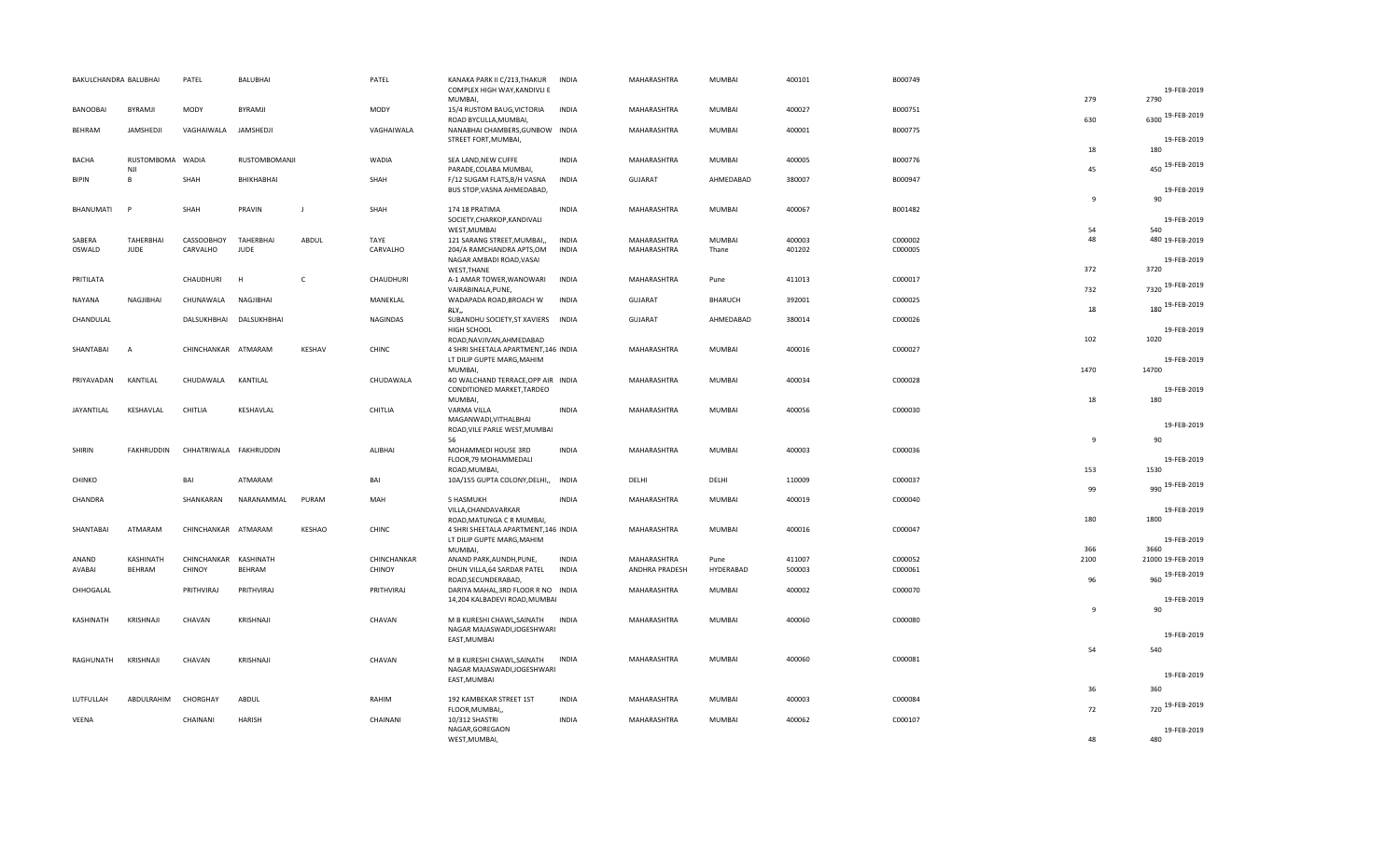|                  | BAKULCHANDRA BALUBHAI          | PATEL                  | BALUBHAI                |               | PATEL        | KANAKA PARK II C/213, THAKUR<br>COMPLEX HIGH WAY, KANDIVLI E     | INDIA        | MAHARASHTRA        | MUMBAI         | 400101 | B000749 |                | 19-FEB-2019         |
|------------------|--------------------------------|------------------------|-------------------------|---------------|--------------|------------------------------------------------------------------|--------------|--------------------|----------------|--------|---------|----------------|---------------------|
|                  |                                |                        |                         |               |              | MUMBAI,                                                          |              |                    |                |        |         | 279            | 2790                |
| BANOOBAI         | BYRAMJI                        | MODY                   | BYRAMJI                 |               | MODY         | 15/4 RUSTOM BAUG, VICTORIA<br>ROAD BYCULLA, MUMBAI,              | <b>INDIA</b> | MAHARASHTRA        | MUMBAI         | 400027 | B000751 | 630            | 6300 19-FEB-2019    |
| BEHRAM           | JAMSHEDJI                      | VAGHAIWALA             | JAMSHEDJI               |               | VAGHAIWALA   | NANABHAI CHAMBERS, GUNBOW INDIA                                  |              | MAHARASHTRA        | MUMBAI         | 400001 | B000775 |                |                     |
|                  |                                |                        |                         |               |              | STREET FORT, MUMBAI,                                             |              |                    |                |        |         |                | 19-FEB-2019         |
|                  |                                |                        |                         |               |              |                                                                  |              |                    |                |        |         | 18             | 180                 |
| BACHA            | RUSTOMBOMA WADIA<br><b>NJI</b> |                        | RUSTOMBOMANJI           |               | <b>WADIA</b> | SEA LAND, NEW CUFFE<br>PARADE, COLABA MUMBAI,                    | INDIA        | MAHARASHTRA        | MUMBAI         | 400005 | B000776 | 45             | 450 19-FEB-2019     |
| <b>BIPIN</b>     | B                              | SHAH                   | BHIKHABHAI              |               | SHAH         | F/12 SUGAM FLATS, B/H VASNA                                      | <b>INDIA</b> | <b>GUJARAT</b>     | AHMEDABAD      | 380007 | B000947 |                |                     |
|                  |                                |                        |                         |               |              | BUS STOP, VASNA AHMEDABAD,                                       |              |                    |                |        |         |                | 19-FEB-2019         |
|                  |                                |                        |                         |               |              |                                                                  |              |                    |                |        |         | $\overline{9}$ | 90                  |
| <b>BHANUMATI</b> | P                              | SHAH                   | PRAVIN                  | $\mathbf{I}$  | SHAH         | 174 18 PRATIMA                                                   | <b>INDIA</b> | MAHARASHTRA        | MUMBAI         | 400067 | B001482 |                |                     |
|                  |                                |                        |                         |               |              | SOCIETY, CHARKOP, KANDIVALI                                      |              |                    |                |        |         |                | 19-FEB-2019         |
| SABERA           | TAHERBHAI                      | CASSOOBHOY             | TAHERBHAI               | ABDUL         | TAYE         | WEST, MUMBAI<br>121 SARANG STREET, MUMBAI,,                      | <b>INDIA</b> | MAHARASHTRA        | <b>MUMBAI</b>  | 400003 | C000002 | 54<br>48       | 480 19-FEB-2019     |
| OSWALD           | <b>JUDE</b>                    | CARVALHO               | <b>JUDE</b>             |               | CARVALHO     | 204/A RAMCHANDRA APTS,OM                                         | <b>INDIA</b> | MAHARASHTRA        | Thane          | 401202 | C000005 |                |                     |
|                  |                                |                        |                         |               |              | NAGAR AMBADI ROAD, VASAI                                         |              |                    |                |        |         |                | 19-FEB-2019         |
|                  |                                |                        |                         |               |              | WEST, THANE                                                      |              |                    |                |        |         | 372            | 3720                |
| PRITILATA        |                                | CHAUDHURI              | H                       | C             | CHAUDHURI    | A-1 AMAR TOWER, WANOWARI                                         | <b>INDIA</b> | MAHARASHTRA        | Pune           | 411013 | C000017 |                | 7320 19-FEB-2019    |
|                  |                                |                        |                         |               |              | VAIRABINALA, PUNE,                                               |              |                    |                |        |         | 732            |                     |
| NAYANA           | NAGJIBHAI                      | CHUNAWALA              | NAGJIBHAI               |               | MANEKLAL     | WADAPADA ROAD, BROACH W<br>RLY,                                  | <b>INDIA</b> | <b>GUJARAT</b>     | <b>BHARUCH</b> | 392001 | C000025 | 18             | 180 19-FEB-2019     |
| CHANDULAL        |                                |                        | DALSUKHBHAI DALSUKHBHAI |               | NAGINDAS     | SUBANDHU SOCIETY, ST XAVIERS INDIA                               |              | <b>GUJARAT</b>     | AHMEDABAD      | 380014 | C000026 |                |                     |
|                  |                                |                        |                         |               |              | HIGH SCHOOL                                                      |              |                    |                |        |         |                | 19-FEB-2019         |
|                  |                                |                        |                         |               |              | ROAD, NAVJIVAN, AHMEDABAD                                        |              |                    |                |        |         | 102            | 1020                |
| SHANTABAI        | $\overline{A}$                 | CHINCHANKAR ATMARAM    |                         | <b>KESHAV</b> | CHINC        | 4 SHRI SHEETALA APARTMENT, 146 INDIA                             |              | MAHARASHTRA        | MUMBAI         | 400016 | C000027 |                |                     |
|                  |                                |                        |                         |               |              | LT DILIP GUPTE MARG, MAHIM                                       |              |                    |                |        |         |                | 19-FEB-2019         |
|                  |                                |                        |                         |               |              | MUMBAI,                                                          |              |                    |                |        |         | 1470           | 14700               |
| PRIYAVADAN       | KANTILAL                       | CHUDAWALA              | KANTILAL                |               | CHUDAWALA    | 40 WALCHAND TERRACE, OPP AIR INDIA<br>CONDITIONED MARKET, TARDEO |              | MAHARASHTRA        | MUMBAI         | 400034 | C000028 |                | 19-FEB-2019         |
|                  |                                |                        |                         |               |              | <b>MUMBAI</b>                                                    |              |                    |                |        |         | 18             | 180                 |
| JAYANTILAL       | KESHAVLAL                      | CHITLIA                | KESHAVLAL               |               | CHITLIA      | VARMA VILLA                                                      | <b>INDIA</b> | MAHARASHTRA        | MUMBAI         | 400056 | C000030 |                |                     |
|                  |                                |                        |                         |               |              | MAGANWADI, VITHALBHAI                                            |              |                    |                |        |         |                | 19-FEB-2019         |
|                  |                                |                        |                         |               |              | ROAD, VILE PARLE WEST, MUMBAI                                    |              |                    |                |        |         |                |                     |
|                  |                                |                        |                         |               |              | 56                                                               |              |                    |                |        |         | 9              | 90                  |
| SHIRIN           | FAKHRUDDIN                     | CHHATRIWALA FAKHRUDDIN |                         |               | ALIBHAI      | MOHAMMEDI HOUSE 3RD<br>FLOOR, 79 MOHAMMEDALI                     | <b>INDIA</b> | MAHARASHTRA        | MUMBAI         | 400003 | C000036 |                | 19-FEB-2019         |
|                  |                                |                        |                         |               |              | ROAD, MUMBAI,                                                    |              |                    |                |        |         | 153            | 1530                |
| CHINKO           |                                | BAI                    | ATMARAM                 |               | BAI          | 10A/155 GUPTA COLONY, DELHI,, INDIA                              |              | DELHI              | DELHI          | 110009 | C000037 |                | 990 19-FEB-2019     |
|                  |                                |                        |                         |               |              |                                                                  |              |                    |                |        |         |                |                     |
| CHANDRA          |                                |                        |                         |               |              |                                                                  |              |                    |                |        |         | 99             |                     |
|                  |                                | SHANKARAN              | NARANAMMAL              | PURAM         | MAH          | 5 HASMUKH                                                        | <b>INDIA</b> | MAHARASHTRA        | MUMBAI         | 400019 | C000040 |                |                     |
|                  |                                |                        |                         |               |              | VILLA, CHANDAVARKAR                                              |              |                    |                |        |         |                | 19-FEB-2019         |
|                  |                                |                        |                         |               |              | ROAD, MATUNGA C R MUMBAI,                                        |              |                    |                |        |         | 180            | 1800                |
| SHANTABAI        | ATMARAM                        | CHINCHANKAR ATMARAM    |                         | <b>KESHAO</b> | CHINC        | 4 SHRI SHEETALA APARTMENT, 146 INDIA                             |              | MAHARASHTRA        | MUMBAI         | 400016 | C000047 |                |                     |
|                  |                                |                        |                         |               |              | LT DILIP GUPTE MARG, MAHIM<br>MUMBAI,                            |              |                    |                |        |         | 366            | 19-FEB-2019<br>3660 |
| ANAND            | KASHINATH                      | CHINCHANKAR KASHINATH  |                         |               | CHINCHANKAR  | ANAND PARK, AUNDH, PUNE,                                         | <b>INDIA</b> | MAHARASHTRA        | Pune           | 411007 | C000052 | 2100           | 21000 19-FEB-2019   |
| AVABAI           | BEHRAM                         | CHINOY                 | BEHRAM                  |               | CHINOY       | DHUN VILLA, 64 SARDAR PATEL                                      | <b>INDIA</b> | ANDHRA PRADESH     | HYDERABAD      | 500003 | C000061 |                |                     |
|                  |                                |                        |                         |               |              | ROAD, SECUNDERABAD,                                              |              |                    |                |        |         | 96             | 960 19-FEB-2019     |
| CHHOGALAL        |                                | PRITHVIRAJ             | PRITHVIRAJ              |               | PRITHVIRAJ   | DARIYA MAHAL, 3RD FLOOR R NO INDIA                               |              | MAHARASHTRA        | MUMBAI         | 400002 | C000070 |                |                     |
|                  |                                |                        |                         |               |              | 14,204 KALBADEVI ROAD, MUMBAI                                    |              |                    |                |        |         | $\overline{9}$ | 19-FEB-2019<br>90   |
| KASHINATH        | KRISHNAJI                      | CHAVAN                 | KRISHNAJI               |               | CHAVAN       |                                                                  | <b>INDIA</b> | MAHARASHTRA        | MUMBAI         | 400060 | C000080 |                |                     |
|                  |                                |                        |                         |               |              | M B KURESHI CHAWL, SAINATH<br>NAGAR MAJASWADI, JOGESHWARI        |              |                    |                |        |         |                |                     |
|                  |                                |                        |                         |               |              | EAST, MUMBAI                                                     |              |                    |                |        |         |                | 19-FEB-2019         |
|                  |                                |                        |                         |               |              |                                                                  |              |                    |                |        |         | 54             | 540                 |
| RAGHUNATH        | KRISHNAJI                      | CHAVAN                 | KRISHNAJI               |               | CHAVAN       | M B KURESHI CHAWL, SAINATH                                       | <b>INDIA</b> | MAHARASHTRA        | MUMBAI         | 400060 | C000081 |                |                     |
|                  |                                |                        |                         |               |              | NAGAR MAJASWADI, JOGESHWARI                                      |              |                    |                |        |         |                | 19-FEB-2019         |
|                  |                                |                        |                         |               |              | EAST, MUMBAI                                                     |              |                    |                |        |         | 36             | 360                 |
| LUTFULLAH        | ABDULRAHIM                     | CHORGHAY               | ABDUL                   |               | RAHIM        | 192 KAMBEKAR STREET 1ST                                          | <b>INDIA</b> | <b>MAHARASHTRA</b> | <b>MUMBAI</b>  | 400003 | C000084 |                |                     |
|                  |                                |                        |                         |               |              | FLOOR, MUMBAI,                                                   |              |                    |                |        |         | 72             | 720 19-FEB-2019     |
| VEENA            |                                | CHAINANI               | <b>HARISH</b>           |               | CHAINANI     | 10/312 SHASTRI<br>NAGAR, GOREGAON                                | <b>INDIA</b> | MAHARASHTRA        | MUMBAI         | 400062 | C000107 |                | 19-FEB-2019         |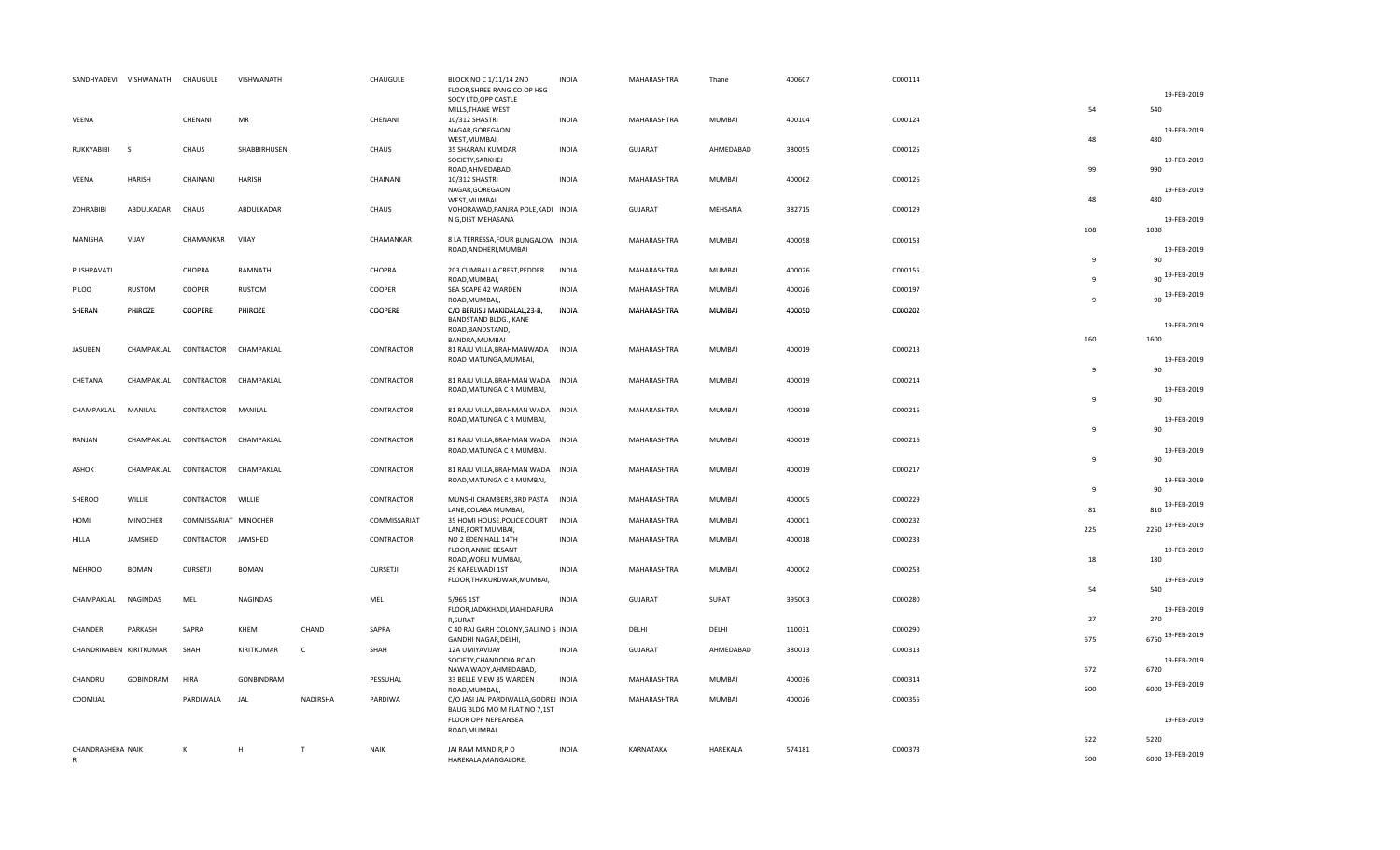| SANDHYADEVI VISHWANATH CHAUGULE |                 |                       | VISHWANATH   |              | CHAUGULE     | BLOCK NO C 1/11/14 2ND<br>FLOOR, SHREE RANG CO OP HSG                          | <b>INDIA</b> | MAHARASHTRA    | Thane         | 400607 | C000114 |                              |                                     |
|---------------------------------|-----------------|-----------------------|--------------|--------------|--------------|--------------------------------------------------------------------------------|--------------|----------------|---------------|--------|---------|------------------------------|-------------------------------------|
|                                 |                 |                       |              |              |              | SOCY LTD, OPP CASTLE<br>MILLS, THANE WEST                                      |              |                |               |        |         | 54                           | 19-FEB-2019<br>540                  |
| VEENA                           |                 | CHENANI               | MR           |              | CHENANI      | 10/312 SHASTRI<br>NAGAR, GOREGAON<br>WEST, MUMBAI,                             | <b>INDIA</b> | MAHARASHTRA    | MUMBAI        | 400104 | C000124 | 48                           | 19-FEB-2019<br>480                  |
| RUKKYABIBI                      | $\zeta$         | CHAUS                 | SHABBIRHUSEN |              | CHAUS        | 35 SHARANI KUMDAR<br>SOCIETY, SARKHEJ                                          | <b>INDIA</b> | <b>GUJARAT</b> | AHMEDABAD     | 380055 | C000125 | 99                           | 19-FEB-2019<br>990                  |
| VEENA                           | <b>HARISH</b>   | CHAINANI              | HARISH       |              | CHAINANI     | ROAD, AHMEDABAD,<br>10/312 SHASTRI<br>NAGAR, GOREGAON                          | <b>INDIA</b> | MAHARASHTRA    | <b>MUMBAI</b> | 400062 | C000126 |                              | 19-FEB-2019                         |
| <b>ZOHRABIBI</b>                | ABDULKADAR      | CHAUS                 | ABDULKADAR   |              | CHAUS        | WEST, MUMBAI,<br>VOHORAWAD, PANJRA POLE, KADI INDIA<br>N G, DIST MEHASANA      |              | GUJARAT        | MEHSANA       | 382715 | C000129 | 48                           | 480<br>19-FEB-2019                  |
| MANISHA                         | VIJAY           | CHAMANKAR             | VIJAY        |              | CHAMANKAR    | 8 LA TERRESSA, FOUR BUNGALOW INDIA<br>ROAD, ANDHERI, MUMBAI                    |              | MAHARASHTRA    | MUMBAI        | 400058 | C000153 | 108                          | 1080<br>19-FEB-2019                 |
| PUSHPAVATI                      |                 | CHOPRA                | RAMNATH      |              | CHOPRA       | 203 CUMBALLA CREST, PEDDER                                                     | <b>INDIA</b> | MAHARASHTRA    | MUMBAI        | 400026 | C000155 | $\mathbf{q}$<br>$\mathbf{q}$ | 90<br>90 19-FEB-2019                |
| PILOO                           | <b>RUSTOM</b>   | COOPER                | RUSTOM       |              | COOPER       | ROAD, MUMBAI,<br>SEA SCAPE 42 WARDEN                                           | <b>INDIA</b> | MAHARASHTRA    | MUMBAI        | 400026 | C000197 | $\mathbf{q}$                 | 90 19-FEB-2019                      |
| SHERAN                          | PHIROZE         | COOPERE               | PHIROZE      |              | COOPERE      | ROAD, MUMBAI,<br>C/O BERJIS J MAKIDALAL, 23-B,<br><b>BANDSTAND BLDG., KANE</b> | <b>INDIA</b> | MAHARASHTRA    | MUMBAI        | 400050 | C000202 |                              | 19-FEB-2019                         |
|                                 |                 |                       |              |              |              | ROAD, BANDSTAND,<br>BANDRA, MUMBAI                                             |              |                |               |        |         | 160                          | 1600                                |
| JASUBEN                         | CHAMPAKLAL      | CONTRACTOR            | CHAMPAKLAL   |              | CONTRACTOR   | 81 RAJU VILLA, BRAHMANWADA<br>ROAD MATUNGA, MUMBAI,                            | <b>INDIA</b> | MAHARASHTRA    | MUMBAI        | 400019 | C000213 | $\mathbf{q}$                 | 19-FEB-2019<br>90                   |
| CHETANA                         | CHAMPAKLAL      | CONTRACTOR            | CHAMPAKLAL   |              | CONTRACTOR   | 81 RAJU VILLA, BRAHMAN WADA INDIA<br>ROAD, MATUNGA C R MUMBAI,                 |              | MAHARASHTRA    | MUMBAI        | 400019 | C000214 | $\overline{9}$               | 19-FEB-2019                         |
| CHAMPAKLAL                      | MANILAL         | CONTRACTOR            | MANILAL      |              | CONTRACTOR   | 81 RAJU VILLA, BRAHMAN WADA INDIA<br>ROAD, MATUNGA C R MUMBAI,                 |              | MAHARASHTRA    | MUMBAI        | 400019 | C000215 |                              | 90<br>19-FEB-2019                   |
| RANJAN                          | CHAMPAKLAL      | CONTRACTOR            | CHAMPAKLAL   |              | CONTRACTOR   | 81 RAJU VILLA, BRAHMAN WADA INDIA<br>ROAD, MATUNGA C R MUMBAI,                 |              | MAHARASHTRA    | MUMBAI        | 400019 | C000216 | q                            | 90<br>19-FEB-2019                   |
| ASHOK                           | CHAMPAKLAL      | CONTRACTOR            | CHAMPAKLAL   |              | CONTRACTOR   | 81 RAJU VILLA, BRAHMAN WADA INDIA<br>ROAD, MATUNGA C R MUMBAI,                 |              | MAHARASHTRA    | MUMBAI        | 400019 | C000217 | $\overline{9}$               | 90<br>19-FEB-2019                   |
| SHEROO                          | WILLIE          | CONTRACTOR WILLIE     |              |              | CONTRACTOR   | MUNSHI CHAMBERS, 3RD PASTA INDIA                                               |              | MAHARASHTRA    | MUMBAI        | 400005 | C000229 | 9                            | 90                                  |
| HOMI                            | <b>MINOCHER</b> | COMMISSARIAT MINOCHER |              |              | COMMISSARIAT | LANE, COLABA MUMBAI,<br>35 HOMI HOUSE, POLICE COURT INDIA                      |              | MAHARASHTRA    | MUMBAI        | 400001 | C000232 | 81                           | 810 19-FEB-2019<br>2250 19-FEB-2019 |
| HILLA                           | JAMSHED         | CONTRACTOR            | JAMSHED      |              | CONTRACTOR   | LANE, FORT MUMBAI,<br>NO 2 EDEN HALL 14TH<br>FLOOR, ANNIE BESANT               | <b>INDIA</b> | MAHARASHTRA    | MUMBAI        | 400018 | C000233 | 225                          | 19-FEB-2019                         |
| <b>MEHROO</b>                   | <b>BOMAN</b>    | <b>CURSETJI</b>       | <b>BOMAN</b> |              | CURSETJI     | ROAD, WORLI MUMBAI,<br>29 KARELWADI 1ST                                        | <b>INDIA</b> | MAHARASHTRA    | MUMBAI        | 400002 | C000258 | 18                           | 180                                 |
|                                 |                 |                       |              |              |              | FLOOR, THAKURDWAR, MUMBAI,                                                     |              |                |               |        |         | 54                           | 19-FEB-2019<br>540                  |
| CHAMPAKLAL                      | NAGINDAS        | MEL                   | NAGINDAS     |              | MEL          | 5/965 1ST<br>FLOOR, JADAKHADI, MAHIDAPURA<br>R,SURAT                           | <b>INDIA</b> | GUJARAT        | SURAT         | 395003 | C000280 | 27                           | 19-FEB-2019<br>270                  |
| CHANDER                         | PARKASH         | SAPRA                 | KHEM         | CHAND        | SAPRA        | C 40 RAJ GARH COLONY, GALI NO 6 INDIA<br>GANDHI NAGAR, DELHI,                  |              | DELHI          | DELHI         | 110031 | C000290 | 675                          | 19-FEB-2019<br>6750                 |
| CHANDRIKABEN KIRITKUMAR         |                 | SHAH                  | KIRITKUMAR   | $\mathsf{C}$ | SHAH         | 12A UMIYAVIJAY<br>SOCIETY, CHANDODIA ROAD<br>NAWA WADY, AHMEDABAD,             | <b>INDIA</b> | GUJARAT        | AHMEDABAD     | 380013 | C000313 | 672                          | 19-FEB-2019<br>6720                 |
| CHANDRU                         | GOBINDRAM       | HIRA                  | GONBINDRAM   |              | PESSUHAL     | 33 BELLE VIEW 85 WARDEN<br>ROAD, MUMBAI,                                       | <b>INDIA</b> | MAHARASHTRA    | MUMBAI        | 400036 | C000314 | 600                          | 19-FEB-2019<br>6000                 |
| COOMIJAL                        |                 | PARDIWALA             | JAL          | NADIRSHA     | PARDIWA      | C/O JASI JAL PARDIWALLA, GODREJ INDIA<br>BAUG BLDG MO M FLAT NO 7,1ST          |              | MAHARASHTRA    | MUMBAI        | 400026 | C000355 |                              |                                     |
|                                 |                 |                       |              |              |              | FLOOR OPP NEPEANSEA<br>ROAD, MUMBAI                                            |              |                |               |        |         |                              | 19-FEB-2019                         |
| CHANDRASHEKA NAIK               |                 | K                     | H            | T            | <b>NAIK</b>  | JAI RAM MANDIR, PO                                                             | <b>INDIA</b> | KARNATAKA      | HAREKALA      | 574181 | C000373 | 522                          | 5220                                |
| R                               |                 |                       |              |              |              | HAREKALA, MANGALORE,                                                           |              |                |               |        |         | 600                          | 6000 19-FEB-2019                    |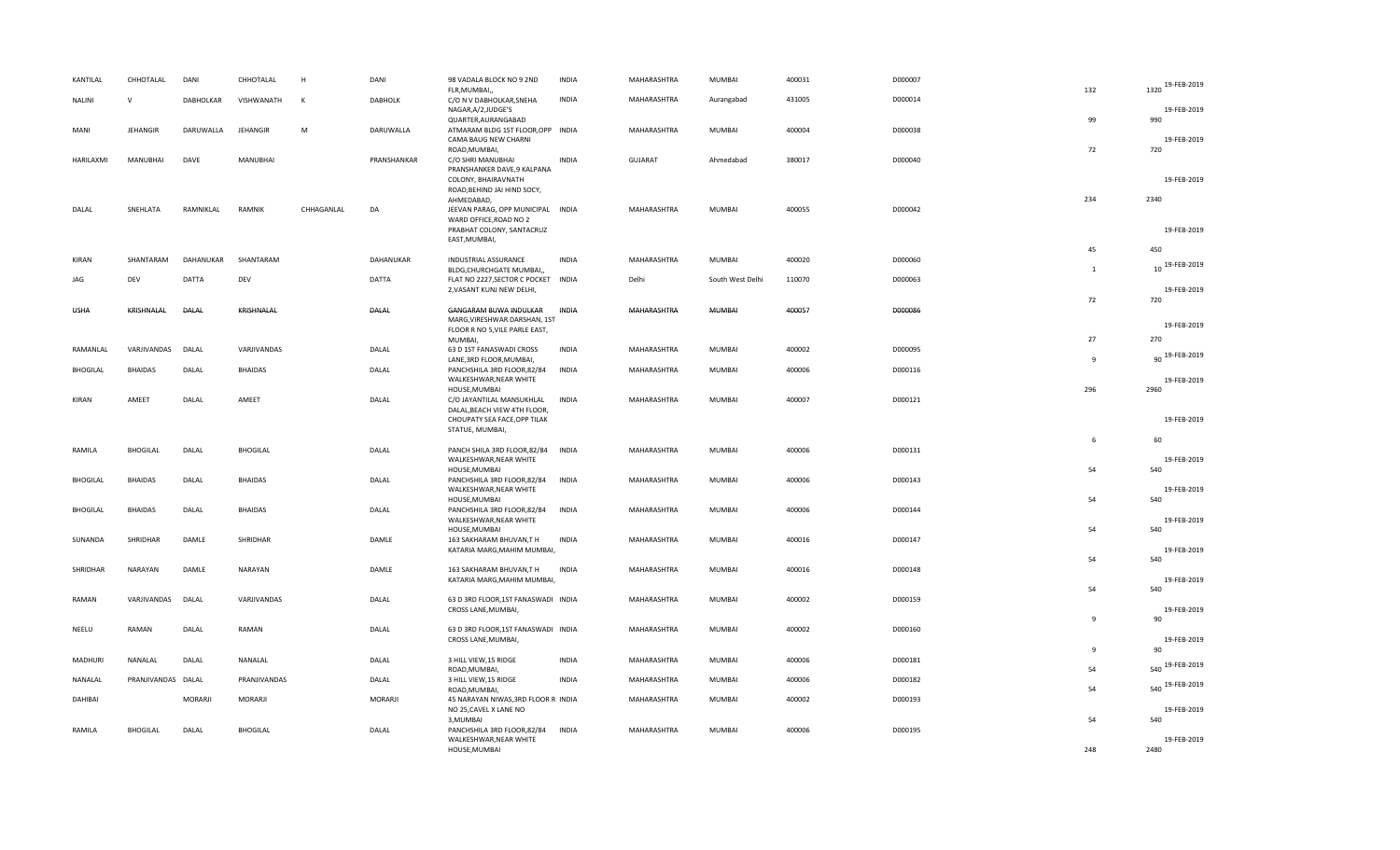| KANTILAL        | CHHOTALAL          | DANI             | CHHOTALAL       | H            | DANI           | 98 VADALA BLOCK NO 9 2ND<br>FLR, MUMBAI,,                                         | <b>INDIA</b> | MAHARASHTRA    | MUMBAI           | 400031 | D000007 | 132            | 1320 19-FEB-2019      |
|-----------------|--------------------|------------------|-----------------|--------------|----------------|-----------------------------------------------------------------------------------|--------------|----------------|------------------|--------|---------|----------------|-----------------------|
| <b>NALINI</b>   | $\mathsf{V}$       | <b>DABHOLKAR</b> | VISHWANATH      | $\mathsf{K}$ | <b>DABHOLK</b> | C/O N V DABHOLKAR, SNEHA<br>NAGAR, A/2, JUDGE'S                                   | <b>INDIA</b> | MAHARASHTRA    | Aurangabad       | 431005 | D000014 |                | 19-FEB-2019           |
| MANI            | <b>JEHANGIR</b>    | DARUWALLA        | <b>JEHANGIR</b> | M            | DARUWALLA      | QUARTER, AURANGABAD<br>ATMARAM BLDG 1ST FLOOR, OPP INDIA<br>CAMA BAUG NEW CHARNI  |              | MAHARASHTRA    | MUMBAI           | 400004 | D000038 | 99             | 990<br>19-FEB-2019    |
| HARILAXMI       | MANUBHAI           | DAVE             | <b>MANUBHAI</b> |              | PRANSHANKAR    | ROAD, MUMBAI,<br>C/O SHRI MANUBHAI                                                | <b>INDIA</b> | <b>GUJARAT</b> | Ahmedabad        | 380017 | D000040 | 72             | 720                   |
|                 |                    |                  |                 |              |                | PRANSHANKER DAVE, 9 KALPANA<br>COLONY, BHAIRAVNATH<br>ROAD, BEHIND JAI HIND SOCY, |              |                |                  |        |         |                | 19-FEB-2019           |
| DALAL           | SNEHLATA           | RAMNIKLAL        | <b>RAMNIK</b>   | CHHAGANLAL   | DA             | AHMEDABAD,<br>JEEVAN PARAG, OPP MUNICIPAL INDIA                                   |              | MAHARASHTRA    | MUMBAI           | 400055 | D000042 | 234            | 2340                  |
|                 |                    |                  |                 |              |                | WARD OFFICE, ROAD NO 2<br>PRABHAT COLONY, SANTACRUZ<br>EAST, MUMBAI,              |              |                |                  |        |         |                | 19-FEB-2019           |
| <b>KIRAN</b>    | SHANTARAM          | DAHANUKAR        | SHANTARAM       |              | DAHANUKAR      | <b>INDUSTRIAL ASSURANCE</b>                                                       | <b>INDIA</b> | MAHARASHTRA    | MUMBAI           | 400020 | D000060 | 45             | 450                   |
| JAG             | DEV                | DATTA            | DEV             |              | <b>DATTA</b>   | BLDG, CHURCHGATE MUMBAI,<br>FLAT NO 2227, SECTOR C POCKET INDIA                   |              | Delhi          | South West Delhi | 110070 | D000063 | $\mathbf{1}$   | 10 19-FEB-2019        |
|                 |                    |                  |                 |              |                | 2, VASANT KUNJ NEW DELHI,                                                         |              |                |                  |        |         | 72             | 19-FEB-2019<br>720    |
| <b>USHA</b>     | KRISHNALAL         | DALAL            | KRISHNALAL      |              | DALAL          | GANGARAM BUWA INDULKAR<br>MARG, VIRESHWAR DARSHAN, 1ST                            | INDIA        | MAHARASHTRA    | MUMBAI           | 400057 | D000086 |                |                       |
|                 |                    |                  |                 |              |                | FLOOR R NO 5, VILE PARLE EAST,                                                    |              |                |                  |        |         | 27             | 19-FEB-2019           |
| RAMANLAL        | VARJIVANDAS        | DALAL            | VARJIVANDAS     |              | DALAL          | MUMBAI,<br>63 D 1ST FANASWADI CROSS                                               | <b>INDIA</b> | MAHARASHTRA    | MUMBAI           | 400002 | D000095 |                | 270<br>90 19-FEB-2019 |
| <b>BHOGILAL</b> | <b>BHAIDAS</b>     | DALAL            | <b>BHAIDAS</b>  |              | DALAL          | LANE, 3RD FLOOR, MUMBAI,<br>PANCHSHILA 3RD FLOOR,82/84<br>WALKESHWAR, NEAR WHITE  | <b>INDIA</b> | MAHARASHTRA    | MUMBAI           | 400006 | D000116 | $\mathbf{q}$   | 19-FEB-2019           |
| KIRAN           | AMEET              | DALAL            | AMEET           |              | DALAL          | HOUSE, MUMBAI<br>C/O JAYANTILAL MANSUKHLAL                                        | <b>INDIA</b> | MAHARASHTRA    | MUMBAI           | 400007 | D000121 | 296            | 2960                  |
|                 |                    |                  |                 |              |                | DALAL, BEACH VIEW 4TH FLOOR,<br>CHOUPATY SEA FACE, OPP TILAK                      |              |                |                  |        |         |                | 19-FEB-2019           |
|                 |                    |                  |                 |              |                | STATUE, MUMBAI,                                                                   |              |                |                  |        |         | 6              | 60                    |
| RAMILA          | <b>BHOGILAL</b>    | DALAL            | <b>BHOGILAL</b> |              | DALAL          | PANCH SHILA 3RD FLOOR, 82/84 INDIA<br>WALKESHWAR, NEAR WHITE<br>HOUSE, MUMBAI     |              | MAHARASHTRA    | MUMBAI           | 400006 | D000131 | 54             | 19-FEB-2019<br>540    |
| <b>BHOGILAL</b> | <b>BHAIDAS</b>     | DALAL            | <b>BHAIDAS</b>  |              | DALAL          | PANCHSHILA 3RD FLOOR,82/84<br>WALKESHWAR, NEAR WHITE<br>HOUSE, MUMBAI             | <b>INDIA</b> | MAHARASHTRA    | MUMBAI           | 400006 | D000143 | 54             | 19-FEB-2019<br>540    |
| <b>BHOGILAL</b> | <b>BHAIDAS</b>     | DALAL            | <b>BHAIDAS</b>  |              | DALAL          | PANCHSHILA 3RD FLOOR,82/84<br>WALKESHWAR, NEAR WHITE                              | <b>INDIA</b> | MAHARASHTRA    | MUMBAI           | 400006 | D000144 |                | 19-FEB-2019           |
| SUNANDA         | SHRIDHAR           | DAMLE            | SHRIDHAR        |              | DAMLE          | HOUSE, MUMBAI<br>163 SAKHARAM BHUVAN,T H                                          | <b>INDIA</b> | MAHARASHTRA    | MUMBAI           | 400016 | D000147 | 54             | 540                   |
|                 |                    |                  |                 |              |                | KATARIA MARG, MAHIM MUMBAI,                                                       |              |                |                  |        |         | 54             | 19-FEB-2019<br>540    |
| SHRIDHAR        | NARAYAN            | DAMLE            | NARAYAN         |              | DAMLE          | 163 SAKHARAM BHUVAN, TH<br>KATARIA MARG, MAHIM MUMBAI,                            | <b>INDIA</b> | MAHARASHTRA    | MUMBAI           | 400016 | D000148 |                | 19-FEB-2019           |
| RAMAN           | VARJIVANDAS        | DALAL            | VARJIVANDAS     |              | DALAL          | 63 D 3RD FLOOR, 1ST FANASWADI INDIA<br>CROSS LANE, MUMBAI,                        |              | MAHARASHTRA    | MUMBAI           | 400002 | D000159 | 54             | 540<br>19-FEB-2019    |
| NEELU           | RAMAN              | DALAL            | RAMAN           |              | DALAL          | 63 D 3RD FLOOR, 1ST FANASWADI INDIA                                               |              | MAHARASHTRA    | MUMBAI           | 400002 | D000160 | $\overline{9}$ | 90                    |
|                 |                    |                  |                 |              |                | CROSS LANE, MUMBAI,                                                               |              |                |                  |        |         | 9              | 19-FEB-2019<br>90     |
| MADHURI         | NANALAL            | DALAL            | NANALAL         |              | DALAL          | 3 HILL VIEW, 15 RIDGE<br>ROAD, MUMBAI,                                            | <b>INDIA</b> | MAHARASHTRA    | MUMBAI           | 400006 | D000181 | 54             | 540 19-FEB-2019       |
| NANALAL         | PRANJIVANDAS DALAL |                  | PRANJIVANDAS    |              | DALAL          | 3 HILL VIEW, 15 RIDGE<br>ROAD, MUMBAI,                                            | <b>INDIA</b> | MAHARASHTRA    | MUMBAI           | 400006 | D000182 | 54             | 540 19-FEB-2019       |
| DAHIBAI         |                    | MORARJI          | <b>MORARJI</b>  |              | MORARJI        | 45 NARAYAN NIWAS, 3RD FLOOR R INDIA<br>NO 25, CAVEL X LANE NO                     |              | MAHARASHTRA    | MUMBAI           | 400002 | D000193 |                | 19-FEB-2019           |
| RAMILA          | <b>BHOGILAL</b>    | DALAL            | <b>BHOGILAL</b> |              | DALAL          | 3, MUMBAI<br>PANCHSHILA 3RD FLOOR,82/84<br>WALKESHWAR, NEAR WHITE                 | <b>INDIA</b> | MAHARASHTRA    | MUMBAI           | 400006 | D000195 | 54             | 540<br>19-FEB-2019    |
|                 |                    |                  |                 |              |                | HOUSE, MUMBAI                                                                     |              |                |                  |        |         | 248            | 2480                  |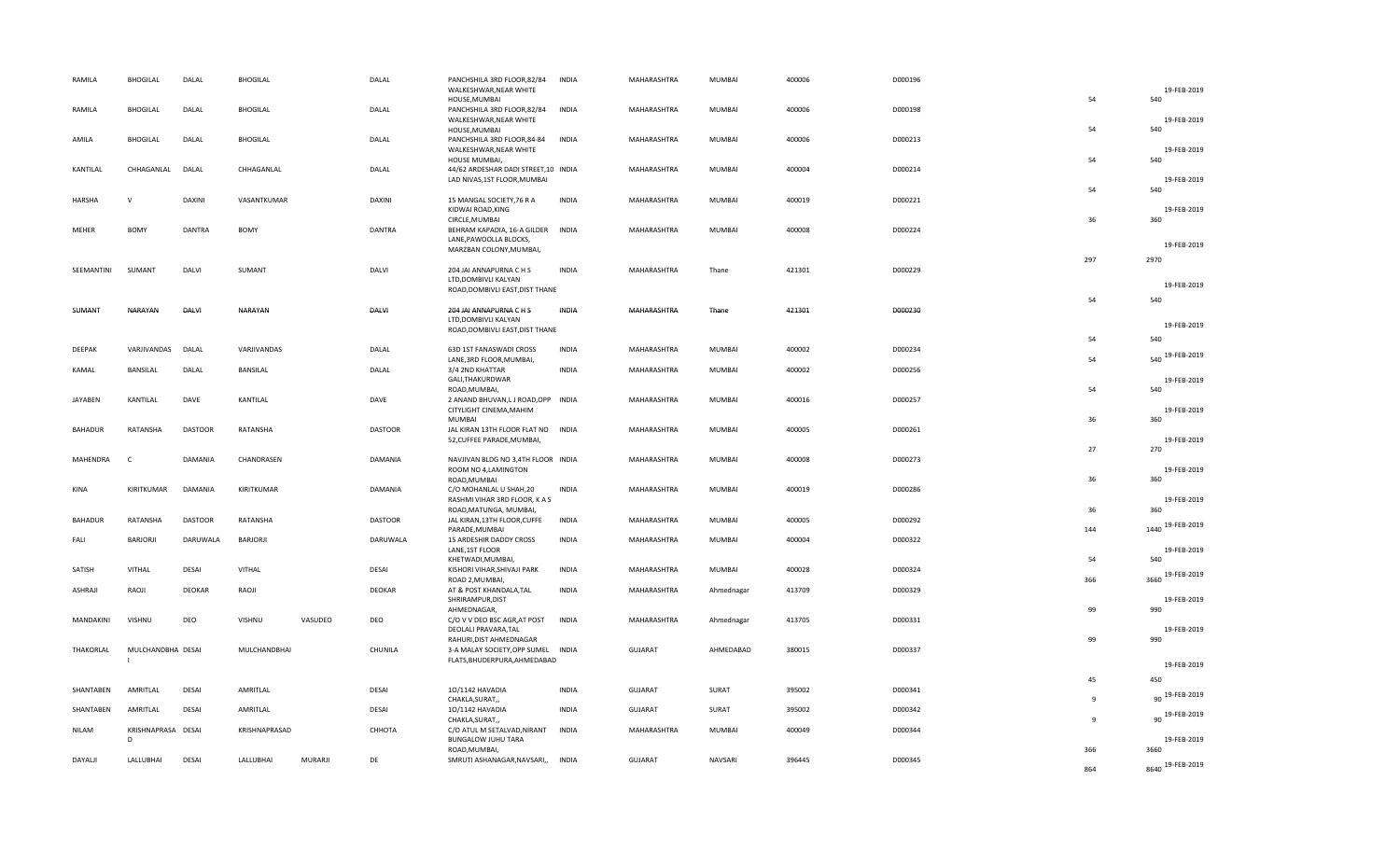| RAMILA         | <b>BHOGILAL</b>    | DALAL          | <b>BHOGILAL</b> |         | DALAL          | PANCHSHILA 3RD FLOOR, 82/84<br>WALKESHWAR, NEAR WHITE   | <b>INDIA</b> | MAHARASHTRA    | <b>MUMBAI</b> | 400006 | D000196 |              | 19-FEB-2019        |
|----------------|--------------------|----------------|-----------------|---------|----------------|---------------------------------------------------------|--------------|----------------|---------------|--------|---------|--------------|--------------------|
|                |                    |                |                 |         |                | HOUSE, MUMBAI                                           |              |                |               |        |         | 54           | 540                |
| RAMILA         | <b>BHOGILAL</b>    | DALAL          | <b>BHOGILAL</b> |         | DALAL          | PANCHSHILA 3RD FLOOR,82/84<br>WALKESHWAR, NEAR WHITE    | <b>INDIA</b> | MAHARASHTRA    | <b>MUMBAI</b> | 400006 | D000198 | 54           | 19-FEB-2019<br>540 |
| AMILA          | <b>BHOGILAL</b>    | DALAL          | <b>BHOGILAL</b> |         | DALAL          | HOUSE, MUMBAI<br>PANCHSHILA 3RD FLOOR, 84-84            | <b>INDIA</b> | MAHARASHTRA    | <b>MUMBAI</b> | 400006 | D000213 |              |                    |
|                |                    |                |                 |         |                | WALKESHWAR, NEAR WHITE                                  |              |                |               |        |         |              | 19-FEB-2019        |
| KANTILAL       | CHHAGANLAL         | DALAL          | CHHAGANLAL      |         | DALAL          | HOUSE MUMBAI,<br>44/62 ARDESHAR DADI STREET,10 INDIA    |              | MAHARASHTRA    | <b>MUMBAI</b> | 400004 | D000214 | 54           | 540                |
|                |                    |                |                 |         |                | LAD NIVAS, 1ST FLOOR, MUMBAI                            |              |                |               |        |         |              | 19-FEB-2019        |
| <b>HARSHA</b>  | $\mathsf{V}$       | DAXINI         | VASANTKUMAR     |         | DAXINI         | 15 MANGAL SOCIETY, 76 R A                               | <b>INDIA</b> | MAHARASHTRA    | MUMBAI        | 400019 | D000221 | 54           | 540                |
|                |                    |                |                 |         |                | KIDWAI ROAD, KING                                       |              |                |               |        |         | 36           | 19-FEB-2019        |
| MEHER          | <b>BOMY</b>        | DANTRA         | BOMY            |         | <b>DANTRA</b>  | CIRCLE, MUMBAI<br>BEHRAM KAPADIA, 16-A GILDER           | INDIA        | MAHARASHTRA    | MUMBAI        | 400008 | D000224 |              | 360                |
|                |                    |                |                 |         |                | LANE, PAWOOLLA BLOCKS,                                  |              |                |               |        |         |              | 19-FEB-2019        |
|                |                    |                |                 |         |                | MARZBAN COLONY, MUMBAI,                                 |              |                |               |        |         | 297          | 2970               |
| SEEMANTINI     | SUMANT             | DALVI          | SUMANT          |         | DALVI          | 204 JAI ANNAPURNA C H S<br>LTD, DOMBIVLI KALYAN         | <b>INDIA</b> | MAHARASHTRA    | Thane         | 421301 | D000229 |              |                    |
|                |                    |                |                 |         |                | ROAD, DOMBIVLI EAST, DIST THANE                         |              |                |               |        |         |              | 19-FEB-2019        |
| SUMANT         | NARAYAN            | <b>DALVI</b>   | NARAYAN         |         | DALVI          | 204 JAI ANNAPURNA C H S                                 | INDIA        | MAHARASHTRA    | Thane         | 421301 | D000230 | 54           | 540                |
|                |                    |                |                 |         |                | LTD, DOMBIVLI KALYAN                                    |              |                |               |        |         |              | 19-FEB-2019        |
|                |                    |                |                 |         |                | ROAD, DOMBIVLI EAST, DIST THANE                         |              |                |               |        |         | 54           | 540                |
| DEEPAK         | VARJIVANDAS        | DALAL          | VARJIVANDAS     |         | DALAL          | 63D 1ST FANASWADI CROSS                                 | <b>INDIA</b> | MAHARASHTRA    | MUMBAI        | 400002 | D000234 |              | 19-FEB-2019        |
| KAMAL          | BANSILAL           | DALAL          | BANSILAL        |         | DALAL          | LANE, 3RD FLOOR, MUMBAI,<br>3/4 2ND KHATTAR             | <b>INDIA</b> | MAHARASHTRA    | MUMBAI        | 400002 | D000256 | 54           | 540                |
|                |                    |                |                 |         |                | GALI, THAKURDWAR                                        |              |                |               |        |         |              | 19-FEB-2019        |
| <b>JAYABEN</b> | KANTILAL           | DAVE           | KANTILAL        |         | DAVE           | ROAD, MUMBAI,<br>2 ANAND BHUVAN, LJ ROAD, OPP INDIA     |              | MAHARASHTRA    | <b>MUMBAI</b> | 400016 | D000257 | 54           | 540                |
|                |                    |                |                 |         |                | CITYLIGHT CINEMA, MAHIM<br><b>MUMBAI</b>                |              |                |               |        |         | 36           | 19-FEB-2019<br>360 |
| BAHADUR        | RATANSHA           | <b>DASTOOR</b> | RATANSHA        |         | <b>DASTOOR</b> | JAL KIRAN 13TH FLOOR FLAT NO INDIA                      |              | MAHARASHTRA    | <b>MUMBAI</b> | 400005 | D000261 |              |                    |
|                |                    |                |                 |         |                | 52, CUFFEE PARADE, MUMBAI,                              |              |                |               |        |         | 27           | 19-FEB-2019<br>270 |
| MAHENDRA       | $\mathsf{C}$       | DAMANIA        | CHANDRASEN      |         | DAMANIA        | NAVJIVAN BLDG NO 3,4TH FLOOR INDIA                      |              | MAHARASHTRA    | MUMBAI        | 400008 | D000273 |              |                    |
|                |                    |                |                 |         |                | ROOM NO 4, LAMINGTON<br>ROAD, MUMBAI                    |              |                |               |        |         | 36           | 19-FEB-2019<br>360 |
| KINA           | KIRITKUMAR         | DAMANIA        | KIRITKUMAR      |         | DAMANIA        | C/O MOHANLAL U SHAH,20                                  | <b>INDIA</b> | MAHARASHTRA    | <b>MUMBAI</b> | 400019 | D000286 |              |                    |
|                |                    |                |                 |         |                | RASHMI VIHAR 3RD FLOOR, K A S<br>ROAD, MATUNGA, MUMBAI, |              |                |               |        |         | 36           | 19-FEB-2019<br>360 |
| BAHADUR        | RATANSHA           | <b>DASTOOR</b> | RATANSHA        |         | <b>DASTOOR</b> | JAL KIRAN, 13TH FLOOR, CUFFE<br>PARADE, MUMBAI          | <b>INDIA</b> | MAHARASHTRA    | <b>MUMBAI</b> | 400005 | D000292 | 144          | 1440 19-FEB-2019   |
| FALL           | BARJORJI           | DARUWALA       | BARJORJI        |         | DARUWALA       | 15 ARDESHIR DADDY CROSS                                 | <b>INDIA</b> | MAHARASHTRA    | <b>MUMBAI</b> | 400004 | D000322 |              |                    |
|                |                    |                |                 |         |                | LANE, 1ST FLOOR<br>KHETWADI, MUMBAI,                    |              |                |               |        |         | 54           | 19-FEB-2019<br>540 |
| SATISH         | VITHAL             | DESAI          | VITHAL          |         | DESAI          | KISHORI VIHAR, SHIVAJI PARK                             | <b>INDIA</b> | MAHARASHTRA    | MUMBAI        | 400028 | D000324 |              | 3660 19-FEB-2019   |
| ASHRAJI        | RAOJI              | DEOKAR         | RAOJI           |         | DEOKAR         | ROAD 2, MUMBAI,<br>AT & POST KHANDALA, TAL              | <b>INDIA</b> | MAHARASHTRA    | Ahmednagar    | 413709 | D000329 | 366          |                    |
|                |                    |                |                 |         |                | SHRIRAMPUR, DIST                                        |              |                |               |        |         |              | 19-FEB-2019        |
| MANDAKINI      | VISHNU             | DEO            | <b>VISHNU</b>   | VASUDEO | DEO            | AHMEDNAGAR,<br>C/O V V DEO BSC AGR, AT POST             | <b>INDIA</b> | MAHARASHTRA    | Ahmednagar    | 413705 | D000331 | 99           | 990                |
|                |                    |                |                 |         |                | DEOLALI PRAVARA, TAL                                    |              |                |               |        |         |              | 19-FEB-2019        |
| THAKORLAL      | MULCHANDBHA DESAI  |                | MULCHANDBHAI    |         | CHUNILA        | RAHURI, DIST AHMEDNAGAR<br>3-A MALAY SOCIETY, OPP SUMEL | <b>INDIA</b> | GUJARAT        | AHMEDABAD     | 380015 | D000337 | 99           | 990                |
|                |                    |                |                 |         |                | FLATS, BHUDERPURA, AHMEDABAD                            |              |                |               |        |         |              | 19-FEB-2019        |
|                |                    |                |                 |         |                |                                                         |              |                |               |        |         | 45           | 450                |
| SHANTABEN      | AMRITLAL           | <b>DESAI</b>   | AMRITLAL        |         | DESAI          | 10/1142 HAVADIA<br>CHAKLA, SURAT,,                      | <b>INDIA</b> | GUJARAT        | SURAT         | 395002 | D000341 | 9            | 90 19-FEB-2019     |
| SHANTABEN      | AMRITLAL           | DESAI          | AMRITLAL        |         | DESAI          | 10/1142 HAVADIA                                         | <b>INDIA</b> | <b>GUJARAT</b> | SURAT         | 395002 | D000342 |              | 90 19-FEB-2019     |
| NILAM          | KRISHNAPRASA DESAI |                | KRISHNAPRASAD   |         | СННОТА         | CHAKLA, SURAT,,<br>C/O ATUL M SETALVAD, NIRANT          | <b>INDIA</b> | MAHARASHTRA    | MUMBAI        | 400049 | D000344 | $\mathbf{q}$ |                    |
|                | D                  |                |                 |         |                | <b>BUNGALOW JUHU TARA</b>                               |              |                |               |        |         |              | 19-FEB-2019        |
| DAYALJI        | LALLUBHAI          | <b>DESAI</b>   | LALLUBHAI       | MURARJI | DE             | ROAD, MUMBAI,<br>SMRUTI ASHANAGAR, NAVSARI,,            | <b>INDIA</b> | <b>GUJARAT</b> | NAVSARI       | 396445 | D000345 | 366          | 3660               |
|                |                    |                |                 |         |                |                                                         |              |                |               |        |         | 864          | 8640 19-FEB-2019   |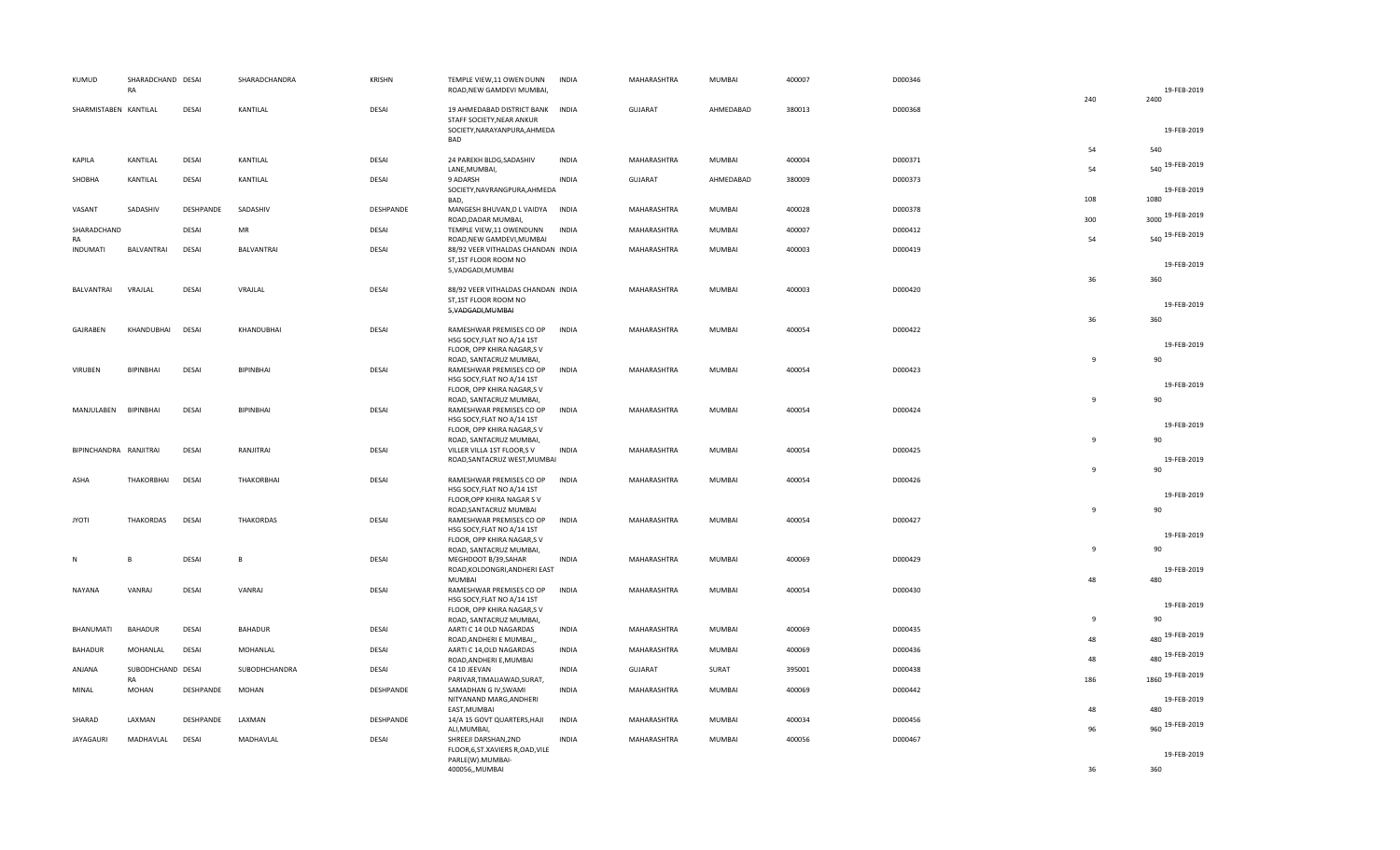| KUMUD                  | SHARADCHAND DESAI<br>RA |              | SHARADCHANDRA     | <b>KRISHN</b> | TEMPLE VIEW, 11 OWEN DUNN<br>ROAD, NEW GAMDEVI MUMBAI,                                                              | <b>INDIA</b> | MAHARASHTRA    | MUMBAI        | 400007 | D000346 |                | 19-FEB-2019           |
|------------------------|-------------------------|--------------|-------------------|---------------|---------------------------------------------------------------------------------------------------------------------|--------------|----------------|---------------|--------|---------|----------------|-----------------------|
| SHARMISTABEN KANTILAL  |                         | DESAI        | KANTILAL          | DESAI         | 19 AHMEDABAD DISTRICT BANK INDIA<br>STAFF SOCIETY, NEAR ANKUR                                                       |              | <b>GUJARAT</b> | AHMEDABAD     | 380013 | D000368 | 240            | 2400                  |
|                        |                         |              |                   |               | SOCIETY, NARAYANPURA, AHMEDA<br>BAD                                                                                 |              |                |               |        |         | 54             | 19-FEB-2019<br>540    |
| KAPILA                 | KANTILAL                | DESAI        | KANTILAL          | DESAI         | 24 PAREKH BLDG, SADASHIV<br>LANE, MUMBAI,                                                                           | <b>INDIA</b> | MAHARASHTRA    | MUMBAI        | 400004 | D000371 | 54             | 540 19-FEB-2019       |
| SHOBHA                 | KANTILAL                | DESAI        | KANTILAL          | DESAI         | 9 ADARSH<br>SOCIETY, NAVRANGPURA, AHMEDA<br>BAD,                                                                    | <b>INDIA</b> | <b>GUJARAT</b> | AHMEDABAD     | 380009 | D000373 | 108            | 19-FEB-2019<br>1080   |
| VASANT                 | SADASHIV                | DESHPANDE    | SADASHIV          | DESHPANDE     | MANGESH BHUVAN, D L VAIDYA INDIA<br>ROAD, DADAR MUMBAI,                                                             |              | MAHARASHTRA    | MUMBAI        | 400028 | D000378 | 300            | 3000 19-FEB-2019      |
| SHARADCHAND<br>RA      |                         | DESAI        | MR                | DESAI         | TEMPLE VIEW,11 OWENDUNN<br>ROAD, NEW GAMDEVI, MUMBAI                                                                | <b>INDIA</b> | MAHARASHTRA    | MUMBAI        | 400007 | D000412 | 54             | 540 19-FEB-2019       |
| <b>INDUMATI</b>        | <b>BALVANTRAI</b>       | DESAI        | BALVANTRAI        | DESAI         | 88/92 VEER VITHALDAS CHANDAN INDIA<br>ST,1ST FLOOR ROOM NO<br>5, VADGADI, MUMBAI                                    |              | MAHARASHTRA    | <b>MUMBAI</b> | 400003 | D000419 |                | 19-FEB-2019           |
| BALVANTRAI             | VRAJLAI                 | DESAI        | VRAJLAL           | DESAI         | 88/92 VEER VITHALDAS CHANDAN INDIA<br>ST,1ST FLOOR ROOM NO                                                          |              | MAHARASHTRA    | MUMBAI        | 400003 | D000420 | 36             | 360                   |
|                        |                         |              |                   |               | 5, VADGADI, MUMBAI                                                                                                  |              |                |               |        |         | 36             | 19-FEB-2019<br>360    |
| GAJRABEN               | KHANDUBHAI              | <b>DESAI</b> | KHANDUBHAI        | DESAI         | RAMESHWAR PREMISES CO OP<br>HSG SOCY, FLAT NO A/14 1ST<br>FLOOR, OPP KHIRA NAGAR,S V                                | INDIA        | MAHARASHTRA    | MUMBAI        | 400054 | D000422 |                | 19-FEB-2019           |
| <b>VIRUBEN</b>         | BIPINBHAI               | DESAI        | BIPINBHAI         | DESAI         | ROAD, SANTACRUZ MUMBAI,<br>RAMESHWAR PREMISES CO OP<br>HSG SOCY, FLAT NO A/14 1ST<br>FLOOR, OPP KHIRA NAGAR,S V     | <b>INDIA</b> | MAHARASHTRA    | MUMBAI        | 400054 | D000423 | 9              | 90<br>19-FEB-2019     |
| MANJULABEN             | BIPINBHAI               | DESAI        | BIPINBHAI         | DESAI         | ROAD, SANTACRUZ MUMBAI,<br>RAMESHWAR PREMISES CO OP<br>HSG SOCY, FLAT NO A/14 1ST                                   | <b>INDIA</b> | MAHARASHTRA    | MUMBAI        | 400054 | D000424 | 9              | 90<br>19-FEB-2019     |
| BIPINCHANDRA RANJITRAI |                         | DESAI        | RANJITRAI         | DESAI         | FLOOR, OPP KHIRA NAGAR,S V<br>ROAD, SANTACRUZ MUMBAI,<br>VILLER VILLA 1ST FLOOR,S V<br>ROAD, SANTACRUZ WEST, MUMBAI | <b>INDIA</b> | MAHARASHTRA    | MUMBAI        | 400054 | D000425 | 9              | 90<br>19-FEB-2019     |
| ASHA                   | THAKORBHAI              | DESAI        | <b>THAKORBHAI</b> | DESAI         | RAMESHWAR PREMISES CO OP<br>HSG SOCY, FLAT NO A/14 1ST<br>FLOOR, OPP KHIRA NAGAR SV                                 | INDIA        | MAHARASHTRA    | MUMBAI        | 400054 | D000426 | $\overline{9}$ | 90<br>19-FEB-2019     |
| <b>JYOTI</b>           | <b>THAKORDAS</b>        | DESAI        | <b>THAKORDAS</b>  | DESAI         | ROAD, SANTACRUZ MUMBAI<br>RAMESHWAR PREMISES CO OP<br>HSG SOCY, FLAT NO A/14 1ST<br>FLOOR, OPP KHIRA NAGAR,S V      | <b>INDIA</b> | MAHARASHTRA    | MUMBAI        | 400054 | D000427 | 9              | 90<br>19-FEB-2019     |
| N                      | B                       | DESAI        | $\sf{B}$          | DESAI         | ROAD, SANTACRUZ MUMBAI,<br>MEGHDOOT B/39, SAHAR<br>ROAD, KOLDONGRI, ANDHERI EAST                                    | <b>INDIA</b> | MAHARASHTRA    | MUMBAI        | 400069 | D000429 | 9              | 90<br>19-FEB-2019     |
| <b>NAYANA</b>          | VANRAJ                  | DESAI        | VANRAJ            | DESAI         | MUMBAI<br>RAMESHWAR PREMISES CO OP<br>HSG SOCY, FLAT NO A/14 1ST<br>FLOOR, OPP KHIRA NAGAR,S V                      | <b>INDIA</b> | MAHARASHTRA    | MUMBAI        | 400054 | D000430 | 48             | 480<br>19-FEB-2019    |
| BHANUMATI              | <b>BAHADUR</b>          | DESAI        | BAHADUR           | DESAI         | ROAD, SANTACRUZ MUMBAI,<br>AARTI C 14 OLD NAGARDAS<br>ROAD, ANDHERI E MUMBAI,,                                      | <b>INDIA</b> | MAHARASHTRA    | MUMBAI        | 400069 | D000435 | 9<br>48        | ٩n<br>480 19-FEB-2019 |
| <b>BAHADUR</b>         | MOHANLAL                | <b>DESAI</b> | MOHANLAL          | DESAI         | AARTI C 14, OLD NAGARDAS<br>ROAD, ANDHERI E, MUMBAI                                                                 | <b>INDIA</b> | MAHARASHTRA    | <b>MUMBAI</b> | 400069 | D000436 | 48             | 480 19-FEB-2019       |
| ANJANA                 | SUBODHCHAND DESAI<br>RA |              | SUBODHCHANDRA     | DESAI         | C4 10 JEEVAN<br>PARIVAR, TIMALIAWAD, SURAT,                                                                         | <b>INDIA</b> | <b>GUJARAT</b> | SURAT         | 395001 | D000438 | 186            | 1860 19-FEB-2019      |
| MINAL                  | MOHAN                   | DESHPANDE    | MOHAN             | DESHPANDE     | SAMADHAN G IV, SWAMI<br>NITYANAND MARG, ANDHERI<br>EAST, MUMBAI                                                     | <b>INDIA</b> | MAHARASHTRA    | MUMBAI        | 400069 | D000442 | 48             | 19-FEB-2019<br>480    |
| SHARAD                 | LAXMAN                  | DESHPANDE    | LAXMAN            | DESHPANDE     | 14/A 15 GOVT QUARTERS, HAJI<br>ALI, MUMBAI,                                                                         | <b>INDIA</b> | MAHARASHTRA    | MUMBAI        | 400034 | D000456 | 96             | 960 19-FEB-2019       |
| <b>JAYAGAURI</b>       | MADHAVLAL               | <b>DESAI</b> | MADHAVLAL         | <b>DESAI</b>  | SHREEJI DARSHAN, 2ND<br>FLOOR, 6, ST. XAVIERS R, OAD, VILE<br>PARLE(W).MUMBAI-                                      | <b>INDIA</b> | MAHARASHTRA    | MUMBAI        | 400056 | D000467 |                | 19-FEB-2019           |
|                        |                         |              |                   |               | 400056,,MUMBAI                                                                                                      |              |                |               |        |         | 36             | 360                   |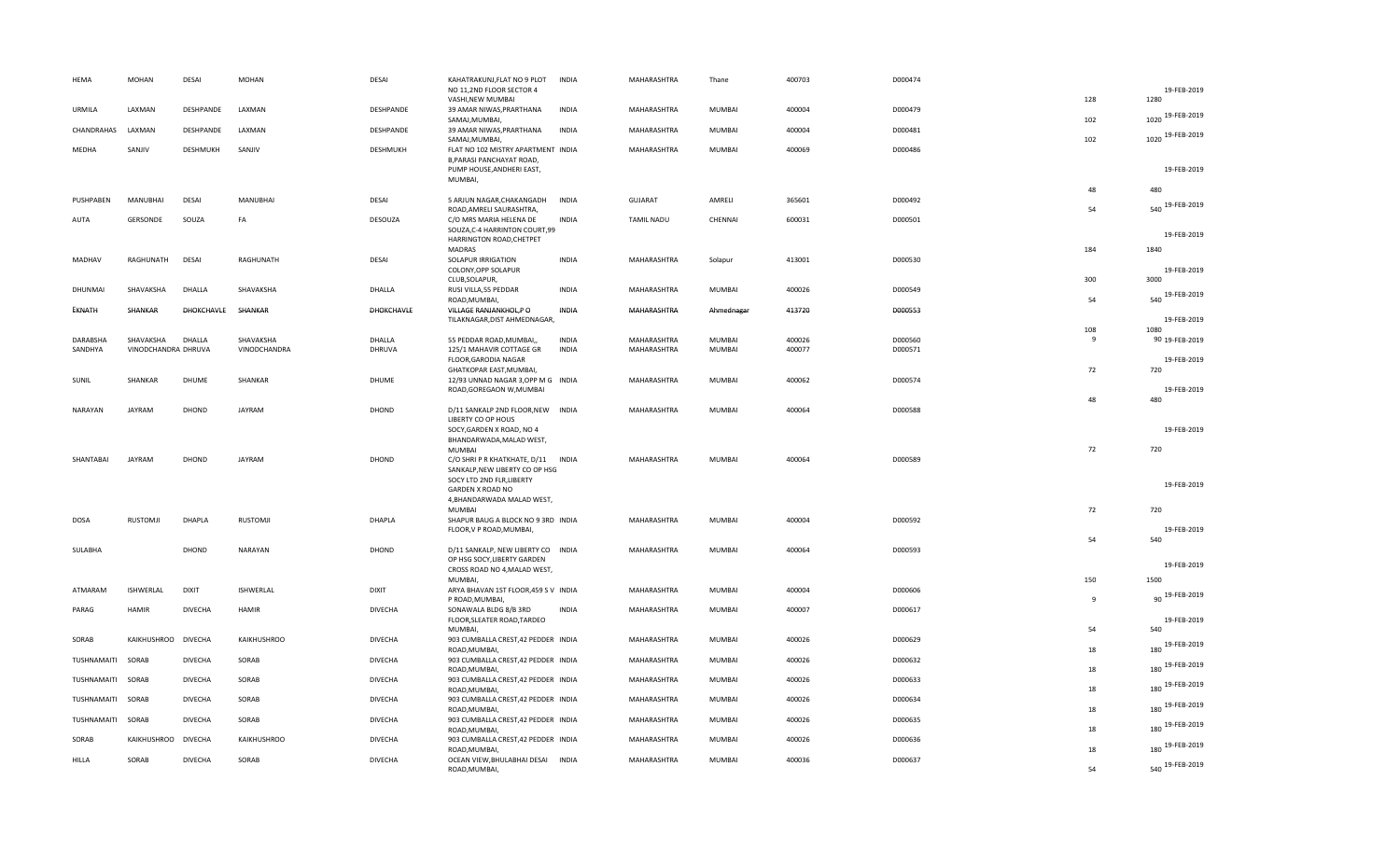| HEMA         | MOHAN               | DESAI          | <b>MOHAN</b> | <b>DESAI</b>   | KAHATRAKUNJ, FLAT NO 9 PLOT<br>NO 11,2ND FLOOR SECTOR 4                                           | <b>INDIA</b> | MAHARASHTRA       | Thane         | 400703 | D000474 |                     | 19-FEB-2019              |
|--------------|---------------------|----------------|--------------|----------------|---------------------------------------------------------------------------------------------------|--------------|-------------------|---------------|--------|---------|---------------------|--------------------------|
| URMILA       | LAXMAN              | DESHPANDE      | LAXMAN       | DESHPANDE      | VASHI, NEW MUMBAI<br>39 AMAR NIWAS, PRARTHANA<br>SAMAJ, MUMBAI,                                   | <b>INDIA</b> | MAHARASHTRA       | <b>MUMBAI</b> | 400004 | D000479 | 128<br>102          | 1280<br>1020 19-FEB-2019 |
| CHANDRAHAS   | LAXMAN              | DESHPANDE      | LAXMAN       | DESHPANDE      | 39 AMAR NIWAS, PRARTHANA<br>SAMAJ, MUMBAI,                                                        | <b>INDIA</b> | MAHARASHTRA       | <b>MUMBAI</b> | 400004 | D000481 | 102                 | 1020 19-FEB-2019         |
| MEDHA        | SANJIV              | DESHMUKH       | SANJIV       | DESHMUKH       | FLAT NO 102 MISTRY APARTMENT INDIA<br>B, PARASI PANCHAYAT ROAD,                                   |              | MAHARASHTRA       | <b>MUMBAI</b> | 400069 | D000486 |                     |                          |
|              |                     |                |              |                | PUMP HOUSE, ANDHERI EAST,<br>MUMBAI,                                                              |              |                   |               |        |         |                     | 19-FEB-2019              |
| PUSHPABEN    | MANUBHAI            | DESAI          | MANUBHAI     | DESAI          | 5 ARJUN NAGAR, CHAKANGADH<br>ROAD, AMRELI SAURASHTRA,                                             | <b>INDIA</b> | GUJARAT           | AMRELI        | 365601 | D000492 | 48<br>54            | 480<br>540 19-FEB-2019   |
| AUTA         | GERSONDE            | SOUZA          | FA           | DESOUZA        | C/O MRS MARIA HELENA DE<br>SOUZA, C-4 HARRINTON COURT, 99                                         | <b>INDIA</b> | <b>TAMIL NADU</b> | CHENNAI       | 600031 | D000501 |                     | 19-FEB-2019              |
|              |                     |                |              |                | HARRINGTON ROAD, CHETPET<br><b>MADRAS</b>                                                         |              |                   |               |        |         | 184                 | 1840                     |
| MADHAV       | RAGHUNATH           | <b>DESAI</b>   | RAGHUNATH    | DESAI          | SOLAPUR IRRIGATION<br>COLONY, OPP SOLAPUR                                                         | <b>INDIA</b> | MAHARASHTRA       | Solapur       | 413001 | D000530 | 300                 | 19-FEB-2019<br>3000      |
| DHUNMAI      | SHAVAKSHA           | DHALLA         | SHAVAKSHA    | DHALLA         | CLUB, SOLAPUR,<br>RUSI VILLA, 55 PEDDAR<br>ROAD, MUMBAI,                                          | <b>INDIA</b> | MAHARASHTRA       | <b>MUMBAI</b> | 400026 | D000549 | 54                  | 540 19-FEB-2019          |
| EKNATH       | SHANKAR             | DHOKCHAVLE     | SHANKAR      | DHOKCHAVLE     | VILLAGE RANJANKHOL,P O<br>TILAKNAGAR, DIST AHMEDNAGAR,                                            | INDIA        | MAHARASHTRA       | Ahmednagar    | 413720 | D000553 |                     | 19-FEB-2019              |
|              |                     |                |              |                |                                                                                                   |              |                   |               |        |         | 108                 | 1080                     |
| DARABSHA     | SHAVAKSHA           | DHALLA         | SHAVAKSHA    | DHALLA         | 55 PEDDAR ROAD, MUMBAI,,                                                                          | <b>INDIA</b> | MAHARASHTRA       | <b>MUMBAI</b> | 400026 | D000560 | 9                   | 90 19-FEB-2019           |
| SANDHYA      | VINODCHANDRA DHRUVA |                | VINODCHANDRA | DHRUVA         | 125/1 MAHAVIR COTTAGE GR<br>FLOOR, GARODIA NAGAR<br>GHATKOPAR EAST, MUMBAI,                       | <b>INDIA</b> | MAHARASHTRA       | MUMBAI        | 400077 | D000571 | 72                  | 19-FEB-2019<br>720       |
| SUNIL        | SHANKAR             | DHUME          | SHANKAR      | <b>DHUME</b>   | 12/93 UNNAD NAGAR 3, OPP M G INDIA<br>ROAD, GOREGAON W, MUMBAI                                    |              | MAHARASHTRA       | MUMBAI        | 400062 | D000574 |                     | 19-FEB-2019              |
| NARAYAN      | <b>JAYRAM</b>       | DHOND          | JAYRAM       | DHOND          | D/11 SANKALP 2ND FLOOR, NEW INDIA<br>LIBERTY CO OP HOUS                                           |              | MAHARASHTRA       | MUMBAI        | 400064 | D000588 | 48                  | 480                      |
|              |                     |                |              |                | SOCY, GARDEN X ROAD, NO 4<br>BHANDARWADA, MALAD WEST,                                             |              |                   |               |        |         |                     | 19-FEB-2019              |
|              |                     |                |              |                | MUMBAI                                                                                            |              |                   |               |        |         | 72                  | 720                      |
| SHANTABAI    | <b>JAYRAM</b>       | DHOND          | JAYRAM       | DHOND          | C/O SHRI P R KHATKHATE, D/11 INDIA<br>SANKALP, NEW LIBERTY CO OP HSG<br>SOCY LTD 2ND FLR, LIBERTY |              | MAHARASHTRA       | MUMBAI        | 400064 | D000589 |                     | 19-FEB-2019              |
|              |                     |                |              |                | GARDEN X ROAD NO<br>4, BHANDARWADA MALAD WEST,<br><b>MUMBAI</b>                                   |              |                   |               |        |         | 72                  | 720                      |
| <b>DOSA</b>  | RUSTOMJI            | DHAPLA         | RUSTOMJI     | DHAPLA         | SHAPUR BAUG A BLOCK NO 9 3RD INDIA<br>FLOOR, V P ROAD, MUMBAI,                                    |              | MAHARASHTRA       | <b>MUMBAI</b> | 400004 | D000592 |                     | 19-FEB-2019              |
| SULABHA      |                     | DHOND          | NARAYAN      | DHOND          | D/11 SANKALP, NEW LIBERTY CO INDIA                                                                |              | MAHARASHTRA       | <b>MUMBAI</b> | 400064 | D000593 | 54                  | 540                      |
|              |                     |                |              |                | OP HSG SOCY, LIBERTY GARDEN<br>CROSS ROAD NO 4, MALAD WEST,                                       |              |                   |               |        |         |                     | 19-FEB-2019              |
| ATMARAM      | ISHWERLAL           | <b>DIXIT</b>   | ISHWERLAL    | <b>DIXIT</b>   | MUMBAI,<br>ARYA BHAVAN 1ST FLOOR, 459 S V INDIA<br>P ROAD, MUMBAI,                                |              | MAHARASHTRA       | MUMBAI        | 400004 | D000606 | 150<br>$\mathbf{q}$ | 1500<br>90 19-FEB-2019   |
| PARAG        | <b>HAMIR</b>        | DIVECHA        | HAMIR        | <b>DIVECHA</b> | SONAWALA BLDG 8/B 3RD<br>FLOOR, SLEATER ROAD, TARDEO                                              | <b>INDIA</b> | MAHARASHTRA       | MUMBAI        | 400007 | D000617 |                     | 19-FEB-2019              |
| SORAB        | KAIKHUSHROO DIVECHA |                | KAIKHUSHROO  | <b>DIVECHA</b> | MUMBAI,<br>903 CUMBALLA CREST, 42 PEDDER INDIA                                                    |              | MAHARASHTRA       | <b>MUMBAI</b> | 400026 | D000629 | 54                  | 540<br>180 19-FEB-2019   |
| TUSHNAMAITI  | SORAB               | <b>DIVECHA</b> | SORAB        | <b>DIVECHA</b> | ROAD, MUMBAI,<br>903 CUMBALLA CREST, 42 PEDDER INDIA<br>ROAD, MUMBAI,                             |              | MAHARASHTRA       | <b>MUMBAI</b> | 400026 | D000632 | 18<br>18            | 180 19-FEB-2019          |
| TUSHNAMAITI  | SORAB               | <b>DIVECHA</b> | SORAB        | DIVECHA        | 903 CUMBALLA CREST, 42 PEDDER INDIA<br>ROAD, MUMBAI,                                              |              | MAHARASHTRA       | MUMBAI        | 400026 | D000633 | 18                  | 180 19-FEB-2019          |
| TUSHNAMAITI  | SORAB               | <b>DIVECHA</b> | SORAB        | DIVECHA        | 903 CUMBALLA CREST, 42 PEDDER INDIA<br>ROAD, MUMBAI,                                              |              | MAHARASHTRA       | <b>MUMBAI</b> | 400026 | D000634 | 18                  | 180 19-FEB-2019          |
| TUSHNAMAITI  | SORAB               | <b>DIVECHA</b> | SORAB        | <b>DIVECHA</b> | 903 CUMBALLA CREST, 42 PEDDER INDIA<br>ROAD, MUMBAI,                                              |              | MAHARASHTRA       | MUMBAI        | 400026 | D000635 | 18                  | 180 19-FEB-2019          |
| SORAB        | KAIKHUSHROO DIVECHA |                | KAIKHUSHROO  | <b>DIVECHA</b> | 903 CUMBALLA CREST, 42 PEDDER INDIA<br>ROAD, MUMBAI,                                              |              | MAHARASHTRA       | <b>MUMBAI</b> | 400026 | D000636 | 18                  | 180 19-FEB-2019          |
| <b>HILLA</b> | SORAB               | <b>DIVECHA</b> | SORAB        | <b>DIVECHA</b> | OCEAN VIEW, BHULABHAI DESAI INDIA<br>ROAD, MUMBAI,                                                |              | MAHARASHTRA       | MUMBAI        | 400036 | D000637 | 54                  | 540 19-FEB-2019          |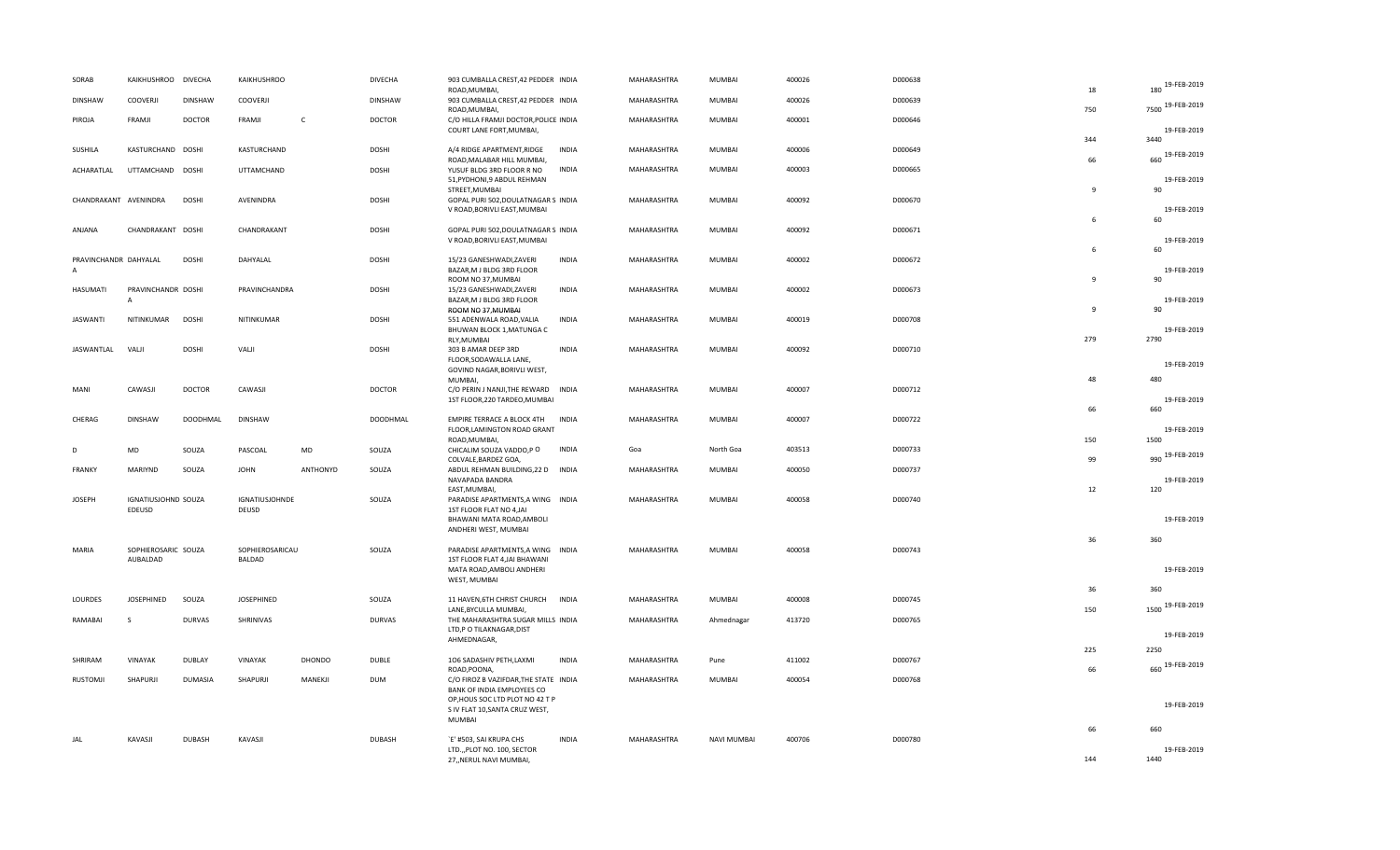| SORAB                                   | KAIKHUSHROO DIVECHA                  |                 | KAIKHUSHROO             |               | <b>DIVECHA</b>  | 903 CUMBALLA CREST, 42 PEDDER INDIA<br>ROAD, MUMBAI,                |              | MAHARASHTRA | MUMBAI             | 400026 | D000638 | 18             | 180 19-FEB-2019     |
|-----------------------------------------|--------------------------------------|-----------------|-------------------------|---------------|-----------------|---------------------------------------------------------------------|--------------|-------------|--------------------|--------|---------|----------------|---------------------|
| <b>DINSHAW</b>                          | <b>COOVERJI</b>                      | <b>DINSHAW</b>  | COOVERJI                |               | <b>DINSHAW</b>  | 903 CUMBALLA CREST, 42 PEDDER INDIA<br>ROAD, MUMBAI,                |              | MAHARASHTRA | MUMBAI             | 400026 | D000639 | 750            | 7500 19-FEB-2019    |
| PIROJA                                  | FRAMJI                               | <b>DOCTOR</b>   | FRAMJI                  | $\mathsf{C}$  | <b>DOCTOR</b>   | C/O HILLA FRAMJI DOCTOR, POLICE INDIA<br>COURT LANE FORT, MUMBAI,   |              | MAHARASHTRA | MUMBAI             | 400001 | D000646 |                | 19-FEB-2019         |
| SUSHILA                                 | KASTURCHAND DOSHI                    |                 | KASTURCHAND             |               | <b>DOSHI</b>    | A/4 RIDGE APARTMENT, RIDGE                                          | <b>INDIA</b> | MAHARASHTRA | MUMBAI             | 400006 | D000649 | 344            | 3440                |
| ACHARATLAL                              | UTTAMCHAND DOSHI                     |                 | <b>UTTAMCHAND</b>       |               | <b>DOSHI</b>    | ROAD, MALABAR HILL MUMBAI,<br>YUSUF BLDG 3RD FLOOR R NO             | <b>INDIA</b> | MAHARASHTRA | MUMBAI             | 400003 | D000665 | 66             | 660 19-FEB-2019     |
|                                         |                                      |                 |                         |               |                 | 51, PYDHONI, 9 ABDUL REHMAN<br>STREET, MUMBAI                       |              |             |                    |        |         | $\mathbf{q}$   | 19-FEB-2019<br>90   |
| CHANDRAKANT AVENINDRA                   |                                      | <b>DOSHI</b>    | AVENINDRA               |               | <b>DOSHI</b>    | GOPAL PURI 502, DOULATNAGAR S INDIA<br>V ROAD, BORIVLI EAST, MUMBAI |              | MAHARASHTRA | MUMBAI             | 400092 | D000670 |                | 19-FEB-2019         |
| ANJANA                                  | CHANDRAKANT DOSHI                    |                 | CHANDRAKANT             |               | DOSHI           | GOPAL PURI 502, DOULATNAGAR S INDIA                                 |              | MAHARASHTRA | MUMBAI             | 400092 | D000671 | 6              | 60                  |
|                                         |                                      |                 |                         |               |                 | V ROAD, BORIVLI EAST, MUMBAI                                        |              |             |                    |        |         | 6              | 19-FEB-2019<br>60   |
| PRAVINCHANDR DAHYALAL<br>$\overline{A}$ |                                      | <b>DOSHI</b>    | DAHYALAL                |               | <b>DOSHI</b>    | 15/23 GANESHWADI, ZAVERI<br>BAZAR, M J BLDG 3RD FLOOR               | <b>INDIA</b> | MAHARASHTRA | MUMBAI             | 400002 | D000672 |                | 19-FEB-2019         |
| <b>HASUMATI</b>                         | PRAVINCHANDR DOSHI                   |                 | PRAVINCHANDRA           |               | <b>DOSHI</b>    | ROOM NO 37, MUMBAI<br>15/23 GANESHWADI, ZAVERI                      | <b>INDIA</b> | MAHARASHTRA | MUMBAI             | 400002 | D000673 | $\mathbf{q}$   | 90                  |
|                                         | $\overline{A}$                       |                 |                         |               |                 | BAZAR, M J BLDG 3RD FLOOR<br>ROOM NO 37, MUMBAI                     |              |             |                    |        |         | $\overline{9}$ | 19-FEB-2019<br>90   |
| <b>JASWANTI</b>                         | NITINKUMAR                           | <b>DOSHI</b>    | NITINKUMAR              |               | <b>DOSHI</b>    | 551 ADENWALA ROAD, VALIA<br>BHUWAN BLOCK 1, MATUNGA C               | <b>INDIA</b> | MAHARASHTRA | MUMBAI             | 400019 | D000708 |                | 19-FEB-2019         |
| JASWANTLAL                              | VALJI                                | <b>DOSHI</b>    | VALJI                   |               | <b>DOSHI</b>    | RLY, MUMBAI<br>303 B AMAR DEEP 3RD                                  | <b>INDIA</b> | MAHARASHTRA | MUMBAI             | 400092 | D000710 | 279            | 2790                |
|                                         |                                      |                 |                         |               |                 | FLOOR, SODAWALLA LANE,<br>GOVIND NAGAR, BORIVLI WEST,               |              |             |                    |        |         |                | 19-FEB-2019         |
| MANI                                    | CAWASJI                              | <b>DOCTOR</b>   | CAWASJI                 |               | <b>DOCTOR</b>   | MUMBAI,<br>C/O PERIN J NANJI, THE REWARD INDIA                      |              | MAHARASHTRA | MUMBAI             | 400007 | D000712 | 48             | 480                 |
|                                         |                                      |                 |                         |               |                 | 1ST FLOOR, 220 TARDEO, MUMBAI                                       |              |             |                    |        |         | 66             | 19-FEB-2019<br>660  |
| CHERAG                                  | <b>DINSHAW</b>                       | <b>DOODHMAL</b> | <b>DINSHAW</b>          |               | <b>DOODHMAL</b> | EMPIRE TERRACE A BLOCK 4TH<br>FLOOR, LAMINGTON ROAD GRANT           | <b>INDIA</b> | MAHARASHTRA | <b>MUMBAI</b>      | 400007 | D000722 |                | 19-FEB-2019         |
| D                                       | MD                                   | SOUZA           | PASCOAL                 | MD            | SOUZA           | ROAD, MUMBAI,<br>CHICALIM SOUZA VADDO,P O                           | <b>INDIA</b> | Goa         | North Goa          | 403513 | D000733 | 150            | 1500                |
| FRANKY                                  | MARIYND                              | SOUZA           | <b>JOHN</b>             | ANTHONYD      | SOUZA           | COLVALE, BARDEZ GOA,<br>ABDUL REHMAN BUILDING, 22 D INDIA           |              | MAHARASHTRA | MUMBAI             | 400050 | D000737 | 99             | 990 19-FEB-2019     |
|                                         |                                      |                 |                         |               |                 | NAVAPADA BANDRA<br>EAST, MUMBAI,                                    |              |             |                    |        |         | 12             | 19-FEB-2019<br>120  |
| <b>JOSEPH</b>                           | <b>IGNATIUSJOHND SOUZA</b><br>EDEUSD |                 | IGNATIUSJOHNDE<br>DEUSD |               | SOUZA           | PARADISE APARTMENTS, A WING INDIA<br>1ST FLOOR FLAT NO 4,JAI        |              | MAHARASHTRA | MUMBAI             | 400058 | D000740 |                |                     |
|                                         |                                      |                 |                         |               |                 | BHAWANI MATA ROAD, AMBOLI<br>ANDHERI WEST, MUMBAI                   |              |             |                    |        |         |                | 19-FEB-2019         |
| <b>MARIA</b>                            | SOPHIEROSARIC SOUZA                  |                 | SOPHIEROSARICAU         |               | SOUZA           | PARADISE APARTMENTS, A WING INDIA                                   |              | MAHARASHTRA | <b>MUMBAI</b>      | 400058 | D000743 | 36             | 360                 |
|                                         | AUBALDAD                             |                 | BALDAD                  |               |                 | 1ST FLOOR FLAT 4, JAI BHAWANI<br>MATA ROAD, AMBOLI ANDHERI          |              |             |                    |        |         |                | 19-FEB-2019         |
|                                         |                                      |                 |                         |               |                 | WEST, MUMBAI                                                        |              |             |                    |        |         | 36             | 360                 |
| LOURDES                                 | JOSEPHINED                           | SOUZA           | <b>JOSEPHINED</b>       |               | SOUZA           | 11 HAVEN, 6TH CHRIST CHURCH<br>LANE, BYCULLA MUMBAI,                | <b>INDIA</b> | MAHARASHTRA | MUMBAI             | 400008 | D000745 | 150            | 1500 19-FEB-2019    |
| RAMABAI                                 | s                                    | <b>DURVAS</b>   | SHRINIVAS               |               | <b>DURVAS</b>   | THE MAHARASHTRA SUGAR MILLS INDIA<br>LTD,P O TILAKNAGAR, DIST       |              | MAHARASHTRA | Ahmednagar         | 413720 | D000765 |                |                     |
|                                         |                                      |                 |                         |               |                 | AHMEDNAGAR,                                                         |              |             |                    |        |         | 225            | 19-FEB-2019<br>2250 |
| SHRIRAM                                 | VINAYAK                              | <b>DUBLAY</b>   | VINAYAK                 | <b>DHONDO</b> | <b>DUBLE</b>    | 106 SADASHIV PETH,LAXMI<br>ROAD, POONA,                             | <b>INDIA</b> | MAHARASHTRA | Pune               | 411002 | D000767 | 66             | 660 19-FEB-2019     |
| <b>RUSTOMJI</b>                         | SHAPURJI                             | DUMASIA         | SHAPURJI                | MANEKJI       | <b>DUM</b>      | C/O FIROZ B VAZIFDAR, THE STATE INDIA<br>BANK OF INDIA EMPLOYEES CO |              | MAHARASHTRA | MUMBAI             | 400054 | D000768 |                |                     |
|                                         |                                      |                 |                         |               |                 | OP, HOUS SOC LTD PLOT NO 42 T P<br>S IV FLAT 10, SANTA CRUZ WEST,   |              |             |                    |        |         |                | 19-FEB-2019         |
|                                         |                                      |                 |                         |               |                 | <b>MUMBAI</b>                                                       |              |             |                    |        |         | 66             | 660                 |
| JAL                                     | KAVASJI                              | <b>DUBASH</b>   | KAVASJI                 |               | <b>DUBASH</b>   | `E' #503, SAI KRUPA CHS<br>LTD.,, PLOT NO. 100, SECTOR              | <b>INDIA</b> | MAHARASHTRA | <b>NAVI MUMBAI</b> | 400706 | D000780 |                | 19-FEB-2019         |
|                                         |                                      |                 |                         |               |                 | 27,,NERUL NAVI MUMBAI,                                              |              |             |                    |        |         | 144            | 1440                |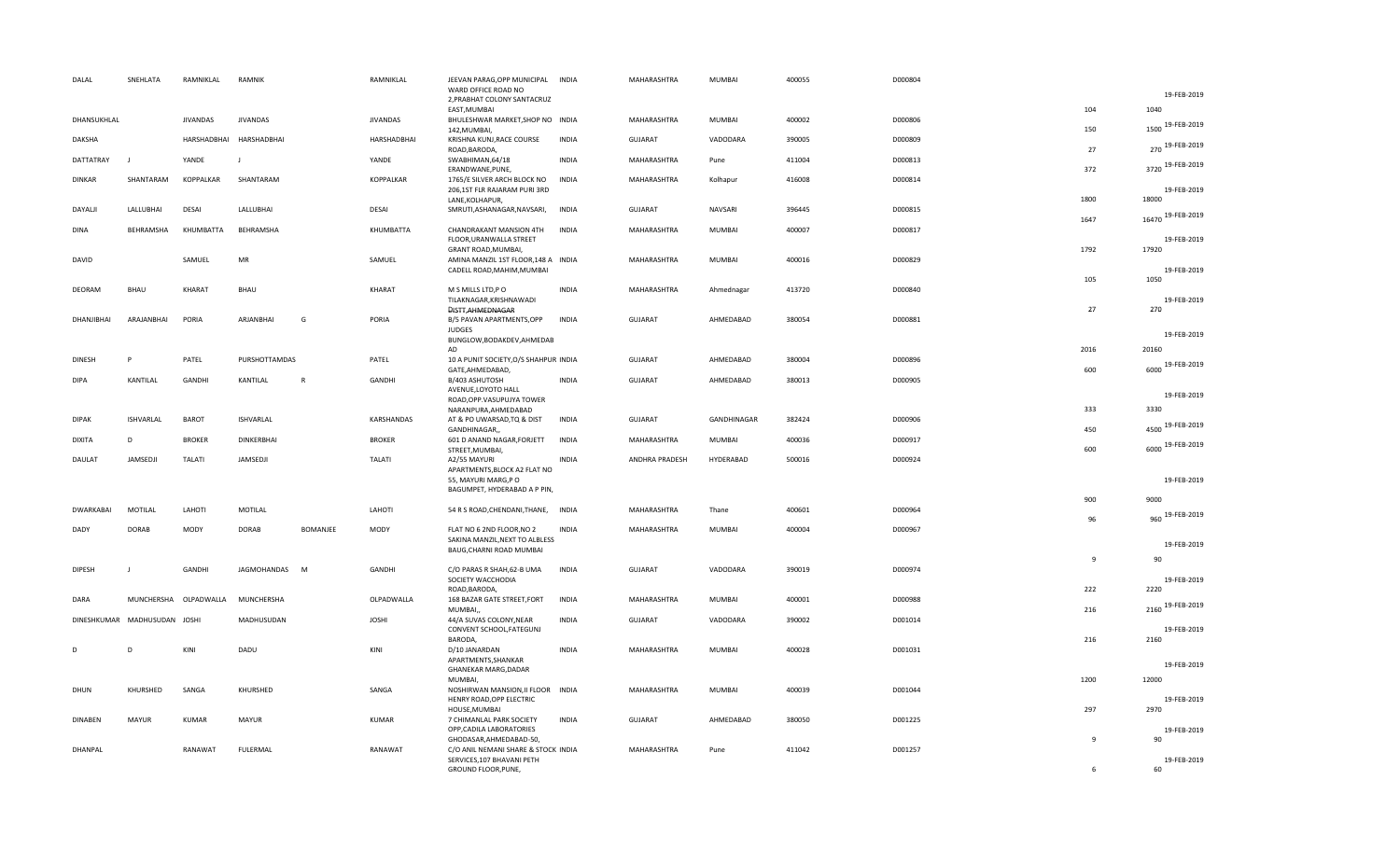|   | DALAL            | SNEHLATA                     | RAMNIKLAL             | RAMNIK                  |                 | RAMNIKLAL       | JEEVAN PARAG, OPP MUNICIPAL INDIA<br>WARD OFFICE ROAD NO                                 |              | MAHARASHTRA    | <b>MUMBAI</b> | 400055 | D000804 |                |                         |
|---|------------------|------------------------------|-----------------------|-------------------------|-----------------|-----------------|------------------------------------------------------------------------------------------|--------------|----------------|---------------|--------|---------|----------------|-------------------------|
|   |                  |                              |                       |                         |                 |                 | 2, PRABHAT COLONY SANTACRUZ<br>EAST, MUMBAI                                              |              |                |               |        |         | 104            | 19-FEB-2019<br>1040     |
|   | DHANSUKHLAL      |                              | <b>JIVANDAS</b>       | <b>JIVANDAS</b>         |                 | <b>JIVANDAS</b> | BHULESHWAR MARKET, SHOP NO INDIA<br>142, MUMBAI,                                         |              | MAHARASHTRA    | MUMBAI        | 400002 | D000806 | 150            | 1500 19-FEB-2019        |
|   | DAKSHA           |                              |                       | HARSHADBHAI HARSHADBHAI |                 | HARSHADBHAI     | KRISHNA KUNJ, RACE COURSE<br>ROAD, BARODA,                                               | <b>INDIA</b> | <b>GUJARAT</b> | VADODARA      | 390005 | D000809 | 27             | 270 19-FEB-2019         |
|   | DATTATRAY        | J                            | YANDE                 | J                       |                 | YANDE           | SWABHIMAN, 64/18<br>ERANDWANE, PUNE,                                                     | <b>INDIA</b> | MAHARASHTRA    | Pune          | 411004 | D000813 | 372            | 3720 19-FEB-2019        |
|   | <b>DINKAR</b>    | SHANTARAM                    | KOPPALKAR             | SHANTARAM               |                 | KOPPALKAR       | 1765/E SILVER ARCH BLOCK NO<br>206,1ST FLR RAJARAM PURI 3RD<br>LANE, KOLHAPUR,           | <b>INDIA</b> | MAHARASHTRA    | Kolhapur      | 416008 | D000814 | 1800           | 19-FEB-2019<br>18000    |
|   | DAYALJI          | LALLUBHAI                    | DESAI                 | LALLUBHAI               |                 | DESAI           | SMRUTI, ASHANAGAR, NAVSARI,                                                              | <b>INDIA</b> | <b>GUJARAT</b> | NAVSARI       | 396445 | D000815 | 1647           | 16470 19-FEB-2019       |
|   | <b>DINA</b>      | BEHRAMSHA                    | KHUMBATTA             | BEHRAMSHA               |                 | KHUMBATTA       | CHANDRAKANT MANSION 4TH<br>FLOOR, URANWALLA STREET<br>GRANT ROAD, MUMBAI,                | <b>INDIA</b> | MAHARASHTRA    | <b>MUMBAI</b> | 400007 | D000817 | 1792           | 19-FEB-2019<br>17920    |
|   | DAVID            |                              | SAMUEL                | MR                      |                 | SAMUEL          | AMINA MANZIL 1ST FLOOR, 148 A INDIA<br>CADELL ROAD, MAHIM, MUMBAI                        |              | MAHARASHTRA    | MUMBAI        | 400016 | D000829 | 105            | 19-FEB-2019<br>1050     |
|   | DEORAM           | <b>BHAU</b>                  | KHARAT                | BHAU                    |                 | KHARAT          | M S MILLS LTD, PO<br>TILAKNAGAR, KRISHNAWADI<br>DISTT, AHMEDNAGAR                        | <b>INDIA</b> | MAHARASHTRA    | Ahmednagar    | 413720 | D000840 | 27             | 19-FEB-2019<br>270      |
|   | DHANJIBHAI       | ARAJANBHAI                   | PORIA                 | ARJANBHAI               | G               | PORIA           | B/5 PAVAN APARTMENTS, OPP<br><b>JUDGES</b><br>BUNGLOW, BODAKDEV, AHMEDAB                 | <b>INDIA</b> | <b>GUJARAT</b> | AHMEDABAD     | 380054 | D000881 |                | 19-FEB-2019             |
|   | <b>DINESH</b>    | P                            | PATEL                 | PURSHOTTAMDAS           |                 | PATEL           | AD<br>10 A PUNIT SOCIETY, O/S SHAHPUR INDIA                                              |              | <b>GUJARAT</b> | AHMEDABAD     | 380004 | D000896 | 2016           | 20160                   |
|   | <b>DIPA</b>      | KANTILAL                     | GANDHI                | KANTILAL                | $\mathsf{R}$    | GANDHI          | GATE, AHMEDABAD,<br>B/403 ASHUTOSH                                                       | <b>INDIA</b> | <b>GUJARAT</b> | AHMEDABAD     | 380013 | D000905 | 600            | 6000 19-FEB-2019        |
|   |                  |                              |                       |                         |                 |                 | AVENUE, LOYOTO HALL<br>ROAD, OPP. VASUPUJYA TOWER<br>NARANPURA, AHMEDABAD                |              |                |               |        |         | 333            | 19-FEB-2019<br>3330     |
|   | <b>DIPAK</b>     | ISHVARLAL                    | <b>BAROT</b>          | <b>ISHVARLAL</b>        |                 | KARSHANDAS      | AT & PO UWARSAD, TQ & DIST                                                               | <b>INDIA</b> | <b>GUJARAT</b> | GANDHINAGAR   | 382424 | D000906 |                | 4500 19-FEB-2019        |
|   | <b>DIXITA</b>    | D                            | <b>BROKER</b>         | DINKERBHAI              |                 | <b>BROKER</b>   | GANDHINAGAR,,<br>601 D ANAND NAGAR, FORJETT                                              | <b>INDIA</b> | MAHARASHTRA    | MUMBAI        | 400036 | D000917 | 450<br>600     | 6000 19-FEB-2019        |
|   | DAULAT           | JAMSEDJI                     | TALATI                | JAMSEDJI                |                 | <b>TALATI</b>   | STREET, MUMBAI,<br>A2/55 MAYURI<br>APARTMENTS, BLOCK A2 FLAT NO<br>55, MAYURI MARG, PO   | <b>INDIA</b> | ANDHRA PRADESH | HYDERABAD     | 500016 | D000924 |                | 19-FEB-2019             |
|   |                  |                              |                       |                         |                 |                 | BAGUMPET, HYDERABAD A P PIN,                                                             |              |                |               |        |         |                |                         |
|   | <b>DWARKABAI</b> | MOTILAL                      | LAHOTI                | MOTILAL                 |                 | LAHOTI          | 54 R S ROAD, CHENDANI, THANE, INDIA                                                      |              | MAHARASHTRA    | Thane         | 400601 | D000964 | 900<br>96      | 9000<br>960 19-FEB-2019 |
|   | DADY             | <b>DORAB</b>                 | MODY                  | <b>DORAB</b>            | <b>BOMANJEE</b> | <b>MODY</b>     | FLAT NO 6 2ND FLOOR, NO 2<br>SAKINA MANZIL, NEXT TO ALBLESS                              | <b>INDIA</b> | MAHARASHTRA    | <b>MUMBAI</b> | 400004 | D000967 |                |                         |
|   |                  |                              |                       |                         |                 |                 | BAUG, CHARNI ROAD MUMBAI                                                                 |              |                |               |        |         | 9              | 19-FEB-2019<br>90       |
|   | <b>DIPESH</b>    | $\mathbf{I}$                 | GANDHI                | JAGMOHANDAS M           |                 | GANDHI          | C/O PARAS R SHAH, 62-B UMA<br>SOCIETY WACCHODIA<br>ROAD, BARODA,                         | <b>INDIA</b> | <b>GUJARAT</b> | VADODARA      | 390019 | D000974 | 222            | 19-FEB-2019<br>2220     |
|   | DARA             |                              | MUNCHERSHA OLPADWALLA | MUNCHERSHA              |                 | OLPADWALLA      | 168 BAZAR GATE STREET, FORT<br>MUMBAI,                                                   | <b>INDIA</b> | MAHARASHTRA    | MUMBAI        | 400001 | D000988 | 216            | 2160 19-FEB-2019        |
|   |                  | DINESHKUMAR MADHUSUDAN JOSHI |                       | MADHUSUDAN              |                 | <b>JOSHI</b>    | 44/A SUVAS COLONY, NEAR<br>CONVENT SCHOOL, FATEGUNJ<br>BARODA,                           | <b>INDIA</b> | <b>GUJARAT</b> | VADODARA      | 390002 | D001014 | 216            | 19-FEB-2019<br>2160     |
| D |                  | D                            | KINI                  | DADU                    |                 | KINI            | D/10 JANARDAN<br>APARTMENTS, SHANKAR<br>GHANEKAR MARG, DADAR                             | <b>INDIA</b> | MAHARASHTRA    | MUMBAI        | 400028 | D001031 |                | 19-FEB-2019             |
|   | DHUN             | KHURSHED                     | SANGA                 | KHURSHED                |                 | SANGA           | MUMBAI,<br>NOSHIRWAN MANSION, II FLOOR INDIA                                             |              | MAHARASHTRA    | MUMBAI        | 400039 | D001044 | 1200           | 12000                   |
|   |                  |                              |                       |                         |                 |                 | HENRY ROAD, OPP ELECTRIC<br>HOUSE, MUMBAI                                                |              |                |               |        |         | 297            | 19-FEB-2019<br>2970     |
|   | <b>DINABEN</b>   | MAYUR                        | <b>KUMAR</b>          | MAYUR                   |                 | <b>KUMAR</b>    | 7 CHIMANLAL PARK SOCIETY<br>OPP, CADILA LABORATORIES<br>GHODASAR, AHMEDABAD-50,          | <b>INDIA</b> | <b>GUJARAT</b> | AHMEDABAD     | 380050 | D001225 | $\overline{9}$ | 19-FEB-2019<br>90       |
|   | DHANPAL          |                              | RANAWAT               | FULERMAL                |                 | RANAWAT         | C/O ANIL NEMANI SHARE & STOCK INDIA<br>SERVICES, 107 BHAVANI PETH<br>GROUND FLOOR, PUNE, |              | MAHARASHTRA    | Pune          | 411042 | D001257 | -6             | 19-FEB-2019<br>60       |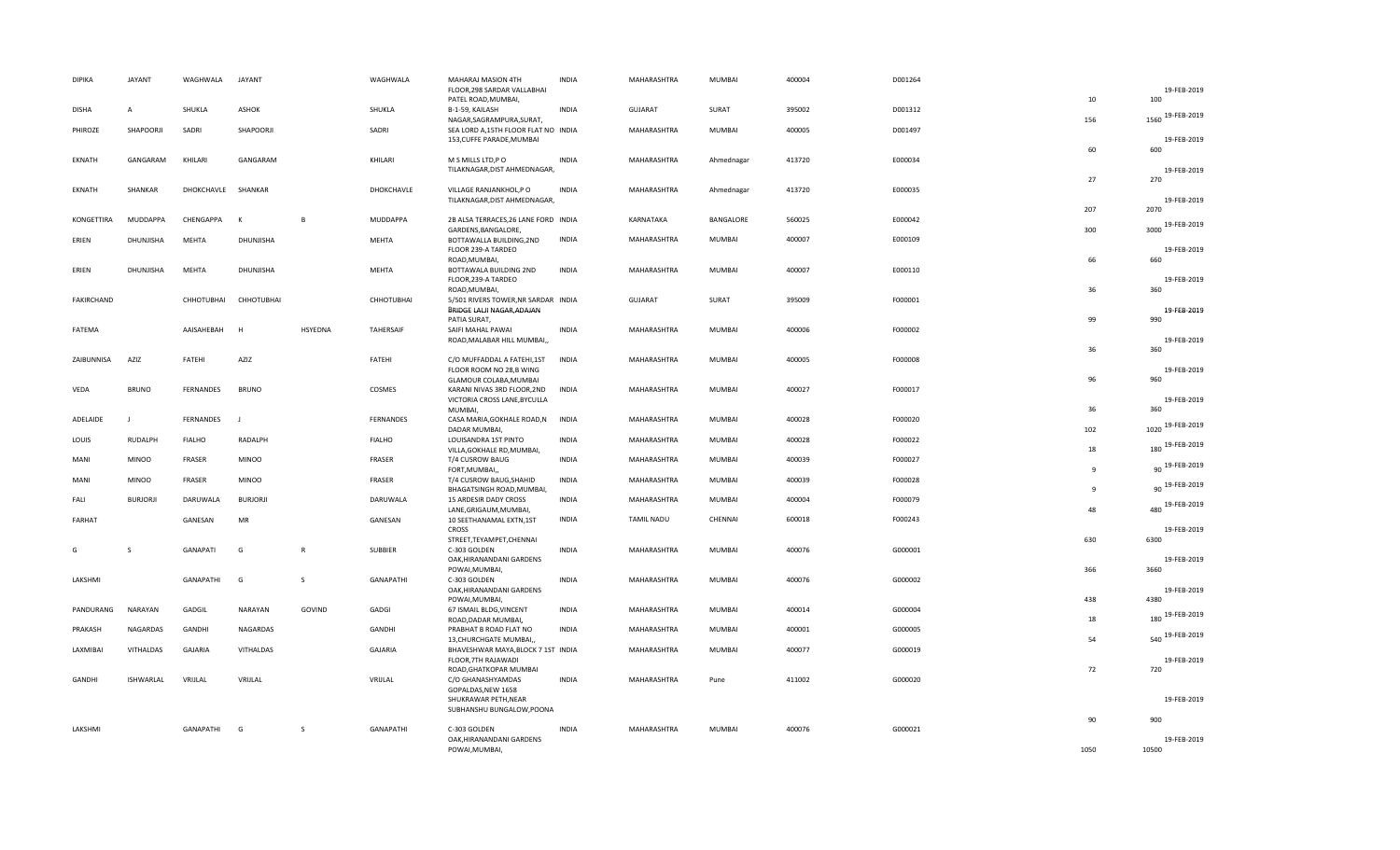| <b>DIPIKA</b>     | JAYANT          | WAGHWALA      | <b>JAYANT</b>     |                | WAGHWALA         | MAHARAJ MASION 4TH                                                | <b>INDIA</b> | MAHARASHTRA       | MUMBAI        | 400004 | D001264 |              |                    |
|-------------------|-----------------|---------------|-------------------|----------------|------------------|-------------------------------------------------------------------|--------------|-------------------|---------------|--------|---------|--------------|--------------------|
|                   |                 |               |                   |                |                  | FLOOR, 298 SARDAR VALLABHAI<br>PATEL ROAD, MUMBAI,                |              |                   |               |        |         | 10           | 19-FEB-2019<br>100 |
| <b>DISHA</b>      | A               | SHUKLA        | ASHOK             |                | SHUKLA           | B-1-59, KAILASH<br>NAGAR, SAGRAMPURA, SURAT,                      | <b>INDIA</b> | <b>GUJARAT</b>    | SURAT         | 395002 | D001312 | 156          | 1560 19-FEB-2019   |
| PHIROZE           | SHAPOORJI       | SADRI         | SHAPOORJI         |                | SADRI            | SEA LORD A, 15TH FLOOR FLAT NO INDIA<br>153, CUFFE PARADE, MUMBAI |              | MAHARASHTRA       | MUMBAI        | 400005 | D001497 |              | 19-FEB-2019        |
|                   |                 |               |                   |                |                  |                                                                   |              |                   |               |        |         | 60           | 600                |
| EKNATH            | GANGARAM        | KHILARI       | GANGARAM          |                | KHILARI          | M S MILLS LTD, PO<br>TILAKNAGAR, DIST AHMEDNAGAR,                 | <b>INDIA</b> | MAHARASHTRA       | Ahmednagar    | 413720 | E000034 |              | 19-FEB-2019        |
|                   |                 |               |                   |                |                  |                                                                   |              |                   |               |        |         | 27           | 270                |
| EKNATH            | SHANKAR         | DHOKCHAVLE    | SHANKAR           |                | DHOKCHAVLE       | VILLAGE RANJANKHOL,P O<br>TILAKNAGAR, DIST AHMEDNAGAR,            | <b>INDIA</b> | MAHARASHTRA       | Ahmednagar    | 413720 | E000035 |              | 19-FEB-2019        |
| KONGETTIRA        | <b>MUDDAPPA</b> | CHENGAPPA     | К                 | $\overline{B}$ | <b>MUDDAPPA</b>  | 2B ALSA TERRACES, 26 LANE FORD INDIA                              |              | KARNATAKA         | BANGALORE     | 560025 | E000042 | 207          | 2070               |
|                   |                 |               |                   |                |                  | GARDENS, BANGALORE,                                               |              |                   |               |        |         | 300          | 3000 19-FEB-2019   |
| ERIEN             | DHUNJISHA       | MEHTA         | DHUNJISHA         |                | MEHTA            | BOTTAWALLA BUILDING, 2ND<br>FLOOR 239-A TARDEO                    | <b>INDIA</b> | MAHARASHTRA       | MUMBAI        | 400007 | E000109 |              | 19-FEB-2019        |
| ERIEN             | DHUNJISHA       | MEHTA         | DHUNJISHA         |                | MEHTA            | ROAD, MUMBAI,<br>BOTTAWALA BUILDING 2ND                           | <b>INDIA</b> | MAHARASHTRA       | MUMBAI        | 400007 | E000110 | 66           | 660                |
|                   |                 |               |                   |                |                  | FLOOR, 239-A TARDEO                                               |              |                   |               |        |         |              | 19-FEB-2019        |
| <b>FAKIRCHAND</b> |                 | CHHOTUBHAI    | <b>CHHOTUBHAI</b> |                | CHHOTUBHAI       | ROAD, MUMBAI,<br>5/501 RIVERS TOWER, NR SARDAR INDIA              |              | <b>GUJARAT</b>    | SURAT         | 395009 | F000001 | 36           | 360                |
|                   |                 |               |                   |                |                  | BRIDGE LALJI NAGAR, ADAJAN                                        |              |                   |               |        |         |              | 19-FEB-2019        |
| FATEMA            |                 | AAISAHEBAH    | H                 | HSYEDNA        | TAHERSAIF        | PATIA SURAT,<br>SAIFI MAHAL PAWAI                                 | <b>INDIA</b> | MAHARASHTRA       | MUMBAI        | 400006 | F000002 | 99           | 990                |
|                   |                 |               |                   |                |                  | ROAD, MALABAR HILL MUMBAI,                                        |              |                   |               |        |         | 36           | 19-FEB-2019<br>360 |
| ZAIBUNNISA        | AZIZ            | FATEHI        | AZIZ              |                | FATEHI           | C/O MUFFADDAL A FATEHI, 1ST                                       | <b>INDIA</b> | MAHARASHTRA       | <b>MUMBAI</b> | 400005 | F000008 |              |                    |
|                   |                 |               |                   |                |                  | FLOOR ROOM NO 28,B WING<br>GLAMOUR COLABA, MUMBAI                 |              |                   |               |        |         | 96           | 19-FEB-2019<br>960 |
| VEDA              | <b>BRUNO</b>    | FERNANDES     | <b>BRUNO</b>      |                | COSMES           | KARANI NIVAS 3RD FLOOR, 2ND<br>VICTORIA CROSS LANE, BYCULLA       | <b>INDIA</b> | MAHARASHTRA       | <b>MUMBAI</b> | 400027 | F000017 |              | 19-FEB-2019        |
|                   |                 |               |                   |                |                  | MUMBAI,                                                           |              |                   |               |        |         | 36           | 360                |
| ADELAIDE          | $\mathbf{J}$    | FERNANDES     |                   |                | FERNANDES        | CASA MARIA, GOKHALE ROAD, N<br>DADAR MUMBAI,                      | <b>INDIA</b> | MAHARASHTRA       | MUMBAI        | 400028 | F000020 | 102          | 1020 19-FEB-2019   |
| LOUIS             | <b>RUDALPH</b>  | <b>FIALHO</b> | RADALPH           |                | <b>FIALHO</b>    | LOUISANDRA 1ST PINTO<br>VILLA, GOKHALE RD, MUMBAI,                | <b>INDIA</b> | MAHARASHTRA       | <b>MUMBAI</b> | 400028 | F000022 | 18           | 180 19-FEB-2019    |
| MANI              | <b>MINOO</b>    | FRASER        | <b>MINOO</b>      |                | FRASER           | T/4 CUSROW BAUG                                                   | <b>INDIA</b> | MAHARASHTRA       | <b>MUMBAI</b> | 400039 | F000027 |              | 90 19-FEB-2019     |
| MANI              | <b>MINOO</b>    | FRASER        | <b>MINOO</b>      |                | FRASER           | FORT, MUMBAI,,<br>T/4 CUSROW BAUG, SHAHID                         | <b>INDIA</b> | MAHARASHTRA       | MUMBAI        | 400039 | F000028 | $\mathbf{q}$ |                    |
| FALI              | <b>BURJORJI</b> | DARUWALA      | <b>BURJORJI</b>   |                | DARUWALA         | BHAGATSINGH ROAD, MUMBAI,<br>15 ARDESIR DADY CROSS                | <b>INDIA</b> | MAHARASHTRA       | <b>MUMBAI</b> | 400004 | F000079 | 9            | 90 19-FEB-2019     |
|                   |                 |               |                   |                |                  | LANE, GRIGAUM, MUMBAI,                                            |              |                   |               |        |         | 48           | 480 19-FEB-2019    |
| FARHAT            |                 | GANESAN       | <b>MR</b>         |                | GANESAN          | 10 SEETHANAMAL EXTN,1ST<br>CROSS                                  | <b>INDIA</b> | <b>TAMIL NADU</b> | CHENNAI       | 600018 | F000243 |              | 19-FEB-2019        |
| G                 | S               | GANAPATI      | G                 | $\mathsf{R}$   | <b>SUBBIER</b>   | STREET, TEYAMPET, CHENNAI<br>C-303 GOLDEN                         | <b>INDIA</b> | MAHARASHTRA       | MUMBAI        | 400076 | G000001 | 630          | 6300               |
|                   |                 |               |                   |                |                  | OAK, HIRANANDANI GARDENS                                          |              |                   |               |        |         |              | 19-FEB-2019        |
| LAKSHMI           |                 | GANAPATHI     | G                 | $\mathsf{S}$   | GANAPATHI        | POWAI, MUMBAI,<br>C-303 GOLDEN                                    | <b>INDIA</b> | MAHARASHTRA       | MUMBAI        | 400076 | G000002 | 366          | 3660               |
|                   |                 |               |                   |                |                  | OAK, HIRANANDANI GARDENS                                          |              |                   |               |        |         |              | 19-FEB-2019        |
| PANDURANG         | NARAYAN         | <b>GADGIL</b> | NARAYAN           | GOVIND         | GADGI            | POWAI, MUMBAI,<br>67 ISMAIL BLDG, VINCENT                         | <b>INDIA</b> | MAHARASHTRA       | <b>MUMBAI</b> | 400014 | G000004 | 438          | 4380               |
| PRAKASH           | NAGARDAS        | GANDHI        | NAGARDAS          |                | GANDHI           | ROAD, DADAR MUMBAI,<br>PRABHAT B ROAD FLAT NO                     | <b>INDIA</b> | MAHARASHTRA       | MUMBAI        | 400001 | G000005 | 18           | 180 19-FEB-2019    |
|                   |                 |               |                   |                |                  | 13, CHURCHGATE MUMBAI,                                            |              |                   |               |        |         | 54           | 540 19-FEB-2019    |
| LAXMIBAI          | VITHALDAS       | GAJARIA       | VITHALDAS         |                | GAJARIA          | BHAVESHWAR MAYA, BLOCK 7 1ST INDIA<br>FLOOR, 7TH RAJAWADI         |              | MAHARASHTRA       | <b>MUMBAI</b> | 400077 | G000019 |              | 19-FEB-2019        |
| GANDHI            | ISHWARLAL       | VRIJLAL       | VRIJLAL           |                | VRIJLAL          | ROAD, GHATKOPAR MUMBAI<br>C/O GHANASHYAMDAS                       | <b>INDIA</b> | MAHARASHTRA       | Pune          | 411002 | G000020 | 72           | 720                |
|                   |                 |               |                   |                |                  | GOPALDAS, NEW 1658                                                |              |                   |               |        |         |              |                    |
|                   |                 |               |                   |                |                  | SHUKRAWAR PETH, NEAR<br>SUBHANSHU BUNGALOW, POONA                 |              |                   |               |        |         |              | 19-FEB-2019        |
| LAKSHMI           |                 | GANAPATHI     | G                 | <sub>S</sub>   | <b>GANAPATHI</b> | C-303 GOLDEN                                                      | <b>INDIA</b> | MAHARASHTRA       | MUMBAI        | 400076 | G000021 | 90           | 900                |
|                   |                 |               |                   |                |                  | OAK, HIRANANDANI GARDENS                                          |              |                   |               |        |         |              | 19-FEB-2019        |
|                   |                 |               |                   |                |                  | POWAI.MUMBAI.                                                     |              |                   |               |        |         | 1050         | 10500              |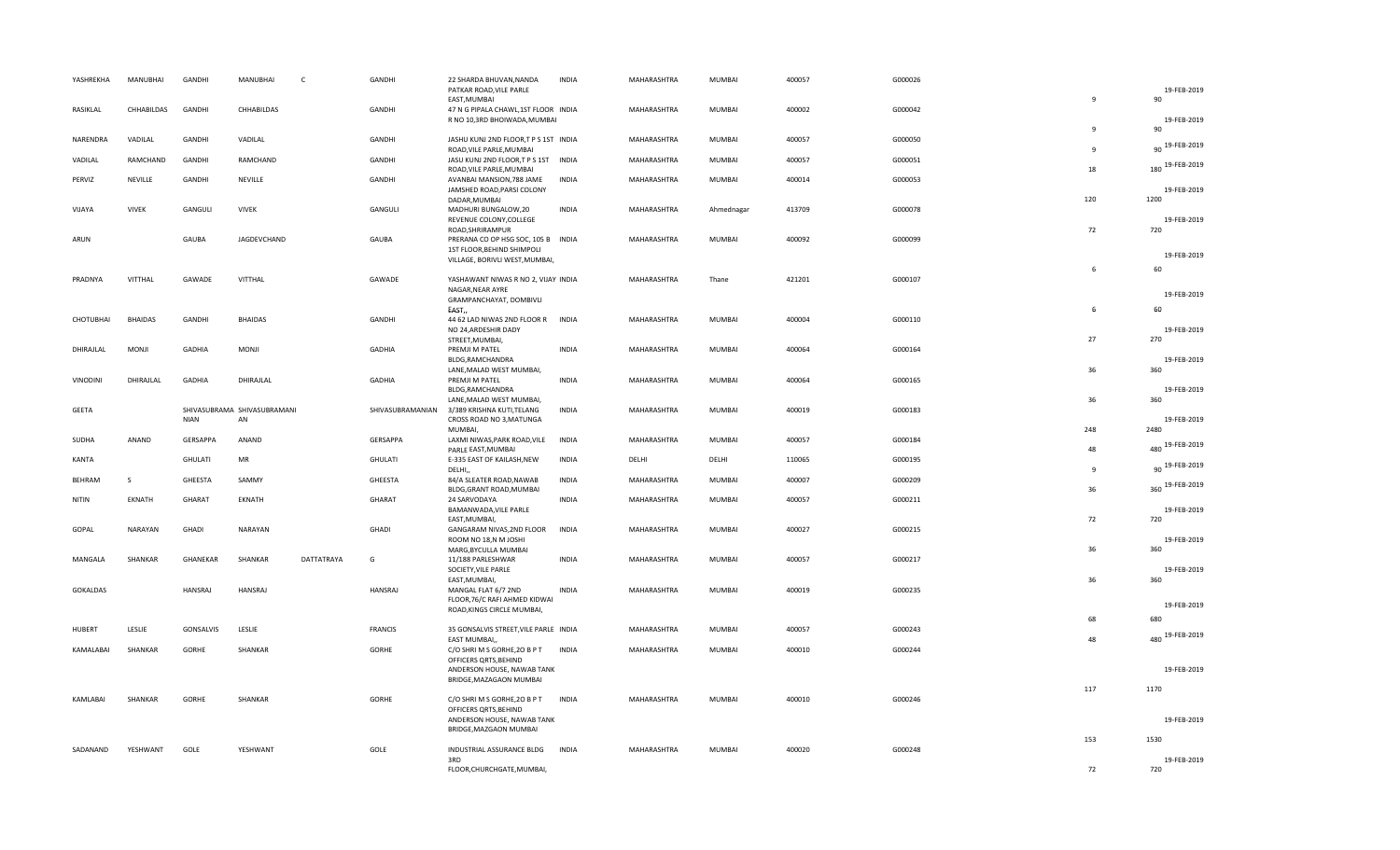| YASHREKHA       | MANUBHAI       | GANDHI          | MANUBHAI                          | C          | GANDHI           | 22 SHARDA BHUVAN, NANDA<br>PATKAR ROAD, VILE PARLE<br>EAST, MUMBAI                                             | <b>INDIA</b> | MAHARASHTRA        | MUMBAI        | 400057 | G000026 | $\overline{9}$ | 19-FEB-2019<br>90          |
|-----------------|----------------|-----------------|-----------------------------------|------------|------------------|----------------------------------------------------------------------------------------------------------------|--------------|--------------------|---------------|--------|---------|----------------|----------------------------|
| RASIKLAL        | CHHABILDAS     | GANDHI          | CHHABILDAS                        |            | GANDHI           | 47 N G PIPALA CHAWL, 1ST FLOOR INDIA<br>R NO 10,3RD BHOIWADA, MUMBAI                                           |              | MAHARASHTRA        | MUMBAI        | 400002 | G000042 | 9              | 19-FEB-2019<br>90          |
| NARENDRA        | VADILAL        | GANDHI          | VADILAL                           |            | GANDHI           | JASHU KUNJ 2ND FLOOR,T P S 1ST INDIA<br>ROAD, VILE PARLE, MUMBAI                                               |              | MAHARASHTRA        | MUMBAI        | 400057 | G000050 | $\mathbf{q}$   | 90 19-FEB-2019             |
| VADILAL         | RAMCHAND       | GANDHI          | RAMCHAND                          |            | GANDHI           | JASU KUNJ 2ND FLOOR,T P S 1ST INDIA<br>ROAD, VILE PARLE, MUMBAI                                                |              | MAHARASHTRA        | MUMBAI        | 400057 | G000051 | 18             | 180 19-FEB-2019            |
| PERVIZ          | NEVILLE        | GANDHI          | NEVILLE                           |            | GANDHI           | AVANBAI MANSION, 788 JAME<br>JAMSHED ROAD, PARSI COLONY<br>DADAR, MUMBAI                                       | <b>INDIA</b> | MAHARASHTRA        | MUMBAI        | 400014 | G000053 | 120            | 19-FEB-2019<br>1200        |
| VIJAYA          | <b>VIVEK</b>   | GANGULI         | <b>VIVEK</b>                      |            | GANGULI          | MADHURI BUNGALOW,20<br>REVENUE COLONY, COLLEGE<br>ROAD, SHRIRAMPUR                                             | <b>INDIA</b> | MAHARASHTRA        | Ahmednagar    | 413709 | G000078 | 72             | 19-FEB-2019<br>720         |
| ARUN            |                | GAUBA           | JAGDEVCHAND                       |            | GAUBA            | PRERANA CO OP HSG SOC, 105 B INDIA<br>1ST FLOOR, BEHIND SHIMPOLI<br>VILLAGE, BORIVLI WEST, MUMBAI,             |              | MAHARASHTRA        | MUMBAI        | 400092 | G000099 |                | 19-FEB-2019                |
| PRADNYA         | VITTHAL        | GAWADE          | VITTHAL                           |            | GAWADE           | YASHAWANT NIWAS R NO 2, VIJAY INDIA<br>NAGAR, NEAR AYRE<br>GRAMPANCHAYAT, DOMBIVLI                             |              | MAHARASHTRA        | Thane         | 421201 | G000107 | 6              | 60<br>19-FEB-2019          |
| CHOTUBHAI       | <b>BHAIDAS</b> | <b>GANDHI</b>   | <b>BHAIDAS</b>                    |            | GANDHI           | EAST,<br>44 62 LAD NIWAS 2ND FLOOR R                                                                           | <b>INDIA</b> | MAHARASHTRA        | MUMBAI        | 400004 | G000110 | 6              | 60                         |
|                 |                |                 |                                   |            |                  | NO 24, ARDESHIR DADY<br>STREET, MUMBAI,                                                                        |              |                    |               |        |         | 27             | 19-FEB-2019<br>270         |
| DHIRAJLAL       | MONJI          | <b>GADHIA</b>   | MONJI                             |            | GADHIA           | PREMJI M PATEL<br>BLDG, RAMCHANDRA<br>LANE, MALAD WEST MUMBAI,                                                 | <b>INDIA</b> | MAHARASHTRA        | MUMBAI        | 400064 | G000164 | 36             | 19-FEB-2019<br>360         |
| VINODINI        | DHIRAJLAL      | <b>GADHIA</b>   | DHIRAJLAL                         |            | <b>GADHIA</b>    | PREMJI M PATEL<br>BLDG, RAMCHANDRA<br>LANE, MALAD WEST MUMBAI,                                                 | <b>INDIA</b> | MAHARASHTRA        | MUMBAI        | 400064 | G000165 | 36             | 19-FEB-2019<br>360         |
| GEETA           |                | <b>NIAN</b>     | SHIVASUBRAMA SHIVASUBRAMANI<br>AN |            | SHIVASUBRAMANIAN | 3/389 KRISHNA KUTI,TELANG<br>CROSS ROAD NO 3, MATUNGA<br>MUMBAI,                                               | <b>INDIA</b> | MAHARASHTRA        | MUMBAI        | 400019 | G000183 | 248            | 19-FEB-2019<br>2480        |
| SUDHA           | ANAND          | <b>GERSAPPA</b> | ANAND                             |            | GERSAPPA         | LAXMI NIWAS, PARK ROAD, VILE<br>PARLE EAST, MUMBAI                                                             | INDIA        | MAHARASHTRA        | MUMBAI        | 400057 | G000184 | 48             | 480 19-FEB-2019            |
| KANTA           |                | <b>GHULATI</b>  | MR                                |            | GHULATI          | E-335 EAST OF KAILASH, NEW<br>DELHI,                                                                           | <b>INDIA</b> | DELHI              | DELHI         | 110065 | G000195 | $\mathbf{q}$   | 90 19-FEB-2019             |
| <b>BEHRAM</b>   | S              | GHEESTA         | SAMMY                             |            | GHEESTA          | 84/A SLEATER ROAD, NAWAB<br>BLDG, GRANT ROAD, MUMBAI                                                           | <b>INDIA</b> | MAHARASHTRA        | MUMBAI        | 400007 | G000209 | 36             | 360 19-FEB-2019            |
| <b>NITIN</b>    | EKNATH         | GHARAT          | EKNATH                            |            | GHARAT           | 24 SARVODAYA<br>BAMANWADA, VILE PARLE                                                                          | <b>INDIA</b> | MAHARASHTRA        | MUMBAI        | 400057 | G000211 |                | 19-FEB-2019                |
| GOPAL           | NARAYAN        | GHADI           | NARAYAN                           |            | <b>GHADI</b>     | EAST, MUMBAI,<br>GANGARAM NIVAS, 2ND FLOOR<br>ROOM NO 18,N M JOSHI                                             | <b>INDIA</b> | MAHARASHTRA        | MUMBAI        | 400027 | G000215 | 72             | 720<br>19-FEB-2019         |
| MANGALA         | SHANKAR        | GHANEKAR        | SHANKAR                           | DATTATRAYA | G                | MARG, BYCULLA MUMBAI<br>11/188 PARLESHWAR<br>SOCIETY, VILE PARLE                                               | <b>INDIA</b> | MAHARASHTRA        | <b>MUMBAI</b> | 400057 | G000217 | 36             | 360<br>19-FEB-2019         |
| <b>GOKALDAS</b> |                | HANSRAJ         | HANSRAJ                           |            | HANSRAJ          | EAST, MUMBAI,<br>MANGAL FLAT 6/7 2ND<br>FLOOR, 76/C RAFI AHMED KIDWAI                                          | <b>INDIA</b> | MAHARASHTRA        | MUMBAI        | 400019 | G000235 | 36             | 360<br>19-FEB-2019         |
|                 |                |                 |                                   |            |                  | ROAD, KINGS CIRCLE MUMBAI,                                                                                     |              |                    |               |        |         | 68             | 680                        |
| <b>HUBERT</b>   | LESLIE         | GONSALVIS       | LESLIE                            |            | FRANCIS          | 35 GONSALVIS STREET, VILE PARLE INDIA<br>EAST MUMBAI.                                                          |              | MAHARASHTRA        | MUMBAI        | 400057 | G000243 | 48             | 480 19-FEB-2019            |
| KAMALABAI       | SHANKAR        | GORHE           | SHANKAR                           |            | GORHE            | C/O SHRI M S GORHE, 20 B P T<br>OFFICERS QRTS, BEHIND<br>ANDERSON HOUSE, NAWAB TANK<br>BRIDGE, MAZAGAON MUMBAI | <b>INDIA</b> | MAHARASHTRA        | MUMBAI        | 400010 | G000244 |                | 19-FEB-2019                |
| KAMLABAI        | SHANKAR        | GORHE           | SHANKAR                           |            | GORHE            | C/O SHRI M S GORHE, 20 B P T<br>OFFICERS QRTS, BEHIND                                                          | <b>INDIA</b> | MAHARASHTRA        | MUMBAI        | 400010 | G000246 | 117            | 1170                       |
|                 |                |                 |                                   |            |                  | ANDERSON HOUSE, NAWAB TANK<br>BRIDGE, MAZGAON MUMBAI                                                           |              |                    |               |        |         |                | 19-FEB-2019                |
| SADANAND        | YESHWANT       | GOLE            | YESHWANT                          |            | GOLE             | INDUSTRIAL ASSURANCE BLDG<br>3RD<br>FLOOR, CHURCHGATE, MUMBAI,                                                 | <b>INDIA</b> | <b>MAHARASHTRA</b> | <b>MUMBAI</b> | 400020 | G000248 | 153<br>72      | 1530<br>19-FEB-2019<br>720 |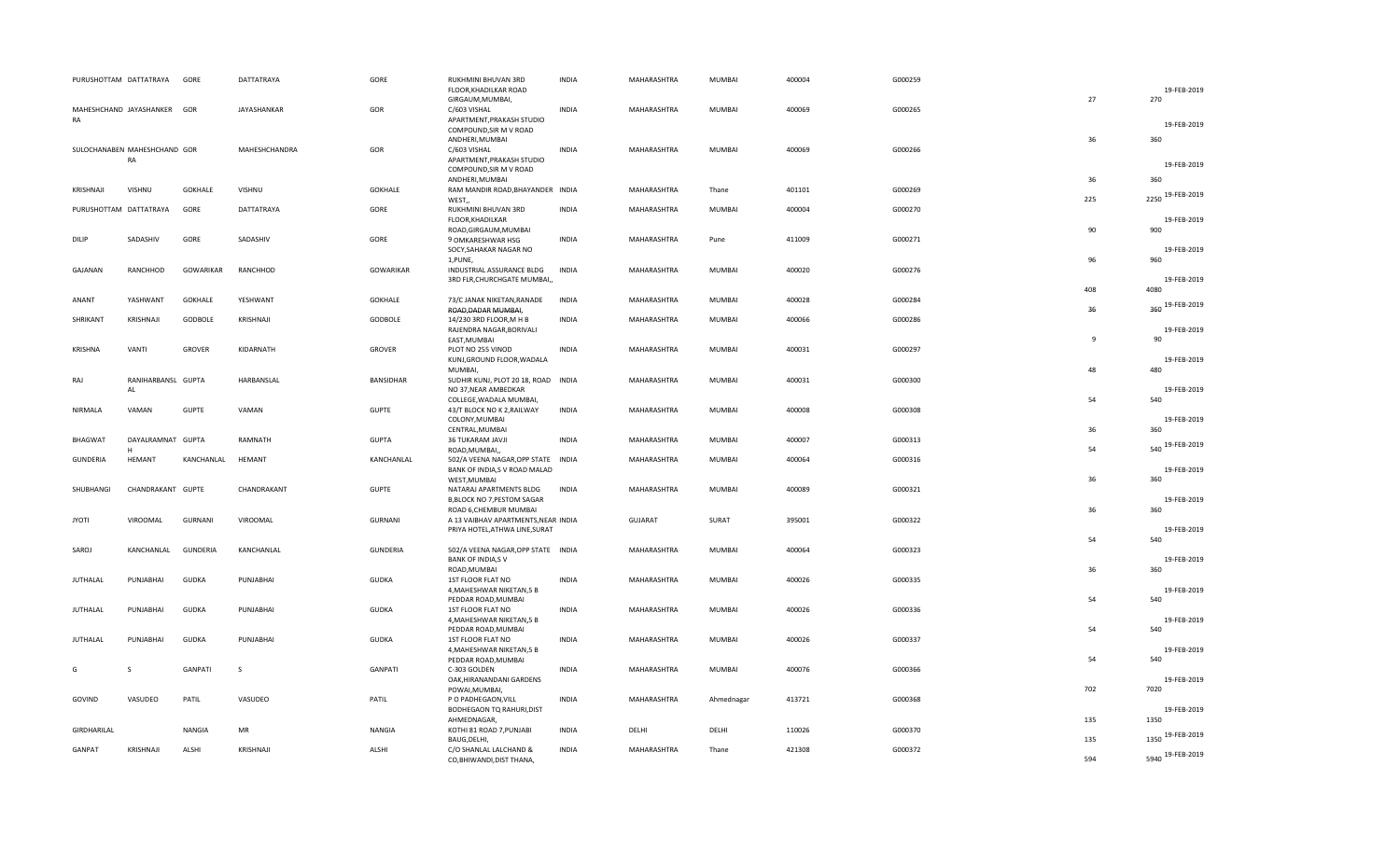| PURUSHOTTAM DATTATRAYA       |                          | GORE             | <b>DATTATRAYA</b> | GORE             | RUKHMINI BHUVAN 3RD<br>FLOOR, KHADILKAR ROAD                                                    | <b>INDIA</b> | MAHARASHTRA    | MUMBAI        | 400004 | G000259 |              | 19-FEB-2019               |
|------------------------------|--------------------------|------------------|-------------------|------------------|-------------------------------------------------------------------------------------------------|--------------|----------------|---------------|--------|---------|--------------|---------------------------|
| MAHESHCHAND JAYASHANKER GOR  |                          |                  | JAYASHANKAR       | GOR              | GIRGAUM, MUMBAI,<br>C/603 VISHAL<br>APARTMENT, PRAKASH STUDIO                                   | <b>INDIA</b> | MAHARASHTRA    | MUMBAI        | 400069 | G000265 | 27           | 270                       |
| RA                           |                          |                  |                   |                  | COMPOUND, SIR M V ROAD<br>ANDHERI, MUMBAI                                                       |              |                |               |        |         | 36           | 19-FEB-2019<br>360        |
| SULOCHANABEN MAHESHCHAND GOR | RA                       |                  | MAHESHCHANDRA     | GOR              | C/603 VISHAL<br>APARTMENT, PRAKASH STUDIO                                                       | <b>INDIA</b> | MAHARASHTRA    | <b>MUMBAI</b> | 400069 | G000266 |              |                           |
|                              |                          |                  |                   |                  | COMPOUND, SIR M V ROAD                                                                          |              |                |               |        |         | 36           | 19-FEB-2019<br>360        |
| KRISHNAJI                    | <b>VISHNU</b>            | <b>GOKHALE</b>   | VISHNU            | <b>GOKHALE</b>   | ANDHERI, MUMBAI<br>RAM MANDIR ROAD, BHAYANDER INDIA<br>WEST,                                    |              | MAHARASHTRA    | Thane         | 401101 | G000269 | 225          | 2250 19-FEB-2019          |
| PURUSHOTTAM DATTATRAYA       |                          | GORE             | DATTATRAYA        | GORE             | RUKHMINI BHUVAN 3RD<br>FLOOR, KHADILKAR                                                         | <b>INDIA</b> | MAHARASHTRA    | <b>MUMBAI</b> | 400004 | G000270 |              | 19-FEB-2019               |
| <b>DILIP</b>                 | SADASHIV                 | GORE             | SADASHIV          | GORE             | ROAD, GIRGAUM, MUMBAI<br>9 OMKARESHWAR HSG<br>SOCY, SAHAKAR NAGAR NO<br>1, PUNE,                | <b>INDIA</b> | MAHARASHTRA    | Pune          | 411009 | G000271 | 90<br>96     | 900<br>19-FEB-2019<br>960 |
| GAJANAN                      | RANCHHOD                 | <b>GOWARIKAR</b> | RANCHHOD          | <b>GOWARIKAR</b> | INDUSTRIAL ASSURANCE BLDG<br>3RD FLR, CHURCHGATE MUMBAI,                                        | <b>INDIA</b> | MAHARASHTRA    | <b>MUMBAI</b> | 400020 | G000276 |              | 19-FEB-2019               |
| ANANT                        | YASHWANT                 | <b>GOKHALE</b>   | YESHWANT          | <b>GOKHALE</b>   | 73/C JANAK NIKETAN, RANADE<br>ROAD, DADAR MUMBAI,                                               | <b>INDIA</b> | MAHARASHTRA    | MUMBAI        | 400028 | G000284 | 408<br>36    | 4080<br>360 19-FEB-2019   |
| SHRIKANT                     | KRISHNAJI                | GODBOLE          | KRISHNAJI         | GODBOLE          | 14/230 3RD FLOOR, M H B<br>RAJENDRA NAGAR, BORIVALI                                             | <b>INDIA</b> | MAHARASHTRA    | <b>MUMBAI</b> | 400066 | G000286 |              | 19-FEB-2019               |
| KRISHNA                      | VANTI                    | <b>GROVER</b>    | KIDARNATH         | <b>GROVER</b>    | EAST, MUMBAI<br>PLOT NO 255 VINOD<br>KUNJ, GROUND FLOOR, WADALA                                 | <b>INDIA</b> | MAHARASHTRA    | MUMBAI        | 400031 | G000297 | $\mathbf{q}$ | 90<br>19-FEB-2019         |
| RAJ                          | RANIHARBANSL GUPTA<br>AL |                  | HARBANSLAL        | <b>BANSIDHAR</b> | MUMBAI,<br>SUDHIR KUNJ, PLOT 20 18, ROAD INDIA<br>NO 37, NEAR AMBEDKAR                          |              | MAHARASHTRA    | <b>MUMBAI</b> | 400031 | G000300 | 48           | 480<br>19-FEB-2019        |
| NIRMALA                      | VAMAN                    | <b>GUPTE</b>     | VAMAN             | <b>GUPTE</b>     | COLLEGE, WADALA MUMBAI,<br>43/T BLOCK NO K 2, RAILWAY<br>COLONY, MUMBAI                         | <b>INDIA</b> | MAHARASHTRA    | MUMBAI        | 400008 | G000308 | 54           | 540<br>19-FEB-2019        |
| <b>BHAGWAT</b>               | DAYALRAMNAT GUPTA        |                  | RAMNATH           | <b>GUPTA</b>     | CENTRAL, MUMBAI<br>36 TUKARAM JAVJI                                                             | <b>INDIA</b> | MAHARASHTRA    | <b>MUMBAI</b> | 400007 | G000313 | 36           | 360<br>540 19-FEB-2019    |
| <b>GUNDERIA</b>              | <b>HEMANT</b>            | KANCHANLAL       | HEMANT            | KANCHANLAL       | ROAD, MUMBAI,,<br>502/A VEENA NAGAR, OPP STATE INDIA<br>BANK OF INDIA,S V ROAD MALAD            |              | MAHARASHTRA    | MUMBAI        | 400064 | G000316 | 54           | 19-FEB-2019               |
| SHUBHANGI                    | CHANDRAKANT GUPTE        |                  | CHANDRAKANT       | <b>GUPTE</b>     | WEST, MUMBAI<br>NATARAJ APARTMENTS BLDG<br><b>B,BLOCK NO 7, PESTOM SAGAR</b>                    | <b>INDIA</b> | MAHARASHTRA    | MUMBAI        | 400089 | G000321 | 36<br>36     | 360<br>19-FEB-2019<br>360 |
| <b>JYOTI</b>                 | VIROOMAL                 | <b>GURNANI</b>   | VIROOMAL          | GURNANI          | ROAD 6, CHEMBUR MUMBAI<br>A 13 VAIBHAV APARTMENTS, NEAR INDIA<br>PRIYA HOTEL, ATHWA LINE, SURAT |              | <b>GUJARAT</b> | SURAT         | 395001 | G000322 |              | 19-FEB-2019               |
| SAROJ                        | KANCHANLAL               | <b>GUNDERIA</b>  | KANCHANLAL        | <b>GUNDERIA</b>  | 502/A VEENA NAGAR, OPP STATE INDIA<br><b>BANK OF INDIA,SV</b>                                   |              | MAHARASHTRA    | MUMBAI        | 400064 | G000323 | 54           | 540<br>19-FEB-2019        |
| <b>JUTHALAL</b>              | PUNJABHAI                | <b>GUDKA</b>     | PUNJABHAI         | <b>GUDKA</b>     | ROAD, MUMBAI<br>1ST FLOOR FLAT NO<br>4, MAHESHWAR NIKETAN, 5 B<br>PEDDAR ROAD, MUMBAI           | <b>INDIA</b> | MAHARASHTRA    | MUMBAI        | 400026 | G000335 | 36<br>54     | 360<br>19-FEB-2019<br>540 |
| JUTHALAL                     | PUNJABHAI                | GUDKA            | PUNJABHAI         | <b>GUDKA</b>     | 1ST FLOOR FLAT NO<br>4, MAHESHWAR NIKETAN, 5 B                                                  | INDIA        | MAHARASHTRA    | <b>MUMBAI</b> | 400026 | G000336 |              | 19-FEB-2019               |
| <b>JUTHALAL</b>              | PUNJABHAI                | <b>GUDKA</b>     | PUNJABHAI         | <b>GUDKA</b>     | PEDDAR ROAD, MUMBAI<br>1ST FLOOR FLAT NO<br>4, MAHESHWAR NIKETAN, 5 B<br>PEDDAR ROAD, MUMBAI    | <b>INDIA</b> | MAHARASHTRA    | MUMBAI        | 400026 | G000337 | 54<br>54     | 540<br>19-FEB-2019<br>540 |
| G                            | S                        | <b>GANPATI</b>   | S                 | <b>GANPATI</b>   | C-303 GOLDEN<br>OAK, HIRANANDANI GARDENS                                                        | <b>INDIA</b> | MAHARASHTRA    | MUMBAI        | 400076 | G000366 |              | 19-FEB-2019               |
| GOVIND                       | VASUDEO                  | PATIL            | VASUDEO           | PATIL            | POWAI, MUMBAI,<br>P O PADHEGAON, VILL<br>BODHEGAON TQ RAHURI, DIST                              | <b>INDIA</b> | MAHARASHTRA    | Ahmednagar    | 413721 | G000368 | 702          | 7020<br>19-FEB-2019       |
| GIRDHARILAL                  |                          | <b>NANGIA</b>    | MR                | <b>NANGIA</b>    | AHMEDNAGAR,<br>KOTHI 81 ROAD 7, PUNJABI<br>BAUG, DELHI,                                         | <b>INDIA</b> | DELHI          | DELHI         | 110026 | G000370 | 135<br>135   | 1350<br>1350 19-FEB-2019  |
| GANPAT                       | KRISHNAJI                | ALSHI            | KRISHNAJI         | ALSHI            | C/O SHANLAL LALCHAND &<br>CO, BHIWANDI, DIST THANA,                                             | <b>INDIA</b> | MAHARASHTRA    | Thane         | 421308 | G000372 | 594          | 5940 19-FEB-2019          |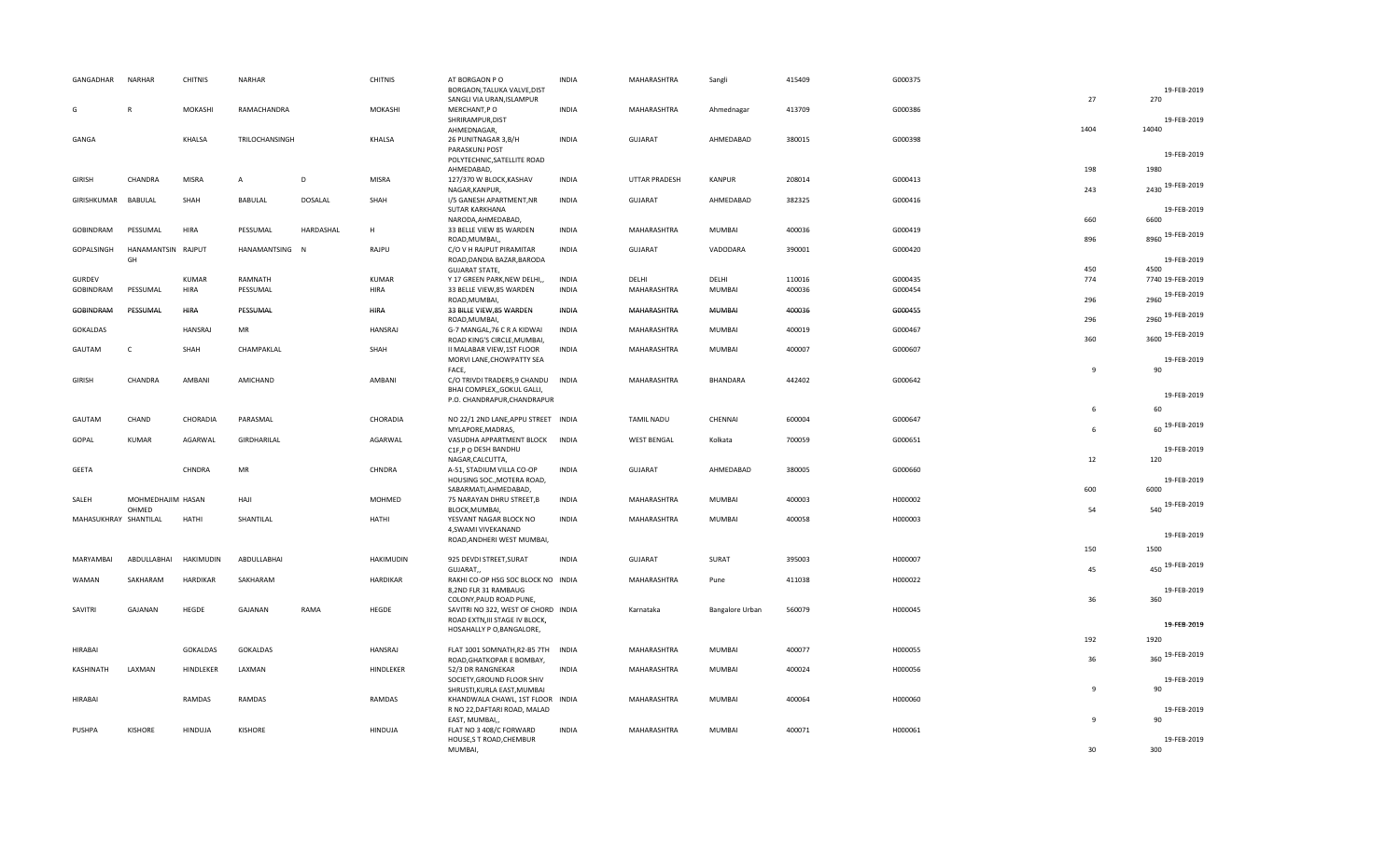| GANGADHAR             | <b>NARHAR</b>              | <b>CHITNIS</b>  | NARHAR          |                | <b>CHITNIS</b>  | AT BORGAON PO<br>BORGAON, TALUKA VALVE, DIST                          | <b>INDIA</b> | MAHARASHTRA          | Sangli          | 415409 | G000375 |              | 19-FEB-2019              |
|-----------------------|----------------------------|-----------------|-----------------|----------------|-----------------|-----------------------------------------------------------------------|--------------|----------------------|-----------------|--------|---------|--------------|--------------------------|
| G                     |                            | MOKASHI         | RAMACHANDRA     |                | MOKASHI         | SANGLI VIA URAN, ISLAMPUR<br>MERCHANT,PO                              | <b>INDIA</b> | MAHARASHTRA          | Ahmednagar      | 413709 | G000386 | 27           | 270                      |
|                       |                            |                 |                 |                |                 | SHRIRAMPUR, DIST<br>AHMEDNAGAR,                                       |              |                      |                 |        |         | 1404         | 19-FEB-2019<br>14040     |
| GANGA                 |                            | <b>KHALSA</b>   | TRILOCHANSINGH  |                | KHALSA          | 26 PUNITNAGAR 3, B/H                                                  | <b>INDIA</b> | GUJARAT              | AHMEDABAD       | 380015 | G000398 |              |                          |
|                       |                            |                 |                 |                |                 | PARASKUNJ POST<br>POLYTECHNIC, SATELLITE ROAD                         |              |                      |                 |        |         |              | 19-FEB-2019              |
|                       | CHANDRA                    | MISRA           | $\overline{A}$  | D              | <b>MISRA</b>    | AHMEDABAD,                                                            | <b>INDIA</b> |                      |                 |        | G000413 | 198          | 1980                     |
| <b>GIRISH</b>         |                            |                 |                 |                |                 | 127/370 W BLOCK, KASHAV<br>NAGAR, KANPUR,                             |              | <b>UTTAR PRADESH</b> | <b>KANPUR</b>   | 208014 |         | 243          | 2430 19-FEB-2019         |
| GIRISHKUMAR           | BABULAL                    | SHAH            | BABULAL         | <b>DOSALAL</b> | SHAH            | I/5 GANESH APARTMENT, NR<br>SUTAR KARKHANA                            | <b>INDIA</b> | <b>GUJARAT</b>       | AHMEDABAD       | 382325 | G000416 | 660          | 19-FEB-2019              |
| GOBINDRAM             | PESSUMAL                   | HIRA            | PESSUMAL        | HARDASHAL      | H               | NARODA, AHMEDABAD,<br>33 BELLE VIEW 85 WARDEN<br>ROAD, MUMBAI,        | <b>INDIA</b> | MAHARASHTRA          | MUMBAI          | 400036 | G000419 | 896          | 6600<br>8960 19-FEB-2019 |
| <b>GOPALSINGH</b>     | HANAMANTSIN RAJPUT         |                 | HANAMANTSING N  |                | RAJPU           | C/O V H RAJPUT PIRAMITAR                                              | <b>INDIA</b> | GUJARAT              | VADODARA        | 390001 | G000420 |              |                          |
|                       | GH                         |                 |                 |                |                 | ROAD, DANDIA BAZAR, BARODA<br><b>GUJARAT STATE,</b>                   |              |                      |                 |        |         | 450          | 19-FEB-2019<br>4500      |
| <b>GURDEV</b>         |                            | <b>KUMAR</b>    | RAMNATH         |                | <b>KUMAR</b>    | Y 17 GREEN PARK, NEW DELHI,,                                          | <b>INDIA</b> | DELHI                | DELHI           | 110016 | G000435 | 774          | 7740 19-FEB-2019         |
| GOBINDRAM             | PESSUMAL                   | HIRA            | PESSUMAL        |                | <b>HIRA</b>     | 33 BELLE VIEW,85 WARDEN<br>ROAD, MUMBAI,                              | <b>INDIA</b> | MAHARASHTRA          | MUMBAI          | 400036 | G000454 | 296          | 2960 19-FEB-2019         |
| <b>GOBINDRAM</b>      | PESSUMAL                   | <b>HIRA</b>     | PESSUMAL        |                | <b>HIRA</b>     | 33 BILLE VIEW,85 WARDEN<br>ROAD, MUMBAI,                              | <b>INDIA</b> | MAHARASHTRA          | <b>MUMBAI</b>   | 400036 | G000455 | 296          | 2960 19-FEB-2019         |
| GOKALDAS              |                            | <b>HANSRAJ</b>  | MR              |                | <b>HANSRAJ</b>  | G-7 MANGAL, 76 C R A KIDWAI<br>ROAD KING'S CIRCLE, MUMBAI,            | <b>INDIA</b> | MAHARASHTRA          | MUMBAI          | 400019 | G000467 | 360          | 3600 19-FEB-2019         |
| GAUTAM                | $\mathsf{C}$               | SHAH            | CHAMPAKLAL      |                | SHAH            | II MALABAR VIEW, 1ST FLOOR                                            | <b>INDIA</b> | MAHARASHTRA          | MUMBAI          | 400007 | G000607 |              |                          |
|                       |                            |                 |                 |                |                 | MORVI LANE, CHOWPATTY SEA<br>FACE,                                    |              |                      |                 |        |         | $\mathbf{q}$ | 19-FEB-2019<br>90        |
| <b>GIRISH</b>         | CHANDRA                    | AMBANI          | AMICHAND        |                | AMBANI          | C/O TRIVDI TRADERS, 9 CHANDU<br>BHAI COMPLEX, GOKUL GALLI,            | INDIA        | MAHARASHTRA          | BHANDARA        | 442402 | G000642 |              |                          |
|                       |                            |                 |                 |                |                 | P.O. CHANDRAPUR, CHANDRAPUR                                           |              |                      |                 |        |         | 6            | 19-FEB-2019<br>60        |
| GAUTAM                | CHAND                      | CHORADIA        | PARASMAL        |                | CHORADIA        | NO 22/1 2ND LANE, APPU STREET INDIA                                   |              | <b>TAMIL NADU</b>    | CHENNAI         | 600004 | G000647 |              |                          |
| GOPAL                 | KUMAR                      | AGARWAL         | GIRDHARILAL     |                | AGARWAL         | MYLAPORE, MADRAS,<br>VASUDHA APPARTMENT BLOCK INDIA                   |              | <b>WEST BENGAL</b>   | Kolkata         | 700059 | G000651 | 6            | 60 19-FEB-2019           |
|                       |                            |                 |                 |                |                 | C1F,P O DESH BANDHU<br>NAGAR, CALCUTTA,                               |              |                      |                 |        |         | 12           | 19-FEB-2019<br>120       |
| GEETA                 |                            | CHNDRA          | MR              |                | CHNDRA          | A-51, STADIUM VILLA CO-OP                                             | <b>INDIA</b> | GUJARAT              | AHMEDABAD       | 380005 | G000660 |              |                          |
|                       |                            |                 |                 |                |                 | HOUSING SOC., MOTERA ROAD,<br>SABARMATI, AHMEDABAD,                   |              |                      |                 |        |         | 600          | 19-FEB-2019<br>6000      |
| SALEH                 | MOHMEDHAJIM HASAN<br>OHMFD |                 | HAJI            |                | MOHMED          | 75 NARAYAN DHRU STREET, B                                             | <b>INDIA</b> | MAHARASHTRA          | MUMBAI          | 400003 | H000002 | 54           | 540 19-FEB-2019          |
| MAHASUKHRAY SHANTILAL |                            | HATHI           | SHANTILAL       |                | <b>HATHI</b>    | BLOCK, MUMBAI,<br>YESVANT NAGAR BLOCK NO                              | <b>INDIA</b> | MAHARASHTRA          | MUMBAI          | 400058 | H000003 |              |                          |
|                       |                            |                 |                 |                |                 | 4,SWAMI VIVEKANAND<br>ROAD, ANDHERI WEST MUMBAI,                      |              |                      |                 |        |         |              | 19-FEB-2019              |
|                       |                            |                 |                 |                |                 |                                                                       |              |                      |                 |        |         | 150          | 1500                     |
| MARYAMBAI             | ABDULLABHAI                | HAKIMUDIN       | ABDULLABHAI     |                | HAKIMUDIN       | 925 DEVDI STREET, SURAT<br>GUJARAT,                                   | <b>INDIA</b> | <b>GUJARAT</b>       | SURAT           | 395003 | H000007 | 45           | 450 19-FEB-2019          |
| WAMAN                 | SAKHARAM                   | <b>HARDIKAR</b> | SAKHARAM        |                | <b>HARDIKAR</b> | RAKHI CO-OP HSG SOC BLOCK NO INDIA                                    |              | MAHARASHTRA          | Pune            | 411038 | H000022 |              |                          |
|                       |                            |                 |                 |                |                 | 8,2ND FLR 31 RAMBAUG<br>COLONY, PAUD ROAD PUNE,                       |              |                      |                 |        |         | 36           | 19-FEB-2019<br>360       |
| SAVITRI               | GAJANAN                    | HEGDE           | GAJANAN         | RAMA           | HEGDE           | SAVITRI NO 322, WEST OF CHORD INDIA<br>ROAD EXTN, III STAGE IV BLOCK, |              | Karnataka            | Bangalore Urban | 560079 | H000045 |              |                          |
|                       |                            |                 |                 |                |                 | HOSAHALLY P O, BANGALORE,                                             |              |                      |                 |        |         | 192          | 19-FEB-2019              |
| HIRABAI               |                            | <b>GOKALDAS</b> | <b>GOKALDAS</b> |                | <b>HANSRAJ</b>  | FLAT 1001 SOMNATH, R2-B5 7TH INDIA                                    |              | MAHARASHTRA          | MUMBAI          | 400077 | H000055 |              | 1920<br>360 19-FEB-2019  |
| KASHINATH             | LAXMAN                     | HINDLEKER       | LAXMAN          |                | HINDLEKER       | ROAD, GHATKOPAR E BOMBAY,<br>52/3 DR RANGNEKAR                        | <b>INDIA</b> | MAHARASHTRA          | MUMBAI          | 400024 | H000056 | 36           |                          |
|                       |                            |                 |                 |                |                 | SOCIETY, GROUND FLOOR SHIV                                            |              |                      |                 |        |         | 9            | 19-FEB-2019              |
| HIRABAI               |                            | RAMDAS          | RAMDAS          |                | RAMDAS          | SHRUSTI, KURLA EAST, MUMBAI<br>KHANDWALA CHAWL, 1ST FLOOR INDIA       |              | MAHARASHTRA          | MUMBAI          | 400064 | H000060 |              | 90                       |
|                       |                            |                 |                 |                |                 | R NO 22, DAFTARI ROAD, MALAD<br>EAST, MUMBAI,,                        |              |                      |                 |        |         | 9            | 19-FEB-2019<br>90        |
| PUSHPA                | <b>KISHORE</b>             | HINDUJA         | KISHORE         |                | HINDUJA         | FLAT NO 3 408/C FORWARD                                               | <b>INDIA</b> | MAHARASHTRA          | MUMBAI          | 400071 | H000061 |              |                          |
|                       |                            |                 |                 |                |                 | HOUSE,S T ROAD, CHEMBUR<br>MUMBAI,                                    |              |                      |                 |        |         | 30           | 19-FEB-2019<br>300       |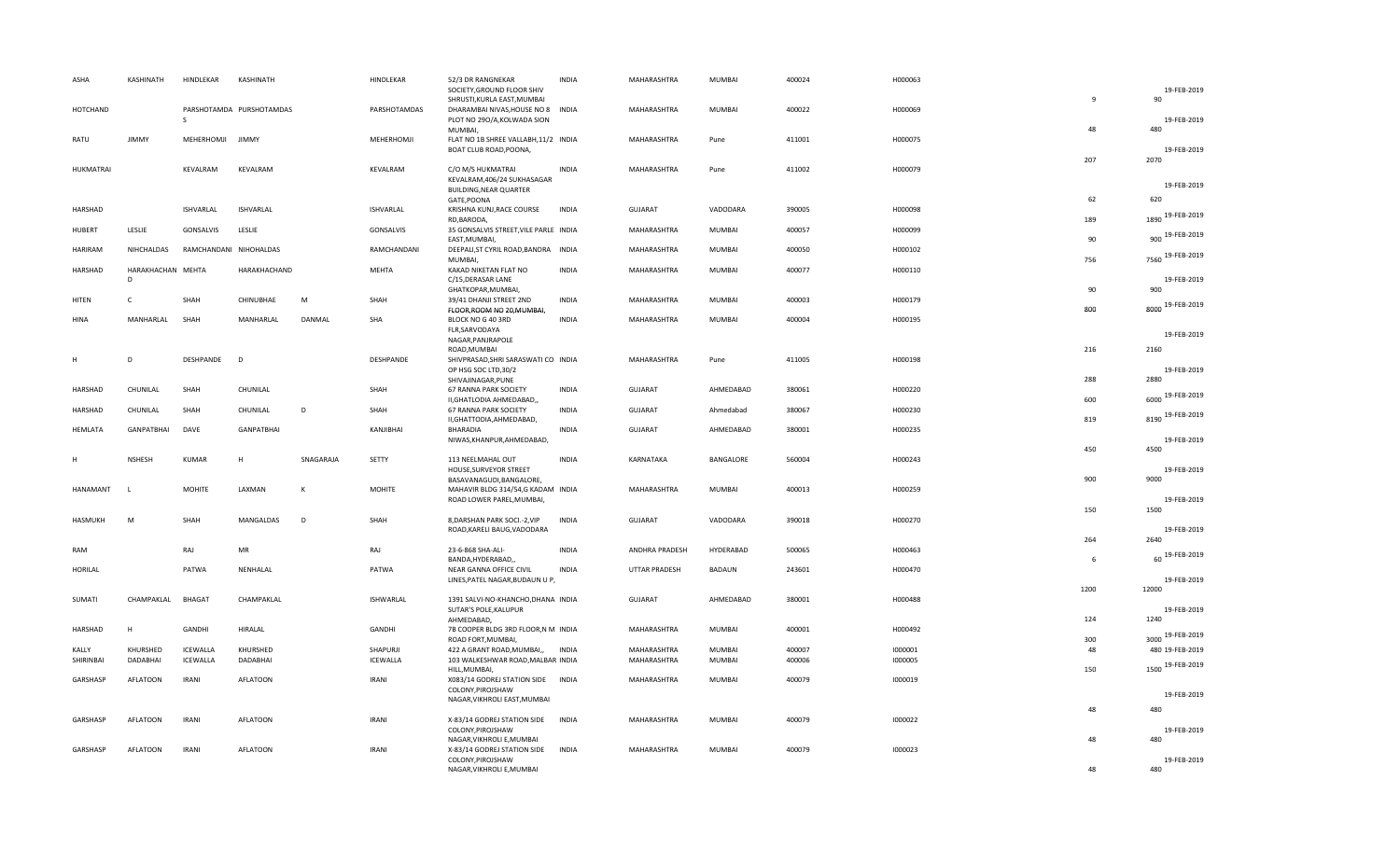| ASHA  |                  | KASHINATH              | HINDLEKAR                   | KASHINATH                |           | HINDLEKAR                   | 52/3 DR RANGNEKAR<br>SOCIETY, GROUND FLOOR SHIV<br>SHRUSTI, KURLA EAST, MUMBAI | <b>INDIA</b> | MAHARASHTRA                | MUMBAI           | 400024           | H000063            | $\overline{9}$ | 19-FEB-2019<br>90   |
|-------|------------------|------------------------|-----------------------------|--------------------------|-----------|-----------------------------|--------------------------------------------------------------------------------|--------------|----------------------------|------------------|------------------|--------------------|----------------|---------------------|
|       | HOTCHAND         |                        | S                           | PARSHOTAMDA PURSHOTAMDAS |           | PARSHOTAMDAS                | DHARAMBAI NIVAS, HOUSE NO 8 INDIA<br>PLOT NO 290/A, KOLWADA SION               |              | MAHARASHTRA                | <b>MUMBAI</b>    | 400022           | H000069            |                | 19-FEB-2019         |
| RATU  |                  | <b>JIMMY</b>           | MEHERHOMJI                  | <b>JIMMY</b>             |           | MEHERHOMJI                  | MUMBAI,<br>FLAT NO 1B SHREE VALLABH, 11/2 INDIA<br>BOAT CLUB ROAD, POONA,      |              | MAHARASHTRA                | Pune             | 411001           | H000075            | 48             | 480<br>19-FEB-2019  |
|       | <b>HUKMATRAI</b> |                        | KEVALRAM                    | KEVALRAM                 |           | KEVALRAM                    | C/O M/S HUKMATRAI<br>KEVALRAM, 406/24 SUKHASAGAR                               | <b>INDIA</b> | MAHARASHTRA                | Pune             | 411002           | H000079            | 207            | 2070<br>19-FEB-2019 |
|       |                  |                        |                             |                          |           |                             | BUILDING, NEAR QUARTER<br>GATE, POONA                                          |              |                            |                  |                  |                    | 62             | 620                 |
|       | HARSHAD          |                        | <b>ISHVARLAL</b>            | <b>ISHVARLAL</b>         |           | ISHVARLAL                   | KRISHNA KUNJ, RACE COURSE<br>RD, BARODA,                                       | <b>INDIA</b> | <b>GUJARAT</b>             | VADODARA         | 390005           | H000098            | 189            | 1890 19-FEB-2019    |
|       | HUBERT           | LESLIE                 | GONSALVIS                   | LESLIE                   |           | GONSALVIS                   | 35 GONSALVIS STREET, VILE PARLE INDIA<br>EAST, MUMBAI,                         |              | MAHARASHTRA                | MUMBAI           | 400057           | H000099            | 90             | 900 19-FEB-2019     |
|       | <b>HARIRAM</b>   | NIHCHALDAS             | RAMCHANDANI NIHOHALDAS      |                          |           | RAMCHANDANI                 | DEEPALI, ST CYRIL ROAD, BANDRA INDIA<br>MUMBAI,                                |              | MAHARASHTRA                | MUMBAI           | 400050           | H000102            | 756            | 7560 19-FEB-2019    |
|       | HARSHAD          | HARAKHACHAN MEHTA<br>D |                             | HARAKHACHAND             |           | <b>MEHTA</b>                | KAKAD NIKETAN FLAT NO<br>C/15, DERASAR LANE<br>GHATKOPAR, MUMBAI,              | <b>INDIA</b> | MAHARASHTRA                | MUMBAI           | 400077           | H000110            | 90             | 19-FEB-2019<br>900  |
| HITEN |                  | C                      | SHAH                        | CHINUBHAE                | M         | SHAH                        | 39/41 DHANJI STREET 2ND                                                        | <b>INDIA</b> | MAHARASHTRA                | MUMBAI           | 400003           | H000179            |                | 8000 19-FEB-2019    |
| HINA  |                  | MANHARLAL              | SHAH                        | MANHARLAL                | DANMAL    | SHA                         | FLOOR, ROOM NO 20, MUMBAI,<br>BLOCK NO G 40 3RD                                | <b>INDIA</b> | MAHARASHTRA                | MUMBAI           | 400004           | H000195            | 800            |                     |
|       |                  |                        |                             |                          |           |                             | FLR, SARVODAYA<br>NAGAR, PANJRAPOLE                                            |              |                            |                  |                  |                    |                | 19-FEB-2019         |
| н     |                  | D                      | <b>DESHPANDE</b>            | D                        |           | DESHPANDE                   | ROAD, MUMBAI<br>SHIVPRASAD, SHRI SARASWATI CO INDIA                            |              | MAHARASHTRA                | Pune             | 411005           | H000198            | 216            | 2160                |
|       |                  |                        |                             |                          |           |                             | OP HSG SOC LTD, 30/2<br>SHIVAJINAGAR, PUNE                                     |              |                            |                  |                  |                    | 288            | 19-FEB-2019<br>2880 |
|       | HARSHAD          | CHUNILAL               | SHAH                        | CHUNILAL                 |           | SHAH                        | 67 RANNA PARK SOCIETY<br>II, GHATLODIA AHMEDABAD,,                             | <b>INDIA</b> | <b>GUJARAT</b>             | AHMEDABAD        | 380061           | H000220            | 600            | 6000 19-FEB-2019    |
|       | HARSHAD          | CHUNILAL               | SHAH                        | CHUNILAL                 | D         | SHAH                        | 67 RANNA PARK SOCIETY<br>II, GHATTODIA, AHMEDABAD,                             | <b>INDIA</b> | GUJARAT                    | Ahmedabad        | 380067           | H000230            | 819            | 8190 19-FEB-2019    |
|       | <b>HEMLATA</b>   | GANPATBHAI             | DAVE                        | <b>GANPATBHAI</b>        |           | KANJIBHAI                   | BHARADIA<br>NIWAS, KHANPUR, AHMEDABAD,                                         | <b>INDIA</b> | <b>GUJARAT</b>             | AHMEDABAD        | 380001           | H000235            |                | 19-FEB-2019         |
| н     |                  | <b>NSHESH</b>          | <b>KUMAR</b>                | H                        | SNAGARAJA | SETTY                       | 113 NEELMAHAL OUT                                                              | <b>INDIA</b> | KARNATAKA                  | BANGALORE        | 560004           | H000243            | 450            | 4500                |
|       |                  |                        |                             |                          |           |                             | HOUSE, SURVEYOR STREET<br>BASAVANAGUDI, BANGALORE,                             |              |                            |                  |                  |                    | 900            | 19-FEB-2019<br>9000 |
|       | HANAMANT         | $\mathbf{L}$           | <b>MOHITE</b>               | LAXMAN                   | K         | <b>MOHITE</b>               | MAHAVIR BLDG 314/54,G KADAM INDIA<br>ROAD LOWER PAREL, MUMBAI,                 |              | MAHARASHTRA                | MUMBAI           | 400013           | H000259            |                | 19-FEB-2019         |
|       | HASMUKH          | M                      | SHAH                        | MANGALDAS                | D         | SHAH                        | 8, DARSHAN PARK SOCI.-2, VIP                                                   | <b>INDIA</b> | <b>GUJARAT</b>             | VADODARA         | 390018           | H000270            | 150            | 1500                |
|       |                  |                        |                             |                          |           |                             | ROAD, KARELI BAUG, VADODARA                                                    |              |                            |                  |                  |                    | 264            | 19-FEB-2019<br>2640 |
| RAM   |                  |                        | RAJ                         | MR                       |           | RAJ                         | 23-6-868 SHA-ALI-<br>BANDA, HYDERABAD,                                         | <b>INDIA</b> | ANDHRA PRADESH             | HYDERABAD        | 500065           | H000463            | 6              | 60 19-FEB-2019      |
|       | <b>HORILAL</b>   |                        | PATWA                       | NENHALAL                 |           | PATWA                       | NEAR GANNA OFFICE CIVIL<br>LINES, PATEL NAGAR, BUDAUN U P,                     | <b>INDIA</b> | <b>UTTAR PRADESH</b>       | <b>BADAUN</b>    | 243601           | H000470            |                | 19-FEB-2019         |
|       | SUMATI           | CHAMPAKLAL             | <b>BHAGAT</b>               | CHAMPAKLAL               |           | ISHWARLAL                   | 1391 SALVI-NO-KHANCHO, DHANA INDIA                                             |              | <b>GUJARAT</b>             | AHMEDABAD        | 380001           | H000488            | 1200           | 12000               |
|       |                  |                        |                             |                          |           |                             | SUTAR'S POLE, KALUPUR<br>AHMEDABAD,                                            |              |                            |                  |                  |                    | 124            | 19-FEB-2019<br>1240 |
|       | HARSHAD          | H                      | GANDHI                      | HIRALAL                  |           | GANDHI                      | 7B COOPER BLDG 3RD FLOOR,N M INDIA<br>ROAD FORT, MUMBAI,                       |              | MAHARASHTRA                | MUMBAI           | 400001           | H000492            | 300            | 3000 19-FEB-2019    |
| KALLY | SHIRINBAI        | KHURSHED<br>DADABHAI   | <b>ICEWALLA</b><br>ICEWALLA | KHURSHED<br>DADABHAI     |           | SHAPURJI<br><b>ICEWALLA</b> | 422 A GRANT ROAD, MUMBAI,,<br>103 WALKESHWAR ROAD, MALBAR INDIA                | <b>INDIA</b> | MAHARASHTRA<br>MAHARASHTRA | MUMBAI<br>MUMBAI | 400007<br>400006 | 1000001<br>1000005 | 48             | 480 19-FEB-2019     |
|       |                  |                        |                             |                          |           |                             | HILL, MUMBAI,                                                                  |              |                            |                  |                  |                    | 150            | 1500 19-FEB-2019    |
|       | GARSHASP         | <b>AFLATOON</b>        | <b>IRANI</b>                | <b>AFLATOON</b>          |           | <b>IRANI</b>                | X083/14 GODREJ STATION SIDE<br>COLONY, PIROJSHAW                               | <b>INDIA</b> | MAHARASHTRA                | MUMBAI           | 400079           | 1000019            |                | 19-FEB-2019         |
|       |                  |                        |                             |                          |           |                             | NAGAR, VIKHROLI EAST, MUMBAI                                                   |              |                            |                  |                  |                    | 48             | 480                 |
|       | GARSHASP         | <b>AFLATOON</b>        | <b>IRANI</b>                | <b>AFLATOON</b>          |           | <b>IRANI</b>                | X-83/14 GODREJ STATION SIDE                                                    | <b>INDIA</b> | MAHARASHTRA                | <b>MUMBAI</b>    | 400079           | 1000022            |                | 19-FEB-2019         |
|       |                  |                        |                             |                          |           |                             | COLONY, PIROJSHAW<br>NAGAR, VIKHROLI E, MUMBAI                                 |              |                            |                  |                  |                    | 48             | 480                 |
|       | GARSHASP         | <b>AFLATOON</b>        | <b>IRANI</b>                | <b>AFLATOON</b>          |           | <b>IRANI</b>                | X-83/14 GODREJ STATION SIDE<br>COLONY, PIROJSHAW                               | <b>INDIA</b> | MAHARASHTRA                | <b>MUMBAI</b>    | 400079           | 1000023            |                | 19-FEB-2019         |
|       |                  |                        |                             |                          |           |                             | NAGAR, VIKHROLI E, MUMBAI                                                      |              |                            |                  |                  |                    | 48             | 480                 |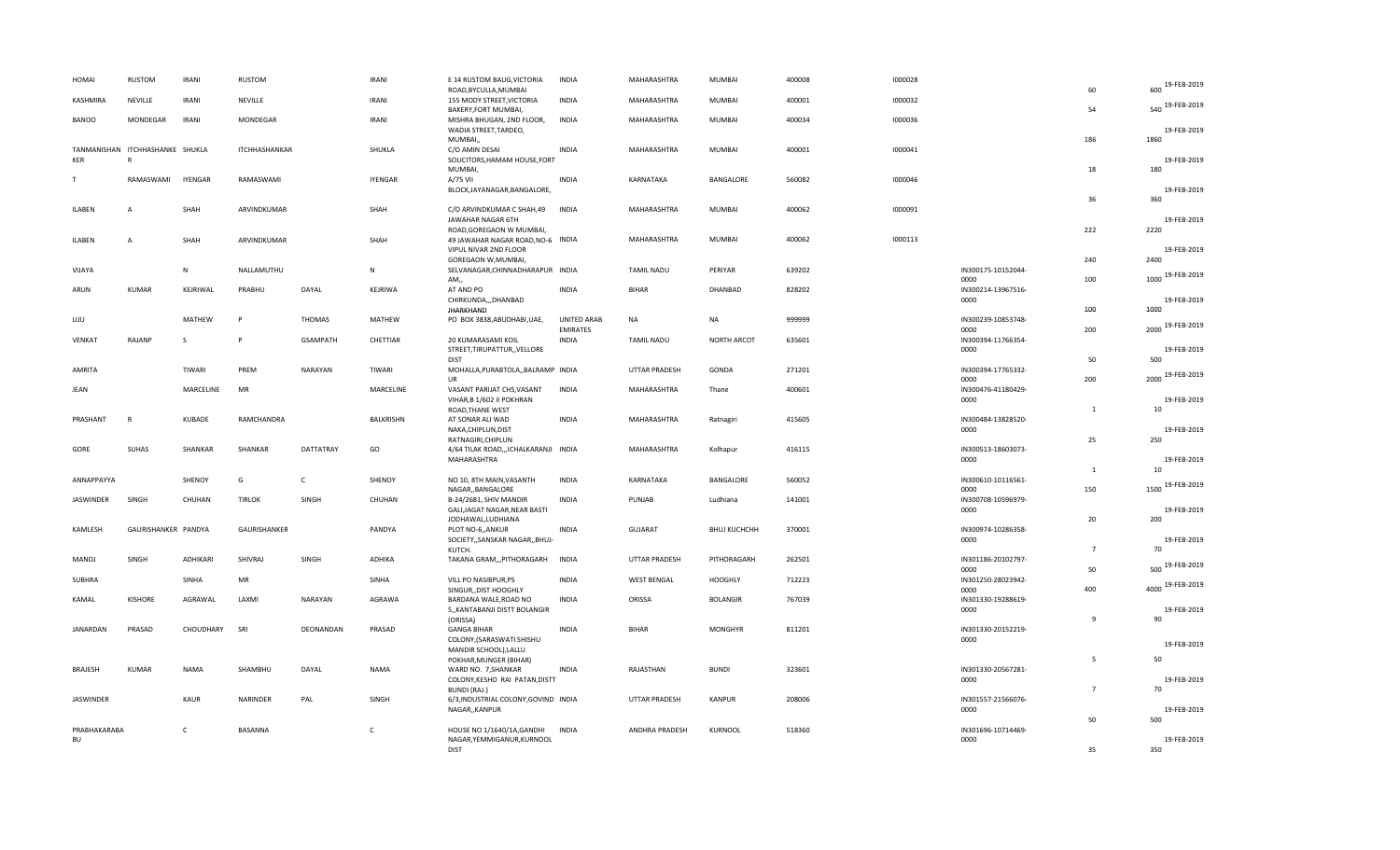| HOMAI          | <b>RUSTOM</b>                   | <b>IRANI</b>   | RUSTOM               |                 | <b>IRANI</b>     | E 14 RUSTOM BAUG, VICTORIA<br>ROAD, BYCULLA, MUMBAI           | <b>INDIA</b>                          | MAHARASHTRA          | <b>MUMBAI</b>       | 400008 | 1000028 |                            | 60             | 19-FEB-2019<br>600  |
|----------------|---------------------------------|----------------|----------------------|-----------------|------------------|---------------------------------------------------------------|---------------------------------------|----------------------|---------------------|--------|---------|----------------------------|----------------|---------------------|
| KASHMIRA       | NEVILLE                         | <b>IRANI</b>   | NEVILLE              |                 | <b>IRANI</b>     | 155 MODY STREET, VICTORIA<br>BAKERY, FORT MUMBAI,             | <b>INDIA</b>                          | MAHARASHTRA          | <b>MUMBAI</b>       | 400001 | 1000032 |                            | 54             | 540 19-FEB-2019     |
| <b>BANOO</b>   | MONDEGAR                        | <b>IRANI</b>   | MONDEGAR             |                 | IRANI            | MISHRA BHUGAN, 2ND FLOOR,<br>WADIA STREET, TARDEO,            | <b>INDIA</b>                          | MAHARASHTRA          | <b>MUMBAI</b>       | 400034 | 1000036 |                            |                | 19-FEB-2019         |
|                | TANMANISHAN ITCHHASHANKE SHUKLA |                | <b>ITCHHASHANKAR</b> |                 | SHUKLA           | MUMBAI,<br>C/O AMIN DESAI                                     | <b>INDIA</b>                          | MAHARASHTRA          | MUMBAI              | 400001 | 1000041 |                            | 186            | 1860                |
| KER            | $\mathbb{R}$                    |                |                      |                 |                  | SOLICITORS, HAMAM HOUSE, FORT                                 |                                       |                      |                     |        |         |                            |                | 19-FEB-2019         |
| T              | RAMASWAMI                       | <b>IYENGAR</b> | RAMASWAMI            |                 | <b>IYENGAR</b>   | MUMBAI,<br>A/75 VII                                           | <b>INDIA</b>                          | KARNATAKA            | BANGALORE           | 560082 | 1000046 |                            | 18             | 180                 |
|                |                                 |                |                      |                 |                  | BLOCK, JAYANAGAR, BANGALORE,                                  |                                       |                      |                     |        |         |                            | 36             | 19-FEB-2019<br>360  |
| ILABEN         | $\overline{A}$                  | SHAH           | ARVINDKUMAR          |                 | SHAH             | C/O ARVINDKUMAR C SHAH,49<br>JAWAHAR NAGAR 6TH                | <b>INDIA</b>                          | MAHARASHTRA          | MUMBAI              | 400062 | 1000091 |                            |                | 19-FEB-2019         |
| ILABEN         | $\overline{A}$                  | SHAH           | ARVINDKUMAR          |                 | SHAH             | ROAD, GOREGAON W MUMBAI,<br>49 JAWAHAR NAGAR ROAD, NO-6 INDIA |                                       | MAHARASHTRA          | MUMBAI              | 400062 | 1000113 |                            | 222            | 2220                |
|                |                                 |                |                      |                 |                  | VIPUL NIVAR 2ND FLOOR<br>GOREGAON W, MUMBAI                   |                                       |                      |                     |        |         |                            | 240            | 19-FEB-2019<br>2400 |
| VIJAYA         |                                 | N              | NALLAMUTHU           |                 | $\mathbf N$      | SELVANAGAR, CHINNADHARAPUR INDIA                              |                                       | <b>TAMIL NADU</b>    | PERIYAR             | 639202 |         | IN300175-10152044-         | 100            | 1000 19-FEB-2019    |
| ARUN           | KUMAR                           | KEJRIWAL       | PRABHU               | DAYAL           | KEJRIWA          | AM,,<br>AT AND PO                                             | <b>INDIA</b>                          | <b>BIHAR</b>         | DHANBAD             | 828202 |         | 0000<br>IN300214-13967516- |                |                     |
|                |                                 |                |                      |                 |                  | CHIRKUNDA,,,DHANBAD<br>JHARKHAND                              |                                       |                      |                     |        |         | 0000                       | 100            | 19-FEB-2019<br>1000 |
| LIJU           |                                 | MATHEW         | P                    | <b>THOMAS</b>   | MATHEW           | PO BOX 3838, ABUDHABI, UAE,                                   | <b>UNITED ARAB</b><br><b>EMIRATES</b> | <b>NA</b>            | <b>NA</b>           | 999999 |         | IN300239-10853748-<br>0000 | 200            | 2000 19-FEB-2019    |
| VENKAT         | RAJANP                          | S              | P                    | <b>GSAMPATH</b> | CHETTIAR         | 20 KUMARASAMI KOIL<br>STREET, TIRUPATTUR, , VELLORE           | <b>INDIA</b>                          | <b>TAMIL NADU</b>    | <b>NORTH ARCOT</b>  | 635601 |         | IN300394-11766354-<br>0000 |                | 19-FEB-2019         |
| AMRITA         |                                 | TIWARI         | PREM                 | NARAYAN         | TIWARI           | <b>DIST</b><br>MOHALLA, PURABTOLA, , BALRAMP INDIA            |                                       | <b>UTTAR PRADESH</b> | GONDA               | 271201 |         | IN300394-17765332-         | 50             | 500                 |
|                |                                 |                | <b>MR</b>            |                 |                  | UR                                                            | <b>INDIA</b>                          |                      |                     |        |         | 0000                       | 200            | 2000 19-FEB-2019    |
| JEAN           |                                 | MARCELINE      |                      |                 | MARCELINE        | VASANT PARIJAT CHS, VASANT<br>VIHAR, B 1/602 II POKHRAN       |                                       | MAHARASHTRA          | Thane               | 400601 |         | IN300476-41180429-<br>0000 |                | 19-FEB-2019         |
| PRASHANT       | $\mathsf{R}$                    | <b>KUBADE</b>  | RAMCHANDRA           |                 | <b>BALKRISHN</b> | ROAD, THANE WEST<br>AT SONAR ALI WAD                          | <b>INDIA</b>                          | MAHARASHTRA          | Ratnagiri           | 415605 |         | IN300484-13828520-         | $\mathbf{1}$   | 10                  |
|                |                                 |                |                      |                 |                  | NAKA, CHIPLUN, DIST<br>RATNAGIRI, CHIPLUN                     |                                       |                      |                     |        |         | 0000                       | 25             | 19-FEB-2019<br>250  |
| GORE           | SUHAS                           | SHANKAR        | SHANKAR              | DATTATRAY       | GO               | 4/64 TILAK ROAD,,,ICHALKARANJI INDIA<br>MAHARASHTRA           |                                       | MAHARASHTRA          | Kolhapur            | 416115 |         | IN300513-18603073-<br>0000 |                | 19-FEB-2019         |
| ANNAPPAYYA     |                                 | SHENOY         | G                    | $\mathsf{C}$    | SHENOY           | NO 10, 8TH MAIN, VASANTH                                      | <b>INDIA</b>                          | KARNATAKA            | BANGALORE           | 560052 |         | IN300610-10116561-         | 1              | 10                  |
|                |                                 |                |                      |                 |                  | NAGAR,, BANGALORE                                             |                                       |                      |                     |        |         | 0000                       | 150            | 19-FEB-2019<br>1500 |
| JASWINDER      | SINGH                           | CHUHAN         | <b>TIRLOK</b>        | SINGH           | CHUHAN           | B-24/2681, SHIV MANDIR<br>GALI, JAGAT NAGAR, NEAR BASTI       | <b>INDIA</b>                          | PUNJAB               | Ludhiana            | 141001 |         | IN300708-10596979-<br>0000 |                | 19-FEB-2019         |
| KAMLESH        | GAURISHANKER PANDYA             |                | GAURISHANKER         |                 | PANDYA           | JODHAWAL,LUDHIANA<br>PLOT NO-6,, ANKUR                        | INDIA                                 | <b>GUJARAT</b>       | <b>BHUJ KUCHCHH</b> | 370001 |         | IN300974-10286358-         | 20             | 200                 |
|                |                                 |                |                      |                 |                  | SOCIETY,, SANSKAR NAGAR,, BHUJ-<br>KUTCH.                     |                                       |                      |                     |        |         | 0000                       | $\overline{7}$ | 19-FEB-2019<br>70   |
| MANOJ          | SINGH                           | ADHIKARI       | SHIVRAJ              | SINGH           | <b>ADHIKA</b>    | TAKANA GRAM,,,PITHORAGARH                                     | <b>INDIA</b>                          | <b>UTTAR PRADESH</b> | PITHORAGARH         | 262501 |         | IN301186-20102797-<br>0000 | 50             | 19-FEB-2019<br>500  |
| SUBHRA         |                                 | SINHA          | MR                   |                 | SINHA            | VILL PO NASIBPUR, PS<br>SINGUR, DIST HOOGHLY                  | INDIA                                 | <b>WEST BENGAL</b>   | <b>HOOGHLY</b>      | 712223 |         | IN301250-28023942-<br>0000 | 400            | 4000 19-FEB-2019    |
| KAMAL          | <b>KISHORE</b>                  | AGRAWAL        | LAXMI                | NARAYAN         | <b>AGRAWA</b>    | BARDANA WALE, ROAD NO                                         | <b>INDIA</b>                          | ORISSA               | <b>BOLANGIR</b>     | 767039 |         | IN301330-19288619-         |                |                     |
|                |                                 |                |                      |                 |                  | 5,, KANTABANJI DISTT BOLANGIR<br>(ORISSA)                     |                                       |                      |                     |        |         | 0000                       | $\mathbf{q}$   | 19-FEB-2019<br>90   |
| JANARDAN       | PRASAD                          | CHOUDHARY      | SRI                  | DEONANDAN       | PRASAD           | <b>GANGA BIHAR</b><br>COLONY, (SARASWATI SHISHU               | <b>INDIA</b>                          | BIHAR                | <b>MONGHYR</b>      | 811201 |         | IN301330-20152219-<br>0000 |                | 19-FEB-2019         |
|                |                                 |                |                      |                 |                  | MANDIR SCHOOL), LALLU<br>POKHAR, MUNGER (BIHAR)               |                                       |                      |                     |        |         |                            | 5              | 50                  |
| <b>BRAJESH</b> | KUMAR                           | <b>NAMA</b>    | SHAMBHU              | DAYAL           | <b>NAMA</b>      | WARD NO. 7, SHANKAR<br>COLONY, KESHO RAI PATAN, DISTT         | <b>INDIA</b>                          | RAJASTHAN            | <b>BUNDI</b>        | 323601 |         | IN301330-20567281-<br>0000 |                | 19-FEB-2019         |
|                |                                 |                | <b>NARINDER</b>      |                 |                  | <b>BUNDI (RAJ.)</b>                                           |                                       |                      | <b>KANPUR</b>       |        |         |                            | $\overline{7}$ | 70                  |
| JASWINDER      |                                 | <b>KAUR</b>    |                      | PAL             | SINGH            | 6/3, INDUSTRIAL COLONY, GOVIND INDIA<br>NAGAR,, KANPUR        |                                       | <b>UTTAR PRADESH</b> |                     | 208006 |         | IN301557-21566076-<br>0000 |                | 19-FEB-2019         |
| PRABHAKARABA   |                                 | C              | BASANNA              |                 | C                | HOUSE NO 1/1640/1A, GANDHI                                    | <b>INDIA</b>                          | ANDHRA PRADESH       | KURNOOL             | 518360 |         | IN301696-10714469-         | 50             | 500                 |
| BU             |                                 |                |                      |                 |                  | NAGAR, YEMMIGANUR, KURNOOL<br><b>DIST</b>                     |                                       |                      |                     |        |         | 0000                       | 35             | 19-FEB-2019<br>350  |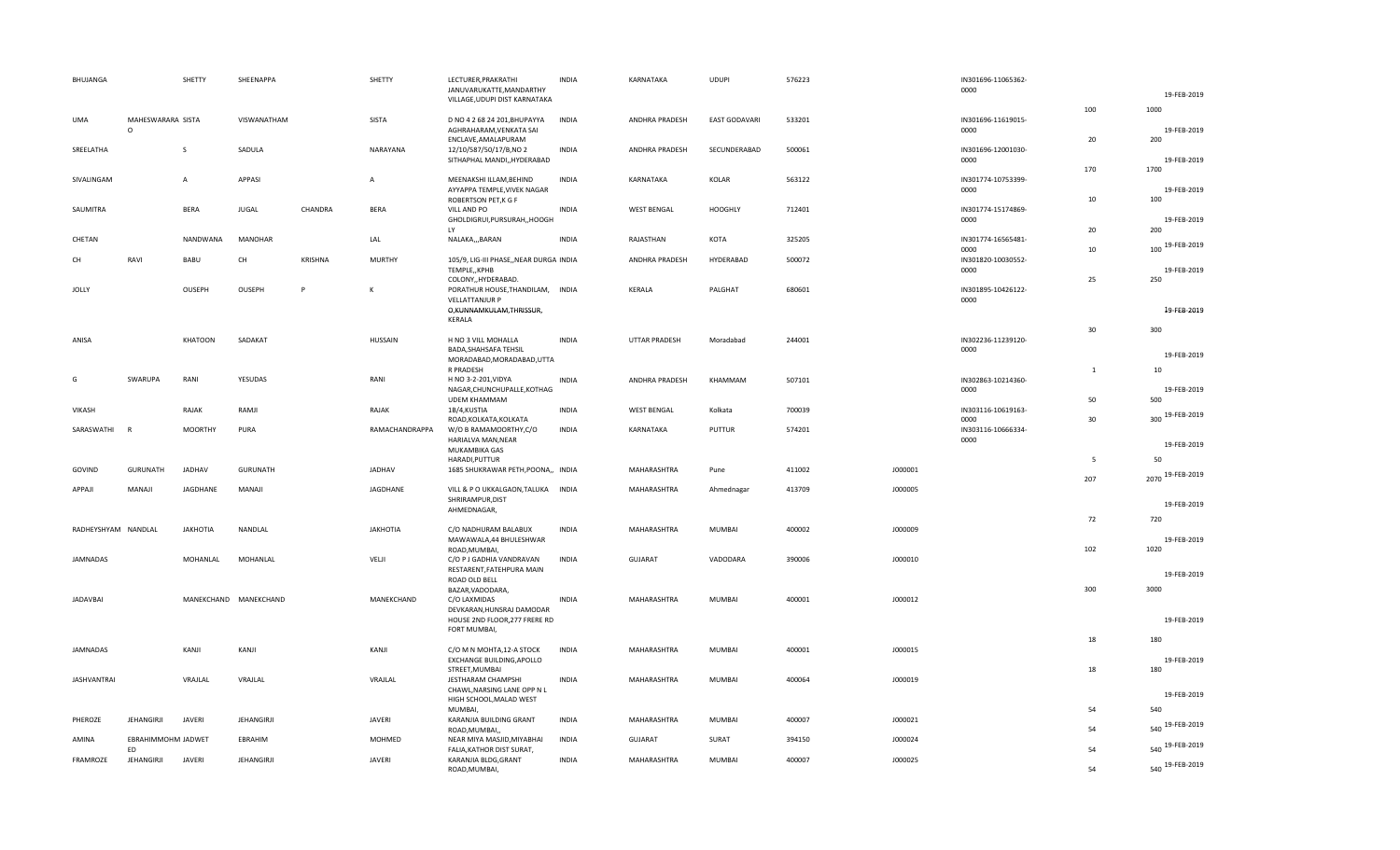| BHUJANGA            |                              | SHETTY          | SHEENAPPA             |         | SHETTY          | LECTURER, PRAKRATHI<br>JANUVARUKATTE, MANDARTHY                                      | <b>INDIA</b> | KARNATAKA          | <b>UDUPI</b>         | 576223 |         | IN301696-11065362-<br>0000 |              |                     |
|---------------------|------------------------------|-----------------|-----------------------|---------|-----------------|--------------------------------------------------------------------------------------|--------------|--------------------|----------------------|--------|---------|----------------------------|--------------|---------------------|
|                     |                              |                 |                       |         |                 | VILLAGE, UDUPI DIST KARNATAKA                                                        |              |                    |                      |        |         |                            | 100          | 19-FEB-2019<br>1000 |
| <b>UMA</b>          | MAHESWARARA SISTA<br>$\circ$ |                 | VISWANATHAM           |         | SISTA           | D NO 4 2 68 24 201, BHUPAYYA<br>AGHRAHARAM, VENKATA SAI                              | <b>INDIA</b> | ANDHRA PRADESH     | <b>EAST GODAVARI</b> | 533201 |         | IN301696-11619015-<br>0000 |              | 19-FEB-2019         |
| SREELATHA           |                              | S               | SADULA                |         | NARAYANA        | ENCLAVE, AMALAPURAM<br>12/10/587/50/17/B,NO 2<br>SITHAPHAL MANDI,, HYDERABAD         | <b>INDIA</b> | ANDHRA PRADESH     | SECUNDERABAD         | 500061 |         | IN301696-12001030-<br>0000 | 20           | 200<br>19-FEB-2019  |
| SIVALINGAM          |                              | $\overline{A}$  | APPASI                |         | $\overline{A}$  | MEENAKSHI ILLAM, BEHIND<br>AYYAPPA TEMPLE, VIVEK NAGAR                               | <b>INDIA</b> | KARNATAKA          | KOLAR                | 563122 |         | IN301774-10753399-<br>0000 | 170          | 1700<br>19-FEB-2019 |
| SAUMITRA            |                              | <b>BERA</b>     | JUGAL                 | CHANDRA | <b>BERA</b>     | ROBERTSON PET, K G F<br>VILL AND PO                                                  | <b>INDIA</b> | <b>WEST BENGAL</b> | <b>HOOGHLY</b>       | 712401 |         | IN301774-15174869-         | 10           | 100                 |
|                     |                              |                 |                       |         |                 | GHOLDIGRUI, PURSURAH,, HOOGH<br>LY                                                   |              |                    |                      |        |         | 0000                       | 20           | 19-FEB-2019<br>200  |
| CHETAN              |                              | NANDWANA        | MANOHAR               |         | LAL             | NALAKA,,,BARAN                                                                       | <b>INDIA</b> | RAJASTHAN          | KOTA                 | 325205 |         | IN301774-16565481-<br>0000 | 10           | 100 19-FEB-2019     |
| CH                  | RAVI                         | BABU            | CH                    | KRISHNA | <b>MURTHY</b>   | 105/9, LIG-III PHASE,, NEAR DURGA INDIA<br>TEMPLE,, KPHB<br>COLONY,, HYDERABAD.      |              | ANDHRA PRADESH     | HYDERABAD            | 500072 |         | IN301820-10030552-<br>0000 | 25           | 19-FEB-2019<br>250  |
| <b>JOLLY</b>        |                              | OUSEPH          | OUSEPH                | p       | K               | PORATHUR HOUSE, THANDILAM, INDIA<br><b>VELLATTANJUR P</b><br>O,KUNNAMKULAM,THRISSUR, |              | KERALA             | PALGHAT              | 680601 |         | IN301895-10426122-<br>0000 |              | 19-FEB-2019         |
|                     |                              |                 |                       |         |                 | KERALA                                                                               |              |                    |                      |        |         |                            | 30           | 300                 |
| ANISA               |                              | <b>KHATOON</b>  | SADAKAT               |         | <b>HUSSAIN</b>  | H NO 3 VILL MOHALLA<br><b>BADA, SHAHSAFA TEHSIL</b>                                  | INDIA        | UTTAR PRADESH      | Moradabad            | 244001 |         | IN302236-11239120-<br>0000 |              | 19-FEB-2019         |
| G                   | SWARUPA                      | RANI            | YESUDAS               |         | RANI            | MORADABAD, MORADABAD, UTTA<br>R PRADESH<br>H NO 3-2-201, VIDYA                       | <b>INDIA</b> | ANDHRA PRADESH     | KHAMMAM              | 507101 |         | IN302863-10214360-         | $\mathbf{1}$ | 10                  |
|                     |                              |                 |                       |         |                 | NAGAR, CHUNCHUPALLE, KOTHAG<br><b>UDEM KHAMMAM</b>                                   |              |                    |                      |        |         | 0000                       | 50           | 19-FEB-2019<br>500  |
| <b>VIKASH</b>       |                              | RAJAK           | RAMJI                 |         | RAJAK           | 1B/4,KUSTIA<br>ROAD, KOLKATA, KOLKATA                                                | <b>INDIA</b> | <b>WEST BENGAL</b> | Kolkata              | 700039 |         | IN303116-10619163-<br>0000 | 30           | 300 19-FEB-2019     |
| SARASWATHI          |                              | MOORTHY         | PURA                  |         | RAMACHANDRAPPA  | W/O B RAMAMOORTHY,C/O<br>HARIALVA MAN, NEAR<br>MUKAMBIKA GAS                         | <b>INDIA</b> | KARNATAKA          | PUTTUR               | 574201 |         | IN303116-10666334-<br>0000 |              | 19-FEB-2019         |
|                     |                              |                 |                       |         |                 | HARADI, PUTTUR                                                                       |              |                    |                      |        |         |                            | 5            | 50                  |
| GOVIND              | <b>GURUNATH</b>              | JADHAV          | <b>GURUNATH</b>       |         | JADHAV          | 1685 SHUKRAWAR PETH, POONA,, INDIA                                                   |              | MAHARASHTRA        | Pune                 | 411002 | J000001 |                            | 207          | 2070 19-FEB-2019    |
| APPAJI              | MANAJI                       | JAGDHANE        | MANAJI                |         | JAGDHANE        | VILL & P O UKKALGAON, TALUKA INDIA<br>SHRIRAMPUR, DIST<br>AHMEDNAGAR,                |              | MAHARASHTRA        | Ahmednagar           | 413709 | J000005 |                            |              | 19-FEB-2019         |
|                     |                              |                 |                       |         |                 |                                                                                      |              |                    |                      |        |         |                            | 72           | 720                 |
| RADHEYSHYAM NANDLAL |                              | <b>JAKHOTIA</b> | NANDLAL               |         | <b>JAKHOTIA</b> | C/O NADHURAM BALABUX<br>MAWAWALA,44 BHULESHWAR<br>ROAD, MUMBAI,                      | <b>INDIA</b> | MAHARASHTRA        | MUMBAI               | 400002 | J000009 |                            | 102          | 19-FEB-2019<br>1020 |
| <b>JAMNADAS</b>     |                              | MOHANLAL        | MOHANLAL              |         | VELJI           | C/O P J GADHIA VANDRAVAN<br>RESTARENT, FATEHPURA MAIN                                | <b>INDIA</b> | GUJARAT            | VADODARA             | 390006 | J000010 |                            |              | 19-FEB-2019         |
| <b>JADAVBAI</b>     |                              |                 | MANEKCHAND MANEKCHAND |         | MANEKCHAND      | ROAD OLD BELL<br>BAZAR, VADODARA,<br>C/O LAXMIDAS<br>DEVKARAN, HUNSRAJ DAMODAR       | <b>INDIA</b> | MAHARASHTRA        | MUMBAI               | 400001 | J000012 |                            | 300          | 3000                |
|                     |                              |                 |                       |         |                 | HOUSE 2ND FLOOR, 277 FRERE RD<br>FORT MUMBAI,                                        |              |                    |                      |        |         |                            |              | 19-FEB-2019         |
| <b>JAMNADAS</b>     |                              | KANJI           | KANJI                 |         | KANJI           | C/O M N MOHTA, 12-A STOCK<br>EXCHANGE BUILDING, APOLLO                               | <b>INDIA</b> | MAHARASHTRA        | MUMBAI               | 400001 | J000015 |                            | 18           | 180<br>19-FEB-2019  |
| <b>JASHVANTRAI</b>  |                              | VRAJLAL         | VRAJLAL               |         | VRAJLAL         | STREET, MUMBAI<br>JESTHARAM CHAMPSHI<br>CHAWL, NARSING LANE OPP N L                  | <b>INDIA</b> | MAHARASHTRA        | MUMBAI               | 400064 | J000019 |                            | 18           | 180                 |
|                     |                              |                 |                       |         |                 | HIGH SCHOOL, MALAD WEST<br>MUMBAI,                                                   |              |                    |                      |        |         |                            | 54           | 19-FEB-2019<br>540  |
| PHEROZE             | JEHANGIRJI                   | JAVERI          | JEHANGIRJI            |         | JAVERI          | KARANJIA BUILDING GRANT<br>ROAD, MUMBAI,                                             | <b>INDIA</b> | MAHARASHTRA        | <b>MUMBAI</b>        | 400007 | J000021 |                            | 54           | 540 19-FEB-2019     |
| AMINA               | EBRAHIMMOHM JADWET<br>ED     |                 | EBRAHIM               |         | MOHMED          | NEAR MIYA MASJID, MIYABHAI<br>FALIA, KATHOR DIST SURAT,                              | <b>INDIA</b> | <b>GUJARAT</b>     | SURAT                | 394150 | J000024 |                            | 54           | 540 19-FEB-2019     |
| FRAMROZE            | JEHANGIRJI                   | <b>JAVERI</b>   | JEHANGIRJI            |         | <b>JAVERI</b>   | KARANJIA BLDG, GRANT<br>ROAD.MUMBAI.                                                 | <b>INDIA</b> | MAHARASHTRA        | MUMBAI               | 400007 | J000025 |                            | 54           | 540 19-FEB-2019     |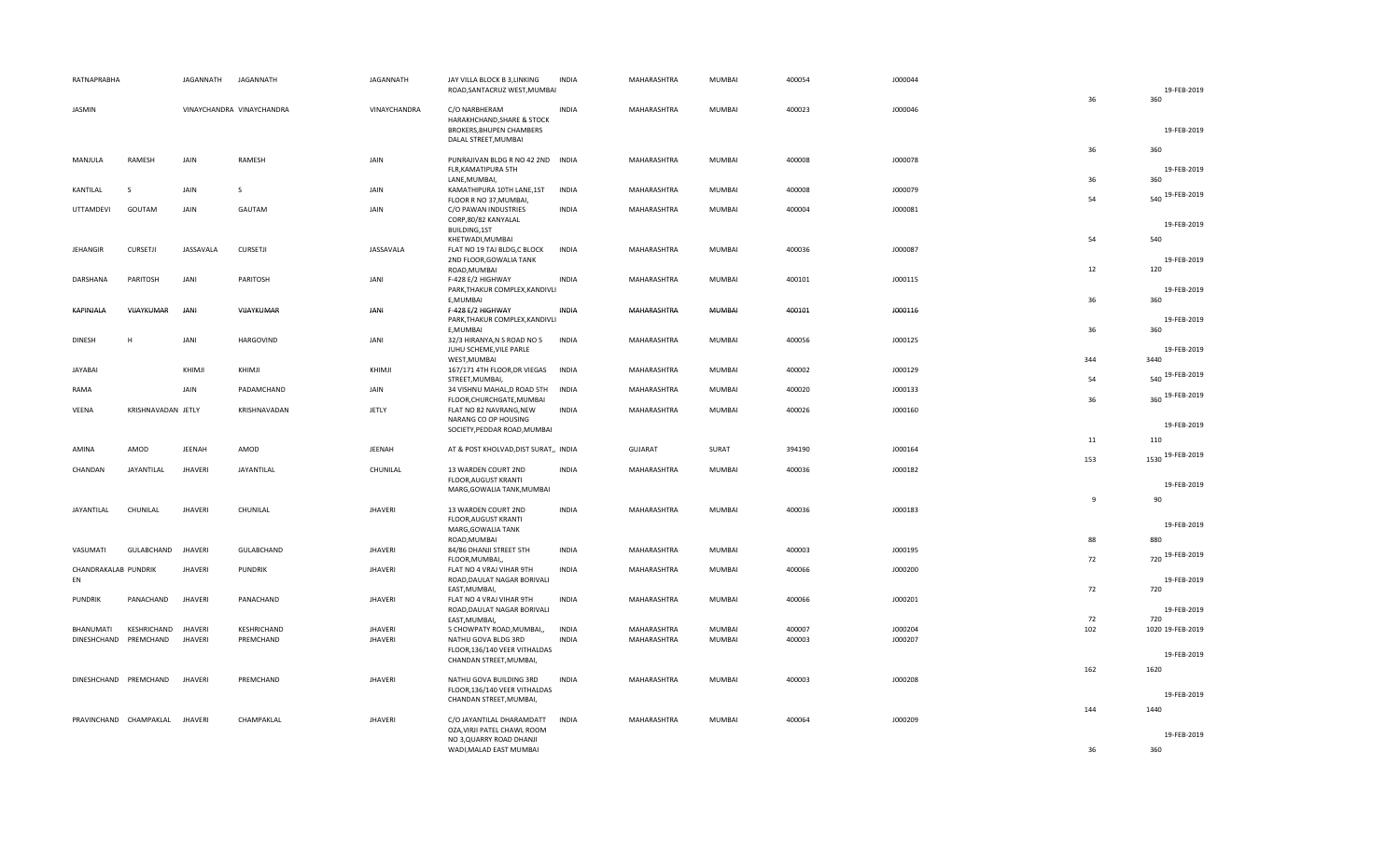| RATNAPRABHA          |                                | JAGANNATH      | JAGANNATH                 | JAGANNATH      | JAY VILLA BLOCK B 3, LINKING<br>ROAD, SANTACRUZ WEST, MUMBAI                                    | <b>INDIA</b> | MAHARASHTRA    | MUMBAI        | 400054 | J000044 |                | 19-FEB-2019             |
|----------------------|--------------------------------|----------------|---------------------------|----------------|-------------------------------------------------------------------------------------------------|--------------|----------------|---------------|--------|---------|----------------|-------------------------|
| JASMIN               |                                |                | VINAYCHANDRA VINAYCHANDRA | VINAYCHANDRA   | C/O NARBHERAM<br>HARAKHCHAND, SHARE & STOCK<br>BROKERS, BHUPEN CHAMBERS<br>DALAL STREET, MUMBAI | <b>INDIA</b> | MAHARASHTRA    | MUMBAI        | 400023 | J000046 | 36             | 360<br>19-FEB-2019      |
| MANJULA              | RAMESH                         | JAIN           | RAMESH                    | JAIN           | PUNRAJIVAN BLDG R NO 42 2ND INDIA                                                               |              | MAHARASHTRA    | MUMBAI        | 400008 | J000078 | 36             | 360                     |
|                      |                                |                |                           |                | FLR, KAMATIPURA 5TH<br>LANE, MUMBAI,                                                            |              |                |               |        |         | 36             | 19-FEB-2019<br>360      |
| KANTILAL             | <sub>S</sub>                   | JAIN           | <sub>S</sub>              | JAIN           | KAMATHIPURA 10TH LANE, 1ST<br>FLOOR R NO 37, MUMBAI,                                            | <b>INDIA</b> | MAHARASHTRA    | MUMBAI        | 400008 | J000079 | 54             | 540 19-FEB-2019         |
| UTTAMDEVI            | GOUTAM                         | JAIN           | GAUTAM                    | JAIN           | C/O PAWAN INDUSTRIES<br>CORP,80/82 KANYALAL<br>BUILDING,1ST                                     | INDIA        | MAHARASHTRA    | MUMBAI        | 400004 | J000081 |                | 19-FEB-2019             |
| <b>JEHANGIR</b>      | <b>CURSETJI</b>                | JASSAVALA      | CURSETJI                  | JASSAVALA      | KHETWADI, MUMBAI<br>FLAT NO 19 TAJ BLDG,C BLOCK                                                 | <b>INDIA</b> | MAHARASHTRA    | MUMBAI        | 400036 | J000087 | 54             | 540                     |
|                      |                                |                |                           |                | 2ND FLOOR, GOWALIA TANK<br>ROAD, MUMBAI                                                         |              |                |               |        |         | 12             | 19-FEB-2019<br>120      |
| DARSHANA             | PARITOSH                       | JANI           | PARITOSH                  | JANI           | F-428 E/2 HIGHWAY<br>PARK, THAKUR COMPLEX, KANDIVLI                                             | <b>INDIA</b> | MAHARASHTRA    | MUMBAI        | 400101 | J000115 |                | 19-FEB-2019             |
|                      |                                |                |                           |                | E, MUMBAI                                                                                       |              |                |               |        |         | 36             | 360                     |
| KAPINJALA            | VIJAYKUMAR                     | JANI           | VIJAYKUMAR                | JANI           | F-428 E/2 HIGHWAY<br>PARK, THAKUR COMPLEX, KANDIVLI<br>E, MUMBAI                                | INDIA        | MAHARASHTRA    | MUMBAI        | 400101 | J000116 | 36             | 19-FEB-2019<br>360      |
| <b>DINESH</b>        | H                              | JANI           | HARGOVIND                 | JANI           | 32/3 HIRANYA, N S ROAD NO 5<br>JUHU SCHEME, VILE PARLE                                          | <b>INDIA</b> | MAHARASHTRA    | MUMBAI        | 400056 | J000125 |                | 19-FEB-2019             |
|                      |                                |                |                           |                | WEST, MUMBAI                                                                                    |              |                |               |        |         | 344            | 3440                    |
| JAYABAI              |                                | KHIMJI         | KHIMJI                    | KHIMJI         | 167/171 4TH FLOOR, DR VIEGAS<br>STREET, MUMBAI,                                                 | <b>INDIA</b> | MAHARASHTRA    | MUMBAI        | 400002 | J000129 | 54             | 540 19-FEB-2019         |
| RAMA                 |                                | JAIN           | PADAMCHAND                | JAIN           | 34 VISHNU MAHAL, D ROAD 5TH<br>FLOOR, CHURCHGATE, MUMBAI                                        | <b>INDIA</b> | MAHARASHTRA    | MUMBAI        | 400020 | J000133 | 36             | 360 19-FEB-2019         |
| VEENA                | KRISHNAVADAN JETLY             |                | KRISHNAVADAN              | JETLY          | FLAT NO 82 NAVRANG, NEW<br>NARANG CO OP HOUSING                                                 | <b>INDIA</b> | MAHARASHTRA    | MUMBAI        | 400026 | J000160 |                |                         |
|                      |                                |                |                           |                | SOCIETY, PEDDAR ROAD, MUMBAI                                                                    |              |                |               |        |         | 11             | 19-FEB-2019             |
| AMINA                | AMOD                           | JEENAH         | AMOD                      | JEENAH         | AT & POST KHOLVAD, DIST SURAT,, INDIA                                                           |              | <b>GUJARAT</b> | SURAT         | 394190 | J000164 | 153            | 110<br>1530 19-FEB-2019 |
| CHANDAN              | JAYANTILAL                     | <b>JHAVERI</b> | JAYANTILAL                | CHUNILAL       | 13 WARDEN COURT 2ND<br>FLOOR, AUGUST KRANTI<br>MARG, GOWALIA TANK, MUMBAI                       | <b>INDIA</b> | MAHARASHTRA    | <b>MUMBAI</b> | 400036 | J000182 |                | 19-FEB-2019             |
| JAYANTILAL           | CHUNILAL                       | <b>JHAVERI</b> | CHUNILAL                  | <b>JHAVERI</b> | 13 WARDEN COURT 2ND                                                                             | <b>INDIA</b> | MAHARASHTRA    | MUMBAI        | 400036 | J000183 | $\overline{9}$ | 90                      |
|                      |                                |                |                           |                | FLOOR, AUGUST KRANTI<br>MARG, GOWALIA TANK                                                      |              |                |               |        |         |                | 19-FEB-2019             |
| VASUMATI             | GULABCHAND                     | <b>JHAVERI</b> | GULABCHAND                | <b>JHAVERI</b> | ROAD, MUMBAI<br>84/86 DHANJI STREET 5TH                                                         | <b>INDIA</b> | MAHARASHTRA    | MUMBAI        | 400003 | J000195 | 88             | 880                     |
| CHANDRAKALAB PUNDRIK |                                | <b>JHAVERI</b> | <b>PUNDRIK</b>            | <b>JHAVERI</b> | FLOOR, MUMBAI,<br>FLAT NO 4 VRAJ VIHAR 9TH                                                      | <b>INDIA</b> | MAHARASHTRA    | MUMBAI        | 400066 | J000200 | 72             | 720 19-FEB-2019         |
| EN                   |                                |                |                           |                | ROAD, DAULAT NAGAR BORIVALI<br>EAST, MUMBAI,                                                    |              |                |               |        |         | 72             | 19-FEB-2019<br>720      |
| <b>PUNDRIK</b>       | PANACHAND                      | <b>JHAVERI</b> | PANACHAND                 | <b>JHAVERI</b> | FLAT NO 4 VRAJ VIHAR 9TH<br>ROAD, DAULAT NAGAR BORIVALI<br>EAST, MUMBAI,                        | <b>INDIA</b> | MAHARASHTRA    | MUMBAI        | 400066 | J000201 | 72             | 19-FEB-2019<br>720      |
| BHANUMATI            | KESHRICHAND                    | <b>JHAVERI</b> | KESHRICHAND               | <b>JHAVERI</b> | 5 CHOWPATY ROAD, MUMBAI,,                                                                       | <b>INDIA</b> | MAHARASHTRA    | MUMBAI        | 400007 | J000204 | 102            | 1020 19-FEB-2019        |
|                      | DINESHCHAND PREMCHAND          | <b>JHAVERI</b> | PREMCHAND                 | <b>JHAVERI</b> | NATHU GOVA BLDG 3RD<br>FLOOR, 136/140 VEER VITHALDAS                                            | <b>INDIA</b> | MAHARASHTRA    | MUMBAI        | 400003 | J000207 |                |                         |
|                      |                                |                |                           |                | CHANDAN STREET, MUMBAI,                                                                         |              |                |               |        |         | 162            | 19-FEB-2019<br>1620     |
|                      | DINESHCHAND PREMCHAND          | <b>JHAVERI</b> | PREMCHAND                 | <b>JHAVERI</b> | NATHU GOVA BUILDING 3RD                                                                         | <b>INDIA</b> | MAHARASHTRA    | MUMBAI        | 400003 | J000208 |                |                         |
|                      |                                |                |                           |                | FLOOR,136/140 VEER VITHALDAS<br>CHANDAN STREET, MUMBAI,                                         |              |                |               |        |         |                | 19-FEB-2019             |
|                      | PRAVINCHAND CHAMPAKLAL JHAVERI |                | CHAMPAKLAL                | <b>JHAVERI</b> | C/O JAYANTILAL DHARAMDATT                                                                       | <b>INDIA</b> | MAHARASHTRA    | <b>MUMBAI</b> | 400064 | J000209 | 144            | 1440                    |
|                      |                                |                |                           |                | OZA, VIRJI PATEL CHAWL ROOM                                                                     |              |                |               |        |         |                | 19-FEB-2019             |
|                      |                                |                |                           |                | NO 3, QUARRY ROAD DHANJI<br>WADI, MALAD EAST MUMBAI                                             |              |                |               |        |         | 36             | 360                     |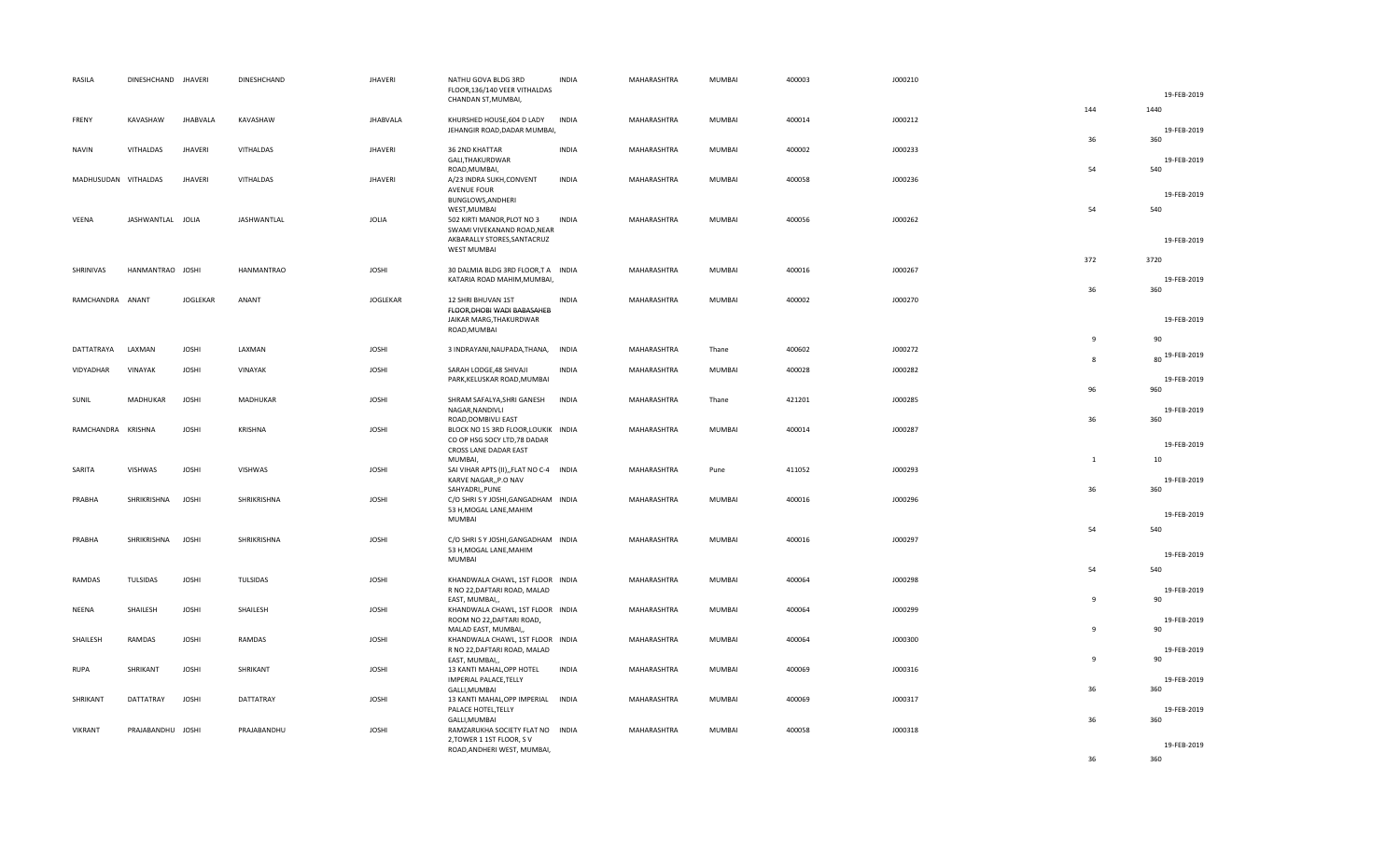| RASILA               | DINESHCHAND JHAVERI |                 | DINESHCHAND       | <b>JHAVERI</b>  | NATHU GOVA BLDG 3RD<br>FLOOR,136/140 VEER VITHALDAS<br>CHANDAN ST, MUMBAI,                               | <b>INDIA</b> | MAHARASHTRA | MUMBAI        | 400003 | J000210 |              | 19-FEB-2019              |
|----------------------|---------------------|-----------------|-------------------|-----------------|----------------------------------------------------------------------------------------------------------|--------------|-------------|---------------|--------|---------|--------------|--------------------------|
| FRENY                | KAVASHAW            | <b>JHABVALA</b> | KAVASHAW          | <b>JHABVALA</b> | KHURSHED HOUSE,604 D LADY                                                                                | INDIA        | MAHARASHTRA | <b>MUMBAI</b> | 400014 | J000212 | 144          | 1440                     |
|                      |                     |                 |                   |                 | JEHANGIR ROAD, DADAR MUMBAI,                                                                             |              |             |               |        |         | 36           | 19-FEB-2019<br>360       |
| <b>NAVIN</b>         | VITHALDAS           | <b>JHAVERI</b>  | VITHALDAS         | <b>JHAVERI</b>  | 36 2ND KHATTAR<br>GALI, THAKURDWAR<br>ROAD, MUMBAI,                                                      | <b>INDIA</b> | MAHARASHTRA | MUMBAI        | 400002 | J000233 | 54           | 19-FEB-2019<br>540       |
| MADHUSUDAN VITHALDAS |                     | <b>JHAVERI</b>  | VITHALDAS         | <b>JHAVERI</b>  | A/23 INDRA SUKH, CONVENT<br><b>AVENUE FOUR</b><br>BUNGLOWS, ANDHERI                                      | <b>INDIA</b> | MAHARASHTRA | MUMBAI        | 400058 | J000236 |              | 19-FEB-2019              |
| VEENA                | JASHWANTLAL JOLIA   |                 | JASHWANTLAL       | <b>JOLIA</b>    | WEST, MUMBAI<br>502 KIRTI MANOR, PLOT NO 3<br>SWAMI VIVEKANAND ROAD, NEAR<br>AKBARALLY STORES, SANTACRUZ | <b>INDIA</b> | MAHARASHTRA | MUMBAI        | 400056 | J000262 | 54           | 540<br>19-FEB-2019       |
|                      |                     |                 |                   |                 | WEST MUMBAI                                                                                              |              |             |               |        |         | 372          | 3720                     |
| SHRINIVAS            | HANMANTRAO JOSHI    |                 | <b>HANMANTRAO</b> | <b>JOSHI</b>    | 30 DALMIA BLDG 3RD FLOOR,T A INDIA<br>KATARIA ROAD MAHIM, MUMBAI,                                        |              | MAHARASHTRA | MUMBAI        | 400016 | J000267 | 36           | 19-FEB-2019              |
| RAMCHANDRA ANANT     |                     | <b>JOGLEKAR</b> | ANANT             | <b>JOGLEKAR</b> | 12 SHRI BHUVAN 1ST<br>FLOOR, DHOBI WADI BABASAHEB<br>JAIKAR MARG, THAKURDWAR                             | <b>INDIA</b> | MAHARASHTRA | <b>MUMBAI</b> | 400002 | J000270 |              | 360<br>19-FEB-2019       |
|                      |                     |                 |                   |                 | ROAD, MUMBAI                                                                                             |              |             |               |        |         | $\mathbf{q}$ | 90                       |
| DATTATRAYA           | LAXMAN              | <b>JOSHI</b>    | LAXMAN            | <b>JOSHI</b>    | 3 INDRAYANI, NAUPADA, THANA, INDIA                                                                       |              | MAHARASHTRA | Thane         | 400602 | J000272 | $\mathbf{g}$ | 80 19-FEB-2019           |
| VIDYADHAR            | VINAYAK             | <b>JOSHI</b>    | VINAYAK           | <b>JOSHI</b>    | SARAH LODGE, 48 SHIVAJI<br>PARK, KELUSKAR ROAD, MUMBAI                                                   | <b>INDIA</b> | MAHARASHTRA | <b>MUMBAI</b> | 400028 | J000282 | 96           | 19-FEB-2019<br>960       |
| SUNIL                | MADHUKAR            | <b>JOSHI</b>    | MADHUKAR          | <b>JOSHI</b>    | SHRAM SAFALYA, SHRI GANESH<br>NAGAR, NANDIVLI<br>ROAD, DOMBIVLI EAST                                     | <b>INDIA</b> | MAHARASHTRA | Thane         | 421201 | J000285 | 36           | 19-FEB-2019<br>360       |
| RAMCHANDRA KRISHNA   |                     | <b>JOSHI</b>    | KRISHNA           | <b>JOSHI</b>    | BLOCK NO 15 3RD FLOOR, LOUKIK INDIA<br>CO OP HSG SOCY LTD,78 DADAR<br>CROSS LANE DADAR EAST              |              | MAHARASHTRA | MUMBAI        | 400014 | J000287 |              | 19-FEB-2019              |
| SARITA               | <b>VISHWAS</b>      | <b>JOSHI</b>    | VISHWAS           | <b>JOSHI</b>    | MUMBAI,<br>SAI VIHAR APTS (II), FLAT NO C-4 INDIA<br>KARVE NAGAR,, P.O NAV<br>SAHYADRI,, PUNE            |              | MAHARASHTRA | Pune          | 411052 | J000293 | 1<br>36      | 10<br>19-FEB-2019<br>360 |
| PRABHA               | SHRIKRISHNA         | <b>JOSHI</b>    | SHRIKRISHNA       | <b>JOSHI</b>    | C/O SHRI S Y JOSHI, GANGADHAM INDIA<br>53 H, MOGAL LANE, MAHIM<br>MUMBAI                                 |              | MAHARASHTRA | <b>MUMBAI</b> | 400016 | J000296 |              | 19-FEB-2019              |
| PRABHA               | SHRIKRISHNA         | <b>JOSHI</b>    | SHRIKRISHNA       | <b>JOSHI</b>    | C/O SHRISY JOSHI, GANGADHAM INDIA                                                                        |              | MAHARASHTRA | <b>MUMBAI</b> | 400016 | J000297 | 54           | 540                      |
|                      |                     |                 |                   |                 | 53 H, MOGAL LANE, MAHIM<br><b>MUMBAI</b>                                                                 |              |             |               |        |         | 54           | 19-FEB-2019<br>540       |
| RAMDAS               | TULSIDAS            | <b>JOSHI</b>    | TULSIDAS          | <b>JOSHI</b>    | KHANDWALA CHAWL, 1ST FLOOR INDIA<br>R NO 22, DAFTARI ROAD, MALAD<br>EAST, MUMBAI,,                       |              | MAHARASHTRA | MUMBAI        | 400064 | J000298 | $\mathbf{q}$ | 19-FEB-2019<br>90        |
| NEENA                | SHAILESH            | <b>JOSHI</b>    | SHAILESH          | <b>JOSHI</b>    | KHANDWALA CHAWL, 1ST FLOOR INDIA<br>ROOM NO 22, DAFTARI ROAD,                                            |              | MAHARASHTRA | MUMBAI        | 400064 | J000299 | 9            | 19-FEB-2019<br>90        |
| SHAILESH             | RAMDAS              | <b>JOSHI</b>    | RAMDAS            | <b>JOSHI</b>    | MALAD EAST, MUMBAI,,<br>KHANDWALA CHAWL, 1ST FLOOR INDIA<br>R NO 22, DAFTARI ROAD, MALAD                 |              | MAHARASHTRA | MUMBAI        | 400064 | J000300 | $\mathbf{q}$ | 19-FEB-2019              |
| <b>RUPA</b>          | SHRIKANT            | <b>JOSHI</b>    | SHRIKANT          | <b>JOSHI</b>    | EAST, MUMBAI,,<br>13 KANTI MAHAL, OPP HOTEL<br>IMPERIAL PALACE, TELLY                                    | <b>INDIA</b> | MAHARASHTRA | MUMBAI        | 400069 | J000316 |              | 90<br>19-FEB-2019        |
| SHRIKANT             | DATTATRAY           | <b>JOSHI</b>    | DATTATRAY         | <b>JOSHI</b>    | GALLI, MUMBAI<br>13 KANTI MAHAL, OPP IMPERIAL INDIA<br>PALACE HOTEL, TELLY                               |              | MAHARASHTRA | MUMBAI        | 400069 | J000317 | 36           | 360<br>19-FEB-2019       |
| VIKRANT              | PRAJABANDHU JOSHI   |                 | PRAJABANDHU       | <b>JOSHI</b>    | GALLI, MUMBAI<br>RAMZARUKHA SOCIETY FLAT NO INDIA<br>2, TOWER 1 1ST FLOOR, SV                            |              | MAHARASHTRA | MUMBAI        | 400058 | J000318 | 36           | 360<br>19-FEB-2019       |
|                      |                     |                 |                   |                 | ROAD, ANDHERI WEST, MUMBAI,                                                                              |              |             |               |        |         | 36           | 360                      |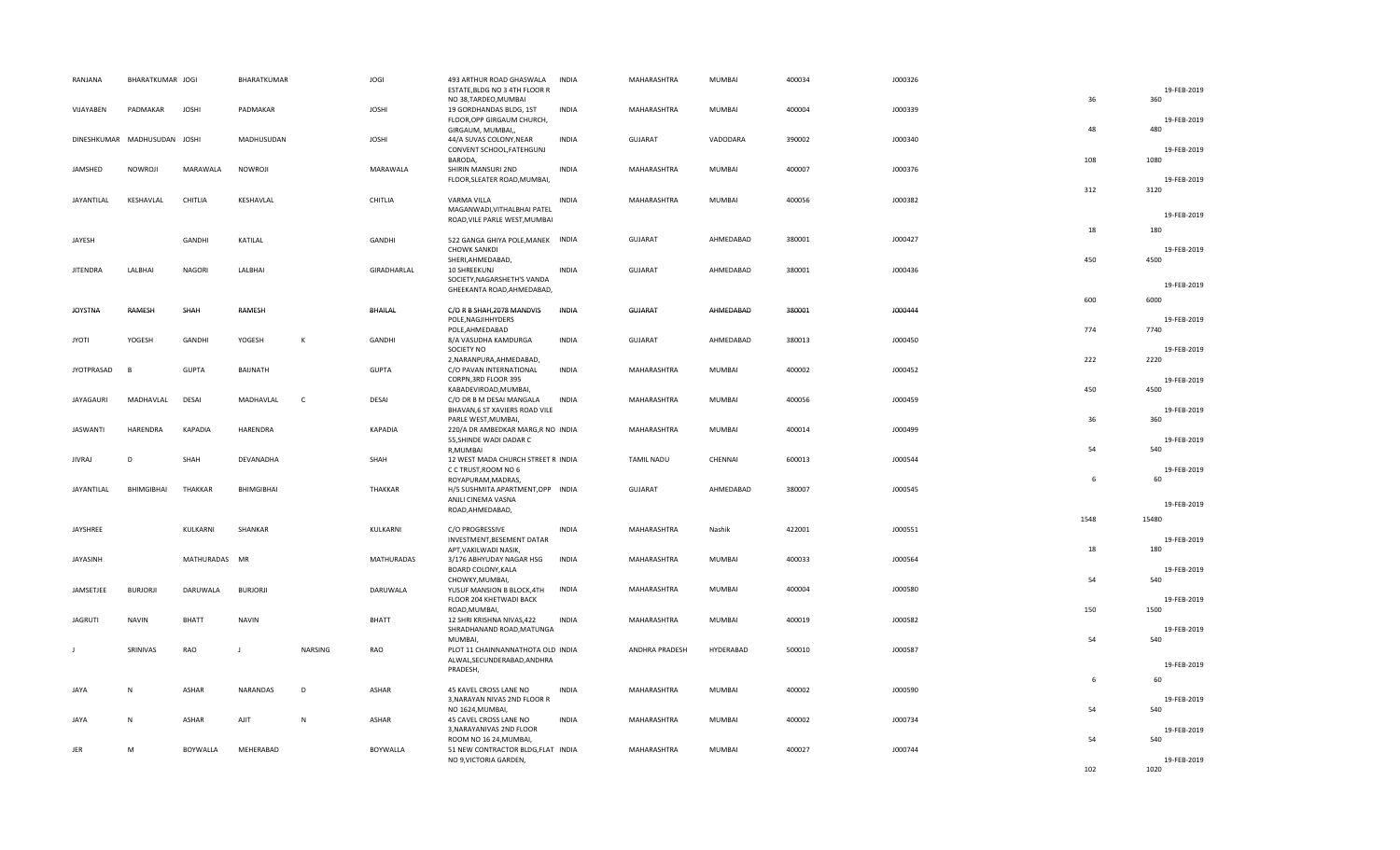| RANJANA           | BHARATKUMAR JOGI             |                 | BHARATKUMAR     |              | <b>JOGI</b>     | 493 ARTHUR ROAD GHASWALA                                         | <b>INDIA</b> | MAHARASHTRA       | MUMBAI        | 400034 | J000326 |      |                    |
|-------------------|------------------------------|-----------------|-----------------|--------------|-----------------|------------------------------------------------------------------|--------------|-------------------|---------------|--------|---------|------|--------------------|
|                   |                              |                 |                 |              |                 | ESTATE, BLDG NO 3 4TH FLOOR R<br>NO 38, TARDEO, MUMBAI           |              |                   |               |        |         | 36   | 19-FEB-2019<br>360 |
| VIJAYABEN         | PADMAKAR                     | <b>JOSHI</b>    | PADMAKAR        |              | <b>JOSHI</b>    | 19 GORDHANDAS BLDG, 1ST                                          | <b>INDIA</b> | MAHARASHTRA       | MUMBAI        | 400004 | J000339 |      |                    |
|                   |                              |                 |                 |              |                 | FLOOR, OPP GIRGAUM CHURCH,                                       |              |                   |               |        |         |      | 19-FEB-2019        |
|                   | DINESHKUMAR MADHUSUDAN JOSHI |                 | MADHUSUDAN      |              | <b>JOSHI</b>    | GIRGAUM, MUMBAI,,<br>44/A SUVAS COLONY, NEAR                     | <b>INDIA</b> | <b>GUJARAT</b>    | VADODARA      | 390002 | J000340 | 48   | 480                |
|                   |                              |                 |                 |              |                 | CONVENT SCHOOL, FATEHGUNJ                                        |              |                   |               |        |         |      | 19-FEB-2019        |
|                   |                              |                 |                 |              |                 | BARODA,                                                          |              |                   |               |        |         | 108  | 1080               |
| JAMSHED           | NOWROJI                      | MARAWALA        | NOWROJI         |              | MARAWALA        | SHIRIN MANSURI 2ND<br>FLOOR, SLEATER ROAD, MUMBAI,               | <b>INDIA</b> | MAHARASHTRA       | MUMBAI        | 400007 | J000376 |      | 19-FEB-2019        |
|                   |                              |                 |                 |              |                 |                                                                  |              |                   |               |        |         | 312  | 3120               |
| <b>JAYANTILAL</b> | KESHAVLAL                    | CHITLIA         | KESHAVLAL       |              | CHITLIA         | VARMA VILLA<br>MAGANWADI, VITHALBHAI PATEL                       | <b>INDIA</b> | MAHARASHTRA       | <b>MUMBAI</b> | 400056 | J000382 |      |                    |
|                   |                              |                 |                 |              |                 | ROAD, VILE PARLE WEST, MUMBAI                                    |              |                   |               |        |         |      | 19-FEB-2019        |
| JAYESH            |                              | GANDHI          | KATILAL         |              | GANDHI          | 522 GANGA GHIYA POLE, MANEK INDIA                                |              | GUJARAT           | AHMEDABAD     | 380001 | J000427 | 18   | 180                |
|                   |                              |                 |                 |              |                 | <b>CHOWK SANKDI</b>                                              |              |                   |               |        |         |      | 19-FEB-2019        |
|                   |                              |                 |                 |              |                 | SHERI, AHMEDABAD,                                                |              |                   |               |        |         | 450  | 4500               |
| <b>JITENDRA</b>   | LALBHAI                      | <b>NAGORI</b>   | LALBHAI         |              | GIRADHARLAL     | 10 SHREEKUNJ<br>SOCIETY, NAGARSHETH'S VANDA                      | <b>INDIA</b> | <b>GUJARAT</b>    | AHMEDABAD     | 380001 | J000436 |      |                    |
|                   |                              |                 |                 |              |                 | GHEEKANTA ROAD, AHMEDABAD,                                       |              |                   |               |        |         |      | 19-FEB-2019        |
| <b>JOYSTNA</b>    | RAMESH                       | SHAH            | RAMESH          |              | BHAILAL         | C/O R B SHAH, 2078 MANDVIS                                       | <b>INDIA</b> | GUJARAT           | AHMEDABAD     | 380001 | J000444 | 600  | 6000               |
|                   |                              |                 |                 |              |                 | POLE, NAGJIHHYDERS                                               |              |                   |               |        |         |      | 19-FEB-2019        |
|                   |                              |                 |                 |              |                 | POLE, AHMEDABAD                                                  |              |                   |               |        |         | 774  | 7740               |
| <b>JYOTI</b>      | YOGESH                       | GANDHI          | YOGESH          | $\mathsf{K}$ | GANDHI          | 8/A VASUDHA KAMDURGA<br>SOCIETY NO                               | <b>INDIA</b> | <b>GUJARAT</b>    | AHMEDABAD     | 380013 | J000450 |      | 19-FEB-2019        |
|                   |                              |                 |                 |              |                 | 2, NARANPURA, AHMEDABAD,                                         |              |                   |               |        |         | 222  | 2220               |
| <b>JYOTPRASAD</b> | <b>R</b>                     | <b>GUPTA</b>    | BAIJNATH        |              | <b>GUPTA</b>    | C/O PAVAN INTERNATIONAL                                          | <b>INDIA</b> | MAHARASHTRA       | <b>MUMBAI</b> | 400002 | J000452 |      | 19-FEB-2019        |
|                   |                              |                 |                 |              |                 | CORPN, 3RD FLOOR 395<br>KABADEVIROAD, MUMBAI,                    |              |                   |               |        |         | 450  | 4500               |
| <b>JAYAGAURI</b>  | MADHAVLAL                    | DESAI           | MADHAVLAL       | $\mathsf{C}$ | DESAI           | C/O DR B M DESAI MANGALA                                         | <b>INDIA</b> | MAHARASHTRA       | MUMBAI        | 400056 | J000459 |      |                    |
|                   |                              |                 |                 |              |                 | BHAVAN, 6 ST XAVIERS ROAD VILE<br>PARLE WEST, MUMBAI,            |              |                   |               |        |         | 36   | 19-FEB-2019<br>360 |
| <b>JASWANTI</b>   | HARENDRA                     | <b>KAPADIA</b>  | HARENDRA        |              | KAPADIA         | 220/A DR AMBEDKAR MARG,R NO INDIA                                |              | MAHARASHTRA       | MUMBAI        | 400014 | J000499 |      |                    |
|                   |                              |                 |                 |              |                 | 55, SHINDE WADI DADAR C<br>R, MUMBAI                             |              |                   |               |        |         | 54   | 19-FEB-2019<br>540 |
| <b>JIVRAJ</b>     | D                            | SHAH            | DEVANADHA       |              | SHAH            | 12 WEST MADA CHURCH STREET R INDIA                               |              | <b>TAMIL NADU</b> | CHENNAI       | 600013 | J000544 |      |                    |
|                   |                              |                 |                 |              |                 | C C TRUST, ROOM NO 6                                             |              |                   |               |        |         |      | 19-FEB-2019        |
| JAYANTILAL        | BHIMGIBHAI                   | THAKKAR         | BHIMGIBHAI      |              | THAKKAR         | ROYAPURAM, MADRAS,<br>H/5 SUSHMITA APARTMENT, OPP INDIA          |              | <b>GUJARAT</b>    | AHMEDABAD     | 380007 | J000545 | 6    | 60                 |
|                   |                              |                 |                 |              |                 | ANJLI CINEMA VASNA                                               |              |                   |               |        |         |      | 19-FEB-2019        |
|                   |                              |                 |                 |              |                 | ROAD, AHMEDABAD,                                                 |              |                   |               |        |         | 1548 | 15480              |
| JAYSHREE          |                              | KULKARNI        | SHANKAR         |              | KULKARNI        | C/O PROGRESSIVE                                                  | <b>INDIA</b> | MAHARASHTRA       | Nashik        | 422001 | J000551 |      |                    |
|                   |                              |                 |                 |              |                 | INVESTMENT, BESEMENT DATAR                                       |              |                   |               |        |         |      | 19-FEB-2019        |
| JAYASINH          |                              | MATHURADAS MR   |                 |              | MATHURADAS      | APT, VAKILWADI NASIK,<br>3/176 ABHYUDAY NAGAR HSG                | <b>INDIA</b> | MAHARASHTRA       | MUMBAI        | 400033 | J000564 | 18   | 180                |
|                   |                              |                 |                 |              |                 | BOARD COLONY, KALA                                               |              |                   |               |        |         |      | 19-FEB-2019        |
| JAMSETJEE         | <b>BURJORJI</b>              | DARUWALA        | <b>BURJORJI</b> |              | DARUWALA        | CHOWKY, MUMBAI,<br>YUSUF MANSION B BLOCK, 4TH                    | <b>INDIA</b> | MAHARASHTRA       | <b>MUMBAI</b> | 400004 | J000580 | 54   | 540                |
|                   |                              |                 |                 |              |                 | FLOOR 204 KHETWADI BACK                                          |              |                   |               |        |         |      | 19-FEB-2019        |
|                   |                              |                 | <b>NAVIN</b>    |              |                 | ROAD, MUMBAI                                                     |              | MAHARASHTRA       | <b>MUMBAI</b> |        |         | 150  | 1500               |
| <b>JAGRUTI</b>    | <b>NAVIN</b>                 | <b>BHATT</b>    |                 |              | <b>BHATT</b>    | 12 SHRI KRISHNA NIVAS, 422<br>SHRADHANAND ROAD, MATUNGA          | <b>INDIA</b> |                   |               | 400019 | J000582 |      | 19-FEB-2019        |
|                   |                              |                 |                 |              |                 | MUMBAI,                                                          |              |                   |               |        |         | 54   | 540                |
| J.                | SRINIVAS                     | RAO             | $\mathbf{I}$    | NARSING      | RAO             | PLOT 11 CHAINNANNATHOTA OLD INDIA<br>ALWAL, SECUNDERABAD, ANDHRA |              | ANDHRA PRADESH    | HYDERABAD     | 500010 | J000587 |      |                    |
|                   |                              |                 |                 |              |                 | PRADESH,                                                         |              |                   |               |        |         |      | 19-FEB-2019        |
| <b>JAYA</b>       | ${\sf N}$                    | ASHAR           | NARANDAS        | D            | ASHAR           | 45 KAVEL CROSS LANE NO                                           | <b>INDIA</b> | MAHARASHTRA       | MUMBAI        | 400002 | J000590 | 6    | 60                 |
|                   |                              |                 |                 |              |                 | 3, NARAYAN NIVAS 2ND FLOOR R                                     |              |                   |               |        |         |      | 19-FEB-2019        |
|                   |                              |                 |                 |              |                 | NO 1624, MUMBAI,                                                 |              |                   |               |        |         | 54   | 540                |
| <b>JAYA</b>       | N                            | ASHAR           | AJIT            | N            | ASHAR           | 45 CAVEL CROSS LANE NO<br>3, NARAYANIVAS 2ND FLOOR               | <b>INDIA</b> | MAHARASHTRA       | MUMBAI        | 400002 | J000734 |      | 19-FEB-2019        |
|                   |                              |                 |                 |              |                 | ROOM NO 16 24, MUMBAI,                                           |              |                   |               |        |         | 54   | 540                |
| JER               | M                            | <b>BOYWALLA</b> | MEHERABAD       |              | <b>BOYWALLA</b> | 51 NEW CONTRACTOR BLDG, FLAT INDIA<br>NO 9, VICTORIA GARDEN,     |              | MAHARASHTRA       | MUMBAI        | 400027 | J000744 |      | 19-FEB-2019        |
|                   |                              |                 |                 |              |                 |                                                                  |              |                   |               |        |         | 102  | 1020               |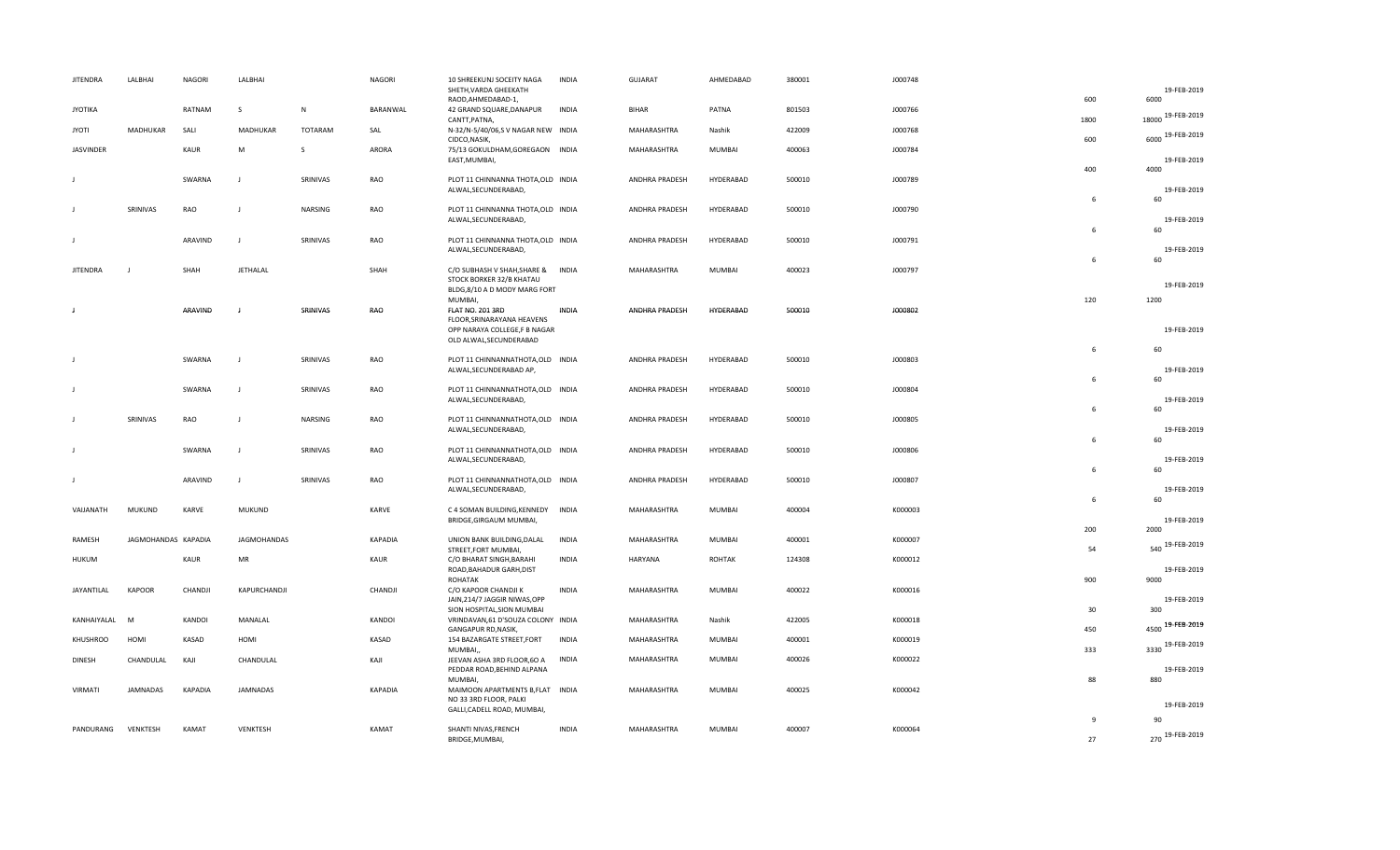| <b>JITENDRA</b> | LALBHAI             | NAGORI         | LALBHAI       |          | <b>NAGORI</b>  | 10 SHREEKUNJ SOCEITY NAGA<br>SHETH, VARDA GHEEKATH<br>RAOD, AHMEDABAD-1,                         | <b>INDIA</b> | GUJARAT        | AHMEDABAD     | 380001 | J000748 | 600  | 19-FEB-2019<br>6000     |
|-----------------|---------------------|----------------|---------------|----------|----------------|--------------------------------------------------------------------------------------------------|--------------|----------------|---------------|--------|---------|------|-------------------------|
| <b>JYOTIKA</b>  |                     | RATNAM         | S.            | N        | BARANWAL       | 42 GRAND SQUARE, DANAPUR                                                                         | INDIA        | BIHAR          | PATNA         | 801503 | J000766 | 1800 | 18000 19-FEB-2019       |
| JYOTI           | MADHUKAR            | SALI           | MADHUKAR      | TOTARAM  | SAL            | CANTT, PATNA,<br>N-32/N-5/40/06,SV NAGAR NEW INDIA<br>CIDCO, NASIK,                              |              | MAHARASHTRA    | Nashik        | 422009 | J000768 | 600  | 6000 19-FEB-2019        |
| JASVINDER       |                     | KAUR           | M             | s        | ARORA          | 75/13 GOKULDHAM, GOREGAON INDIA<br>EAST, MUMBAI,                                                 |              | MAHARASHTRA    | MUMBAI        | 400063 | J000784 |      | 19-FEB-2019             |
|                 |                     |                | J             |          |                |                                                                                                  |              |                |               |        |         | 400  | 4000                    |
| J               |                     | SWARNA         |               | SRINIVAS | RAO            | PLOT 11 CHINNANNA THOTA, OLD INDIA<br>ALWAL, SECUNDERABAD,                                       |              | ANDHRA PRADESH | HYDERABAD     | 500010 | J000789 | 6    | 19-FEB-2019<br>60       |
| J               | SRINIVAS            | RAO            | $\mathbf{J}$  | NARSING  | <b>RAO</b>     | PLOT 11 CHINNANNA THOTA, OLD INDIA<br>ALWAL, SECUNDERABAD,                                       |              | ANDHRA PRADESH | HYDERABAD     | 500010 | J000790 | 6    | 19-FEB-2019<br>60       |
| J.              |                     | ARAVIND        | $\perp$       | SRINIVAS | RAO            | PLOT 11 CHINNANNA THOTA, OLD INDIA<br>ALWAL, SECUNDERABAD,                                       |              | ANDHRA PRADESH | HYDERABAD     | 500010 | J000791 | 6    | 19-FEB-2019<br>60       |
| <b>JITENDRA</b> |                     | SHAH           | JETHALAL      |          | SHAH           | C/O SUBHASH V SHAH, SHARE & INDIA<br>STOCK BORKER 32/B KHATAU                                    |              | MAHARASHTRA    | MUMBAI        | 400023 | J000797 |      | 19-FEB-2019             |
| J               |                     | ARAVIND        | J             | SRINIVAS | RAO            | BLDG,8/10 A D MODY MARG FORT<br>MUMBAI,<br><b>FLAT NO. 201 3RD</b><br>FLOOR, SRINARAYANA HEAVENS | INDIA        | ANDHRA PRADESH | HYDERABAD     | 500010 | J000802 | 120  | 1200                    |
|                 |                     |                |               |          |                | OPP NARAYA COLLEGE,F B NAGAR                                                                     |              |                |               |        |         |      | 19-FEB-2019             |
| J               |                     | SWARNA         | J             | SRINIVAS | RAO            | OLD ALWAL, SECUNDERABAD<br>PLOT 11 CHINNANNATHOTA, OLD INDIA                                     |              | ANDHRA PRADESH | HYDERABAD     | 500010 | J000803 | 6    | 60                      |
|                 |                     |                |               |          |                | ALWAL, SECUNDERABAD AP,                                                                          |              |                |               |        |         | 6    | 19-FEB-2019<br>60       |
| J               |                     | SWARNA         | $\mathbf{J}$  | SRINIVAS | RAO            | PLOT 11 CHINNANNATHOTA, OLD INDIA<br>ALWAL, SECUNDERABAD,                                        |              | ANDHRA PRADESH | HYDERABAD     | 500010 | J000804 |      | 19-FEB-2019             |
| J.              | SRINIVAS            | RAO            | J             | NARSING  | RAO            | PLOT 11 CHINNANNATHOTA, OLD INDIA                                                                |              | ANDHRA PRADESH | HYDERABAD     | 500010 | J000805 | 6    | 60                      |
|                 |                     |                |               |          |                | ALWAL, SECUNDERABAD,                                                                             |              |                |               |        |         | 6    | 19-FEB-2019<br>60       |
| J               |                     | SWARNA         | $\mathbf{J}$  | SRINIVAS | RAO            | PLOT 11 CHINNANNATHOTA, OLD INDIA<br>ALWAL, SECUNDERABAD,                                        |              | ANDHRA PRADESH | HYDERABAD     | 500010 | J000806 | 6    | 19-FEB-2019<br>60       |
| J               |                     | ARAVIND        | $\mathbf{J}$  | SRINIVAS | RAO            | PLOT 11 CHINNANNATHOTA, OLD INDIA<br>ALWAL, SECUNDERABAD,                                        |              | ANDHRA PRADESH | HYDERABAD     | 500010 | J000807 |      | 19-FEB-2019             |
| VAIJANATH       | MUKUND              | <b>KARVE</b>   | <b>MUKUND</b> |          | KARVE          | C 4 SOMAN BUILDING, KENNEDY INDIA                                                                |              | MAHARASHTRA    | MUMBAI        | 400004 | K000003 | 6    | 60                      |
|                 |                     |                |               |          |                | BRIDGE, GIRGAUM MUMBAI,                                                                          |              |                |               |        |         | 200  | 19-FEB-2019<br>2000     |
| RAMESH          | JAGMOHANDAS KAPADIA |                | JAGMOHANDAS   |          | KAPADIA        | UNION BANK BUILDING, DALAL<br>STREET, FORT MUMBAI,                                               | <b>INDIA</b> | MAHARASHTRA    | MUMBAI        | 400001 | K000007 | 54   | 540 19-FEB-2019         |
| <b>HUKUM</b>    |                     | KAUR           | MR            |          | KAUR           | C/O BHARAT SINGH, BARAHI<br>ROAD, BAHADUR GARH, DIST<br><b>ROHATAK</b>                           | <b>INDIA</b> | HARYANA        | <b>ROHTAK</b> | 124308 | K000012 | 900  | 19-FEB-2019<br>9000     |
| JAYANTILAL      | <b>KAPOOR</b>       | CHANDJI        | KAPURCHANDJI  |          | CHANDJI        | C/O KAPOOR CHANDJI K<br>JAIN, 214/7 JAGGIR NIWAS, OPP                                            | <b>INDIA</b> | MAHARASHTRA    | MUMBAI        | 400022 | K000016 |      | 19-FEB-2019             |
| KANHAIYALAL     | M                   | KANDOI         | MANALAL       |          | KANDOI         | SION HOSPITAL, SION MUMBAI<br>VRINDAVAN, 61 D'SOUZA COLONY INDIA                                 |              | MAHARASHTRA    | Nashik        | 422005 | K000018 | 30   | 300<br>4500 19-FEB-2019 |
| KHUSHROO        | HOMI                | KASAD          | HOMI          |          | KASAD          | GANGAPUR RD, NASIK,<br>154 BAZARGATE STREET, FORT                                                | <b>INDIA</b> | MAHARASHTRA    | MUMBAI        | 400001 | K000019 | 450  | 3330 19-FEB-2019        |
| <b>DINESH</b>   | CHANDULAL           | KAJI           | CHANDULAL     |          | KAJI           | MUMBAI,<br>JEEVAN ASHA 3RD FLOOR,6O A                                                            | <b>INDIA</b> | MAHARASHTRA    | MUMBAI        | 400026 | K000022 | 333  |                         |
|                 |                     |                |               |          |                | PEDDAR ROAD, BEHIND ALPANA<br>MUMBAI,                                                            |              |                |               |        |         | 88   | 19-FEB-2019<br>880      |
| VIRMATI         | <b>JAMNADAS</b>     | <b>KAPADIA</b> | JAMNADAS      |          | <b>KAPADIA</b> | MAIMOON APARTMENTS B, FLAT INDIA<br>NO 33 3RD FLOOR, PALKI                                       |              | MAHARASHTRA    | MUMBAI        | 400025 | K000042 |      | 19-FEB-2019             |
|                 |                     |                |               |          |                | GALLI, CADELL ROAD, MUMBAI,                                                                      |              |                |               |        |         | 9    | 90                      |
| PANDURANG       | VENKTESH            | KAMAT          | VENKTESH      |          | KAMAT          | SHANTI NIVAS, FRENCH<br>BRIDGE, MUMBAI,                                                          | <b>INDIA</b> | MAHARASHTRA    | MUMBAI        | 400007 | K000064 | 27   | 270 19-FEB-2019         |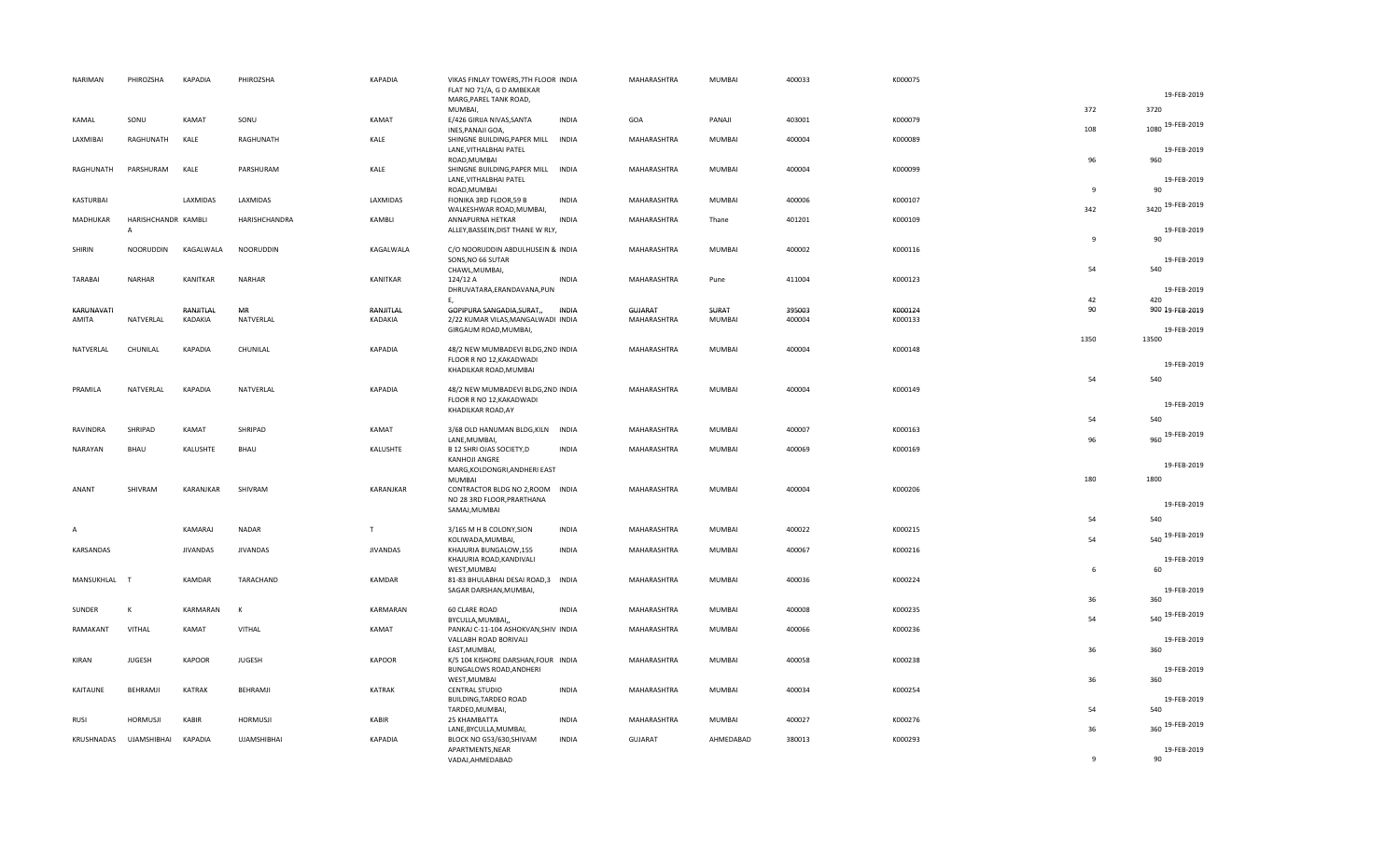| NARIMAN                | PHIROZSHA                             | <b>KAPADIA</b>       | PHIROZSHA          | <b>KAPADIA</b>       | VIKAS FINLAY TOWERS, 7TH FLOOR INDIA<br>FLAT NO 71/A, G D AMBEKAR<br>MARG, PAREL TANK ROAD, |              | MAHARASHTRA            | MUMBAI          | 400033           | K000075            |              | 19-FEB-2019            |
|------------------------|---------------------------------------|----------------------|--------------------|----------------------|---------------------------------------------------------------------------------------------|--------------|------------------------|-----------------|------------------|--------------------|--------------|------------------------|
| KAMAL                  | SONU                                  | KAMAT                | SONU               | KAMAT                | MUMBAI,<br>E/426 GIRIJA NIVAS, SANTA                                                        | <b>INDIA</b> | GOA                    | PANAJI          | 403001           | K000079            | 372          | 3720                   |
| LAXMIBAI               | RAGHUNATH                             | KALE                 | RAGHUNATH          | KALE                 | INES, PANAJI GOA,<br>SHINGNE BUILDING, PAPER MILL INDIA                                     |              | MAHARASHTRA            | MUMBAI          | 400004           | K000089            | 108          | 1080 19-FEB-2019       |
|                        |                                       |                      |                    |                      | LANE, VITHALBHAI PATEL<br>ROAD, MUMBAI                                                      |              |                        |                 |                  |                    | 96           | 19-FEB-2019<br>960     |
| RAGHUNATH              | PARSHURAM                             | KALE                 | PARSHURAM          | KALE                 | SHINGNE BUILDING, PAPER MILL<br>LANE, VITHALBHAI PATEL<br>ROAD, MUMBAI                      | <b>INDIA</b> | MAHARASHTRA            | MUMBAI          | 400004           | K000099            | $\mathbf{q}$ | 19-FEB-2019<br>90      |
| <b>KASTURBAI</b>       |                                       | LAXMIDAS             | LAXMIDAS           | LAXMIDAS             | FIONIKA 3RD FLOOR,59 B<br>WALKESHWAR ROAD, MUMBAI,                                          | <b>INDIA</b> | MAHARASHTRA            | MUMBAI          | 400006           | K000107            | 342          | 3420 19-FEB-2019       |
| MADHUKAR               | HARISHCHANDR KAMBLI<br>$\overline{A}$ |                      | HARISHCHANDRA      | KAMBLI               | ANNAPURNA HETKAR<br>ALLEY, BASSEIN, DIST THANE W RLY,                                       | <b>INDIA</b> | MAHARASHTRA            | Thane           | 401201           | K000109            |              | 19-FEB-2019            |
| SHIRIN                 | <b>NOORUDDIN</b>                      | KAGALWALA            | <b>NOORUDDIN</b>   | KAGALWALA            | C/O NOORUDDIN ABDULHUSEIN & INDIA<br>SONS, NO 66 SUTAR                                      |              | MAHARASHTRA            | <b>MUMBAI</b>   | 400002           | K000116            | -9           | 90<br>19-FEB-2019      |
| <b>TARABAI</b>         | <b>NARHAR</b>                         | <b>KANITKAR</b>      | NARHAR             | KANITKAR             | CHAWL, MUMBAI,<br>124/12 A                                                                  | <b>INDIA</b> | MAHARASHTRA            | Pune            | 411004           | K000123            | 54           | 540                    |
|                        |                                       |                      |                    |                      | DHRUVATARA, ERANDAVANA, PUN<br>Ε,                                                           |              |                        |                 |                  |                    | 42           | 19-FEB-2019<br>420     |
| KARUNAVATI<br>AMITA    | NATVERLAL                             | RANJITLAL<br>KADAKIA | MR<br>NATVERLAL    | RANJITLAL<br>KADAKIA | GOPIPURA SANGADIA, SURAT,,<br>2/22 KUMAR VILAS, MANGALWADI INDIA                            | INDIA        | GUJARAT<br>MAHARASHTRA | SURAT<br>MUMBAI | 395003<br>400004 | K000124<br>K000133 | 90           | 900 19-FEB-2019        |
|                        |                                       |                      |                    |                      | GIRGAUM ROAD, MUMBAI,                                                                       |              |                        |                 |                  |                    | 1350         | 19-FEB-2019<br>13500   |
| NATVERLAL              | CHUNILAL                              | KAPADIA              | CHUNILAL           | <b>KAPADIA</b>       | 48/2 NEW MUMBADEVI BLDG, 2ND INDIA<br>FLOOR R NO 12, KAKADWADI                              |              | MAHARASHTRA            | <b>MUMBAI</b>   | 400004           | K000148            |              | 19-FEB-2019            |
| PRAMILA                | NATVERLAL                             | <b>KAPADIA</b>       | NATVERLAL          | <b>KAPADIA</b>       | KHADILKAR ROAD, MUMBAI<br>48/2 NEW MUMBADEVI BLDG, 2ND INDIA                                |              | MAHARASHTRA            | MUMBAI          | 400004           | K000149            | 54           | 540                    |
|                        |                                       |                      |                    |                      | FLOOR R NO 12, KAKADWADI<br>KHADILKAR ROAD, AY                                              |              |                        |                 |                  |                    |              | 19-FEB-2019            |
| RAVINDRA               | SHRIPAD                               | KAMAT                | SHRIPAD            | KAMAT                | 3/68 OLD HANUMAN BLDG, KILN INDIA                                                           |              | MAHARASHTRA            | MUMBAI          | 400007           | K000163            | 54           | 540<br>960 19-FEB-2019 |
| NARAYAN                | <b>BHAU</b>                           | KALUSHTE             | BHAU               | KALUSHTE             | LANE, MUMBAI,<br>B 12 SHRI OJAS SOCIETY, D<br>KANHOJI ANGRE                                 | <b>INDIA</b> | MAHARASHTRA            | MUMBAI          | 400069           | K000169            | 96           |                        |
|                        |                                       |                      |                    |                      | MARG, KOLDONGRI, ANDHERI EAST<br><b>MUMBAI</b>                                              |              |                        |                 |                  |                    | 180          | 19-FEB-2019<br>1800    |
| ANANT                  | SHIVRAM                               | KARANJKAR            | SHIVRAM            | KARANJKAR            | CONTRACTOR BLDG NO 2, ROOM INDIA<br>NO 28 3RD FLOOR, PRARTHANA<br>SAMAJ, MUMBAI             |              | MAHARASHTRA            | MUMBAI          | 400004           | K000206            |              | 19-FEB-2019            |
|                        |                                       | KAMARAJ              | <b>NADAR</b>       | T                    | 3/165 M H B COLONY, SION                                                                    | <b>INDIA</b> | MAHARASHTRA            | MUMBAI          | 400022           | K000215            | 54           | 540                    |
| KARSANDAS              |                                       | <b>JIVANDAS</b>      | <b>JIVANDAS</b>    | <b>JIVANDAS</b>      | KOLIWADA, MUMBAI,<br>KHAJURIA BUNGALOW,155                                                  | <b>INDIA</b> | MAHARASHTRA            | MUMBAI          | 400067           | K000216            | 54           | 19-FEB-2019<br>540     |
|                        |                                       |                      |                    |                      | KHAJURIA ROAD, KANDIVALI<br>WEST, MUMBAI                                                    |              |                        |                 |                  |                    | 6            | 19-FEB-2019<br>60      |
| MANSUKHLAL             | $\mathbf{T}$                          | KAMDAR               | TARACHAND          | KAMDAR               | 81-83 BHULABHAI DESAI ROAD,3 INDIA<br>SAGAR DARSHAN, MUMBAI,                                |              | MAHARASHTRA            | <b>MUMBAI</b>   | 400036           | K000224            | 36           | 19-FEB-2019<br>360     |
| SUNDER                 | к                                     | KARMARAN             | к                  | KARMARAN             | <b>60 CLARE ROAD</b><br>BYCULLA, MUMBAI,                                                    | <b>INDIA</b> | MAHARASHTRA            | MUMBAI          | 400008           | K000235            | 54           | 540 19-FEB-2019        |
| RAMAKANT               | VITHAL                                | KAMAT                | VITHAL             | KAMAT                | PANKAJ C-11-104 ASHOKVAN, SHIV INDIA<br>VALLABH ROAD BORIVALI                               |              | MAHARASHTRA            | MUMBAI          | 400066           | K000236            |              | 19-FEB-2019            |
| <b>KIRAN</b>           | <b>JUGESH</b>                         | <b>KAPOOR</b>        | <b>JUGESH</b>      | <b>KAPOOR</b>        | EAST, MUMBAI,<br>K/5 104 KISHORE DARSHAN, FOUR INDIA                                        |              | MAHARASHTRA            | MUMBAI          | 400058           | K000238            | 36           | 360                    |
| KAITAUNE               | BEHRAMJI                              | <b>KATRAK</b>        | BEHRAMJI           | <b>KATRAK</b>        | BUNGALOWS ROAD, ANDHERI<br>WEST, MUMBAI<br>CENTRAL STUDIO                                   | <b>INDIA</b> | MAHARASHTRA            | MUMBAI          | 400034           | K000254            | 36           | 19-FEB-2019<br>360     |
|                        |                                       |                      |                    |                      | BUILDING, TARDEO ROAD<br>TARDEO, MUMBAI,                                                    |              |                        |                 |                  |                    | 54           | 19-FEB-2019<br>540     |
| <b>RUSI</b>            | <b>HORMUSJI</b>                       | KABIR                | <b>HORMUSJI</b>    | KABIR                | 25 KHAMBATTA<br>LANE, BYCULLA, MUMBAI,                                                      | <b>INDIA</b> | MAHARASHTRA            | MUMBAI          | 400027           | K000276            | 36           | 360 19-FEB-2019        |
| KRUSHNADAS UJAMSHIBHAI |                                       | <b>KAPADIA</b>       | <b>UJAMSHIBHAI</b> | <b>KAPADIA</b>       | BLOCK NO G53/630, SHIVAM<br>APARTMENTS, NEAR<br>VADAJ.AHMEDABAD                             | <b>INDIA</b> | GUJARAT                | AHMEDABAD       | 380013           | K000293            | $\mathbf{q}$ | 19-FEB-2019<br>90      |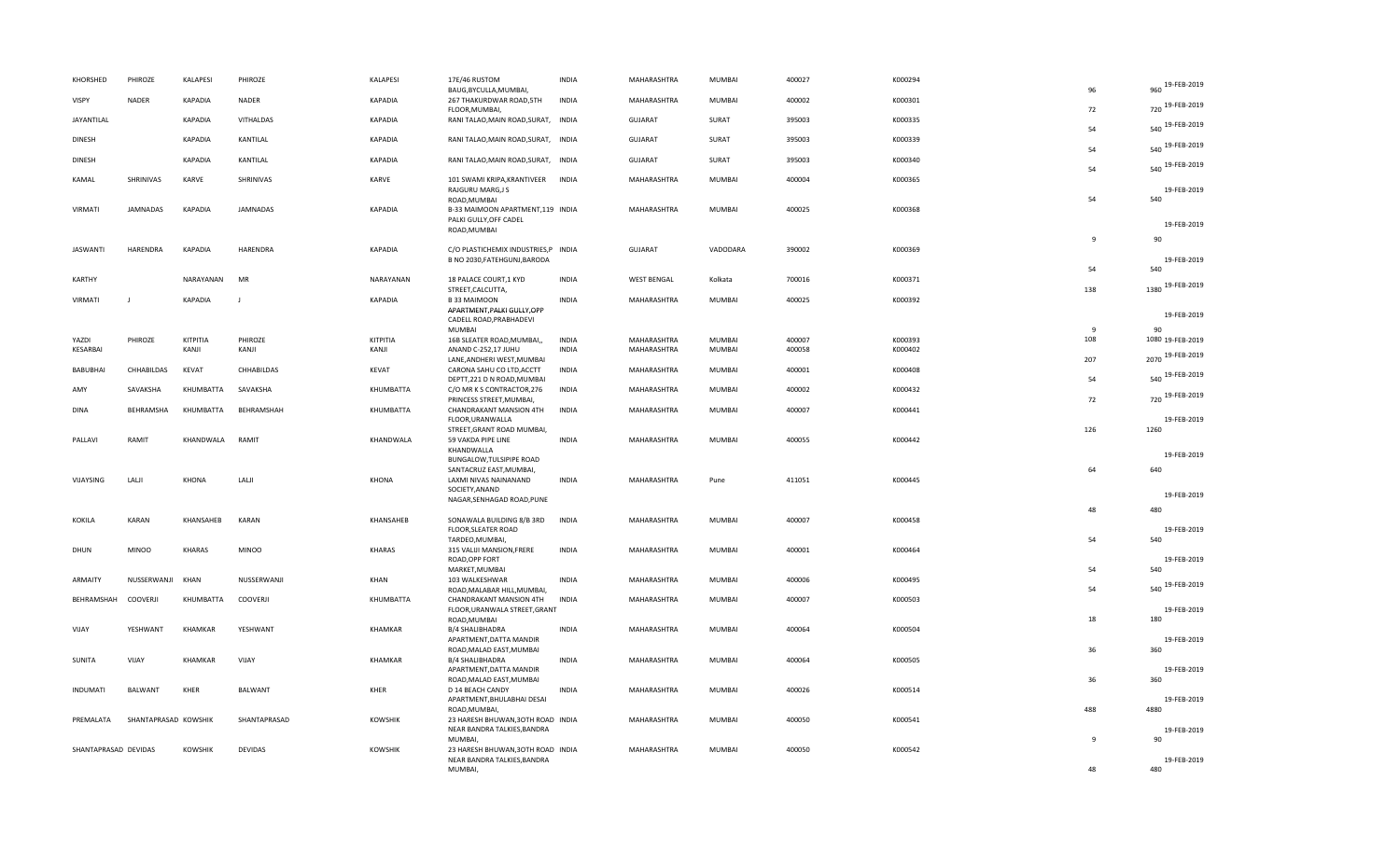| KHORSHED             | PHIROZE                | KALAPESI       | PHIROZE                | <b>KALAPESI</b>    | 17E/46 RUSTOM<br>BAUG, BYCULLA, MUMBAI,                                                | <b>INDIA</b> | MAHARASHTRA                | <b>MUMBAI</b>           | 400027           | K000294            | 96                    | 960 19-FEB-2019         |
|----------------------|------------------------|----------------|------------------------|--------------------|----------------------------------------------------------------------------------------|--------------|----------------------------|-------------------------|------------------|--------------------|-----------------------|-------------------------|
| VISPY                | <b>NADER</b>           | KAPADIA        | <b>NADER</b>           | <b>KAPADIA</b>     | 267 THAKURDWAR ROAD, 5TH<br>FLOOR, MUMBAI,                                             | <b>INDIA</b> | MAHARASHTRA                | <b>MUMBAI</b>           | 400002           | K000301            | 72                    | 720 19-FEB-2019         |
| JAYANTILAL           |                        | KAPADIA        | VITHALDAS              | <b>KAPADIA</b>     | RANI TALAO, MAIN ROAD, SURAT, INDIA                                                    |              | <b>GUJARAT</b>             | SURAT                   | 395003           | K000335            | 54                    | 540 19-FEB-2019         |
| <b>DINESH</b>        |                        | KAPADIA        | KANTILAL               | KAPADIA            | RANI TALAO, MAIN ROAD, SURAT, INDIA                                                    |              | GUJARAT                    | SURAT                   | 395003           | K000339            | 54                    | 540 19-FEB-2019         |
| <b>DINESH</b>        |                        | KAPADIA        | KANTILAL               | KAPADIA            | RANI TALAO, MAIN ROAD, SURAT, INDIA                                                    |              | <b>GUJARAT</b>             | SURAT                   | 395003           | K000340            | 54                    | 540 19-FEB-2019         |
| KAMAL                | SHRINIVAS              | KARVE          | SHRINIVAS              | KARVE              | 101 SWAMI KRIPA, KRANTIVEER INDIA<br>RAJGURU MARG, JS<br>ROAD, MUMBAI                  |              | MAHARASHTRA                | MUMBAI                  | 400004           | K000365            | 54                    | 19-FEB-2019<br>540      |
| VIRMATI              | JAMNADAS               | KAPADIA        | JAMNADAS               | <b>KAPADIA</b>     | B-33 MAIMOON APARTMENT,119 INDIA<br>PALKI GULLY, OFF CADEL<br>ROAD, MUMBAI             |              | MAHARASHTRA                | MUMBAI                  | 400025           | K000368            |                       | 19-FEB-2019             |
|                      |                        |                |                        |                    |                                                                                        |              |                            |                         |                  |                    | 9                     | 90                      |
| <b>JASWANTI</b>      | HARENDRA               | <b>KAPADIA</b> | HARENDRA               | <b>KAPADIA</b>     | C/O PLASTICHEMIX INDUSTRIES, P INDIA<br>B NO 2030, FATEHGUNJ, BARODA                   |              | <b>GUJARAT</b>             | VADODARA                | 390002           | K000369            |                       | 19-FEB-2019             |
| <b>KARTHY</b>        |                        | NARAYANAN      | MR                     | NARAYANAN          | 18 PALACE COURT, 1 KYD<br>STREET, CALCUTTA,                                            | <b>INDIA</b> | <b>WEST BENGAL</b>         | Kolkata                 | 700016           | K000371            | 54<br>138             | 540<br>1380 19-FEB-2019 |
| <b>VIRMATI</b>       | $\mathbf{I}$           | <b>KAPADIA</b> | $\mathbf{I}$           | <b>KAPADIA</b>     | <b>B33 MAIMOON</b>                                                                     | <b>INDIA</b> | MAHARASHTRA                | MUMBAI                  | 400025           | K000392            |                       |                         |
|                      |                        |                |                        |                    | APARTMENT, PALKI GULLY, OPP<br>CADELL ROAD, PRABHADEVI                                 |              |                            |                         |                  |                    |                       | 19-FEB-2019             |
| YAZDI                | PHIROZE                | KITPITIA       | PHIROZE                | KITPITIA           | <b>MUMBAI</b><br>16B SLEATER ROAD, MUMBAI,,                                            | <b>INDIA</b> | MAHARASHTRA                | MUMBAI                  | 400007           | K000393            | $\overline{9}$<br>108 | 90<br>1080 19-FEB-2019  |
| KESARBAI             |                        | KANJI          | KANJI                  | KANJI              | ANAND C-252,17 JUHU                                                                    | <b>INDIA</b> | MAHARASHTRA                | MUMBAI                  | 400058           | K000402            |                       |                         |
|                      |                        | KEVAT          |                        |                    | LANE, ANDHERI WEST, MUMBAI                                                             | <b>INDIA</b> |                            |                         |                  |                    | 207                   | 2070 19-FEB-2019        |
| BABUBHAI<br>AMY      | CHHABILDAS<br>SAVAKSHA | KHUMBATTA      | CHHABILDAS<br>SAVAKSHA | KEVAT<br>KHUMBATTA | CARONA SAHU CO LTD, ACCTT<br>DEPTT, 221 D N ROAD, MUMBAI<br>C/O MR K S CONTRACTOR, 276 | <b>INDIA</b> | MAHARASHTRA<br>MAHARASHTRA | MUMBAI<br><b>MUMBAI</b> | 400001<br>400002 | K000408<br>K000432 | 54                    | 540 19-FEB-2019         |
|                      |                        |                |                        |                    | PRINCESS STREET, MUMBAI,                                                               |              |                            |                         |                  |                    | 72                    | 720 19-FEB-2019         |
| <b>DINA</b>          | BEHRAMSHA              | KHUMBATTA      | BEHRAMSHAH             | KHUMBATTA          | CHANDRAKANT MANSION 4TH<br>FLOOR, URANWALLA                                            | <b>INDIA</b> | MAHARASHTRA                | <b>MUMBAI</b>           | 400007           | K000441            |                       | 19-FEB-2019             |
| PALLAVI              | RAMIT                  | KHANDWALA      | RAMIT                  | KHANDWALA          | STREET, GRANT ROAD MUMBAI,<br>59 VAKDA PIPE LINE                                       | <b>INDIA</b> | MAHARASHTRA                | <b>MUMBAI</b>           | 400055           | K000442            | 126                   | 1260                    |
|                      |                        |                |                        |                    | KHANDWALLA                                                                             |              |                            |                         |                  |                    |                       | 19-FEB-2019             |
|                      |                        |                |                        |                    | <b>BUNGALOW, TULSIPIPE ROAD</b>                                                        |              |                            |                         |                  |                    | 64                    | 640                     |
| VIJAYSING            | LALJI                  | <b>KHONA</b>   | LALJI                  | KHONA              | SANTACRUZ EAST, MUMBAI,<br>LAXMI NIVAS NAINANAND                                       | <b>INDIA</b> | MAHARASHTRA                | Pune                    | 411051           | K000445            |                       |                         |
|                      |                        |                |                        |                    | SOCIETY, ANAND                                                                         |              |                            |                         |                  |                    |                       | 19-FEB-2019             |
|                      |                        |                |                        |                    | NAGAR, SENHAGAD ROAD, PUNE                                                             |              |                            |                         |                  |                    | 48                    | 480                     |
| KOKILA               | <b>KARAN</b>           | KHANSAHEB      | <b>KARAN</b>           | KHANSAHEB          | SONAWALA BUILDING 8/B 3RD                                                              | <b>INDIA</b> | MAHARASHTRA                | <b>MUMBAI</b>           | 400007           | K000458            |                       |                         |
|                      |                        |                |                        |                    | FLOOR, SLEATER ROAD<br>TARDEO, MUMBAI,                                                 |              |                            |                         |                  |                    | 54                    | 19-FEB-2019<br>540      |
| DHUN                 | <b>MINOO</b>           | KHARAS         | <b>MINOO</b>           | KHARAS             | 315 VALIJI MANSION, FRERE                                                              | <b>INDIA</b> | MAHARASHTRA                | <b>MUMBAI</b>           | 400001           | K000464            |                       |                         |
|                      |                        |                |                        |                    | ROAD, OPP FORT<br>MARKET, MUMBAI                                                       |              |                            |                         |                  |                    | 54                    | 19-FEB-2019<br>540      |
| ARMAITY              | NUSSERWANJI            | KHAN           | NUSSERWANJI            | KHAN               | 103 WALKESHWAR                                                                         | <b>INDIA</b> | MAHARASHTRA                | <b>MUMBAI</b>           | 400006           | K000495            |                       | 540 19-FEB-2019         |
| BEHRAMSHAH           | <b>COOVERJI</b>        | KHUMBATTA      | COOVERJI               | KHUMBATTA          | ROAD, MALABAR HILL, MUMBAI,<br>CHANDRAKANT MANSION 4TH                                 | <b>INDIA</b> | MAHARASHTRA                | <b>MUMBAI</b>           | 400007           | K000503            | 54                    |                         |
|                      |                        |                |                        |                    | FLOOR, URANWALA STREET, GRANT                                                          |              |                            |                         |                  |                    |                       | 19-FEB-2019             |
| VIJAY                | YESHWANT               | KHAMKAR        | YESHWANT               | KHAMKAR            | ROAD, MUMBAI<br><b>B/4 SHALIBHADRA</b>                                                 | <b>INDIA</b> | MAHARASHTRA                | <b>MUMBAI</b>           | 400064           | K000504            | 18                    | 180                     |
|                      |                        |                |                        |                    | APARTMENT, DATTA MANDIR                                                                |              |                            |                         |                  |                    |                       | 19-FEB-2019             |
|                      |                        |                |                        |                    | ROAD, MALAD EAST, MUMBAI                                                               |              |                            |                         |                  |                    | 36                    | 360                     |
| SUNITA               | VIJAY                  | KHAMKAR        | VIJAY                  | KHAMKAR            | B/4 SHALIBHADRA<br>APARTMENT, DATTA MANDIR                                             | INDIA        | MAHARASHTRA                | MUMBAI                  | 400064           | K000505            |                       | 19-FEB-2019             |
|                      |                        |                |                        |                    | ROAD, MALAD EAST, MUMBAI                                                               |              |                            |                         |                  |                    | 36                    | 360                     |
| <b>INDUMATI</b>      | BALWANT                | KHER           | BALWANT                | KHER               | D 14 BEACH CANDY<br>APARTMENT, BHULABHAI DESAI                                         | <b>INDIA</b> | MAHARASHTRA                | MUMBAI                  | 400026           | K000514            |                       | 19-FEB-2019             |
|                      |                        |                |                        |                    | ROAD, MUMBAI,                                                                          |              |                            |                         |                  |                    | 488                   | 4880                    |
| PREMALATA            | SHANTAPRASAD KOWSHIK   |                | SHANTAPRASAD           | <b>KOWSHIK</b>     | 23 HARESH BHUWAN, 30TH ROAD INDIA                                                      |              | MAHARASHTRA                | <b>MUMBAI</b>           | 400050           | K000541            |                       |                         |
|                      |                        |                |                        |                    | NEAR BANDRA TALKIES, BANDRA<br>MUMBAI,                                                 |              |                            |                         |                  |                    | 9                     | 19-FEB-2019<br>90       |
| SHANTAPRASAD DEVIDAS |                        | <b>KOWSHIK</b> | DEVIDAS                | <b>KOWSHIK</b>     | 23 HARESH BHUWAN, 30TH ROAD INDIA                                                      |              | MAHARASHTRA                | <b>MUMBAI</b>           | 400050           | K000542            |                       |                         |
|                      |                        |                |                        |                    | NEAR BANDRA TALKIES, BANDRA<br>MUMBAI,                                                 |              |                            |                         |                  |                    | $\overline{AB}$       | 19-FEB-2019<br>480      |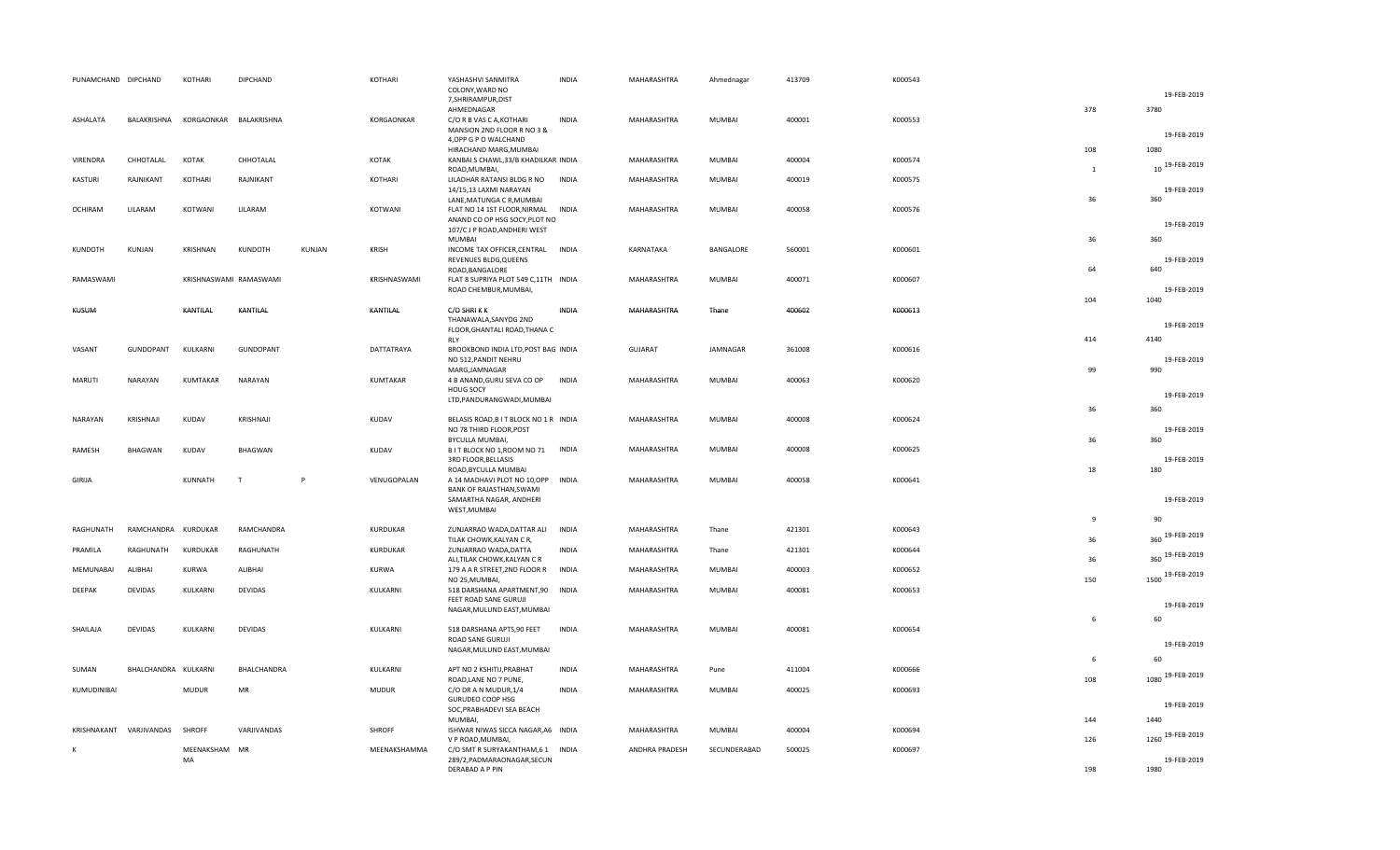| PUNAMCHAND DIPCHAND |                      | KOTHARI                | DIPCHAND         |        | KOTHARI         | YASHASHVI SANMITRA<br>COLONY, WARD NO<br>7, SHRIRAMPUR, DIST                                                                     | <b>INDIA</b> | MAHARASHTRA    | Ahmednagar    | 413709 | K000543 |                     | 19-FEB-2019                           |
|---------------------|----------------------|------------------------|------------------|--------|-----------------|----------------------------------------------------------------------------------------------------------------------------------|--------------|----------------|---------------|--------|---------|---------------------|---------------------------------------|
| ASHALATA            | BALAKRISHNA          | KORGAONKAR             | BALAKRISHNA      |        | KORGAONKAR      | AHMEDNAGAR<br>C/O R B VAS C A, KOTHARI<br>MANSION 2ND FLOOR R NO 3 &<br>4, OPP G P O WALCHAND                                    | <b>INDIA</b> | MAHARASHTRA    | MUMBAI        | 400001 | K000553 | 378                 | 3780<br>19-FEB-2019                   |
| VIRENDRA            | CHHOTALAL            | KOTAK                  | CHHOTALAL        |        | KOTAK           | HIRACHAND MARG, MUMBAI<br>KANBAI S CHAWL, 33/B KHADILKAR INDIA                                                                   |              | MAHARASHTRA    | MUMBAI        | 400004 | K000574 | 108<br>$\mathbf{1}$ | 1080<br>10 19-FEB-2019                |
| KASTURI             | RAJNIKANT            | KOTHARI                | RAJNIKANT        |        | KOTHARI         | ROAD, MUMBAI,<br>LILADHAR RATANSI BLDG R NO INDIA<br>14/15,13 LAXMI NARAYAN                                                      |              | MAHARASHTRA    | MUMBAI        | 400019 | K000575 |                     | 19-FEB-2019                           |
| OCHIRAM             | LILARAM              | KOTWANI                | LILARAM          |        | KOTWANI         | LANE, MATUNGA C R, MUMBAI<br>FLAT NO 14 1ST FLOOR, NIRMAL INDIA<br>ANAND CO OP HSG SOCY, PLOT NO<br>107/C J P ROAD, ANDHERI WEST |              | MAHARASHTRA    | MUMBAI        | 400058 | K000576 | 36                  | 360<br>19-FEB-2019                    |
| KUNDOTH             | KUNJAN               | KRISHNAN               | KUNDOTH          | KUNJAN | KRISH           | <b>MUMBAI</b><br>INCOME TAX OFFICER, CENTRAL INDIA<br>REVENUES BLDG, QUEENS                                                      |              | KARNATAKA      | BANGALORE     | 560001 | K000601 | 36                  | 360<br>19-FEB-2019                    |
| RAMASWAMI           |                      | KRISHNASWAMI RAMASWAMI |                  |        | KRISHNASWAMI    | ROAD, BANGALORE<br>FLAT 8 SUPRIYA PLOT 549 C,11TH INDIA<br>ROAD CHEMBUR, MUMBAI,                                                 |              | MAHARASHTRA    | MUMBAI        | 400071 | K000607 | 64                  | 640<br>19-FEB-2019                    |
| KUSUM               |                      | KANTILAL               | KANTILAL         |        | KANTILAL        | C/O SHRIKK<br>THANAWALA, SANYOG 2ND                                                                                              | INDIA        | MAHARASHTRA    | Thane         | 400602 | K000613 | 104                 | 1040<br>19-FEB-2019                   |
| VASANT              | GUNDOPANT            | KULKARNI               | <b>GUNDOPANT</b> |        | DATTATRAYA      | FLOOR, GHANTALI ROAD, THANA C<br>RLY<br>BROOKBOND INDIA LTD, POST BAG INDIA                                                      |              | <b>GUJARAT</b> | JAMNAGAR      | 361008 | K000616 | 414                 | 4140                                  |
|                     |                      |                        |                  |        |                 | NO 512, PANDIT NEHRU<br>MARG, JAMNAGAR                                                                                           |              |                |               |        |         | 99                  | 19-FEB-2019<br>990                    |
| <b>MARUTI</b>       | NARAYAN              | KUMTAKAR               | NARAYAN          |        | KUMTAKAR        | 4 B ANAND, GURU SEVA CO OP<br>HOUG SOCY<br>LTD, PANDURANGWADI, MUMBAI                                                            | <b>INDIA</b> | MAHARASHTRA    | MUMBAI        | 400063 | K000620 |                     | 19-FEB-2019                           |
| NARAYAN             | KRISHNAJI            | KUDAV                  | KRISHNAJI        |        | KUDAV           | BELASIS ROAD, B I T BLOCK NO 1 R INDIA<br>NO 78 THIRD FLOOR, POST                                                                |              | MAHARASHTRA    | MUMBAI        | 400008 | K000624 | 36                  | 360<br>19-FEB-2019                    |
| RAMESH              | BHAGWAN              | KUDAV                  | BHAGWAN          |        | KUDAV           | BYCULLA MUMBAI,<br>B IT BLOCK NO 1, ROOM NO 71 INDIA<br>3RD FLOOR, BELLASIS                                                      |              | MAHARASHTRA    | MUMBAI        | 400008 | K000625 | 36                  | 360<br>19-FEB-2019                    |
| <b>GIRIJA</b>       |                      | KUNNATH                | T                | P      | VENUGOPALAN     | ROAD, BYCULLA MUMBAI<br>A 14 MADHAVI PLOT NO 10,OPP INDIA<br>BANK OF RAJASTHAN, SWAMI<br>SAMARTHA NAGAR, ANDHERI<br>WEST, MUMBAI |              | MAHARASHTRA    | MUMBAI        | 400058 | K000641 | 18                  | 180<br>19-FEB-2019                    |
| RAGHUNATH           | RAMCHANDRA KURDUKAR  |                        | RAMCHANDRA       |        | KURDUKAR        | ZUNJARRAO WADA, DATTAR ALI                                                                                                       | <b>INDIA</b> | MAHARASHTRA    | Thane         | 421301 | K000643 | $\mathbf{q}$        | 90                                    |
| PRAMILA             | RAGHUNATH            | KURDUKAR               | RAGHUNATH        |        | <b>KURDUKAR</b> | TILAK CHOWK, KALYAN CR,<br>ZUNJARRAO WADA, DATTA                                                                                 | <b>INDIA</b> | MAHARASHTRA    | Thane         | 421301 | K000644 | 36                  | 19-FEB-2019<br>360<br>360 19-FEB-2019 |
| MEMUNABAI           | ALIBHAI              | <b>KURWA</b>           | ALIBHAI          |        | KURWA           | ALI, TILAK CHOWK, KALYAN CR<br>179 A A R STREET, 2ND FLOOR R<br>NO 25, MUMBAI,                                                   | <b>INDIA</b> | MAHARASHTRA    | <b>MUMBAI</b> | 400003 | K000652 | 36<br>150           | 1500 19-FEB-2019                      |
| DEEPAK              | <b>DEVIDAS</b>       | KULKARNI               | <b>DEVIDAS</b>   |        | KULKARNI        | 518 DARSHANA APARTMENT,90<br>FEET ROAD SANE GURUJI<br>NAGAR, MULUND EAST, MUMBAI                                                 | <b>INDIA</b> | MAHARASHTRA    | MUMBAI        | 400081 | K000653 |                     | 19-FEB-2019                           |
| SHAILAJA            | <b>DEVIDAS</b>       | KULKARNI               | DEVIDAS          |        | KULKARNI        | 518 DARSHANA APTS, 90 FEET<br>ROAD SANE GURUJI<br>NAGAR, MULUND EAST, MUMBAI                                                     | <b>INDIA</b> | MAHARASHTRA    | MUMBAI        | 400081 | K000654 | 6                   | 60<br>19-FEB-2019                     |
| SUMAN               | BHALCHANDRA KULKARNI |                        | BHALCHANDRA      |        | KULKARNI        | APT NO 2 KSHITIJ, PRABHAT                                                                                                        | <b>INDIA</b> | MAHARASHTRA    | Pune          | 411004 | K000666 | 6                   | 60                                    |
| KUMUDINIBAI         |                      | <b>MUDUR</b>           | MR               |        | <b>MUDUR</b>    | ROAD, LANE NO 7 PUNE,<br>C/O DR A N MUDUR, 1/4                                                                                   | <b>INDIA</b> | MAHARASHTRA    | MUMBAI        | 400025 | K000693 | 108                 | 1080 19-FEB-2019                      |
|                     |                      |                        |                  |        |                 | GURUDEO COOP HSG<br>SOC, PRABHADEVI SEA BEACH<br>MUMBAI,                                                                         |              |                |               |        |         | 144                 | 19-FEB-2019<br>1440                   |
| KRISHNAKANT         | VARJIVANDAS          | <b>SHROFF</b>          | VARJIVANDAS      |        | <b>SHROFF</b>   | ISHWAR NIWAS SICCA NAGAR, A6 INDIA<br>V P ROAD, MUMBAI,                                                                          |              | MAHARASHTRA    | MUMBAI        | 400004 | K000694 | 126                 | 1260 19-FEB-2019                      |
| К                   |                      | MEENAKSHAM MR<br>MA    |                  |        | MEENAKSHAMMA    | C/O SMT R SURYAKANTHAM, 6 1 INDIA<br>289/2, PADMARAONAGAR, SECUN<br>DERABAD A P PIN                                              |              | ANDHRA PRADESH | SECUNDERABAD  | 500025 | K000697 | 198                 | 19-FEB-2019<br>1980                   |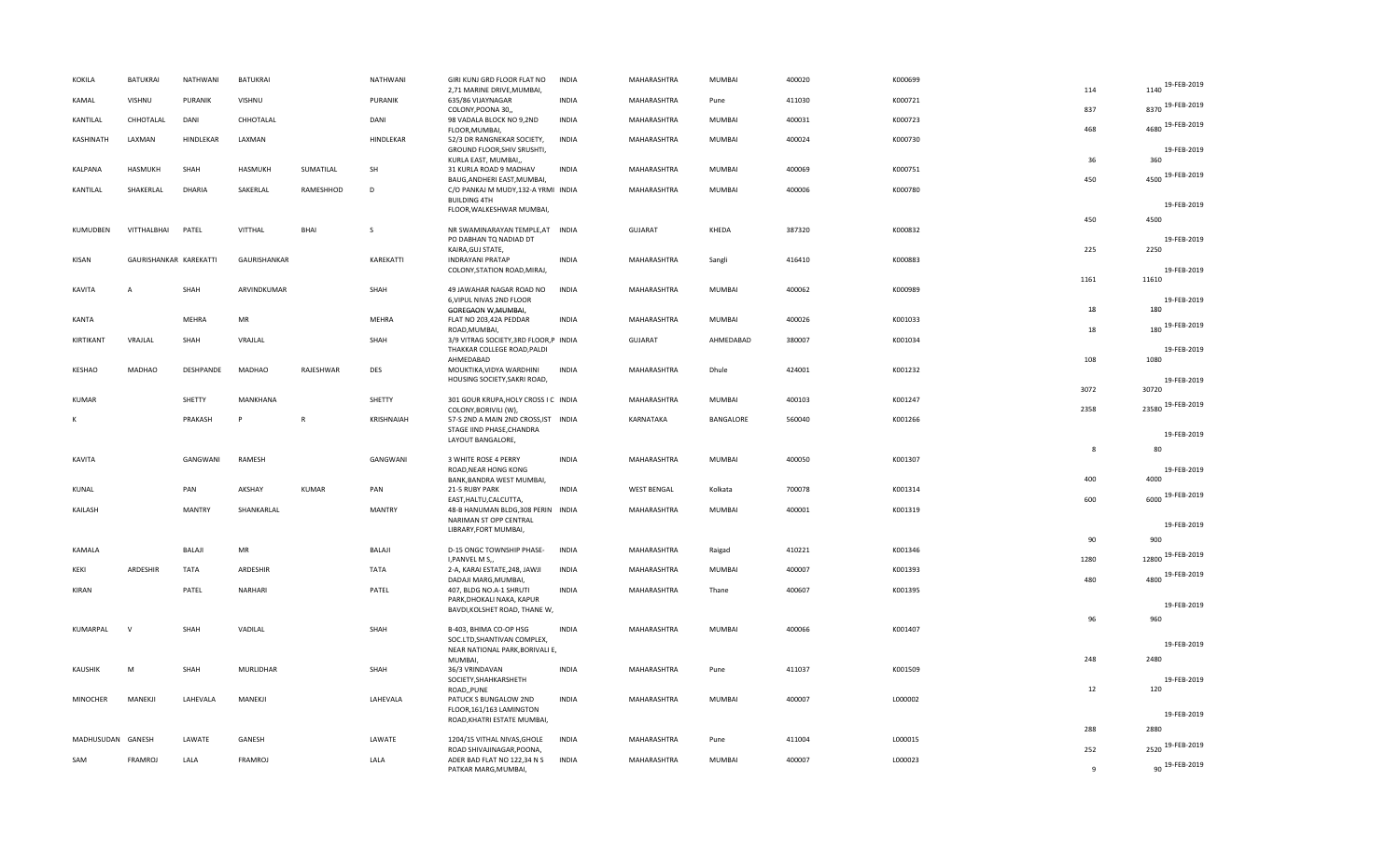| KOKILA            | <b>BATUKRAI</b>        | NATHWANI       | <b>BATUKRAI</b> |              | NATHWANI      | GIRI KUNJ GRD FLOOR FLAT NO                                                              | <b>INDIA</b> | MAHARASHTRA        | MUMBAI        | 400020 | K000699 |              |                            |
|-------------------|------------------------|----------------|-----------------|--------------|---------------|------------------------------------------------------------------------------------------|--------------|--------------------|---------------|--------|---------|--------------|----------------------------|
|                   |                        |                |                 |              |               | 2,71 MARINE DRIVE, MUMBAI,                                                               |              |                    |               |        |         | 114          | 1140 19-FEB-2019           |
| KAMAL             | VISHNU                 | <b>PURANIK</b> | VISHNU          |              | PURANIK       | 635/86 VIJAYNAGAR<br>COLONY, POONA 30,,                                                  | <b>INDIA</b> | MAHARASHTRA        | Pune          | 411030 | K000721 | 837          | 8370 19-FEB-2019           |
| KANTILAL          | CHHOTALAL              | DANI           | CHHOTALAL       |              | DANI          | 98 VADALA BLOCK NO 9,2ND<br>FLOOR, MUMBAI,                                               | <b>INDIA</b> | MAHARASHTRA        | MUMBAI        | 400031 | K000723 | 468          | 4680 19-FEB-2019           |
| KASHINATH         | LAXMAN                 | HINDLEKAR      | LAXMAN          |              | HINDLEKAR     | 52/3 DR RANGNEKAR SOCIETY,<br>GROUND FLOOR, SHIV SRUSHTI,<br>KURLA EAST, MUMBAI,,        | <b>INDIA</b> | MAHARASHTRA        | MUMBAI        | 400024 | K000730 | 36           | 19-FEB-2019<br>360         |
| KALPANA           | HASMUKH                | SHAH           | HASMUKH         | SUMATILAL    | SH            | 31 KURLA ROAD 9 MADHAV<br>BAUG, ANDHERI EAST, MUMBAI,                                    | <b>INDIA</b> | MAHARASHTRA        | MUMBAI        | 400069 | K000751 | 450          | 4500 19-FEB-2019           |
| KANTILAL          | SHAKERLAL              | <b>DHARIA</b>  | SAKERLAL        | RAMESHHOD    | D             | C/O PANKAJ M MUDY, 132-A YRMI INDIA<br><b>BUILDING 4TH</b>                               |              | MAHARASHTRA        | MUMBAI        | 400006 | K000780 |              |                            |
|                   |                        |                |                 |              |               | FLOOR, WALKESHWAR MUMBAI,                                                                |              |                    |               |        |         | 450          | 19-FEB-2019<br>4500        |
| KUMUDBEN          | VITTHALBHAI            | PATEL          | VITTHAL         | BHAI         | <sub>S</sub>  | NR SWAMINARAYAN TEMPLE, AT INDIA<br>PO DABHAN TQ NADIAD DT<br>KAIRA, GUJ STATE,          |              | <b>GUJARAT</b>     | KHEDA         | 387320 | K000832 | 225          | 19-FEB-2019<br>2250        |
| KISAN             | GAURISHANKAR KAREKATTI |                | GAURISHANKAR    |              | KAREKATTI     | <b>INDRAYANI PRATAP</b><br>COLONY, STATION ROAD, MIRAJ,                                  | <b>INDIA</b> | MAHARASHTRA        | Sangli        | 416410 | K000883 | 1161         | 19-FEB-2019<br>11610       |
| KAVITA            | A                      | SHAH           | ARVINDKUMAR     |              | SHAH          | 49 JAWAHAR NAGAR ROAD NO<br>6, VIPUL NIVAS 2ND FLOOR<br>GOREGAON W, MUMBAI,              | <b>INDIA</b> | MAHARASHTRA        | MUMBAI        | 400062 | K000989 | 18           | 19-FEB-2019<br>180         |
| KANTA             |                        | MEHRA          | MR              |              | MEHRA         | FLAT NO 203,42A PEDDAR<br>ROAD, MUMBAI,                                                  | <b>INDIA</b> | MAHARASHTRA        | MUMBAI        | 400026 | K001033 | 18           | 180 19-FEB-2019            |
| KIRTIKANT         | VRAJLAL                | SHAH           | VRAJLAL         |              | SHAH          | 3/9 VITRAG SOCIETY, 3RD FLOOR, P INDIA<br>THAKKAR COLLEGE ROAD, PALDI                    |              | <b>GUJARAT</b>     | AHMEDABAD     | 380007 | K001034 |              | 19-FEB-2019                |
| KESHAO            | <b>MADHAO</b>          | DESHPANDE      | <b>MADHAO</b>   | RAJESHWAR    | <b>DES</b>    | AHMEDABAD<br>MOUKTIKA, VIDYA WARDHINI<br>HOUSING SOCIETY, SAKRI ROAD,                    | <b>INDIA</b> | MAHARASHTRA        | Dhule         | 424001 | K001232 | 108          | 1080<br>19-FEB-2019        |
| <b>KUMAR</b>      |                        | SHETTY         | MANKHANA        |              | SHETTY        | 301 GOUR KRUPA, HOLY CROSS I C INDIA                                                     |              | MAHARASHTRA        | MUMBAI        | 400103 | K001247 | 3072         | 30720<br>23580 19-FEB-2019 |
| к                 |                        | PRAKASH        | P               | $\mathsf{R}$ | KRISHNAIAH    | COLONY, BORIVILI (W),<br>57-S 2ND A MAIN 2ND CROSS, IST INDIA                            |              | KARNATAKA          | BANGALORE     | 560040 | K001266 | 2358         |                            |
|                   |                        |                |                 |              |               | STAGE IIND PHASE, CHANDRA<br>LAYOUT BANGALORE,                                           |              |                    |               |        |         |              | 19-FEB-2019                |
| KAVITA            |                        | GANGWANI       | RAMESH          |              | GANGWANI      | 3 WHITE ROSE 4 PERRY<br>ROAD, NEAR HONG KONG                                             | INDIA        | MAHARASHTRA        | MUMBAI        | 400050 | K001307 | 8            | 80<br>19-FEB-2019          |
| KUNAL             |                        | PAN            | AKSHAY          | <b>KUMAR</b> | PAN           | BANK, BANDRA WEST MUMBAI,<br>21-5 RUBY PARK                                              | <b>INDIA</b> | <b>WEST BENGAL</b> | Kolkata       | 700078 | K001314 | 400          | 4000                       |
| KAILASH           |                        | <b>MANTRY</b>  | SHANKARLAL      |              | <b>MANTRY</b> | EAST, HALTU, CALCUTTA,<br>48-B HANUMAN BLDG, 308 PERIN INDIA                             |              | MAHARASHTRA        | MUMBAI        | 400001 | K001319 | 600          | 6000 19-FEB-2019           |
|                   |                        |                |                 |              |               | NARIMAN ST OPP CENTRAL<br>LIBRARY, FORT MUMBAI,                                          |              |                    |               |        |         |              | 19-FEB-2019                |
| KAMALA            |                        | <b>BALAJI</b>  | MR              |              | BALAJI        | D-15 ONGC TOWNSHIP PHASE-                                                                | <b>INDIA</b> | MAHARASHTRA        | Raigad        | 410221 | K001346 | 90           | 900<br>12800 19-FEB-2019   |
| KEKI              | ARDESHIR               | <b>TATA</b>    | ARDESHIR        |              | <b>TATA</b>   | I, PANVEL M S,,<br>2-A, KARAI ESTATE, 248, JAWJI                                         | <b>INDIA</b> | MAHARASHTRA        | MUMBAI        | 400007 | K001393 | 1280         | 4800 19-FEB-2019           |
| KIRAN             |                        | PATEL          | NARHARI         |              | PATEL         | DADAJI MARG, MUMBAI,<br>407, BLDG NO.A-1 SHRUTI<br>PARK, DHOKALI NAKA, KAPUR             | INDIA        | MAHARASHTRA        | Thane         | 400607 | K001395 | 480          |                            |
|                   |                        |                |                 |              |               | BAVDI, KOLSHET ROAD, THANE W,                                                            |              |                    |               |        |         | 96           | 19-FEB-2019<br>960         |
| KUMARPAL          | $\mathsf{V}$           | SHAH           | VADILAL         |              | SHAH          | B-403, BHIMA CO-OP HSG<br>SOC.LTD, SHANTIVAN COMPLEX,<br>NEAR NATIONAL PARK, BORIVALI E, | <b>INDIA</b> | MAHARASHTRA        | MUMBAI        | 400066 | K001407 |              | 19-FEB-2019                |
| <b>KAUSHIK</b>    | M                      | SHAH           | MURLIDHAR       |              | SHAH          | MUMBAI,<br>36/3 VRINDAVAN                                                                | INDIA        | MAHARASHTRA        | Pune          | 411037 | K001509 | 248          | 2480                       |
|                   |                        |                |                 |              |               | SOCIETY, SHAHKARSHETH<br>ROAD,, PUNE                                                     |              |                    |               |        |         | 12           | 19-FEB-2019<br>120         |
| <b>MINOCHER</b>   | MANEKJI                | LAHEVALA       | MANEKJI         |              | LAHEVALA      | PATUCK S BUNGALOW 2ND<br>FLOOR, 161/163 LAMINGTON                                        | <b>INDIA</b> | MAHARASHTRA        | MUMBAI        | 400007 | L000002 |              | 19-FEB-2019                |
|                   |                        |                |                 |              |               | ROAD, KHATRI ESTATE MUMBAI,                                                              |              |                    |               |        |         | 288          | 2880                       |
| MADHUSUDAN GANESH |                        | LAWATE         | GANESH          |              | LAWATE        | 1204/15 VITHAL NIVAS, GHOLE                                                              | INDIA        | MAHARASHTRA        | Pune          | 411004 | L000015 |              | 2520 19-FEB-2019           |
| SAM               | <b>FRAMROJ</b>         | LALA           | <b>FRAMROJ</b>  |              | LALA          | ROAD SHIVAJINAGAR, POONA,<br>ADER BAD FLAT NO 122,34 N S                                 | <b>INDIA</b> | MAHARASHTRA        | <b>MUMBAI</b> | 400007 | L000023 | 252          | 90 19-FEB-2019             |
|                   |                        |                |                 |              |               | PATKAR MARG, MUMBAI,                                                                     |              |                    |               |        |         | $\mathbf{q}$ |                            |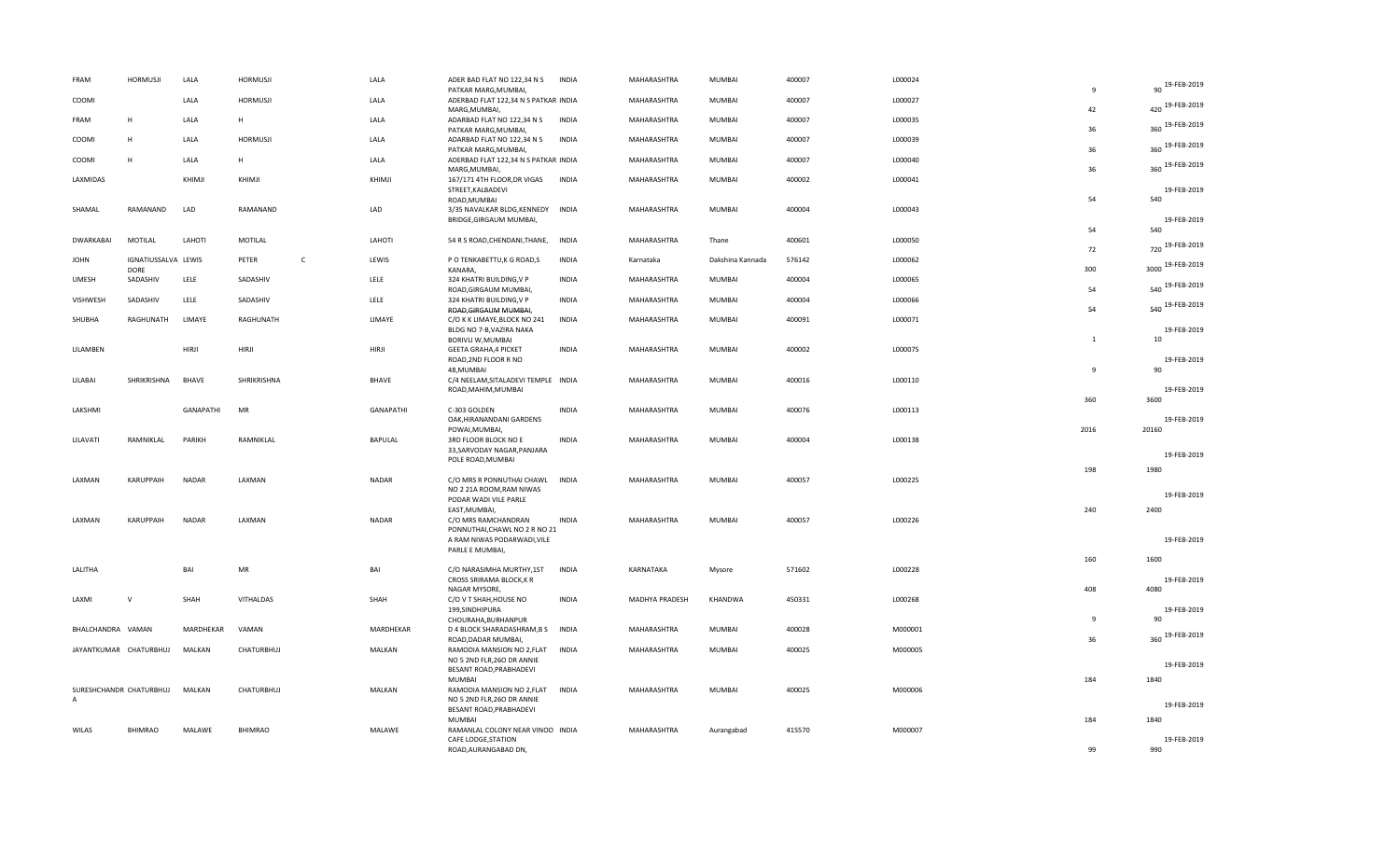| FRAM              | <b>HORMUSJI</b>             | LALA         | <b>HORMUSJI</b>       | LALA         |                  | ADER BAD FLAT NO 122,34 N S<br>PATKAR MARG, MUMBAI,                                       | <b>INDIA</b> | MAHARASHTRA    | MUMBAI           | 400007 | L000024 | 9              | 90 19-FEB-2019             |
|-------------------|-----------------------------|--------------|-----------------------|--------------|------------------|-------------------------------------------------------------------------------------------|--------------|----------------|------------------|--------|---------|----------------|----------------------------|
| COOMI             |                             | LALA         | <b>HORMUSJI</b>       | LALA         |                  | ADERBAD FLAT 122,34 N S PATKAR INDIA<br>MARG, MUMBAI,                                     |              | MAHARASHTRA    | <b>MUMBAI</b>    | 400007 | L000027 | 42             | 420 19-FEB-2019            |
| FRAM              | H                           | LALA         | H                     | LALA         |                  | ADARBAD FLAT NO 122,34 N S<br>PATKAR MARG, MUMBAI,                                        | INDIA        | MAHARASHTRA    | MUMBAI           | 400007 | L000035 | 36             | 360 19-FEB-2019            |
| COOMI             | H                           | LALA         | <b>HORMUSJI</b>       | LALA         |                  | ADARBAD FLAT NO 122,34 N S<br>PATKAR MARG, MUMBAI,                                        | INDIA        | MAHARASHTRA    | MUMBAI           | 400007 | L000039 | 36             | 360 19-FEB-2019            |
| COOMI             | H                           | LALA         | н                     | LALA         |                  | ADERBAD FLAT 122,34 N S PATKAR INDIA<br>MARG, MUMBAI,                                     |              | MAHARASHTRA    | <b>MUMBAI</b>    | 400007 | L000040 | 36             | 360 19-FEB-2019            |
| LAXMIDAS          |                             | KHIMJI       | KHIMJI                | KHIMJI       |                  | 167/171 4TH FLOOR, DR VIGAS<br>STREET, KALBADEVI<br>ROAD, MUMBAI                          | <b>INDIA</b> | MAHARASHTRA    | MUMBAI           | 400002 | L000041 | 54             | 19-FEB-2019<br>540         |
| SHAMAL            | RAMANAND                    | LAD          | RAMANAND              | LAD          |                  | 3/35 NAVALKAR BLDG, KENNEDY INDIA<br>BRIDGE, GIRGAUM MUMBAI,                              |              | MAHARASHTRA    | <b>MUMBAI</b>    | 400004 | L000043 | 54             | 19-FEB-2019<br>540         |
| <b>DWARKABAI</b>  | MOTILAL                     | LAHOTI       | MOTILAL               | LAHOTI       |                  | 54 R S ROAD, CHENDANI, THANE,                                                             | <b>INDIA</b> | MAHARASHTRA    | Thane            | 400601 | L000050 | 72             | 720 19-FEB-2019            |
| <b>JOHN</b>       | IGNATIUSSALVA LEWIS<br>DORE |              | $\mathsf{C}$<br>PETER | LEWIS        |                  | P O TENKABETTU, K G ROAD, S<br>KANARA,                                                    | <b>INDIA</b> | Karnataka      | Dakshina Kannada | 576142 | L000062 | 300            | 3000 19-FEB-2019           |
| <b>UMESH</b>      | SADASHIV                    | LELE         | SADASHIV              | LELE         |                  | 324 KHATRI BUILDING, V P<br>ROAD, GIRGAUM MUMBAI,                                         | <b>INDIA</b> | MAHARASHTRA    | MUMBAI           | 400004 | L000065 | 54             | 540 19-FEB-2019            |
| VISHWESH          | SADASHIV                    | LELE         | SADASHIV              | LELE         |                  | 324 KHATRI BUILDING, V P<br>ROAD, GIRGAUM MUMBAI,                                         | <b>INDIA</b> | MAHARASHTRA    | <b>MUMBAI</b>    | 400004 | L000066 | 54             | 540 19-FEB-2019            |
| SHUBHA            | RAGHUNATH                   | LIMAYE       | RAGHUNATH             | LIMAYE       |                  | C/O K K LIMAYE, BLOCK NO 241<br>BLDG NO 7-B, VAZIRA NAKA<br>BORIVLI W, MUMBAI             | INDIA        | MAHARASHTRA    | MUMBAI           | 400091 | L000071 | $\mathbf{1}$   | 19-FEB-2019                |
| LILAMBEN          |                             | HIRJI        | HIRJI                 | HIRJI        |                  | <b>GEETA GRAHA, 4 PICKET</b><br>ROAD, 2ND FLOOR R NO                                      | <b>INDIA</b> | MAHARASHTRA    | MUMBAI           | 400002 | L000075 |                | 10<br>19-FEB-2019          |
| LILABAI           | SHRIKRISHNA                 | BHAVE        | SHRIKRISHNA           | <b>BHAVE</b> |                  | 48, MUMBAI<br>C/4 NEELAM, SITALADEVI TEMPLE INDIA<br>ROAD, MAHIM, MUMBAI                  |              | MAHARASHTRA    | MUMBAI           | 400016 | L000110 | q              | 90<br>19-FEB-2019          |
| LAKSHMI           |                             | GANAPATHI    | MR                    |              | <b>GANAPATHI</b> | C-303 GOLDEN                                                                              | <b>INDIA</b> | MAHARASHTRA    | <b>MUMBAI</b>    | 400076 | L000113 | 360            | 3600                       |
| LILAVATI          | RAMNIKLAL                   | PARIKH       | RAMNIKLAL             | BAPULAL      |                  | OAK, HIRANANDANI GARDENS<br>POWAI, MUMBAI,<br>3RD FLOOR BLOCK NO E                        | <b>INDIA</b> | MAHARASHTRA    | MUMBAI           | 400004 | L000138 | 2016           | 19-FEB-2019<br>20160       |
|                   |                             |              |                       |              |                  | 33, SARVODAY NAGAR, PANJARA<br>POLE ROAD, MUMBAI                                          |              |                |                  |        |         |                | 19-FEB-2019                |
| LAXMAN            | KARUPPAIH                   | <b>NADAR</b> | LAXMAN                | NADAR        |                  | C/O MRS R PONNUTHAI CHAWL INDIA<br>NO 2 21A ROOM, RAM NIWAS<br>PODAR WADI VILE PARLE      |              | MAHARASHTRA    | MUMBAI           | 400057 | L000225 | 198            | 1980<br>19-FEB-2019        |
| LAXMAN            | KARUPPAIH                   | <b>NADAR</b> | LAXMAN                | NADAR        |                  | EAST, MUMBAI,<br>C/O MRS RAMCHANDRAN                                                      | <b>INDIA</b> | MAHARASHTRA    | <b>MUMBAI</b>    | 400057 | L000226 | 240            | 2400                       |
|                   |                             |              |                       |              |                  | PONNUTHAI, CHAWL NO 2 R NO 21<br>A RAM NIWAS PODARWADI, VILE<br>PARLE E MUMBAI,           |              |                |                  |        |         |                | 19-FEB-2019                |
| LALITHA           |                             | BAI          | <b>MR</b>             | BAI          |                  | C/O NARASIMHA MURTHY,1ST                                                                  | <b>INDIA</b> | KARNATAKA      | Mysore           | 571602 | L000228 | 160            | 1600                       |
|                   |                             |              |                       |              |                  | CROSS SRIRAMA BLOCK, KR<br>NAGAR MYSORE,                                                  |              |                |                  |        |         | 408            | 19-FEB-2019<br>4080        |
| LAXMI             | $\mathsf{V}$                | SHAH         | VITHALDAS             | SHAH         |                  | C/O V T SHAH, HOUSE NO<br>199, SINDHIPURA                                                 | <b>INDIA</b> | MADHYA PRADESH | KHANDWA          | 450331 | L000268 | $\overline{9}$ | 19-FEB-2019<br>90          |
| BHALCHANDRA VAMAN |                             | MARDHEKAR    | VAMAN                 |              | MARDHEKAR        | CHOURAHA, BURHANPUR<br>D 4 BLOCK SHARADASHRAM, B S<br>ROAD, DADAR MUMBAI,                 | INDIA        | MAHARASHTRA    | <b>MUMBAI</b>    | 400028 | M000001 | 36             | 360 19-FEB-2019            |
|                   | JAYANTKUMAR CHATURBHUJ      | MALKAN       | CHATURBHUJ            | MALKAN       |                  | RAMODIA MANSION NO 2, FLAT INDIA<br>NO 5 2ND FLR, 260 DR ANNIE                            |              | MAHARASHTRA    | MUMBAI           | 400025 | M000005 |                | 19-FEB-2019                |
|                   |                             |              |                       |              |                  | BESANT ROAD, PRABHADEVI<br><b>MUMBAI</b>                                                  |              |                |                  |        |         | 184            | 1840                       |
| $\mathbf{A}$      | SURESHCHANDR CHATURBHUJ     | MALKAN       | CHATURBHUJ            | MALKAN       |                  | RAMODIA MANSION NO 2, FLAT INDIA<br>NO 5 2ND FLR, 260 DR ANNIE<br>BESANT ROAD, PRABHADEVI |              | MAHARASHTRA    | MUMBAI           | 400025 | M000006 |                | 19-FEB-2019                |
| WILAS             | BHIMRAO                     | MALAWE       | <b>BHIMRAO</b>        | MALAWE       |                  | MUMBAI<br>RAMANLAL COLONY NEAR VINOO INDIA<br>CAFE LODGE, STATION<br>ROAD, AURANGABAD DN, |              | MAHARASHTRA    | Aurangabad       | 415570 | M000007 | 184<br>99      | 1840<br>19-FEB-2019<br>990 |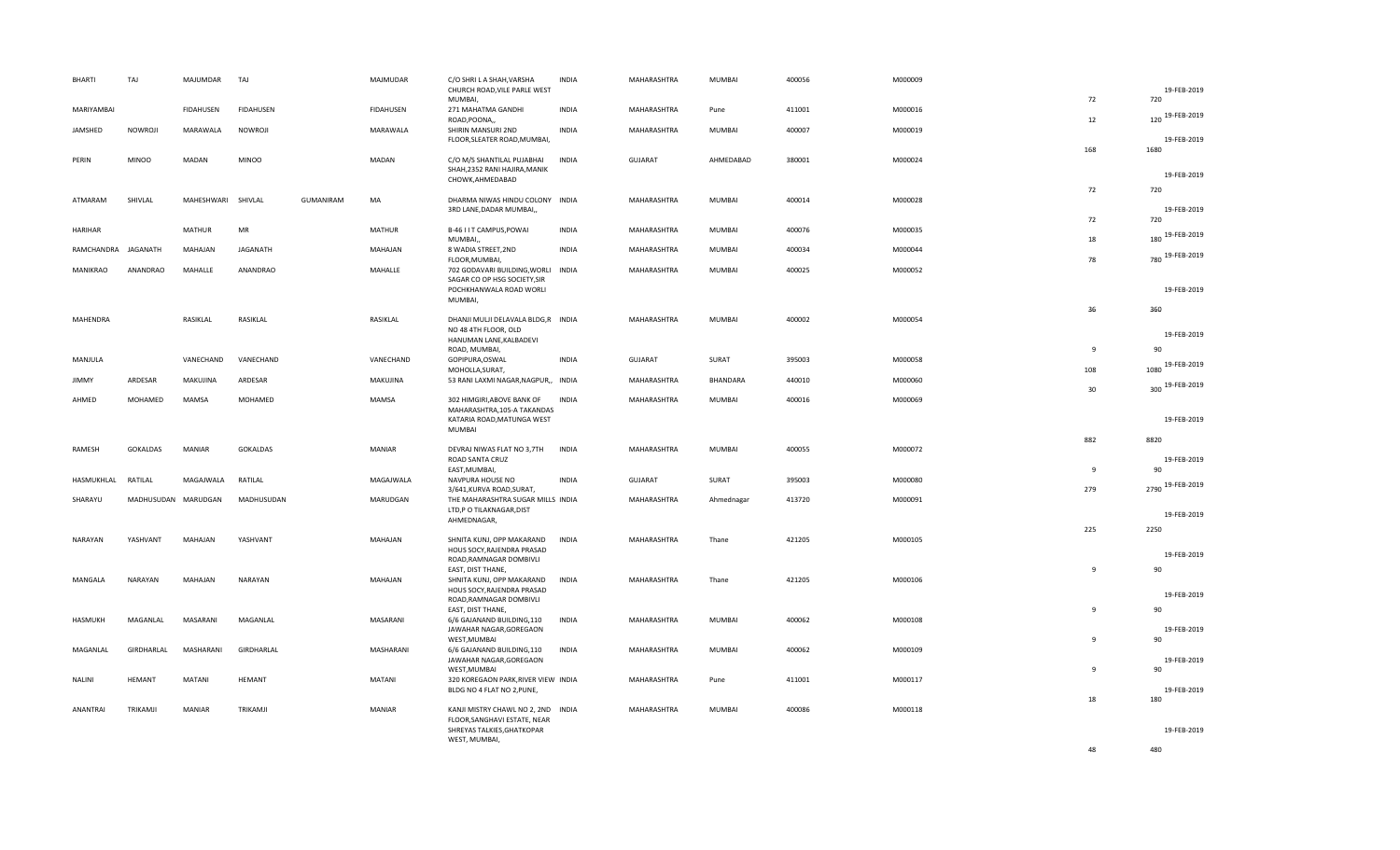| <b>BHARTI</b> | TAJ                 | MAJUMDAR           | TAJ              |           | MAJMUDAR      | C/O SHRI L A SHAH, VARSHA<br>CHURCH ROAD, VILE PARLE WEST                                        | <b>INDIA</b> | MAHARASHTRA    | MUMBAI        | 400056 | M000009 |                | 19-FEB-2019            |
|---------------|---------------------|--------------------|------------------|-----------|---------------|--------------------------------------------------------------------------------------------------|--------------|----------------|---------------|--------|---------|----------------|------------------------|
| MARIYAMBAI    |                     | FIDAHUSEN          | <b>FIDAHUSEN</b> |           | FIDAHUSEN     | MUMBAI,<br>271 MAHATMA GANDHI                                                                    | <b>INDIA</b> | MAHARASHTRA    | Pune          | 411001 | M000016 | 72<br>12       | 720<br>120 19-FEB-2019 |
| JAMSHED       | NOWROJI             | MARAWALA           | NOWROJI          |           | MARAWALA      | ROAD, POONA,<br>SHIRIN MANSURI 2ND<br>FLOOR, SLEATER ROAD, MUMBAI,                               | <b>INDIA</b> | MAHARASHTRA    | MUMBAI        | 400007 | M000019 |                | 19-FEB-2019            |
| PERIN         | <b>MINOO</b>        | MADAN              | <b>MINOO</b>     |           | MADAN         | C/O M/S SHANTILAL PUJABHAI<br>SHAH, 2352 RANI HAJIRA, MANIK<br>CHOWK, AHMEDABAD                  | <b>INDIA</b> | GUJARAT        | AHMEDABAD     | 380001 | M000024 | 168            | 1680<br>19-FEB-2019    |
| ATMARAM       | SHIVLAL             | MAHESHWARI SHIVLAL |                  | GUMANIRAM | MA            | DHARMA NIWAS HINDU COLONY INDIA<br>3RD LANE, DADAR MUMBAI,,                                      |              | MAHARASHTRA    | <b>MUMBAI</b> | 400014 | M000028 | 72             | 720<br>19-FEB-2019     |
| HARIHAR       |                     | <b>MATHUR</b>      | MR               |           | <b>MATHUR</b> | B-46 I IT CAMPUS, POWAI                                                                          | <b>INDIA</b> | MAHARASHTRA    | MUMBAI        | 400076 | M000035 | 72             | 720<br>180 19-FEB-2019 |
| RAMCHANDRA    | JAGANATH            | MAHAJAN            | JAGANATH         |           | MAHAJAN       | MUMBAI,<br>8 WADIA STREET, 2ND<br>FLOOR, MUMBAI,                                                 | <b>INDIA</b> | MAHARASHTRA    | <b>MUMBAI</b> | 400034 | M000044 | 18<br>78       | 780 19-FEB-2019        |
| MANIKRAO      | <b>ANANDRAO</b>     | MAHALLE            | ANANDRAO         |           | MAHALLE       | 702 GODAVARI BUILDING, WORLI<br>SAGAR CO OP HSG SOCIETY, SIR<br>POCHKHANWALA ROAD WORLI          | <b>INDIA</b> | MAHARASHTRA    | MUMBAI        | 400025 | M000052 |                | 19-FEB-2019            |
|               |                     |                    |                  |           |               | MUMBAI,                                                                                          |              |                |               |        |         | 36             | 360                    |
| MAHENDRA      |                     | RASIKLAL           | RASIKLAL         |           | RASIKLAL      | DHANJI MULJI DELAVALA BLDG,R INDIA<br>NO 48 4TH FLOOR, OLD<br>HANUMAN LANE, KALBADEVI            |              | MAHARASHTRA    | MUMBAI        | 400002 | M000054 |                | 19-FEB-2019            |
| MANJULA       |                     | VANECHAND          | VANECHAND        |           | VANECHAND     | ROAD, MUMBAI,<br>GOPIPURA, OSWAL                                                                 | <b>INDIA</b> | <b>GUJARAT</b> | SURAT         | 395003 | M000058 | 9              | 90<br>1080 19-FEB-2019 |
| <b>JIMMY</b>  | ARDESAR             | MAKUJINA           | ARDESAR          |           | MAKUJINA      | MOHOLLA, SURAT,<br>53 RANI LAXMI NAGAR, NAGPUR,,                                                 | <b>INDIA</b> | MAHARASHTRA    | BHANDARA      | 440010 | M000060 | 108<br>30      | 300 19-FEB-2019        |
| AHMED         | MOHAMED             | MAMSA              | MOHAMED          |           | MAMSA         | 302 HIMGIRI, ABOVE BANK OF<br>MAHARASHTRA, 105-A TAKANDAS                                        | <b>INDIA</b> | MAHARASHTRA    | MUMBAI        | 400016 | M000069 |                | 19-FEB-2019            |
|               |                     |                    |                  |           |               | KATARIA ROAD, MATUNGA WEST<br>MUMBAI                                                             |              |                |               |        |         | 882            | 8820                   |
| RAMESH        | GOKALDAS            | <b>MANIAR</b>      | GOKALDAS         |           | MANIAR        | DEVRAJ NIWAS FLAT NO 3,7TH<br>ROAD SANTA CRUZ<br>EAST, MUMBAI,                                   | INDIA        | MAHARASHTRA    | MUMBAI        | 400055 | M000072 | $\mathbf{q}$   | 19-FEB-2019<br>90      |
| HASMUKHLAL    | RATILAL             | MAGAJWALA          | RATILAL          |           | MAGAJWALA     | NAVPURA HOUSE NO<br>3/641, KURVA ROAD, SURAT,                                                    | <b>INDIA</b> | <b>GUJARAT</b> | SURAT         | 395003 | M000080 | 279            | 2790 19-FEB-2019       |
| SHARAYU       | MADHUSUDAN MARUDGAN |                    | MADHUSUDAN       |           | MARUDGAN      | THE MAHARASHTRA SUGAR MILLS INDIA<br>LTD,P O TILAKNAGAR,DIST<br>AHMEDNAGAR,                      |              | MAHARASHTRA    | Ahmednagar    | 413720 | M000091 |                | 19-FEB-2019            |
| NARAYAN       | YASHVANT            | MAHAJAN            | YASHVANT         |           | MAHAJAN       | SHNITA KUNJ, OPP MAKARAND<br>HOUS SOCY, RAJENDRA PRASAD                                          | <b>INDIA</b> | MAHARASHTRA    | Thane         | 421205 | M000105 | 225            | 2250                   |
| MANGALA       | NARAYAN             | MAHAJAN            | NARAYAN          |           | MAHAJAN       | ROAD, RAMNAGAR DOMBIVLI<br>EAST, DIST THANE,<br>SHNITA KUNJ, OPP MAKARAND                        | <b>INDIA</b> | MAHARASHTRA    | Thane         | 421205 | M000106 | $\overline{9}$ | 19-FEB-2019<br>90      |
|               |                     |                    |                  |           |               | HOUS SOCY, RAJENDRA PRASAD<br>ROAD, RAMNAGAR DOMBIVLI<br>EAST, DIST THANE,                       |              |                |               |        |         | 9              | 19-FEB-2019<br>90      |
| HASMUKH       | MAGANLAL            | MASARANI           | MAGANLAL         |           | MASARANI      | 6/6 GAJANAND BUILDING,110<br>JAWAHAR NAGAR, GOREGAON<br>WEST, MUMBAI                             | <b>INDIA</b> | MAHARASHTRA    | <b>MUMBAI</b> | 400062 | M000108 | $\mathbf{q}$   | 19-FEB-2019<br>90      |
| MAGANLAL      | GIRDHARLAL          | MASHARANI          | GIRDHARLAL       |           | MASHARANI     | 6/6 GAJANAND BUILDING,110<br>JAWAHAR NAGAR, GOREGAON<br>WEST, MUMBAI                             | <b>INDIA</b> | MAHARASHTRA    | <b>MUMBAI</b> | 400062 | M000109 | $\mathbf{q}$   | 19-FEB-2019<br>90      |
| <b>NALINI</b> | <b>HEMANT</b>       | MATANI             | HEMANT           |           | MATANI        | 320 KOREGAON PARK, RIVER VIEW INDIA<br>BLDG NO 4 FLAT NO 2, PUNE,                                |              | MAHARASHTRA    | Pune          | 411001 | M000117 | 18             | 19-FEB-2019<br>180     |
| ANANTRAI      | TRIKAMJI            | MANIAR             | TRIKAMJI         |           | MANIAR        | KANJI MISTRY CHAWL NO 2, 2ND INDIA<br>FLOOR, SANGHAVI ESTATE, NEAR<br>SHREYAS TALKIES, GHATKOPAR |              | MAHARASHTRA    | <b>MUMBAI</b> | 400086 | M000118 |                | 19-FEB-2019            |
|               |                     |                    |                  |           |               | WEST, MUMBAI,                                                                                    |              |                |               |        |         | 48             | 480                    |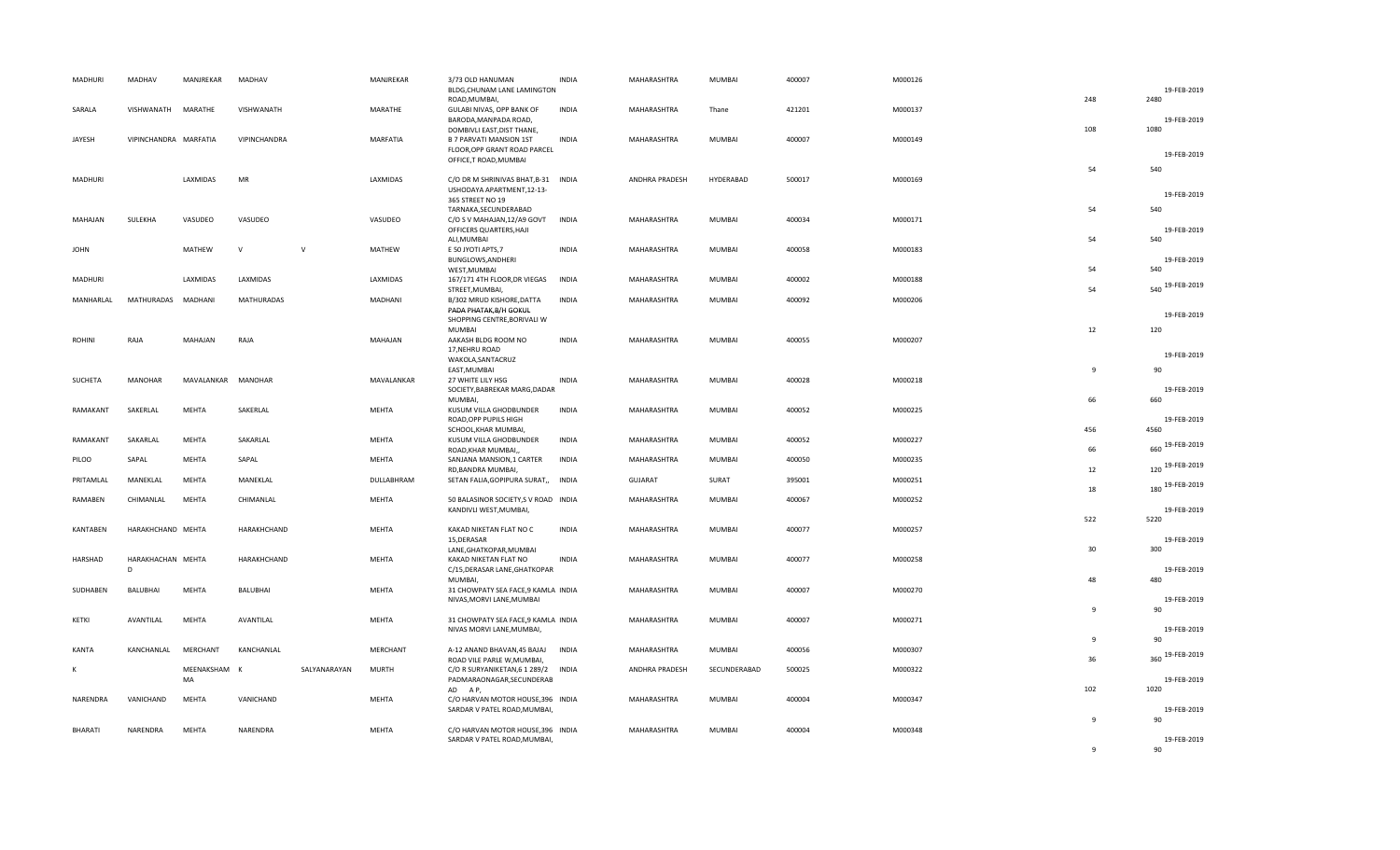| MADHURI            | MADHAV                 | MANJREKAR             | MADHAV            |              | MANJREKAR           | 3/73 OLD HANUMAN<br>BLDG, CHUNAM LANE LAMINGTON                                              | <b>INDIA</b>                 | MAHARASHTRA                   | MUMBAI          | 400007           | M000126            |                | 19-FEB-2019         |
|--------------------|------------------------|-----------------------|-------------------|--------------|---------------------|----------------------------------------------------------------------------------------------|------------------------------|-------------------------------|-----------------|------------------|--------------------|----------------|---------------------|
| SARALA             | VISHWANATH             | MARATHE               | VISHWANATH        |              | MARATHE             | ROAD, MUMBAI,<br>GULABI NIVAS, OPP BANK OF<br>BARODA, MANPADA ROAD,                          | <b>INDIA</b>                 | MAHARASHTRA                   | Thane           | 421201           | M000137            | 248            | 2480<br>19-FEB-2019 |
| JAYESH             | VIPINCHANDRA MARFATIA  |                       | VIPINCHANDRA      |              | MARFATIA            | DOMBIVLI EAST, DIST THANE,<br><b>B 7 PARVATI MANSION 1ST</b><br>FLOOR, OPP GRANT ROAD PARCEL | <b>INDIA</b>                 | MAHARASHTRA                   | MUMBAI          | 400007           | M000149            | 108            | 1080<br>19-FEB-2019 |
| MADHURI            |                        | LAXMIDAS              | MR                |              | LAXMIDAS            | OFFICE, TROAD, MUMBAI<br>C/O DR M SHRINIVAS BHAT, B-31 INDIA                                 |                              | ANDHRA PRADESH                | HYDERABAD       | 500017           | M000169            | 54             | 540                 |
|                    |                        |                       |                   |              |                     | USHODAYA APARTMENT, 12-13-<br>365 STREET NO 19<br>TARNAKA, SECUNDERABAD                      |                              |                               |                 |                  |                    | 54             | 19-FEB-2019<br>540  |
| MAHAJAN            | SULEKHA                | VASUDEO               | VASUDEO           |              | VASUDEO             | C/O S V MAHAJAN, 12/A9 GOVT<br>OFFICERS QUARTERS, HAJI<br>ALI, MUMBAI                        | INDIA                        | MAHARASHTRA                   | MUMBAI          | 400034           | M000171            | 54             | 19-FEB-2019<br>540  |
| <b>JOHN</b>        |                        | MATHEW                | $\vee$            | $\mathsf{v}$ | MATHEW              | E 50 JYOTI APTS, 7<br>BUNGLOWS, ANDHERI<br>WEST, MUMBAI                                      | <b>INDIA</b>                 | MAHARASHTRA                   | MUMBAI          | 400058           | M000183            | 54             | 19-FEB-2019<br>540  |
| MADHURI            |                        | LAXMIDAS              | LAXMIDAS          |              | LAXMIDAS            | 167/171 4TH FLOOR, DR VIEGAS<br>STREET, MUMBAI,                                              | <b>INDIA</b>                 | MAHARASHTRA                   | MUMBAI          | 400002           | M000188            | 54             | 540 19-FEB-2019     |
| MANHARLAL          | MATHURADAS             | MADHANI               | <b>MATHURADAS</b> |              | MADHANI             | B/302 MRUD KISHORE, DATTA<br>PADA PHATAK, B/H GOKUL<br>SHOPPING CENTRE, BORIVALI W           | <b>INDIA</b>                 | MAHARASHTRA                   | MUMBAI          | 400092           | M000206            |                | 19-FEB-2019         |
| ROHINI             | RAJA                   | MAHAJAN               | RAJA              |              | MAHAJAN             | <b>MUMBAI</b><br>AAKASH BLDG ROOM NO<br>17, NEHRU ROAD                                       | <b>INDIA</b>                 | MAHARASHTRA                   | MUMBAI          | 400055           | M000207            | 12             | 120                 |
| SUCHETA            | <b>MANOHAR</b>         | MAVALANKAR            | MANOHAR           |              | MAVALANKAR          | WAKOLA, SANTACRUZ<br>EAST, MUMBAI<br>27 WHITE LILY HSG                                       | <b>INDIA</b>                 | MAHARASHTRA                   | MUMBAI          | 400028           | M000218            | $\overline{9}$ | 19-FEB-2019<br>90   |
|                    |                        |                       |                   |              |                     | SOCIETY, BABREKAR MARG, DADAR<br>MUMBAI,                                                     |                              |                               |                 |                  |                    | 66             | 19-FEB-2019<br>660  |
| RAMAKANT           | SAKERLAL               | <b>MEHTA</b>          | SAKERLAL          |              | MEHTA               | KUSUM VILLA GHODBUNDER<br>ROAD, OPP PUPILS HIGH<br>SCHOOL, KHAR MUMBAI,                      | <b>INDIA</b>                 | MAHARASHTRA                   | MUMBAI          | 400052           | M000225            | 456            | 19-FEB-2019<br>4560 |
| RAMAKANT           | SAKARLAL               | MEHTA                 | SAKARLAL          |              | MEHTA               | KUSUM VILLA GHODBUNDER<br>ROAD, KHAR MUMBAI,                                                 | <b>INDIA</b>                 | MAHARASHTRA                   | MUMBAI          | 400052           | M000227            | 66             | 660 19-FEB-2019     |
| PILOO<br>PRITAMLAL | SAPAL<br>MANEKLAL      | MEHTA<br><b>MEHTA</b> | SAPAL<br>MANEKLAL |              | MEHTA<br>DULLABHRAM | SANJANA MANSION, 1 CARTER<br>RD, BANDRA MUMBAI,<br>SETAN FALIA, GOPIPURA SURAT,,             | <b>INDIA</b><br><b>INDIA</b> | MAHARASHTRA<br><b>GUJARAT</b> | MUMBAI<br>SURAT | 400050<br>395001 | M000235<br>M000251 | 12             | 120 19-FEB-2019     |
| RAMABEN            | CHIMANLAL              | <b>MEHTA</b>          | CHIMANLAL         |              | MEHTA               | 50 BALASINOR SOCIETY, S V ROAD INDIA                                                         |                              | MAHARASHTRA                   | MUMBAI          | 400067           | M000252            | 18             | 180 19-FEB-2019     |
|                    |                        |                       |                   |              |                     | KANDIVLI WEST, MUMBAI,                                                                       |                              |                               |                 |                  |                    | 522            | 19-FEB-2019<br>5220 |
| KANTABEN           | HARAKHCHAND MEHTA      |                       | HARAKHCHAND       |              | MEHTA               | KAKAD NIKETAN FLAT NO C<br>15, DERASAR<br>LANE, GHATKOPAR, MUMBAI                            | <b>INDIA</b>                 | MAHARASHTRA                   | MUMBAI          | 400077           | M000257            | 30             | 19-FEB-2019<br>300  |
| HARSHAD            | HARAKHACHAN MEHTA<br>D |                       | HARAKHCHAND       |              | MEHTA               | KAKAD NIKETAN FLAT NO<br>C/15, DERASAR LANE, GHATKOPAR<br>MUMBAI.                            | <b>INDIA</b>                 | MAHARASHTRA                   | MUMBAI          | 400077           | M000258            | 48             | 19-FEB-2019<br>480  |
| SUDHABEN           | BALUBHAI               | MEHTA                 | BALUBHAI          |              | MEHTA               | 31 CHOWPATY SEA FACE, 9 KAMLA INDIA<br>NIVAS, MORVI LANE, MUMBAI                             |                              | MAHARASHTRA                   | MUMBAI          | 400007           | M000270            | $\overline{9}$ | 19-FEB-2019<br>90   |
| KETKI              | AVANTILAL              | MEHTA                 | AVANTILAL         |              | MEHTA               | 31 CHOWPATY SEA FACE, 9 KAMLA INDIA<br>NIVAS MORVI LANE, MUMBAI,                             |                              | MAHARASHTRA                   | MUMBAI          | 400007           | M000271            | 9              | 19-FEB-2019<br>90   |
| KANTA              | KANCHANLAL             | MERCHANT              | KANCHANLAL        |              | MERCHANT            | A-12 ANAND BHAVAN, 45 BAJAJ<br>ROAD VILE PARLE W, MUMBAI,                                    | <b>INDIA</b>                 | MAHARASHTRA                   | MUMBAI          | 400056           | M000307            | 36             | 360 19-FEB-2019     |
| к                  |                        | MEENAKSHAM<br>MA      | K                 | SALYANARAYAN | <b>MURTH</b>        | C/O R SURYANIKETAN, 6 1 289/2 INDIA<br>PADMARAONAGAR, SECUNDERAB<br>AD AP,                   |                              | ANDHRA PRADESH                | SECUNDERABAD    | 500025           | M000322            | 102            | 19-FEB-2019<br>1020 |
| NARENDRA           | VANICHAND              | <b>MEHTA</b>          | VANICHAND         |              | MEHTA               | C/O HARVAN MOTOR HOUSE, 396 INDIA<br>SARDAR V PATEL ROAD, MUMBAI,                            |                              | MAHARASHTRA                   | MUMBAI          | 400004           | M000347            |                | 19-FEB-2019<br>90   |
| <b>BHARATI</b>     | NARENDRA               | <b>MEHTA</b>          | NARENDRA          |              | MEHTA               | C/O HARVAN MOTOR HOUSE, 396 INDIA<br>SARDAR V PATEL ROAD, MUMBAI,                            |                              | MAHARASHTRA                   | MUMBAI          | 400004           | M000348            | 9              | 19-FEB-2019         |
|                    |                        |                       |                   |              |                     |                                                                                              |                              |                               |                 |                  |                    | 9              | 90                  |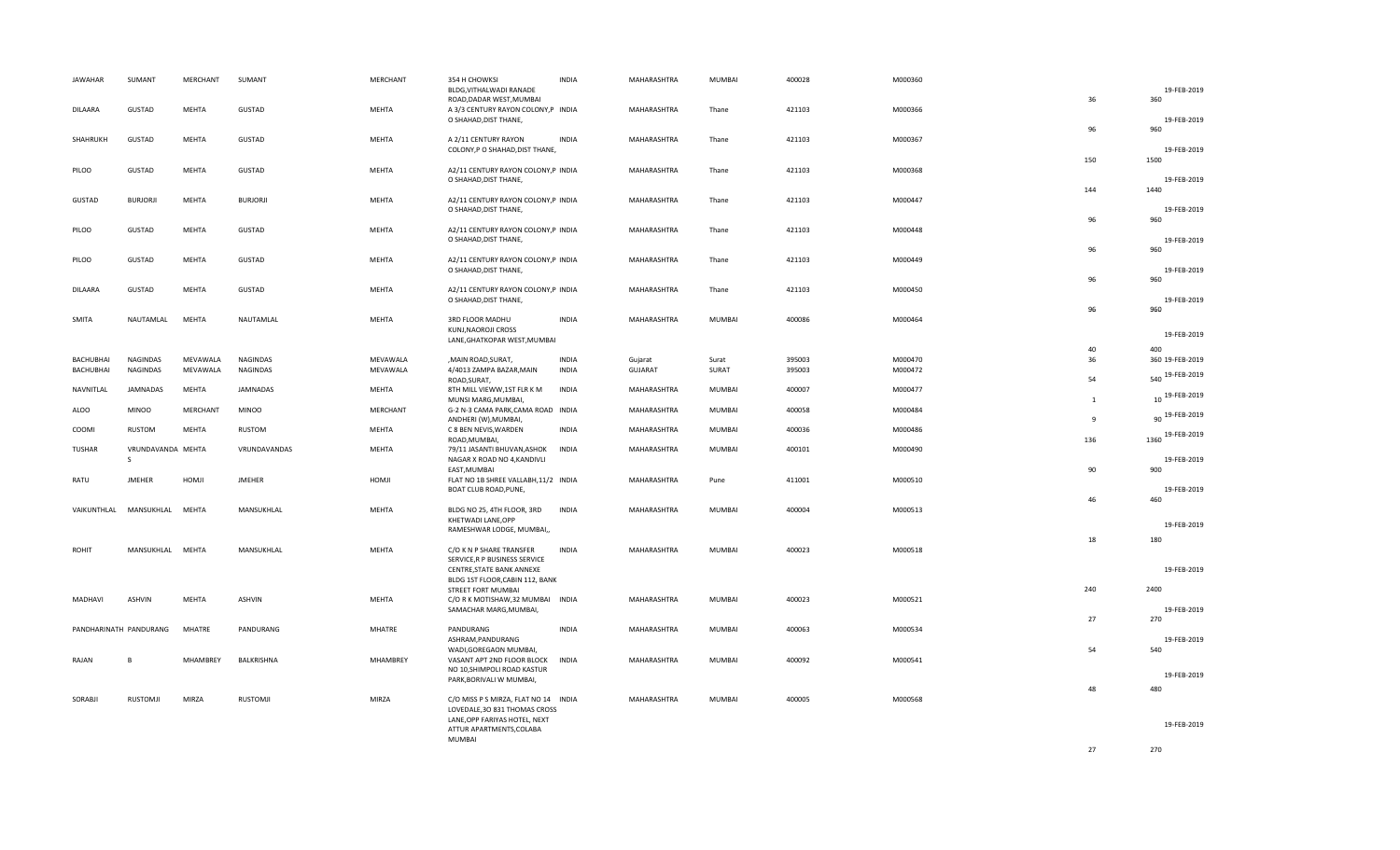| <b>JAWAHAR</b>         | SUMANT                            | MERCHANT        | SUMANT          | MERCHANT | 354 H CHOWKSI<br>BLDG, VITHALWADI RANADE                                                               | <b>INDIA</b> | MAHARASHTRA    | MUMBAI | 400028 | M000360 |                | 19-FEB-2019         |
|------------------------|-----------------------------------|-----------------|-----------------|----------|--------------------------------------------------------------------------------------------------------|--------------|----------------|--------|--------|---------|----------------|---------------------|
| <b>DILAARA</b>         | GUSTAD                            | MEHTA           | <b>GUSTAD</b>   | MEHTA    | ROAD, DADAR WEST, MUMBAI<br>A 3/3 CENTURY RAYON COLONY, P INDIA<br>O SHAHAD, DIST THANE,               |              | MAHARASHTRA    | Thane  | 421103 | M000366 | 36             | 360<br>19-FEB-2019  |
| SHAHRUKH               | GUSTAD                            | MEHTA           | GUSTAD          | MEHTA    | A 2/11 CENTURY RAYON<br>COLONY, P O SHAHAD, DIST THANE,                                                | <b>INDIA</b> | MAHARASHTRA    | Thane  | 421103 | M000367 | 96             | 960<br>19-FEB-2019  |
| PILOO                  | GUSTAD                            | MEHTA           | <b>GUSTAD</b>   | MEHTA    | A2/11 CENTURY RAYON COLONY, P INDIA<br>O SHAHAD, DIST THANE,                                           |              | MAHARASHTRA    | Thane  | 421103 | M000368 | 150            | 1500<br>19-FEB-2019 |
| GUSTAD                 | <b>BURJORJI</b>                   | MEHTA           | <b>BURJORJI</b> | MEHTA    | A2/11 CENTURY RAYON COLONY, P INDIA<br>O SHAHAD, DIST THANE,                                           |              | MAHARASHTRA    | Thane  | 421103 | M000447 | 144            | 1440<br>19-FEB-2019 |
| PILOO                  | GUSTAD                            | MEHTA           | GUSTAD          | MEHTA    | A2/11 CENTURY RAYON COLONY, P INDIA<br>O SHAHAD, DIST THANE,                                           |              | MAHARASHTRA    | Thane  | 421103 | M000448 | 96             | 960<br>19-FEB-2019  |
| PILOO                  | GUSTAD                            | MEHTA           | GUSTAD          | MEHTA    | A2/11 CENTURY RAYON COLONY, P INDIA<br>O SHAHAD, DIST THANE,                                           |              | MAHARASHTRA    | Thane  | 421103 | M000449 | 96             | 960<br>19-FEB-2019  |
| DILAARA                | GUSTAD                            | MEHTA           | GUSTAD          | MEHTA    | A2/11 CENTURY RAYON COLONY, P INDIA<br>O SHAHAD, DIST THANE,                                           |              | MAHARASHTRA    | Thane  | 421103 | M000450 | 96             | 960<br>19-FEB-2019  |
| SMITA                  | NAUTAMLAL                         | MEHTA           | NAUTAMLAL       | MEHTA    | 3RD FLOOR MADHU<br>KUNJ, NAOROJI CROSS                                                                 | <b>INDIA</b> | MAHARASHTRA    | MUMBAI | 400086 | M000464 | 96             | 960                 |
|                        |                                   |                 |                 |          | LANE, GHATKOPAR WEST, MUMBAI                                                                           |              |                |        |        |         | 40             | 19-FEB-2019<br>400  |
| BACHUBHAI              | <b>NAGINDAS</b>                   | MEVAWALA        | NAGINDAS        | MEVAWALA | , MAIN ROAD, SURAT,                                                                                    | <b>INDIA</b> | Gujarat        | Surat  | 395003 | M000470 | 36             | 360 19-FEB-2019     |
| <b>BACHUBHAI</b>       | <b>NAGINDAS</b>                   | MEVAWALA        | NAGINDAS        | MEVAWALA | 4/4013 ZAMPA BAZAR, MAIN<br>ROAD, SURAT,                                                               | <b>INDIA</b> | <b>GUJARAT</b> | SURAT  | 395003 | M000472 | 54             | 540 19-FEB-2019     |
| NAVNITLAL              | <b>JAMNADAS</b>                   | MEHTA           | JAMNADAS        | MEHTA    | 8TH MILL VIEWW, 1ST FLR K M<br>MUNSI MARG, MUMBAI,                                                     | <b>INDIA</b> | MAHARASHTRA    | MUMBAI | 400007 | M000477 | $\mathbf{1}$   | 10 19-FEB-2019      |
| ALOO                   | <b>MINOO</b>                      | <b>MERCHANT</b> | <b>MINOO</b>    | MERCHANT | G-2 N-3 CAMA PARK, CAMA ROAD INDIA<br>ANDHERI (W), MUMBAI,                                             |              | MAHARASHTRA    | MUMBAI | 400058 | M000484 | $\overline{9}$ | 90 19-FEB-2019      |
| COOMI                  | RUSTOM                            | MEHTA           | RUSTOM          | MEHTA    | C 8 BEN NEVIS, WARDEN<br>ROAD, MUMBAI,                                                                 | <b>INDIA</b> | MAHARASHTRA    | MUMBAI | 400036 | M000486 | 136            | 1360 19-FEB-2019    |
| <b>TUSHAR</b>          | VRUNDAVANDA MEHTA<br>$\mathsf{S}$ |                 | VRUNDAVANDAS    | MEHTA    | 79/11 JASANTI BHUVAN, ASHOK<br>NAGAR X ROAD NO 4, KANDIVLI<br>EAST, MUMBAI                             | <b>INDIA</b> | MAHARASHTRA    | MUMBAI | 400101 | M000490 | 90             | 19-FEB-2019<br>900  |
| RATU                   | <b>JMEHER</b>                     | HOMJI           | <b>JMEHER</b>   | HOMJI    | FLAT NO 1B SHREE VALLABH, 11/2 INDIA<br>BOAT CLUB ROAD, PUNE,                                          |              | MAHARASHTRA    | Pune   | 411001 | M000510 |                | 19-FEB-2019         |
| VAIKUNTHLAL            | MANSUKHLAL                        | MEHTA           | MANSUKHLAL      | MEHTA    | BLDG NO 25, 4TH FLOOR, 3RD<br>KHETWADI LANE, OPP                                                       | <b>INDIA</b> | MAHARASHTRA    | MUMBAI | 400004 | M000513 | 46             | 460<br>19-FEB-2019  |
|                        |                                   |                 |                 |          | RAMESHWAR LODGE, MUMBAI,,                                                                              |              |                |        |        |         | 18             | 180                 |
| <b>ROHIT</b>           | MANSUKHLAL MEHTA                  |                 | MANSUKHLAL      | MEHTA    | C/O K N P SHARE TRANSFER<br>SERVICE, R P BUSINESS SERVICE<br>CENTRE, STATE BANK ANNEXE                 | <b>INDIA</b> | MAHARASHTRA    | MUMBAI | 400023 | M000518 |                | 19-FEB-2019         |
|                        |                                   |                 |                 |          | BLDG 1ST FLOOR, CABIN 112, BANK<br>STREET FORT MUMBAI                                                  |              |                |        |        |         | 240            | 2400                |
| MADHAVI                | ASHVIN                            | MEHTA           | ASHVIN          | MEHTA    | C/O R K MOTISHAW, 32 MUMBAI INDIA<br>SAMACHAR MARG, MUMBAI,                                            |              | MAHARASHTRA    | MUMBAI | 400023 | M000521 | 27             | 19-FEB-2019         |
| PANDHARINATH PANDURANG |                                   | <b>MHATRE</b>   | PANDURANG       | MHATRE   | PANDURANG<br>ASHRAM, PANDURANG                                                                         | <b>INDIA</b> | MAHARASHTRA    | MUMBAI | 400063 | M000534 |                | 270<br>19-FEB-2019  |
| RAJAN                  | B                                 | MHAMBREY        | BALKRISHNA      | MHAMBREY | WADI, GOREGAON MUMBAI,<br>VASANT APT 2ND FLOOR BLOCK INDIA<br>NO 10, SHIMPOLI ROAD KASTUR              |              | MAHARASHTRA    | MUMBAI | 400092 | M000541 | 54             | 540<br>19-FEB-2019  |
|                        |                                   |                 |                 |          | PARK, BORIVALI W MUMBAI,                                                                               |              |                |        |        |         | 48             | 480                 |
| SORABJI                | RUSTOMJI                          | MIRZA           | RUSTOMJI        | MIRZA    | C/O MISS P S MIRZA, FLAT NO 14 INDIA<br>LOVEDALE, 30 831 THOMAS CROSS<br>LANE, OPP FARIYAS HOTEL, NEXT |              | MAHARASHTRA    | MUMBAI | 400005 | M000568 |                |                     |
|                        |                                   |                 |                 |          | ATTUR APARTMENTS, COLABA<br><b>MUMBAI</b>                                                              |              |                |        |        |         |                | 19-FEB-2019         |
|                        |                                   |                 |                 |          |                                                                                                        |              |                |        |        |         | 27             | 270                 |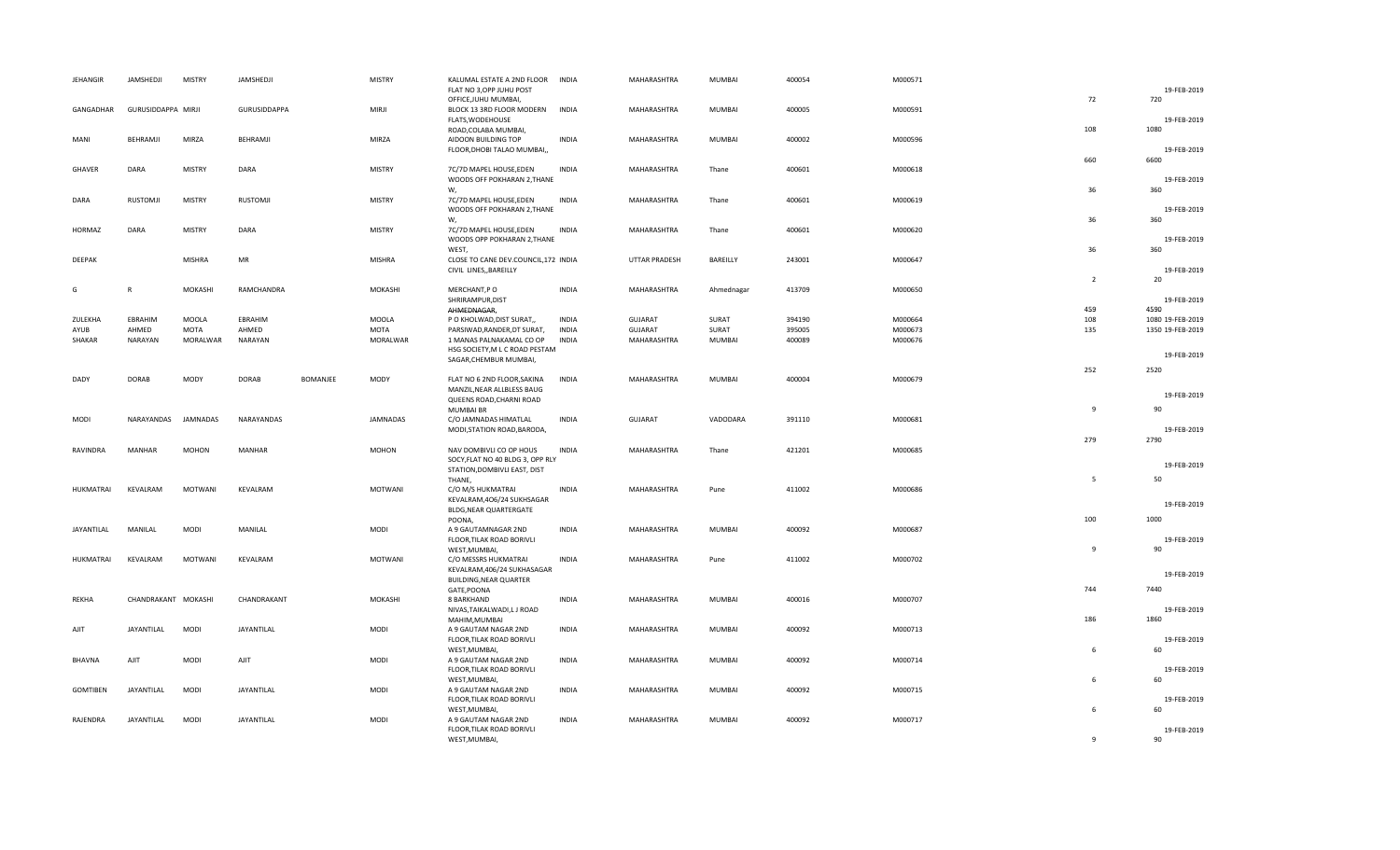| <b>JEHANGIR</b>   | JAMSHEDJI           | <b>MISTRY</b>  | JAMSHEDJI     |                 | <b>MISTRY</b> | KALUMAL ESTATE A 2ND FLOOR<br>FLAT NO 3, OPP JUHU POST                 | <b>INDIA</b> | MAHARASHTRA    | MUMBAI        | 400054 | M000571 |                | 19-FEB-2019         |
|-------------------|---------------------|----------------|---------------|-----------------|---------------|------------------------------------------------------------------------|--------------|----------------|---------------|--------|---------|----------------|---------------------|
| GANGADHAR         | GURUSIDDAPPA MIRJI  |                | GURUSIDDAPPA  |                 | <b>MIRJI</b>  | OFFICE, JUHU MUMBAI,<br>BLOCK 13 3RD FLOOR MODERN<br>FLATS, WODEHOUSE  | <b>INDIA</b> | MAHARASHTRA    | <b>MUMBAI</b> | 400005 | M000591 | 72             | 720<br>19-FEB-2019  |
| MANI              | BEHRAMJI            | MIRZA          | BEHRAMJI      |                 | MIRZA         | ROAD, COLABA MUMBAI,<br>AIDOON BUILDING TOP                            | <b>INDIA</b> | MAHARASHTRA    | MUMBAI        | 400002 | M000596 | 108            | 1080                |
| GHAVER            | DARA                | <b>MISTRY</b>  | DARA          |                 | <b>MISTRY</b> | FLOOR, DHOBI TALAO MUMBAI,<br>7C/7D MAPEL HOUSE, EDEN                  | <b>INDIA</b> | MAHARASHTRA    | Thane         | 400601 | M000618 | 660            | 19-FEB-2019<br>6600 |
|                   |                     |                |               |                 |               | WOODS OFF POKHARAN 2, THANE<br>W.                                      |              |                |               |        |         | 36             | 19-FEB-2019<br>360  |
| DARA              | RUSTOMJI            | <b>MISTRY</b>  | RUSTOMJI      |                 | <b>MISTRY</b> | 7C/7D MAPEL HOUSE, EDEN<br>WOODS OFF POKHARAN 2, THANE<br>W,           | <b>INDIA</b> | MAHARASHTRA    | Thane         | 400601 | M000619 | 36             | 19-FEB-2019<br>360  |
| <b>HORMAZ</b>     | DARA                | <b>MISTRY</b>  | DARA          |                 | <b>MISTRY</b> | 7C/7D MAPEL HOUSE, EDEN<br>WOODS OPP POKHARAN 2, THANE                 | <b>INDIA</b> | MAHARASHTRA    | Thane         | 400601 | M000620 |                | 19-FEB-2019         |
| DEEPAK            |                     | <b>MISHRA</b>  | MR            |                 | <b>MISHRA</b> | WEST,<br>CLOSE TO CANE DEV.COUNCIL, 172 INDIA<br>CIVIL LINES, BAREILLY |              | UTTAR PRADESH  | BAREILLY      | 243001 | M000647 | 36             | 360<br>19-FEB-2019  |
|                   |                     |                |               |                 |               |                                                                        |              |                |               |        |         | $\overline{2}$ | 20                  |
| G                 | $\mathbb{R}$        | MOKASHI        | RAMCHANDRA    |                 | MOKASHI       | MERCHANT, PO                                                           | <b>INDIA</b> | MAHARASHTRA    | Ahmednagar    | 413709 | M000650 |                |                     |
|                   |                     |                |               |                 |               | SHRIRAMPUR, DIST<br>AHMEDNAGAR,                                        |              |                |               |        |         | 459            | 19-FEB-2019<br>4590 |
| ZULEKHA           | EBRAHIM             | MOOLA          | EBRAHIM       |                 | <b>MOOLA</b>  | P O KHOLWAD, DIST SURAT,,                                              | <b>INDIA</b> | <b>GUJARAT</b> | SURAT         | 394190 | M000664 | 108            | 1080 19-FEB-2019    |
| AYUB              | AHMED               | MOTA           | AHMED         |                 | MOTA          | PARSIWAD, RANDER, DT SURAT,                                            | <b>INDIA</b> | <b>GUJARAT</b> | SURAT         | 395005 | M000673 | 135            | 1350 19-FEB-2019    |
| SHAKAR            | NARAYAN             | MORALWAR       | NARAYAN       |                 | MORALWAR      | 1 MANAS PALNAKAMAL CO OP                                               | <b>INDIA</b> | MAHARASHTRA    | MUMBAI        | 400089 | M000676 |                |                     |
|                   |                     |                |               |                 |               | HSG SOCIETY, M L C ROAD PESTAM<br>SAGAR, CHEMBUR MUMBAI,               |              |                |               |        |         |                | 19-FEB-2019         |
|                   |                     |                |               |                 |               |                                                                        |              |                |               |        |         | 252            | 2520                |
| DADY              | <b>DORAB</b>        | <b>MODY</b>    | <b>DORAB</b>  | <b>BOMANJEE</b> | MODY          | FLAT NO 6 2ND FLOOR, SAKINA                                            | <b>INDIA</b> | MAHARASHTRA    | MUMBAI        | 400004 | M000679 |                |                     |
|                   |                     |                |               |                 |               | MANZIL, NEAR ALLBLESS BAUG<br>QUEENS ROAD, CHARNI ROAD                 |              |                |               |        |         |                | 19-FEB-2019         |
|                   |                     |                |               |                 |               | <b>MUMBAI BR</b>                                                       |              |                |               |        |         | $\overline{9}$ | 90                  |
| MODI              | NARAYANDAS          | JAMNADAS       | NARAYANDAS    |                 | JAMNADAS      | C/O JAMNADAS HIMATLAL                                                  | <b>INDIA</b> | <b>GUJARAT</b> | VADODARA      | 391110 | M000681 |                |                     |
|                   |                     |                |               |                 |               | MODI, STATION ROAD, BARODA,                                            |              |                |               |        |         |                | 19-FEB-2019         |
|                   |                     |                |               |                 |               |                                                                        |              |                |               |        |         | 279            | 2790                |
| RAVINDRA          | MANHAR              | <b>MOHON</b>   | <b>MANHAR</b> |                 | MOHON         | NAV DOMBIVLI CO OP HOUS                                                | <b>INDIA</b> | MAHARASHTRA    | Thane         | 421201 | M000685 |                |                     |
|                   |                     |                |               |                 |               | SOCY, FLAT NO 40 BLDG 3, OPP RLY<br>STATION, DOMBIVLI EAST, DIST       |              |                |               |        |         |                | 19-FEB-2019         |
|                   |                     |                |               |                 |               | THANE,                                                                 |              |                |               |        |         | 5              | 50                  |
| HUKMATRAI         | KEVALRAM            | <b>MOTWANI</b> | KEVALRAM      |                 | MOTWANI       | C/O M/S HUKMATRAI                                                      | <b>INDIA</b> | MAHARASHTRA    | Pune          | 411002 | M000686 |                |                     |
|                   |                     |                |               |                 |               | KEVALRAM, 406/24 SUKHSAGAR                                             |              |                |               |        |         |                | 19-FEB-2019         |
|                   |                     |                |               |                 |               | BLDG, NEAR QUARTERGATE                                                 |              |                |               |        |         |                |                     |
| <b>JAYANTILAL</b> | MANILAL             | <b>MODI</b>    | MANILAL       |                 | MODI          | POONA,<br>A 9 GAUTAMNAGAR 2ND                                          | <b>INDIA</b> | MAHARASHTRA    | <b>MUMBAI</b> | 400092 | M000687 | 100            | 1000                |
|                   |                     |                |               |                 |               | FLOOR, TILAK ROAD BORIVLI                                              |              |                |               |        |         |                | 19-FEB-2019         |
|                   |                     |                |               |                 |               | WEST, MUMBAI,                                                          |              |                |               |        |         | $\overline{9}$ | 90                  |
| HUKMATRAI         | KEVALRAM            | MOTWANI        | KEVALRAM      |                 | MOTWANI       | C/O MESSRS HUKMATRAI                                                   | <b>INDIA</b> | MAHARASHTRA    | Pune          | 411002 | M000702 |                |                     |
|                   |                     |                |               |                 |               | KEVALRAM, 406/24 SUKHASAGAR                                            |              |                |               |        |         |                | 19-FEB-2019         |
|                   |                     |                |               |                 |               | BUILDING, NEAR QUARTER<br>GATE, POONA                                  |              |                |               |        |         | 744            | 7440                |
| REKHA             | CHANDRAKANT MOKASHI |                | CHANDRAKANT   |                 | MOKASHI       | 8 BARKHAND                                                             | <b>INDIA</b> | MAHARASHTRA    | MUMBAI        | 400016 | M000707 |                |                     |
|                   |                     |                |               |                 |               | NIVAS, TAIKALWADI, LJ ROAD                                             |              |                |               |        |         |                | 19-FEB-2019         |
|                   |                     |                |               |                 |               | MAHIM, MUMBAI                                                          |              |                |               |        |         | 186            | 1860                |
| AJIT              | JAYANTILAL          | <b>MODI</b>    | JAYANTILAL    |                 | MODI          | A 9 GAUTAM NAGAR 2ND                                                   | <b>INDIA</b> | MAHARASHTRA    | MUMBAI        | 400092 | M000713 |                |                     |
|                   |                     |                |               |                 |               | FLOOR, TILAK ROAD BORIVLI                                              |              |                |               |        |         |                | 19-FEB-2019         |
| <b>BHAVNA</b>     | AJIT                | <b>MODI</b>    | AJIT          |                 | MODI          | WEST, MUMBAI,<br>A 9 GAUTAM NAGAR 2ND                                  | <b>INDIA</b> | MAHARASHTRA    | MUMBAI        | 400092 | M000714 | 6              | 60                  |
|                   |                     |                |               |                 |               | FLOOR, TILAK ROAD BORIVLI                                              |              |                |               |        |         |                | 19-FEB-2019         |
|                   |                     |                |               |                 |               | WEST, MUMBAI,                                                          |              |                |               |        |         | 6              | 60                  |
| <b>GOMTIBEN</b>   | JAYANTILAL          | <b>MODI</b>    | JAYANTILAL    |                 | MODI          | A 9 GAUTAM NAGAR 2ND                                                   | <b>INDIA</b> | MAHARASHTRA    | MUMBAI        | 400092 | M000715 |                |                     |
|                   |                     |                |               |                 |               | FLOOR, TILAK ROAD BORIVLI                                              |              |                |               |        |         |                | 19-FEB-2019         |
| RAJENDRA          | JAYANTILAL          | <b>MODI</b>    | JAYANTILAL    |                 | MODI          | WEST, MUMBAI,<br>A 9 GAUTAM NAGAR 2ND                                  | <b>INDIA</b> | MAHARASHTRA    | MUMBAI        | 400092 | M000717 | 6              | 60                  |
|                   |                     |                |               |                 |               | FLOOR, TILAK ROAD BORIVLI                                              |              |                |               |        |         |                | 19-FEB-2019         |
|                   |                     |                |               |                 |               | WEST, MUMBAI,                                                          |              |                |               |        |         | $\mathbf{q}$   | 90                  |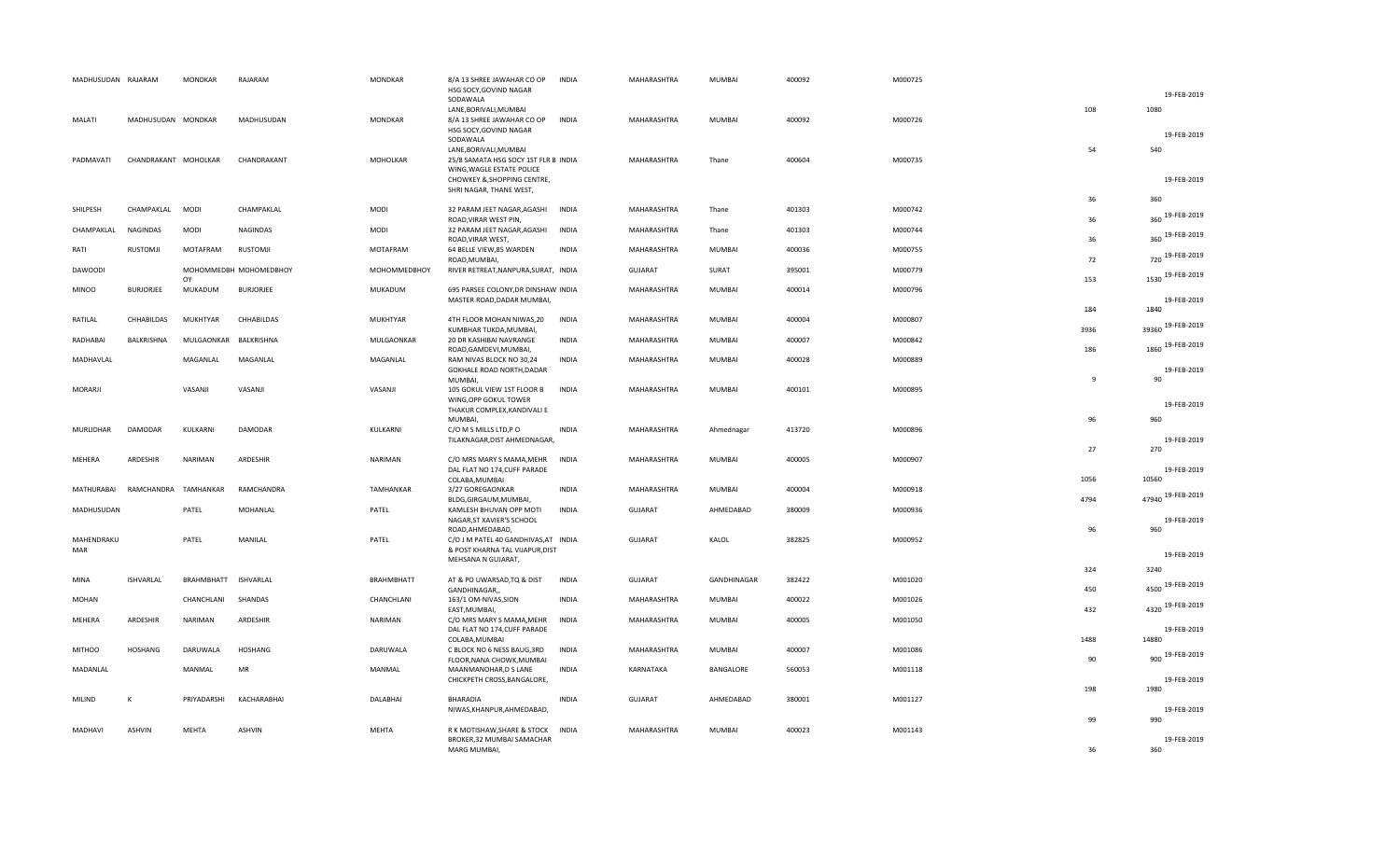| MADHUSUDAN RAJARAM |                      | MONDKAR       | RAJARAM                | <b>MONDKAR</b>    | 8/A 13 SHREE JAWAHAR CO OP<br>HSG SOCY, GOVIND NAGAR                               | INDIA        | MAHARASHTRA    | <b>MUMBAI</b> | 400092 | M000725 |      |                                    |
|--------------------|----------------------|---------------|------------------------|-------------------|------------------------------------------------------------------------------------|--------------|----------------|---------------|--------|---------|------|------------------------------------|
|                    |                      |               |                        |                   | SODAWALA<br>LANE, BORIVALI, MUMBAI                                                 |              |                |               |        |         | 108  | 19-FEB-2019<br>1080                |
| MALATI             | MADHUSUDAN MONDKAR   |               | MADHUSUDAN             | <b>MONDKAR</b>    | 8/A 13 SHREE JAWAHAR CO OP<br>HSG SOCY, GOVIND NAGAR<br>SODAWALA                   | <b>INDIA</b> | MAHARASHTRA    | <b>MUMBAI</b> | 400092 | M000726 |      | 19-FEB-2019                        |
| PADMAVATI          | CHANDRAKANT MOHOLKAR |               | CHANDRAKANT            | MOHOLKAR          | LANE, BORIVALI, MUMBAI<br>25/8 SAMATA HSG SOCY 1ST FLR B INDIA                     |              | MAHARASHTRA    | Thane         | 400604 | M000735 | 54   | 540                                |
|                    |                      |               |                        |                   | WING, WAGLE ESTATE POLICE<br>CHOWKEY & SHOPPING CENTRE,<br>SHRI NAGAR, THANE WEST, |              |                |               |        |         |      | 19-FEB-2019                        |
| SHILPESH           | CHAMPAKLAL           | <b>MODI</b>   | CHAMPAKLAL             | <b>MODI</b>       | 32 PARAM JEET NAGAR, AGASHI                                                        | <b>INDIA</b> | MAHARASHTRA    | Thane         | 401303 | M000742 | 36   | 360                                |
| CHAMPAKLAL         | NAGINDAS             | <b>MODI</b>   | NAGINDAS               | <b>MODI</b>       | ROAD, VIRAR WEST PIN,<br>32 PARAM JEET NAGAR, AGASHI                               | INDIA        | MAHARASHTRA    | Thane         | 401303 | M000744 | 36   | 360 19-FEB-2019<br>360 19-FEB-2019 |
| RATI               | <b>RUSTOMJI</b>      | MOTAFRAM      | RUSTOMJI               | MOTAFRAM          | ROAD, VIRAR WEST,<br>64 BELLE VIEW,85 WARDEN                                       | <b>INDIA</b> | MAHARASHTRA    | <b>MUMBAI</b> | 400036 | M000755 | 36   | 720 19-FEB-2019                    |
| <b>DAWOODI</b>     |                      |               | МОНОММЕДВН МОНОМЕДВНОҮ | МОНОММЕДВНОҮ      | ROAD, MUMBAI,<br>RIVER RETREAT, NANPURA, SURAT, INDIA                              |              | <b>GUJARAT</b> | SURAT         | 395001 | M000779 | 72   |                                    |
| <b>MINOO</b>       | <b>BURJORJEE</b>     | OY<br>MUKADUM | <b>BURJORJEE</b>       | MUKADUM           | 695 PARSEE COLONY, DR DINSHAW INDIA                                                |              | MAHARASHTRA    | <b>MUMBAI</b> | 400014 | M000796 | 153  | 1530 19-FEB-2019                   |
|                    |                      |               |                        |                   | MASTER ROAD, DADAR MUMBAI,                                                         |              |                |               |        |         | 184  | 19-FEB-2019<br>1840                |
| RATILAL            | CHHABILDAS           | MUKHTYAR      | CHHABILDAS             | MUKHTYAR          | 4TH FLOOR MOHAN NIWAS, 20                                                          | INDIA        | MAHARASHTRA    | <b>MUMBAI</b> | 400004 | M000807 | 3936 | 39360 19-FEB-2019                  |
| RADHABAI           | BALKRISHNA           | MULGAONKAR    | BALKRISHNA             | MULGAONKAR        | KUMBHAR TUKDA, MUMBAI,<br>20 DR KASHIBAI NAVRANGE                                  | <b>INDIA</b> | MAHARASHTRA    | <b>MUMBAI</b> | 400007 | M000842 |      | 1860 19-FEB-2019                   |
| MADHAVLAL          |                      | MAGANLAL      | MAGANLAL               | MAGANLAL          | ROAD, GAMDEVI, MUMBAI,<br>RAM NIVAS BLOCK NO 30,24                                 | <b>INDIA</b> | MAHARASHTRA    | <b>MUMBAI</b> | 400028 | M000889 | 186  |                                    |
|                    |                      |               |                        |                   | GOKHALE ROAD NORTH, DADAR<br>MUMBAI.                                               |              |                |               |        |         | 9    | 19-FEB-2019<br>90                  |
| MORARJI            |                      | VASANJI       | VASANJI                | VASANJI           | 105 GOKUL VIEW 1ST FLOOR B<br>WING, OPP GOKUL TOWER                                | <b>INDIA</b> | MAHARASHTRA    | <b>MUMBAI</b> | 400101 | M000895 |      |                                    |
|                    |                      |               |                        |                   | THAKUR COMPLEX, KANDIVALI E<br><b>MUMBAI</b>                                       |              |                |               |        |         | 96   | 19-FEB-2019<br>960                 |
| MURLIDHAR          | <b>DAMODAR</b>       | KULKARNI      | DAMODAR                | KULKARNI          | C/O M S MILLS LTD,P O                                                              | <b>INDIA</b> | MAHARASHTRA    | Ahmednagar    | 413720 | M000896 |      | 19-FEB-2019                        |
|                    |                      |               |                        |                   | TILAKNAGAR, DIST AHMEDNAGAR,                                                       |              |                |               |        |         | 27   | 270                                |
| MEHERA             | ARDESHIR             | NARIMAN       | ARDESHIR               | NARIMAN           | C/O MRS MARY S MAMA, MEHR<br>DAL FLAT NO 174, CUFF PARADE<br>COLABA, MUMBAI        | <b>INDIA</b> | MAHARASHTRA    | <b>MUMBAI</b> | 400005 | M000907 | 1056 | 19-FEB-2019<br>10560               |
| MATHURABAI         | RAMCHANDRA           | TAMHANKAR     | RAMCHANDRA             | TAMHANKAR         | 3/27 GOREGAONKAR<br>BLDG, GIRGAUM, MUMBAI,                                         | <b>INDIA</b> | MAHARASHTRA    | <b>MUMBAI</b> | 400004 | M000918 | 4794 | 47940 19-FEB-2019                  |
| MADHUSUDAN         |                      | PATEL         | MOHANLAL               | PATEL             | KAMLESH BHUVAN OPP MOTI<br>NAGAR, ST XAVIER'S SCHOOL                               | <b>INDIA</b> | <b>GUJARAT</b> | AHMEDABAD     | 380009 | M000936 |      | 19-FEB-2019                        |
| MAHENDRAKU         |                      | PATEL         | MANILAL                | PATEL             | ROAD, AHMEDABAD,<br>C/O J M PATEL 40 GANDHIVAS, AT INDIA                           |              | <b>GUJARAT</b> | KALOL         | 382825 | M000952 | 96   | 960                                |
| MAR                |                      |               |                        |                   | & POST KHARNA TAL VIJAPUR, DIST<br>MEHSANA N GUJARAT,                              |              |                |               |        |         |      | 19-FEB-2019                        |
|                    |                      |               |                        |                   |                                                                                    |              |                |               |        |         | 324  | 3240                               |
| MINA               | ISHVARLAL            | BRAHMBHATT    | ISHVARLAL              | <b>BRAHMBHATT</b> | AT & PO UWARSAD, TQ & DIST<br>GANDHINAGAR,,                                        | <b>INDIA</b> | GUJARAT        | GANDHINAGAR   | 382422 | M001020 | 450  | 4500 19-FEB-2019                   |
| MOHAN              |                      | CHANCHLANI    | SHANDAS                | CHANCHLANI        | 163/1 OM-NIVAS, SION<br>EAST, MUMBAI,                                              | <b>INDIA</b> | MAHARASHTRA    | <b>MUMBAI</b> | 400022 | M001026 | 432  | 4320 19-FEB-2019                   |
| MEHERA             | ARDESHIR             | NARIMAN       | ARDESHIR               | <b>NARIMAN</b>    | C/O MRS MARY S MAMA, MEHR<br>DAL FLAT NO 174, CUFF PARADE<br>COLABA, MUMBAI        | <b>INDIA</b> | MAHARASHTRA    | <b>MUMBAI</b> | 400005 | M001050 | 1488 | 19-FEB-2019<br>14880               |
| <b>MITHOO</b>      | <b>HOSHANG</b>       | DARUWALA      | <b>HOSHANG</b>         | DARUWALA          | C BLOCK NO 6 NESS BAUG, 3RD                                                        | <b>INDIA</b> | MAHARASHTRA    | MUMBAI        | 400007 | M001086 |      | 19-FEB-2019                        |
| MADANLAL           |                      | MANMAL        | ${\sf MR}$             | MANMAL            | FLOOR, NANA CHOWK, MUMBAI<br>MAANMANOHAR, D S LANE                                 | <b>INDIA</b> | KARNATAKA      | BANGALORE     | 560053 | M001118 | 90   | 900                                |
|                    |                      |               |                        |                   | CHICKPETH CROSS, BANGALORE,                                                        |              |                |               |        |         | 198  | 19-FEB-2019<br>1980                |
| MILIND             | К                    | PRIYADARSHI   | KACHARABHAI            | DALABHAI          | <b>BHARADIA</b><br>NIWAS, KHANPUR, AHMEDABAD,                                      | <b>INDIA</b> | <b>GUJARAT</b> | AHMEDABAD     | 380001 | M001127 |      | 19-FEB-2019                        |
| MADHAVI            | <b>ASHVIN</b>        | MEHTA         | <b>ASHVIN</b>          | MEHTA             | R K MOTISHAW, SHARE & STOCK                                                        | INDIA        | MAHARASHTRA    | <b>MUMBAI</b> | 400023 | M001143 | 99   | 990                                |
|                    |                      |               |                        |                   | BROKER, 32 MUMBAI SAMACHAR<br>MARG MUMBAI.                                         |              |                |               |        |         | 36   | 19-FEB-2019<br>360                 |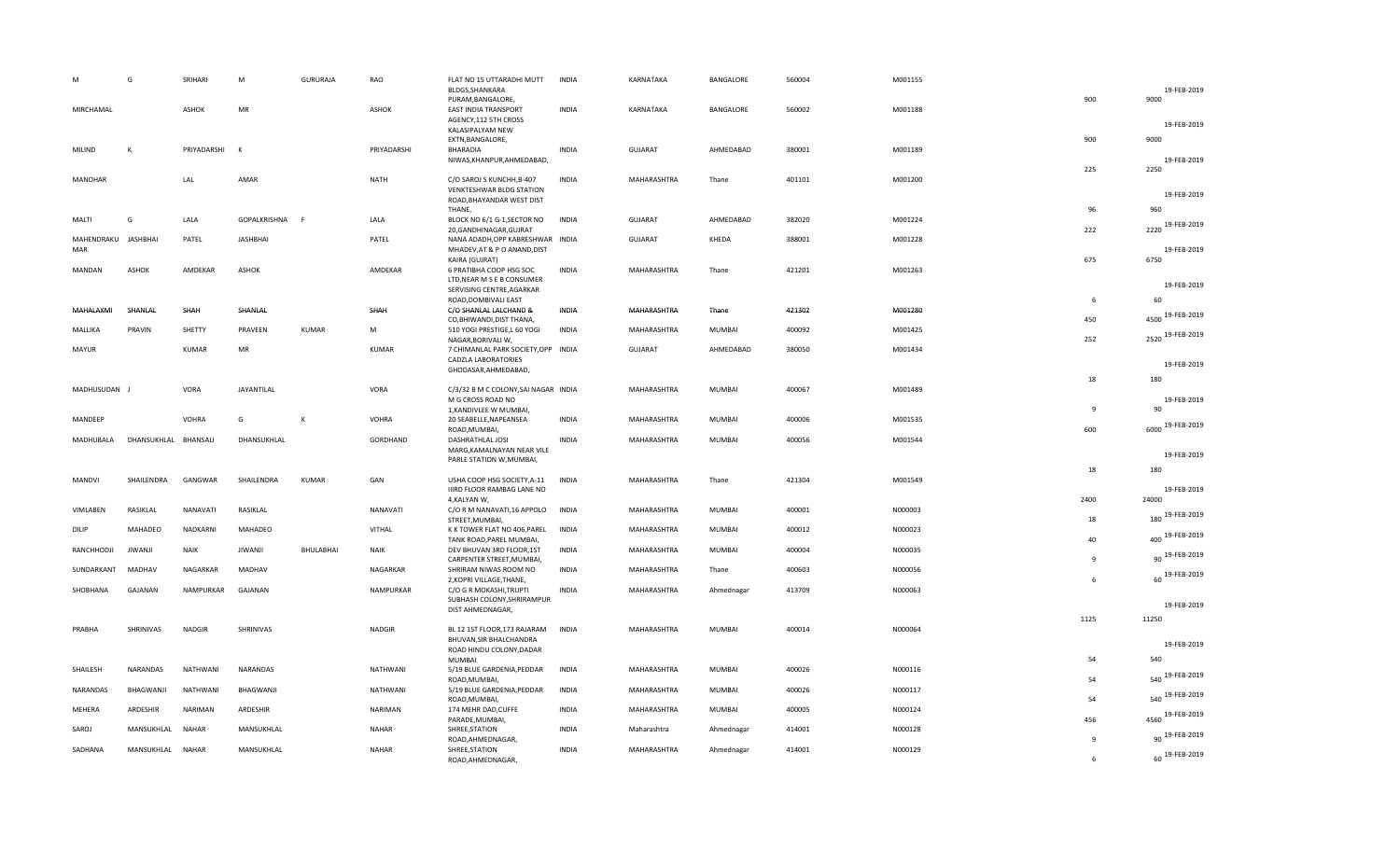|                     | G                    | SRIHARI        | M              | GURURAJA         | RAO          | FLAT NO 15 UTTARADHI MUTT                              | <b>INDIA</b> | KARNATAKA      | BANGALORE     | 560004 | M001155 |                |                     |
|---------------------|----------------------|----------------|----------------|------------------|--------------|--------------------------------------------------------|--------------|----------------|---------------|--------|---------|----------------|---------------------|
|                     |                      |                |                |                  |              | BLDGS, SHANKARA                                        |              |                |               |        |         |                | 19-FEB-2019         |
| MIRCHAMAL           |                      | ASHOK          | MR             |                  | ASHOK        | PURAM, BANGALORE,<br>EAST INDIA TRANSPORT              | <b>INDIA</b> | KARNATAKA      | BANGALORE     | 560002 | M001188 | 900            | 9000                |
|                     |                      |                |                |                  |              | AGENCY, 112 5TH CROSS                                  |              |                |               |        |         |                |                     |
|                     |                      |                |                |                  |              | KALASIPALYAM NEW                                       |              |                |               |        |         |                | 19-FEB-2019         |
| MILIND              | К                    | PRIYADARSHI    | K              |                  | PRIYADARSHI  | EXTN, BANGALORE,<br>BHARADIA                           | <b>INDIA</b> | <b>GUJARAT</b> | AHMEDABAD     | 380001 | M001189 | 900            | 9000                |
|                     |                      |                |                |                  |              | NIWAS, KHANPUR, AHMEDABAD,                             |              |                |               |        |         |                | 19-FEB-2019         |
|                     |                      |                |                |                  |              |                                                        |              |                |               |        |         | 225            | 2250                |
| <b>MANOHAR</b>      |                      | LAL            | AMAR           |                  | <b>NATH</b>  | C/O SAROJ S KUNCHH, B-407<br>VENKTESHWAR BLDG STATION  | <b>INDIA</b> | MAHARASHTRA    | Thane         | 401101 | M001200 |                |                     |
|                     |                      |                |                |                  |              | ROAD, BHAYANDAR WEST DIST                              |              |                |               |        |         |                | 19-FEB-2019         |
|                     | G                    |                |                |                  |              | THANE,                                                 |              |                |               |        | M001224 | 96             | 960                 |
| MALTI               |                      | LALA           | GOPALKRISHNA F |                  | LALA         | BLOCK NO 6/1 G-1, SECTOR NO<br>20, GANDHINAGAR, GUJRAT | <b>INDIA</b> | <b>GUJARAT</b> | AHMEDABAD     | 382020 |         | 222            | 2220 19-FEB-2019    |
| MAHENDRAKU JASHBHAI |                      | PATEL          | JASHBHAI       |                  | PATEL        | NANA ADADH, OPP KABRESHWAR INDIA                       |              | GUJARAT        | KHEDA         | 388001 | M001228 |                |                     |
| MAR                 |                      |                |                |                  |              | MHADEV, AT & P O ANAND, DIST<br>KAIRA (GUJRAT)         |              |                |               |        |         | 675            | 19-FEB-2019<br>6750 |
| <b>MANDAN</b>       | <b>ASHOK</b>         | AMDEKAR        | <b>ASHOK</b>   |                  | AMDEKAR      | 6 PRATIBHA COOP HSG SOC                                | <b>INDIA</b> | MAHARASHTRA    | Thane         | 421201 | M001263 |                |                     |
|                     |                      |                |                |                  |              | LTD, NEAR M S E B CONSUMER                             |              |                |               |        |         |                | 19-FEB-2019         |
|                     |                      |                |                |                  |              | SERVISING CENTRE, AGARKAR<br>ROAD, DOMBIVALI EAST      |              |                |               |        |         | 6              | 60                  |
| MAHALAXMI           | SHANLAL              | SHAH           | SHANLAL        |                  | SHAH         | C/O SHANLAL LALCHAND &                                 | INDIA        | MAHARASHTRA    | Thane         | 421302 | M001280 |                | 19-FEB-2019         |
|                     |                      |                |                |                  |              | CO, BHIWANDI, DIST THANA,                              |              |                |               |        |         | 450            | 4500                |
| MALLIKA             | PRAVIN               | SHETTY         | PRAVEEN        | <b>KUMAR</b>     | M            | 510 YOGI PRESTIGE, L 60 YOGI<br>NAGAR, BORIVALI W,     | <b>INDIA</b> | MAHARASHTRA    | <b>MUMBAI</b> | 400092 | M001425 | 252            | 2520 19-FEB-2019    |
| MAYUR               |                      | <b>KUMAR</b>   | ${\sf MR}$     |                  | KUMAR        | 7 CHIMANLAL PARK SOCIETY, OPP INDIA                    |              | GUJARAT        | AHMEDABAD     | 380050 | M001434 |                |                     |
|                     |                      |                |                |                  |              | CADZLA LABORATORIES<br>GHODASAR, AHMEDABAD,            |              |                |               |        |         |                | 19-FEB-2019         |
|                     |                      |                |                |                  |              |                                                        |              |                |               |        |         | 18             | 180                 |
| MADHUSUDAN .        |                      | VORA           | JAYANTILAL     |                  | VORA         | C/3/32 B M C COLONY, SAI NAGAR INDIA                   |              | MAHARASHTRA    | <b>MUMBAI</b> | 400067 | M001489 |                |                     |
|                     |                      |                |                |                  |              | M G CROSS ROAD NO<br>1, KANDIVLEE W MUMBAI,            |              |                |               |        |         | $\mathbf{q}$   | 19-FEB-2019<br>90   |
| MANDEEP             |                      | <b>VOHRA</b>   | G              | K                | <b>VOHRA</b> | 20 SEABELLE, NAPEANSEA                                 | <b>INDIA</b> | MAHARASHTRA    | <b>MUMBAI</b> | 400006 | M001535 |                |                     |
|                     |                      |                |                |                  |              | ROAD, MUMBAI,                                          |              |                |               |        |         | 600            | 6000 19-FEB-2019    |
| MADHUBALA           | DHANSUKHLAL BHANSALI |                | DHANSUKHLAL    |                  | GORDHAND     | DASHRATHLAL JOSI<br>MARG, KAMALNAYAN NEAR VILE         | <b>INDIA</b> | MAHARASHTRA    | MUMBAI        | 400056 | M001544 |                |                     |
|                     |                      |                |                |                  |              | PARLE STATION W, MUMBAI,                               |              |                |               |        |         |                | 19-FEB-2019         |
| <b>MANDVI</b>       | SHAILENDRA           | GANGWAR        | SHAILENDRA     | <b>KUMAR</b>     | GAN          | USHA COOP HSG SOCIETY, A-11                            | <b>INDIA</b> | MAHARASHTRA    | Thane         | 421304 | M001549 | 18             | 180                 |
|                     |                      |                |                |                  |              | IIIRD FLOOR RAMBAG LANE NO                             |              |                |               |        |         |                | 19-FEB-2019         |
|                     |                      |                |                |                  |              | 4, KALYAN W,                                           |              |                |               |        |         | 2400           | 24000               |
| VIMLABEN            | RASIKLAL             | NANAVATI       | RASIKLAL       |                  | NANAVATI     | C/O R M NANAVATI, 16 APPOLO<br>STREET, MUMBAI,         | <b>INDIA</b> | MAHARASHTRA    | MUMBAI        | 400001 | N000003 | 18             | 180 19-FEB-2019     |
| DILIP               | MAHADEO              | NADKARNI       | MAHADEO        |                  | VITHAL       | K K TOWER FLAT NO 406, PAREL                           | <b>INDIA</b> | MAHARASHTRA    | <b>MUMBAI</b> | 400012 | N000023 |                | 19-FEB-2019         |
|                     |                      |                |                |                  |              | TANK ROAD, PAREL MUMBAI,                               |              |                |               |        |         | 40             | 400                 |
| RANCHHODJI          | <b>JIWANJI</b>       | <b>NAIK</b>    | <b>JIWANJI</b> | <b>BHULABHAI</b> | <b>NAIK</b>  | DEV BHUVAN 3RD FLOOR, 1ST<br>CARPENTER STREET, MUMBAI, | <b>INDIA</b> | MAHARASHTRA    | <b>MUMBAI</b> | 400004 | N000035 | $\overline{9}$ | 90 19-FEB-2019      |
| SUNDARKANT          | MADHAV               | NAGARKAR       | MADHAV         |                  | NAGARKAR     | SHRIRAM NIWAS ROOM NO                                  | <b>INDIA</b> | MAHARASHTRA    | Thane         | 400603 | N000056 |                | 60 19-FEB-2019      |
| SHOBHANA            | GAJANAN              | NAMPURKAR      | GAJANAN        |                  | NAMPURKAR    | 2, KOPRI VILLAGE, THANE,<br>C/O G R MOKASHI, TRUPTI    | <b>INDIA</b> | MAHARASHTRA    | Ahmednagar    | 413709 | N000063 | 6              |                     |
|                     |                      |                |                |                  |              | SUBHASH COLONY, SHRIRAMPUR                             |              |                |               |        |         |                |                     |
|                     |                      |                |                |                  |              | DIST AHMEDNAGAR,                                       |              |                |               |        |         |                | 19-FEB-2019         |
| PRABHA              | SHRINIVAS            | <b>NADGIR</b>  | SHRINIVAS      |                  | NADGIR       | BL 12 1ST FLOOR, 173 RAJARAM                           | <b>INDIA</b> | MAHARASHTRA    | MUMBAI        | 400014 | N000064 | 1125           | 11250               |
|                     |                      |                |                |                  |              | BHUVAN, SIR BHALCHANDRA                                |              |                |               |        |         |                | 19-FEB-2019         |
|                     |                      |                |                |                  |              | ROAD HINDU COLONY, DADAR<br><b>MUMBAI</b>              |              |                |               |        |         | 54             | 540                 |
| SHAILESH            | NARANDAS             | NATHWANI       | NARANDAS       |                  | NATHWANI     | 5/19 BLUE GARDENIA, PEDDAR                             | <b>INDIA</b> | MAHARASHTRA    | MUMBAI        | 400026 | N000116 |                |                     |
|                     |                      |                |                |                  |              | ROAD, MUMBAI,                                          |              |                |               |        |         | 54             | 540 19-FEB-2019     |
| NARANDAS            | BHAGWANJI            | NATHWANI       | BHAGWANJI      |                  | NATHWANI     | 5/19 BLUE GARDENIA, PEDDAR<br>ROAD, MUMBAI             | <b>INDIA</b> | MAHARASHTRA    | <b>MUMBAI</b> | 400026 | N000117 | 54             | 540 19-FEB-2019     |
| MEHERA              | ARDESHIR             | <b>NARIMAN</b> | ARDESHIR       |                  | NARIMAN      | 174 MEHR DAD, CUFFE                                    | <b>INDIA</b> | MAHARASHTRA    | <b>MUMBAI</b> | 400005 | N000124 |                |                     |
|                     |                      |                |                |                  |              | PARADE, MUMBAI,                                        |              |                |               |        |         | 456            | 4560 19-FEB-2019    |
| SAROJ               | MANSUKHLAL           | <b>NAHAR</b>   | MANSUKHLAL     |                  | <b>NAHAR</b> | SHREE, STATION<br>ROAD, AHMEDNAGAR,                    | <b>INDIA</b> | Maharashtra    | Ahmednagar    | 414001 | N000128 | 9              | 90 19-FEB-2019      |
| SADHANA             | MANSUKHLAL NAHAR     |                | MANSUKHLAL     |                  | <b>NAHAR</b> | SHREE, STATION                                         | <b>INDIA</b> | MAHARASHTRA    | Ahmednagar    | 414001 | N000129 |                | 60 19-FEB-2019      |
|                     |                      |                |                |                  |              | ROAD.AHMEDNAGAR.                                       |              |                |               |        |         | 6              |                     |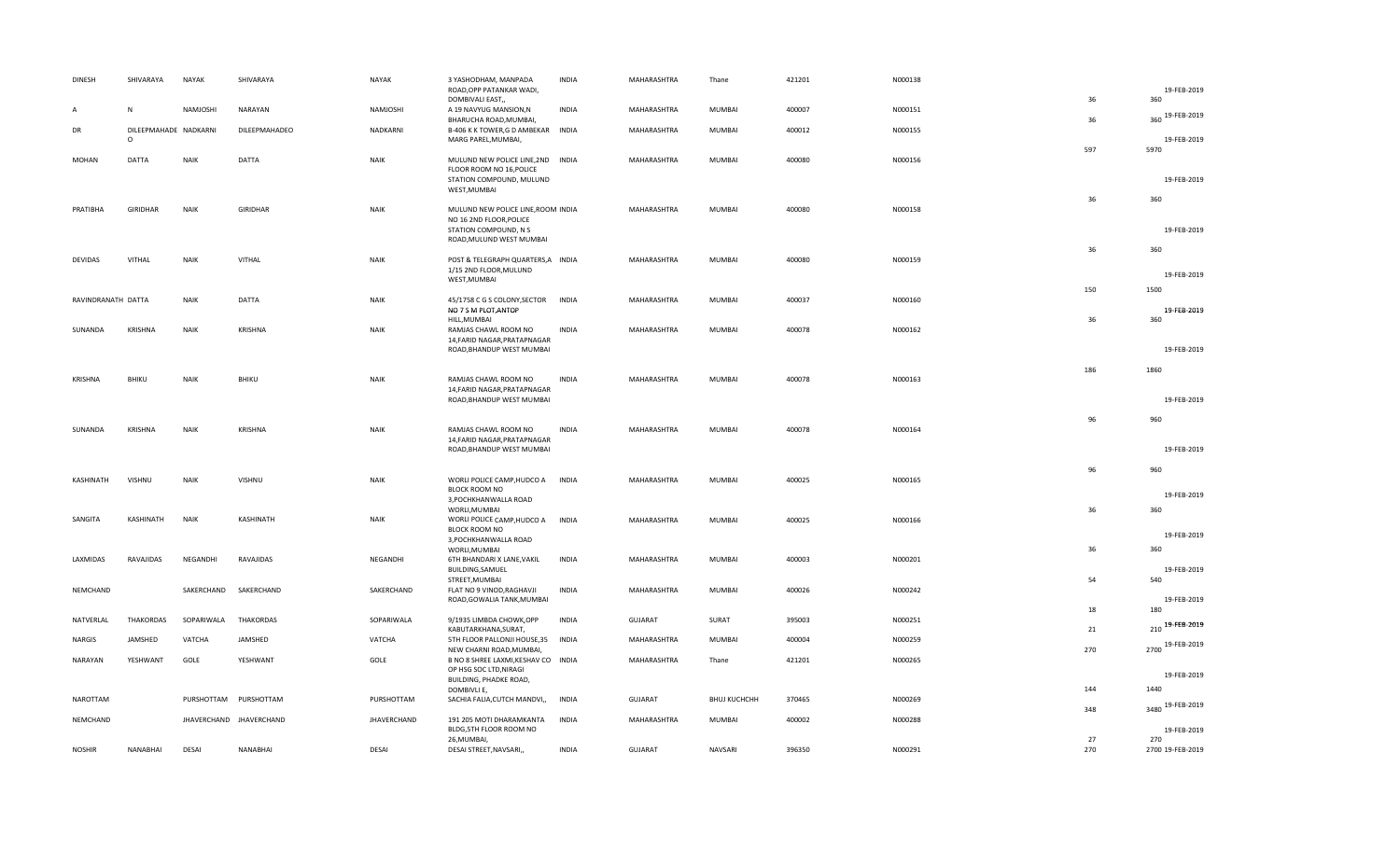| <b>DINESH</b>      | SHIVARAYA             | <b>NAYAK</b>          | SHIVARAYA               | <b>NAYAK</b>       | 3 YASHODHAM, MANPADA<br>ROAD, OPP PATANKAR WADI,              | <b>INDIA</b> | MAHARASHTRA    | Thane               | 421201 | N000138 |           | 19-FEB-2019         |
|--------------------|-----------------------|-----------------------|-------------------------|--------------------|---------------------------------------------------------------|--------------|----------------|---------------------|--------|---------|-----------|---------------------|
| A                  | N                     | NAMJOSHI              | NARAYAN                 | NAMJOSHI           | DOMBIVALI EAST,<br>A 19 NAVYUG MANSION, N                     | <b>INDIA</b> | MAHARASHTRA    | MUMBAI              | 400007 | N000151 | 36        | 360                 |
| DR                 | DILEEPMAHADE NADKARNI |                       | DILEEPMAHADEO           | NADKARNI           | BHARUCHA ROAD, MUMBAI,<br>B-406 K K TOWER, G D AMBEKAR INDIA  |              | MAHARASHTRA    | MUMBAI              | 400012 | N000155 | 36        | 360 19-FEB-2019     |
|                    | $\circ$               |                       |                         |                    | MARG PAREL, MUMBAI,                                           |              |                |                     |        |         | 597       | 19-FEB-2019<br>5970 |
| <b>MOHAN</b>       | <b>DATTA</b>          | <b>NAIK</b>           | <b>DATTA</b>            | <b>NAIK</b>        | MULUND NEW POLICE LINE, 2ND INDIA                             |              | MAHARASHTRA    | MUMBAI              | 400080 | N000156 |           |                     |
|                    |                       |                       |                         |                    | FLOOR ROOM NO 16, POLICE<br>STATION COMPOUND, MULUND          |              |                |                     |        |         |           | 19-FEB-2019         |
|                    |                       |                       |                         |                    | WEST, MUMBAI                                                  |              |                |                     |        |         | 36        | 360                 |
| PRATIBHA           | GIRIDHAR              | <b>NAIK</b>           | <b>GIRIDHAR</b>         | <b>NAIK</b>        | MULUND NEW POLICE LINE, ROOM INDIA<br>NO 16 2ND FLOOR, POLICE |              | MAHARASHTRA    | MUMBAI              | 400080 | N000158 |           |                     |
|                    |                       |                       |                         |                    | STATION COMPOUND, N S<br>ROAD, MULUND WEST MUMBAI             |              |                |                     |        |         |           | 19-FEB-2019         |
| <b>DEVIDAS</b>     | VITHAL                | <b>NAIK</b>           | VITHAL                  | <b>NAIK</b>        | POST & TELEGRAPH QUARTERS, A INDIA                            |              | MAHARASHTRA    | MUMBAI              | 400080 | N000159 | 36        | 360                 |
|                    |                       |                       |                         |                    | 1/15 2ND FLOOR, MULUND<br>WEST, MUMBAI                        |              |                |                     |        |         |           | 19-FEB-2019         |
|                    |                       |                       | DATTA                   |                    |                                                               |              |                |                     |        |         | 150       | 1500                |
| RAVINDRANATH DATTA |                       | <b>NAIK</b>           |                         | <b>NAIK</b>        | 45/1758 C G S COLONY, SECTOR<br>NO 7 S M PLOT, ANTOP          | <b>INDIA</b> | MAHARASHTRA    | MUMBAI              | 400037 | N000160 |           | 19-FEB-2019         |
| SUNANDA            | <b>KRISHNA</b>        | <b>NAIK</b>           | KRISHNA                 | <b>NAIK</b>        | HILL, MUMBAI<br>RAMJAS CHAWL ROOM NO                          | <b>INDIA</b> | MAHARASHTRA    | MUMBAI              | 400078 | N000162 | 36        | 360                 |
|                    |                       |                       |                         |                    | 14, FARID NAGAR, PRATAPNAGAR<br>ROAD, BHANDUP WEST MUMBAI     |              |                |                     |        |         |           | 19-FEB-2019         |
|                    |                       |                       |                         |                    |                                                               |              |                |                     |        |         | 186       | 1860                |
| <b>KRISHNA</b>     | BHIKU                 | <b>NAIK</b>           | BHIKU                   | <b>NAIK</b>        | RAMJAS CHAWL ROOM NO<br>14, FARID NAGAR, PRATAPNAGAR          | <b>INDIA</b> | MAHARASHTRA    | MUMBAI              | 400078 | N000163 |           |                     |
|                    |                       |                       |                         |                    | ROAD, BHANDUP WEST MUMBAI                                     |              |                |                     |        |         |           | 19-FEB-2019         |
| SUNANDA            | KRISHNA               | <b>NAIK</b>           | KRISHNA                 | <b>NAIK</b>        | RAMJAS CHAWL ROOM NO                                          | <b>INDIA</b> | MAHARASHTRA    | MUMBAI              | 400078 | N000164 | 96        | 960                 |
|                    |                       |                       |                         |                    | 14, FARID NAGAR, PRATAPNAGAR<br>ROAD, BHANDUP WEST MUMBAI     |              |                |                     |        |         |           | 19-FEB-2019         |
|                    |                       |                       |                         |                    |                                                               |              |                |                     |        |         |           |                     |
| KASHINATH          | <b>VISHNU</b>         | <b>NAIK</b>           | VISHNU                  | <b>NAIK</b>        | WORLI POLICE CAMP, HUDCO A                                    | <b>INDIA</b> | MAHARASHTRA    | MUMBAI              | 400025 | N000165 | 96        | 960                 |
|                    |                       |                       |                         |                    | BLOCK ROOM NO<br>3, POCHKHANWALLA ROAD                        |              |                |                     |        |         |           | 19-FEB-2019         |
| SANGITA            | KASHINATH             | <b>NAIK</b>           | KASHINATH               | <b>NAIK</b>        | WORLI, MUMBAI<br>WORLI POLICE CAMP, HUDCO A                   | <b>INDIA</b> | MAHARASHTRA    | MUMBAI              | 400025 | N000166 | 36        | 360                 |
|                    |                       |                       |                         |                    | BLOCK ROOM NO<br>3, POCHKHANWALLA ROAD                        |              |                |                     |        |         |           | 19-FEB-2019         |
| LAXMIDAS           | RAVAJIDAS             | NEGANDHI              | RAVAJIDAS               | NEGANDHI           | WORLI, MUMBAI<br>6TH BHANDARI X LANE, VAKIL                   | <b>INDIA</b> | MAHARASHTRA    | MUMBAI              | 400003 | N000201 | 36        | 360                 |
|                    |                       |                       |                         |                    | BUILDING, SAMUEL<br>STREET, MUMBAI                            |              |                |                     |        |         | 54        | 19-FEB-2019<br>540  |
| NEMCHAND           |                       | SAKERCHAND            | SAKERCHAND              | SAKERCHAND         | FLAT NO 9 VINOD, RAGHAVJI<br>ROAD, GOWALIA TANK, MUMBAI       | <b>INDIA</b> | MAHARASHTRA    | MUMBAI              | 400026 | N000242 |           | 19-FEB-2019         |
|                    |                       |                       |                         |                    |                                                               |              |                |                     |        |         | 18        | 180                 |
| NATVERLAL          | <b>THAKORDAS</b>      | SOPARIWALA            | <b>THAKORDAS</b>        | SOPARIWALA         | 9/1935 LIMBDA CHOWK, OPP<br>KABUTARKHANA, SURAT,              | <b>INDIA</b> | <b>GUJARAT</b> | SURAT               | 395003 | N000251 | 21        | 210 19-FEB-2019     |
| NARGIS             | JAMSHED               | VATCHA                | JAMSHED                 | VATCHA             | 5TH FLOOR PALLONJI HOUSE, 35<br>NEW CHARNI ROAD, MUMBAI,      | INDIA        | MAHARASHTRA    | MUMBAI              | 400004 | N000259 | 270       | 2700 19-FEB-2019    |
| NARAYAN            | YESHWANT              | GOLE                  | YESHWANT                | GOLE               | B NO 8 SHREE LAXMI, KESHAV CO INDIA<br>OP HSG SOC LTD, NIRAGI |              | MAHARASHTRA    | Thane               | 421201 | N000265 |           | 19-FEB-2019         |
|                    |                       |                       |                         |                    | BUILDING, PHADKE ROAD,<br>DOMBIVLI E,                         |              |                |                     |        |         | 144       | 1440                |
| NAROTTAM           |                       | PURSHOTTAM PURSHOTTAM |                         | PURSHOTTAM         | SACHIA FALIA, CUTCH MANDVI,,                                  | <b>INDIA</b> | GUJARAT        | <b>ВНИЈ КИСНСНН</b> | 370465 | N000269 | 348       | 3480 19-FEB-2019    |
| NEMCHAND           |                       |                       | JHAVERCHAND JHAVERCHAND | <b>JHAVERCHAND</b> | 191 205 MOTI DHARAMKANTA<br>BLDG, 5TH FLOOR ROOM NO           | <b>INDIA</b> | MAHARASHTRA    | MUMBAI              | 400002 | N000288 |           | 19-FEB-2019         |
|                    |                       | DESAI                 | NANABHAI                |                    | 26, MUMBAI,                                                   | <b>INDIA</b> | <b>GUJARAT</b> |                     | 396350 |         | 27<br>270 | 270                 |
| <b>NOSHIR</b>      | NANABHAI              |                       |                         | DESAI              | DESAI STREET, NAVSARI,,                                       |              |                | NAVSARI             |        | N000291 |           | 2700 19-FEB-2019    |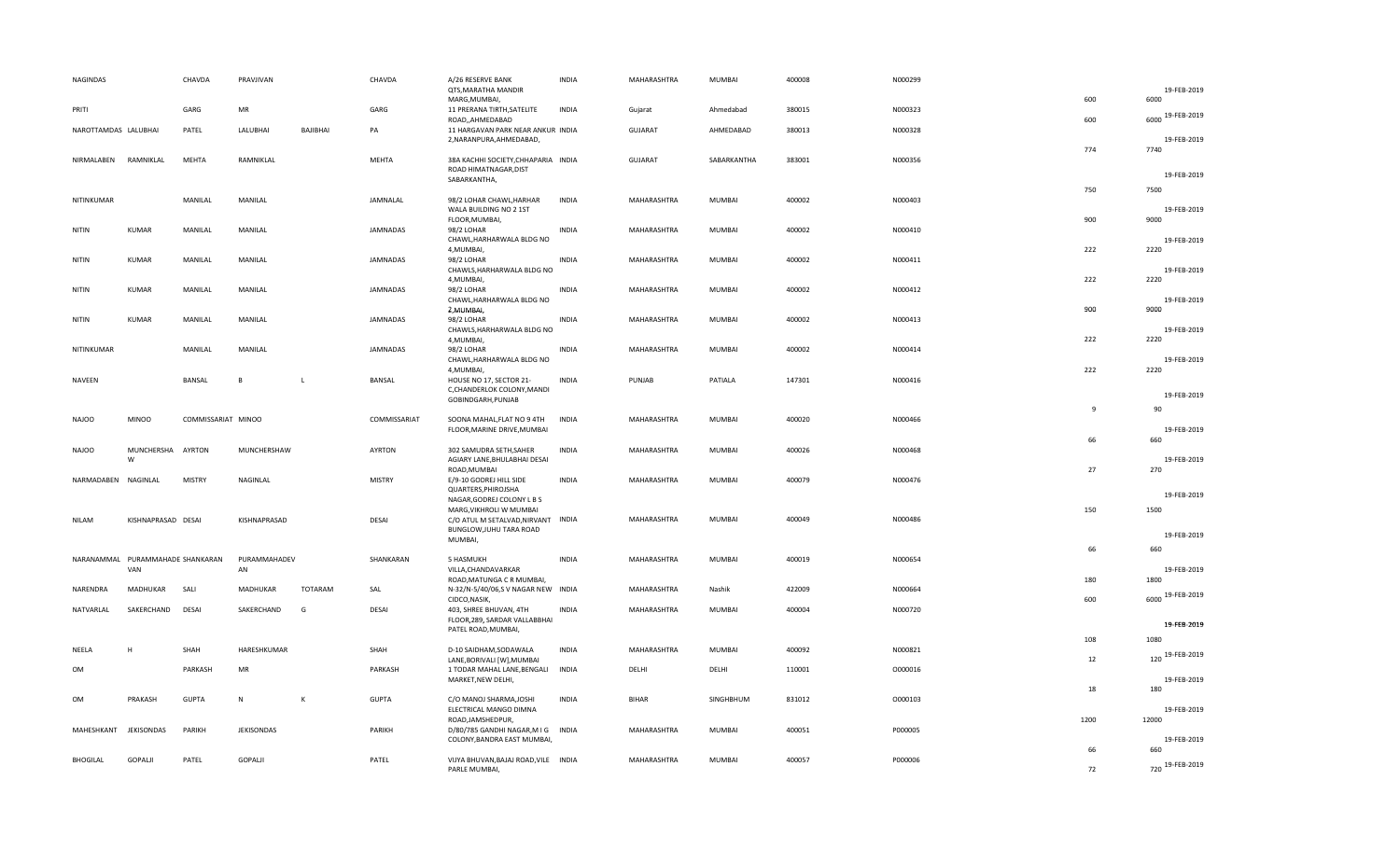| <b>NAGINDAS</b>      |                              | CHAVDA             | PRAVJIVAN          |              | CHAVDA          | A/26 RESERVE BANK<br>QTS, MARATHA MANDIR                                                     | <b>INDIA</b> | MAHARASHTRA    | <b>MUMBAI</b> | 400008 | N000299 |                | 19-FEB-2019            |
|----------------------|------------------------------|--------------------|--------------------|--------------|-----------------|----------------------------------------------------------------------------------------------|--------------|----------------|---------------|--------|---------|----------------|------------------------|
|                      |                              |                    |                    |              |                 | MARG, MUMBAI,                                                                                |              |                |               |        |         | 600            | 6000                   |
| PRITI                |                              | GARG               | MR                 |              | GARG            | 11 PRERANA TIRTH, SATELITE<br>ROAD, AHMEDABAD                                                | <b>INDIA</b> | Gujarat        | Ahmedabad     | 380015 | N000323 | 600            | 6000 19-FEB-2019       |
| NAROTTAMDAS LALUBHAI |                              | PATEL              | LALUBHAI           | BAJIBHAI     | PA              | 11 HARGAVAN PARK NEAR ANKUR INDIA<br>2, NARANPURA, AHMEDABAD,                                |              | <b>GUJARAT</b> | AHMEDABAD     | 380013 | N000328 | 774            | 19-FEB-2019<br>7740    |
| NIRMALABEN           | RAMNIKLAL                    | <b>MEHTA</b>       | RAMNIKLAL          |              | MEHTA           | 38A KACHHI SOCIETY, CHHAPARIA INDIA<br>ROAD HIMATNAGAR, DIST                                 |              | <b>GUJARAT</b> | SABARKANTHA   | 383001 | N000356 |                | 19-FEB-2019            |
|                      |                              |                    |                    |              |                 | SABARKANTHA,                                                                                 |              |                |               |        |         | 750            | 7500                   |
| NITINKUMAR           |                              | MANILAL            | MANILAL            |              | JAMNALAL        | 98/2 LOHAR CHAWL, HARHAR<br>WALA BUILDING NO 2 1ST<br>FLOOR, MUMBAI,                         | <b>INDIA</b> | MAHARASHTRA    | MUMBAI        | 400002 | N000403 | 900            | 19-FEB-2019<br>9000    |
| NITIN                | KUMAR                        | MANILAL            | MANILAL            |              | <b>JAMNADAS</b> | 98/2 LOHAR<br>CHAWL, HARHARWALA BLDG NO<br>4, MUMBAI,                                        | <b>INDIA</b> | MAHARASHTRA    | <b>MUMBAI</b> | 400002 | N000410 | 222            | 19-FEB-2019<br>2220    |
| NITIN                | <b>KUMAR</b>                 | MANILAL            | MANILAL            |              | <b>JAMNADAS</b> | 98/2 LOHAR<br>CHAWLS, HARHARWALA BLDG NO<br>4, MUMBAI,                                       | <b>INDIA</b> | MAHARASHTRA    | <b>MUMBAI</b> | 400002 | N000411 | 222            | 19-FEB-2019<br>2220    |
| NITIN                | <b>KUMAR</b>                 | MANILAL            | MANILAL            |              | <b>JAMNADAS</b> | 98/2 LOHAR<br>CHAWL, HARHARWALA BLDG NO<br>2, MUMBAI,                                        | <b>INDIA</b> | MAHARASHTRA    | <b>MUMBAI</b> | 400002 | N000412 | 900            | 19-FEB-2019<br>9000    |
| NITIN                | KUMAR                        | MANILAL            | MANILAL            |              | <b>JAMNADAS</b> | 98/2 LOHAR<br>CHAWLS, HARHARWALA BLDG NO<br>4, MUMBAI,                                       | <b>INDIA</b> | MAHARASHTRA    | MUMBAI        | 400002 | N000413 | 222            | 19-FEB-2019<br>2220    |
| NITINKUMAR           |                              | MANILAL            | MANILAL            |              | <b>JAMNADAS</b> | 98/2 LOHAR<br>CHAWL, HARHARWALA BLDG NO<br>4, MUMBAI,                                        | <b>INDIA</b> | MAHARASHTRA    | MUMBAI        | 400002 | N000414 | 222            | 19-FEB-2019<br>2220    |
| NAVEEN               |                              | <b>BANSAL</b>      | B                  | <b>L</b>     | <b>BANSAL</b>   | HOUSE NO 17, SECTOR 21-<br>C, CHANDERLOK COLONY, MANDI<br>GOBINDGARH, PUNJAB                 | <b>INDIA</b> | PUNJAB         | PATIALA       | 147301 | N000416 |                | 19-FEB-2019            |
| <b>NAJOO</b>         | <b>MINOO</b>                 | COMMISSARIAT MINOO |                    |              | COMMISSARIAT    | SOONA MAHAL, FLAT NO 9 4TH<br>FLOOR, MARINE DRIVE, MUMBAI                                    | <b>INDIA</b> | MAHARASHTRA    | <b>MUMBAI</b> | 400020 | N000466 | $\overline{9}$ | 90<br>19-FEB-2019      |
| <b>NAJOO</b>         | MUNCHERSHA AYRTON<br>W       |                    | MUNCHERSHAW        |              | AYRTON          | 302 SAMUDRA SETH, SAHER<br>AGIARY LANE, BHULABHAI DESAI                                      | <b>INDIA</b> | MAHARASHTRA    | MUMBAI        | 400026 | N000468 | 66             | 660<br>19-FEB-2019     |
| NARMADABEN           | NAGINLAL                     | <b>MISTRY</b>      | NAGINLAL           |              | <b>MISTRY</b>   | ROAD, MUMBAI<br>E/9-10 GODREJ HILL SIDE<br>QUARTERS, PHIROJSHA<br>NAGAR, GODREJ COLONY L B S | <b>INDIA</b> | MAHARASHTRA    | <b>MUMBAI</b> | 400079 | N000476 | 27             | 270<br>19-FEB-2019     |
| <b>NILAM</b>         | KISHNAPRASAD DESAI           |                    | KISHNAPRASAD       |              | DESAI           | MARG, VIKHROLI W MUMBAI<br>C/O ATUL M SETALVAD, NIRVANT INDIA<br>BUNGLOW, JUHU TARA ROAD     |              | MAHARASHTRA    | MUMBAI        | 400049 | N000486 | 150            | 1500                   |
|                      |                              |                    |                    |              |                 | MUMBAI,                                                                                      |              |                |               |        |         | 66             | 19-FEB-2019<br>660     |
| NARANAMMAL           | PURAMMAHADE SHANKARAN<br>VAN |                    | PURAMMAHADEV<br>AN |              | SHANKARAN       | 5 HASMUKH<br>VILLA, CHANDAVARKAR                                                             | <b>INDIA</b> | MAHARASHTRA    | <b>MUMBAI</b> | 400019 | N000654 | 180            | 19-FEB-2019<br>1800    |
| NARENDRA             | MADHUKAR                     | SALI               | MADHUKAR           | TOTARAM      | SAL             | ROAD, MATUNGA C R MUMBAI,<br>N-32/N-5/40/06,SV NAGAR NEW INDIA                               |              | MAHARASHTRA    | Nashik        | 422009 | N000664 | 600            | 6000 19-FEB-2019       |
| NATVARLAL            | SAKERCHAND                   | <b>DESAI</b>       | SAKERCHAND         | G            | DESAI           | CIDCO, NASIK,<br>403, SHREE BHUVAN, 4TH<br>FLOOR, 289, SARDAR VALLABBHAI                     | <b>INDIA</b> | MAHARASHTRA    | MUMBAI        | 400004 | N000720 |                | 19-FEB-2019            |
|                      |                              |                    |                    |              |                 | PATEL ROAD, MUMBAI,                                                                          |              |                |               |        |         | 108            | 1080                   |
| NEELA                | H                            | SHAH               | HARESHKUMAR        |              | SHAH            | D-10 SAIDHAM, SODAWALA<br>LANE, BORIVALI [W], MUMBAI                                         | <b>INDIA</b> | MAHARASHTRA    | MUMBAI        | 400092 | N000821 | 12             | 19-FEB-2019<br>120     |
| OM                   |                              | PARKASH            | MR                 |              | PARKASH         | 1 TODAR MAHAL LANE, BENGALI<br>MARKET, NEW DELHI,                                            | <b>INDIA</b> | DELHI          | DELHI         | 110001 | 0000016 | 18             | 19-FEB-2019<br>180     |
| <b>OM</b>            | PRAKASH                      | <b>GUPTA</b>       | $\mathsf{N}$       | $\mathsf{K}$ | <b>GUPTA</b>    | C/O MANOJ SHARMA, JOSHI<br>ELECTRICAL MANGO DIMNA                                            | <b>INDIA</b> | <b>BIHAR</b>   | SINGHBHUM     | 831012 | 0000103 |                | 19-FEB-2019            |
| MAHESHKANT           | JEKISONDAS                   | PARIKH             | JEKISONDAS         |              | PARIKH          | ROAD, JAMSHEDPUR,<br>D/80/785 GANDHI NAGAR, M I G INDIA<br>COLONY, BANDRA EAST MUMBAI,       |              | MAHARASHTRA    | MUMBAI        | 400051 | P000005 | 1200           | 12000<br>19-FEB-2019   |
| <b>BHOGILAL</b>      | GOPALJI                      | PATEL              | GOPALI             |              | PATEL           | VIJYA BHUVAN, BAJAJ ROAD, VILE INDIA<br>PARLE MUMBAI,                                        |              | MAHARASHTRA    | <b>MUMBAI</b> | 400057 | P000006 | 66<br>72       | 660<br>720 19-FEB-2019 |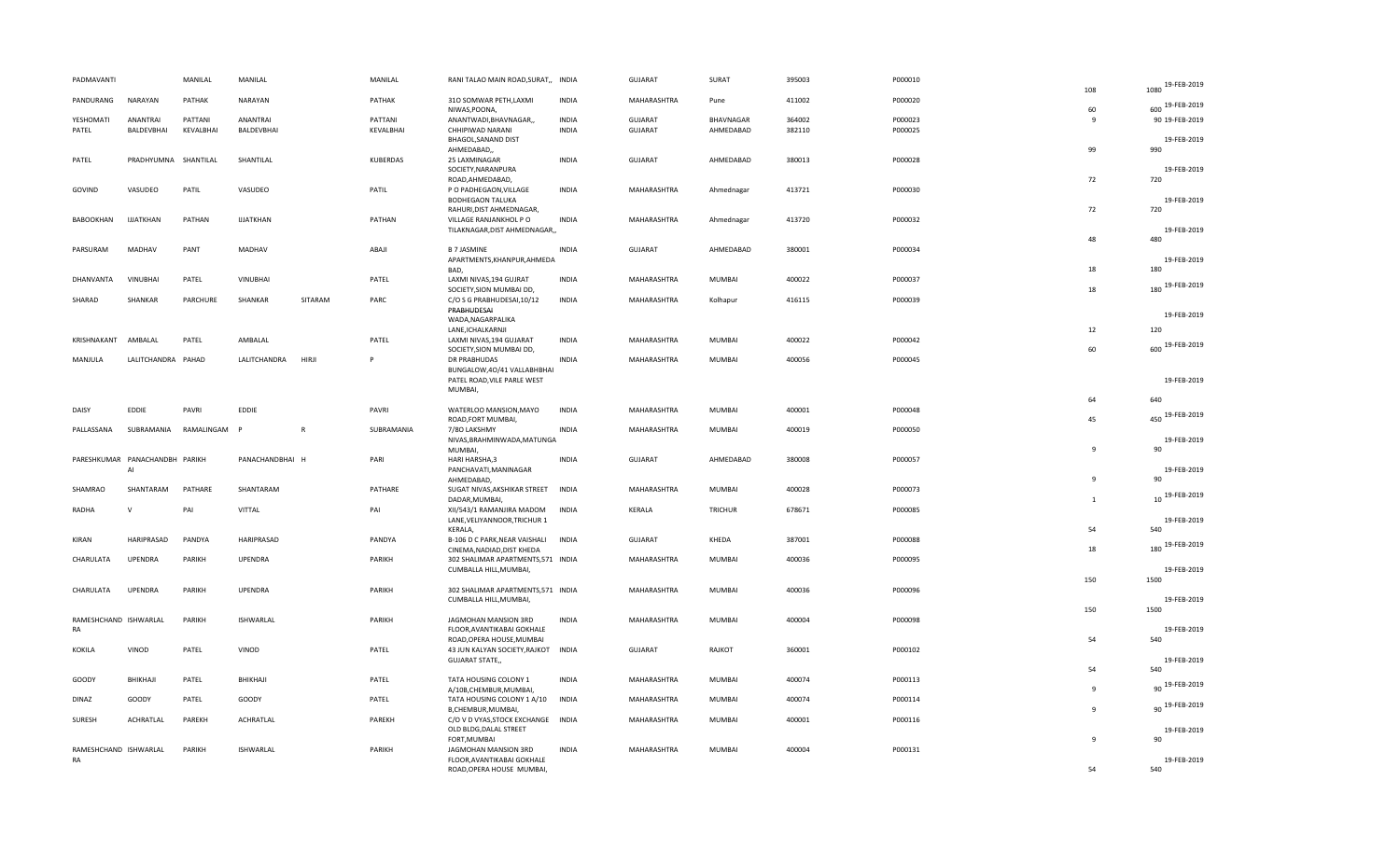| PADMAVANTI                     | MANILAL    | MANILAL          |              | MANILAL    | RANI TALAO MAIN ROAD, SURAT,, INDIA                           |              | GUJARAT        | SURAT            | 395003 | P000010 | 108          | 19-FEB-2019<br>1080 |
|--------------------------------|------------|------------------|--------------|------------|---------------------------------------------------------------|--------------|----------------|------------------|--------|---------|--------------|---------------------|
| NARAYAN<br>PANDURANG           | PATHAK     | NARAYAN          |              | PATHAK     | 310 SOMWAR PETH, LAXMI                                        | <b>INDIA</b> | MAHARASHTRA    | Pune             | 411002 | P000020 | 60           | 600 19-FEB-2019     |
| ANANTRAI<br>YESHOMATI          | PATTANI    | ANANTRAI         |              | PATTANI    | NIWAS, POONA,<br>ANANTWADI, BHAVNAGAR,,                       | <b>INDIA</b> | <b>GUJARAT</b> | <b>BHAVNAGAR</b> | 364002 | P000023 | -9           | 90 19-FEB-2019      |
| PATEL<br>BALDEVBHAI            | KEVALBHAI  | BALDEVBHAI       |              | KEVALBHAI  | CHHIPIWAD NARANI                                              | <b>INDIA</b> | <b>GUJARAT</b> | AHMEDABAD        | 382110 | P000025 |              |                     |
|                                |            |                  |              |            | BHAGOL, SANAND DIST                                           |              |                |                  |        |         |              | 19-FEB-2019         |
|                                |            |                  |              |            | AHMEDABAD,,                                                   |              |                |                  |        |         | 99           | 990                 |
| PATEL<br>PRADHYUMNA SHANTILAL  |            | SHANTILAL        |              | KUBERDAS   | 25 LAXMINAGAR                                                 | <b>INDIA</b> | GUJARAT        | AHMEDABAD        | 380013 | P000028 |              |                     |
|                                |            |                  |              |            | SOCIETY, NARANPURA                                            |              |                |                  |        |         | 72           | 19-FEB-2019<br>720  |
| GOVIND<br>VASUDEO              | PATIL      | VASUDEO          |              | PATIL      | ROAD, AHMEDABAD,<br>P O PADHEGAON, VILLAGE                    | <b>INDIA</b> | MAHARASHTRA    | Ahmednagar       | 413721 | P000030 |              |                     |
|                                |            |                  |              |            | <b>BODHEGAON TALUKA</b>                                       |              |                |                  |        |         |              | 19-FEB-2019         |
|                                |            |                  |              |            | RAHURI, DIST AHMEDNAGAR,                                      |              |                |                  |        |         | 72           | 720                 |
| BABOOKHAN<br><b>IJJATKHAN</b>  | PATHAN     | <b>IJJATKHAN</b> |              | PATHAN     | VILLAGE RANJANKHOL P O                                        | <b>INDIA</b> | MAHARASHTRA    | Ahmednagar       | 413720 | P000032 |              |                     |
|                                |            |                  |              |            | TILAKNAGAR, DIST AHMEDNAGAR,,                                 |              |                |                  |        |         |              | 19-FEB-2019         |
|                                |            |                  |              |            |                                                               |              |                |                  |        |         | 48           | 480                 |
| PARSURAM<br>MADHAV             | PANT       | MADHAV           |              | ABAJI      | <b>B 7 JASMINE</b><br>APARTMENTS, KHANPUR, AHMEDA             | <b>INDIA</b> | GUJARAT        | AHMEDABAD        | 380001 | P000034 |              | 19-FEB-2019         |
|                                |            |                  |              |            | BAD,                                                          |              |                |                  |        |         | 18           | 180                 |
| <b>VINUBHAI</b><br>DHANVANTA   | PATEL      | <b>VINUBHAI</b>  |              | PATEL      | LAXMI NIVAS, 194 GUJRAT                                       | <b>INDIA</b> | MAHARASHTRA    | MUMBAI           | 400022 | P000037 |              |                     |
|                                |            |                  |              |            | SOCIETY, SION MUMBAI DD,                                      |              |                |                  |        |         | 18           | 180 19-FEB-2019     |
| SHARAD<br>SHANKAR              | PARCHURE   | SHANKAR          | SITARAM      | PARC       | C/O S G PRABHUDESAI, 10/12                                    | <b>INDIA</b> | MAHARASHTRA    | Kolhapur         | 416115 | P000039 |              |                     |
|                                |            |                  |              |            | PRABHUDESAI                                                   |              |                |                  |        |         |              | 19-FEB-2019         |
|                                |            |                  |              |            | WADA, NAGARPALIKA                                             |              |                |                  |        |         |              | 120                 |
| KRISHNAKANT<br>AMBALAL         | PATEL      | AMBALAL          |              | PATEL      | LANE, ICHALKARNJI<br>LAXMI NIVAS, 194 GUJARAT                 | INDIA        | MAHARASHTRA    | MUMBAI           | 400022 | P000042 | 12           |                     |
|                                |            |                  |              |            | SOCIETY, SION MUMBAI DD,                                      |              |                |                  |        |         | 60           | 600 19-FEB-2019     |
| MANJULA<br>LALITCHANDRA PAHAD  |            | LALITCHANDRA     | HIRJI        | P          | DR PRABHUDAS                                                  | <b>INDIA</b> | MAHARASHTRA    | <b>MUMBAI</b>    | 400056 | P000045 |              |                     |
|                                |            |                  |              |            | BUNGALOW, 40/41 VALLABHBHAI                                   |              |                |                  |        |         |              |                     |
|                                |            |                  |              |            | PATEL ROAD, VILE PARLE WEST                                   |              |                |                  |        |         |              | 19-FEB-2019         |
|                                |            |                  |              |            | MUMBAI,                                                       |              |                |                  |        |         |              |                     |
|                                |            |                  |              |            |                                                               |              |                |                  |        |         | 64           | 640                 |
| DAISY<br>EDDIE                 | PAVRI      | EDDIE            |              | PAVRI      | WATERLOO MANSION, MAYO<br>ROAD, FORT MUMBAI,                  | <b>INDIA</b> | MAHARASHTRA    | MUMBAI           | 400001 | P000048 | 45           | 450 19-FEB-2019     |
| PALLASSANA<br>SUBRAMANIA       | RAMALINGAM | <b>D</b>         | $\mathsf{R}$ | SUBRAMANIA | 7/80 LAKSHMY                                                  | INDIA        | MAHARASHTRA    | MUMBAI           | 400019 | P000050 |              |                     |
|                                |            |                  |              |            | NIVAS, BRAHMINWADA, MATUNGA                                   |              |                |                  |        |         |              | 19-FEB-2019         |
|                                |            |                  |              |            | MUMBAI,                                                       |              |                |                  |        |         | 9            | 90                  |
| PARESHKUMAR PANACHANDBH PARIKH |            | PANACHANDBHAI H  |              | PARI       | HARI HARSHA, 3                                                | <b>INDIA</b> | <b>GUJARAT</b> | AHMEDABAD        | 380008 | P000057 |              |                     |
| AI                             |            |                  |              |            | PANCHAVATI, MANINAGAR                                         |              |                |                  |        |         |              | 19-FEB-2019         |
|                                |            |                  |              |            | AHMEDABAD,                                                    |              |                |                  |        |         | $\mathbf{q}$ | 90                  |
| SHAMRAO<br>SHANTARAM           | PATHARE    | SHANTARAM        |              | PATHARE    | SUGAT NIVAS, AKSHIKAR STREET<br>DADAR, MUMBAI,                | <b>INDIA</b> | MAHARASHTRA    | MUMBAI           | 400028 | P000073 | $\mathbf{1}$ | 10 19-FEB-2019      |
| RADHA<br>$\mathsf{V}$          | PAI        | <b>VITTAL</b>    |              | PAI        | XII/543/1 RAMANJIRA MADOM                                     | <b>INDIA</b> | KERALA         | TRICHUR          | 678671 | P000085 |              |                     |
|                                |            |                  |              |            | LANE, VELIYANNOOR, TRICHUR 1                                  |              |                |                  |        |         |              | 19-FEB-2019         |
|                                |            |                  |              |            | KERALA,                                                       |              |                |                  |        |         | 54           | 540                 |
| HARIPRASAD<br><b>KIRAN</b>     | PANDYA     | HARIPRASAD       |              | PANDYA     | B-106 D C PARK, NEAR VAISHALI                                 | <b>INDIA</b> | <b>GUJARAT</b> | KHEDA            | 387001 | P000088 |              |                     |
|                                |            |                  |              |            | CINEMA, NADIAD, DIST KHEDA                                    |              |                |                  |        |         |              |                     |
| CHARULATA<br><b>UPENDRA</b>    | PARIKH     |                  |              |            |                                                               |              |                |                  |        |         | 18           | 180 19-FEB-2019     |
|                                |            | <b>UPENDRA</b>   |              | PARIKH     | 302 SHALIMAR APARTMENTS, 571 INDIA                            |              | MAHARASHTRA    | MUMBAI           | 400036 | P000095 |              |                     |
|                                |            |                  |              |            | CUMBALLA HILL, MUMBAI,                                        |              |                |                  |        |         |              | 19-FEB-2019         |
| CHARULATA<br><b>UPENDRA</b>    | PARIKH     | <b>UPENDRA</b>   |              | PARIKH     |                                                               |              | MAHARASHTRA    | MUMBAI           | 400036 | P000096 | 150          | 1500                |
|                                |            |                  |              |            | 302 SHALIMAR APARTMENTS, 571 INDIA<br>CUMBALLA HILL, MUMBAI,  |              |                |                  |        |         |              | 19-FEB-2019         |
|                                |            |                  |              |            |                                                               |              |                |                  |        |         | 150          | 1500                |
| RAMESHCHAND ISHWARLAL          | PARIKH     | <b>ISHWARLAL</b> |              | PARIKH     | JAGMOHAN MANSION 3RD                                          | <b>INDIA</b> | MAHARASHTRA    | MUMBAI           | 400004 | P000098 |              |                     |
| RA                             |            |                  |              |            | FLOOR, AVANTIKABAI GOKHALE                                    |              |                |                  |        |         |              | 19-FEB-2019         |
|                                |            |                  |              |            | ROAD, OPERA HOUSE, MUMBAI                                     |              |                |                  |        |         | 54           | 540                 |
| <b>KOKILA</b><br>VINOD         | PATEL      | VINOD            |              | PATEL      | 43 JUN KALYAN SOCIETY, RAJKOT INDIA<br><b>GUJARAT STATE,,</b> |              | GUJARAT        | RAJKOT           | 360001 | P000102 |              | 19-FEB-2019         |
|                                |            |                  |              |            |                                                               |              |                |                  |        |         | 54           | 540                 |
| GOODY<br>BHIKHAJI              | PATEL      | BHIKHAJI         |              | PATEL      | TATA HOUSING COLONY 1                                         | <b>INDIA</b> | MAHARASHTRA    | MUMBAI           | 400074 | P000113 |              |                     |
|                                |            |                  |              |            | A/10B, CHEMBUR, MUMBAI,                                       |              |                |                  |        |         | $\mathbf{q}$ | 19-FEB-2019<br>90   |
| DINAZ<br>GOODY                 | PATEL      | GOODY            |              | PATEL      | TATA HOUSING COLONY 1 A/10                                    | <b>INDIA</b> | MAHARASHTRA    | MUMBAI           | 400074 | P000114 |              |                     |
|                                |            |                  |              |            | B,CHEMBUR, MUMBAI,                                            |              |                |                  |        |         | 9            | 90 19-FEB-2019      |
| SURESH<br>ACHRATLAL            | PAREKH     | <b>ACHRATLAL</b> |              | PAREKH     | C/O V D VYAS, STOCK EXCHANGE INDIA                            |              | MAHARASHTRA    | <b>MUMBAI</b>    | 400001 | P000116 |              | 19-FEB-2019         |
|                                |            |                  |              |            | OLD BLDG, DALAL STREET<br>FORT, MUMBAI                        |              |                |                  |        |         | 9            | 90                  |
| RAMESHCHAND ISHWARLAL          | PARIKH     | <b>ISHWARLAL</b> |              | PARIKH     | JAGMOHAN MANSION 3RD                                          | <b>INDIA</b> | MAHARASHTRA    | <b>MUMBAI</b>    | 400004 | P000131 |              |                     |
| <b>RA</b>                      |            |                  |              |            | FLOOR, AVANTIKABAI GOKHALE<br>ROAD, OPERA HOUSE MUMBAI,       |              |                |                  |        |         | 54           | 19-FEB-2019<br>540  |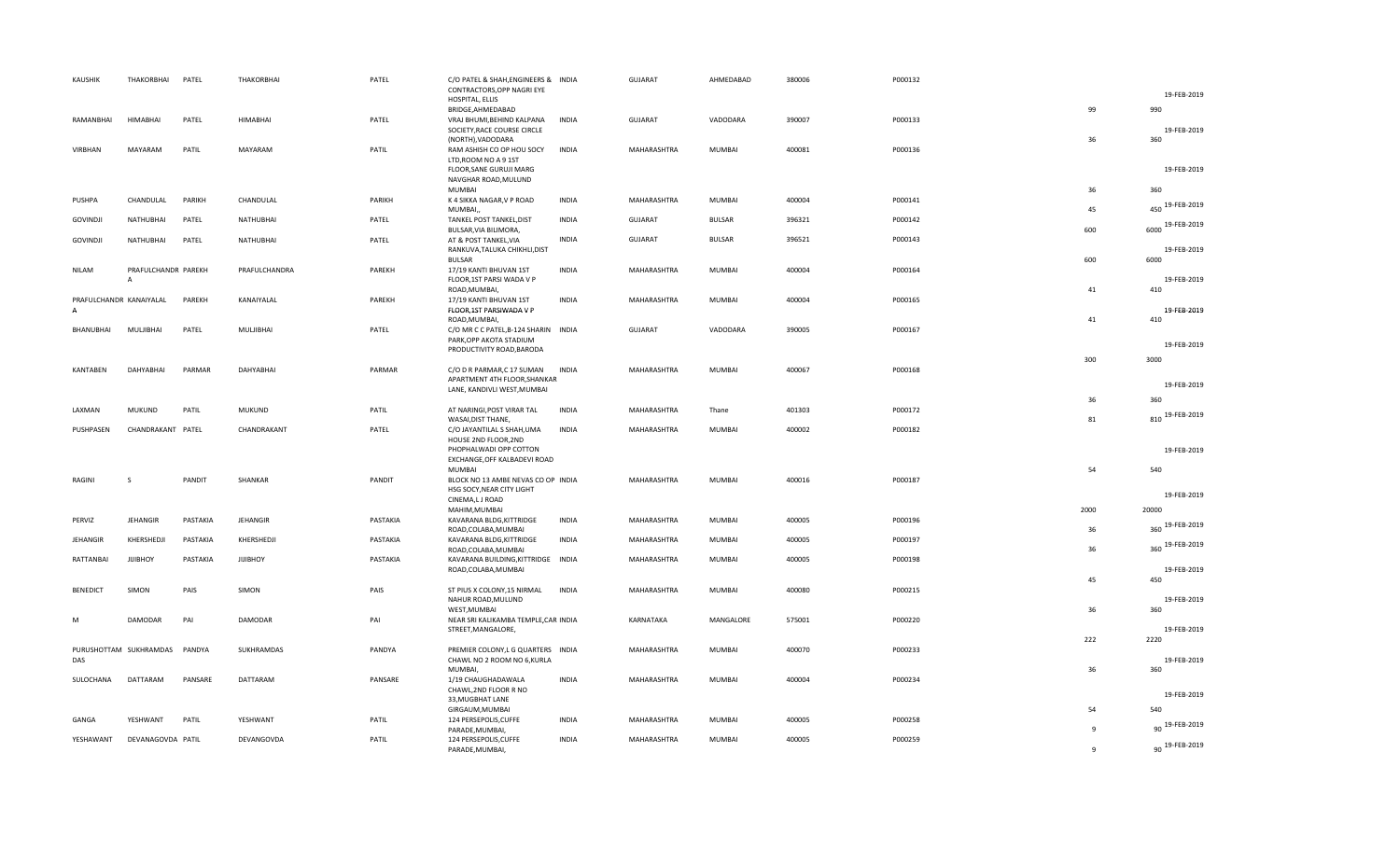| <b>KAUSHIK</b>  | THAKORBHAI                            | PATEL    | THAKORBHAI      | PATEL    | C/O PATEL & SHAH, ENGINEERS & INDIA<br>CONTRACTORS, OPP NAGRI EYE              |              | <b>GUJARAT</b> | AHMEDABAD     | 380006 | P000132 |              | 19-FEB-2019            |
|-----------------|---------------------------------------|----------|-----------------|----------|--------------------------------------------------------------------------------|--------------|----------------|---------------|--------|---------|--------------|------------------------|
|                 |                                       |          |                 |          | HOSPITAL, ELLIS                                                                |              |                |               |        |         |              | 990                    |
| RAMANBHAI       | <b>HIMABHAI</b>                       | PATEL    | <b>HIMABHAI</b> | PATEL    | BRIDGE, AHMEDABAD<br>VRAJ BHUMI, BEHIND KALPANA<br>SOCIETY, RACE COURSE CIRCLE | <b>INDIA</b> | <b>GUJARAT</b> | VADODARA      | 390007 | P000133 | 99           | 19-FEB-2019            |
| VIRBHAN         | MAYARAM                               | PATIL    | MAYARAM         | PATIL    | (NORTH), VADODARA<br>RAM ASHISH CO OP HOU SOCY                                 | <b>INDIA</b> | MAHARASHTRA    | MUMBAI        | 400081 | P000136 | 36           | 360                    |
|                 |                                       |          |                 |          | LTD, ROOM NO A 9 1ST<br>FLOOR, SANE GURUJI MARG                                |              |                |               |        |         |              | 19-FEB-2019            |
|                 |                                       |          |                 |          | NAVGHAR ROAD, MULUND<br><b>MUMBAI</b>                                          |              |                |               |        |         | 36           | 360                    |
| PUSHPA          | CHANDULAL                             | PARIKH   | CHANDULAL       | PARIKH   | K 4 SIKKA NAGAR, V P ROAD<br>MUMBAI,                                           | <b>INDIA</b> | MAHARASHTRA    | MUMBAI        | 400004 | P000141 | 45           | 450 19-FEB-2019        |
| <b>GOVINDJI</b> | NATHUBHAI                             | PATEL    | NATHUBHAI       | PATEL    | TANKEL POST TANKEL, DIST<br>BULSAR, VIA BILIMORA,                              | <b>INDIA</b> | <b>GUJARAT</b> | <b>BULSAR</b> | 396321 | P000142 | 600          | 6000 19-FEB-2019       |
| <b>GOVINDJI</b> | NATHUBHAI                             | PATEL    | NATHUBHAI       | PATEL    | AT & POST TANKEL, VIA<br>RANKUVA, TALUKA CHIKHLI, DIST<br><b>BULSAR</b>        | <b>INDIA</b> | <b>GUJARAT</b> | <b>BULSAR</b> | 396521 | P000143 | 600          | 19-FEB-2019<br>6000    |
| <b>NILAM</b>    | PRAFULCHANDR PAREKH<br>$\overline{A}$ |          | PRAFULCHANDRA   | PAREKH   | 17/19 KANTI BHUVAN 1ST<br>FLOOR, 1ST PARSI WADA V P<br>ROAD, MUMBAI,           | <b>INDIA</b> | MAHARASHTRA    | MUMBAI        | 400004 | P000164 | 41           | 19-FEB-2019<br>410     |
| $\overline{A}$  | PRAFULCHANDR KANAIYALAL               | PAREKH   | KANAIYALAL      | PAREKH   | 17/19 KANTI BHUVAN 1ST<br>FLOOR, 1ST PARSIWADA V P                             | <b>INDIA</b> | MAHARASHTRA    | MUMBAI        | 400004 | P000165 |              | 19-FEB-2019            |
| BHANUBHAI       | MULJIBHAI                             | PATEL    | MULJIBHAI       | PATEL    | ROAD, MUMBAI,<br>C/O MR C C PATEL, B-124 SHARIN INDIA                          |              | <b>GUJARAT</b> | VADODARA      | 390005 | P000167 | 41           | 410                    |
|                 |                                       |          |                 |          | PARK, OPP AKOTA STADIUM<br>PRODUCTIVITY ROAD, BARODA                           |              |                |               |        |         |              | 19-FEB-2019            |
| KANTABEN        | <b>DAHYABHAI</b>                      | PARMAR   | DAHYABHAI       | PARMAR   | C/O D R PARMAR, C 17 SUMAN                                                     | <b>INDIA</b> | MAHARASHTRA    | MUMBAI        | 400067 | P000168 | 300          | 3000                   |
|                 |                                       |          |                 |          | APARTMENT 4TH FLOOR, SHANKAR<br>LANE, KANDIVLI WEST, MUMBAI                    |              |                |               |        |         |              | 19-FEB-2019            |
| LAXMAN          | <b>MUKUND</b>                         | PATIL    | <b>MUKUND</b>   | PATIL    | AT NARINGI, POST VIRAR TAL                                                     | <b>INDIA</b> | MAHARASHTRA    | Thane         | 401303 | P000172 | 36           | 360<br>810 19-FEB-2019 |
| PUSHPASEN       | CHANDRAKANT PATEL                     |          | CHANDRAKANT     | PATEL    | WASAI, DIST THANE,<br>C/O JAYANTILAL S SHAH, UMA                               | <b>INDIA</b> | MAHARASHTRA    | MUMBAI        | 400002 | P000182 | 81           |                        |
|                 |                                       |          |                 |          | HOUSE 2ND FLOOR, 2ND<br>PHOPHALWADI OPP COTTON<br>EXCHANGE, OFF KALBADEVI ROAD |              |                |               |        |         |              | 19-FEB-2019            |
| RAGINI          | <sub>S</sub>                          | PANDIT   | SHANKAR         | PANDIT   | <b>MUMBAI</b><br>BLOCK NO 13 AMBE NEVAS CO OP INDIA                            |              | MAHARASHTRA    | MUMBAI        | 400016 | P000187 | 54           | 540                    |
|                 |                                       |          |                 |          | HSG SOCY, NEAR CITY LIGHT<br>CINEMA,L J ROAD<br>MAHIM, MUMBAI                  |              |                |               |        |         | 2000         | 19-FEB-2019<br>20000   |
| PERVIZ          | <b>JEHANGIR</b>                       | PASTAKIA | JEHANGIR        | PASTAKIA | KAVARANA BLDG, KITTRIDGE<br>ROAD, COLABA, MUMBAI                               | <b>INDIA</b> | MAHARASHTRA    | MUMBAI        | 400005 | P000196 | 36           | 360 19-FEB-2019        |
| JEHANGIR        | KHERSHEDJI                            | PASTAKIA | KHERSHEDJI      | PASTAKIA | KAVARANA BLDG, KITTRIDGE<br>ROAD, COLABA, MUMBAI                               | <b>INDIA</b> | MAHARASHTRA    | MUMBAI        | 400005 | P000197 | 36           | 360 19-FEB-2019        |
| RATTANBAI       | <b>JIJIBHOY</b>                       | PASTAKIA | <b>JIJIBHOY</b> | PASTAKIA | KAVARANA BUILDING, KITTRIDGE INDIA<br>ROAD, COLABA, MUMBAI                     |              | MAHARASHTRA    | MUMBAI        | 400005 | P000198 |              | 19-FEB-2019            |
| <b>BENEDICT</b> | SIMON                                 | PAIS     | SIMON           | PAIS     | ST PIUS X COLONY, 15 NIRMAL<br>NAHUR ROAD, MULUND                              | INDIA        | MAHARASHTRA    | MUMBAI        | 400080 | P000215 | 45           | 450<br>19-FEB-2019     |
| M               | DAMODAR                               | PAI      | DAMODAR         | PAI      | WEST, MUMBAI<br>NEAR SRI KALIKAMBA TEMPLE, CAR INDIA<br>STREET, MANGALORE,     |              | KARNATAKA      | MANGALORE     | 575001 | P000220 | 36           | 360<br>19-FEB-2019     |
|                 | PURUSHOTTAM SUKHRAMDAS                | PANDYA   | SUKHRAMDAS      | PANDYA   | PREMIER COLONY, LG QUARTERS INDIA                                              |              | MAHARASHTRA    | MUMBAI        | 400070 | P000233 | 222          | 2220                   |
| DAS             |                                       |          |                 |          | CHAWL NO 2 ROOM NO 6, KURLA<br>MUMBAI,                                         |              |                |               |        |         | 36           | 19-FEB-2019<br>360     |
| SULOCHANA       | DATTARAM                              | PANSARE  | DATTARAM        | PANSARE  | 1/19 CHAUGHADAWALA<br>CHAWL, 2ND FLOOR R NO                                    | <b>INDIA</b> | MAHARASHTRA    | MUMBAI        | 400004 | P000234 |              |                        |
|                 |                                       |          |                 |          | 33, MUGBHAT LANE                                                               |              |                |               |        |         |              | 19-FEB-2019            |
| GANGA           | YESHWANT                              | PATIL    | YESHWANT        | PATIL    | GIRGAUM, MUMBAI<br>124 PERSEPOLIS, CUFFE                                       | <b>INDIA</b> | MAHARASHTRA    | MUMBAI        | 400005 | P000258 | 54<br>9      | 540<br>90 19-FEB-2019  |
| YESHAWANT       | DEVANAGOVDA PATIL                     |          | DEVANGOVDA      | PATIL    | PARADE, MUMBAI,<br>124 PERSEPOLIS, CUFFE<br>PARADE, MUMBAI,                    | <b>INDIA</b> | MAHARASHTRA    | MUMBAI        | 400005 | P000259 | $\mathbf{q}$ | 90 19-FEB-2019         |
|                 |                                       |          |                 |          |                                                                                |              |                |               |        |         |              |                        |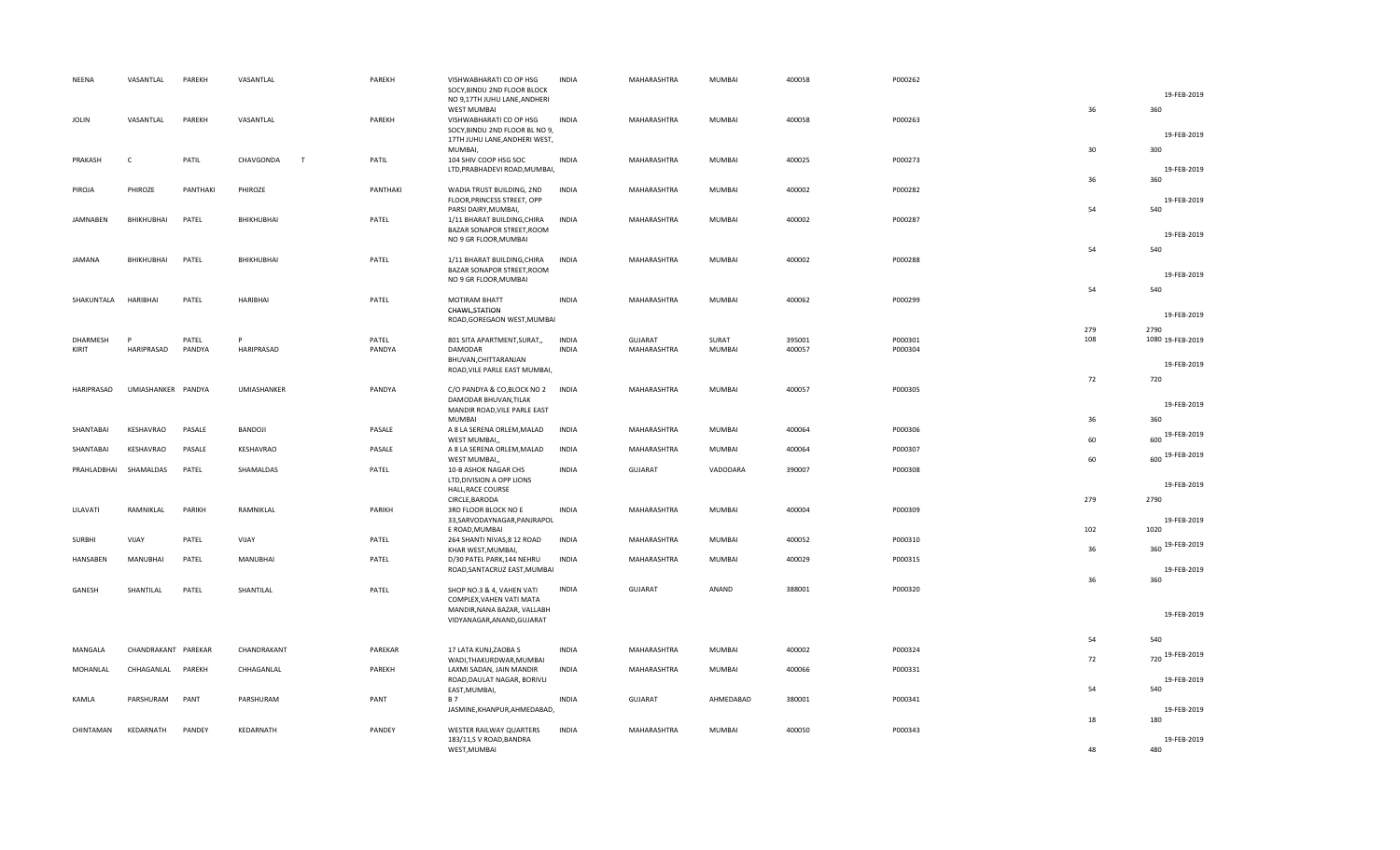| NEENA           | VASANTLAL           | PAREKH   | VASANTLAL      | PAREKH   | VISHWABHARATI CO OP HSG<br>SOCY, BINDU 2ND FLOOR BLOCK                                     | <b>INDIA</b> | MAHARASHTRA    | MUMBAI        | 400058 | P000262 |            | 19-FEB-2019              |
|-----------------|---------------------|----------|----------------|----------|--------------------------------------------------------------------------------------------|--------------|----------------|---------------|--------|---------|------------|--------------------------|
|                 |                     |          |                |          | NO 9,17TH JUHU LANE, ANDHERI<br><b>WEST MUMBAI</b>                                         |              |                |               |        |         | 36         | 360                      |
| <b>JOLIN</b>    | VASANTLAL           | PAREKH   | VASANTLAL      | PAREKH   | VISHWABHARATI CO OP HSG<br>SOCY, BINDU 2ND FLOOR BL NO 9,<br>17TH JUHU LANE, ANDHERI WEST, | <b>INDIA</b> | MAHARASHTRA    | <b>MUMBAI</b> | 400058 | P000263 |            | 19-FEB-2019              |
| PRAKASH         | C                   | PATIL    | CHAVGONDA<br>T | PATIL    | MUMBAI,                                                                                    | <b>INDIA</b> |                | MUMBAI        | 400025 | P000273 | 30         | 300                      |
|                 |                     |          |                |          | 104 SHIV COOP HSG SOC<br>LTD, PRABHADEVI ROAD, MUMBAI,                                     |              | MAHARASHTRA    |               |        |         |            | 19-FEB-2019              |
| PIROJA          | PHIROZE             | PANTHAKI | PHIROZE        | PANTHAKI | WADIA TRUST BUILDING, 2ND<br>FLOOR, PRINCESS STREET, OPP                                   | INDIA        | MAHARASHTRA    | MUMBAI        | 400002 | P000282 | 36         | 360<br>19-FEB-2019       |
| JAMNABEN        | BHIKHUBHAI          | PATEL    | BHIKHUBHAI     | PATEL    | PARSI DAIRY, MUMBAI,<br>1/11 BHARAT BUILDING, CHIRA                                        | INDIA        | MAHARASHTRA    | MUMBAI        | 400002 | P000287 | 54         | 540                      |
|                 |                     |          |                |          | BAZAR SONAPOR STREET, ROOM<br>NO 9 GR FLOOR, MUMBAI                                        |              |                |               |        |         |            | 19-FEB-2019              |
| <b>JAMANA</b>   | BHIKHUBHAI          | PATEL    | BHIKHUBHAI     | PATEL    | 1/11 BHARAT BUILDING, CHIRA                                                                | <b>INDIA</b> | MAHARASHTRA    | MUMBAI        | 400002 | P000288 | 54         | 540                      |
|                 |                     |          |                |          | BAZAR SONAPOR STREET, ROOM<br>NO 9 GR FLOOR, MUMBAI                                        |              |                |               |        |         |            | 19-FEB-2019              |
| SHAKUNTALA      | HARIBHAI            | PATEL    | HARIBHAI       | PATEL    | <b>MOTIRAM BHATT</b>                                                                       | <b>INDIA</b> | MAHARASHTRA    | MUMBAI        | 400062 | P000299 | 54         | 540                      |
|                 |                     |          |                |          | CHAWL, STATION<br>ROAD, GOREGAON WEST, MUMBAI                                              |              |                |               |        |         |            | 19-FEB-2019              |
| <b>DHARMESH</b> | P                   | PATEL    | P              | PATEL    | 801 SITA APARTMENT, SURAT,,                                                                | <b>INDIA</b> | <b>GUJARAT</b> | SURAT         | 395001 | P000301 | 279<br>108 | 2790<br>1080 19-FEB-2019 |
| KIRIT           | HARIPRASAD          | PANDYA   | HARIPRASAD     | PANDYA   | DAMODAR                                                                                    | <b>INDIA</b> | MAHARASHTRA    | MUMBAI        | 400057 | P000304 |            |                          |
|                 |                     |          |                |          | BHUVAN, CHITTARANJAN<br>ROAD, VILE PARLE EAST MUMBAI,                                      |              |                |               |        |         |            | 19-FEB-2019              |
| HARIPRASAD      | UMIASHANKER PANDYA  |          | UMIASHANKER    | PANDYA   | C/O PANDYA & CO, BLOCK NO 2                                                                | <b>INDIA</b> | MAHARASHTRA    | MUMBAI        | 400057 | P000305 | 72         | 720                      |
|                 |                     |          |                |          | DAMODAR BHUVAN, TILAK<br>MANDIR ROAD, VILE PARLE EAST                                      |              |                |               |        |         |            | 19-FEB-2019              |
|                 |                     |          |                |          | <b>MUMBAI</b>                                                                              | <b>INDIA</b> |                |               |        |         | 36         | 360                      |
| SHANTABAI       | KESHAVRAO           | PASALE   | BANDOJI        | PASALE   | A 8 LA SERENA ORLEM, MALAD<br>WEST MUMBAI,                                                 |              | MAHARASHTRA    | MUMBAI        | 400064 | P000306 | 60         | 600 19-FEB-2019          |
| SHANTABAI       | KESHAVRAO           | PASALE   | KESHAVRAO      | PASALE   | A 8 LA SERENA ORLEM, MALAD<br>WEST MUMBAI,,                                                | <b>INDIA</b> | MAHARASHTRA    | MUMBAI        | 400064 | P000307 | 60         | 600 19-FEB-2019          |
| PRAHLADBHAI     | SHAMALDAS           | PATEL    | SHAMALDAS      | PATEL    | 10-B ASHOK NAGAR CHS<br>LTD, DIVISION A OPP LIONS                                          | <b>INDIA</b> | <b>GUJARAT</b> | VADODARA      | 390007 | P000308 |            | 19-FEB-2019              |
|                 |                     |          |                |          | HALL, RACE COURSE<br>CIRCLE, BARODA                                                        |              |                |               |        |         | 279        | 2790                     |
| LILAVATI        | RAMNIKLAL           | PARIKH   | RAMNIKLAL      | PARIKH   | 3RD FLOOR BLOCK NO E<br>33, SARVODAYNAGAR, PANJRAPOL                                       | <b>INDIA</b> | MAHARASHTRA    | MUMBAI        | 400004 | P000309 |            | 19-FEB-2019              |
| <b>SURBHI</b>   | VIJAY               | PATEL    | VIJAY          | PATEL    | E ROAD, MUMBAI<br>264 SHANTI NIVAS, 8 12 ROAD                                              | <b>INDIA</b> | MAHARASHTRA    | MUMBAI        | 400052 | P000310 | 102        | 1020                     |
| HANSABEN        | MANUBHAI            | PATEL    | MANUBHAI       | PATEL    | KHAR WEST, MUMBAI,<br>D/30 PATEL PARK, 144 NEHRU                                           | <b>INDIA</b> | MAHARASHTRA    | MUMBAI        | 400029 | P000315 | 36         | 360 19-FEB-2019          |
|                 |                     |          |                |          | ROAD, SANTACRUZ EAST, MUMBAI                                                               |              |                |               |        |         | 36         | 19-FEB-2019<br>360       |
| GANESH          | SHANTILAL           | PATEL    | SHANTILAL      | PATEL    | SHOP NO.3 & 4, VAHEN VATI                                                                  | <b>INDIA</b> | <b>GUJARAT</b> | ANAND         | 388001 | P000320 |            |                          |
|                 |                     |          |                |          | COMPLEX, VAHEN VATI MATA<br>MANDIR, NANA BAZAR, VALLABH<br>VIDYANAGAR, ANAND, GUJARAT      |              |                |               |        |         |            | 19-FEB-2019              |
|                 |                     |          |                |          |                                                                                            |              |                |               |        |         |            |                          |
| MANGALA         | CHANDRAKANT PAREKAR |          | CHANDRAKANT    | PAREKAR  | 17 LATA KUNJ, ZAOBA S                                                                      | <b>INDIA</b> | MAHARASHTRA    | MUMBAI        | 400002 | P000324 | 54         | 540                      |
| MOHANLAL        | CHHAGANLAL PAREKH   |          | CHHAGANLAL     | PAREKH   | WADI, THAKURDWAR, MUMBAI<br>LAXMI SADAN, JAIN MANDIR                                       | <b>INDIA</b> | MAHARASHTRA    | MUMBAI        | 400066 | P000331 | 72         | 720 19-FEB-2019          |
|                 |                     |          |                |          | ROAD, DAULAT NAGAR, BORIVLI<br>EAST, MUMBAI,                                               |              |                |               |        |         | 54         | 19-FEB-2019<br>540       |
| KAMLA           | PARSHURAM           | PANT     | PARSHURAM      | PANT     | <b>B7</b><br>JASMINE, KHANPUR, AHMEDABAD,                                                  | <b>INDIA</b> | <b>GUJARAT</b> | AHMEDABAD     | 380001 | P000341 |            | 19-FEB-2019              |
| CHINTAMAN       | KEDARNATH           |          |                |          |                                                                                            |              |                |               |        |         | 18         | 180                      |
|                 |                     | PANDEY   | KEDARNATH      | PANDEY   | WESTER RAILWAY QUARTERS<br>183/11,S V ROAD, BANDRA<br>WEST, MUMBAI                         | <b>INDIA</b> | MAHARASHTRA    | MUMBAI        | 400050 | P000343 | 48         | 19-FEB-2019<br>480       |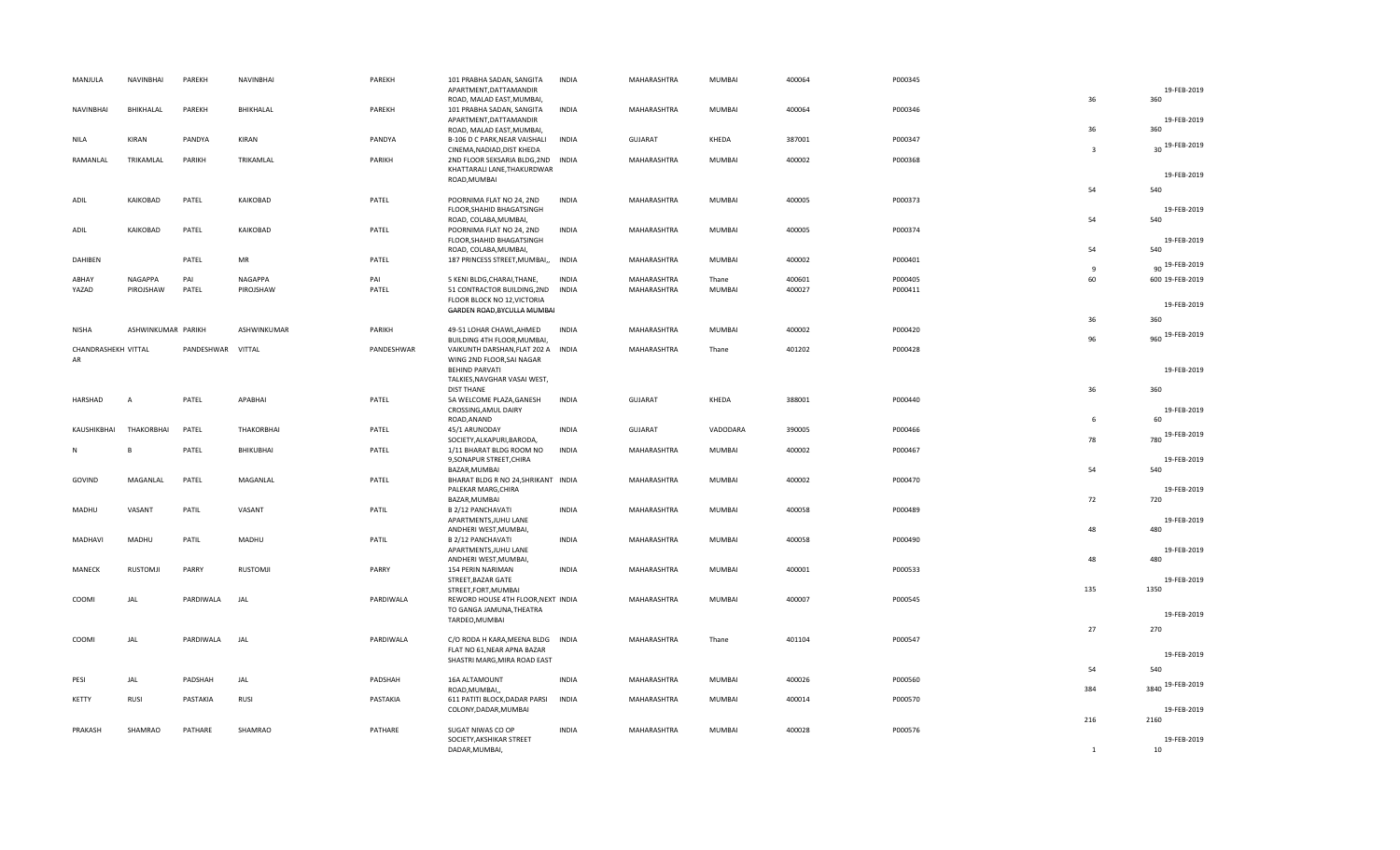| MANJULA             | NAVINBHAI            | PAREKH            | NAVINBHAI            | PAREKH       | 101 PRABHA SADAN, SANGITA<br>APARTMENT, DATTAMANDIR<br>ROAD, MALAD EAST, MUMBAI,                 | <b>INDIA</b>                 | MAHARASHTRA                | MUMBAI                 | 400064           | P000345            | 36             | 19-FEB-2019<br>360      |
|---------------------|----------------------|-------------------|----------------------|--------------|--------------------------------------------------------------------------------------------------|------------------------------|----------------------------|------------------------|------------------|--------------------|----------------|-------------------------|
| <b>NAVINBHAI</b>    | BHIKHALAL            | PAREKH            | BHIKHALAL            | PAREKH       | 101 PRABHA SADAN, SANGITA<br>APARTMENT, DATTAMANDIR<br>ROAD, MALAD EAST, MUMBAI,                 | <b>INDIA</b>                 | MAHARASHTRA                | <b>MUMBAI</b>          | 400064           | P000346            | 36             | 19-FEB-2019<br>360      |
| <b>NILA</b>         | KIRAN                | PANDYA            | KIRAN                | PANDYA       | B-106 D C PARK, NEAR VAISHALI<br>CINEMA, NADIAD, DIST KHEDA                                      | INDIA                        | <b>GUJARAT</b>             | KHEDA                  | 387001           | P000347            | $\overline{3}$ | 30 19-FEB-2019          |
| RAMANLAL            | TRIKAMLAL            | PARIKH            | TRIKAMLAL            | PARIKH       | 2ND FLOOR SEKSARIA BLDG, 2ND INDIA<br>KHATTARALI LANE, THAKURDWAR                                |                              | MAHARASHTRA                | <b>MUMBAI</b>          | 400002           | P000368            |                | 19-FEB-2019             |
|                     |                      |                   |                      |              | ROAD, MUMBAI                                                                                     |                              |                            |                        |                  |                    | 54             | 540                     |
| ADIL                | KAIKOBAD             | PATEL             | KAIKOBAD             | PATEL        | POORNIMA FLAT NO 24, 2ND<br>FLOOR, SHAHID BHAGATSINGH<br>ROAD, COLABA, MUMBAI,                   | <b>INDIA</b>                 | MAHARASHTRA                | <b>MUMBAI</b>          | 400005           | P000373            | 54             | 19-FEB-2019<br>540      |
| ADIL                | KAIKOBAD             | PATEL             | KAIKOBAD             | PATEL        | POORNIMA FLAT NO 24, 2ND<br>FLOOR, SHAHID BHAGATSINGH                                            | INDIA                        | MAHARASHTRA                | MUMBAI                 | 400005           | P000374            |                | 19-FEB-2019             |
| DAHIBEN             |                      | PATEL             | MR                   | PATEL        | ROAD, COLABA, MUMBAI,<br>187 PRINCESS STREET, MUMBAI,,                                           | <b>INDIA</b>                 | MAHARASHTRA                | MUMBAI                 | 400002           | P000401            | 54<br>9        | 540<br>90 19-FEB-2019   |
| ABHAY<br>YAZAD      | NAGAPPA<br>PIROJSHAW | PAI<br>PATEL      | NAGAPPA<br>PIROJSHAW | PAI<br>PATEL | 5 KENI BLDG, CHARAI, THANE,<br>51 CONTRACTOR BUILDING, 2ND                                       | <b>INDIA</b><br><b>INDIA</b> | MAHARASHTRA<br>MAHARASHTRA | Thane<br><b>MUMBAI</b> | 400601<br>400027 | P000405<br>P000411 | 60             | 600 19-FEB-2019         |
|                     |                      |                   |                      |              | FLOOR BLOCK NO 12, VICTORIA<br>GARDEN ROAD, BYCULLA MUMBAI                                       |                              |                            |                        |                  |                    |                | 19-FEB-2019             |
| <b>NISHA</b>        | ASHWINKUMAR PARIKH   |                   | ASHWINKUMAR          | PARIKH       | 49-51 LOHAR CHAWL, AHMED                                                                         | <b>INDIA</b>                 | MAHARASHTRA                | MUMBAI                 | 400002           | P000420            | 36             | 360<br>960 19-FEB-2019  |
| CHANDRASHEKH VITTAL |                      | PANDESHWAR VITTAL |                      | PANDESHWAR   | BUILDING 4TH FLOOR, MUMBAI,<br>VAIKUNTH DARSHAN, FLAT 202 A INDIA                                |                              | MAHARASHTRA                | Thane                  | 401202           | P000428            | 96             |                         |
| AR                  |                      |                   |                      |              | WING 2ND FLOOR, SAI NAGAR<br><b>BEHIND PARVATI</b><br>TALKIES, NAVGHAR VASAI WEST,               |                              |                            |                        |                  |                    |                | 19-FEB-2019             |
| HARSHAD             | $\overline{A}$       | PATEL             | APABHAI              | PATEL        | <b>DIST THANE</b><br>5A WELCOME PLAZA, GANESH<br>CROSSING, AMUL DAIRY                            | <b>INDIA</b>                 | <b>GUJARAT</b>             | KHEDA                  | 388001           | P000440            | 36             | 360<br>19-FEB-2019      |
| KAUSHIKBHAI         | THAKORBHAI           | PATEL             | THAKORBHAI           | PATEL        | ROAD, ANAND<br>45/1 ARUNODAY                                                                     | <b>INDIA</b>                 | <b>GUJARAT</b>             | VADODARA               | 390005           | P000466            | 6              | 60                      |
| N                   |                      | PATEL             | BHIKUBHAI            | PATEL        | SOCIETY, ALKAPURI, BARODA,<br>1/11 BHARAT BLDG ROOM NO                                           | <b>INDIA</b>                 | MAHARASHTRA                | MUMBAI                 | 400002           | P000467            | 78             | 780 19-FEB-2019         |
|                     |                      |                   |                      |              | 9, SONAPUR STREET, CHIRA<br>BAZAR, MUMBAI                                                        |                              |                            |                        |                  |                    | 54             | 19-FEB-2019<br>540      |
| GOVIND              | MAGANLAL             | PATEL             | MAGANLAL             | PATEL        | BHARAT BLDG R NO 24, SHRIKANT INDIA<br>PALEKAR MARG, CHIRA<br>BAZAR, MUMBAI                      |                              | MAHARASHTRA                | MUMBAI                 | 400002           | P000470            | 72             | 19-FEB-2019<br>720      |
| MADHU               | VASANT               | PATIL             | VASANT               | PATIL        | B 2/12 PANCHAVATI<br>APARTMENTS, JUHU LANE<br>ANDHERI WEST, MUMBAI,                              | INDIA                        | MAHARASHTRA                | MUMBAI                 | 400058           | P000489            | 48             | 19-FEB-2019<br>480      |
| MADHAVI             | MADHU                | PATIL             | MADHU                | PATIL        | B 2/12 PANCHAVATI<br>APARTMENTS, JUHU LANE                                                       | <b>INDIA</b>                 | MAHARASHTRA                | MUMBAI                 | 400058           | P000490            |                | 19-FEB-2019             |
| MANECK              | <b>RUSTOMJI</b>      | PARRY             | <b>RUSTOMJI</b>      | PARRY        | ANDHERI WEST, MUMBAI,<br>154 PERIN NARIMAN<br>STREET, BAZAR GATE                                 | <b>INDIA</b>                 | MAHARASHTRA                | <b>MUMBAI</b>          | 400001           | P000533            | 48             | 480<br>19-FEB-2019      |
| COOMI               | JAL                  | PARDIWALA         | JAL                  | PARDIWALA    | STREET, FORT, MUMBAI<br>REWORD HOUSE 4TH FLOOR, NEXT INDIA<br>TO GANGA JAMUNA, THEATRA           |                              | MAHARASHTRA                | <b>MUMBAI</b>          | 400007           | P000545            | 135            | 1350<br>19-FEB-2019     |
|                     |                      |                   |                      |              | TARDEO, MUMBAI                                                                                   |                              |                            |                        |                  |                    | 27             | 270                     |
| COOMI               | JAL                  | PARDIWALA         | JAL                  | PARDIWALA    | C/O RODA H KARA, MEENA BLDG INDIA<br>FLAT NO 61, NEAR APNA BAZAR<br>SHASTRI MARG, MIRA ROAD EAST |                              | MAHARASHTRA                | Thane                  | 401104           | P000547            |                | 19-FEB-2019             |
| PESI                | JAL                  | PADSHAH           | JAL                  | PADSHAH      | 16A ALTAMOUNT                                                                                    | <b>INDIA</b>                 | MAHARASHTRA                | <b>MUMBAI</b>          | 400026           | P000560            | 54             | 540<br>3840 19-FEB-2019 |
| KETTY               | RUSI                 | PASTAKIA          | RUSI                 | PASTAKIA     | ROAD, MUMBAI,<br>611 PATITI BLOCK, DADAR PARSI                                                   | <b>INDIA</b>                 | MAHARASHTRA                | <b>MUMBAI</b>          | 400014           | P000570            | 384            |                         |
| PRAKASH             | SHAMRAO              | PATHARE           | SHAMRAO              | PATHARE      | COLONY, DADAR, MUMBAI<br>SUGAT NIWAS CO OP                                                       | <b>INDIA</b>                 | MAHARASHTRA                | <b>MUMBAI</b>          | 400028           | P000576            | 216            | 19-FEB-2019<br>2160     |
|                     |                      |                   |                      |              | SOCIETY, AKSHIKAR STREET<br>DADAR, MUMBAI,                                                       |                              |                            |                        |                  |                    |                | 19-FEB-2019<br>10       |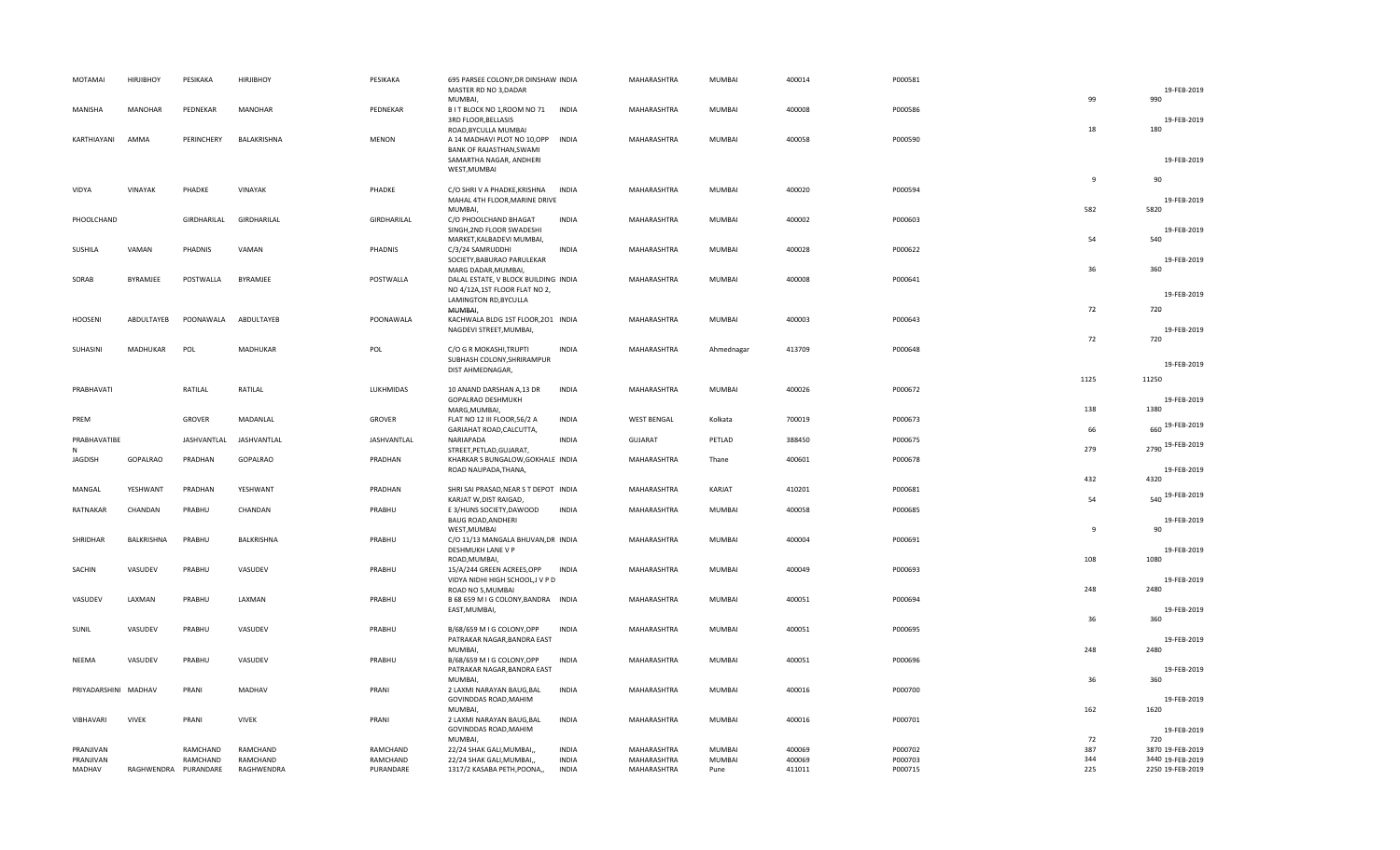| MOTAMAI              | <b>HIRJIBHOY</b>     | PESIKAKA    | <b>HIRJIBHOY</b> | PESIKAKA     | 695 PARSEE COLONY, DR DINSHAW INDIA<br>MASTER RD NO 3, DADAR<br><b>MUMBAI</b>                                          |              | MAHARASHTRA        | MUMBAI        | 400014 | P000581 |                | 19-FEB-2019<br>990           |
|----------------------|----------------------|-------------|------------------|--------------|------------------------------------------------------------------------------------------------------------------------|--------------|--------------------|---------------|--------|---------|----------------|------------------------------|
| MANISHA              | <b>MANOHAR</b>       | PEDNEKAR    | MANOHAR          | PEDNEKAR     | B I T BLOCK NO 1, ROOM NO 71<br>3RD FLOOR, BELLASIS                                                                    | <b>INDIA</b> | MAHARASHTRA        | MUMBAI        | 400008 | P000586 | 99             | 19-FEB-2019                  |
| KARTHIAYANI          | AMMA                 | PERINCHERY  | BALAKRISHNA      | <b>MENON</b> | ROAD, BYCULLA MUMBAI<br>A 14 MADHAVI PLOT NO 10,OPP INDIA<br>BANK OF RAJASTHAN, SWAMI                                  |              | MAHARASHTRA        | MUMBAI        | 400058 | P000590 | 18             | 180                          |
|                      |                      |             |                  |              | SAMARTHA NAGAR, ANDHERI<br>WEST, MUMBAI                                                                                |              |                    |               |        |         | 9              | 19-FEB-2019<br>90            |
| VIDYA                | VINAYAK              | PHADKE      | VINAYAK          | PHADKE       | C/O SHRI V A PHADKE, KRISHNA<br>MAHAL 4TH FLOOR, MARINE DRIVE<br>MUMBAI,                                               | <b>INDIA</b> | MAHARASHTRA        | MUMBAI        | 400020 | P000594 | 582            | 19-FEB-2019<br>5820          |
| PHOOLCHAND           |                      | GIRDHARILAL | GIRDHARILAL      | GIRDHARILAL  | C/O PHOOLCHAND BHAGAT<br>SINGH, 2ND FLOOR SWADESHI                                                                     | <b>INDIA</b> | MAHARASHTRA        | MUMBAI        | 400002 | P000603 |                | 19-FEB-2019                  |
| SUSHILA              | VAMAN                | PHADNIS     | VAMAN            | PHADNIS      | MARKET, KALBADEVI MUMBAI,<br>C/3/24 SAMRUDDHI<br>SOCIETY, BABURAO PARULEKAR                                            | <b>INDIA</b> | MAHARASHTRA        | MUMBAI        | 400028 | P000622 | 54             | 540<br>19-FEB-2019           |
| SORAB                | BYRAMJEE             | POSTWALLA   | <b>BYRAMJFF</b>  | POSTWALLA    | MARG DADAR, MUMBAI,<br>DALAL ESTATE, V BLOCK BUILDING INDIA<br>NO 4/12A, 1ST FLOOR FLAT NO 2,<br>LAMINGTON RD, BYCULLA |              | MAHARASHTRA        | <b>MUMBAI</b> | 400008 | P000641 | 36             | 360<br>19-FEB-2019           |
| <b>HOOSENI</b>       | ABDULTAYEB           | POONAWALA   | ABDULTAYEB       | POONAWALA    | MUMBAI,<br>KACHWALA BLDG 1ST FLOOR, 201 INDIA                                                                          |              | MAHARASHTRA        | MUMBAI        | 400003 | P000643 | 72             | 720                          |
|                      |                      |             |                  |              | NAGDEVI STREET, MUMBAI,                                                                                                |              |                    |               |        |         | 72             | 19-FEB-2019<br>720           |
| SUHASINI             | MADHUKAR             | POL         | <b>MADHUKAR</b>  | POL          | C/O G R MOKASHI, TRUPTI<br>SUBHASH COLONY, SHRIRAMPUR<br>DIST AHMEDNAGAR,                                              | <b>INDIA</b> | MAHARASHTRA        | Ahmednagar    | 413709 | P000648 |                | 19-FEB-2019                  |
| PRABHAVATI           |                      | RATILAL     | RATILAL          | LUKHMIDAS    | 10 ANAND DARSHAN A,13 DR<br>GOPALRAO DESHMUKH<br>MARG, MUMBAI,                                                         | <b>INDIA</b> | MAHARASHTRA        | MUMBAI        | 400026 | P000672 | 1125<br>138    | 11250<br>19-FEB-2019<br>1380 |
| PREM                 |                      | GROVER      | MADANLAL         | GROVER       | FLAT NO 12 III FLOOR, 56/2 A<br>GARIAHAT ROAD, CALCUTTA,                                                               | <b>INDIA</b> | <b>WEST BENGAL</b> | Kolkata       | 700019 | P000673 | 66             | 660 19-FEB-2019              |
| PRABHAVATIBE<br>N    |                      | JASHVANTLAL | JASHVANTLAL      | JASHVANTLAL  | NARIAPADA<br>STREET, PETLAD, GUJARAT,                                                                                  | <b>INDIA</b> | <b>GUJARAT</b>     | PETLAD        | 388450 | P000675 | 279            | 2790 19-FEB-2019             |
| <b>JAGDISH</b>       | GOPALRAO             | PRADHAN     | GOPALRAO         | PRADHAN      | KHARKAR S BUNGALOW, GOKHALE INDIA<br>ROAD NAUPADA, THANA,                                                              |              | MAHARASHTRA        | Thane         | 400601 | P000678 |                | 19-FEB-2019                  |
| MANGAL               | YESHWANT             | PRADHAN     | YESHWANT         | PRADHAN      | SHRI SAI PRASAD, NEAR S T DEPOT INDIA<br>KARJAT W, DIST RAIGAD,                                                        |              | MAHARASHTRA        | KARJAT        | 410201 | P000681 | 432<br>54      | 4320<br>540 19-FEB-2019      |
| RATNAKAR             | CHANDAN              | PRABHU      | CHANDAN          | PRABHU       | E 3/HUNS SOCIETY, DAWOOD<br><b>BAUG ROAD, ANDHERI</b><br>WEST, MUMBAI                                                  | INDIA        | MAHARASHTRA        | <b>MUMBAI</b> | 400058 | P000685 | $\overline{9}$ | 19-FEB-2019<br>90            |
| SHRIDHAR             | BALKRISHNA           | PRABHU      | BALKRISHNA       | PRABHU       | C/O 11/13 MANGALA BHUVAN, DR INDIA<br>DESHMUKH LANE V P<br>ROAD, MUMBAI,                                               |              | MAHARASHTRA        | <b>MUMBAI</b> | 400004 | P000691 | 108            | 19-FEB-2019<br>1080          |
| SACHIN               | VASUDEV              | PRABHU      | VASUDEV          | PRABHU       | 15/A/244 GREEN ACREES, OPP<br>VIDYA NIDHI HIGH SCHOOL, J V P D<br>ROAD NO 5, MUMBAI                                    | <b>INDIA</b> | MAHARASHTRA        | <b>MUMBAI</b> | 400049 | P000693 | 248            | 19-FEB-2019<br>2480          |
| VASUDEV              | LAXMAN               | PRABHU      | LAXMAN           | PRABHU       | B 68 659 M I G COLONY, BANDRA INDIA<br>EAST, MUMBAI,                                                                   |              | MAHARASHTRA        | MUMBAI        | 400051 | P000694 | 36             | 19-FEB-2019<br>360           |
| SUNIL                | VASUDEV              | PRABHU      | VASUDEV          | PRABHU       | B/68/659 M I G COLONY, OPP<br>PATRAKAR NAGAR, BANDRA EAST                                                              | <b>INDIA</b> | MAHARASHTRA        | MUMBAI        | 400051 | P000695 |                | 19-FEB-2019                  |
| NEEMA                | VASUDEV              | PRABHU      | VASUDEV          | PRABHU       | MUMBAI,<br>B/68/659 M I G COLONY, OPP<br>PATRAKAR NAGAR, BANDRA EAST                                                   | <b>INDIA</b> | MAHARASHTRA        | MUMBAI        | 400051 | P000696 | 248            | 2480<br>19-FEB-2019          |
| PRIYADARSHINI MADHAV |                      | PRANI       | MADHAV           | PRANI        | MUMBAI,<br>2 LAXMI NARAYAN BAUG, BAL<br>GOVINDDAS ROAD, MAHIM                                                          | <b>INDIA</b> | MAHARASHTRA        | MUMBAI        | 400016 | P000700 | 36             | 360<br>19-FEB-2019           |
| VIBHAVARI            | <b>VIVEK</b>         | PRANI       | <b>VIVEK</b>     | PRANI        | MUMBAI,<br>2 LAXMI NARAYAN BAUG, BAL                                                                                   | <b>INDIA</b> | MAHARASHTRA        | <b>MUMBAI</b> | 400016 | P000701 | 162            | 1620                         |
|                      |                      |             |                  |              | GOVINDDAS ROAD, MAHIM<br>MUMBAI,                                                                                       |              |                    |               |        |         | 72             | 19-FEB-2019<br>720           |
| PRANJIVAN            |                      | RAMCHAND    | RAMCHAND         | RAMCHAND     | 22/24 SHAK GALI, MUMBAI,,                                                                                              | <b>INDIA</b> | MAHARASHTRA        | <b>MUMBAI</b> | 400069 | P000702 | 387            | 3870 19-FEB-2019             |
| PRANJIVAN            |                      | RAMCHAND    | RAMCHAND         | RAMCHAND     | 22/24 SHAK GALI, MUMBAI,,                                                                                              | <b>INDIA</b> | MAHARASHTRA        | MUMBAI        | 400069 | P000703 | 344            | 3440 19-FEB-2019             |
| MADHAV               | RAGHWENDRA PURANDARE |             | RAGHWENDRA       | PURANDARE    | 1317/2 KASABA PETH, POONA,,                                                                                            | <b>INDIA</b> | MAHARASHTRA        | Pune          | 411011 | P000715 | 225            | 2250 19-FEB-2019             |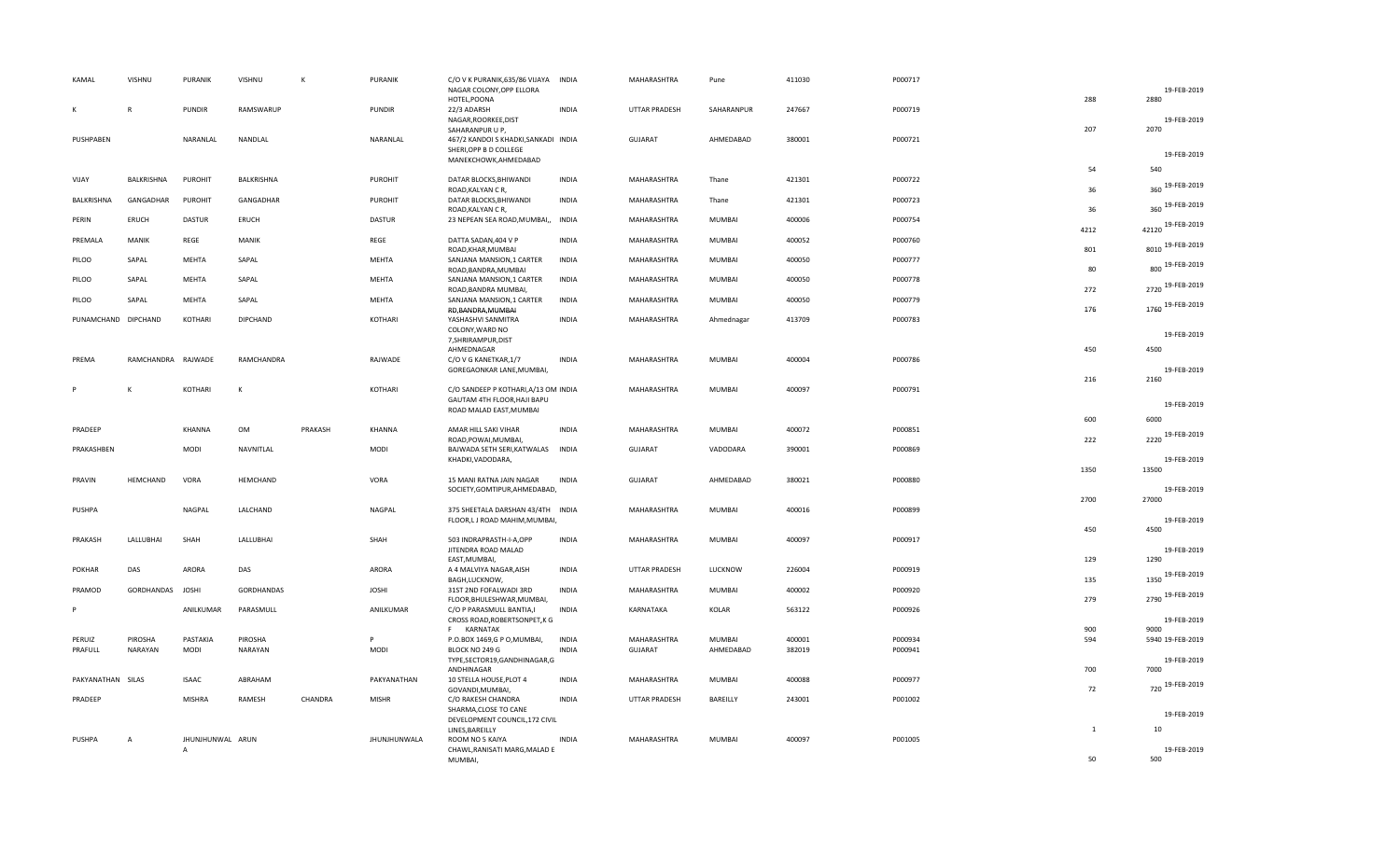|   | KAMAL               | VISHNU             | PURANIK          | VISHNU          | К       | <b>PURANIK</b>      | C/O V K PURANIK, 635/86 VIJAYA<br>NAGAR COLONY, OPP ELLORA<br>HOTEL, POONA        | <b>INDIA</b> | MAHARASHTRA          | Pune       | 411030 | P000717 | 288          | 19-FEB-2019<br>2880      |
|---|---------------------|--------------------|------------------|-----------------|---------|---------------------|-----------------------------------------------------------------------------------|--------------|----------------------|------------|--------|---------|--------------|--------------------------|
| К |                     |                    | <b>PUNDIR</b>    | RAMSWARUP       |         | <b>PUNDIR</b>       | 22/3 ADARSH<br>NAGAR, ROORKEE, DIST                                               | <b>INDIA</b> | UTTAR PRADESH        | SAHARANPUR | 247667 | P000719 |              | 19-FEB-2019              |
|   | PUSHPABEN           |                    | NARANLAL         | NANDLAL         |         | NARANLAL            | SAHARANPUR U P,<br>467/2 KANDOI S KHADKI, SANKADI INDIA<br>SHERI, OPP B D COLLEGE |              | GUJARAT              | AHMEDABAD  | 380001 | P000721 | 207          | 2070                     |
|   |                     |                    |                  |                 |         |                     | MANEKCHOWK, AHMEDABAD                                                             |              |                      |            |        |         |              | 19-FEB-2019<br>540       |
|   | VIJAY               | BALKRISHNA         | <b>PUROHIT</b>   | BALKRISHNA      |         | <b>PUROHIT</b>      | DATAR BLOCKS, BHIWANDI                                                            | <b>INDIA</b> | MAHARASHTRA          | Thane      | 421301 | P000722 | 54           | 19-FEB-2019              |
|   | <b>BALKRISHNA</b>   | GANGADHAR          | PUROHIT          | GANGADHAR       |         | <b>PUROHIT</b>      | ROAD, KALYAN CR,<br>DATAR BLOCKS, BHIWANDI                                        | <b>INDIA</b> | MAHARASHTRA          | Thane      | 421301 | P000723 | 36<br>36     | 360<br>360 19-FEB-2019   |
|   | PERIN               | ERUCH              | <b>DASTUR</b>    | ERUCH           |         | <b>DASTUR</b>       | ROAD, KALYAN CR,<br>23 NEPEAN SEA ROAD, MUMBAI,,                                  | INDIA        | MAHARASHTRA          | MUMBAI     | 400006 | P000754 |              | 42120 19-FEB-2019        |
|   | PREMALA             | MANIK              | REGE             | MANIK           |         | REGE                | DATTA SADAN, 404 V P<br>ROAD, KHAR, MUMBAI                                        | <b>INDIA</b> | MAHARASHTRA          | MUMBAI     | 400052 | P000760 | 4212<br>801  | 8010 19-FEB-2019         |
|   | PILOO               | SAPAL              | MEHTA            | SAPAL           |         | <b>MEHTA</b>        | SANJANA MANSION, 1 CARTER<br>ROAD, BANDRA, MUMBAI                                 | <b>INDIA</b> | MAHARASHTRA          | MUMBAI     | 400050 | P000777 | 80           | 800 19-FEB-2019          |
|   | PILOO               | SAPAL              | MEHTA            | SAPAL           |         | MEHTA               | SANJANA MANSION, 1 CARTER<br>ROAD, BANDRA MUMBAI,                                 | <b>INDIA</b> | MAHARASHTRA          | MUMBAI     | 400050 | P000778 | 272          | 2720 19-FEB-2019         |
|   | PILOO               | SAPAL              | MEHTA            | SAPAL           |         | MEHTA               | SANJANA MANSION, 1 CARTER<br>RD, BANDRA, MUMBAI                                   | <b>INDIA</b> | MAHARASHTRA          | MUMBAI     | 400050 | P000779 | 176          | 1760 19-FEB-2019         |
|   | PUNAMCHAND DIPCHAND |                    | KOTHARI          | <b>DIPCHAND</b> |         | KOTHARI             | YASHASHVI SANMITRA<br>COLONY, WARD NO                                             | <b>INDIA</b> | MAHARASHTRA          | Ahmednagar | 413709 | P000783 |              | 19-FEB-2019              |
|   |                     |                    |                  |                 |         |                     | 7, SHRIRAMPUR, DIST<br>AHMEDNAGAR                                                 |              |                      |            |        |         | 450          | 4500                     |
|   | PREMA               | RAMCHANDRA RAJWADE |                  | RAMCHANDRA      |         | RAJWADE             | C/O V G KANETKAR, 1/7<br>GOREGAONKAR LANE, MUMBAI,                                | <b>INDIA</b> | MAHARASHTRA          | MUMBAI     | 400004 | P000786 |              | 19-FEB-2019              |
|   |                     | К                  | KOTHARI          | К               |         | KOTHARI             | C/O SANDEEP P KOTHARI, A/13 OM INDIA<br>GAUTAM 4TH FLOOR, HAJI BAPU               |              | MAHARASHTRA          | MUMBAI     | 400097 | P000791 | 216          | 2160                     |
|   |                     |                    |                  |                 |         |                     | ROAD MALAD EAST, MUMBAI                                                           |              |                      |            |        |         | 600          | 19-FEB-2019<br>6000      |
|   | PRADEEP             |                    | KHANNA           | OM              | PRAKASH | <b>KHANNA</b>       | AMAR HILL SAKI VIHAR<br>ROAD, POWAI, MUMBAI,                                      | <b>INDIA</b> | MAHARASHTRA          | MUMBAI     | 400072 | P000851 | 222          | 2220 19-FEB-2019         |
|   | PRAKASHBEN          |                    | <b>MODI</b>      | NAVNITLAL       |         | <b>MODI</b>         | BAJWADA SETH SERI, KATWALAS<br>KHADKI, VADODARA,                                  | <b>INDIA</b> | <b>GUJARAT</b>       | VADODARA   | 390001 | P000869 |              | 19-FEB-2019              |
|   | PRAVIN              | HEMCHAND           | VORA             | HEMCHAND        |         | VORA                | 15 MANI RATNA JAIN NAGAR                                                          | <b>INDIA</b> | <b>GUJARAT</b>       | AHMEDABAD  | 380021 | P000880 | 1350         | 13500                    |
|   |                     |                    |                  |                 |         |                     | SOCIETY, GOMTIPUR, AHMEDABAD,                                                     |              |                      |            |        |         | 2700         | 19-FEB-2019<br>27000     |
|   | PUSHPA              |                    | NAGPAL           | LALCHAND        |         | NAGPAL              | 375 SHEETALA DARSHAN 43/4TH INDIA<br>FLOOR,L J ROAD MAHIM, MUMBAI,                |              | MAHARASHTRA          | MUMBAI     | 400016 | P000899 |              | 19-FEB-2019              |
|   | PRAKASH             | LALLUBHAI          | SHAH             | LALLUBHAI       |         | SHAH                | 503 INDRAPRASTH-I-A,OPP                                                           | <b>INDIA</b> | MAHARASHTRA          | MUMBAI     | 400097 | P000917 | 450          | 4500                     |
|   |                     |                    |                  |                 |         |                     | JITENDRA ROAD MALAD<br>EAST, MUMBAI,                                              |              |                      |            |        |         | 129          | 19-FEB-2019<br>1290      |
|   | <b>POKHAR</b>       | DAS                | ARORA            | DAS             |         | ARORA               | A 4 MALVIYA NAGAR, AISH<br>BAGH, LUCKNOW,                                         | <b>INDIA</b> | UTTAR PRADESH        | LUCKNOW    | 226004 | P000919 | 135          | 1350 19-FEB-2019         |
|   | PRAMOD              | GORDHANDAS JOSHI   |                  | GORDHANDAS      |         | <b>JOSHI</b>        | 31ST 2ND FOFALWADI 3RD<br>FLOOR, BHULESHWAR, MUMBAI,                              | <b>INDIA</b> | MAHARASHTRA          | MUMBAI     | 400002 | P000920 | 279          | 2790 19-FEB-2019         |
|   |                     |                    | ANILKUMAR        | PARASMULL       |         | ANILKUMAR           | C/O P PARASMULL BANTIA,I<br>CROSS ROAD, ROBERTSONPET, K G                         | <b>INDIA</b> | KARNATAKA            | KOLAR      | 563122 | P000926 |              | 19-FEB-2019              |
|   | PERUIZ              | PIROSHA            | PASTAKIA         | PIROSHA         |         | Þ                   | F KARNATAK<br>P.O.BOX 1469,G P O,MUMBAI,                                          | <b>INDIA</b> | MAHARASHTRA          | MUMBAI     | 400001 | P000934 | 900<br>594   | 9000<br>5940 19-FEB-2019 |
|   | PRAFULL             | NARAYAN            | <b>MODI</b>      | <b>NARAYAN</b>  |         | MODI                | BLOCK NO 249 G<br>TYPE,SECTOR19,GANDHINAGAR,G<br>ANDHINAGAR                       | <b>INDIA</b> | <b>GUJARAT</b>       | AHMEDABAD  | 382019 | P000941 | 700          | 19-FEB-2019<br>7000      |
|   | PAKYANATHAN         | SILAS              | <b>ISAAC</b>     | ABRAHAM         |         | PAKYANATHAN         | 10 STELLA HOUSE, PLOT 4                                                           | <b>INDIA</b> | MAHARASHTRA          | MUMBAI     | 400088 | P000977 |              | 720 19-FEB-2019          |
|   |                     |                    | <b>MISHRA</b>    | RAMESH          | CHANDRA | <b>MISHR</b>        | GOVANDI, MUMBAI,<br>C/O RAKESH CHANDRA                                            | <b>INDIA</b> | <b>UTTAR PRADESH</b> | BAREILLY   | 243001 | P001002 | 72           |                          |
|   | PRADEEP             |                    |                  |                 |         |                     |                                                                                   |              |                      |            |        |         |              |                          |
|   |                     |                    |                  |                 |         |                     | SHARMA, CLOSE TO CANE<br>DEVELOPMENT COUNCIL, 172 CIVIL                           |              |                      |            |        |         |              | 19-FEB-2019              |
|   | PUSHPA              | $\overline{A}$     | JHUNJHUNWAL ARUN |                 |         | <b>JHUNJHUNWALA</b> | LINES, BAREILLY<br>ROOM NO 5 KAIYA                                                | <b>INDIA</b> | MAHARASHTRA          | MUMBAI     | 400097 | P001005 | $\mathbf{1}$ | 10<br>19-FEB-2019        |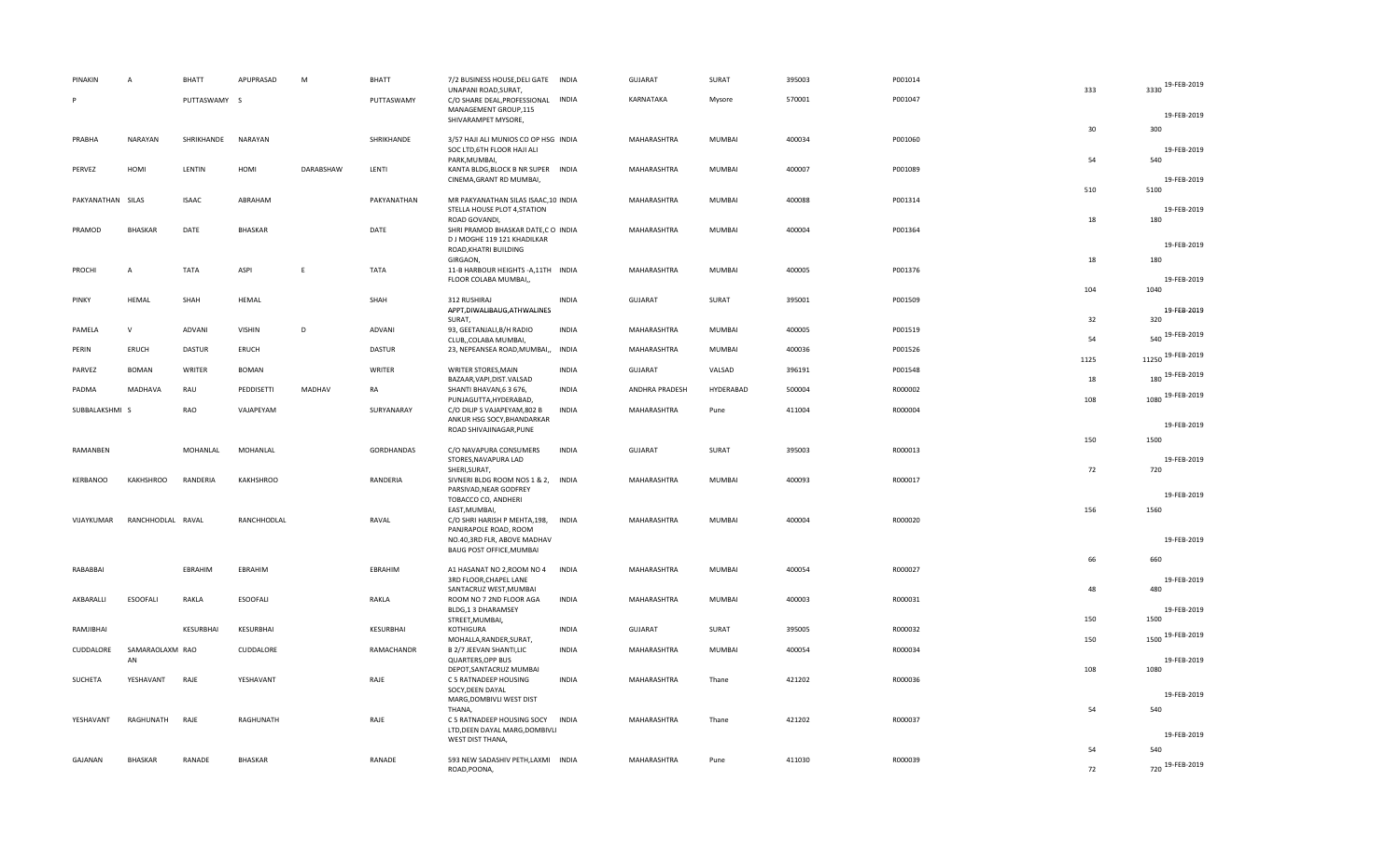| PINAKIN           | A                     | <b>BHATT</b>  | APUPRASAD        | M         | <b>BHATT</b> | 7/2 BUSINESS HOUSE, DELI GATE INDIA<br>UNAPANI ROAD, SURAT,                                                           |              | GUJARAT        | SURAT         | 395003 | P001014 | 333        | 3330 19-FEB-2019           |
|-------------------|-----------------------|---------------|------------------|-----------|--------------|-----------------------------------------------------------------------------------------------------------------------|--------------|----------------|---------------|--------|---------|------------|----------------------------|
|                   |                       | PUTTASWAMY S  |                  |           | PUTTASWAMY   | C/O SHARE DEAL, PROFESSIONAL<br>MANAGEMENT GROUP,115                                                                  | INDIA        | KARNATAKA      | Mysore        | 570001 | P001047 |            | 19-FEB-2019                |
|                   |                       |               |                  |           |              | SHIVARAMPET MYSORE,                                                                                                   |              |                |               |        |         | 30         | 300                        |
| PRABHA            | <b>NARAYAN</b>        | SHRIKHANDE    | <b>NARAYAN</b>   |           | SHRIKHANDE   | 3/57 HAJI ALI MUNIOS CO OP HSG INDIA<br>SOC LTD, 6TH FLOOR HAJI ALI<br>PARK, MUMBAI,                                  |              | MAHARASHTRA    | <b>MUMBAI</b> | 400034 | P001060 | 54         | 19-FEB-2019<br>540         |
| PERVEZ            | HOMI                  | LENTIN        | HOMI             | DARABSHAW | LENTI        | KANTA BLDG, BLOCK B NR SUPER INDIA<br>CINEMA, GRANT RD MUMBAI,                                                        |              | MAHARASHTRA    | <b>MUMBAI</b> | 400007 | P001089 |            | 19-FEB-2019                |
| PAKYANATHAN SILAS |                       | <b>ISAAC</b>  | ABRAHAM          |           | PAKYANATHAN  | MR PAKYANATHAN SILAS ISAAC, 10 INDIA<br>STELLA HOUSE PLOT 4, STATION                                                  |              | MAHARASHTRA    | <b>MUMBAI</b> | 400088 | P001314 | 510        | 5100<br>19-FEB-2019        |
| PRAMOD            | <b>BHASKAR</b>        | DATE          | BHASKAR          |           | DATE         | ROAD GOVANDI,<br>SHRI PRAMOD BHASKAR DATE, CO INDIA<br>D J MOGHE 119 121 KHADILKAR<br>ROAD, KHATRI BUILDING           |              | MAHARASHTRA    | MUMBAI        | 400004 | P001364 | 18         | 180<br>19-FEB-2019         |
| PROCHI            | $\overline{A}$        | TATA          | ASPI             | E         | TATA         | GIRGAON,<br>11-B HARBOUR HEIGHTS - A, 11TH INDIA                                                                      |              | MAHARASHTRA    | <b>MUMBAI</b> | 400005 | P001376 | 18         | 180                        |
|                   |                       |               |                  |           |              | FLOOR COLABA MUMBAI,,                                                                                                 |              |                |               |        |         | 104        | 19-FEB-2019<br>1040        |
| PINKY             | <b>HEMAL</b>          | SHAH          | HEMAL            |           | SHAH         | 312 RUSHIRAJ<br>APPT, DIWALIBAUG, ATHWALINES<br>SURAT,                                                                | INDIA        | GUJARAT        | SURAT         | 395001 | P001509 | 32         | 19-FEB-2019<br>320         |
| PAMELA            | $\mathsf{V}$          | ADVANI        | <b>VISHIN</b>    | D         | ADVANI       | 93, GEETANJALI, B/H RADIO                                                                                             | <b>INDIA</b> | MAHARASHTRA    | <b>MUMBAI</b> | 400005 | P001519 |            | 540 19-FEB-2019            |
| PERIN             | ERUCH                 | <b>DASTUR</b> | ERUCH            |           | DASTUR       | CLUB,, COLABA MUMBAI,<br>23, NEPEANSEA ROAD, MUMBAI,,                                                                 | INDIA        | MAHARASHTRA    | <b>MUMBAI</b> | 400036 | P001526 | 54<br>1125 | 11250 19-FEB-2019          |
| PARVEZ            | <b>BOMAN</b>          | WRITER        | <b>BOMAN</b>     |           | WRITER       | WRITER STORES, MAIN                                                                                                   | <b>INDIA</b> | GUJARAT        | VALSAD        | 396191 | P001548 | 18         | 180 19-FEB-2019            |
| PADMA             | MADHAVA               | RAU           | PEDDISETTI       | MADHAV    | RA           | BAZAAR, VAPI, DIST. VALSAD<br>SHANTI BHAVAN, 63 676,<br>PUNJAGUTTA, HYDERABAD,                                        | <b>INDIA</b> | ANDHRA PRADESH | HYDERABAD     | 500004 | R000002 | 108        | 1080 19-FEB-2019           |
| SUBBALAKSHMI S    |                       | RAO           | VAJAPEYAM        |           | SURYANARAY   | C/O DILIP S VAJAPEYAM,802 B<br>ANKUR HSG SOCY, BHANDARKAR                                                             | <b>INDIA</b> | MAHARASHTRA    | Pune          | 411004 | R000004 |            | 19-FEB-2019                |
|                   |                       |               |                  |           |              | ROAD SHIVAJINAGAR, PUNE                                                                                               |              |                |               |        |         | 150        | 1500                       |
| RAMANBEN          |                       | MOHANLAL      | MOHANLAL         |           | GORDHANDAS   | C/O NAVAPURA CONSUMERS<br>STORES, NAVAPURA LAD                                                                        | <b>INDIA</b> | GUJARAT        | SURAT         | 395003 | R000013 |            | 19-FEB-2019                |
| KERBANOO          | KAKHSHROO             | RANDERIA      | <b>KAKHSHROO</b> |           | RANDERIA     | SHERI, SURAT,<br>SIVNERI BLDG ROOM NOS 1 & 2, INDIA<br>PARSIVAD, NEAR GODFREY<br>TOBACCO CO, ANDHERI<br>EAST, MUMBAI, |              | MAHARASHTRA    | <b>MUMBAI</b> | 400093 | R000017 | 72<br>156  | 720<br>19-FEB-2019<br>1560 |
| VIJAYKUMAR        | RANCHHODLAL RAVAL     |               | RANCHHODLAL      |           | RAVAL        | C/O SHRI HARISH P MEHTA, 198,<br>PANJRAPOLE ROAD, ROOM<br>NO.40,3RD FLR, ABOVE MADHAV                                 | <b>INDIA</b> | MAHARASHTRA    | MUMBAI        | 400004 | R000020 |            | 19-FEB-2019                |
|                   |                       |               |                  |           |              | BAUG POST OFFICE, MUMBAI                                                                                              |              |                |               |        |         |            |                            |
| RABABBAI          |                       | EBRAHIM       | EBRAHIM          |           | EBRAHIM      | A1 HASANAT NO 2,ROOM NO 4<br>3RD FLOOR, CHAPEL LANE                                                                   | <b>INDIA</b> | MAHARASHTRA    | <b>MUMBAI</b> | 400054 | R000027 | 66         | 660<br>19-FEB-2019         |
| AKBARALLI         | <b>ESOOFALI</b>       | RAKLA         | ESOOFALI         |           | RAKLA        | SANTACRUZ WEST, MUMBAI<br>ROOM NO 7 2ND FLOOR AGA<br>BLDG,1 3 DHARAMSEY                                               | <b>INDIA</b> | MAHARASHTRA    | MUMBAI        | 400003 | R000031 | 48         | 480<br>19-FEB-2019         |
| RAMJIBHAI         |                       | KESURBHAI     | KESURBHAI        |           | KESURBHAI    | STREET, MUMBAI,<br>KOTHIGURA                                                                                          | <b>INDIA</b> | <b>GUJARAT</b> | SURAT         | 395005 | R000032 | 150        | 1500<br>1500 19-FEB-2019   |
| CUDDALORE         | SAMARAOLAXM RAO<br>AN |               | CUDDALORE        |           | RAMACHANDR   | MOHALLA, RANDER, SURAT,<br>B 2/7 JEEVAN SHANTI, LIC<br><b>QUARTERS, OPP BUS</b>                                       | <b>INDIA</b> | MAHARASHTRA    | <b>MUMBAI</b> | 400054 | R000034 | 150        | 19-FEB-2019                |
| SUCHETA           | YESHAVANT             | RAJE          | YESHAVANT        |           | RAJE         | DEPOT, SANTACRUZ MUMBAI<br>C 5 RATNADEEP HOUSING<br>SOCY, DEEN DAYAL<br>MARG, DOMBIVLI WEST DIST                      | <b>INDIA</b> | MAHARASHTRA    | Thane         | 421202 | R000036 | 108        | 1080<br>19-FEB-2019        |
| YESHAVANT         | RAGHUNATH             | RAJE          | RAGHUNATH        |           | RAJE         | THANA,<br>C 5 RATNADEEP HOUSING SOCY                                                                                  | <b>INDIA</b> | MAHARASHTRA    | Thane         | 421202 | R000037 | 54         | 540                        |
|                   |                       |               |                  |           |              | LTD, DEEN DAYAL MARG, DOMBIVLI<br>WEST DIST THANA,                                                                    |              |                |               |        |         |            | 19-FEB-2019                |
| GAJANAN           | BHASKAR               | RANADE        | <b>BHASKAR</b>   |           | RANADE       | 593 NEW SADASHIV PETH, LAXMI INDIA                                                                                    |              | MAHARASHTRA    | Pune          | 411030 | R000039 | 54         | 540                        |
|                   |                       |               |                  |           |              | ROAD, POONA,                                                                                                          |              |                |               |        |         | 72         | 720 19-FEB-2019            |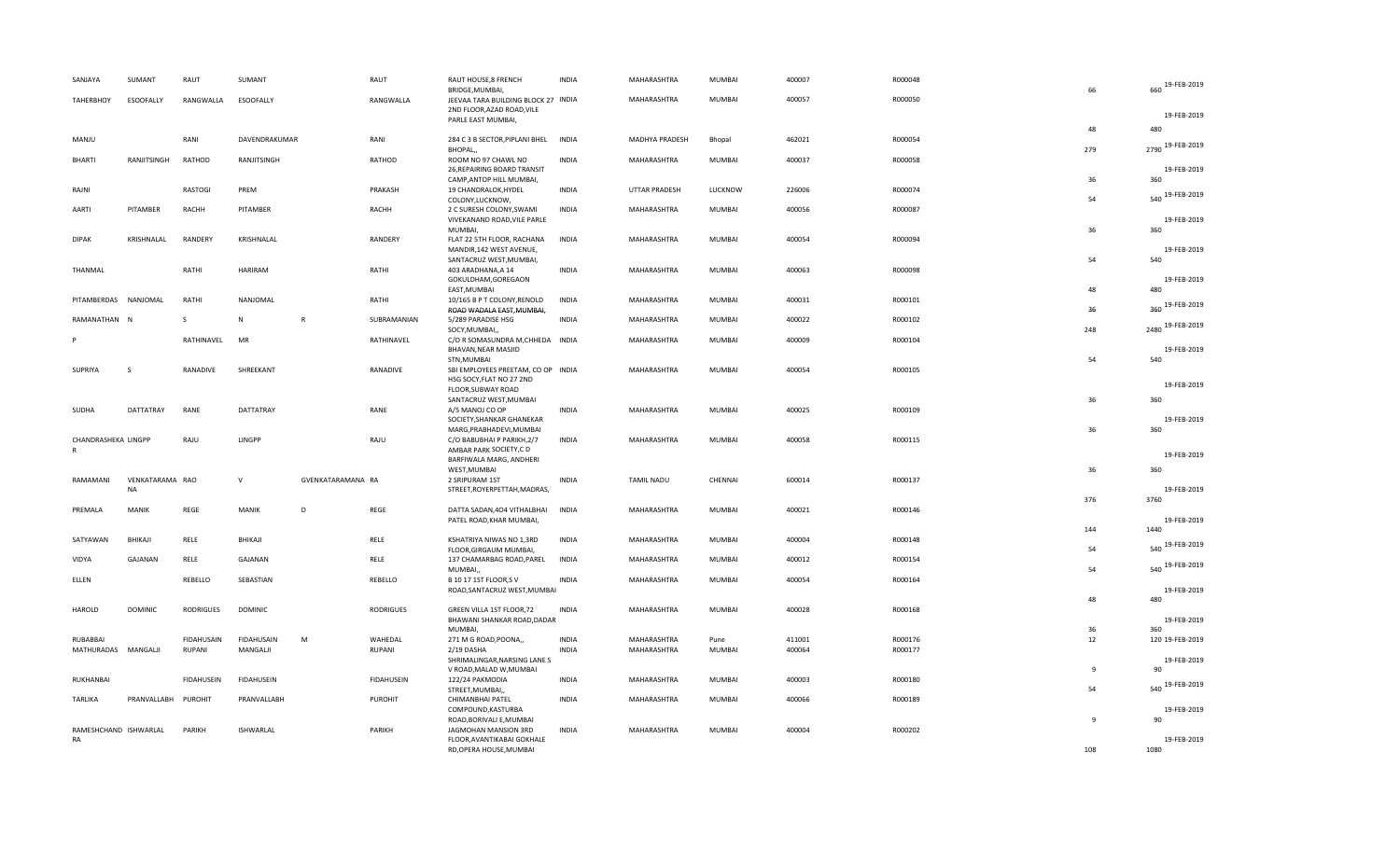|    | SANJAYA               | SUMANT           | RAUT              | SUMANT            |                   | RAUT              | RAUT HOUSE,8 FRENCH<br>BRIDGE, MUMBAI,                                                              | <b>INDIA</b> | MAHARASHTRA          | MUMBAI  | 400007 | R000048 | 66        | 660 19-FEB-2019        |
|----|-----------------------|------------------|-------------------|-------------------|-------------------|-------------------|-----------------------------------------------------------------------------------------------------|--------------|----------------------|---------|--------|---------|-----------|------------------------|
|    | <b>TAHERBHOY</b>      | <b>ESOOFALLY</b> | RANGWALLA         | ESOOFALLY         |                   | RANGWALLA         | JEEVAA TARA BUILDING BLOCK 27 INDIA<br>2ND FLOOR, AZAD ROAD, VILE                                   |              | MAHARASHTRA          | MUMBAI  | 400057 | R000050 |           | 19-FEB-2019            |
|    |                       |                  |                   |                   |                   |                   | PARLE EAST MUMBAI,                                                                                  |              |                      |         |        |         | 48        | 480                    |
|    | MANJU                 |                  | RANI              | DAVENDRAKUMAR     |                   | RANI              | 284 C 3 B SECTOR, PIPLANI BHEL<br>BHOPAL,                                                           | <b>INDIA</b> | MADHYA PRADESH       | Bhopal  | 462021 | R000054 | 279       | 2790 19-FEB-2019       |
|    | <b>BHARTI</b>         | RANJITSINGH      | RATHOD            | RANJITSINGH       |                   | RATHOD            | ROOM NO 97 CHAWL NO<br>26, REPAIRING BOARD TRANSIT<br>CAMP, ANTOP HILL MUMBAI,                      | <b>INDIA</b> | MAHARASHTRA          | MUMBAI  | 400037 | R000058 | 36        | 19-FEB-2019<br>360     |
|    | RAJNI                 |                  | <b>RASTOGI</b>    | PREM              |                   | PRAKASH           | 19 CHANDRALOK, HYDEL<br>COLONY, LUCKNOW,                                                            | <b>INDIA</b> | <b>UTTAR PRADESH</b> | LUCKNOW | 226006 | R000074 | 54        | 540 19-FEB-2019        |
|    | AARTI                 | PITAMBER         | RACHH             | PITAMBER          |                   | RACHH             | 2 C SURESH COLONY, SWAMI<br>VIVEKANAND ROAD, VILE PARLE                                             | <b>INDIA</b> | MAHARASHTRA          | MUMBAI  | 400056 | R000087 |           | 19-FEB-2019            |
|    | <b>DIPAK</b>          | KRISHNALAL       | RANDERY           | KRISHNALAL        |                   | RANDERY           | MUMBAI,<br>FLAT 22 5TH FLOOR, RACHANA<br>MANDIR, 142 WEST AVENUE,                                   | <b>INDIA</b> | MAHARASHTRA          | MUMBAI  | 400054 | R000094 | 36        | 360<br>19-FEB-2019     |
|    | THANMAL               |                  | RATHI             | HARIRAM           |                   | RATHI             | SANTACRUZ WEST, MUMBAI,<br>403 ARADHANA, A 14<br>GOKULDHAM, GOREGAON                                | <b>INDIA</b> | MAHARASHTRA          | MUMBAI  | 400063 | R000098 | 54        | 540<br>19-FEB-2019     |
|    | PITAMBERDAS           | NANJOMAL         | RATHI             | NANJOMAL          |                   | RATHI             | EAST, MUMBAI<br>10/165 B P T COLONY, RENOLD                                                         | <b>INDIA</b> | MAHARASHTRA          | MUMBAI  | 400031 | R000101 | 48        | 480<br>360 19-FEB-2019 |
|    | RAMANATHAN N          |                  | S.                | ${\sf N}$         | $\mathsf{R}$      | SUBRAMANIAN       | ROAD WADALA EAST, MUMBAI,<br>5/289 PARADISE HSG<br>SOCY, MUMBAI,,                                   | <b>INDIA</b> | MAHARASHTRA          | MUMBAI  | 400022 | R000102 | 36<br>248 | 2480 19-FEB-2019       |
|    |                       |                  | RATHINAVEL        | MR                |                   | RATHINAVEL        | C/O R SOMASUNDRA M, CHHEDA INDIA<br>BHAVAN, NEAR MASJID                                             |              | MAHARASHTRA          | MUMBAI  | 400009 | R000104 |           | 19-FEB-2019            |
|    | SUPRIYA               | S                | RANADIVE          | SHREEKANT         |                   | RANADIVE          | STN, MUMBAI<br>SBI EMPLOYEES PREETAM, CO OP INDIA<br>HSG SOCY, FLAT NO 27 2ND<br>FLOOR, SUBWAY ROAD |              | MAHARASHTRA          | MUMBAI  | 400054 | R000105 | 54        | 540<br>19-FEB-2019     |
|    | <b>SUDHA</b>          | DATTATRAY        | RANE              | DATTATRAY         |                   | RANE              | SANTACRUZ WEST, MUMBAI<br>A/5 MANOJ CO OP<br>SOCIETY, SHANKAR GHANEKAR                              | <b>INDIA</b> | MAHARASHTRA          | MUMBAI  | 400025 | R000109 | 36        | 360<br>19-FEB-2019     |
|    | CHANDRASHEKA LINGPP   |                  | RAJU              | LINGPP            |                   | RAJU              | MARG, PRABHADEVI, MUMBAI<br>C/O BABUBHAI P PARIKH, 2/7<br>AMBAR PARK SOCIETY, CD                    | <b>INDIA</b> | MAHARASHTRA          | MUMBAI  | 400058 | R000115 | 36        | 360<br>19-FEB-2019     |
|    | RAMAMANI              | VENKATARAMA RAO  |                   | $\mathsf{V}$      | GVENKATARAMANA RA |                   | BARFIWALA MARG, ANDHERI<br>WEST, MUMBAI<br>2 SRIPURAM 1ST                                           | <b>INDIA</b> | <b>TAMIL NADU</b>    | CHENNAI | 600014 | R000137 | 36        | 360                    |
|    | PREMALA               | NA<br>MANIK      | REGE              | MANIK             | D                 | REGE              | STREET, ROYERPETTAH, MADRAS,<br>DATTA SADAN, 404 VITHALBHAI                                         | <b>INDIA</b> | MAHARASHTRA          | MUMBAI  | 400021 | R000146 | 376       | 19-FEB-2019<br>3760    |
|    |                       |                  |                   |                   |                   |                   | PATEL ROAD, KHAR MUMBAI,                                                                            |              |                      |         |        |         | 144       | 19-FEB-2019<br>1440    |
|    | SATYAWAN              | BHIKAJI          | RELE              | BHIKAJI           |                   | RELE              | KSHATRIYA NIWAS NO 1,3RD<br>FLOOR, GIRGAUM MUMBAI,                                                  | <b>INDIA</b> | MAHARASHTRA          | MUMBAI  | 400004 | R000148 | 54        | 540 19-FEB-2019        |
|    | VIDYA                 | GAJANAN          | RELE              | GAJANAN           |                   | RELE              | 137 CHAMARBAG ROAD, PAREL<br>MUMBAI,,                                                               | <b>INDIA</b> | MAHARASHTRA          | MUMBAI  | 400012 | R000154 | 54        | 540 19-FEB-2019        |
|    | ELLEN                 |                  | REBELLO           | SEBASTIAN         |                   | REBELLO           | B 10 17 1ST FLOOR, SV<br>ROAD, SANTACRUZ WEST, MUMBAI                                               | <b>INDIA</b> | MAHARASHTRA          | MUMBAI  | 400054 | R000164 | 48        | 19-FEB-2019<br>480     |
|    | HAROLD                | <b>DOMINIC</b>   | <b>RODRIGUES</b>  | <b>DOMINIC</b>    |                   | <b>RODRIGUES</b>  | GREEN VILLA 1ST FLOOR,72<br>BHAWANI SHANKAR ROAD, DADAR<br>MUMBAI,                                  | <b>INDIA</b> | MAHARASHTRA          | MUMBAI  | 400028 | R000168 | 36        | 19-FEB-2019<br>360     |
|    | RUBABBAI              |                  | FIDAHUSAIN        | <b>FIDAHUSAIN</b> | M                 | WAHEDAL           | 271 M G ROAD, POONA,,                                                                               | <b>INDIA</b> | MAHARASHTRA          | Pune    | 411001 | R000176 | 12        | 120 19-FEB-2019        |
|    | MATHURADAS MANGALJI   |                  | RUPANI            | MANGALJI          |                   | RUPANI            | 2/19 DASHA<br>SHRIMALINGAR, NARSING LANE S<br>V ROAD, MALAD W, MUMBAI                               | <b>INDIA</b> | MAHARASHTRA          | MUMBAI  | 400064 | R000177 | -9        | 19-FEB-2019<br>90      |
|    | RUKHANBAI             |                  | <b>FIDAHUSEIN</b> | <b>FIDAHUSEIN</b> |                   | <b>FIDAHUSEIN</b> | 122/24 PAKMODIA<br>STREET, MUMBAI,,                                                                 | <b>INDIA</b> | MAHARASHTRA          | MUMBAI  | 400003 | R000180 | 54        | 540 19-FEB-2019        |
|    | TARLIKA               | PRANVALLABH      | <b>PUROHIT</b>    | PRANVALLABH       |                   | PUROHIT           | CHIMANBHAI PATEL<br>COMPOUND, KASTURBA                                                              | <b>INDIA</b> | MAHARASHTRA          | MUMBAI  | 400066 | R000189 |           | 19-FEB-2019            |
| RA | RAMESHCHAND ISHWARLAL |                  | PARIKH            | <b>ISHWARLAL</b>  |                   | PARIKH            | ROAD, BORIVALI E, MUMBAI<br>JAGMOHAN MANSION 3RD<br>FLOOR, AVANTIKABAI GOKHALE                      | <b>INDIA</b> | MAHARASHTRA          | MUMBAI  | 400004 | R000202 | -9        | 90<br>19-FEB-2019      |
|    |                       |                  |                   |                   |                   |                   | RD, OPERA HOUSE, MUMBAI                                                                             |              |                      |         |        |         | 108       | 1080                   |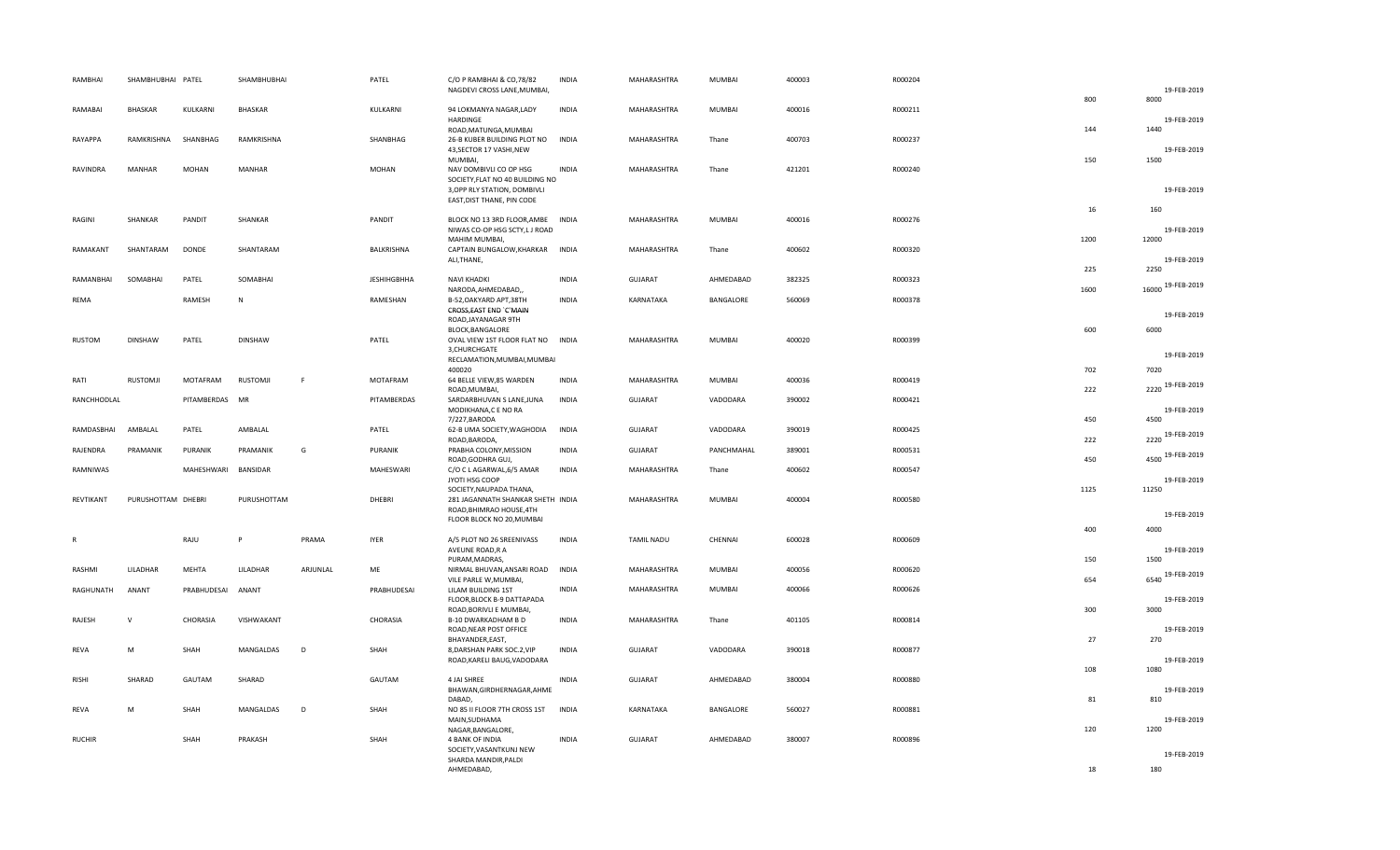| RAMBHAI       | SHAMBHUBHAI PATEL  |              | SHAMBHUBHAI    |          | PATEL              | C/O P RAMBHAI & CO,78/82<br>NAGDEVI CROSS LANE, MUMBAI,            | <b>INDIA</b> | MAHARASHTRA       | MUMBAI        | 400003 | R000204 |      | 19-FEB-2019          |
|---------------|--------------------|--------------|----------------|----------|--------------------|--------------------------------------------------------------------|--------------|-------------------|---------------|--------|---------|------|----------------------|
|               | <b>BHASKAR</b>     |              |                |          | KULKARNI           |                                                                    | <b>INDIA</b> |                   | MUMBAI        |        | R000211 | 800  | 8000                 |
| RAMABAI       |                    | KULKARNI     | BHASKAR        |          |                    | 94 LOKMANYA NAGAR, LADY<br>HARDINGE                                |              | MAHARASHTRA       |               | 400016 |         |      | 19-FEB-2019          |
| RAYAPPA       | RAMKRISHNA         | SHANBHAG     | RAMKRISHNA     |          | SHANBHAG           | ROAD, MATUNGA, MUMBAI<br>26-B KUBER BUILDING PLOT NO               | <b>INDIA</b> | MAHARASHTRA       | Thane         | 400703 | R000237 | 144  | 1440                 |
|               |                    |              |                |          |                    | 43, SECTOR 17 VASHI, NEW<br>MUMBAI,                                |              |                   |               |        |         | 150  | 19-FEB-2019<br>1500  |
| RAVINDRA      | MANHAR             | <b>MOHAN</b> | <b>MANHAR</b>  |          | MOHAN              | NAV DOMBIVLI CO OP HSG                                             | <b>INDIA</b> | MAHARASHTRA       | Thane         | 421201 | R000240 |      |                      |
|               |                    |              |                |          |                    | SOCIETY, FLAT NO 40 BUILDING NO<br>3, OPP RLY STATION, DOMBIVLI    |              |                   |               |        |         |      | 19-FEB-2019          |
|               |                    |              |                |          |                    | EAST, DIST THANE, PIN CODE                                         |              |                   |               |        |         | 16   | 160                  |
| RAGINI        | SHANKAR            | PANDIT       | SHANKAR        |          | PANDIT             | BLOCK NO 13 3RD FLOOR, AMBE INDIA<br>NIWAS CO-OP HSG SCTY, LJ ROAD |              | MAHARASHTRA       | MUMBAI        | 400016 | R000276 |      | 19-FEB-2019          |
| RAMAKANT      | SHANTARAM          | <b>DONDE</b> | SHANTARAM      |          | BALKRISHNA         | MAHIM MUMBAI,                                                      |              | MAHARASHTRA       | Thane         | 400602 | R000320 | 1200 | 12000                |
|               |                    |              |                |          |                    | CAPTAIN BUNGALOW, KHARKAR INDIA<br>ALI, THANE,                     |              |                   |               |        |         |      | 19-FEB-2019          |
| RAMANBHAI     | SOMABHAI           | PATEL        | SOMABHAI       |          | <b>JESHIHGBHHA</b> | NAVI KHADKI                                                        | <b>INDIA</b> | <b>GUJARAT</b>    | AHMEDABAD     | 382325 | R000323 | 225  | 2250                 |
| <b>REMA</b>   |                    | RAMESH       | $\mathsf{N}$   |          | RAMESHAN           | NARODA, AHMEDABAD,<br>B-52, OAKYARD APT, 38TH                      | <b>INDIA</b> | KARNATAKA         | BANGALORE     | 560069 | R000378 | 1600 | 16000 19-FEB-2019    |
|               |                    |              |                |          |                    | CROSS, EAST END `C'MAIN<br>ROAD, JAYANAGAR 9TH                     |              |                   |               |        |         |      | 19-FEB-2019          |
|               |                    |              |                |          |                    | BLOCK, BANGALORE                                                   |              |                   |               |        |         | 600  | 6000                 |
| <b>RUSTOM</b> | <b>DINSHAW</b>     | PATEL        | <b>DINSHAW</b> |          | PATEL              | OVAL VIEW 1ST FLOOR FLAT NO INDIA<br>3, CHURCHGATE                 |              | MAHARASHTRA       | MUMBAI        | 400020 | R000399 |      | 19-FEB-2019          |
|               |                    |              |                |          |                    | RECLAMATION, MUMBAI, MUMBAI<br>400020                              |              |                   |               |        |         | 702  | 7020                 |
| RATI          | <b>RUSTOMJI</b>    | MOTAFRAM     | RUSTOMJI       | -F       | MOTAFRAM           | 64 BELLE VIEW,85 WARDEN<br>ROAD, MUMBAI,                           | <b>INDIA</b> | MAHARASHTRA       | MUMBAI        | 400036 | R000419 | 222  | 2220 19-FEB-2019     |
| RANCHHODLAL   |                    | PITAMBERDAS  | MR             |          | PITAMBERDAS        | SARDARBHUVAN S LANE, JUNA                                          | <b>INDIA</b> | <b>GUJARAT</b>    | VADODARA      | 390002 | R000421 |      |                      |
|               |                    |              |                |          |                    | MODIKHANA,C E NO RA<br>7/227, BARODA                               |              |                   |               |        |         | 450  | 19-FEB-2019<br>4500  |
| RAMDASBHAI    | AMBALAL            | PATEL        | AMBALAL        |          | PATEL              | 62-B UMA SOCIETY, WAGHODIA<br>ROAD, BARODA,                        | <b>INDIA</b> | <b>GUJARAT</b>    | VADODARA      | 390019 | R000425 | 222  | 2220 19-FEB-2019     |
| RAJENDRA      | PRAMANIK           | PURANIK      | PRAMANIK       | G        | PURANIK            | PRABHA COLONY, MISSION<br>ROAD, GODHRA GUJ,                        | <b>INDIA</b> | GUJARAT           | PANCHMAHAL    | 389001 | R000531 | 450  | 4500 19-FEB-2019     |
| RAMNIWAS      |                    | MAHESHWARI   | BANSIDAR       |          | MAHESWARI          | C/O C L AGARWAL, 6/5 AMAR                                          | <b>INDIA</b> | MAHARASHTRA       | Thane         | 400602 | R000547 |      |                      |
|               |                    |              |                |          |                    | JYOTI HSG COOP<br>SOCIETY, NAUPADA THANA,                          |              |                   |               |        |         | 1125 | 19-FEB-2019<br>11250 |
| REVTIKANT     | PURUSHOTTAM DHEBRI |              | PURUSHOTTAM    |          | DHEBRI             | 281 JAGANNATH SHANKAR SHETH INDIA<br>ROAD, BHIMRAO HOUSE, 4TH      |              | MAHARASHTRA       | <b>MUMBAI</b> | 400004 | R000580 |      |                      |
|               |                    |              |                |          |                    | FLOOR BLOCK NO 20, MUMBAI                                          |              |                   |               |        |         | 400  | 19-FEB-2019<br>4000  |
| R             |                    | RAJU         | P              | PRAMA    | <b>IYER</b>        | A/5 PLOT NO 26 SREENIVASS                                          | <b>INDIA</b> | <b>TAMIL NADU</b> | CHENNAI       | 600028 | R000609 |      |                      |
|               |                    |              |                |          |                    | AVEUNE ROAD, R A<br>PURAM, MADRAS,                                 |              |                   |               |        |         | 150  | 19-FEB-2019<br>1500  |
| RASHMI        | LILADHAR           | MEHTA        | LILADHAR       | ARJUNLAL | ME                 | NIRMAL BHUVAN, ANSARI ROAD<br>VILE PARLE W, MUMBAI,                | <b>INDIA</b> | MAHARASHTRA       | <b>MUMBAI</b> | 400056 | R000620 | 654  | 6540 19-FEB-2019     |
| RAGHUNATH     | ANANT              | PRABHUDESAI  | ANANT          |          | PRABHUDESAI        | LILAM BUILDING 1ST<br>FLOOR, BLOCK B-9 DATTAPADA                   | <b>INDIA</b> | MAHARASHTRA       | MUMBAI        | 400066 | R000626 |      | 19-FEB-2019          |
|               | $\mathsf{v}$       |              |                |          |                    | ROAD, BORIVLI E MUMBAI,                                            |              |                   |               |        |         | 300  | 3000                 |
| RAJESH        |                    | CHORASIA     | VISHWAKANT     |          | CHORASIA           | B-10 DWARKADHAM B D<br>ROAD, NEAR POST OFFICE                      | <b>INDIA</b> | MAHARASHTRA       | Thane         | 401105 | R000814 |      | 19-FEB-2019          |
| REVA          | M                  | SHAH         | MANGALDAS      | D        | SHAH               | BHAYANDER, EAST,<br>8, DARSHAN PARK SOC.2, VIP                     | <b>INDIA</b> | <b>GUJARAT</b>    | VADODARA      | 390018 | R000877 | 27   | 270                  |
|               |                    |              |                |          |                    | ROAD, KARELI BAUG, VADODARA                                        |              |                   |               |        |         | 108  | 19-FEB-2019<br>1080  |
| RISHI         | SHARAD             | GAUTAM       | SHARAD         |          | GAUTAM             | 4 JAI SHREE<br>BHAWAN, GIRDHERNAGAR, AHME                          | <b>INDIA</b> | <b>GUJARAT</b>    | AHMEDABAD     | 380004 | R000880 |      | 19-FEB-2019          |
|               |                    |              |                |          |                    | DABAD,                                                             |              |                   |               |        |         | 81   | 810                  |
| REVA          | M                  | SHAH         | MANGALDAS      | D        | SHAH               | NO 85 II FLOOR 7TH CROSS 1ST<br>MAIN, SUDHAMA                      | <b>INDIA</b> | KARNATAKA         | BANGALORE     | 560027 | R000881 |      | 19-FEB-2019          |
| <b>RUCHIR</b> |                    | SHAH         | PRAKASH        |          | SHAH               | NAGAR, BANGALORE,<br>4 BANK OF INDIA                               | <b>INDIA</b> | GUJARAT           | AHMEDABAD     | 380007 | R000896 | 120  | 1200                 |
|               |                    |              |                |          |                    | SOCIETY, VASANTKUNJ NEW<br>SHARDA MANDIR, PALDI                    |              |                   |               |        |         |      | 19-FEB-2019          |
|               |                    |              |                |          |                    | AHMEDABAD,                                                         |              |                   |               |        |         | 18   | 180                  |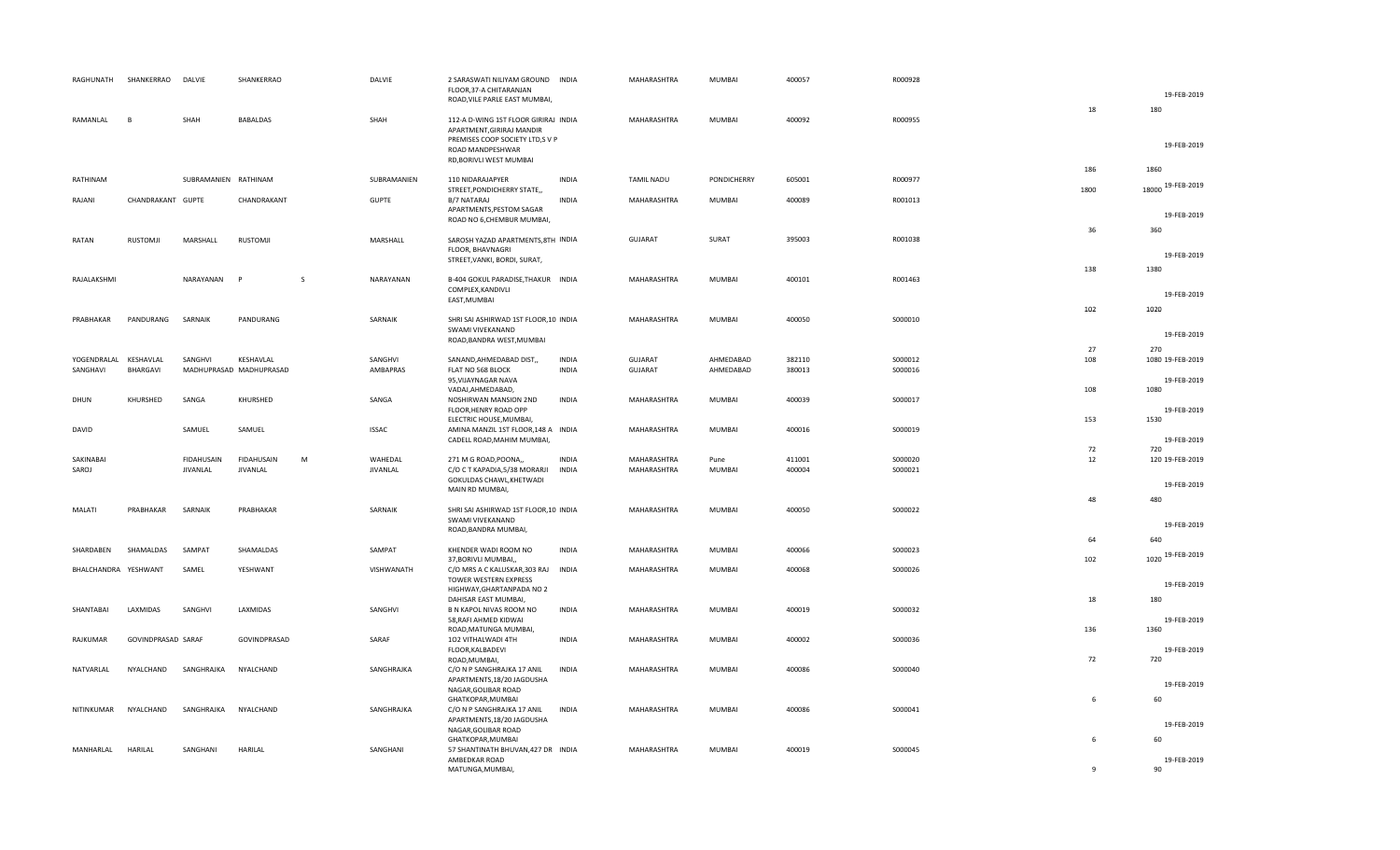| RAGHUNATH            | SHANKERRAO         | DALVIE                               | SHANKERRAO                    |              | DALVIE                     | 2 SARASWATI NILIYAM GROUND INDIA<br>FLOOR, 37-A CHITARANJAN<br>ROAD, VILE PARLE EAST MUMBAI,                                                        |                              | MAHARASHTRA                | MUMBAI         | 400057           | R000928            |              | 19-FEB-2019               |
|----------------------|--------------------|--------------------------------------|-------------------------------|--------------|----------------------------|-----------------------------------------------------------------------------------------------------------------------------------------------------|------------------------------|----------------------------|----------------|------------------|--------------------|--------------|---------------------------|
| RAMANLAL             | <b>R</b>           | SHAH                                 | <b>BABALDAS</b>               |              | SHAH                       | 112-A D-WING 1ST FLOOR GIRIRAJ INDIA<br>APARTMENT, GIRIRAJ MANDIR<br>PREMISES COOP SOCIETY LTD,S V P<br>ROAD MANDPESHWAR<br>RD, BORIVLI WEST MUMBAI |                              | MAHARASHTRA                | MUMBAI         | 400092           | R000955            | 18           | 180<br>19-FEB-2019        |
| RATHINAM             |                    | SUBRAMANIEN RATHINAM                 |                               |              | SUBRAMANIEN                | 110 NIDARAJAPYER                                                                                                                                    | <b>INDIA</b>                 | TAMIL NADU                 | PONDICHERRY    | 605001           | R000977            | 186          | 1860<br>18000 19-FEB-2019 |
| RAJANI               | CHANDRAKANT GUPTE  |                                      | CHANDRAKANT                   |              | <b>GUPTE</b>               | STREET, PONDICHERRY STATE,<br>B/7 NATARAJ                                                                                                           | <b>INDIA</b>                 | MAHARASHTRA                | MUMBAI         | 400089           | R001013            | 1800         |                           |
|                      |                    |                                      |                               |              |                            | APARTMENTS, PESTOM SAGAR<br>ROAD NO 6, CHEMBUR MUMBAI,                                                                                              |                              |                            |                |                  |                    |              | 19-FEB-2019               |
| RATAN                | RUSTOMJI           | MARSHALL                             | RUSTOMJI                      |              | MARSHALL                   | SAROSH YAZAD APARTMENTS, 8TH INDIA<br>FLOOR, BHAVNAGRI<br>STREET, VANKI, BORDI, SURAT,                                                              |                              | GUJARAT                    | SURAT          | 395003           | R001038            | 36           | 360<br>19-FEB-2019        |
| RAJALAKSHMI          |                    | NARAYANAN                            | P                             | <sub>S</sub> | NARAYANAN                  | B-404 GOKUL PARADISE, THAKUR INDIA                                                                                                                  |                              | MAHARASHTRA                | MUMBAI         | 400101           | R001463            | 138          | 1380                      |
|                      |                    |                                      |                               |              |                            | COMPLEX, KANDIVLI<br>EAST, MUMBAI                                                                                                                   |                              |                            |                |                  |                    |              | 19-FEB-2019               |
| PRABHAKAR            | PANDURANG          | SARNAIK                              | PANDURANG                     |              | SARNAIK                    | SHRI SAI ASHIRWAD 1ST FLOOR, 10 INDIA                                                                                                               |                              | MAHARASHTRA                | MUMBAI         | 400050           | S000010            | 102          | 1020                      |
|                      |                    |                                      |                               |              |                            | SWAMI VIVEKANAND<br>ROAD, BANDRA WEST, MUMBAI                                                                                                       |                              |                            |                |                  |                    |              | 19-FEB-2019               |
| YOGENDRALAL          | KESHAVLAL          | SANGHVI                              | KESHAVLAL                     |              | SANGHVI                    | SANAND, AHMEDABAD DIST,,                                                                                                                            | <b>INDIA</b>                 | GUJARAT                    | AHMEDABAD      | 382110           | S000012            | 27<br>108    | 270<br>1080 19-FEB-2019   |
| SANGHAVI             | <b>BHARGAVI</b>    |                                      | MADHUPRASAD MADHUPRASAD       |              | AMBAPRAS                   | FLAT NO 568 BLOCK<br>95, VIJAYNAGAR NAVA                                                                                                            | <b>INDIA</b>                 | GUJARAT                    | AHMEDABAD      | 380013           | S000016            |              | 19-FEB-2019               |
| DHUN                 | KHURSHED           | SANGA                                | KHURSHED                      |              | SANGA                      | VADAJ, AHMEDABAD,<br>NOSHIRWAN MANSION 2ND<br>FLOOR, HENRY ROAD OPP                                                                                 | <b>INDIA</b>                 | MAHARASHTRA                | MUMBAI         | 400039           | S000017            | 108          | 1080<br>19-FEB-2019       |
|                      |                    | SAMUEL                               | SAMUEL                        |              |                            | ELECTRIC HOUSE, MUMBAI,<br>AMINA MANZIL 1ST FLOOR, 148 A INDIA                                                                                      |                              | MAHARASHTRA                | MUMBAI         | 400016           | S000019            | 153          | 1530                      |
| DAVID                |                    |                                      |                               |              | <b>ISSAC</b>               | CADELL ROAD, MAHIM MUMBAI,                                                                                                                          |                              |                            |                |                  |                    | 72           | 19-FEB-2019<br>720        |
| SAKINABAI<br>SAROJ   |                    | <b>FIDAHUSAIN</b><br><b>JIVANLAL</b> | <b>FIDAHUSAIN</b><br>JIVANLAL | M            | WAHEDAL<br><b>JIVANLAL</b> | 271 M G ROAD, POONA,<br>C/O C T KAPADIA, 5/38 MORARJI                                                                                               | <b>INDIA</b><br><b>INDIA</b> | MAHARASHTRA<br>MAHARASHTRA | Pune<br>MUMBAI | 411001<br>400004 | S000020<br>S000021 | 12           | 120 19-FEB-2019           |
|                      |                    |                                      |                               |              |                            | GOKULDAS CHAWL, KHETWADI<br>MAIN RD MUMBAI,                                                                                                         |                              |                            |                |                  |                    |              | 19-FEB-2019               |
| MALATI               | PRABHAKAR          | SARNAIK                              | PRABHAKAR                     |              | SARNAIK                    | SHRI SAI ASHIRWAD 1ST FLOOR, 10 INDIA                                                                                                               |                              | MAHARASHTRA                | MUMBAI         | 400050           | S000022            | 48           | 480                       |
|                      |                    |                                      |                               |              |                            | SWAMI VIVEKANAND<br>ROAD, BANDRA MUMBAI,                                                                                                            |                              |                            |                |                  |                    |              | 19-FEB-2019               |
| SHARDABEN            | SHAMALDAS          | SAMPAT                               | SHAMALDAS                     |              | SAMPAT                     | KHENDER WADI ROOM NO                                                                                                                                | <b>INDIA</b>                 | MAHARASHTRA                | <b>MUMBAI</b>  | 400066           | S000023            | 64           | 640                       |
| BHALCHANDRA YESHWANT |                    | SAMEL                                | YESHWANT                      |              | VISHWANATH                 | 37, BORIVLI MUMBAI,<br>C/O MRS A C KALUSKAR, 303 RAJ INDIA                                                                                          |                              | MAHARASHTRA                | MUMBAI         | 400068           | S000026            | 102          | 1020 19-FEB-2019          |
|                      |                    |                                      |                               |              |                            | TOWER WESTERN EXPRESS<br>HIGHWAY, GHARTANPADA NO 2                                                                                                  |                              |                            |                |                  |                    |              | 19-FEB-2019               |
| SHANTABAI            | LAXMIDAS           | SANGHVI                              | LAXMIDAS                      |              | SANGHVI                    | DAHISAR EAST MUMBAI,<br>B N KAPOL NIVAS ROOM NO                                                                                                     | <b>INDIA</b>                 | MAHARASHTRA                | MUMBAI         | 400019           | S000032            | 18           | 180                       |
|                      |                    |                                      |                               |              |                            | 58, RAFI AHMED KIDWAI<br>ROAD, MATUNGA MUMBAI,                                                                                                      |                              |                            |                |                  |                    | 136          | 19-FEB-2019<br>1360       |
| <b>RAJKUMAR</b>      | GOVINDPRASAD SARAF |                                      | GOVINDPRASAD                  |              | SARAF                      | 102 VITHALWADI 4TH<br>FLOOR, KALBADEVI                                                                                                              | <b>INDIA</b>                 | MAHARASHTRA                | MUMBAI         | 400002           | S000036            |              | 19-FEB-2019               |
| NATVARLAL            | NYALCHAND          | SANGHRAJKA                           | NYALCHAND                     |              | SANGHRAJKA                 | ROAD, MUMBAI,<br>C/O N P SANGHRAJKA 17 ANIL                                                                                                         | <b>INDIA</b>                 | MAHARASHTRA                | MUMBAI         | 400086           | S000040            | 72           | 720                       |
|                      |                    |                                      |                               |              |                            | APARTMENTS, 18/20 JAGDUSHA<br>NAGAR, GOLIBAR ROAD                                                                                                   |                              |                            |                |                  |                    |              | 19-FEB-2019               |
| NITINKUMAR           | NYALCHAND          | SANGHRAJKA                           | NYALCHAND                     |              | SANGHRAJKA                 | GHATKOPAR, MUMBAI<br>C/O N P SANGHRAJKA 17 ANIL                                                                                                     | <b>INDIA</b>                 | MAHARASHTRA                | MUMBAI         | 400086           | S000041            | 6            | 60                        |
|                      |                    |                                      |                               |              |                            | APARTMENTS, 18/20 JAGDUSHA<br>NAGAR, GOLIBAR ROAD                                                                                                   |                              |                            |                |                  |                    |              | 19-FEB-2019               |
| MANHARLAL            | HARILAL            | SANGHANI                             | HARILAL                       |              | SANGHANI                   | GHATKOPAR, MUMBAI<br>57 SHANTINATH BHUVAN, 427 DR INDIA                                                                                             |                              | MAHARASHTRA                | MUMBAI         | 400019           | S000045            | 6            | 60                        |
|                      |                    |                                      |                               |              |                            | AMBEDKAR ROAD<br>MATUNGA, MUMBAI,                                                                                                                   |                              |                            |                |                  |                    | $\mathbf{q}$ | 19-FEB-2019<br>90         |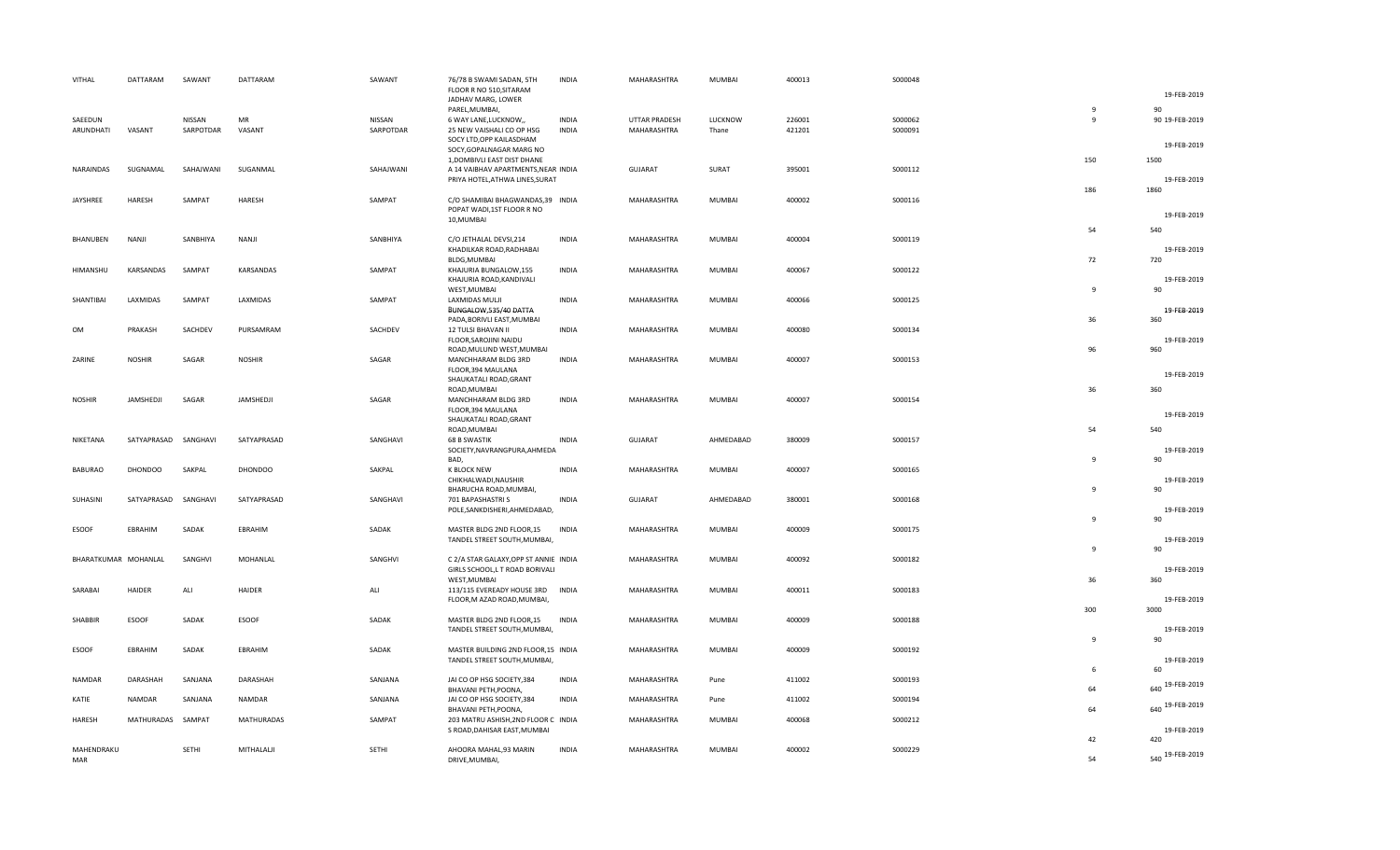|           | VITHAL               | DATTARAM             | SAWANT    | DATTARAM       | SAWANT    | 76/78 B SWAMI SADAN, 5TH<br>FLOOR R NO 510, SITARAM                | <b>INDIA</b> | MAHARASHTRA    | MUMBAI        | 400013 | S000048 |                | 19-FEB-2019                 |
|-----------|----------------------|----------------------|-----------|----------------|-----------|--------------------------------------------------------------------|--------------|----------------|---------------|--------|---------|----------------|-----------------------------|
|           |                      |                      |           |                |           | JADHAV MARG, LOWER                                                 |              |                |               |        |         |                |                             |
|           | SAEEDUN              |                      | NISSAN    | MR             | NISSAN    | PAREL, MUMBAI                                                      | <b>INDIA</b> | UTTAR PRADESH  | LUCKNOW       | 226001 | S000062 | 9<br>9         | <b>QO</b><br>90 19-FEB-2019 |
|           | ARUNDHATI            | VASANT               | SARPOTDAR | VASANT         | SARPOTDAR | 6 WAY LANE, LUCKNOW,,<br>25 NEW VAISHALI CO OP HSG                 | <b>INDIA</b> | MAHARASHTRA    | Thane         | 421201 | S000091 |                |                             |
|           |                      |                      |           |                |           | SOCY LTD, OPP KAILASDHAM                                           |              |                |               |        |         |                |                             |
|           |                      |                      |           |                |           | SOCY, GOPALNAGAR MARG NO                                           |              |                |               |        |         |                | 19-FEB-2019                 |
|           |                      |                      |           |                |           | 1, DOMBIVLI EAST DIST DHANE                                        |              |                |               |        |         | 150            | 1500                        |
|           | NARAINDAS            | SUGNAMAL             | SAHAJWANI | SUGANMAL       | SAHAJWANI | A 14 VAIBHAV APARTMENTS, NEAR INDIA                                |              | <b>GUJARAT</b> | SURAT         | 395001 | S000112 |                |                             |
|           |                      |                      |           |                |           | PRIYA HOTEL, ATHWA LINES, SURAT                                    |              |                |               |        |         |                | 19-FEB-2019                 |
|           |                      |                      |           |                |           |                                                                    |              |                |               |        |         | 186            | 1860                        |
|           | JAYSHREE             | HARESH               | SAMPAT    | HARESH         | SAMPAT    | C/O SHAMIBAI BHAGWANDAS,39 INDIA                                   |              | MAHARASHTRA    | MUMBAI        | 400002 | S000116 |                |                             |
|           |                      |                      |           |                |           | POPAT WADI,1ST FLOOR R NO                                          |              |                |               |        |         |                | 19-FEB-2019                 |
|           |                      |                      |           |                |           | 10, MUMBAI                                                         |              |                |               |        |         |                |                             |
|           |                      |                      |           |                |           |                                                                    |              |                |               |        |         | 54             | 540                         |
|           | BHANUBEN             | NANJI                | SANBHIYA  | NANJI          | SANBHIYA  | C/O JETHALAL DEVSI, 214                                            | <b>INDIA</b> | MAHARASHTRA    | MUMBAI        | 400004 | S000119 |                |                             |
|           |                      |                      |           |                |           | KHADILKAR ROAD, RADHABAI<br>BLDG, MUMBAI                           |              |                |               |        |         | 72             | 19-FEB-2019<br>720          |
|           | <b>HIMANSHU</b>      | KARSANDAS            | SAMPAT    | KARSANDAS      | SAMPAT    | KHAJURIA BUNGALOW,155                                              | <b>INDIA</b> | MAHARASHTRA    | <b>MUMBAI</b> | 400067 | S000122 |                |                             |
|           |                      |                      |           |                |           | KHAJURIA ROAD, KANDIVALI                                           |              |                |               |        |         |                | 19-FEB-2019                 |
|           |                      |                      |           |                |           | WEST, MUMBAI                                                       |              |                |               |        |         | 9              | 90                          |
|           | SHANTIBAI            | LAXMIDAS             | SAMPAT    | LAXMIDAS       | SAMPAT    | LAXMIDAS MULJI                                                     | <b>INDIA</b> | MAHARASHTRA    | MUMBAI        | 400066 | S000125 |                |                             |
|           |                      |                      |           |                |           | BUNGALOW,535/40 DATTA                                              |              |                |               |        |         |                | 19-FEB-2019                 |
|           |                      |                      |           |                |           | PADA, BORIVLI EAST, MUMBAI                                         |              |                |               |        |         | 36             | 360                         |
| <b>OM</b> |                      | PRAKASH              | SACHDEV   | PURSAMRAM      | SACHDEV   | 12 TULSI BHAVAN II                                                 | <b>INDIA</b> | MAHARASHTRA    | <b>MUMBAI</b> | 400080 | S000134 |                |                             |
|           |                      |                      |           |                |           | FLOOR, SAROJINI NAIDU                                              |              |                |               |        |         |                | 19-FEB-2019                 |
|           |                      |                      |           |                |           | ROAD, MULUND WEST, MUMBAI                                          |              |                |               |        |         | 96             | 960                         |
|           | ZARINE               | <b>NOSHIR</b>        | SAGAR     | <b>NOSHIR</b>  | SAGAR     | MANCHHARAM BLDG 3RD                                                | <b>INDIA</b> | MAHARASHTRA    | MUMBAI        | 400007 | S000153 |                |                             |
|           |                      |                      |           |                |           | FLOOR, 394 MAULANA                                                 |              |                |               |        |         |                | 19-FEB-2019                 |
|           |                      |                      |           |                |           | SHAUKATALI ROAD, GRANT                                             |              |                |               |        |         |                |                             |
|           | <b>NOSHIR</b>        | JAMSHEDJI            | SAGAR     | JAMSHEDJI      | SAGAR     | ROAD, MUMBAI<br>MANCHHARAM BLDG 3RD                                | <b>INDIA</b> | MAHARASHTRA    | MUMBAI        | 400007 | S000154 | 36             | 360                         |
|           |                      |                      |           |                |           | FLOOR, 394 MAULANA                                                 |              |                |               |        |         |                |                             |
|           |                      |                      |           |                |           | SHAUKATALI ROAD, GRANT                                             |              |                |               |        |         |                | 19-FEB-2019                 |
|           |                      |                      |           |                |           | ROAD, MUMBAI                                                       |              |                |               |        |         | 54             | 540                         |
|           | NIKETANA             | SATYAPRASAD SANGHAVI |           | SATYAPRASAD    | SANGHAVI  | <b>68 B SWASTIK</b>                                                | <b>INDIA</b> | <b>GUJARAT</b> | AHMEDABAD     | 380009 | S000157 |                |                             |
|           |                      |                      |           |                |           | SOCIETY, NAVRANGPURA, AHMEDA                                       |              |                |               |        |         |                | 19-FEB-2019                 |
|           |                      |                      |           |                |           | BAD,                                                               |              |                |               |        |         | $\overline{9}$ | 90                          |
|           | <b>BABURAO</b>       | <b>DHONDOO</b>       | SAKPAL    | <b>DHONDOO</b> | SAKPAL    | K BLOCK NEW                                                        | <b>INDIA</b> | MAHARASHTRA    | MUMBAI        | 400007 | S000165 |                |                             |
|           |                      |                      |           |                |           | CHIKHALWADI, NAUSHIR                                               |              |                |               |        |         |                | 19-FEB-2019                 |
|           |                      |                      |           |                |           | BHARUCHA ROAD, MUMBAI,                                             |              |                |               |        |         | $\mathbf{q}$   | 90                          |
|           | SUHASINI             | SATYAPRASAD SANGHAVI |           | SATYAPRASAD    | SANGHAVI  | 701 BAPASHASTRI S                                                  | <b>INDIA</b> | <b>GUJARAT</b> | AHMEDABAD     | 380001 | S000168 |                |                             |
|           |                      |                      |           |                |           | POLE, SANKDISHERI, AHMEDABAD,                                      |              |                |               |        |         | $\mathbf{q}$   | 19-FEB-2019                 |
|           |                      | EBRAHIM              | SADAK     | EBRAHIM        | SADAK     | MASTER BLDG 2ND FLOOR,15                                           | <b>INDIA</b> | MAHARASHTRA    | MUMBAI        | 400009 | S000175 |                | 90                          |
|           | <b>ESOOF</b>         |                      |           |                |           | TANDEL STREET SOUTH, MUMBAI,                                       |              |                |               |        |         |                | 19-FEB-2019                 |
|           |                      |                      |           |                |           |                                                                    |              |                |               |        |         | $\mathbf{q}$   | 90                          |
|           | BHARATKUMAR MOHANLAL |                      | SANGHVI   | MOHANLAL       | SANGHVI   | C 2/A STAR GALAXY, OPP ST ANNIE INDIA                              |              | MAHARASHTRA    | MUMBAI        | 400092 | S000182 |                |                             |
|           |                      |                      |           |                |           | GIRLS SCHOOL, L T ROAD BORIVALI                                    |              |                |               |        |         |                | 19-FEB-2019                 |
|           |                      |                      |           |                |           | WEST, MUMBAI                                                       |              |                |               |        |         | 36             | 360                         |
|           | SARABAI              | HAIDER               | ALI       | HAIDER         | ALI       | 113/115 EVEREADY HOUSE 3RD                                         | <b>INDIA</b> | MAHARASHTRA    | MUMBAI        | 400011 | S000183 |                |                             |
|           |                      |                      |           |                |           | FLOOR, M AZAD ROAD, MUMBAI,                                        |              |                |               |        |         |                | 19-FEB-2019                 |
|           |                      |                      |           |                |           |                                                                    |              |                |               |        |         | 300            | 3000                        |
|           | <b>SHABBIR</b>       | <b>ESOOF</b>         | SADAK     | ESOOF          | SADAK     | MASTER BLDG 2ND FLOOR,15                                           | <b>INDIA</b> | MAHARASHTRA    | <b>MUMBAI</b> | 400009 | S000188 |                |                             |
|           |                      |                      |           |                |           | TANDEL STREET SOUTH, MUMBAI,                                       |              |                |               |        |         |                | 19-FEB-2019                 |
|           |                      |                      |           |                |           |                                                                    |              |                |               |        |         | 9              | 90                          |
|           | <b>ESOOF</b>         | EBRAHIM              | SADAK     | EBRAHIM        | SADAK     | MASTER BUILDING 2ND FLOOR,15 INDIA<br>TANDEL STREET SOUTH, MUMBAI, |              | MAHARASHTRA    | MUMBAI        | 400009 | S000192 |                | 19-FEB-2019                 |
|           |                      |                      |           |                |           |                                                                    |              |                |               |        |         | 6              | 60                          |
|           | <b>NAMDAR</b>        | <b>DARASHAH</b>      | SANJANA   | DARASHAH       | SANJANA   | JAI CO OP HSG SOCIETY.384                                          | <b>INDIA</b> | MAHARASHTRA    | Pune          | 411002 | S000193 |                |                             |
|           |                      |                      |           |                |           | BHAVANI PETH, POONA,                                               |              |                |               |        |         | 64             | 19-FEB-2019<br>640          |
|           | KATIE                | <b>NAMDAR</b>        | SANJANA   | <b>NAMDAR</b>  | SANJANA   | JAI CO OP HSG SOCIETY, 384                                         | <b>INDIA</b> | MAHARASHTRA    | Pune          | 411002 | S000194 |                |                             |
|           |                      |                      |           |                |           | BHAVANI PETH, POONA,                                               |              |                |               |        |         | 64             | 640 19-FEB-2019             |
|           | HARESH               | MATHURADAS SAMPAT    |           | MATHURADAS     | SAMPAT    | 203 MATRU ASHISH, 2ND FLOOR C INDIA                                |              | MAHARASHTRA    | MUMBAI        | 400068 | S000212 |                |                             |
|           |                      |                      |           |                |           | S ROAD, DAHISAR EAST, MUMBAI                                       |              |                |               |        |         |                | 19-FEB-2019                 |
|           |                      |                      |           |                |           |                                                                    |              |                |               |        |         | 42             | 420                         |
|           | MAHENDRAKU           |                      | SETHI     | MITHALALJI     | SETHI     | AHOORA MAHAL,93 MARIN                                              | <b>INDIA</b> | MAHARASHTRA    | <b>MUMBAI</b> | 400002 | S000229 |                | 540 19-FEB-2019             |
|           | MAR                  |                      |           |                |           | DRIVE, MUMBAI,                                                     |              |                |               |        |         | 54             |                             |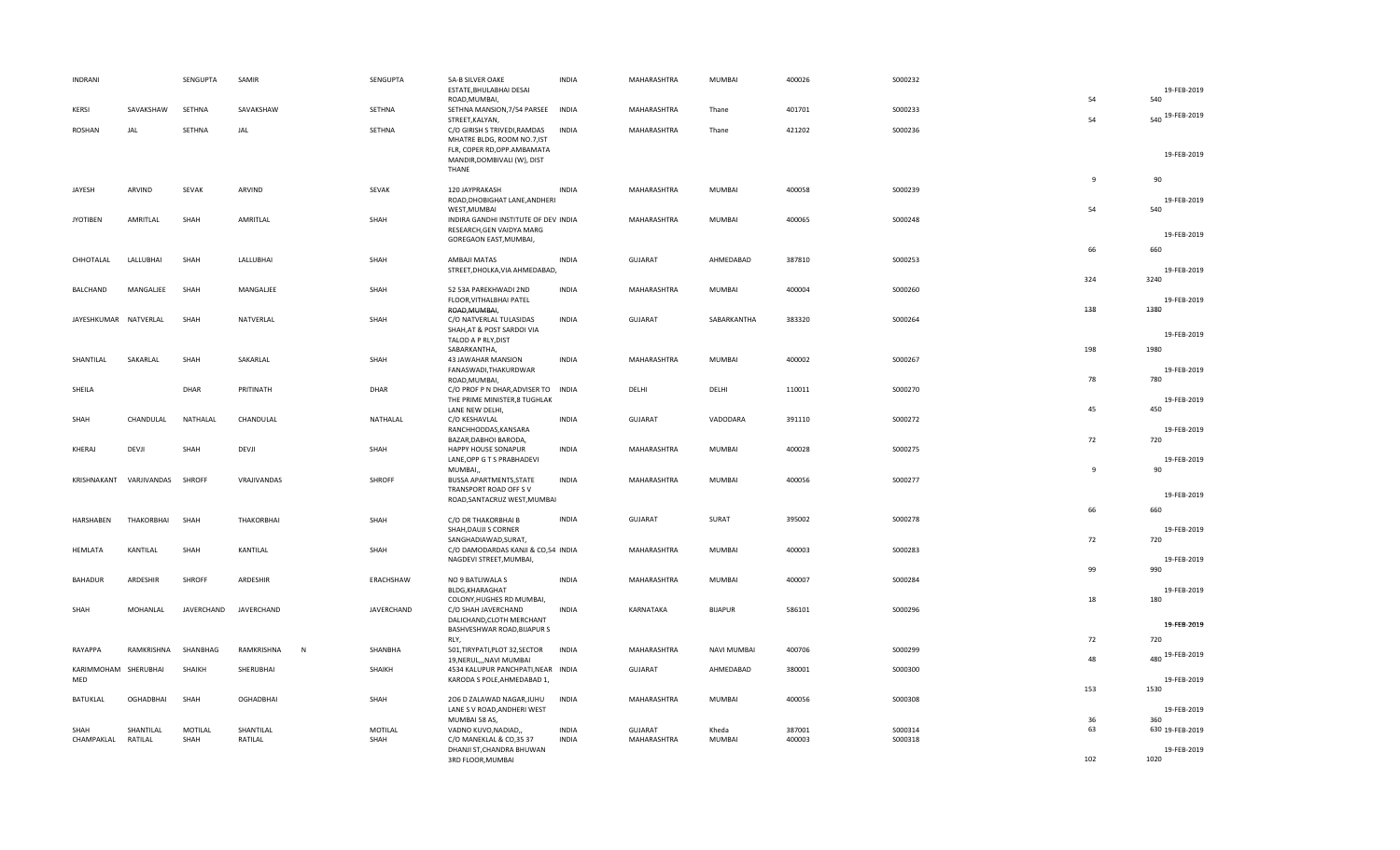| <b>INDRANI</b>        |                      | SENGUPTA        | SAMIR                      | SENGUPTA               | <b>5A-B SILVER OAKE</b><br>ESTATE, BHULABHAI DESAI            | <b>INDIA</b>                 | MAHARASHTRA                   | MUMBAI             | 400026           | S000232            |                | 19-FEB-2019         |
|-----------------------|----------------------|-----------------|----------------------------|------------------------|---------------------------------------------------------------|------------------------------|-------------------------------|--------------------|------------------|--------------------|----------------|---------------------|
|                       |                      |                 |                            |                        | ROAD, MUMBAI,                                                 |                              |                               |                    |                  |                    | 54             | 540                 |
| KERSI                 | SAVAKSHAW            | SETHNA          | SAVAKSHAW                  | SETHNA                 | SETHNA MANSION, 7/54 PARSEE<br>STREET, KALYAN,                | <b>INDIA</b>                 | MAHARASHTRA                   | Thane              | 401701           | S000233            | 54             | 540 19-FEB-2019     |
| <b>ROSHAN</b>         | JAL                  | SETHNA          | JAL                        | SETHNA                 | C/O GIRISH S TRIVEDI, RAMDAS<br>MHATRE BLDG, ROOM NO.7,IST    | <b>INDIA</b>                 | MAHARASHTRA                   | Thane              | 421202           | S000236            |                |                     |
|                       |                      |                 |                            |                        | FLR, COPER RD, OPP. AMBAMATA                                  |                              |                               |                    |                  |                    |                | 19-FEB-2019         |
|                       |                      |                 |                            |                        | MANDIR, DOMBIVALI (W), DIST<br>THANE                          |                              |                               |                    |                  |                    |                |                     |
| JAYESH                | ARVIND               | SEVAK           | ARVIND                     | SEVAK                  | 120 JAYPRAKASH                                                | <b>INDIA</b>                 | MAHARASHTRA                   | MUMBAI             | 400058           | S000239            | $\overline{9}$ | 90                  |
|                       |                      |                 |                            |                        | ROAD, DHOBIGHAT LANE, ANDHERI                                 |                              |                               |                    |                  |                    |                | 19-FEB-2019         |
| <b>JYOTIBEN</b>       | AMRITLAL             | SHAH            | AMRITLAL                   | SHAH                   | WEST, MUMBAI<br>INDIRA GANDHI INSTITUTE OF DEV INDIA          |                              | MAHARASHTRA                   | MUMBAI             | 400065           | S000248            | 54             | 540                 |
|                       |                      |                 |                            |                        | RESEARCH, GEN VAIDYA MARG<br>GOREGAON EAST, MUMBAI,           |                              |                               |                    |                  |                    |                | 19-FEB-2019         |
| CHHOTALAL             | LALLUBHAI            | SHAH            | LALLUBHAI                  | SHAH                   | AMBAJI MATAS                                                  | <b>INDIA</b>                 | <b>GUJARAT</b>                | AHMEDABAD          | 387810           | S000253            | 66             | 660                 |
|                       |                      |                 |                            |                        | STREET, DHOLKA, VIA AHMEDABAD,                                |                              |                               |                    |                  |                    |                | 19-FEB-2019         |
| <b>BALCHAND</b>       | MANGALIEE            | SHAH            | MANGALIEE                  | SHAH                   | 52 53A PAREKHWADI 2ND                                         | <b>INDIA</b>                 | MAHARASHTRA                   | MUMBAI             | 400004           | S000260            | 324            | 3240                |
|                       |                      |                 |                            |                        | FLOOR, VITHALBHAI PATEL                                       |                              |                               |                    |                  |                    |                | 19-FEB-2019         |
| JAYESHKUMAR NATVERLAL |                      | SHAH            | NATVERLAL                  | SHAH                   | ROAD, MUMBAI,<br>C/O NATVERLAL TULASIDAS                      | <b>INDIA</b>                 | <b>GUJARAT</b>                | SABARKANTHA        | 383320           | S000264            | 138            | 1380                |
|                       |                      |                 |                            |                        | SHAH, AT & POST SARDOI VIA<br>TALOD A P RLY, DIST             |                              |                               |                    |                  |                    |                | 19-FEB-2019         |
| SHANTILAL             |                      | SHAH            | SAKARLAL                   | SHAH                   | SABARKANTHA,                                                  |                              | MAHARASHTRA                   | MUMBAI             | 400002           |                    | 198            | 1980                |
|                       | SAKARLAL             |                 |                            |                        | 43 JAWAHAR MANSION<br>FANASWADI, THAKURDWAR                   | <b>INDIA</b>                 |                               |                    |                  | S000267            |                | 19-FEB-2019         |
| SHEILA                |                      | DHAR            | PRITINATH                  | DHAR                   | ROAD, MUMBAI,<br>C/O PROF P N DHAR, ADVISER TO                | INDIA                        | DELHI                         | DELHI              | 110011           | S000270            | 78             | 780                 |
|                       |                      |                 |                            |                        | THE PRIME MINISTER, 8 TUGHLAK<br>LANE NEW DELHI,              |                              |                               |                    |                  |                    | 45             | 19-FEB-2019<br>450  |
| SHAH                  | CHANDULAL            | NATHALAL        | CHANDULAL                  | NATHALAL               | C/O KESHAVLAL                                                 | <b>INDIA</b>                 | <b>GUJARAT</b>                | VADODARA           | 391110           | S000272            |                |                     |
|                       |                      |                 |                            |                        | RANCHHODDAS, KANSARA<br>BAZAR, DABHOI BARODA,                 |                              |                               |                    |                  |                    | 72             | 19-FEB-2019<br>720  |
| KHERAJ                | DEVJI                | SHAH            | DEVJI                      | SHAH                   | HAPPY HOUSE SONAPUR<br>LANE, OPP G T S PRABHADEVI             | <b>INDIA</b>                 | MAHARASHTRA                   | MUMBAI             | 400028           | S000275            |                | 19-FEB-2019         |
|                       |                      |                 |                            |                        | MUMBAI,                                                       |                              |                               |                    |                  |                    | $\mathbf{q}$   | 90                  |
| KRISHNAKANT           | VARJIVANDAS          | <b>SHROFF</b>   | VRAJIVANDAS                | <b>SHROFF</b>          | BUSSA APARTMENTS, STATE<br>TRANSPORT ROAD OFF SV              | <b>INDIA</b>                 | MAHARASHTRA                   | MUMBAI             | 400056           | S000277            |                |                     |
|                       |                      |                 |                            |                        | ROAD, SANTACRUZ WEST, MUMBAI                                  |                              |                               |                    |                  |                    | 66             | 19-FEB-2019<br>660  |
| HARSHABEN             | THAKORBHAI           | SHAH            | THAKORBHAI                 | SHAH                   | C/O DR THAKORBHAI B                                           | <b>INDIA</b>                 | GUJARAT                       | SURAT              | 395002           | S000278            |                |                     |
|                       |                      |                 |                            |                        | SHAH, DAUJI S CORNER<br>SANGHADIAWAD, SURAT,                  |                              |                               |                    |                  |                    | 72             | 19-FEB-2019<br>720  |
| <b>HEMLATA</b>        | KANTILAL             | SHAH            | KANTILAL                   | SHAH                   | C/O DAMODARDAS KANJI & CO,54 INDIA<br>NAGDEVI STREET, MUMBAI, |                              | MAHARASHTRA                   | MUMBAI             | 400003           | S000283            |                | 19-FEB-2019         |
|                       |                      |                 |                            |                        |                                                               |                              |                               |                    |                  |                    | 99             | 990                 |
| <b>BAHADUR</b>        | ARDESHIR             | SHROFF          | ARDESHIR                   | ERACHSHAW              | NO 9 BATLIWALA S<br>BLDG, KHARAGHAT                           | <b>INDIA</b>                 | MAHARASHTRA                   | MUMBAI             | 400007           | S000284            |                | 19-FEB-2019         |
| SHAH                  | MOHANLAL             | JAVERCHAND      | JAVERCHAND                 | JAVERCHAND             | COLONY, HUGHES RD MUMBAI,<br>C/O SHAH JAVERCHAND              | <b>INDIA</b>                 | KARNATAKA                     | <b>BIJAPUR</b>     | 586101           | S000296            | 18             | 180                 |
|                       |                      |                 |                            |                        | DALICHAND, CLOTH MERCHANT                                     |                              |                               |                    |                  |                    |                | 19-FEB-2019         |
|                       |                      |                 |                            |                        | BASHVESHWAR ROAD, BIJAPUR S<br>RLY.                           |                              |                               |                    |                  |                    | 72             | 720                 |
| RAYAPPA               | RAMKRISHNA           | SHANBHAG        | RAMKRISHNA<br>$\mathsf{N}$ | SHANBHA                | 501, TIRYPATI, PLOT 32, SECTOR<br>19, NERUL,,, NAVI MUMBAI    | <b>INDIA</b>                 | MAHARASHTRA                   | <b>NAVI MUMBAI</b> | 400706           | S000299            | 48             | 480 19-FEB-2019     |
| KARIMMOHAM SHERUBHAI  |                      | SHAIKH          | SHERUBHAI                  | SHAIKH                 | 4534 KALUPUR PANCHPATI, NEAR INDIA                            |                              | <b>GUJARAT</b>                | AHMEDABAD          | 380001           | \$000300           |                |                     |
| MED                   |                      |                 |                            |                        | KARODA S POLE, AHMEDABAD 1,                                   |                              |                               |                    |                  |                    | 153            | 19-FEB-2019<br>1530 |
| BATUKLAL              | <b>OGHADBHAI</b>     | SHAH            | <b>OGHADBHAI</b>           | SHAH                   | 206 D ZALAWAD NAGAR, JUHU<br>LANE S V ROAD, ANDHERI WEST      | <b>INDIA</b>                 | MAHARASHTRA                   | <b>MUMBAI</b>      | 400056           | \$000308           |                | 19-FEB-2019         |
| SHAH                  |                      |                 |                            |                        | MUMBAI 58 AS,                                                 |                              |                               |                    |                  |                    | 36<br>63       | 360                 |
| CHAMPAKLAL            | SHANTILAL<br>RATILAL | MOTILAL<br>SHAH | SHANTILAL<br>RATILAL       | <b>MOTILAL</b><br>SHAH | VADNO KUVO, NADIAD,<br>C/O MANEKLAL & CO,35 37                | <b>INDIA</b><br><b>INDIA</b> | <b>GUJARAT</b><br>MAHARASHTRA | Kheda<br>MUMBAI    | 387001<br>400003 | S000314<br>S000318 |                | 630 19-FEB-2019     |
|                       |                      |                 |                            |                        | DHANJI ST, CHANDRA BHUWAN<br>3RD FLOOR, MUMBAI                |                              |                               |                    |                  |                    | 102            | 19-FEB-2019<br>1020 |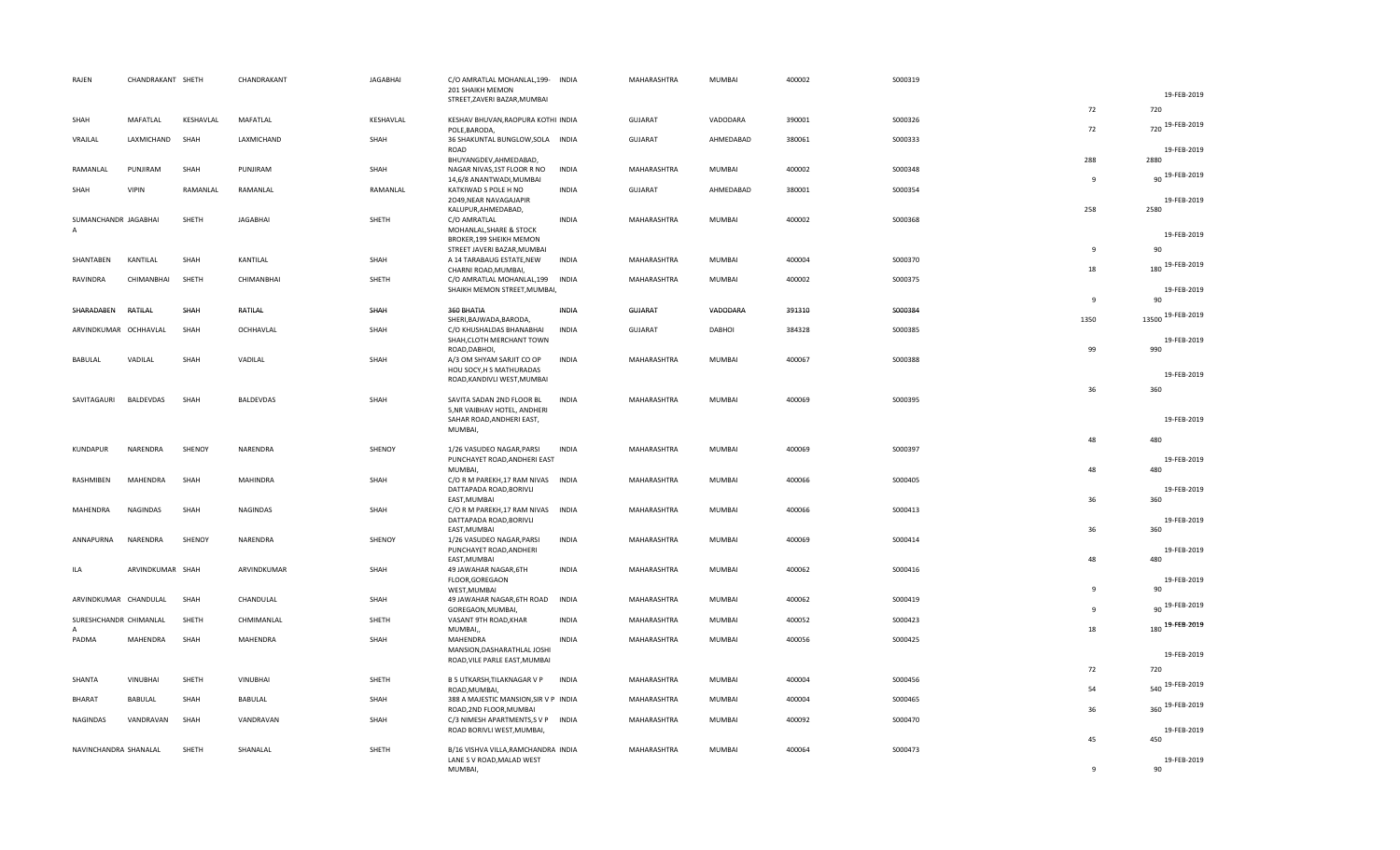| RAJEN                                  | CHANDRAKANT SHETH |           | CHANDRAKANT      | <b>JAGABHAI</b> | C/O AMRATLAL MOHANLAL, 199- INDIA<br>201 SHAIKH MEMON                  |              | MAHARASHTRA    | MUMBAI        | 400002 | S000319 |                |                     |
|----------------------------------------|-------------------|-----------|------------------|-----------------|------------------------------------------------------------------------|--------------|----------------|---------------|--------|---------|----------------|---------------------|
|                                        |                   |           |                  |                 | STREET, ZAVERI BAZAR, MUMBAI                                           |              |                |               |        |         |                | 19-FEB-2019         |
| SHAH                                   | MAFATLAL          | KESHAVLAL | MAFATLAL         | KESHAVLAL       | KESHAV BHUVAN, RAOPURA KOTHI INDIA                                     |              | <b>GUJARAT</b> | VADODARA      | 390001 | S000326 | 72             | 720                 |
| VRAJLAL                                | LAXMICHAND        | SHAH      | LAXMICHAND       | SHAH            | POLE, BARODA,<br>36 SHAKUNTAL BUNGLOW, SOLA INDIA                      |              | <b>GUJARAT</b> | AHMEDABAD     | 380061 | S000333 | 72             | 720 19-FEB-2019     |
|                                        |                   |           |                  |                 | ROAD<br>BHUYANGDEV, AHMEDABAD,                                         |              |                |               |        |         | 288            | 19-FEB-2019<br>2880 |
| RAMANLAL                               | PUNJIRAM          | SHAH      | PUNJIRAM         | SHAH            | NAGAR NIVAS, 1ST FLOOR R NO<br>14,6/8 ANANTWADI, MUMBAI                | INDIA        | MAHARASHTRA    | MUMBAI        | 400002 | S000348 | 9              | 90 19-FEB-2019      |
| SHAH                                   | <b>VIPIN</b>      | RAMANLAL  | RAMANLAL         | RAMANLAL        | KATKIWAD S POLE H NO<br>2049, NEAR NAVAGAJAPIR                         | <b>INDIA</b> | <b>GUJARAT</b> | AHMEDABAD     | 380001 | S000354 |                | 19-FEB-2019         |
| SUMANCHANDR JAGABHAI<br>$\overline{A}$ |                   | SHETH     | JAGABHAI         | SHETH           | KALUPUR, AHMEDABAD,<br>C/O AMRATLAL<br>MOHANLAL, SHARE & STOCK         | <b>INDIA</b> | MAHARASHTRA    | MUMBAI        | 400002 | S000368 | 258            | 2580<br>19-FEB-2019 |
|                                        |                   |           |                  |                 | BROKER, 199 SHEIKH MEMON<br>STREET JAVERI BAZAR, MUMBAI                |              |                |               |        |         | 9              | 90                  |
| SHANTABEN                              | KANTILAL          | SHAH      | KANTILAL         | SHAH            | A 14 TARABAUG ESTATE, NEW<br>CHARNI ROAD, MUMBAI,                      | <b>INDIA</b> | MAHARASHTRA    | MUMBAI        | 400004 | S000370 | 18             | 180 19-FEB-2019     |
| RAVINDRA                               | CHIMANBHAI        | SHETH     | CHIMANBHAI       | SHETH           | C/O AMRATLAL MOHANLAL, 199                                             | <b>INDIA</b> | MAHARASHTRA    | MUMBAI        | 400002 | S000375 |                | 19-FEB-2019         |
|                                        |                   |           |                  |                 | SHAIKH MEMON STREET, MUMBAI,                                           |              |                |               |        |         | $\overline{9}$ | 90                  |
| SHARADABEN                             | RATILAL           | SHAH      | RATILAL          | SHAH            | 360 BHATIA<br>SHERI, BAJWADA, BARODA,                                  | <b>INDIA</b> | GUJARAT        | VADODARA      | 391310 | S000384 | 1350           | 13500 19-FEB-2019   |
| ARVINDKUMAR OCHHAVLAL                  |                   | SHAH      | OCHHAVLAL        | SHAH            | C/O KHUSHALDAS BHANABHAI<br>SHAH, CLOTH MERCHANT TOWN<br>ROAD, DABHOI, | <b>INDIA</b> | <b>GUJARAT</b> | <b>DABHOI</b> | 384328 | S000385 | 99             | 19-FEB-2019<br>990  |
| BABULAL                                | VADILAL           | SHAH      | VADILAL          | SHAH            | A/3 OM SHYAM SARJIT CO OP                                              | <b>INDIA</b> | MAHARASHTRA    | MUMBAI        | 400067 | S000388 |                |                     |
|                                        |                   |           |                  |                 | HOU SOCY, H S MATHURADAS<br>ROAD, KANDIVLI WEST, MUMBAI                |              |                |               |        |         | 36             | 19-FEB-2019<br>360  |
| SAVITAGAURI                            | BALDEVDAS         | SHAH      | <b>BALDEVDAS</b> | SHAH            | SAVITA SADAN 2ND FLOOR BL<br>5, NR VAIBHAV HOTEL, ANDHERI              | <b>INDIA</b> | MAHARASHTRA    | MUMBAI        | 400069 | S000395 |                |                     |
|                                        |                   |           |                  |                 | SAHAR ROAD, ANDHERI EAST,<br>MUMBAI,                                   |              |                |               |        |         |                | 19-FEB-2019         |
|                                        |                   |           |                  |                 |                                                                        |              |                |               |        |         | 48             | 480                 |
| KUNDAPUR                               | NARENDRA          | SHENOY    | NARENDRA         | SHENOY          | 1/26 VASUDEO NAGAR, PARSI<br>PUNCHAYET ROAD, ANDHERI EAST<br>MUMBAI,   | <b>INDIA</b> | MAHARASHTRA    | MUMBAI        | 400069 | S000397 | 48             | 19-FEB-2019<br>480  |
| RASHMIBEN                              | MAHENDRA          | SHAH      | MAHINDRA         | SHAH            | C/O R M PAREKH, 17 RAM NIVAS INDIA<br>DATTAPADA ROAD, BORIVLI          |              | MAHARASHTRA    | MUMBAI        | 400066 | S000405 |                | 19-FEB-2019         |
| MAHENDRA                               | NAGINDAS          | SHAH      | NAGINDAS         | SHAH            | EAST, MUMBAI<br>C/O R M PAREKH, 17 RAM NIVAS INDIA                     |              | MAHARASHTRA    | MUMBAI        | 400066 | S000413 | 36             | 360                 |
|                                        |                   |           |                  |                 | DATTAPADA ROAD, BORIVLI<br>EAST, MUMBAI                                |              |                |               |        |         | 36             | 19-FEB-2019<br>360  |
| ANNAPURNA                              | NARENDRA          | SHENOY    | NARENDRA         | SHENOY          | 1/26 VASUDEO NAGAR, PARSI<br>PUNCHAYET ROAD, ANDHERI                   | <b>INDIA</b> | MAHARASHTRA    | MUMBAI        | 400069 | S000414 |                | 19-FEB-2019         |
| ILA                                    | ARVINDKUMAR SHAH  |           | ARVINDKUMAR      | SHAH            | EAST, MUMBAI<br>49 JAWAHAR NAGAR, 6TH                                  | <b>INDIA</b> | MAHARASHTRA    | <b>MUMBAI</b> | 400062 | S000416 | 48             | 480                 |
|                                        |                   |           |                  |                 | FLOOR, GOREGAON<br>WEST, MUMBAI                                        |              |                |               |        |         | 9              | 19-FEB-2019<br>90   |
| ARVINDKUMAR CHANDULAL                  |                   | SHAH      | CHANDULAL        | SHAH            | 49 JAWAHAR NAGAR, 6TH ROAD                                             | <b>INDIA</b> | MAHARASHTRA    | MUMBAI        | 400062 | S000419 |                | 90 19-FEB-2019      |
| SURESHCHANDR CHIMANLAL<br>A            |                   | SHETH     | CHMIMANLAL       | SHETH           | GOREGAON, MUMBAI,<br>VASANT 9TH ROAD, KHAR<br>MUMBAI,                  | <b>INDIA</b> | MAHARASHTRA    | MUMBAI        | 400052 | S000423 | 9<br>18        | 180 19-FEB-2019     |
| PADMA                                  | MAHENDRA          | SHAH      | MAHENDRA         | SHAH            | MAHENDRA                                                               | <b>INDIA</b> | MAHARASHTRA    | MUMBAI        | 400056 | S000425 |                |                     |
|                                        |                   |           |                  |                 | MANSION, DASHARATHLAL JOSHI<br>ROAD, VILE PARLE EAST, MUMBAI           |              |                |               |        |         |                | 19-FEB-2019         |
| SHANTA                                 | VINUBHAI          | SHETH     | VINUBHAI         | SHETH           | B 5 UTKARSH, TILAKNAGAR V P                                            | <b>INDIA</b> | MAHARASHTRA    | MUMBAI        | 400004 | S000456 | 72             | 720                 |
| BHARAT                                 | BABULAL           | SHAH      | BABULAL          | SHAH            | ROAD, MUMBAI,<br>388 A MAJESTIC MANSION, SIR V P INDIA                 |              | MAHARASHTRA    | MUMBAI        | 400004 | S000465 | 54             | 540 19-FEB-2019     |
| NAGINDAS                               | VANDRAVAN         | SHAH      | VANDRAVAN        | SHAH            | ROAD, 2ND FLOOR, MUMBAI                                                |              | MAHARASHTRA    | MUMBAI        | 400092 |         | 36             | 360 19-FEB-2019     |
|                                        |                   |           |                  |                 | C/3 NIMESH APARTMENTS, SVP INDIA<br>ROAD BORIVLI WEST, MUMBAI,         |              |                |               |        | S000470 |                | 19-FEB-2019         |
| NAVINCHANDRA SHANALAL                  |                   | SHETH     | SHANALAL         | SHETH           | B/16 VISHVA VILLA, RAMCHANDRA INDIA                                    |              | MAHARASHTRA    | <b>MUMBAI</b> | 400064 | S000473 | 45             | 450                 |
|                                        |                   |           |                  |                 | LANE S V ROAD, MALAD WEST<br>MUMBAI,                                   |              |                |               |        |         | $\mathbf{q}$   | 19-FEB-2019<br>90   |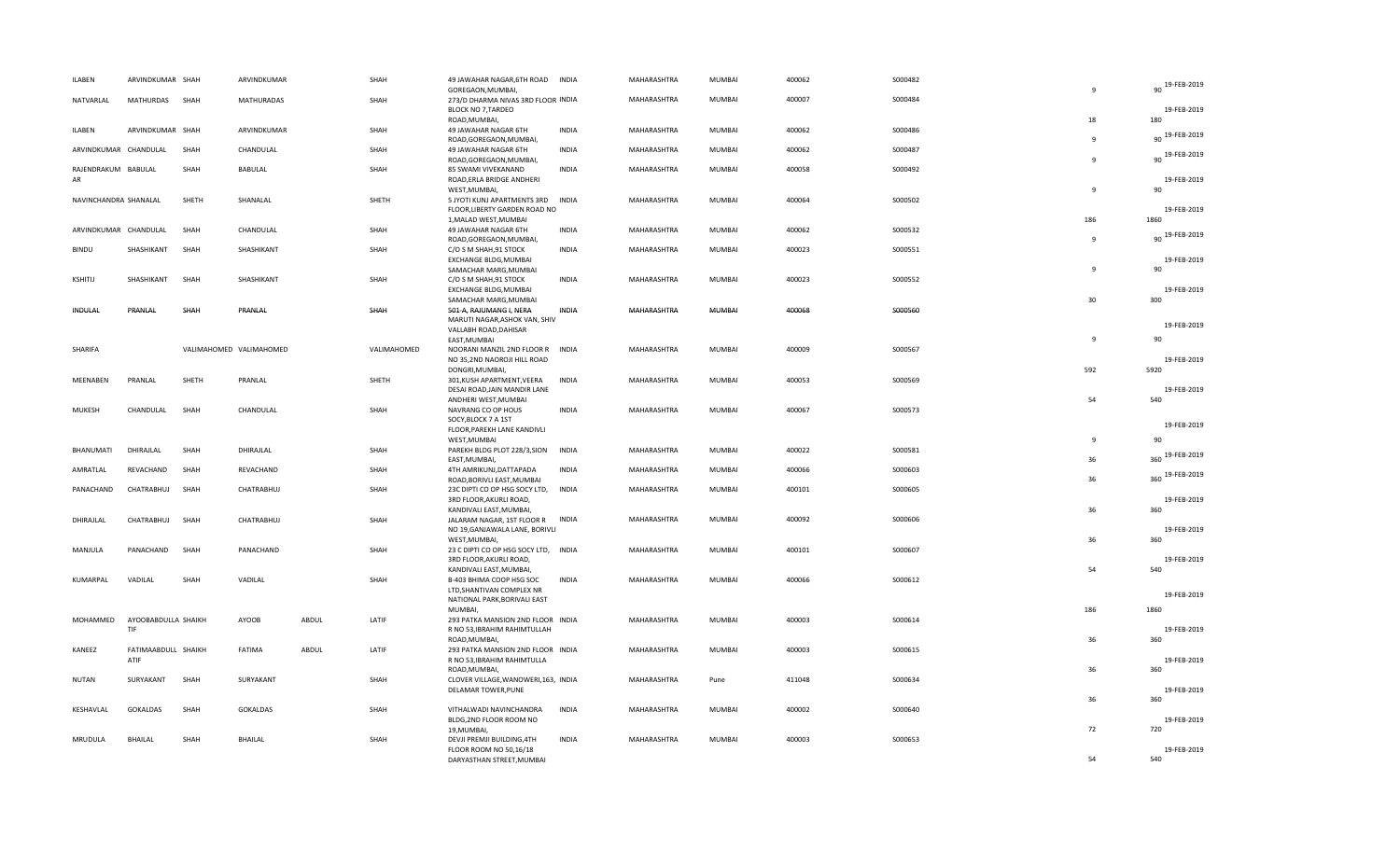| ILABEN                    | ARVINDKUMAR SHAH            |       | ARVINDKUMAR             |       | SHAH        | 49 JAWAHAR NAGAR, 6TH ROAD<br>GOREGAON, MUMBAI,                                    | <b>INDIA</b> | MAHARASHTRA | <b>MUMBAI</b> | 400062 | S000482  | $\mathbf{q}$        | 90 19-FEB-2019         |
|---------------------------|-----------------------------|-------|-------------------------|-------|-------------|------------------------------------------------------------------------------------|--------------|-------------|---------------|--------|----------|---------------------|------------------------|
| NATVARLAL                 | MATHURDAS                   | SHAH  | <b>MATHURADAS</b>       |       | SHAH        | 273/D DHARMA NIVAS 3RD FLOOR INDIA<br><b>BLOCK NO 7, TARDEO</b>                    |              | MAHARASHTRA | MUMBAI        | 400007 | S000484  | 18                  | 19-FEB-2019<br>180     |
| ILABEN                    | ARVINDKUMAR SHAH            |       | ARVINDKUMAR             |       | SHAH        | ROAD, MUMBAI,<br>49 JAWAHAR NAGAR 6TH                                              | <b>INDIA</b> | MAHARASHTRA | MUMBAI        | 400062 | S000486  | $\mathbf{q}$        | 19-FEB-2019<br>90      |
| ARVINDKUMAR CHANDULAL     |                             | SHAH  | CHANDULAL               |       | SHAH        | ROAD, GOREGAON, MUMBAI,<br>49 JAWAHAR NAGAR 6TH<br>ROAD, GOREGAON, MUMBAI,         | <b>INDIA</b> | MAHARASHTRA | MUMBAI        | 400062 | S000487  | $\mathbf{q}$        | 90 19-FEB-2019         |
| RAJENDRAKUM BABULAL<br>AR |                             | SHAH  | <b>BABULAL</b>          |       | SHAH        | 85 SWAMI VIVEKANAND<br>ROAD, ERLA BRIDGE ANDHERI                                   | <b>INDIA</b> | MAHARASHTRA | MUMBAI        | 400058 | S000492  | 9                   | 19-FEB-2019            |
| NAVINCHANDRA SHANALAL     |                             | SHETH | SHANALAL                |       | SHETH       | WEST, MUMBAI,<br>5 JYOTI KUNJ APARTMENTS 3RD<br>FLOOR, LIBERTY GARDEN ROAD NO      | <b>INDIA</b> | MAHARASHTRA | MUMBAI        | 400064 | S000502  |                     | 90<br>19-FEB-2019      |
| ARVINDKUMAR CHANDULAL     |                             | SHAH  | CHANDULAL               |       | SHAH        | 1, MALAD WEST, MUMBAI<br>49 JAWAHAR NAGAR 6TH<br>ROAD, GOREGAON, MUMBAI,           | <b>INDIA</b> | MAHARASHTRA | <b>MUMBAI</b> | 400062 | S000532  | 186<br>$\mathbf{q}$ | 1860<br>90 19-FEB-2019 |
| <b>BINDU</b>              | SHASHIKANT                  | SHAH  | SHASHIKANT              |       | SHAH        | C/O S M SHAH, 91 STOCK<br>EXCHANGE BLDG, MUMBAI                                    | <b>INDIA</b> | MAHARASHTRA | MUMBAI        | 400023 | S000551  |                     | 19-FEB-2019            |
| KSHITIJ                   | SHASHIKANT                  | SHAH  | SHASHIKANT              |       | SHAH        | SAMACHAR MARG, MUMBAI<br>C/O S M SHAH, 91 STOCK<br>EXCHANGE BLDG, MUMBAI           | <b>INDIA</b> | MAHARASHTRA | MUMBAI        | 400023 | S000552  | $\mathbf{q}$        | 90<br>19-FEB-2019      |
| <b>INDULAL</b>            | PRANLAL                     | SHAH  | PRANLAL                 |       | SHAH        | SAMACHAR MARG, MUMBAI<br>501-A, RAJUMANG I, NERA                                   | <b>INDIA</b> | MAHARASHTRA | MUMBAI        | 400068 | \$000560 | 30                  | 300                    |
|                           |                             |       |                         |       |             | MARUTI NAGAR, ASHOK VAN, SHIV<br>VALLABH ROAD, DAHISAR                             |              |             |               |        |          |                     | 19-FEB-2019            |
| SHARIFA                   |                             |       | VALIMAHOMED VALIMAHOMED |       | VALIMAHOMED | EAST, MUMBAI<br>NOORANI MANZIL 2ND FLOOR R INDIA<br>NO 35,2ND NAOROJI HILL ROAD    |              | MAHARASHTRA | <b>MUMBAI</b> | 400009 | S000567  | $\mathbf{q}$        | 90<br>19-FEB-2019      |
| MEENABEN                  | PRANLAL                     | SHETH | PRANLAL                 |       | SHETH       | DONGRI, MUMBAI,<br>301, KUSH APARTMENT, VEERA<br>DESAI ROAD, JAIN MANDIR LANE      | <b>INDIA</b> | MAHARASHTRA | MUMBAI        | 400053 | \$000569 | 592                 | 5920<br>19-FEB-2019    |
| <b>MUKESH</b>             | CHANDULAL                   | SHAH  | CHANDULAL               |       | SHAH        | ANDHERI WEST, MUMBAI<br>NAVRANG CO OP HOUS                                         | <b>INDIA</b> | MAHARASHTRA | <b>MUMBAI</b> | 400067 | S000573  | 54                  | 540                    |
|                           |                             |       |                         |       |             | SOCY, BLOCK 7 A 1ST<br>FLOOR, PAREKH LANE KANDIVLI                                 |              |             |               |        |          |                     | 19-FEB-2019            |
| BHANUMATI                 | DHIRAJLAL                   | SHAH  | DHIRAJLAL               |       | SHAH        | WEST, MUMBAI<br>PAREKH BLDG PLOT 228/3, SION                                       | INDIA        | MAHARASHTRA | MUMBAI        | 400022 | S000581  | $\mathbf{q}$        | 90                     |
| AMRATLAL                  | REVACHAND                   | SHAH  | REVACHAND               |       | SHAH        | EAST, MUMBAI,<br>4TH AMRIKUNJ, DATTAPADA                                           | <b>INDIA</b> | MAHARASHTRA | MUMBAI        | 400066 | S000603  | 36                  | 360 19-FEB-2019        |
| PANACHAND                 | CHATRABHUJ                  | SHAH  | CHATRABHUJ              |       | SHAH        | ROAD, BORIVLI EAST, MUMBAI<br>23C DIPTI CO OP HSG SOCY LTD, INDIA                  |              | MAHARASHTRA | MUMBAI        | 400101 | \$000605 | 36                  | 360 19-FEB-2019        |
|                           |                             |       |                         |       |             | 3RD FLOOR, AKURLI ROAD,<br>KANDIVALI EAST, MUMBAI,                                 |              |             |               |        |          | 36                  | 19-FEB-2019<br>360     |
| DHIRAJLAL                 | CHATRABHUJ                  | SHAH  | CHATRABHUJ              |       | SHAH        | JALARAM NAGAR, 1ST FLOOR R<br>NO 19, GANJAWALA LANE, BORIVLI<br>WEST, MUMBAI,      | INDIA        | MAHARASHTRA | MUMBAI        | 400092 | S000606  | 36                  | 19-FEB-2019<br>360     |
| MANJULA                   | PANACHAND                   | SHAH  | PANACHAND               |       | SHAH        | 23 C DIPTI CO OP HSG SOCY LTD, INDIA<br>3RD FLOOR, AKURLI ROAD,                    |              | MAHARASHTRA | MUMBAI        | 400101 | S000607  |                     | 19-FEB-2019            |
| KUMARPAL                  | VADILAL                     | SHAH  | VADILAL                 |       | SHAH        | KANDIVALI EAST, MUMBAI,<br>B-403 BHIMA COOP HSG SOC<br>LTD, SHANTIVAN COMPLEX NR   | <b>INDIA</b> | MAHARASHTRA | MUMBAI        | 400066 | S000612  | 54                  | 540<br>19-FEB-2019     |
| MOHAMMED                  |                             |       | AYOOB                   |       | LATIF       | NATIONAL PARK, BORIVALI EAST<br>MUMBAI,                                            |              |             | MUMBAI        | 400003 |          | 186                 | 1860                   |
|                           | AYOOBABDULLA SHAIKH<br>TIF  |       |                         | ABDUL |             | 293 PATKA MANSION 2ND FLOOR INDIA<br>R NO 53, IBRAHIM RAHIMTULLAH<br>ROAD, MUMBAI, |              | MAHARASHTRA |               |        | S000614  | 36                  | 19-FEB-2019<br>360     |
| KANEEZ                    | FATIMAABDULL SHAIKH<br>ATIF |       | FATIMA                  | ABDUL | LATIF       | 293 PATKA MANSION 2ND FLOOR INDIA<br>R NO 53, IBRAHIM RAHIMTULLA<br>ROAD, MUMBAI,  |              | MAHARASHTRA | MUMBAI        | 400003 | S000615  | 36                  | 19-FEB-2019<br>360     |
| <b>NUTAN</b>              | SURYAKANT                   | SHAH  | SURYAKANT               |       | SHAH        | CLOVER VILLAGE, WANOWERI, 163, INDIA<br>DELAMAR TOWER, PUNE                        |              | MAHARASHTRA | Pune          | 411048 | S000634  |                     | 19-FEB-2019            |
| KESHAVLAL                 | GOKALDAS                    | SHAH  | <b>GOKALDAS</b>         |       | SHAH        | VITHALWADI NAVINCHANDRA                                                            | <b>INDIA</b> | MAHARASHTRA | <b>MUMBAI</b> | 400002 | S000640  | 36                  | 360                    |
| MRUDULA                   | <b>BHAILAL</b>              | SHAH  | BHAILAL                 |       | SHAH        | BLDG, 2ND FLOOR ROOM NO<br>19, MUMBAI,<br>DEVJI PREMJI BUILDING, 4TH               | <b>INDIA</b> | MAHARASHTRA | MUMBAI        | 400003 | S000653  | 72                  | 19-FEB-2019<br>720     |
|                           |                             |       |                         |       |             | FLOOR ROOM NO 50,16/18<br>DARYASTHAN STREET, MUMBAI                                |              |             |               |        |          | 54                  | 19-FEB-2019<br>540     |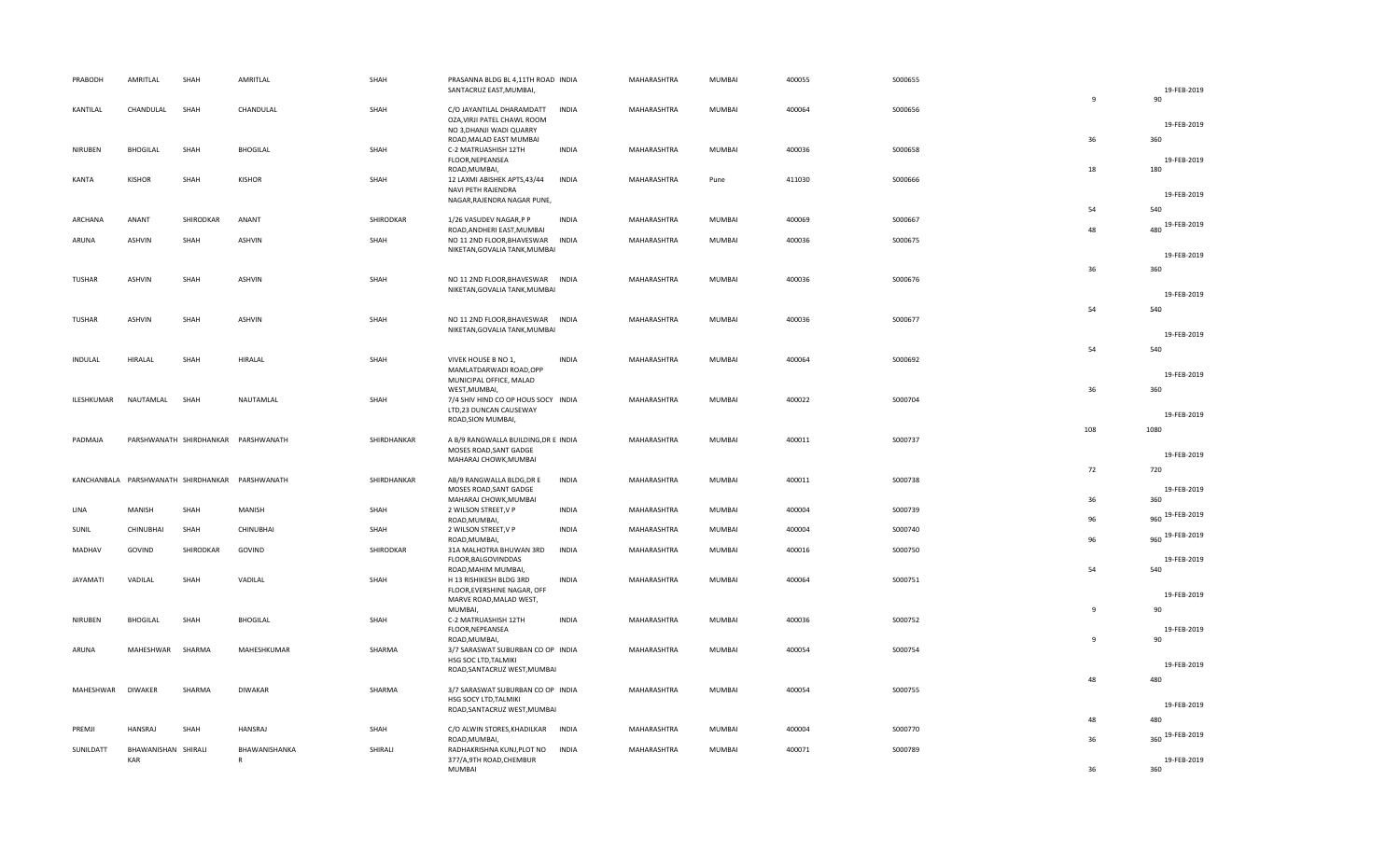| PRABODH         | AMRITLAL                   | SHAH      | AMRITLAL                                        | SHAH        | PRASANNA BLDG BL 4,11TH ROAD INDIA<br>SANTACRUZ EAST, MUMBAI,                           |              | MAHARASHTRA | MUMBAI | 400055 | S000655  |              | 19-FEB-2019        |
|-----------------|----------------------------|-----------|-------------------------------------------------|-------------|-----------------------------------------------------------------------------------------|--------------|-------------|--------|--------|----------|--------------|--------------------|
| KANTILAL        | CHANDULAL                  | SHAH      | CHANDULAL                                       | SHAH        | C/O JAYANTILAL DHARAMDATT<br>OZA, VIRJI PATEL CHAWL ROOM                                | <b>INDIA</b> | MAHARASHTRA | MUMBAI | 400064 | \$000656 | 9            | 90                 |
|                 |                            |           |                                                 |             | NO 3, DHANJI WADI QUARRY<br>ROAD, MALAD EAST MUMBAI                                     |              |             |        |        |          | 36           | 19-FEB-2019<br>360 |
| NIRUBEN         | <b>BHOGILAL</b>            | SHAH      | <b>BHOGILAL</b>                                 | SHAH        | C-2 MATRUASHISH 12TH<br>FLOOR, NEPEANSEA<br>ROAD, MUMBAI,                               | <b>INDIA</b> | MAHARASHTRA | MUMBAI | 400036 | S000658  | 18           | 19-FEB-2019<br>180 |
| <b>KANTA</b>    | <b>KISHOR</b>              | SHAH      | KISHOR                                          | SHAH        | 12 LAXMI ABISHEK APTS,43/44<br>NAVI PETH RAJENDRA                                       | <b>INDIA</b> | MAHARASHTRA | Pune   | 411030 | \$000666 |              | 19-FEB-2019        |
|                 |                            |           |                                                 |             | NAGAR, RAJENDRA NAGAR PUNE,                                                             |              |             |        |        |          | 54           | 540                |
| ARCHANA         | ANANT                      | SHIRODKAR | ANANT                                           | SHIRODKAR   | 1/26 VASUDEV NAGAR, P P<br>ROAD, ANDHERI EAST, MUMBAI                                   | <b>INDIA</b> | MAHARASHTRA | MUMBAI | 400069 | S000667  | 48           | 480 19-FEB-2019    |
| ARUNA           | ASHVIN                     | SHAH      | ASHVIN                                          | SHAH        | NO 11 2ND FLOOR, BHAVESWAR<br>NIKETAN, GOVALIA TANK, MUMBAI                             | <b>INDIA</b> | MAHARASHTRA | MUMBAI | 400036 | S000675  |              | 19-FEB-2019        |
|                 |                            |           |                                                 |             |                                                                                         |              |             |        |        |          | 36           | 360                |
| TUSHAR          | ASHVIN                     | SHAH      | ASHVIN                                          | SHAH        | NO 11 2ND FLOOR, BHAVESWAR INDIA<br>NIKETAN, GOVALIA TANK, MUMBAI                       |              | MAHARASHTRA | MUMBAI | 400036 | S000676  |              | 19-FEB-2019        |
|                 |                            |           |                                                 |             |                                                                                         |              |             |        |        |          | 54           | 540                |
| TUSHAR          | ASHVIN                     | SHAH      | <b>ASHVIN</b>                                   | SHAH        | NO 11 2ND FLOOR, BHAVESWAR INDIA<br>NIKETAN, GOVALIA TANK, MUMBAI                       |              | MAHARASHTRA | MUMBAI | 400036 | S000677  |              | 19-FEB-2019        |
|                 |                            |           |                                                 |             |                                                                                         |              |             |        |        |          |              |                    |
| INDULAL         | HIRALAL                    | SHAH      | HIRALAL                                         | SHAH        | VIVEK HOUSE B NO 1,                                                                     | <b>INDIA</b> | MAHARASHTRA | MUMBAI | 400064 | S000692  | 54           | 540                |
|                 |                            |           |                                                 |             | MAMLATDARWADI ROAD, OPP<br>MUNICIPAL OFFICE, MALAD                                      |              |             |        |        |          |              | 19-FEB-2019        |
| ILESHKUMAR      | NAUTAMLAL                  | SHAH      | NAUTAMLAL                                       | SHAH        | WEST, MUMBAI,<br>7/4 SHIV HIND CO OP HOUS SOCY INDIA                                    |              | MAHARASHTRA | MUMBAI | 400022 | S000704  | 36           | 360                |
|                 |                            |           |                                                 |             | LTD,23 DUNCAN CAUSEWAY<br>ROAD, SION MUMBAI,                                            |              |             |        |        |          |              | 19-FEB-2019        |
|                 |                            |           |                                                 |             |                                                                                         |              |             |        |        |          | 108          | 1080               |
| PADMAJA         |                            |           | PARSHWANATH SHIRDHANKAR PARSHWANATH             | SHIRDHANKAR | A B/9 RANGWALLA BUILDING, DR E INDIA<br>MOSES ROAD, SANT GADGE<br>MAHARAJ CHOWK, MUMBAI |              | MAHARASHTRA | MUMBAI | 400011 | S000737  |              | 19-FEB-2019        |
|                 |                            |           |                                                 |             |                                                                                         |              |             |        |        |          | 72           | 720                |
|                 |                            |           | KANCHANBALA PARSHWANATH SHIRDHANKAR PARSHWANATH | SHIRDHANKAR | AB/9 RANGWALLA BLDG, DR E<br>MOSES ROAD, SANT GADGE<br>MAHARAJ CHOWK, MUMBAI            | <b>INDIA</b> | MAHARASHTRA | MUMBAI | 400011 | S000738  | 36           | 19-FEB-2019<br>360 |
| LINA            | MANISH                     | SHAH      | MANISH                                          | SHAH        | 2 WILSON STREET, V P                                                                    | <b>INDIA</b> | MAHARASHTRA | MUMBAI | 400004 | S000739  |              | 960 19-FEB-2019    |
| SUNIL           | CHINUBHAI                  | SHAH      | CHINUBHAI                                       | SHAH        | ROAD, MUMBAI,<br>2 WILSON STREET, V P<br>ROAD, MUMBAI,                                  | INDIA        | MAHARASHTRA | MUMBAI | 400004 | S000740  | 96<br>96     | 960 19-FEB-2019    |
| MADHAV          | GOVIND                     | SHIRODKAR | GOVIND                                          | SHIRODKAR   | 31A MALHOTRA BHUWAN 3RD                                                                 | <b>INDIA</b> | MAHARASHTRA | MUMBAI | 400016 | S000750  |              |                    |
|                 |                            |           |                                                 |             | FLOOR, BALGOVINDDAS<br>ROAD, MAHIM MUMBAI,                                              |              |             |        |        |          | 54           | 19-FEB-2019<br>540 |
| <b>JAYAMATI</b> | VADILAL                    | SHAH      | VADILAL                                         | SHAH        | H 13 RISHIKESH BLDG 3RD<br>FLOOR, EVERSHINE NAGAR, OFF                                  | <b>INDIA</b> | MAHARASHTRA | MUMBAI | 400064 | S000751  |              |                    |
|                 |                            |           |                                                 |             | MARVE ROAD, MALAD WEST,                                                                 |              |             |        |        |          |              | 19-FEB-2019        |
|                 |                            |           |                                                 |             | MUMBAI,                                                                                 |              |             |        |        |          | 9            | 90                 |
| NIRUBEN         | <b>BHOGILAL</b>            | SHAH      | BHOGILAL                                        | SHAH        | C-2 MATRUASHISH 12TH<br>FLOOR, NEPEANSEA<br>ROAD, MUMBAI,                               | INDIA        | MAHARASHTRA | MUMBAI | 400036 | S000752  | $\mathbf{q}$ | 19-FEB-2019<br>90  |
| ARUNA           | MAHESHWAR                  | SHARMA    | MAHESHKUMAR                                     | SHARMA      | 3/7 SARASWAT SUBURBAN CO OP INDIA                                                       |              | MAHARASHTRA | MUMBAI | 400054 | S000754  |              |                    |
|                 |                            |           |                                                 |             | HSG SOC LTD, TALMIKI<br>ROAD, SANTACRUZ WEST, MUMBAI                                    |              |             |        |        |          |              | 19-FEB-2019        |
|                 |                            |           |                                                 |             |                                                                                         |              |             |        |        |          | 48           | 480                |
| MAHESHWAR       | <b>DIWAKER</b>             | SHARMA    | <b>DIWAKAR</b>                                  | SHARMA      | 3/7 SARASWAT SUBURBAN CO OP INDIA<br>HSG SOCY LTD, TALMIKI                              |              | MAHARASHTRA | MUMBAI | 400054 | S000755  |              |                    |
|                 |                            |           |                                                 |             | ROAD, SANTACRUZ WEST, MUMBAI                                                            |              |             |        |        |          |              | 19-FEB-2019        |
|                 |                            |           |                                                 |             |                                                                                         |              |             |        |        |          | 48           | 480                |
| PREMJI          | HANSRAJ                    | SHAH      | <b>HANSRAJ</b>                                  | SHAH        | C/O ALWIN STORES, KHADILKAR<br>ROAD, MUMBAI,                                            | INDIA        | MAHARASHTRA | MUMBAI | 400004 | S000770  | 36           | 360 19-FEB-2019    |
| SUNILDATT       | BHAWANISHAN SHIRALI<br>KAR |           | BHAWANISHANKA                                   | SHIRALI     | RADHAKRISHNA KUNJ, PLOT NO INDIA<br>377/A, 9TH ROAD, CHEMBUR                            |              | MAHARASHTRA | MUMBAI | 400071 | S000789  | 36           | 19-FEB-2019        |
|                 |                            |           |                                                 |             | <b>MUMBAI</b>                                                                           |              |             |        |        |          |              | 360                |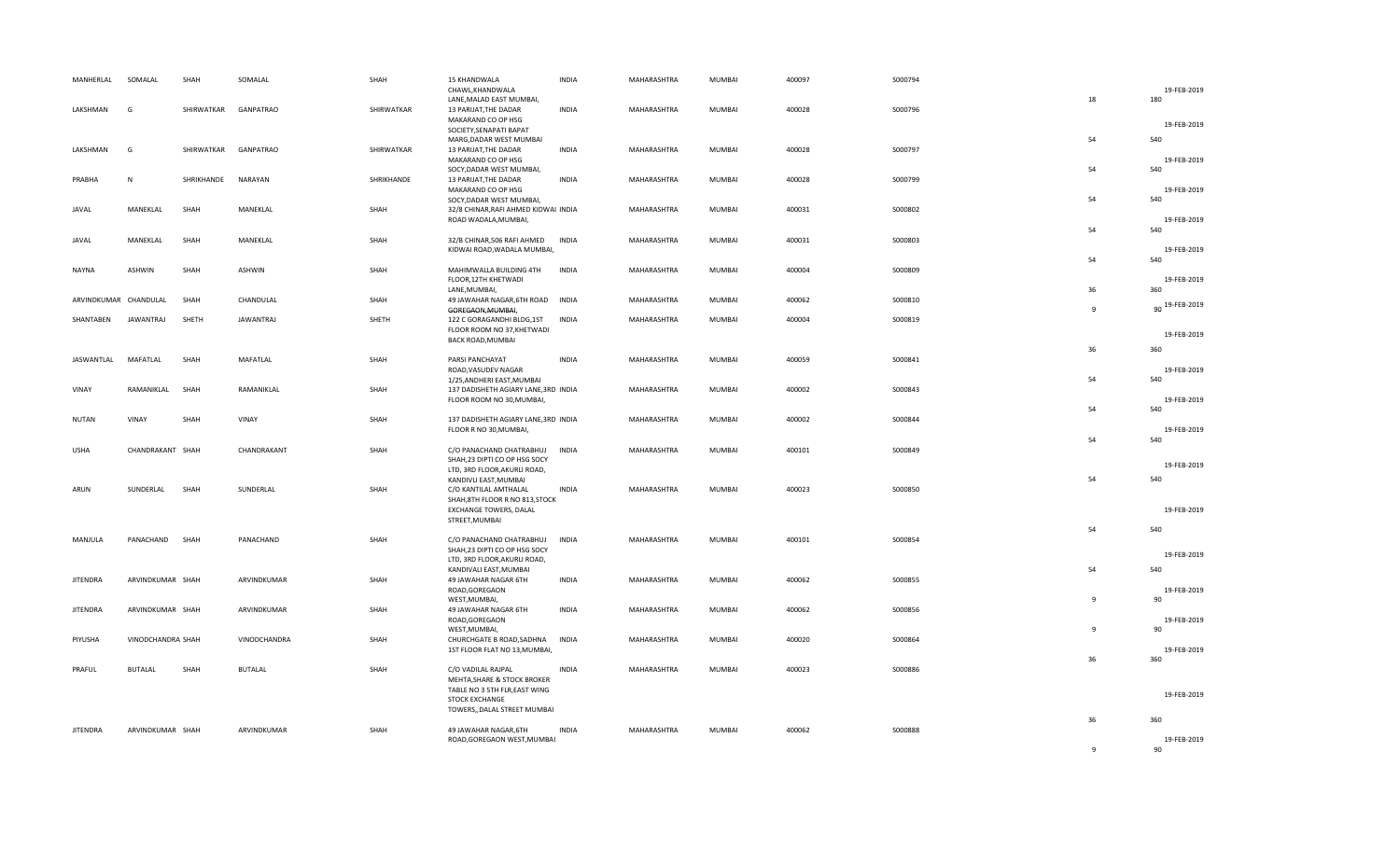| MANHERLAL       | SOMALAL                            | SHAH          | SOMALAL                | SHAH          | 15 KHANDWALA<br>CHAWL, KHANDWALA<br>LANE, MALAD EAST MUMBAI,                                                       | <b>INDIA</b>                 | MAHARASHTRA                | MUMBAI           | 400097           | S000794            | 18             | 19-FEB-2019<br>180        |
|-----------------|------------------------------------|---------------|------------------------|---------------|--------------------------------------------------------------------------------------------------------------------|------------------------------|----------------------------|------------------|------------------|--------------------|----------------|---------------------------|
| LAKSHMAN        | G                                  | SHIRWATKAR    | <b>GANPATRAO</b>       | SHIRWATKAR    | 13 PARIJAT, THE DADAR<br>MAKARAND CO OP HSG<br>SOCIETY, SENAPATI BAPAT<br>MARG, DADAR WEST MUMBAI                  | <b>INDIA</b>                 | MAHARASHTRA                | MUMBAI           | 400028           | S000796            | 54             | 19-FEB-2019<br>540        |
| LAKSHMAN        | G                                  | SHIRWATKAR    | <b>GANPATRAO</b>       | SHIRWATKAR    | 13 PARIJAT, THE DADAR<br>MAKARAND CO OP HSG<br>SOCY, DADAR WEST MUMBAI,                                            | <b>INDIA</b>                 | MAHARASHTRA                | MUMBAI           | 400028           | S000797            | 54             | 19-FEB-2019<br>540        |
| PRABHA          | ${\sf N}$                          | SHRIKHANDE    | NARAYAN                | SHRIKHANDE    | 13 PARIJAT, THE DADAR<br>MAKARAND CO OP HSG<br>SOCY, DADAR WEST MUMBAI,                                            | <b>INDIA</b>                 | MAHARASHTRA                | MUMBAI           | 400028           | S000799            | 54             | 19-FEB-2019<br>540        |
| JAVAL           | MANEKLAL                           | SHAH          | MANEKLAL               | SHAH          | 32/8 CHINAR, RAFI AHMED KIDWAI INDIA<br>ROAD WADALA, MUMBAI,                                                       |                              | MAHARASHTRA                | MUMBAI           | 400031           | S000802            | 54             | 19-FEB-2019<br>540        |
| JAVAL           | MANEKLAL                           | SHAH          | MANEKLAL               | SHAH          | 32/B CHINAR, 506 RAFI AHMED<br>KIDWAI ROAD, WADALA MUMBAI,                                                         | <b>INDIA</b>                 | MAHARASHTRA                | MUMBAI           | 400031           | S000803            | 54             | 19-FEB-2019<br>540        |
| <b>NAYNA</b>    | ASHWIN                             | SHAH          | ASHWIN                 | SHAH          | MAHIMWALLA BUILDING 4TH<br>FLOOR, 12TH KHETWADI<br>LANE, MUMBAI,                                                   | <b>INDIA</b>                 | MAHARASHTRA                | MUMBAI           | 400004           | S000809            | 36             | 19-FEB-2019<br>360        |
| SHANTABEN       | ARVINDKUMAR CHANDULAL<br>JAWANTRAJ | SHAH<br>SHETH | CHANDULAL<br>JAWANTRAJ | SHAH<br>SHETH | 49 JAWAHAR NAGAR, 6TH ROAD<br>GOREGAON, MUMBAI,<br>122 C GORAGANDHI BLDG,1ST                                       | <b>INDIA</b><br><b>INDIA</b> | MAHARASHTRA<br>MAHARASHTRA | MUMBAI<br>MUMBAI | 400062<br>400004 | S000810<br>S000819 | $\overline{9}$ | 90 19-FEB-2019            |
|                 |                                    |               |                        |               | FLOOR ROOM NO 37, KHETWADI<br>BACK ROAD, MUMBAI                                                                    |                              |                            |                  |                  |                    | 36             | 19-FEB-2019<br>360        |
| JASWANTLAL      | MAFATLAL                           | SHAH          | MAFATLAL               | SHAH          | PARSI PANCHAYAT<br>ROAD, VASUDEV NAGAR<br>1/25, ANDHERI EAST, MUMBAI                                               | <b>INDIA</b>                 | MAHARASHTRA                | <b>MUMBAI</b>    | 400059           | S000841            | 54             | 19-FEB-2019<br>540        |
| VINAY           | RAMANIKLAL                         | SHAH          | RAMANIKLAL             | SHAH          | 137 DADISHETH AGIARY LANE, 3RD INDIA<br>FLOOR ROOM NO 30, MUMBAI,                                                  |                              | MAHARASHTRA                | MUMBAI           | 400002           | S000843            | 54             | 19-FEB-2019<br>540        |
| <b>NUTAN</b>    | VINAY                              | SHAH          | VINAY                  | SHAH          | 137 DADISHETH AGIARY LANE, 3RD INDIA<br>FLOOR R NO 30, MUMBAI,                                                     |                              | MAHARASHTRA                | MUMBAI           | 400002           | S000844            | 54             | 19-FEB-2019<br>540        |
| <b>USHA</b>     | CHANDRAKANT SHAH                   |               | CHANDRAKANT            | SHAH          | C/O PANACHAND CHATRABHUJ<br>SHAH, 23 DIPTI CO OP HSG SOCY<br>LTD, 3RD FLOOR, AKURLI ROAD,<br>KANDIVLI EAST, MUMBAI | INDIA                        | MAHARASHTRA                | MUMBAI           | 400101           | S000849            | 54             | 19-FEB-2019<br>540        |
| ARUN            | SUNDERLAL                          | SHAH          | SUNDERLAL              | SHAH          | C/O KANTILAL AMTHALAL<br>SHAH, 8TH FLOOR R NO 813, STOCK<br>EXCHANGE TOWERS, DALAL<br>STREET, MUMBAI               | <b>INDIA</b>                 | MAHARASHTRA                | MUMBAI           | 400023           | S000850            |                | 19-FEB-2019               |
| MANJULA         | PANACHAND SHAH                     |               | PANACHAND              | SHAH          | C/O PANACHAND CHATRABHUJ<br>SHAH, 23 DIPTI CO OP HSG SOCY<br>LTD, 3RD FLOOR, AKURLI ROAD,                          | <b>INDIA</b>                 | MAHARASHTRA                | MUMBAI           | 400101           | S000854            | 54<br>54       | 540<br>19-FEB-2019<br>540 |
| <b>JITENDRA</b> | ARVINDKUMAR SHAH                   |               | ARVINDKUMAR            | SHAH          | KANDIVALI EAST, MUMBAI<br>49 JAWAHAR NAGAR 6TH<br>ROAD, GOREGAON<br>WEST, MUMBAI,                                  | <b>INDIA</b>                 | MAHARASHTRA                | MUMBAI           | 400062           | S000855            | $\overline{9}$ | 19-FEB-2019<br>90         |
| <b>JITENDRA</b> | ARVINDKUMAR SHAH                   |               | ARVINDKUMAR            | SHAH          | 49 JAWAHAR NAGAR 6TH<br>ROAD, GOREGAON<br>WEST, MUMBAI,                                                            | <b>INDIA</b>                 | MAHARASHTRA                | MUMBAI           | 400062           | \$000856           | $\mathbf{q}$   | 19-FEB-2019<br>90         |
| PIYUSHA         | VINODCHANDRA SHAH                  |               | VINODCHANDRA           | SHAH          | CHURCHGATE B ROAD, SADHNA<br>1ST FLOOR FLAT NO 13, MUMBAI,                                                         | <b>INDIA</b>                 | MAHARASHTRA                | MUMBAI           | 400020           | S000864            | 36             | 19-FEB-2019<br>360        |
| PRAFUL          | <b>BUTALAL</b>                     | SHAH          | BUTALAL                | SHAH          | C/O VADILAL RAJPAL<br>MEHTA, SHARE & STOCK BROKER<br>TABLE NO 3 5TH FLR, EAST WING<br>STOCK EXCHANGE               | <b>INDIA</b>                 | MAHARASHTRA                | MUMBAI           | 400023           | S000886            |                | 19-FEB-2019               |
| <b>JITENDRA</b> | ARVINDKUMAR SHAH                   |               | ARVINDKUMAR            | SHAH          | TOWERS, DALAL STREET MUMBAI<br>49 JAWAHAR NAGAR, 6TH                                                               | <b>INDIA</b>                 | MAHARASHTRA                | MUMBAI           | 400062           | \$000888           | 36             | 360                       |
|                 |                                    |               |                        |               | ROAD, GOREGAON WEST, MUMBAI                                                                                        |                              |                            |                  |                  |                    | 9              | 19-FEB-2019<br>90         |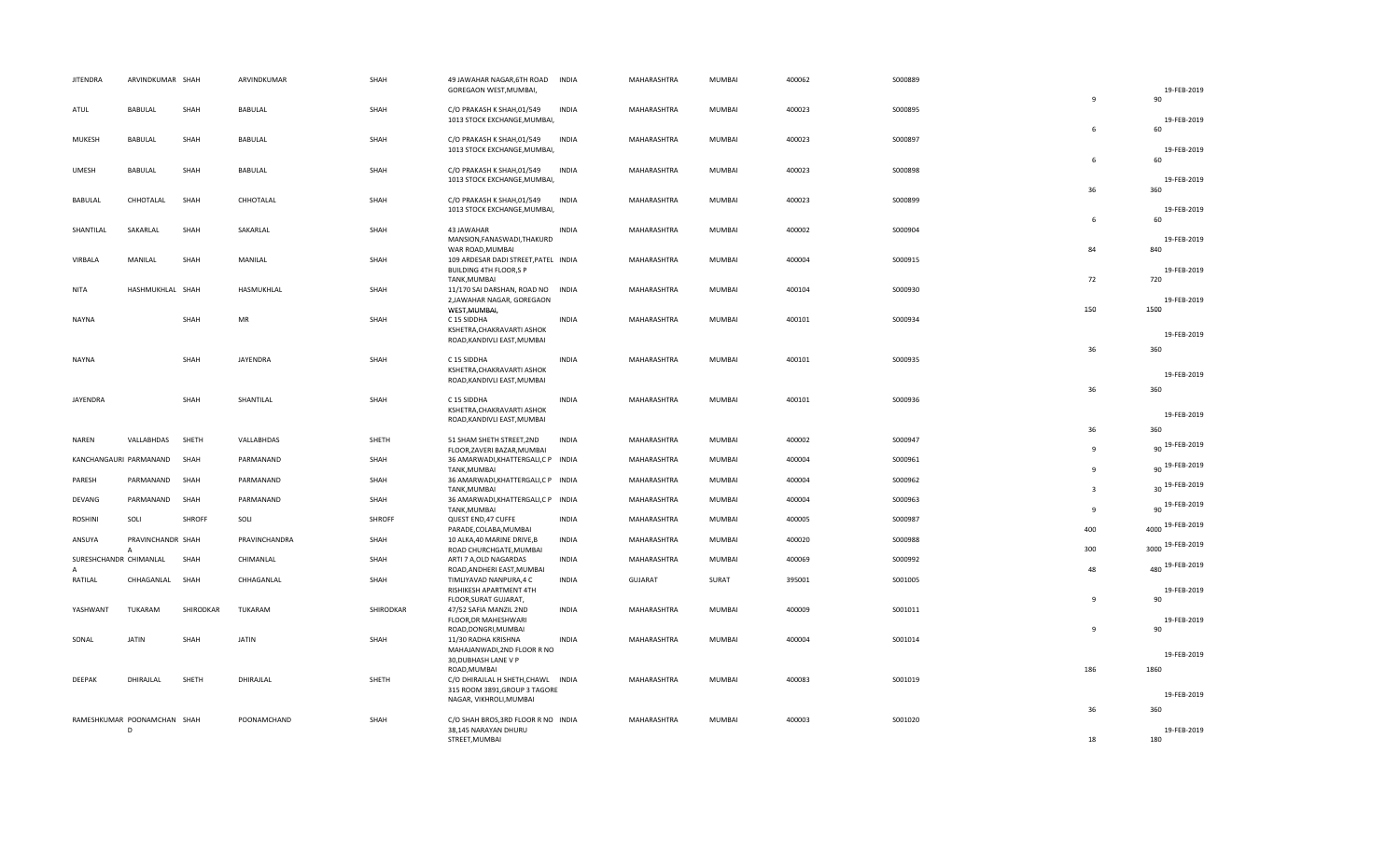| <b>JITENDRA</b>                        | ARVINDKUMAR SHAH                  |           | ARVINDKUMAR     | SHAH      | 49 JAWAHAR NAGAR, 6TH ROAD<br>GOREGAON WEST, MUMBAI,                                               | <b>INDIA</b> | MAHARASHTRA | MUMBAI        | 400062 | S000889 |                         | 19-FEB-2019           |
|----------------------------------------|-----------------------------------|-----------|-----------------|-----------|----------------------------------------------------------------------------------------------------|--------------|-------------|---------------|--------|---------|-------------------------|-----------------------|
| ATUL                                   | <b>BABULAL</b>                    | SHAH      | BABULAL         | SHAH      | C/O PRAKASH K SHAH, 01/549<br>1013 STOCK EXCHANGE, MUMBAI,                                         | <b>INDIA</b> | MAHARASHTRA | MUMBAI        | 400023 | S000895 | $\overline{9}$          | 90<br>19-FEB-2019     |
| MUKESH                                 | BABULAL                           | SHAH      | BABULAL         | SHAH      | C/O PRAKASH K SHAH, 01/549                                                                         | <b>INDIA</b> | MAHARASHTRA | MUMBAI        | 400023 | S000897 | 6                       | 60                    |
| <b>UMESH</b>                           | BABULAL                           | SHAH      | BABULAL         | SHAH      | 1013 STOCK EXCHANGE, MUMBAI,<br>C/O PRAKASH K SHAH, 01/549                                         | <b>INDIA</b> | MAHARASHTRA | MUMBAI        | 400023 | S000898 | 6                       | 19-FEB-2019<br>60     |
|                                        |                                   |           |                 |           | 1013 STOCK EXCHANGE, MUMBAI,                                                                       |              |             |               |        |         | 36                      | 19-FEB-2019<br>360    |
| <b>BABULAL</b>                         | CHHOTALAL                         | SHAH      | CHHOTALAL       | SHAH      | C/O PRAKASH K SHAH, 01/549<br>1013 STOCK EXCHANGE, MUMBAI,                                         | <b>INDIA</b> | MAHARASHTRA | MUMBAI        | 400023 | S000899 | 6                       | 19-FEB-2019<br>60     |
| SHANTILAL                              | SAKARLAL                          | SHAH      | SAKARLAL        | SHAH      | 43 JAWAHAR<br>MANSION, FANASWADI, THAKURD<br>WAR ROAD, MUMBAI                                      | <b>INDIA</b> | MAHARASHTRA | MUMBAI        | 400002 | S000904 | 84                      | 19-FEB-2019<br>840    |
| VIRBALA                                | MANILAL                           | SHAH      | MANILAL         | SHAH      | 109 ARDESAR DADI STREET, PATEL INDIA<br>BUILDING 4TH FLOOR,S P                                     |              | MAHARASHTRA | MUMBAI        | 400004 | S000915 |                         | 19-FEB-2019           |
| NITA                                   | HASHMUKHLAL SHAH                  |           | HASMUKHLAL      | SHAH      | TANK, MUMBAI<br>11/170 SAI DARSHAN, ROAD NO INDIA<br>2, JAWAHAR NAGAR, GOREGAON                    |              | MAHARASHTRA | MUMBAI        | 400104 | S000930 | 72                      | 720<br>19-FEB-2019    |
| NAYNA                                  |                                   | SHAH      | MR              | SHAH      | WEST, MUMBAI,<br>C 15 SIDDHA<br>KSHETRA, CHAKRAVARTI ASHOK                                         | <b>INDIA</b> | MAHARASHTRA | MUMBAI        | 400101 | S000934 | 150                     | 1500                  |
|                                        |                                   |           |                 |           | ROAD, KANDIVLI EAST, MUMBAI                                                                        |              |             |               |        |         | 36                      | 19-FEB-2019<br>360    |
| <b>NAYNA</b>                           |                                   | SHAH      | <b>JAYENDRA</b> | SHAH      | C 15 SIDDHA<br>KSHETRA, CHAKRAVARTI ASHOK<br>ROAD, KANDIVLI EAST, MUMBAI                           | <b>INDIA</b> | MAHARASHTRA | MUMBAI        | 400101 | S000935 |                         | 19-FEB-2019           |
| JAYENDRA                               |                                   | SHAH      | SHANTILAL       | SHAH      | C 15 SIDDHA<br>KSHETRA, CHAKRAVARTI ASHOK                                                          | <b>INDIA</b> | MAHARASHTRA | <b>MUMBAI</b> | 400101 | S000936 | 36                      | 360                   |
|                                        |                                   |           |                 |           | ROAD, KANDIVLI EAST, MUMBAI                                                                        |              |             |               |        |         |                         | 19-FEB-2019           |
| NAREN                                  | VALLABHDAS                        | SHETH     | VALLABHDAS      | SHETH     | 51 SHAM SHETH STREET, 2ND<br>FLOOR, ZAVERI BAZAR, MUMBAI                                           | <b>INDIA</b> | MAHARASHTRA | MUMBAI        | 400002 | S000947 | 36<br>9                 | 360<br>90 19-FEB-2019 |
| KANCHANGAURI PARMANAND                 |                                   | SHAH      | PARMANAND       | SHAH      | 36 AMARWADI, KHATTERGALI, CP INDIA<br>TANK, MUMBAI                                                 |              | MAHARASHTRA | MUMBAI        | 400004 | S000961 | $\mathbf{q}$            | 90 19-FEB-2019        |
| PARESH                                 | PARMANAND                         | SHAH      | PARMANAND       | SHAH      | 36 AMARWADI, KHATTERGALI, CP INDIA<br>TANK, MUMBAI                                                 |              | MAHARASHTRA | MUMBAI        | 400004 | S000962 | $\overline{\mathbf{3}}$ | 30 19-FEB-2019        |
| DEVANG                                 | PARMANAND                         | SHAH      | PARMANAND       | SHAH      | 36 AMARWADI, KHATTERGALI, CP INDIA<br>TANK, MUMBAI                                                 |              | MAHARASHTRA | MUMBAI        | 400004 | S000963 | 9                       | 90 19-FEB-2019        |
| ROSHINI                                | SOLI                              | SHROFF    | SOLI            | SHROFF    | QUEST END, 47 CUFFE<br>PARADE, COLABA, MUMBAI                                                      | INDIA        | MAHARASHTRA | MUMBAI        | 400005 | S000987 | 400                     | 4000 19-FEB-2019      |
| ANSUYA                                 | PRAVINCHANDR SHAH<br>$\mathsf{A}$ |           | PRAVINCHANDRA   | SHAH      | 10 ALKA, 40 MARINE DRIVE, B<br>ROAD CHURCHGATE, MUMBAI                                             | <b>INDIA</b> | MAHARASHTRA | MUMBAI        | 400020 | S000988 | 300                     | 3000 19-FEB-2019      |
| SURESHCHANDR CHIMANLAL<br>$\mathsf{A}$ |                                   | SHAH      | CHIMANLAL       | SHAH      | ARTI 7 A,OLD NAGARDAS<br>ROAD, ANDHERI EAST, MUMBAI                                                | <b>INDIA</b> | MAHARASHTRA | MUMBAI        | 400069 | S000992 | 48                      | 480 19-FEB-2019       |
| RATILAL                                | CHHAGANLAL                        | SHAH      | CHHAGANLAL      | SHAH      | TIMLIYAVAD NANPURA, 4 C<br>RISHIKESH APARTMENT 4TH<br>FLOOR, SURAT GUJARAT,                        | <b>INDIA</b> | GUJARAT     | SURAT         | 395001 | S001005 | $\overline{9}$          | 19-FEB-2019<br>90     |
| YASHWANT                               | TUKARAM                           | SHIRODKAR | TUKARAM         | SHIRODKAR | 47/52 SAFIA MANZIL 2ND<br>FLOOR, DR MAHESHWARI                                                     | <b>INDIA</b> | MAHARASHTRA | MUMBAI        | 400009 | S001011 |                         | 19-FEB-2019           |
| SONAL                                  | <b>JATIN</b>                      | SHAH      | <b>JATIN</b>    | SHAH      | ROAD, DONGRI, MUMBAI<br>11/30 RADHA KRISHNA<br>MAHAJANWADI, 2ND FLOOR R NO<br>30, DUBHASH LANE V P | <b>INDIA</b> | MAHARASHTRA | MUMBAI        | 400004 | S001014 | $\overline{9}$          | 90<br>19-FEB-2019     |
| DEEPAK                                 | DHIRAJLAL                         | SHETH     | DHIRAJLAL       | SHETH     | ROAD, MUMBAI<br>C/O DHIRAJLAL H SHETH, CHAWL INDIA<br>315 ROOM 3891, GROUP 3 TAGORE                |              | MAHARASHTRA | <b>MUMBAI</b> | 400083 | S001019 | 186                     | 1860                  |
|                                        |                                   |           |                 |           | NAGAR, VIKHROLI, MUMBAI                                                                            |              |             |               |        |         |                         | 19-FEB-2019<br>360    |
|                                        | RAMESHKUMAR POONAMCHAN SHAH<br>D  |           | POONAMCHAND     | SHAH      | C/O SHAH BROS, 3RD FLOOR R NO INDIA<br>38,145 NARAYAN DHURU<br>STREET, MUMBAI                      |              | MAHARASHTRA | MUMBAI        | 400003 | S001020 | 36<br>18                | 19-FEB-2019<br>180    |
|                                        |                                   |           |                 |           |                                                                                                    |              |             |               |        |         |                         |                       |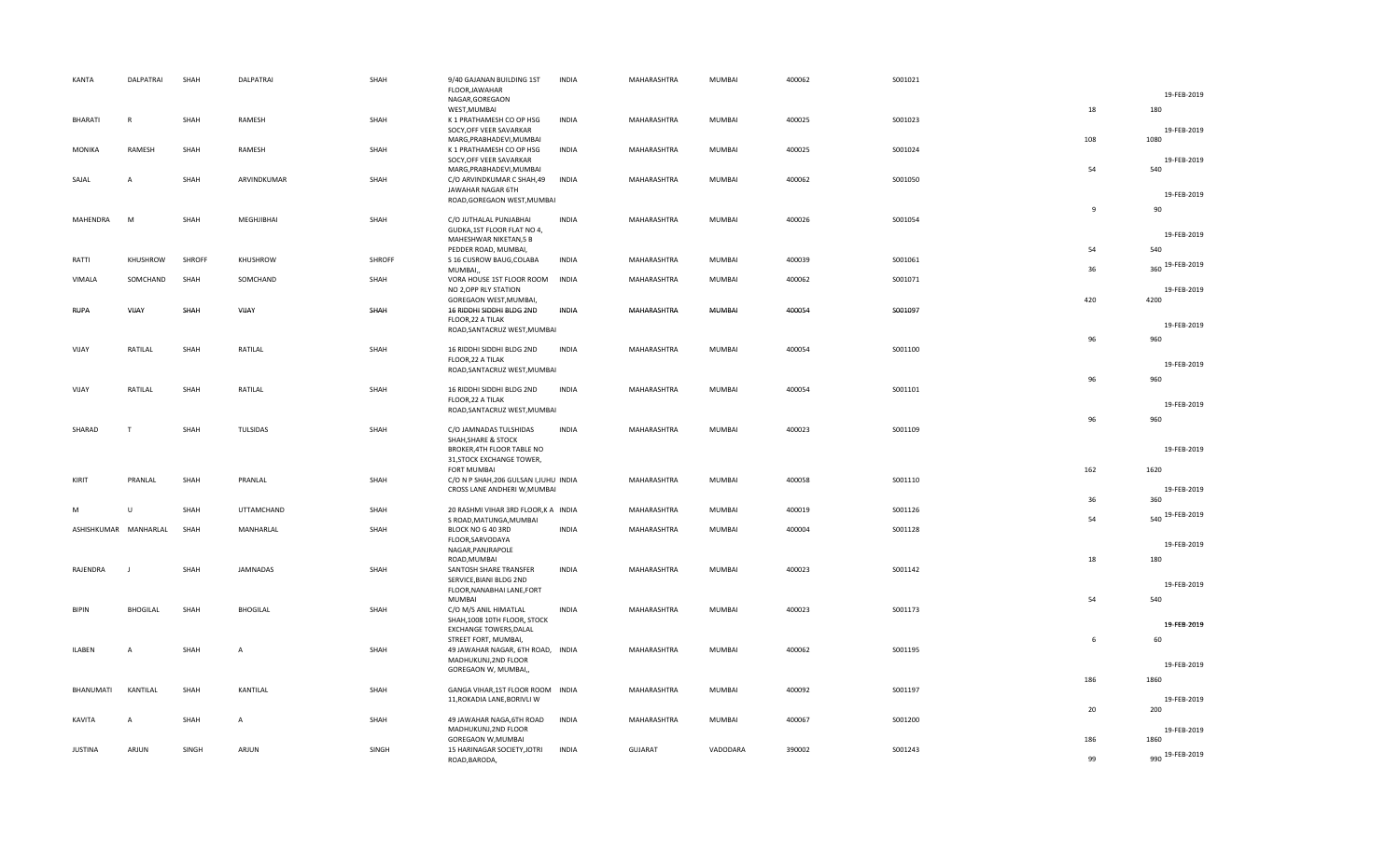| KANTA                 | DALPATRAI       | SHAH   | DALPATRAI       | SHAH   | 9/40 GAJANAN BUILDING 1ST<br>FLOOR, JAWAHAR<br>NAGAR, GOREGAON                   | <b>INDIA</b> | MAHARASHTRA    | <b>MUMBAI</b> | 400062 | S001021 |              | 19-FEB-2019         |
|-----------------------|-----------------|--------|-----------------|--------|----------------------------------------------------------------------------------|--------------|----------------|---------------|--------|---------|--------------|---------------------|
| <b>BHARATI</b>        | R               | SHAH   | RAMESH          | SHAH   | WEST, MUMBAI<br>K 1 PRATHAMESH CO OP HSG                                         | <b>INDIA</b> | MAHARASHTRA    | <b>MUMBAI</b> | 400025 | S001023 | 18           | 180                 |
|                       |                 |        |                 |        | SOCY, OFF VEER SAVARKAR<br>MARG, PRABHADEVI, MUMBAI                              |              |                |               |        |         | 108          | 19-FEB-2019<br>1080 |
| <b>MONIKA</b>         | RAMESH          | SHAH   | RAMESH          | SHAH   | K 1 PRATHAMESH CO OP HSG<br>SOCY, OFF VEER SAVARKAR                              | <b>INDIA</b> | MAHARASHTRA    | MUMBAI        | 400025 | S001024 |              | 19-FEB-2019         |
| SAJAL                 | $\overline{A}$  | SHAH   | ARVINDKUMAR     | SHAH   | MARG, PRABHADEVI, MUMBAI<br>C/O ARVINDKUMAR C SHAH,49                            | <b>INDIA</b> | MAHARASHTRA    | <b>MUMBAI</b> | 400062 | S001050 | 54           | 540                 |
|                       |                 |        |                 |        | JAWAHAR NAGAR 6TH<br>ROAD, GOREGAON WEST, MUMBAI                                 |              |                |               |        |         | $\mathbf{q}$ | 19-FEB-2019<br>90   |
| MAHENDRA              | M               | SHAH   | MEGHJIBHAI      | SHAH   | C/O JUTHALAL PUNJABHAI<br>GUDKA, 1ST FLOOR FLAT NO 4,                            | <b>INDIA</b> | MAHARASHTRA    | <b>MUMBAI</b> | 400026 | S001054 |              | 19-FEB-2019         |
| RATTI                 | KHUSHROW        | SHROFF | KHUSHROW        | SHROFF | MAHESHWAR NIKETAN,5 B<br>PEDDER ROAD, MUMBAI,                                    | <b>INDIA</b> | MAHARASHTRA    | <b>MUMBAI</b> | 400039 | S001061 | 54           | 540                 |
|                       |                 |        |                 |        | S 16 CUSROW BAUG, COLABA<br>MUMBAI,                                              |              |                |               |        |         | 36           | 360 19-FEB-2019     |
| VIMALA                | SOMCHAND        | SHAH   | SOMCHAND        | SHAH   | VORA HOUSE 1ST FLOOR ROOM<br>NO 2, OPP RLY STATION<br>GOREGAON WEST, MUMBAI,     | INDIA        | MAHARASHTRA    | <b>MUMBAI</b> | 400062 | S001071 | 420          | 19-FEB-2019<br>4200 |
| <b>RUPA</b>           | VIJAY           | SHAH   | VIJAY           | SHAH   | 16 RIDDHI SIDDHI BLDG 2ND<br>FLOOR, 22 A TILAK                                   | INDIA        | MAHARASHTRA    | <b>MUMBAI</b> | 400054 | S001097 |              |                     |
|                       |                 |        |                 |        | ROAD, SANTACRUZ WEST, MUMBAI                                                     |              |                |               |        |         | 96           | 19-FEB-2019<br>960  |
| VIJAY                 | RATILAL         | SHAH   | RATILAL         | SHAH   | 16 RIDDHI SIDDHI BLDG 2ND<br>FLOOR, 22 A TILAK                                   | <b>INDIA</b> | MAHARASHTRA    | <b>MUMBAI</b> | 400054 | S001100 |              | 19-FEB-2019         |
|                       |                 |        |                 |        | ROAD, SANTACRUZ WEST, MUMBAI                                                     |              |                |               |        |         | 96           | 960                 |
| VIJAY                 | RATILAL         | SHAH   | RATILAL         | SHAH   | 16 RIDDHI SIDDHI BLDG 2ND<br>FLOOR, 22 A TILAK<br>ROAD, SANTACRUZ WEST, MUMBAI   | <b>INDIA</b> | MAHARASHTRA    | MUMBAI        | 400054 | S001101 |              | 19-FEB-2019         |
| SHARAD                | T               | SHAH   | TULSIDAS        | SHAH   | C/O JAMNADAS TULSHIDAS<br>SHAH, SHARE & STOCK                                    | <b>INDIA</b> | MAHARASHTRA    | MUMBAI        | 400023 | S001109 | 96           | 960                 |
|                       |                 |        |                 |        | BROKER, 4TH FLOOR TABLE NO<br>31, STOCK EXCHANGE TOWER,                          |              |                |               |        |         |              | 19-FEB-2019         |
| KIRIT                 | PRANLAL         | SHAH   | PRANLAL         | SHAH   | <b>FORT MUMBAI</b><br>C/O N P SHAH, 206 GULSAN I, JUHU INDIA                     |              | MAHARASHTRA    | <b>MUMBAI</b> | 400058 | S001110 | 162          | 1620                |
|                       |                 |        |                 |        | CROSS LANE ANDHERI W, MUMBAI                                                     |              |                |               |        |         | 36           | 19-FEB-2019<br>360  |
| м                     | U               | SHAH   | UTTAMCHAND      | SHAH   | 20 RASHMI VIHAR 3RD FLOOR, K A INDIA<br>S ROAD, MATUNGA, MUMBAI                  |              | MAHARASHTRA    | MUMBAI        | 400019 | S001126 | 54           | 540 19-FEB-2019     |
| ASHISHKUMAR MANHARLAL |                 | SHAH   | MANHARLAL       | SHAH   | BLOCK NO G 40 3RD<br>FLOOR, SARVODAYA<br>NAGAR, PANJRAPOLE                       | <b>INDIA</b> | MAHARASHTRA    | MUMBAI        | 400004 | S001128 |              | 19-FEB-2019         |
| RAJENDRA              |                 | SHAH   | <b>JAMNADAS</b> | SHAH   | ROAD, MUMBAI<br>SANTOSH SHARE TRANSFER                                           | <b>INDIA</b> | MAHARASHTRA    | <b>MUMBAI</b> | 400023 | S001142 | 18           | 180                 |
|                       |                 |        |                 |        | SERVICE, BIANI BLDG 2ND<br>FLOOR, NANABHAI LANE, FORT                            |              |                |               |        |         |              | 19-FEB-2019         |
| BIPIN                 | <b>BHOGILAL</b> | SHAH   | <b>BHOGILAL</b> | SHAH   | MUMBAI<br>C/O M/S ANIL HIMATLAL<br>SHAH, 1008 10TH FLOOR, STOCK                  | <b>INDIA</b> | MAHARASHTRA    | <b>MUMBAI</b> | 400023 | S001173 | 54           | 540                 |
|                       |                 |        |                 |        | EXCHANGE TOWERS, DALAL<br>STREET FORT, MUMBAI,                                   |              |                |               |        |         | 6            | 19-FEB-2019<br>60   |
| ILABEN                | Α               | SHAH   | $\overline{A}$  | SHAH   | 49 JAWAHAR NAGAR, 6TH ROAD, INDIA<br>MADHUKUNJ,2ND FLOOR<br>GOREGAON W, MUMBAI,, |              | MAHARASHTRA    | MUMBAI        | 400062 | S001195 |              | 19-FEB-2019         |
| BHANUMATI             | KANTILAL        | SHAH   | KANTILAL        | SHAH   | GANGA VIHAR, 1ST FLOOR ROOM INDIA                                                |              | MAHARASHTRA    | <b>MUMBAI</b> | 400092 | S001197 | 186          | 1860                |
|                       |                 |        |                 |        | 11, ROKADIA LANE, BORIVLI W                                                      |              |                |               |        |         | 20           | 19-FEB-2019<br>200  |
| KAVITA                | A               | SHAH   | A               | SHAH   | 49 JAWAHAR NAGA, 6TH ROAD<br>MADHUKUNJ, 2ND FLOOR<br>GOREGAON W, MUMBAI          | <b>INDIA</b> | MAHARASHTRA    | <b>MUMBAI</b> | 400067 | S001200 | 186          | 19-FEB-2019<br>1860 |
| <b>JUSTINA</b>        | ARJUN           | SINGH  | ARJUN           | SINGH  | 15 HARINAGAR SOCIETY, JOTRI<br>ROAD, BARODA,                                     | <b>INDIA</b> | <b>GUJARAT</b> | VADODARA      | 390002 | S001243 | 99           | 990 19-FEB-2019     |
|                       |                 |        |                 |        |                                                                                  |              |                |               |        |         |              |                     |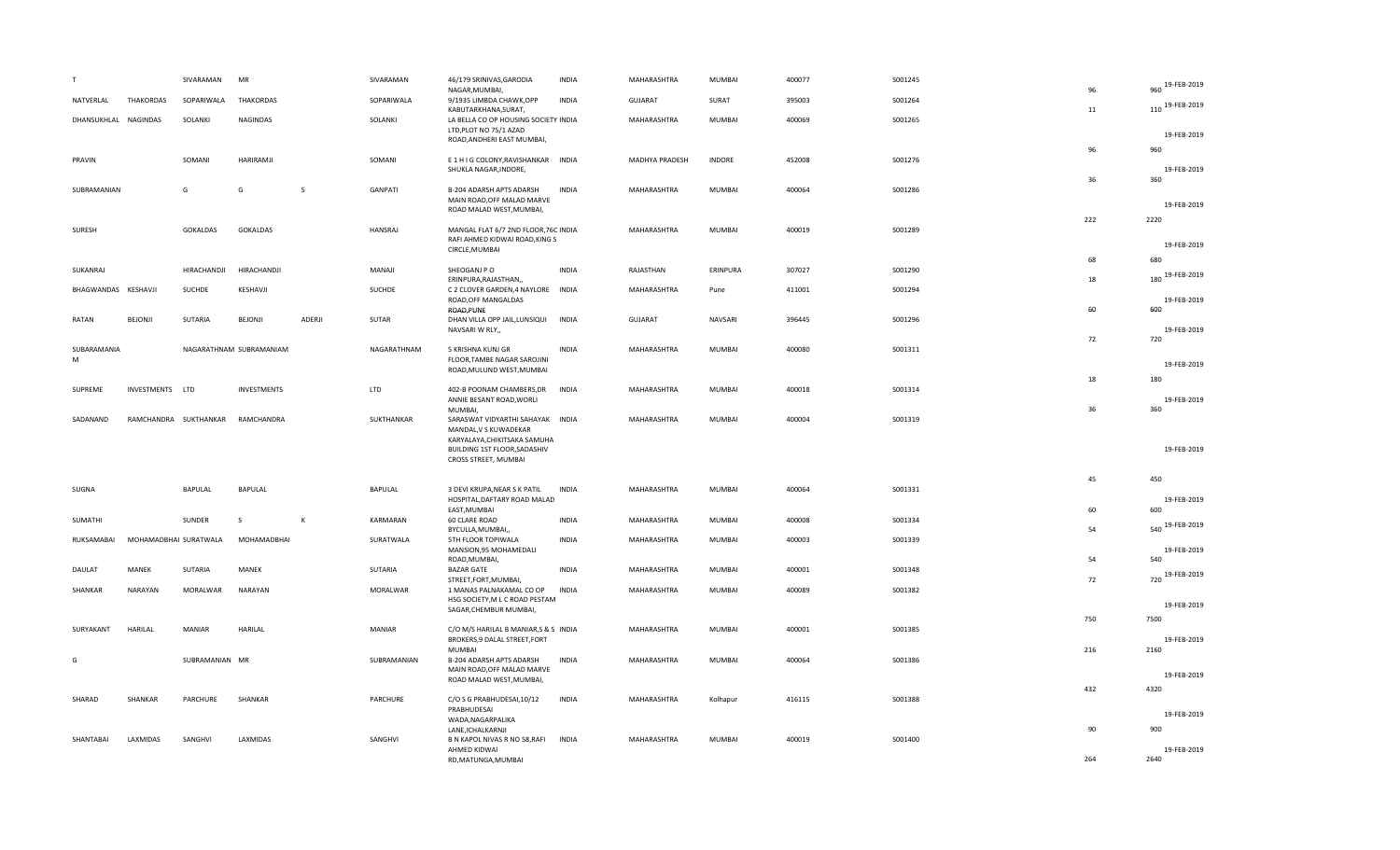| T                             | SIVARAMAN             | MR                      |              | SIVARAMAN   | 46/179 SRINIVAS, GARODIA<br>NAGAR, MUMBAI,                                                                                                        | <b>INDIA</b> | MAHARASHTRA    | <b>MUMBAI</b> | 400077 | S001245 | 96        | 960 19-FEB-2019            |
|-------------------------------|-----------------------|-------------------------|--------------|-------------|---------------------------------------------------------------------------------------------------------------------------------------------------|--------------|----------------|---------------|--------|---------|-----------|----------------------------|
| NATVERLAL<br><b>THAKORDAS</b> | SOPARIWALA            | <b>THAKORDAS</b>        |              | SOPARIWALA  | 9/1935 LIMBDA CHAWK, OPP<br>KABUTARKHANA, SURAT,                                                                                                  | <b>INDIA</b> | <b>GUJARAT</b> | SURAT         | 395003 | S001264 | 11        | 110 19-FEB-2019            |
| DHANSUKHLAL NAGINDAS          | SOLANKI               | <b>NAGINDAS</b>         |              | SOLANKI     | LA BELLA CO OP HOUSING SOCIETY INDIA<br>LTD, PLOT NO 75/1 AZAD<br>ROAD, ANDHERI EAST MUMBAI,                                                      |              | MAHARASHTRA    | MUMBAI        | 400069 | S001265 |           | 19-FEB-2019                |
| PRAVIN                        | SOMANI                | HARIRAMJI               |              | SOMANI      | E 1 H I G COLONY, RAVISHANKAR INDIA<br>SHUKLA NAGAR, INDORE,                                                                                      |              | MADHYA PRADESH | <b>INDORE</b> | 452008 | S001276 | 96        | 960<br>19-FEB-2019         |
| SUBRAMANIAN                   | G                     | G                       | <sub>S</sub> | GANPATI     | B-204 ADARSH APTS ADARSH<br>MAIN ROAD, OFF MALAD MARVE<br>ROAD MALAD WEST, MUMBAI,                                                                | <b>INDIA</b> | MAHARASHTRA    | <b>MUMBAI</b> | 400064 | S001286 | 36        | 360<br>19-FEB-2019         |
| SURESH                        | GOKALDAS              | <b>GOKALDAS</b>         |              | HANSRAJ     | MANGAL FLAT 6/7 2ND FLOOR, 76C INDIA<br>RAFI AHMED KIDWAI ROAD, KING S<br>CIRCLE, MUMBAI                                                          |              | MAHARASHTRA    | MUMBAI        | 400019 | S001289 | 222       | 2220<br>19-FEB-2019        |
| SUKANRAJ                      | HIRACHANDJI           | HIRACHANDJI             |              | MANAJI      | SHEOGANJ PO                                                                                                                                       | <b>INDIA</b> | RAJASTHAN      | ERINPURA      | 307027 | S001290 | 68        | 680<br>180 19-FEB-2019     |
| BHAGWANDAS KESHAVJI           | <b>SUCHDE</b>         | KESHAVJI                |              | SUCHDE      | ERINPURA, RAJASTHAN,<br>C 2 CLOVER GARDEN, 4 NAYLORE INDIA<br>ROAD, OFF MANGALDAS                                                                 |              | MAHARASHTRA    | Pune          | 411001 | S001294 | 18        | 19-FEB-2019                |
| RATAN<br>BEJONJI              | SUTARIA               | BEJONJI                 | ADERJI       | SUTAR       | ROAD, PUNE<br>DHAN VILLA OPP JAIL, LUNSIQUI<br>NAVSARI W RLY,,                                                                                    | <b>INDIA</b> | <b>GUJARAT</b> | NAVSARI       | 396445 | S001296 | 60        | 600<br>19-FEB-2019         |
| SUBARAMANIA<br>M              |                       | NAGARATHNAM SUBRAMANIAM |              | NAGARATHNAM | 5 KRISHNA KUNJ GR<br>FLOOR, TAMBE NAGAR SAROJINI<br>ROAD, MULUND WEST, MUMBAI                                                                     | <b>INDIA</b> | MAHARASHTRA    | MUMBAI        | 400080 | S001311 | 72        | 720<br>19-FEB-2019         |
| SUPREME<br>INVESTMENTS LTD    |                       | <b>INVESTMENTS</b>      |              | <b>LTD</b>  | 402-B POONAM CHAMBERS, DR<br>ANNIE BESANT ROAD, WORLI<br>MUMBAI,                                                                                  | <b>INDIA</b> | MAHARASHTRA    | MUMBAI        | 400018 | S001314 | 18<br>36  | 180<br>19-FEB-2019<br>360  |
| SADANAND                      | RAMCHANDRA SUKTHANKAR | RAMCHANDRA              |              | SUKTHANKAR  | SARASWAT VIDYARTHI SAHAYAK INDIA<br>MANDAL, V S KUWADEKAR<br>KARYALAYA, CHIKITSAKA SAMUHA<br>BUILDING 1ST FLOOR, SADASHIV<br>CROSS STREET, MUMBAI |              | MAHARASHTRA    | MUMBAI        | 400004 | S001319 |           | 19-FEB-2019                |
| SUGNA                         | BAPULAL               | BAPULAL                 |              | BAPULAL     | 3 DEVI KRUPA, NEAR S K PATIL<br>HOSPITAL, DAFTARY ROAD MALAD                                                                                      | INDIA        | MAHARASHTRA    | MUMBAI        | 400064 | S001331 | 45        | 450<br>19-FEB-2019         |
| SUMATHI                       | SUNDER                | S                       | $\mathsf{K}$ | KARMARAN    | EAST, MUMBAI<br>60 CLARE ROAD<br>BYCULLA, MUMBAI,,                                                                                                | <b>INDIA</b> | MAHARASHTRA    | <b>MUMBAI</b> | 400008 | S001334 | 60<br>54  | 600<br>540 19-FEB-2019     |
| RUKSAMABAI                    | MOHAMADBHAI SURATWALA | MOHAMADBHAI             |              | SURATWALA   | 5TH FLOOR TOPIWALA<br>MANSION, 95 MOHAMEDALI<br>ROAD, MUMBAI,                                                                                     | <b>INDIA</b> | MAHARASHTRA    | MUMBAI        | 400003 | S001339 | 54        | 19-FEB-2019<br>540         |
| MANEK<br>DAULAT               | SUTARIA               | MANEK                   |              | SUTARIA     | <b>BAZAR GATE</b><br>STREET, FORT, MUMBAI,                                                                                                        | <b>INDIA</b> | MAHARASHTRA    | MUMBAI        | 400001 | S001348 | 72        | 720 19-FEB-2019            |
| SHANKAR<br>NARAYAN            | MORALWAR              | NARAYAN                 |              | MORALWAR    | 1 MANAS PALNAKAMAL CO OP<br>HSG SOCIETY, M L C ROAD PESTAM<br>SAGAR, CHEMBUR MUMBAI,                                                              | <b>INDIA</b> | MAHARASHTRA    | MUMBAI        | 400089 | S001382 |           | 19-FEB-2019                |
| SURYAKANT<br>HARILAL          | <b>MANIAR</b>         | HARILAL                 |              | MANIAR      | C/O M/S HARILAL B MANIAR, S & S INDIA<br>BROKERS, 9 DALAL STREET, FORT                                                                            |              | MAHARASHTRA    | MUMBAI        | 400001 | S001385 | 750       | 7500<br>19-FEB-2019        |
| G                             | SUBRAMANIAN MR        |                         |              | SUBRAMANIAN | <b>MUMBAI</b><br>B-204 ADARSH APTS ADARSH<br>MAIN ROAD, OFF MALAD MARVE<br>ROAD MALAD WEST, MUMBAI,                                               | <b>INDIA</b> | MAHARASHTRA    | MUMBAI        | 400064 | S001386 | 216       | 2160<br>19-FEB-2019        |
| SHARAD<br>SHANKAR             | PARCHURE              | SHANKAR                 |              | PARCHURE    | C/O S G PRABHUDESAI, 10/12<br>PRABHUDESAI                                                                                                         | <b>INDIA</b> | MAHARASHTRA    | Kolhapur      | 416115 | S001388 | 432       | 4320<br>19-FEB-2019        |
| SHANTABAI<br>LAXMIDAS         | SANGHVI               | LAXMIDAS                |              | SANGHVI     | WADA, NAGARPALIKA<br>LANE, ICHALKARNJI<br>B N KAPOL NIVAS R NO 58, RAFI<br>AHMED KIDWAI<br>RD, MATUNGA, MUMBAI                                    | <b>INDIA</b> | MAHARASHTRA    | MUMBAI        | 400019 | S001400 | 90<br>264 | 900<br>19-FEB-2019<br>2640 |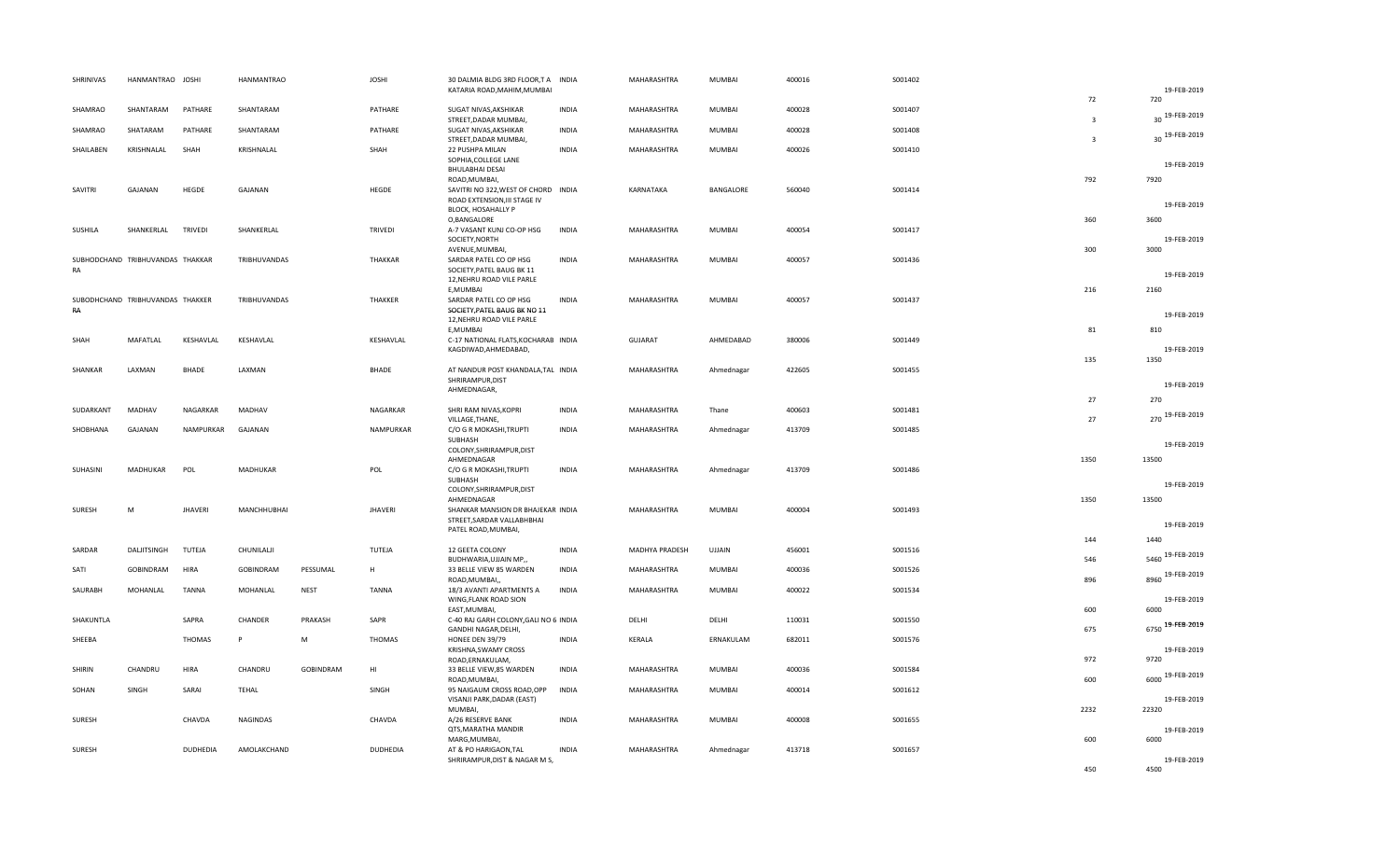| SHRINIVAS     | HANMANTRAO JOSHI                 |                 | HANMANTRAO   |             | <b>JOSHI</b>   | 30 DALMIA BLDG 3RD FLOOR,T A<br>KATARIA ROAD, MAHIM, MUMBAI        | <b>INDIA</b> | MAHARASHTRA    | MUMBAI     | 400016 | S001402 |                         | 19-FEB-2019              |
|---------------|----------------------------------|-----------------|--------------|-------------|----------------|--------------------------------------------------------------------|--------------|----------------|------------|--------|---------|-------------------------|--------------------------|
| SHAMRAO       | SHANTARAM                        | PATHARE         | SHANTARAM    |             | PATHARE        | SUGAT NIVAS, AKSHIKAR                                              | <b>INDIA</b> | MAHARASHTRA    | MUMBAI     | 400028 | S001407 | 72                      | 720                      |
| SHAMRAO       | SHATARAM                         | PATHARE         | SHANTARAM    |             | PATHARE        | STREET, DADAR MUMBAI,<br>SUGAT NIVAS, AKSHIKAR                     | <b>INDIA</b> | MAHARASHTRA    | MUMBAI     | 400028 | S001408 | $\overline{\mathbf{3}}$ | 19-FEB-2019<br>30        |
| SHAILABEN     | KRISHNALAL                       | SHAH            | KRISHNALAL   |             | SHAH           | STREET, DADAR MUMBAI,<br>22 PUSHPA MILAN                           | <b>INDIA</b> | MAHARASHTRA    | MUMBAI     | 400026 | S001410 | $\mathbf{a}$            | 30 19-FEB-2019           |
|               |                                  |                 |              |             |                | SOPHIA, COLLEGE LANE<br><b>BHULABHAI DESAI</b>                     |              |                |            |        |         |                         | 19-FEB-2019              |
| SAVITRI       | GAJANAN                          | HEGDE           | GAJANAN      |             | HEGDE          | ROAD, MUMBAI,<br>SAVITRI NO 322, WEST OF CHORD INDIA               |              | KARNATAKA      | BANGALORE  | 560040 | S001414 | 792                     | 7920                     |
|               |                                  |                 |              |             |                | ROAD EXTENSION, III STAGE IV<br>BLOCK, HOSAHALLY P                 |              |                |            |        |         |                         | 19-FEB-2019              |
| SUSHILA       | SHANKERLAL                       | <b>TRIVEDI</b>  | SHANKERLAL   |             | <b>TRIVEDI</b> | O, BANGALORE<br>A-7 VASANT KUNJ CO-OP HSG                          | <b>INDIA</b> | MAHARASHTRA    | MUMBAI     | 400054 | S001417 | 360                     | 3600                     |
|               |                                  |                 |              |             |                | SOCIETY, NORTH<br>AVENUE, MUMBAI,                                  |              |                |            |        |         | 300                     | 19-FEB-2019<br>3000      |
| RA            | SUBHODCHAND TRIBHUVANDAS THAKKAR |                 | TRIBHUVANDAS |             | THAKKAR        | SARDAR PATEL CO OP HSG<br>SOCIETY, PATEL BAUG BK 11                | <b>INDIA</b> | MAHARASHTRA    | MUMBAI     | 400057 | S001436 |                         | 19-FEB-2019              |
|               |                                  |                 |              |             |                | 12, NEHRU ROAD VILE PARLE<br>E.MUMBAI                              |              |                |            |        |         | 216                     | 2160                     |
| RA            | SUBODHCHAND TRIBHUVANDAS THAKKER |                 | TRIBHUVANDAS |             | THAKKER        | SARDAR PATEL CO OP HSG<br>SOCIETY, PATEL BAUG BK NO 11             | <b>INDIA</b> | MAHARASHTRA    | MUMBAI     | 400057 | S001437 |                         | 19-FEB-2019              |
|               |                                  |                 |              |             |                | 12, NEHRU ROAD VILE PARLE<br>E, MUMBAI                             |              |                |            |        |         | 81                      | 810                      |
| SHAH          | MAFATLAL                         | KESHAVLAL       | KESHAVLAL    |             | KESHAVLAL      | C-17 NATIONAL FLATS, KOCHARAB INDIA<br>KAGDIWAD, AHMEDABAD,        |              | <b>GUJARAT</b> | AHMEDABAD  | 380006 | S001449 |                         | 19-FEB-2019              |
| SHANKAR       | LAXMAN                           | BHADE           | LAXMAN       |             | <b>BHADE</b>   | AT NANDUR POST KHANDALA, TAL INDIA                                 |              | MAHARASHTRA    | Ahmednagar | 422605 | S001455 | 135                     | 1350                     |
|               |                                  |                 |              |             |                | SHRIRAMPUR, DIST<br>AHMEDNAGAR,                                    |              |                |            |        |         |                         | 19-FEB-2019              |
| SUDARKANT     | MADHAV                           | NAGARKAR        | MADHAV       |             | NAGARKAR       | SHRI RAM NIVAS, KOPRI                                              | <b>INDIA</b> | MAHARASHTRA    | Thane      | 400603 | S001481 | 27                      | 270<br>270 19-FEB-2019   |
| SHOBHANA      | GAJANAN                          | NAMPURKAR       | GAJANAN      |             | NAMPURKAR      | VILLAGE, THANE,<br>C/O G R MOKASHI, TRUPTI                         | <b>INDIA</b> | MAHARASHTRA    | Ahmednagar | 413709 | S001485 | 27                      |                          |
|               |                                  |                 |              |             |                | SUBHASH<br>COLONY, SHRIRAMPUR, DIST                                |              |                |            |        |         |                         | 19-FEB-2019              |
| SUHASINI      | MADHUKAR                         | POL             | MADHUKAR     |             | POL            | AHMEDNAGAR<br>C/O G R MOKASHI, TRUPTI                              | <b>INDIA</b> | MAHARASHTRA    | Ahmednagar | 413709 | S001486 | 1350                    | 13500                    |
|               |                                  |                 |              |             |                | SUBHASH<br>COLONY, SHRIRAMPUR, DIST                                |              |                |            |        |         |                         | 19-FEB-2019              |
| SURESH        | M                                | <b>JHAVERI</b>  | MANCHHUBHAI  |             | <b>JHAVERI</b> | AHMEDNAGAR<br>SHANKAR MANSION DR BHAJEKAR INDIA                    |              | MAHARASHTRA    | MUMBAI     | 400004 | S001493 | 1350                    | 13500                    |
|               |                                  |                 |              |             |                | STREET, SARDAR VALLABHBHAI<br>PATEL ROAD, MUMBAI,                  |              |                |            |        |         |                         | 19-FEB-2019              |
| SARDAR        | DALJITSINGH                      | TUTEJA          | CHUNILALJI   |             | TUTEJA         | 12 GEETA COLONY                                                    | <b>INDIA</b> | MADHYA PRADESH | UJJAIN     | 456001 | S001516 | 144<br>546              | 1440<br>5460 19-FEB-2019 |
| SATI          | GOBINDRAM                        | <b>HIRA</b>     | GOBINDRAM    | PESSUMAL    | H              | BUDHWARIA, UJJAIN MP,,<br>33 BELLE VIEW 85 WARDEN<br>ROAD, MUMBAI, | <b>INDIA</b> | MAHARASHTRA    | MUMBAI     | 400036 | S001526 | 896                     | 8960 19-FEB-2019         |
| SAURABH       | MOHANLAL                         | <b>TANNA</b>    | MOHANLAL     | <b>NEST</b> | <b>TANNA</b>   | 18/3 AVANTI APARTMENTS A<br>WING, FLANK ROAD SION                  | <b>INDIA</b> | MAHARASHTRA    | MUMBAI     | 400022 | S001534 |                         | 19-FEB-2019              |
| SHAKUNTLA     |                                  | SAPRA           | CHANDER      | PRAKASH     | SAPR           | EAST, MUMBAI,<br>C-40 RAJ GARH COLONY, GALI NO 6 INDIA             |              | DELHI          | DELHI      | 110031 | S001550 | 600                     | 6000                     |
| SHEEBA        |                                  | THOMAS          | P            | M           | <b>THOMAS</b>  | GANDHI NAGAR, DELHI,<br>HONEE DEN 39/79                            | <b>INDIA</b> | KERALA         | ERNAKULAM  | 682011 | S001576 | 675                     | 6750 19-FEB-2019         |
|               |                                  |                 |              |             |                | KRISHNA, SWAMY CROSS<br>ROAD, ERNAKULAM,                           |              |                |            |        |         | 972                     | 19-FEB-2019<br>9720      |
| <b>SHIRIN</b> | CHANDRU                          | <b>HIRA</b>     | CHANDRU      | GOBINDRAM   | HI             | 33 BELLE VIEW,85 WARDEN<br>ROAD, MUMBAI                            | <b>INDIA</b> | MAHARASHTRA    | MUMBAI     | 400036 | S001584 | 600                     | 6000 19-FEB-2019         |
| SOHAN         | SINGH                            | SARAI           | <b>TEHAL</b> |             | SINGH          | 95 NAIGAUM CROSS ROAD, OPP<br>VISANJI PARK, DADAR (EAST)           | <b>INDIA</b> | MAHARASHTRA    | MUMBAI     | 400014 | S001612 |                         | 19-FEB-2019              |
| SURESH        |                                  | CHAVDA          | NAGINDAS     |             | CHAVDA         | MUMBAI,<br>A/26 RESERVE BANK                                       | <b>INDIA</b> | MAHARASHTRA    | MUMBAI     | 400008 | S001655 | 2232                    | 22320                    |
|               |                                  |                 |              |             |                | QTS, MARATHA MANDIR<br>MARG, MUMBAI,                               |              |                |            |        |         | 600                     | 19-FEB-2019<br>6000      |
| SURESH        |                                  | <b>DUDHEDIA</b> | AMOLAKCHAND  |             | DUDHEDIA       | AT & PO HARIGAON, TAL<br>SHRIRAMPUR, DIST & NAGAR M S,             | <b>INDIA</b> | MAHARASHTRA    | Ahmednagar | 413718 | S001657 |                         | 19-FEB-2019              |
|               |                                  |                 |              |             |                |                                                                    |              |                |            |        |         | 450                     | 4500                     |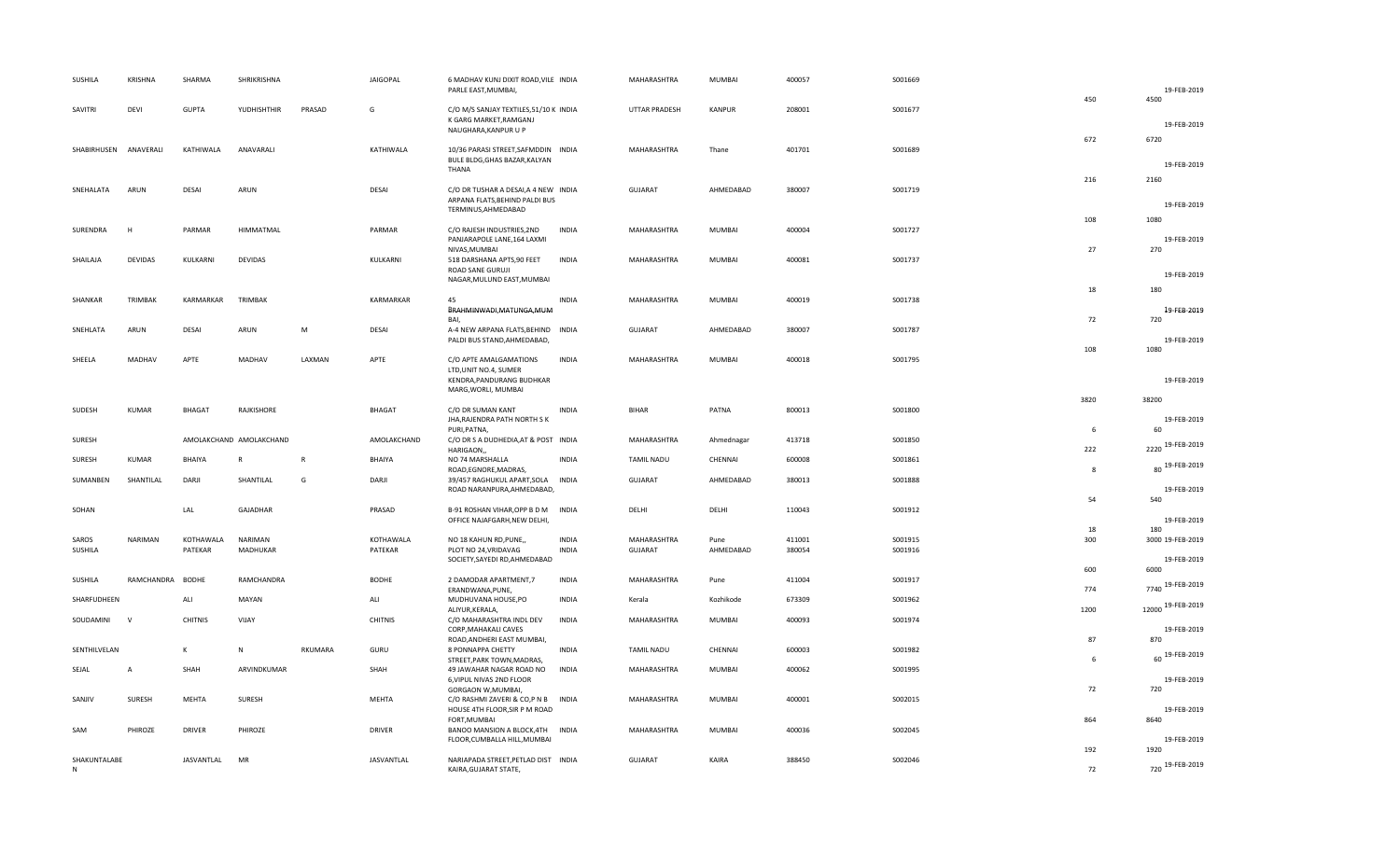| SUSHILA           | <b>KRISHNA</b>   | SHARMA            | SHRIKRISHNA             |              | <b>JAIGOPAL</b> | 6 MADHAV KUNJ DIXIT ROAD, VILE INDIA<br>PARLE EAST, MUMBAI,                         |              | MAHARASHTRA       | MUMBAI        | 400057 | S001669 |              | 19-FEB-2019             |
|-------------------|------------------|-------------------|-------------------------|--------------|-----------------|-------------------------------------------------------------------------------------|--------------|-------------------|---------------|--------|---------|--------------|-------------------------|
| SAVITRI           | DEVI             | <b>GUPTA</b>      | YUDHISHTHIR             | PRASAD       | G               | C/O M/S SANJAY TEXTILES, 51/10 K INDIA<br>K GARG MARKET, RAMGANJ                    |              | UTTAR PRADESH     | KANPUR        | 208001 | S001677 | 450          | 4500                    |
|                   |                  |                   |                         |              |                 | NAUGHARA, KANPUR U P                                                                |              |                   |               |        |         | 672          | 19-FEB-2019<br>6720     |
| SHABIRHUSEN       | ANAVERALI        | KATHIWALA         | ANAVARALI               |              | KATHIWALA       | 10/36 PARASI STREET, SAFMDDIN INDIA<br>BULE BLDG, GHAS BAZAR, KALYAN<br>THANA       |              | MAHARASHTRA       | Thane         | 401701 | S001689 |              | 19-FEB-2019             |
| SNEHALATA         | ARUN             | DESAI             | ARUN                    |              | DESAI           | C/O DR TUSHAR A DESAI, A 4 NEW INDIA<br>ARPANA FLATS, BEHIND PALDI BUS              |              | <b>GUJARAT</b>    | AHMEDABAD     | 380007 | S001719 | 216          | 2160<br>19-FEB-2019     |
|                   |                  |                   |                         |              |                 | TERMINUS, AHMEDABAD                                                                 |              |                   |               |        |         | 108          | 1080                    |
| SURENDRA          | H                | PARMAR            | HIMMATMAL               |              | PARMAR          | C/O RAJESH INDUSTRIES, 2ND<br>PANJARAPOLE LANE, 164 LAXMI<br>NIVAS, MUMBAI          | <b>INDIA</b> | MAHARASHTRA       | MUMBAI        | 400004 | S001727 | 27           | 19-FEB-2019<br>270      |
| SHAILAJA          | <b>DEVIDAS</b>   | KULKARNI          | <b>DEVIDAS</b>          |              | KULKARNI        | 518 DARSHANA APTS,90 FEET<br>ROAD SANE GURUJI<br>NAGAR, MULUND EAST, MUMBAI         | <b>INDIA</b> | MAHARASHTRA       | MUMBAI        | 400081 | S001737 |              | 19-FEB-2019             |
| SHANKAR           | TRIMBAK          | KARMARKAR         | TRIMBAK                 |              | KARMARKAR       | 45                                                                                  | <b>INDIA</b> | MAHARASHTRA       | MUMBAI        | 400019 | S001738 | 18           | 180                     |
|                   |                  |                   |                         |              |                 | BRAHMINWADI, MATUNGA, MUM<br>BAI,                                                   |              |                   |               |        |         | 72           | 19-FEB-2019<br>720      |
| SNEHLATA          | ARUN             | DESAI             | ARUN                    | M            | DESAI           | A-4 NEW ARPANA FLATS, BEHIND INDIA<br>PALDI BUS STAND, AHMEDABAD,                   |              | GUJARAT           | AHMEDABAD     | 380007 | S001787 |              | 19-FEB-2019             |
| SHEELA            | MADHAV           | APTE              | MADHAV                  | LAXMAN       | APTE            | C/O APTE AMALGAMATIONS<br>LTD, UNIT NO.4, SUMER                                     | <b>INDIA</b> | MAHARASHTRA       | <b>MUMBAI</b> | 400018 | S001795 | 108          | 1080                    |
|                   |                  |                   |                         |              |                 | KENDRA, PANDURANG BUDHKAR<br>MARG, WORLI, MUMBAI                                    |              |                   |               |        |         |              | 19-FEB-2019             |
| SUDESH            | KUMAR            | <b>BHAGAT</b>     | RAJKISHORE              |              | <b>BHAGAT</b>   | C/O DR SUMAN KANT<br>JHA, RAJENDRA PATH NORTH SK                                    | <b>INDIA</b> | <b>BIHAR</b>      | PATNA         | 800013 | S001800 | 3820<br>6    | 38200<br>19-FEB-2019    |
| SURESH            |                  |                   | AMOLAKCHAND AMOLAKCHAND |              | AMOLAKCHAND     | PURI, PATNA,<br>C/O DR S A DUDHEDIA, AT & POST INDIA<br>HARIGAON,,                  |              | MAHARASHTRA       | Ahmednagar    | 413718 | S001850 | 222          | 60<br>2220 19-FEB-2019  |
| SURESH            | <b>KUMAR</b>     | BHAIYA            | $\mathsf{R}$            | $\mathsf{R}$ | BHAIYA          | NO 74 MARSHALLA<br>ROAD, EGNORE, MADRAS,                                            | <b>INDIA</b> | <b>TAMIL NADU</b> | CHENNAI       | 600008 | S001861 | $\mathbf{g}$ | 80 19-FEB-2019          |
| SUMANBEN          | SHANTILAL        | DARJI             | SHANTILAL               | G            | DARJI           | 39/457 RAGHUKUL APART, SOLA INDIA<br>ROAD NARANPURA, AHMEDABAD,                     |              | <b>GUJARAT</b>    | AHMEDABAD     | 380013 | S001888 | 54           | 19-FEB-2019<br>540      |
| SOHAN             |                  | LAL               | GAJADHAR                |              | PRASAD          | B-91 ROSHAN VIHAR, OPP B D M<br>OFFICE NAJAFGARH, NEW DELHI,                        | <b>INDIA</b> | DELHI             | DELHI         | 110043 | S001912 | 18           | 19-FEB-2019<br>180      |
| SAROS             | NARIMAN          | KOTHAWALA         | NARIMAN                 |              | KOTHAWALA       | NO 18 KAHUN RD, PUNE,                                                               | <b>INDIA</b> | MAHARASHTRA       | Pune          | 411001 | S001915 | 300          | 3000 19-FEB-2019        |
| SUSHILA           |                  | PATEKAR           | MADHUKAR                |              | PATEKAR         | PLOT NO 24, VRIDAVAG<br>SOCIETY, SAYEDI RD, AHMEDABAD                               | <b>INDIA</b> | <b>GUJARAT</b>    | AHMEDABAD     | 380054 | S001916 | 600          | 19-FEB-2019<br>6000     |
| SUSHILA           | RAMCHANDRA BODHE |                   | RAMCHANDRA              |              | <b>BODHE</b>    | 2 DAMODAR APARTMENT,7<br>ERANDWANA, PUNE,                                           | <b>INDIA</b> | MAHARASHTRA       | Pune          | 411004 | S001917 | 774          | 7740 19-FEB-2019        |
| SHARFUDHEEN       |                  | ALI               | MAYAN                   |              | ALI             | MUDHUVANA HOUSE, PO<br>ALIYUR, KERALA,                                              | <b>INDIA</b> | Kerala            | Kozhikode     | 673309 | S001962 | 1200         | 12000 19-FEB-2019       |
| SOUDAMINI         | <b>V</b>         | <b>CHITNIS</b>    | VIJAY                   |              | <b>CHITNIS</b>  | C/O MAHARASHTRA INDL DEV<br>CORP, MAHAKALI CAVES<br>ROAD, ANDHERI EAST MUMBAI,      | <b>INDIA</b> | MAHARASHTRA       | MUMBAI        | 400093 | S001974 | 87           | 19-FEB-2019<br>870      |
| SENTHILVELAN      |                  | K                 | $\mathsf{N}$            | RKUMARA      | GURU            | 8 PONNAPPA CHETTY<br>STREET, PARK TOWN, MADRAS,                                     | <b>INDIA</b> | <b>TAMIL NADU</b> | CHENNAI       | 600003 | S001982 | 6            | 60 19-FEB-2019          |
| SEJAL             | $\overline{A}$   | SHAH              | ARVINDKUMAR             |              | SHAH            | 49 JAWAHAR NAGAR ROAD NO<br>6, VIPUL NIVAS 2ND FLOOR                                | <b>INDIA</b> | MAHARASHTRA       | MUMBAI        | 400062 | S001995 |              | 19-FEB-2019             |
| SANJIV            | SURESH           | MEHTA             | SURESH                  |              | MEHTA           | GORGAON W, MUMBAI,<br>C/O RASHMI ZAVERI & CO,P N B<br>HOUSE 4TH FLOOR, SIR P M ROAD | <b>INDIA</b> | MAHARASHTRA       | MUMBAI        | 400001 | S002015 | 72           | 720<br>19-FEB-2019      |
| SAM               | PHIROZE          | <b>DRIVER</b>     | PHIROZE                 |              | DRIVER          | FORT, MUMBAI<br>BANOO MANSION A BLOCK, 4TH<br>FLOOR, CUMBALLA HILL, MUMBAI          | <b>INDIA</b> | MAHARASHTRA       | MUMBAI        | 400036 | S002045 | 864          | 8640<br>19-FEB-2019     |
| SHAKUNTALABE<br>N |                  | <b>JASVANTLAL</b> | MR                      |              | JASVANTLAL      | NARIAPADA STREET, PETLAD DIST INDIA<br>KAIRA, GUJARAT STATE,                        |              | <b>GUJARAT</b>    | KAIRA         | 388450 | S002046 | 192<br>72    | 1920<br>720 19-FEB-2019 |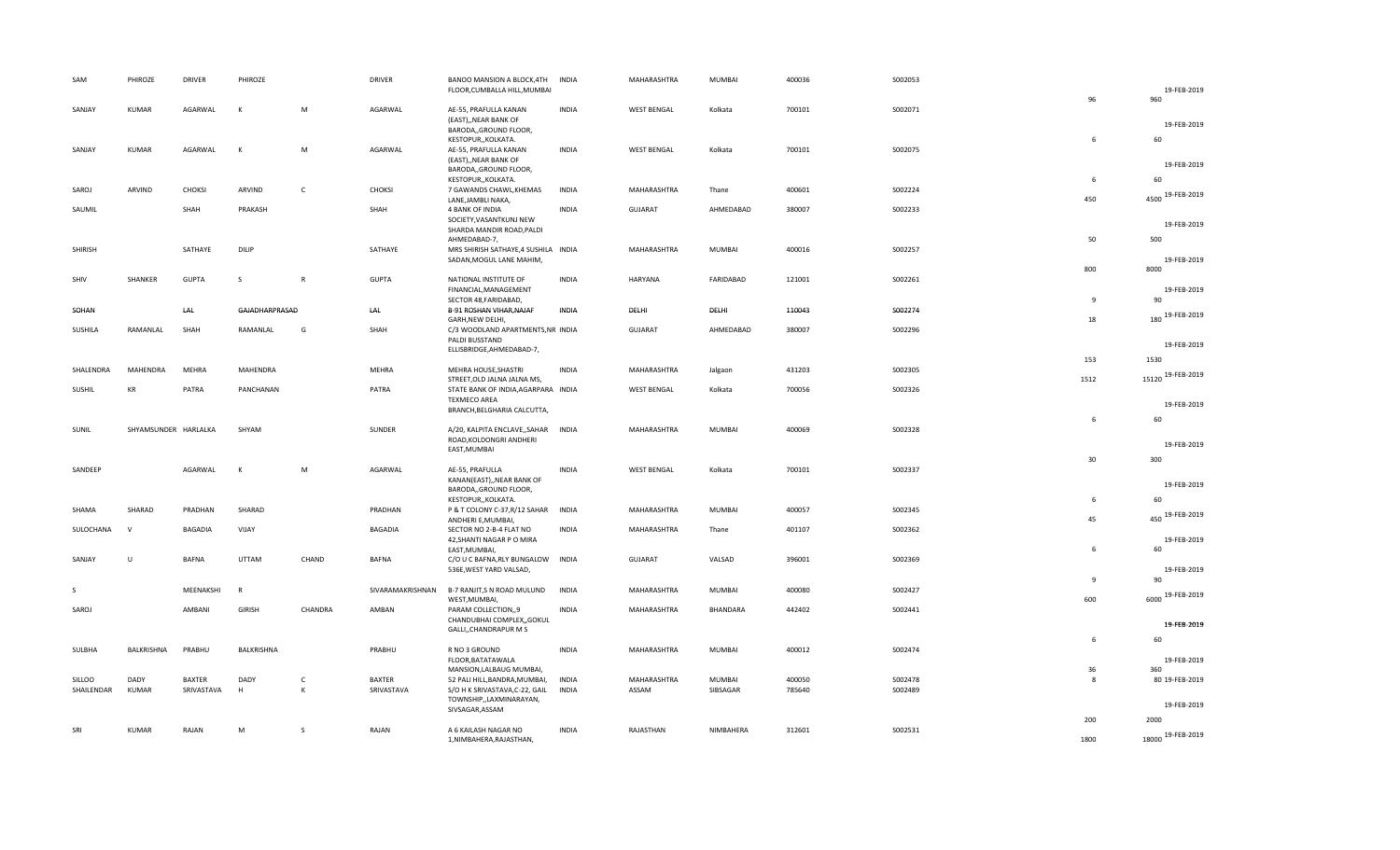| SAM        | PHIROZE      | <b>DRIVER</b>        | PHIROZE        |              | <b>DRIVER</b> | BANOO MANSION A BLOCK, 4TH                                    | <b>INDIA</b> | MAHARASHTRA        | MUMBAI        | 400036 | S002053 |              |                     |
|------------|--------------|----------------------|----------------|--------------|---------------|---------------------------------------------------------------|--------------|--------------------|---------------|--------|---------|--------------|---------------------|
|            |              |                      |                |              |               | FLOOR, CUMBALLA HILL, MUMBAI                                  |              |                    |               |        |         | 96           | 19-FEB-2019<br>960  |
| SANJAY     | <b>KUMAR</b> | AGARWAL              | К              | М            | AGARWAL       | AE-55, PRAFULLA KANAN                                         | <b>INDIA</b> | <b>WEST BENGAL</b> | Kolkata       | 700101 | S002071 |              |                     |
|            |              |                      |                |              |               | (EAST), NEAR BANK OF                                          |              |                    |               |        |         |              | 19-FEB-2019         |
|            |              |                      |                |              |               | BARODA,, GROUND FLOOR,<br>KESTOPUR,, KOLKATA.                 |              |                    |               |        |         | 6            | 60                  |
| SANJAY     | <b>KUMAR</b> | AGARWAL              | K              | М            | AGARWAL       | AE-55, PRAFULLA KANAN                                         | <b>INDIA</b> | <b>WEST BENGAL</b> | Kolkata       | 700101 | S002075 |              |                     |
|            |              |                      |                |              |               | (EAST),, NEAR BANK OF<br>BARODA,, GROUND FLOOR,               |              |                    |               |        |         |              | 19-FEB-2019         |
|            |              |                      |                |              |               | KESTOPUR,, KOLKATA.                                           |              |                    |               |        |         | 6            | 60                  |
| SAROJ      | ARVIND       | <b>CHOKSI</b>        | ARVIND         | C            | CHOKSI        | 7 GAWANDS CHAWL, KHEMAS<br>LANE, JAMBLI NAKA,                 | <b>INDIA</b> | MAHARASHTRA        | Thane         | 400601 | S002224 | 450          | 4500 19-FEB-2019    |
| SAUMIL     |              | SHAH                 | PRAKASH        |              | SHAH          | 4 BANK OF INDIA                                               | <b>INDIA</b> | GUJARAT            | AHMEDABAD     | 380007 | S002233 |              |                     |
|            |              |                      |                |              |               | SOCIETY, VASANTKUNJ NEW                                       |              |                    |               |        |         |              | 19-FEB-2019         |
|            |              |                      |                |              |               | SHARDA MANDIR ROAD, PALDI<br>AHMEDABAD-7,                     |              |                    |               |        |         | 50           | 500                 |
| SHIRISH    |              | SATHAYE              | DILIP          |              | SATHAYE       | MRS SHIRISH SATHAYE, 4 SUSHILA INDIA                          |              | MAHARASHTRA        | MUMBAI        | 400016 | S002257 |              |                     |
|            |              |                      |                |              |               | SADAN, MOGUL LANE MAHIM,                                      |              |                    |               |        |         | 800          | 19-FEB-2019<br>8000 |
| SHIV       | SHANKER      | <b>GUPTA</b>         | S              | $\mathsf{R}$ | <b>GUPTA</b>  | NATIONAL INSTITUTE OF                                         | <b>INDIA</b> | HARYANA            | FARIDABAD     | 121001 | S002261 |              |                     |
|            |              |                      |                |              |               | FINANCIAL, MANAGEMENT                                         |              |                    |               |        |         | $\mathbf{q}$ | 19-FEB-2019<br>90   |
| SOHAN      |              | LAL                  | GAJADHARPRASAD |              | LAL           | SECTOR 48, FARIDABAD,<br>B-91 ROSHAN VIHAR, NAJAF             | <b>INDIA</b> | DELHI              | DELHI         | 110043 | S002274 |              |                     |
|            |              |                      |                |              |               | GARH, NEW DELHI,                                              |              |                    |               |        |         | 18           | 180 19-FEB-2019     |
| SUSHILA    | RAMANLAL     | SHAH                 | RAMANLAL       | G            | SHAH          | C/3 WOODLAND APARTMENTS, NR INDIA<br>PALDI BUSSTAND           |              | <b>GUJARAT</b>     | AHMEDABAD     | 380007 | S002296 |              |                     |
|            |              |                      |                |              |               | ELLISBRIDGE, AHMEDABAD-7,                                     |              |                    |               |        |         |              | 19-FEB-2019         |
| SHALENDRA  | MAHENDRA     | <b>MEHRA</b>         | MAHENDRA       |              | MEHRA         | MEHRA HOUSE, SHASTRI                                          | <b>INDIA</b> | MAHARASHTRA        | Jalgaon       | 431203 | S002305 | 153          | 1530                |
|            |              |                      |                |              |               | STREET, OLD JALNA JALNA MS,                                   |              |                    |               |        |         | 1512         | 15120 19-FEB-2019   |
| SUSHIL     | KR           | PATRA                | PANCHANAN      |              | PATRA         | STATE BANK OF INDIA, AGARPARA INDIA                           |              | <b>WEST BENGAL</b> | Kolkata       | 700056 | S002326 |              |                     |
|            |              |                      |                |              |               | <b>TEXMECO AREA</b><br>BRANCH, BELGHARIA CALCUTTA,            |              |                    |               |        |         |              | 19-FEB-2019         |
|            |              |                      |                |              |               |                                                               |              |                    |               |        |         | 6            | 60                  |
| SUNIL      |              | SHYAMSUNDER HARLALKA | SHYAM          |              | SUNDER        | A/20, KALPITA ENCLAVE, SAHAR INDIA<br>ROAD, KOLDONGRI ANDHERI |              | MAHARASHTRA        | <b>MUMBAI</b> | 400069 | S002328 |              |                     |
|            |              |                      |                |              |               | EAST, MUMBAI                                                  |              |                    |               |        |         |              | 19-FEB-2019         |
| SANDEEP    |              | AGARWAL              | К              | М            | AGARWAL       | AE-55, PRAFULLA                                               | <b>INDIA</b> | <b>WEST BENGAL</b> | Kolkata       | 700101 | S002337 | 30           | 300                 |
|            |              |                      |                |              |               | KANAN(EAST),, NEAR BANK OF                                    |              |                    |               |        |         |              | 19-FEB-2019         |
|            |              |                      |                |              |               | BARODA,, GROUND FLOOR,<br>KESTOPUR,, KOLKATA.                 |              |                    |               |        |         | 6            | 60                  |
| SHAMA      | SHARAD       | PRADHAN              | SHARAD         |              | PRADHAN       | P & T COLONY C-37, R/12 SAHAR                                 | INDIA        | MAHARASHTRA        | MUMBAI        | 400057 | S002345 |              |                     |
|            |              |                      |                |              |               | ANDHERI E, MUMBAI,                                            |              |                    |               |        |         | 45           | 450 19-FEB-2019     |
| SULOCHANA  | <b>V</b>     | <b>BAGADIA</b>       | VIJAY          |              | BAGADIA       | SECTOR NO 2-B-4 FLAT NO<br>42, SHANTI NAGAR P O MIRA          | <b>INDIA</b> | MAHARASHTRA        | Thane         | 401107 | S002362 |              | 19-FEB-2019         |
|            |              |                      |                |              |               | EAST, MUMBAI,                                                 |              |                    |               |        |         | 6            | 60                  |
| SANJAY     | U            | BAFNA                | UTTAM          | CHAND        | BAFNA         | C/O U C BAFNA, RLY BUNGALOW INDIA<br>536E, WEST YARD VALSAD,  |              | <b>GUJARAT</b>     | VALSAD        | 396001 | S002369 |              | 19-FEB-2019         |
|            |              |                      |                |              |               |                                                               |              |                    |               |        |         | $\mathbf{q}$ | 90                  |
| S          |              | MEENAKSHI            | $\mathsf{R}$   |              |               | SIVARAMAKRISHNAN B-7 RANJIT,S N ROAD MULUND                   | <b>INDIA</b> | MAHARASHTRA        | MUMBAI        | 400080 | S002427 |              | 6000 19-FEB-2019    |
| SAROJ      |              | AMBANI               | <b>GIRISH</b>  | CHANDRA      | AMBAN         | WEST, MUMBAI,<br>PARAM COLLECTION,,9                          | <b>INDIA</b> | MAHARASHTRA        | BHANDARA      | 442402 | S002441 | 600          |                     |
|            |              |                      |                |              |               | CHANDUBHAI COMPLEX, GOKUL                                     |              |                    |               |        |         |              | 19-FEB-2019         |
|            |              |                      |                |              |               | GALLI,, CHANDRAPUR M S                                        |              |                    |               |        |         | 6            | 60                  |
| SULBHA     | BALKRISHNA   | PRABHU               | BALKRISHNA     |              | PRABHU        | R NO 3 GROUND                                                 | <b>INDIA</b> | MAHARASHTRA        | MUMBAI        | 400012 | S002474 |              |                     |
|            |              |                      |                |              |               | FLOOR, BATATAWALA<br>MANSION, LALBAUG MUMBAI,                 |              |                    |               |        |         | 36           | 19-FEB-2019<br>360  |
| SILLOO     | DADY         | BAXTER               | DADY           | C            | BAXTER        | 52 PALI HILL, BANDRA, MUMBAI,                                 | <b>INDIA</b> | MAHARASHTRA        | MUMBAI        | 400050 | S002478 | 8            | 80 19-FEB-2019      |
| SHAILENDAR | <b>KUMAR</b> | SRIVASTAVA           | H              | К            | SRIVASTAVA    | S/O H K SRIVASTAVA, C-22, GAIL                                | <b>INDIA</b> | ASSAM              | SIBSAGAR      | 785640 | S002489 |              |                     |
|            |              |                      |                |              |               | TOWNSHIP,,LAXMINARAYAN,<br>SIVSAGAR, ASSAM                    |              |                    |               |        |         |              | 19-FEB-2019         |
|            |              |                      |                |              |               |                                                               |              |                    |               |        |         | 200          | 2000                |
| SRI        | <b>KUMAR</b> | RAJAN                | M              | S            | RAJAN         | A 6 KAILASH NAGAR NO<br>1.NIMBAHERA.RAJASTHAN.                | <b>INDIA</b> | RAJASTHAN          | NIMBAHERA     | 312601 | S002531 | 1800         | 18000 19-FEB-2019   |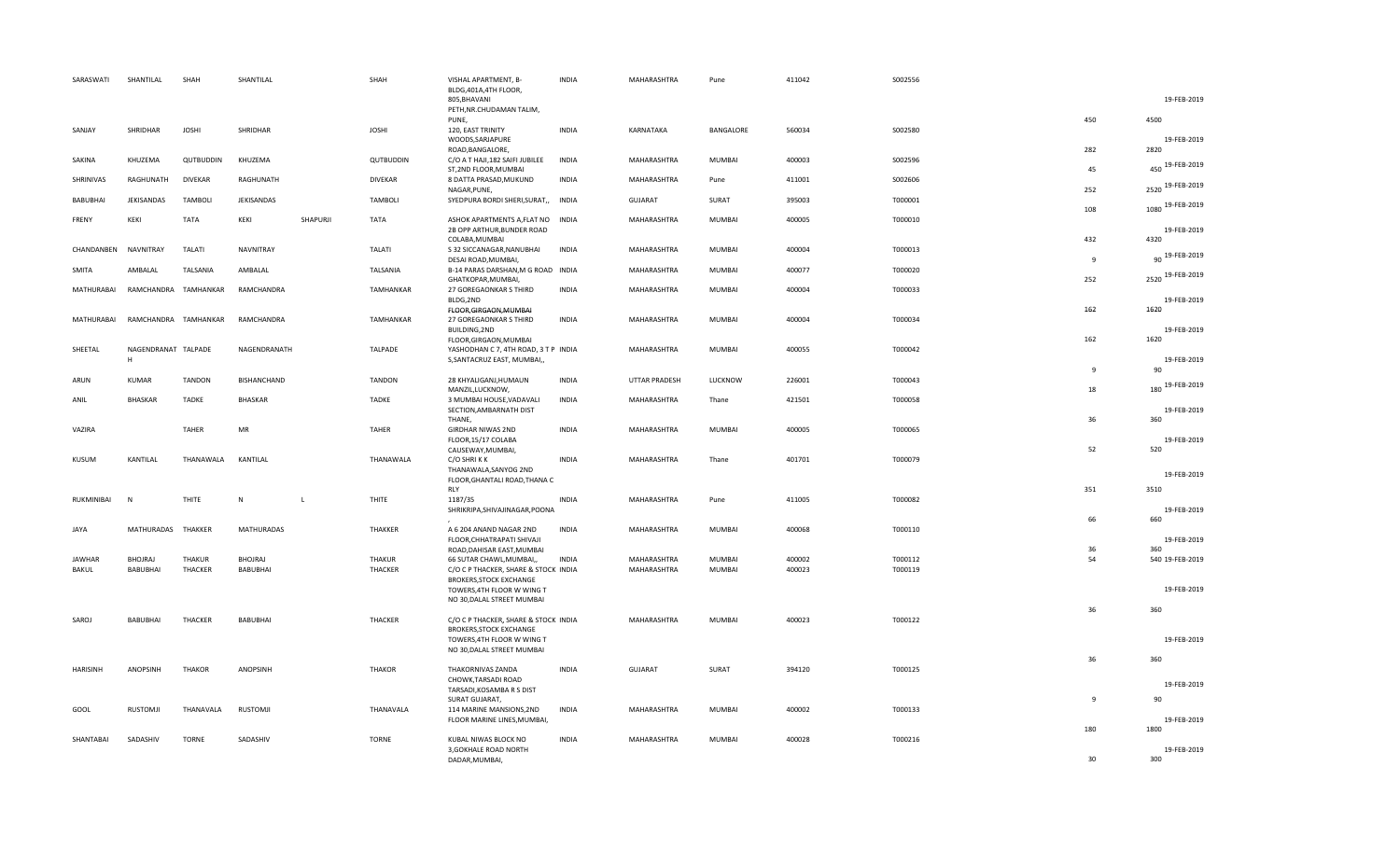| SARASWATI       | SHANTILAL                | SHAH           | SHANTILAL         |              | SHAH           | VISHAL APARTMENT, B-<br>BLDG, 401A, 4TH FLOOR,                                                                                     | <b>INDIA</b> | MAHARASHTRA        | Pune          | 411042 | S002556 |                     |                         |
|-----------------|--------------------------|----------------|-------------------|--------------|----------------|------------------------------------------------------------------------------------------------------------------------------------|--------------|--------------------|---------------|--------|---------|---------------------|-------------------------|
|                 |                          |                |                   |              |                | 805, BHAVANI<br>PETH, NR.CHUDAMAN TALIM,<br>PUNE,                                                                                  |              |                    |               |        |         | 450                 | 19-FEB-2019<br>4500     |
| SANJAY          | SHRIDHAR                 | <b>JOSHI</b>   | SHRIDHAR          |              | <b>JOSHI</b>   | 120, EAST TRINITY<br>WOODS, SARJAPURE                                                                                              | INDIA        | KARNATAKA          | BANGALORE     | 560034 | S002580 |                     | 19-FEB-2019             |
| SAKINA          | KHUZEMA                  | QUTBUDDIN      | KHUZEMA           |              | QUTBUDDIN      | ROAD, BANGALORE,<br>C/O A T HAJI, 182 SAIFI JUBILEE<br>ST,2ND FLOOR, MUMBAI                                                        | INDIA        | MAHARASHTRA        | <b>MUMBAI</b> | 400003 | S002596 | 282<br>45           | 2820<br>450 19-FEB-2019 |
| SHRINIVAS       | RAGHUNATH                | <b>DIVEKAR</b> | RAGHUNATH         |              | <b>DIVEKAR</b> | 8 DATTA PRASAD, MUKUND<br>NAGAR, PUNE,                                                                                             | <b>INDIA</b> | MAHARASHTRA        | Pune          | 411001 | S002606 | 252                 | 2520 19-FEB-2019        |
| BABUBHAI        | JEKISANDAS               | <b>TAMBOLI</b> | JEKISANDAS        |              | <b>TAMBOLI</b> | SYEDPURA BORDI SHERI, SURAT,,                                                                                                      | <b>INDIA</b> | GUJARAT            | SURAT         | 395003 | T000001 | 108                 | 1080 19-FEB-2019        |
| FRENY           | KEKI                     | <b>TATA</b>    | KEKI              | SHAPURJI     | <b>TATA</b>    | ASHOK APARTMENTS A, FLAT NO INDIA<br>2B OPP ARTHUR, BUNDER ROAD                                                                    |              | MAHARASHTRA        | <b>MUMBAI</b> | 400005 | T000010 |                     | 19-FEB-2019             |
| CHANDANBEN      | NAVNITRAY                | TALATI         | <b>NAVNITRAY</b>  |              | <b>TALATI</b>  | COLABA, MUMBAI<br>S 32 SICCANAGAR, NANUBHAI<br>DESAI ROAD, MUMBAI,                                                                 | <b>INDIA</b> | MAHARASHTRA        | <b>MUMBAI</b> | 400004 | T000013 | 432<br>$\mathbf{q}$ | 4320<br>90 19-FEB-2019  |
| SMITA           | AMBALAL                  | TALSANIA       | AMBALAL           |              | TALSANIA       | B-14 PARAS DARSHAN, M G ROAD INDIA<br>GHATKOPAR, MUMBAI,                                                                           |              | MAHARASHTRA        | <b>MUMBAI</b> | 400077 | T000020 | 252                 | 2520 19-FEB-2019        |
| MATHURABAI      | RAMCHANDRA TAMHANKAR     |                | RAMCHANDRA        |              | TAMHANKAR      | 27 GOREGAONKAR S THIRD<br>BLDG,2ND                                                                                                 | <b>INDIA</b> | MAHARASHTRA        | MUMBAI        | 400004 | T000033 |                     | 19-FEB-2019             |
| MATHURABAI      | RAMCHANDRA TAMHANKAR     |                | RAMCHANDRA        |              | TAMHANKAR      | FLOOR, GIRGAON, MUMBAI<br>27 GOREGAONKAR S THIRD<br>BUILDING, 2ND                                                                  | <b>INDIA</b> | MAHARASHTRA        | MUMBAI        | 400004 | T000034 | 162                 | 1620<br>19-FEB-2019     |
| SHEETAL         | NAGENDRANAT TALPADE<br>H |                | NAGENDRANATH      |              | TALPADE        | FLOOR, GIRGAON, MUMBAI<br>YASHODHAN C 7, 4TH ROAD, 3 T P INDIA<br>S, SANTACRUZ EAST, MUMBAI,,                                      |              | MAHARASHTRA        | MUMBAI        | 400055 | T000042 | 162                 | 1620<br>19-FEB-2019     |
| ARUN            | <b>KUMAR</b>             | <b>TANDON</b>  | BISHANCHAND       |              | <b>TANDON</b>  | 28 KHYALIGANJ, HUMAUN                                                                                                              | <b>INDIA</b> | UTTAR PRADESH      | LUCKNOW       | 226001 | T000043 | 9                   | 90<br>180 19-FEB-2019   |
| ANIL            | <b>BHASKAR</b>           | TADKE          | <b>BHASKAR</b>    |              | <b>TADKE</b>   | MANZIL, LUCKNOW,<br>3 MUMBAI HOUSE, VADAVALI<br>SECTION, AMBARNATH DIST                                                            | <b>INDIA</b> | MAHARASHTRA        | Thane         | 421501 | T000058 | 18                  | 19-FEB-2019             |
| VAZIRA          |                          | <b>TAHER</b>   | MR                |              | <b>TAHER</b>   | THANE,<br><b>GIRDHAR NIWAS 2ND</b><br>FLOOR, 15/17 COLABA                                                                          | <b>INDIA</b> | MAHARASHTRA        | <b>MUMBAI</b> | 400005 | T000065 | 36                  | 360<br>19-FEB-2019      |
| KUSUM           | KANTILAL                 | THANAWALA      | KANTILAL          |              | THANAWALA      | CAUSEWAY, MUMBAI,<br>C/O SHRIKK<br>THANAWALA, SANYOG 2ND<br>FLOOR, GHANTALI ROAD, THANA C                                          | INDIA        | MAHARASHTRA        | Thane         | 401701 | T000079 | 52                  | 520<br>19-FEB-2019      |
| RUKMINIBAI      | N                        | THITE          | $\mathsf{N}$      | $\mathsf{L}$ | THITE          | <b>RLY</b><br>1187/35<br>SHRIKRIPA, SHIVAJINAGAR, POONA                                                                            | <b>INDIA</b> | MAHARASHTRA        | Pune          | 411005 | T000082 | 351                 | 3510<br>19-FEB-2019     |
| JAYA            | MATHURADAS THAKKER       |                | <b>MATHURADAS</b> |              | THAKKER        | A 6 204 ANAND NAGAR 2ND                                                                                                            | <b>INDIA</b> | MAHARASHTRA        | MUMBAI        | 400068 | T000110 | 66                  | 660                     |
|                 |                          |                |                   |              |                | FLOOR, CHHATRAPATI SHIVAJI<br>ROAD, DAHISAR EAST, MUMBAI                                                                           |              |                    |               |        |         | 36                  | 19-FEB-2019<br>360      |
| <b>JAWHAR</b>   | <b>BHOJRAJ</b>           | <b>THAKUR</b>  | BHOJRAJ           |              | THAKUR         | 66 SUTAR CHAWL, MUMBAI,,                                                                                                           | <b>INDIA</b> | MAHARASHTRA        | MUMBAI        | 400002 | T000112 | 54                  | 540 19-FEB-2019         |
| BAKUL           | BABUBHAI                 | THACKER        | BABUBHAI          |              | THACKER        | C/O C P THACKER, SHARE & STOCK INDIA<br><b>BROKERS, STOCK EXCHANGE</b><br>TOWERS, 4TH FLOOR W WING T<br>NO 30, DALAL STREET MUMBAI |              | MAHARASHTRA        | MUMBAI        | 400023 | T000119 |                     | 19-FEB-2019             |
| SAROJ           | <b>BABUBHAI</b>          | THACKER        | <b>BABUBHAI</b>   |              | THACKER        | C/O C P THACKER, SHARE & STOCK INDIA<br>BROKERS, STOCK EXCHANGE<br>TOWERS, 4TH FLOOR W WING T<br>NO 30, DALAL STREET MUMBAI        |              | MAHARASHTRA        | MUMBAI        | 400023 | T000122 | 36                  | 360<br>19-FEB-2019      |
| <b>HARISINH</b> | ANOPSINH                 | <b>THAKOR</b>  | ANOPSINH          |              | <b>THAKOR</b>  | THAKORNIVAS ZANDA                                                                                                                  | INDIA        | GUJARAT            | SURAT         | 394120 | T000125 | 36                  | 360                     |
|                 |                          |                |                   |              |                | CHOWK, TARSADI ROAD<br>TARSADI, KOSAMBA R S DIST                                                                                   |              |                    |               |        |         |                     | 19-FEB-2019             |
| GOOL            | <b>RUSTOMJI</b>          | THANAVALA      | RUSTOMJI          |              | THANAVALA      | SURAT GUJARAT,<br>114 MARINE MANSIONS, 2ND                                                                                         | <b>INDIA</b> | MAHARASHTRA        | MUMBAI        | 400002 | T000133 | 9                   | 90                      |
|                 |                          |                |                   |              |                | FLOOR MARINE LINES, MUMBAI,                                                                                                        |              |                    |               |        |         | 180                 | 19-FEB-2019<br>1800     |
| SHANTABAI       | SADASHIV                 | <b>TORNE</b>   | SADASHIV          |              | <b>TORNE</b>   | KUBAL NIWAS BLOCK NO<br>3, GOKHALE ROAD NORTH<br>DADAR, MUMBAI,                                                                    | <b>INDIA</b> | <b>MAHARASHTRA</b> | <b>MUMBAI</b> | 400028 | T000216 | 30                  | 19-FEB-2019<br>300      |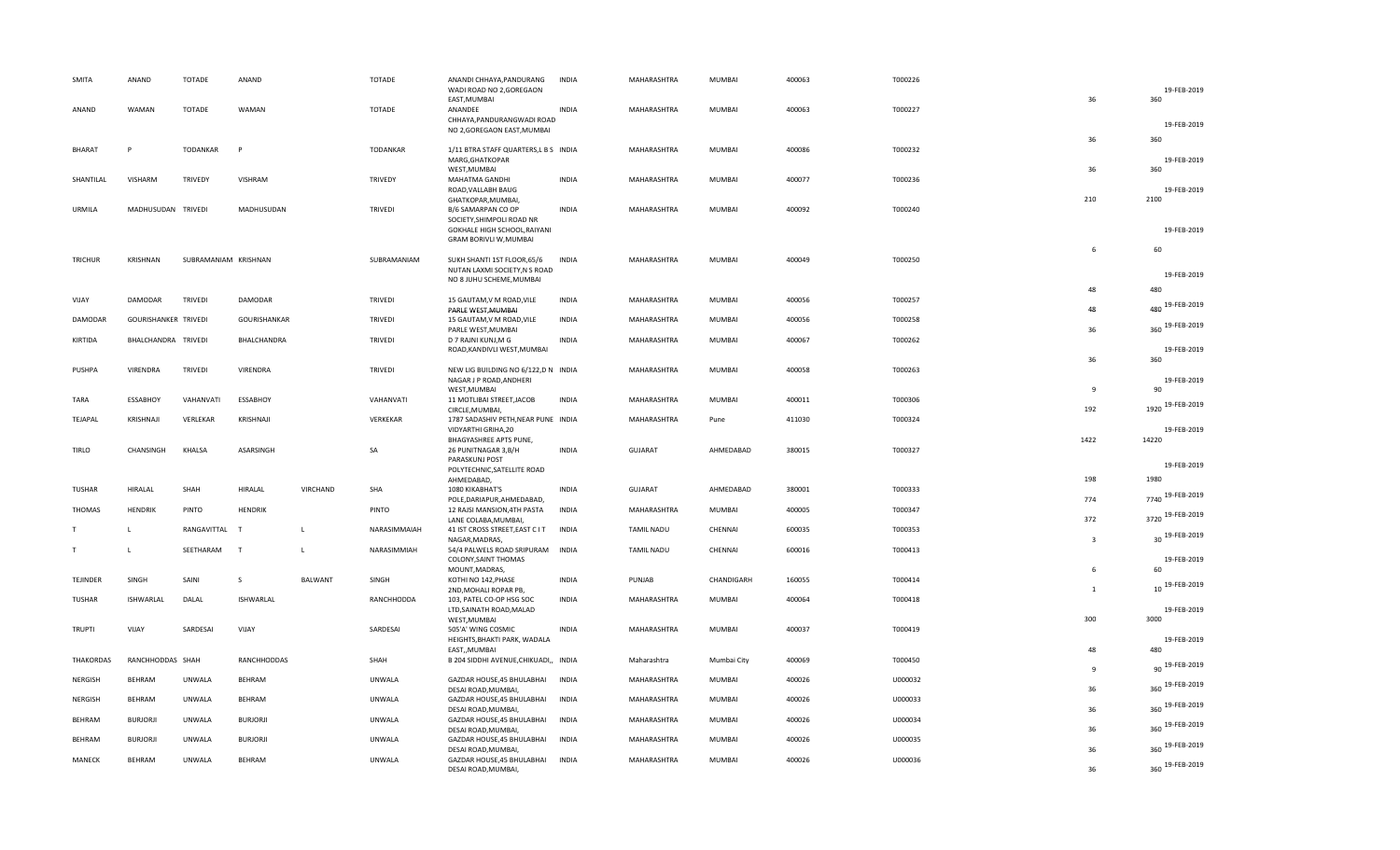| SMITA            | ANAND                | <b>TOTADE</b>        | ANAND            |                | <b>TOTADE</b>   | ANANDI CHHAYA, PANDURANG                                    | <b>INDIA</b> | MAHARASHTRA       | <b>MUMBAI</b> | 400063 | T000226 |                | 19-FEB-2019          |
|------------------|----------------------|----------------------|------------------|----------------|-----------------|-------------------------------------------------------------|--------------|-------------------|---------------|--------|---------|----------------|----------------------|
|                  |                      |                      |                  |                |                 | WADI ROAD NO 2,GOREGAON<br>EAST, MUMBAI                     |              |                   |               |        |         | 36             | 360                  |
| ANAND            | <b>WAMAN</b>         | <b>TOTADE</b>        | WAMAN            |                | <b>TOTADE</b>   | ANANDEE<br>CHHAYA, PANDURANGWADI ROAD                       | <b>INDIA</b> | MAHARASHTRA       | <b>MUMBAI</b> | 400063 | T000227 |                |                      |
|                  |                      |                      |                  |                |                 | NO 2, GOREGAON EAST, MUMBAI                                 |              |                   |               |        |         |                | 19-FEB-2019          |
| <b>BHARAT</b>    | p                    | <b>TODANKAR</b>      | P                |                | <b>TODANKAR</b> | 1/11 BTRA STAFF QUARTERS, L B S INDIA                       |              | MAHARASHTRA       | <b>MUMBAI</b> | 400086 | T000232 | 36             | 360                  |
|                  |                      |                      |                  |                |                 | MARG, GHATKOPAR<br>WEST, MUMBAI                             |              |                   |               |        |         | 36             | 19-FEB-2019<br>360   |
| SHANTILAL        | VISHARM              | <b>TRIVEDY</b>       | VISHRAM          |                | TRIVEDY         | MAHATMA GANDHI                                              | <b>INDIA</b> | MAHARASHTRA       | <b>MUMBAI</b> | 400077 | T000236 |                |                      |
|                  |                      |                      |                  |                |                 | ROAD, VALLABH BAUG<br>GHATKOPAR, MUMBAI,                    |              |                   |               |        |         | 210            | 19-FEB-2019<br>2100  |
| URMILA           | MADHUSUDAN TRIVEDI   |                      | MADHUSUDAN       |                | <b>TRIVEDI</b>  | B/6 SAMARPAN CO OP<br>SOCIETY, SHIMPOLI ROAD NR             | <b>INDIA</b> | MAHARASHTRA       | <b>MUMBAI</b> | 400092 | T000240 |                |                      |
|                  |                      |                      |                  |                |                 | GOKHALE HIGH SCHOOL, RAIYANI                                |              |                   |               |        |         |                | 19-FEB-2019          |
|                  |                      |                      |                  |                |                 | GRAM BORIVLI W, MUMBAI                                      |              |                   |               |        |         | 6              | 60                   |
| TRICHUR          | KRISHNAN             | SUBRAMANIAM KRISHNAN |                  |                | SUBRAMANIAM     | SUKH SHANTI 1ST FLOOR,65/6<br>NUTAN LAXMI SOCIETY, N S ROAD | <b>INDIA</b> | MAHARASHTRA       | <b>MUMBAI</b> | 400049 | T000250 |                |                      |
|                  |                      |                      |                  |                |                 | NO 8 JUHU SCHEME, MUMBAI                                    |              |                   |               |        |         |                | 19-FEB-2019          |
| VIJAY            | DAMODAR              | <b>TRIVEDI</b>       | DAMODAR          |                | <b>TRIVEDI</b>  | 15 GAUTAM, V M ROAD, VILE                                   | <b>INDIA</b> | MAHARASHTRA       | <b>MUMBAI</b> | 400056 | T000257 | 48             | 480                  |
| DAMODAR          | GOURISHANKER TRIVEDI |                      | GOURISHANKAR     |                | TRIVEDI         | PARLE WEST, MUMBAI<br>15 GAUTAM, V M ROAD, VILE             | <b>INDIA</b> | MAHARASHTRA       | <b>MUMBAI</b> | 400056 | T000258 | 48             | 480 19-FEB-2019      |
|                  |                      |                      |                  |                |                 | PARLE WEST, MUMBAI                                          |              |                   |               |        |         | 36             | 360 19-FEB-2019      |
| KIRTIDA          | BHALCHANDRA TRIVEDI  |                      | BHALCHANDRA      |                | <b>TRIVEDI</b>  | D 7 RAJNI KUNJ, M G<br>ROAD, KANDIVLI WEST, MUMBAI          | <b>INDIA</b> | MAHARASHTRA       | <b>MUMBAI</b> | 400067 | T000262 |                | 19-FEB-2019          |
| PUSHPA           | VIRENDRA             | <b>TRIVEDI</b>       | VIRENDRA         |                | TRIVEDI         | NEW LIG BUILDING NO 6/122,D N INDIA                         |              | MAHARASHTRA       | MUMBAI        | 400058 | T000263 | 36             | 360                  |
|                  |                      |                      |                  |                |                 | NAGAR J P ROAD, ANDHERI                                     |              |                   |               |        |         |                | 19-FEB-2019          |
| TARA             | <b>ESSABHOY</b>      | VAHANVATI            | ESSABHOY         |                | VAHANVATI       | WEST, MUMBAI<br>11 MOTLIBAI STREET, JACOB                   | <b>INDIA</b> | MAHARASHTRA       | <b>MUMBAI</b> | 400011 | T000306 | $\mathbf{q}$   | 90                   |
|                  |                      |                      |                  |                |                 | CIRCLE, MUMBAI,                                             |              |                   |               |        |         | 192            | 1920 19-FEB-2019     |
| TEJAPAL          | KRISHNAJI            | VERLEKAR             | KRISHNAJI        |                | VERKEKAR        | 1787 SADASHIV PETH, NEAR PUNE INDIA<br>VIDYARTHI GRIHA, 20  |              | MAHARASHTRA       | Pune          | 411030 | T000324 |                | 19-FEB-2019          |
| <b>TIRLO</b>     | CHANSINGH            | KHALSA               | ASARSINGH        |                | SA              | BHAGYASHREE APTS PUNE,<br>26 PUNITNAGAR 3, B/H              | <b>INDIA</b> | <b>GUJARAT</b>    | AHMEDABAD     | 380015 | T000327 | 1422           | 14220                |
|                  |                      |                      |                  |                |                 | PARASKUNJ POST                                              |              |                   |               |        |         |                | 19-FEB-2019          |
|                  |                      |                      |                  |                |                 | POLYTECHNIC, SATELLITE ROAD<br>AHMEDABAD,                   |              |                   |               |        |         | 198            | 1980                 |
| <b>TUSHAR</b>    | HIRALAL              | SHAH                 | HIRALAL          | VIRCHAND       | SHA             | 1080 KIKABHAT'S<br>POLE, DARIAPUR, AHMEDABAD,               | <b>INDIA</b> | GUJARAT           | AHMEDABAD     | 380001 | T000333 | 774            | 7740 19-FEB-2019     |
| <b>THOMAS</b>    | <b>HENDRIK</b>       | PINTO                | HENDRIK          |                | PINTO           | 12 RAJSI MANSION, 4TH PASTA                                 | <b>INDIA</b> | MAHARASHTRA       | <b>MUMBAI</b> | 400005 | T000347 |                | 3720 19-FEB-2019     |
| T                | L.                   | RANGAVITTAL          | $\mathbf{T}$     | <b>L</b>       | NARASIMMAIAH    | LANE COLABA, MUMBAI,<br>41 IST CROSS STREET, EAST C IT      | <b>INDIA</b> | <b>TAMIL NADU</b> | CHENNAI       | 600035 | T000353 | 372            | 30 19-FEB-2019       |
| T                |                      | SEETHARAM            | T                | $\mathsf{L}$   | NARASIMMIAH     | NAGAR, MADRAS,<br>54/4 PALWELS ROAD SRIPURAM                | INDIA        | <b>TAMIL NADU</b> | CHENNAI       | 600016 | T000413 | $\overline{3}$ |                      |
|                  |                      |                      |                  |                |                 | COLONY, SAINT THOMAS                                        |              |                   |               |        |         |                | 19-FEB-2019          |
| TEJINDER         | SINGH                | SAINI                | -S               | <b>BALWANT</b> | SINGH           | MOUNT, MADRAS,<br>KOTHI NO 142, PHASE                       | <b>INDIA</b> | PUNJAB            | CHANDIGARH    | 160055 | T000414 | 6              | 60<br>10 19-FEB-2019 |
| <b>TUSHAR</b>    | ISHWARLAL            | DALAL                | <b>ISHWARLAL</b> |                | RANCHHODDA      | 2ND, MOHALI ROPAR PB,<br>103, PATEL CO-OP HSG SOC           | <b>INDIA</b> | MAHARASHTRA       | MUMBAI        | 400064 | T000418 | $\overline{1}$ |                      |
|                  |                      |                      |                  |                |                 | LTD, SAINATH ROAD, MALAD                                    |              |                   |               |        |         |                | 19-FEB-2019          |
| <b>TRUPTI</b>    | VIJAY                | SARDESAI             | VIJAY            |                | SARDESAI        | WEST, MUMBAI<br>505'A' WING COSMIC                          | <b>INDIA</b> | MAHARASHTRA       | MUMBAI        | 400037 | T000419 | 300            | 3000                 |
|                  |                      |                      |                  |                |                 | HEIGHTS, BHAKTI PARK, WADALA<br>EAST,, MUMBAI               |              |                   |               |        |         | 48             | 19-FEB-2019<br>480   |
| <b>THAKORDAS</b> | RANCHHODDAS SHAH     |                      | RANCHHODDAS      |                | SHAH            | B 204 SIDDHI AVENUE, CHIKUADI,, INDIA                       |              | Maharashtra       | Mumbai City   | 400069 | T000450 |                | 90 19-FEB-2019       |
| <b>NERGISH</b>   | BEHRAM               | UNWALA               | BEHRAM           |                | <b>UNWALA</b>   | GAZDAR HOUSE, 45 BHULABHAI                                  | <b>INDIA</b> | MAHARASHTRA       | MUMBAI        | 400026 | U000032 | $\mathbf{q}$   |                      |
| NERGISH          | <b>BEHRAM</b>        | UNWALA               | BEHRAM           |                | <b>UNWALA</b>   | DESAI ROAD, MUMBAI,<br>GAZDAR HOUSE, 45 BHULABHAI           | <b>INDIA</b> | MAHARASHTRA       | <b>MUMBAI</b> | 400026 | U000033 | 36             | 360 19-FEB-2019      |
|                  |                      |                      |                  |                |                 | DESAI ROAD, MUMBAI,                                         |              |                   |               |        |         | 36             | 360 19-FEB-2019      |
| BEHRAM           | <b>BURJORJI</b>      | UNWALA               | <b>BURJORJI</b>  |                | <b>UNWALA</b>   | GAZDAR HOUSE, 45 BHULABHAI<br>DESAI ROAD, MUMBAI,           | <b>INDIA</b> | MAHARASHTRA       | <b>MUMBAI</b> | 400026 | U000034 | 36             | 360 19-FEB-2019      |
| BEHRAM           | <b>BURJORJI</b>      | UNWALA               | <b>BURJORJI</b>  |                | <b>UNWALA</b>   | GAZDAR HOUSE, 45 BHULABHAI<br>DESAI ROAD, MUMBAI,           | <b>INDIA</b> | MAHARASHTRA       | <b>MUMBAI</b> | 400026 | U000035 | 36             | 360 19-FEB-2019      |
| MANECK           | <b>BEHRAM</b>        | UNWALA               | BEHRAM           |                | UNWALA          | GAZDAR HOUSE, 45 BHULABHAI                                  | <b>INDIA</b> | MAHARASHTRA       | MUMBAI        | 400026 | U000036 |                | 360 19-FEB-2019      |
|                  |                      |                      |                  |                |                 | DESAI ROAD, MUMBAI,                                         |              |                   |               |        |         | 36             |                      |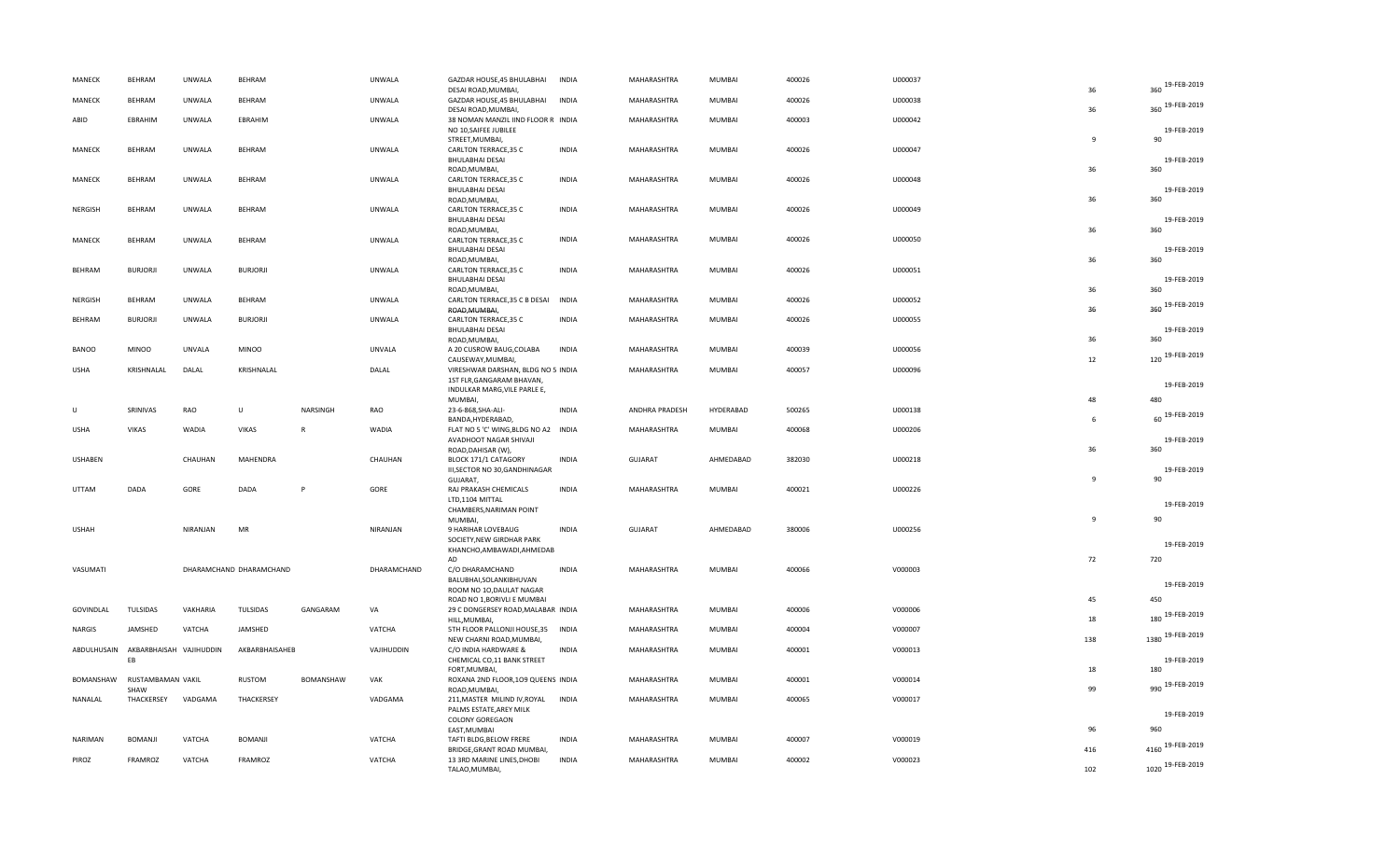| MANECK         | <b>BEHRAM</b>                       | <b>UNWALA</b> | BEHRAM                  |                  | UNWALA        | GAZDAR HOUSE, 45 BHULABHAI<br>DESAI ROAD, MUMBAI,                                               | <b>INDIA</b> | MAHARASHTRA    | MUMBAI        | 400026 | U000037 | 36           | 19-FEB-2019<br>360     |
|----------------|-------------------------------------|---------------|-------------------------|------------------|---------------|-------------------------------------------------------------------------------------------------|--------------|----------------|---------------|--------|---------|--------------|------------------------|
| MANECK         | <b>BEHRAM</b>                       | <b>UNWALA</b> | BEHRAM                  |                  | UNWALA        | GAZDAR HOUSE, 45 BHULABHAI<br>DESAI ROAD, MUMBAI,                                               | <b>INDIA</b> | MAHARASHTRA    | MUMBAI        | 400026 | U000038 | 36           | 360 19-FEB-2019        |
| ABID           | EBRAHIM                             | <b>UNWALA</b> | <b>FBRAHIM</b>          |                  | UNWALA        | 38 NOMAN MANZIL IIND FLOOR R INDIA<br>NO 10, SAIFEE JUBILEE                                     |              | MAHARASHTRA    | MUMBAI        | 400003 | U000042 |              | 19-FEB-2019            |
| MANECK         | <b>BEHRAM</b>                       | UNWALA        | BEHRAM                  |                  | UNWALA        | STREET, MUMBAI,<br>CARLTON TERRACE, 35 C<br><b>BHULABHAI DESAI</b>                              | INDIA        | MAHARASHTRA    | MUMBAI        | 400026 | U000047 | $\mathbf{q}$ | 90<br>19-FEB-2019      |
| MANECK         | <b>BEHRAM</b>                       | <b>UNWALA</b> | BEHRAM                  |                  | UNWALA        | ROAD, MUMBAI,<br>CARLTON TERRACE, 35 C<br><b>BHULABHAI DESAI</b>                                | <b>INDIA</b> | MAHARASHTRA    | MUMBAI        | 400026 | U000048 | 36           | 360<br>19-FEB-2019     |
| <b>NERGISH</b> | <b>BEHRAM</b>                       | <b>UNWALA</b> | BEHRAM                  |                  | <b>UNWALA</b> | ROAD, MUMBAI,<br>CARLTON TERRACE, 35 C<br><b>BHULABHAI DESAI</b>                                | <b>INDIA</b> | MAHARASHTRA    | MUMBAI        | 400026 | U000049 | 36           | 360<br>19-FEB-2019     |
| MANECK         | <b>BEHRAM</b>                       | <b>UNWALA</b> | BEHRAM                  |                  | UNWALA        | ROAD, MUMBAI,<br>CARLTON TERRACE, 35 C<br><b>BHULABHAI DESAI</b>                                | <b>INDIA</b> | MAHARASHTRA    | MUMBAI        | 400026 | U000050 | 36           | 360<br>19-FEB-2019     |
| BEHRAM         | <b>BURJORJI</b>                     | UNWALA        | <b>BURJORJI</b>         |                  | UNWALA        | ROAD, MUMBAI,<br>CARLTON TERRACE, 35 C<br><b>BHULABHAI DESAI</b>                                | <b>INDIA</b> | MAHARASHTRA    | MUMBAI        | 400026 | U000051 | 36<br>36     | 360<br>19-FEB-2019     |
| NERGISH        | <b>BEHRAM</b>                       | <b>UNWALA</b> | BEHRAM                  |                  | <b>UNWALA</b> | ROAD, MUMBAI,<br>CARLTON TERRACE, 35 C B DESAI INDIA<br>ROAD, MUMBAI,                           |              | MAHARASHTRA    | MUMBAI        | 400026 | U000052 | 36           | 360<br>360 19-FEB-2019 |
| <b>BEHRAM</b>  | <b>BURJORJI</b>                     | <b>UNWALA</b> | <b>BURJORJI</b>         |                  | UNWALA        | CARLTON TERRACE, 35 C<br><b>BHULABHAI DESAI</b>                                                 | INDIA        | MAHARASHTRA    | MUMBAI        | 400026 | U000055 | 36           | 19-FEB-2019<br>360     |
| <b>BANOO</b>   | <b>MINOO</b>                        | UNVALA        | <b>MINOO</b>            |                  | UNVALA        | ROAD, MUMBAI,<br>A 20 CUSROW BAUG, COLABA<br>CAUSEWAY, MUMBAI,                                  | <b>INDIA</b> | MAHARASHTRA    | MUMBAI        | 400039 | U000056 | 12           | 120 19-FEB-2019        |
| <b>USHA</b>    | KRISHNALAL                          | DALAL         | KRISHNALAL              |                  | DALAL         | VIRESHWAR DARSHAN, BLDG NO 5 INDIA<br>1ST FLR, GANGARAM BHAVAN,<br>INDULKAR MARG, VILE PARLE E, |              | MAHARASHTRA    | MUMBAI        | 400057 | U000096 |              | 19-FEB-2019            |
| U              | SRINIVAS                            | RAO           | $\sf U$                 | NARSINGH         | RAO           | MUMBAI,<br>23-6-868, SHA-ALI-                                                                   | <b>INDIA</b> | ANDHRA PRADESH | HYDERABAD     | 500265 | U000138 | 48           | 480                    |
| USHA           | <b>VIKAS</b>                        | <b>WADIA</b>  | <b>VIKAS</b>            | $\mathsf{R}$     | WADIA         | BANDA, HYDERABAD,<br>FLAT NO 5 'C' WING, BLDG NO A2 INDIA                                       |              | MAHARASHTRA    | MUMBAI        | 400068 | U000206 | 6            | 60 19-FEB-2019         |
|                |                                     |               |                         |                  |               | AVADHOOT NAGAR SHIVAJI<br>ROAD, DAHISAR (W),                                                    |              |                |               |        |         | 36           | 19-FEB-2019<br>360     |
| <b>USHABEN</b> |                                     | CHAUHAN       | MAHENDRA                |                  | CHAUHAN       | BLOCK 171/1 CATAGORY<br>III, SECTOR NO 30, GANDHINAGAR<br>GUJARAT,                              | <b>INDIA</b> | GUJARAT        | AHMEDABAD     | 382030 | U000218 | $\mathbf{q}$ | 19-FEB-2019<br>90      |
| <b>UTTAM</b>   | DADA                                | GORE          | DADA                    | P                | GORE          | RAJ PRAKASH CHEMICALS<br>LTD,1104 MITTAL<br>CHAMBERS, NARIMAN POINT                             | <b>INDIA</b> | MAHARASHTRA    | MUMBAI        | 400021 | U000226 |              | 19-FEB-2019            |
| <b>USHAH</b>   |                                     | NIRANJAN      | MR                      |                  | NIRANJAN      | MUMBAI,<br>9 HARIHAR LOVEBAUG<br>SOCIETY, NEW GIRDHAR PARK                                      | INDIA        | GUJARAT        | AHMEDABAD     | 380006 | U000256 | $\mathbf{q}$ | 90<br>19-FEB-2019      |
|                |                                     |               |                         |                  |               | KHANCHO, AMBAWADI, AHMEDAB<br>AD.                                                               |              |                |               |        |         | 72           | 720                    |
| VASUMATI       |                                     |               | DHARAMCHAND DHARAMCHAND |                  | DHARAMCHAND   | C/O DHARAMCHAND<br>BALUBHAI, SOLANKIBHUVAN<br>ROOM NO 10, DAULAT NAGAR                          | <b>INDIA</b> | MAHARASHTRA    | MUMBAI        | 400066 | V000003 |              | 19-FEB-2019            |
| GOVINDLAL      | <b>TULSIDAS</b>                     | VAKHARIA      | <b>TULSIDAS</b>         | GANGARAM         | VA            | ROAD NO 1, BORIVLI E MUMBAI<br>29 C DONGERSEY ROAD, MALABAR INDIA                               |              | MAHARASHTRA    | MUMBAI        | 400006 | V000006 | 45<br>18     | 450<br>180 19-FEB-2019 |
| <b>NARGIS</b>  | JAMSHED                             | VATCHA        | JAMSHED                 |                  | VATCHA        | HILL, MUMBAI,<br>5TH FLOOR PALLONJI HOUSE, 35<br>NEW CHARNI ROAD, MUMBAI,                       | INDIA        | MAHARASHTRA    | MUMBAI        | 400004 | V000007 | 138          | 1380 19-FEB-2019       |
| ABDULHUSAIN    | AKBARBHAISAH VAJIHUDDIN<br>EB       |               | AKBARBHAISAHEB          |                  | VAJIHUDDIN    | C/O INDIA HARDWARE &<br>CHEMICAL CO,11 BANK STREET<br>FORT, MUMBAI,                             | <b>INDIA</b> | MAHARASHTRA    | MUMBAI        | 400001 | V000013 | 18           | 19-FEB-2019<br>180     |
|                | BOMANSHAW RUSTAMBAMAN VAKIL<br>SHAW |               | RUSTOM                  | <b>BOMANSHAW</b> | <b>VAK</b>    | ROXANA 2ND FLOOR, 109 QUEENS INDIA<br>ROAD, MUMBAI,                                             |              | MAHARASHTRA    | MUMBAI        | 400001 | V000014 | 99           | 990 19-FEB-2019        |
| NANALAL        | THACKERSEY                          | VADGAMA       | THACKERSEY              |                  | VADGAMA       | 211, MASTER MILIND IV, ROYAL<br>PALMS ESTATE, AREY MILK                                         | <b>INDIA</b> | MAHARASHTRA    | <b>MUMBAI</b> | 400065 | V000017 |              | 19-FEB-2019            |
|                |                                     |               |                         |                  |               | COLONY GOREGAON<br>EAST, MUMBAI                                                                 |              |                |               |        |         | 96           | 960                    |
| NARIMAN        | <b>BOMANJI</b>                      | VATCHA        | <b>BOMANJI</b>          |                  | VATCHA        | TAFTI BLDG, BELOW FRERE<br>BRIDGE, GRANT ROAD MUMBAI,                                           | <b>INDIA</b> | MAHARASHTRA    | MUMBAI        | 400007 | V000019 | 416          | 4160 19-FEB-2019       |
| PIROZ          | FRAMROZ                             | VATCHA        | FRAMROZ                 |                  | VATCHA        | 13 3RD MARINE LINES, DHOBI<br>TALAO, MUMBAI,                                                    | <b>INDIA</b> | MAHARASHTRA    | MUMBAI        | 400002 | V000023 | 102          | 1020 19-FEB-2019       |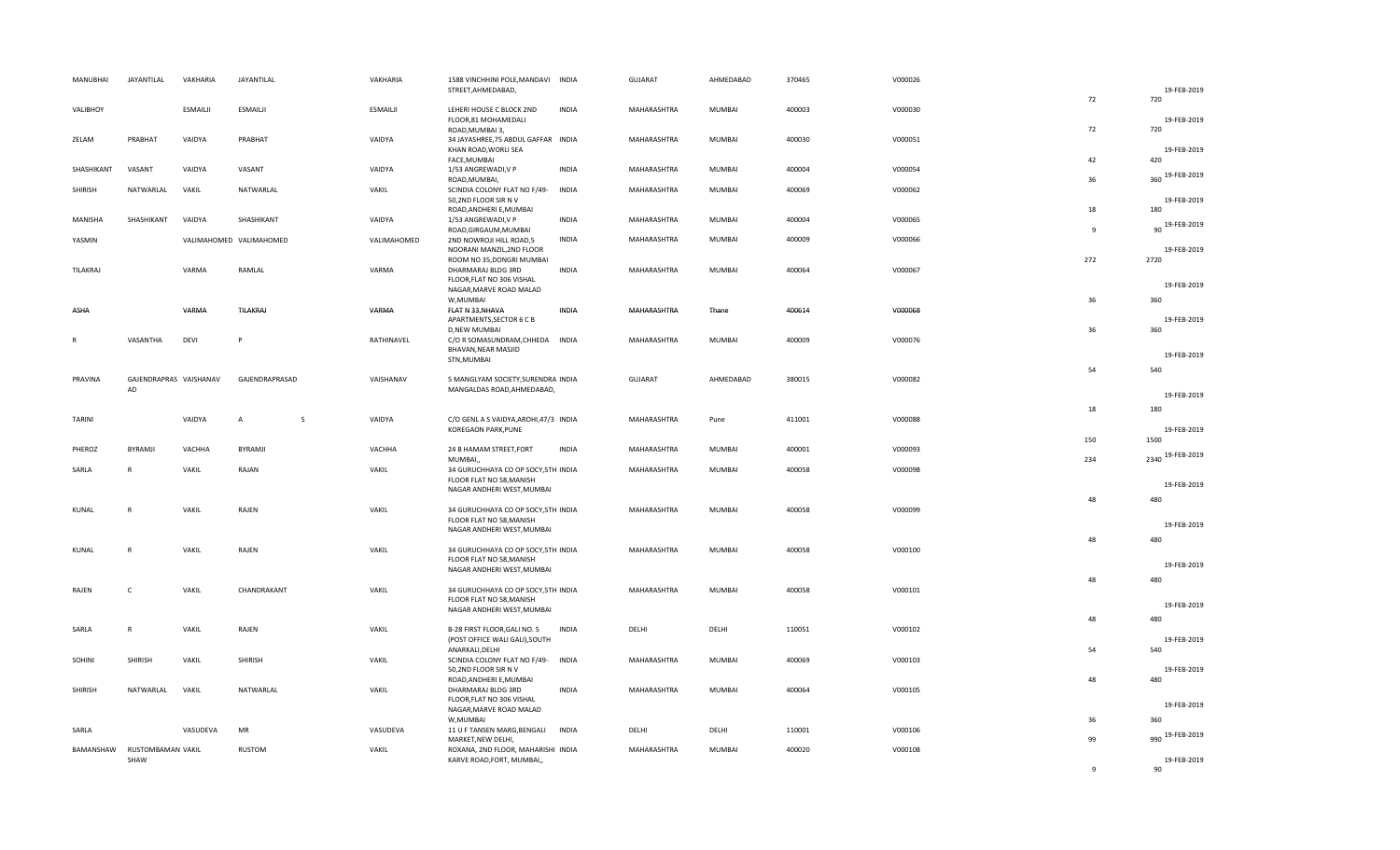| MANUBHAI   | JAYANTILAL                          | VAKHARIA        | JAYANTILAL              | VAKHARIA        | 1588 VINCHHINI POLE, MANDAVI                                     | <b>INDIA</b> | GUJARAT     | AHMEDABAD     | 370465 | V000026 |              |                     |
|------------|-------------------------------------|-----------------|-------------------------|-----------------|------------------------------------------------------------------|--------------|-------------|---------------|--------|---------|--------------|---------------------|
|            |                                     |                 |                         |                 | STREET, AHMEDABAD,                                               |              |             |               |        |         | 72           | 19-FEB-2019<br>720  |
| VALIBHOY   |                                     | <b>ESMAILII</b> | <b>ESMAILII</b>         | <b>ESMAILII</b> | LEHERI HOUSE C BLOCK 2ND                                         | <b>INDIA</b> | MAHARASHTRA | MUMBAI        | 400003 | V000030 |              |                     |
|            |                                     |                 |                         |                 | FLOOR,81 MOHAMEDALI<br>ROAD, MUMBAI 3,                           |              |             |               |        |         | 72           | 19-FEB-2019<br>720  |
| ZELAM      | PRABHAT                             | VAIDYA          | PRABHAT                 | VAIDYA          | 34 JAYASHREE, 75 ABDUL GAFFAR INDIA                              |              | MAHARASHTRA | MUMBAI        | 400030 | V000051 |              |                     |
|            |                                     |                 |                         |                 | KHAN ROAD, WORLI SEA<br>FACE, MUMBAI                             |              |             |               |        |         | 42           | 19-FEB-2019<br>420  |
| SHASHIKANT | VASANT                              | VAIDYA          | VASANT                  | VAIDYA          | 1/53 ANGREWADI, V P                                              | <b>INDIA</b> | MAHARASHTRA | MUMBAI        | 400004 | V000054 |              |                     |
|            |                                     | VAKIL           |                         |                 | ROAD, MUMBAI,                                                    |              | MAHARASHTRA |               |        |         | 36           | 360 19-FEB-2019     |
| SHIRISH    | NATWARLAL                           |                 | NATWARLAL               | VAKIL           | SCINDIA COLONY FLAT NO F/49-<br>50,2ND FLOOR SIR N V             | <b>INDIA</b> |             | <b>MUMBAI</b> | 400069 | V000062 |              | 19-FEB-2019         |
|            |                                     |                 |                         |                 | ROAD, ANDHERI E, MUMBAI                                          |              |             |               |        |         | 18           | 180                 |
| MANISHA    | SHASHIKANT                          | VAIDYA          | SHASHIKANT              | VAIDYA          | 1/53 ANGREWADI, V P<br>ROAD, GIRGAUM, MUMBAI                     | <b>INDIA</b> | MAHARASHTRA | <b>MUMBAI</b> | 400004 | V000065 | $\mathbf{q}$ | 90 19-FEB-2019      |
| YASMIN     |                                     |                 | VALIMAHOMED VALIMAHOMED | VALIMAHOMED     | 2ND NOWROJI HILL ROAD,5                                          | <b>INDIA</b> | MAHARASHTRA | MUMBAI        | 400009 | V000066 |              |                     |
|            |                                     |                 |                         |                 | NOORANI MANZIL, 2ND FLOOR<br>ROOM NO 35, DONGRI MUMBAI           |              |             |               |        |         | 272          | 19-FEB-2019<br>2720 |
| TILAKRAJ   |                                     | VARMA           | RAMLAL                  | VARMA           | DHARMARAJ BLDG 3RD                                               | <b>INDIA</b> | MAHARASHTRA | <b>MUMBAI</b> | 400064 | V000067 |              |                     |
|            |                                     |                 |                         |                 | FLOOR, FLAT NO 306 VISHAL<br>NAGAR, MARVE ROAD MALAD             |              |             |               |        |         |              | 19-FEB-2019         |
|            |                                     |                 |                         |                 | W, MUMBAI                                                        |              |             |               |        |         | 36           | 360                 |
| ASHA       |                                     | VARMA           | TILAKRAJ                | VARMA           | FLAT N 33, NHAVA<br>APARTMENTS, SECTOR 6 C B                     | INDIA        | MAHARASHTRA | Thane         | 400614 | V000068 |              | 19-FEB-2019         |
|            |                                     |                 |                         |                 | <b>D,NEW MUMBAI</b>                                              |              |             |               |        |         | 36           | 360                 |
| R          | VASANTHA                            | DEVI            | P                       | RATHINAVEL      | C/O R SOMASUNDRAM, CHHEDA<br>BHAVAN, NEAR MASJID                 | <b>INDIA</b> | MAHARASHTRA | <b>MUMBAI</b> | 400009 | V000076 |              |                     |
|            |                                     |                 |                         |                 | STN, MUMBAI                                                      |              |             |               |        |         |              | 19-FEB-2019         |
|            |                                     |                 |                         |                 |                                                                  |              |             |               |        |         | 54           | 540                 |
| PRAVINA    | GAJENDRAPRAS VAISHANAV<br>AD        |                 | GAJENDRAPRASAD          | VAISHANAV       | 5 MANGLYAM SOCIETY, SURENDRA INDIA<br>MANGALDAS ROAD, AHMEDABAD, |              | GUJARAT     | AHMEDABAD     | 380015 | V000082 |              |                     |
|            |                                     |                 |                         |                 |                                                                  |              |             |               |        |         |              | 19-FEB-2019         |
| TARINI     |                                     | VAIDYA          | S<br>A                  | VAIDYA          | C/O GENL A S VAIDYA, AROHI, 47/3 INDIA                           |              | MAHARASHTRA | Pune          | 411001 | V000088 | 18           | 180                 |
|            |                                     |                 |                         |                 | KOREGAON PARK, PUNE                                              |              |             |               |        |         |              | 19-FEB-2019         |
| PHEROZ     | BYRAMJI                             | VACHHA          | BYRAMJI                 | VACHHA          | 24 B HAMAM STREET, FORT                                          | <b>INDIA</b> | MAHARASHTRA | <b>MUMBAI</b> | 400001 | V000093 | 150          | 1500                |
|            |                                     |                 |                         |                 | MUMBAI,                                                          |              |             |               |        |         | 234          | 2340 19-FEB-2019    |
| SARLA      | R                                   | VAKIL           | RAJAN                   | VAKIL           | 34 GURUCHHAYA CO OP SOCY, 5TH INDIA<br>FLOOR FLAT NO 58, MANISH  |              | MAHARASHTRA | <b>MUMBAI</b> | 400058 | V000098 |              |                     |
|            |                                     |                 |                         |                 | NAGAR ANDHERI WEST, MUMBAI                                       |              |             |               |        |         |              | 19-FEB-2019         |
| KUNAL      | ${\sf R}$                           | VAKIL           | RAJEN                   | VAKIL           | 34 GURUCHHAYA CO OP SOCY, 5TH INDIA                              |              | MAHARASHTRA | <b>MUMBAI</b> | 400058 | V000099 | 48           | 480                 |
|            |                                     |                 |                         |                 | FLOOR FLAT NO 58, MANISH                                         |              |             |               |        |         |              | 19-FEB-2019         |
|            |                                     |                 |                         |                 | NAGAR ANDHERI WEST, MUMBAI                                       |              |             |               |        |         | 48           | 480                 |
| KUNAL      | $\mathsf{R}$                        | VAKIL           | RAJEN                   | VAKIL           | 34 GURUCHHAYA CO OP SOCY, 5TH INDIA                              |              | MAHARASHTRA | <b>MUMBAI</b> | 400058 | V000100 |              |                     |
|            |                                     |                 |                         |                 | FLOOR FLAT NO 58, MANISH<br>NAGAR ANDHERI WEST, MUMBAI           |              |             |               |        |         |              | 19-FEB-2019         |
|            |                                     |                 |                         |                 |                                                                  |              |             |               |        |         | 48           | 480                 |
| RAJEN      | $\mathsf{C}$                        | VAKIL           | CHANDRAKANT             | VAKIL           | 34 GURUCHHAYA CO OP SOCY, 5TH INDIA<br>FLOOR FLAT NO 58, MANISH  |              | MAHARASHTRA | <b>MUMBAI</b> | 400058 | V000101 |              |                     |
|            |                                     |                 |                         |                 | NAGAR ANDHERI WEST, MUMBAI                                       |              |             |               |        |         |              | 19-FEB-2019         |
| SARLA      | $\mathsf{R}$                        | VAKIL           | RAJEN                   | VAKIL           | B-28 FIRST FLOOR, GALI NO. 5                                     | <b>INDIA</b> | DELHI       | DELHI         | 110051 | V000102 | 48           | 480                 |
|            |                                     |                 |                         |                 | (POST OFFICE WALI GALI), SOUTH                                   |              |             |               |        |         |              | 19-FEB-2019         |
| SOHINI     | SHIRISH                             | VAKIL           | SHIRISH                 | VAKIL           | ANARKALI, DELHI<br>SCINDIA COLONY FLAT NO F/49-                  | <b>INDIA</b> | MAHARASHTRA | <b>MUMBAI</b> | 400069 | V000103 | 54           | 540                 |
|            |                                     |                 |                         |                 | 50,2ND FLOOR SIR N V                                             |              |             |               |        |         |              | 19-FEB-2019         |
|            |                                     |                 |                         |                 | ROAD, ANDHERI E, MUMBAI                                          |              |             |               |        |         | 48           | 480                 |
| SHIRISH    | NATWARLAL                           | VAKIL           | NATWARLAL               | VAKIL           | DHARMARAJ BLDG 3RD<br>FLOOR, FLAT NO 306 VISHAL                  | <b>INDIA</b> | MAHARASHTRA | <b>MUMBAI</b> | 400064 | V000105 |              |                     |
|            |                                     |                 |                         |                 | NAGAR, MARVE ROAD MALAD                                          |              |             |               |        |         |              | 19-FEB-2019         |
| SARLA      |                                     | VASUDEVA        | MR                      | VASUDEVA        | W,MUMBAI<br>11 U F TANSEN MARG, BENGALI                          | <b>INDIA</b> | DELHI       | DELHI         | 110001 | V000106 | 36           | 360                 |
|            |                                     |                 |                         |                 | MARKET, NEW DELHI,                                               |              |             |               |        |         | 99           | 990 19-FEB-2019     |
|            | BAMANSHAW RUSTOMBAMAN VAKIL<br>SHAW |                 | <b>RUSTOM</b>           | VAKIL           | ROXANA, 2ND FLOOR, MAHARISHI INDIA<br>KARVE ROAD, FORT, MUMBAI,, |              | MAHARASHTRA | MUMBAI        | 400020 | V000108 |              | 19-FEB-2019         |
|            |                                     |                 |                         |                 |                                                                  |              |             |               |        |         | $\mathbf{q}$ | 90                  |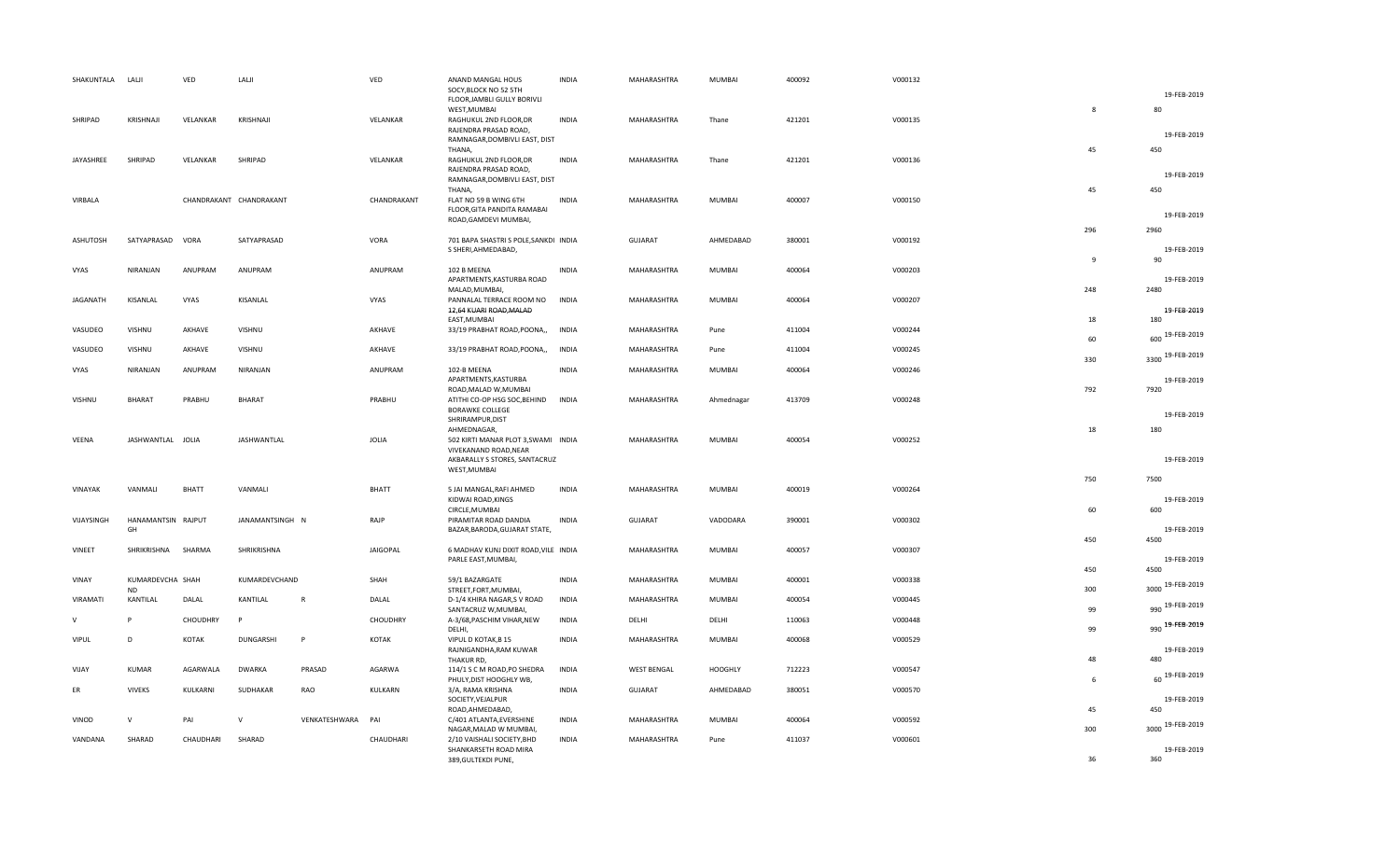| SHAKUNTALA   | LALJI                         | VED          | LALJI                   |               | VED             | ANAND MANGAL HOUS<br>SOCY, BLOCK NO 52 5TH                                    | <b>INDIA</b> | MAHARASHTRA        | MUMBAI        | 400092 | V000132 |              | 19-FEB-2019         |
|--------------|-------------------------------|--------------|-------------------------|---------------|-----------------|-------------------------------------------------------------------------------|--------------|--------------------|---------------|--------|---------|--------------|---------------------|
| SHRIPAD      | KRISHNAJI                     | VELANKAR     | KRISHNAJI               |               | VELANKAR        | FLOOR, JAMBLI GULLY BORIVLI<br>WEST, MUMBAI<br>RAGHUKUL 2ND FLOOR, DR         | INDIA        | MAHARASHTRA        | Thane         | 421201 | V000135 | 8            | 80                  |
|              |                               |              |                         |               |                 | RAJENDRA PRASAD ROAD,<br>RAMNAGAR, DOMBIVLI EAST, DIST                        |              |                    |               |        |         |              | 19-FEB-2019         |
| JAYASHREE    | SHRIPAD                       | VELANKAR     | SHRIPAD                 |               | VELANKAR        | THANA,<br>RAGHUKUL 2ND FLOOR, DR<br>RAJENDRA PRASAD ROAD,                     | <b>INDIA</b> | MAHARASHTRA        | Thane         | 421201 | V000136 | 45           | 450                 |
|              |                               |              |                         |               |                 | RAMNAGAR, DOMBIVLI EAST, DIST<br><b>THANA</b>                                 |              |                    |               |        |         | 45           | 19-FEB-2019<br>450  |
| VIRBALA      |                               |              | CHANDRAKANT CHANDRAKANT |               | CHANDRAKANT     | FLAT NO 59 B WING 6TH<br>FLOOR, GITA PANDITA RAMABAI<br>ROAD, GAMDEVI MUMBAI, | <b>INDIA</b> | MAHARASHTRA        | MUMBAI        | 400007 | V000150 |              | 19-FEB-2019         |
| ASHUTOSH     | SATYAPRASAD VORA              |              | SATYAPRASAD             |               | VORA            | 701 BAPA SHASTRI S POLE, SANKDI INDIA<br>S SHERI, AHMEDABAD,                  |              | <b>GUJARAT</b>     | AHMEDABAD     | 380001 | V000192 | 296          | 2960<br>19-FEB-2019 |
|              |                               |              |                         |               |                 |                                                                               |              |                    |               |        |         | $\mathbf{q}$ | 90                  |
| VYAS         | NIRANJAN                      | ANUPRAM      | ANUPRAM                 |               | ANUPRAM         | 102 B MEENA<br>APARTMENTS, KASTURBA ROAD<br>MALAD, MUMBAI,                    | <b>INDIA</b> | MAHARASHTRA        | <b>MUMBAI</b> | 400064 | V000203 | 248          | 19-FEB-2019<br>2480 |
| JAGANATH     | KISANLAL                      | VYAS         | KISANLAL                |               | VYAS            | PANNALAL TERRACE ROOM NO<br>12,64 KUARI ROAD, MALAD                           | <b>INDIA</b> | MAHARASHTRA        | MUMBAI        | 400064 | V000207 |              | 19-FEB-2019         |
| VASUDEO      | VISHNU                        | AKHAVE       | VISHNU                  |               | AKHAVE          | EAST, MUMBAI<br>33/19 PRABHAT ROAD, POONA,,                                   | <b>INDIA</b> | MAHARASHTRA        | Pune          | 411004 | V000244 | 18           | 180                 |
|              |                               |              |                         |               |                 |                                                                               |              |                    |               |        |         | 60           | 600 19-FEB-2019     |
| VASUDEO      | VISHNU                        | AKHAVE       | VISHNU                  |               | AKHAVE          | 33/19 PRABHAT ROAD, POONA,,                                                   | <b>INDIA</b> | MAHARASHTRA        | Pune          | 411004 | V000245 | 330          | 3300 19-FEB-2019    |
| VYAS         | NIRANJAN                      | ANUPRAM      | NIRANJAN                |               | ANUPRAM         | 102-B MEENA<br>APARTMENTS, KASTURBA<br>ROAD, MALAD W, MUMBAI                  | INDIA        | MAHARASHTRA        | MUMBAI        | 400064 | V000246 | 792          | 19-FEB-2019<br>7920 |
| VISHNU       | <b>BHARAT</b>                 | PRABHU       | BHARAT                  |               | PRABHU          | ATITHI CO-OP HSG SOC, BEHIND<br><b>BORAWKE COLLEGE</b>                        | <b>INDIA</b> | MAHARASHTRA        | Ahmednagar    | 413709 | V000248 |              |                     |
|              |                               |              |                         |               |                 | SHRIRAMPUR, DIST<br>AHMEDNAGAR,                                               |              |                    |               |        |         | 18           | 19-FEB-2019<br>180  |
| VEENA        | JASHWANTLAL JOLIA             |              | JASHWANTLAL             |               | JOLIA           | 502 KIRTI MANAR PLOT 3, SWAMI INDIA<br>VIVEKANAND ROAD, NEAR                  |              | MAHARASHTRA        | <b>MUMBAI</b> | 400054 | V000252 |              |                     |
|              |                               |              |                         |               |                 | AKBARALLY S STORES, SANTACRUZ<br>WEST, MUMBAI                                 |              |                    |               |        |         | 750          | 19-FEB-2019<br>7500 |
| VINAYAK      | VANMALI                       | <b>BHATT</b> | VANMALI                 |               | <b>BHATT</b>    | 5 JAI MANGAL, RAFI AHMED<br>KIDWAI ROAD, KINGS                                | INDIA        | MAHARASHTRA        | MUMBAI        | 400019 | V000264 |              | 19-FEB-2019         |
| VIJAYSINGH   | HANAMANTSIN RAJPUT<br>GH      |              | JANAMANTSINGH N         |               | RAJP            | CIRCLE, MUMBAI<br>PIRAMITAR ROAD DANDIA<br>BAZAR, BARODA, GUJARAT STATE,      | <b>INDIA</b> | <b>GUJARAT</b>     | VADODARA      | 390001 | V000302 | 60           | 600<br>19-FEB-2019  |
| VINEET       | SHRIKRISHNA                   | SHARMA       | SHRIKRISHNA             |               | <b>JAIGOPAL</b> | 6 MADHAV KUNJ DIXIT ROAD, VILE INDIA<br>PARLE EAST, MUMBAI,                   |              | MAHARASHTRA        | MUMBAI        | 400057 | V000307 | 450          | 4500<br>19-FEB-2019 |
|              |                               |              |                         |               |                 |                                                                               |              |                    |               |        |         | 450          | 4500                |
| VINAY        | KUMARDEVCHA SHAH<br><b>ND</b> |              | KUMARDEVCHAND           |               | SHAH            | 59/1 BAZARGATE<br>STREET, FORT, MUMBAI,                                       | <b>INDIA</b> | MAHARASHTRA        | MUMBAI        | 400001 | V000338 | 300          | 3000 19-FEB-2019    |
| VIRAMATI     | KANTILAL                      | DALAL        | KANTILAL                | $\mathsf{R}$  | DALAL           | D-1/4 KHIRA NAGAR,S V ROAD<br>SANTACRUZ W, MUMBAI,                            | <b>INDIA</b> | MAHARASHTRA        | MUMBAI        | 400054 | V000445 | 99           | 990 19-FEB-2019     |
| v            | <b>D</b>                      | CHOUDHRY     | P                       |               | CHOUDHRY        | A-3/68, PASCHIM VIHAR, NEW<br>DELHI,                                          | <b>INDIA</b> | DELHI              | DELHI         | 110063 | V000448 | 99           | 990 19-FEB-2019     |
| <b>VIPUL</b> | D                             | KOTAK        | DUNGARSHI               | P             | KOTAK           | VIPUL D KOTAK, B 15<br>RAJNIGANDHA, RAM KUWAR<br>THAKUR RD,                   | <b>INDIA</b> | MAHARASHTRA        | MUMBAI        | 400068 | V000529 | 48           | 19-FEB-2019<br>480  |
| VIJAY        | <b>KUMAR</b>                  | AGARWALA     | <b>DWARKA</b>           | PRASAD        | <b>AGARWA</b>   | 114/1 S C M ROAD, PO SHEDRA                                                   | <b>INDIA</b> | <b>WEST BENGAL</b> | HOOGHLY       | 712223 | V000547 |              | 60 19-FEB-2019      |
| ER           | <b>VIVEKS</b>                 | KULKARNI     | SUDHAKAR                | RAO           | KULKARN         | PHULY, DIST HOOGHLY WB,<br>3/A, RAMA KRISHNA<br>SOCIETY, VEJALPUR             | <b>INDIA</b> | <b>GUJARAT</b>     | AHMEDABAD     | 380051 | V000570 | 6            | 19-FEB-2019         |
| VINOD        | $\vee$                        | PAI          | $\mathsf{V}$            | VENKATESHWARA | PAI             | ROAD, AHMEDABAD,<br>C/401 ATLANTA, EVERSHINE                                  | <b>INDIA</b> | MAHARASHTRA        | <b>MUMBAI</b> | 400064 | V000592 | 45           | 450                 |
|              | SHARAD                        |              |                         |               |                 | NAGAR, MALAD W MUMBAI,                                                        |              |                    |               |        |         | 300          | 3000 19-FEB-2019    |
| VANDANA      |                               | CHAUDHARI    | SHARAD                  |               | CHAUDHARI       | 2/10 VAISHALI SOCIETY, BHD<br>SHANKARSETH ROAD MIRA<br>389, GULTEKDI PUNE,    | INDIA        | MAHARASHTRA        | Pune          | 411037 | V000601 | 36           | 19-FEB-2019<br>360  |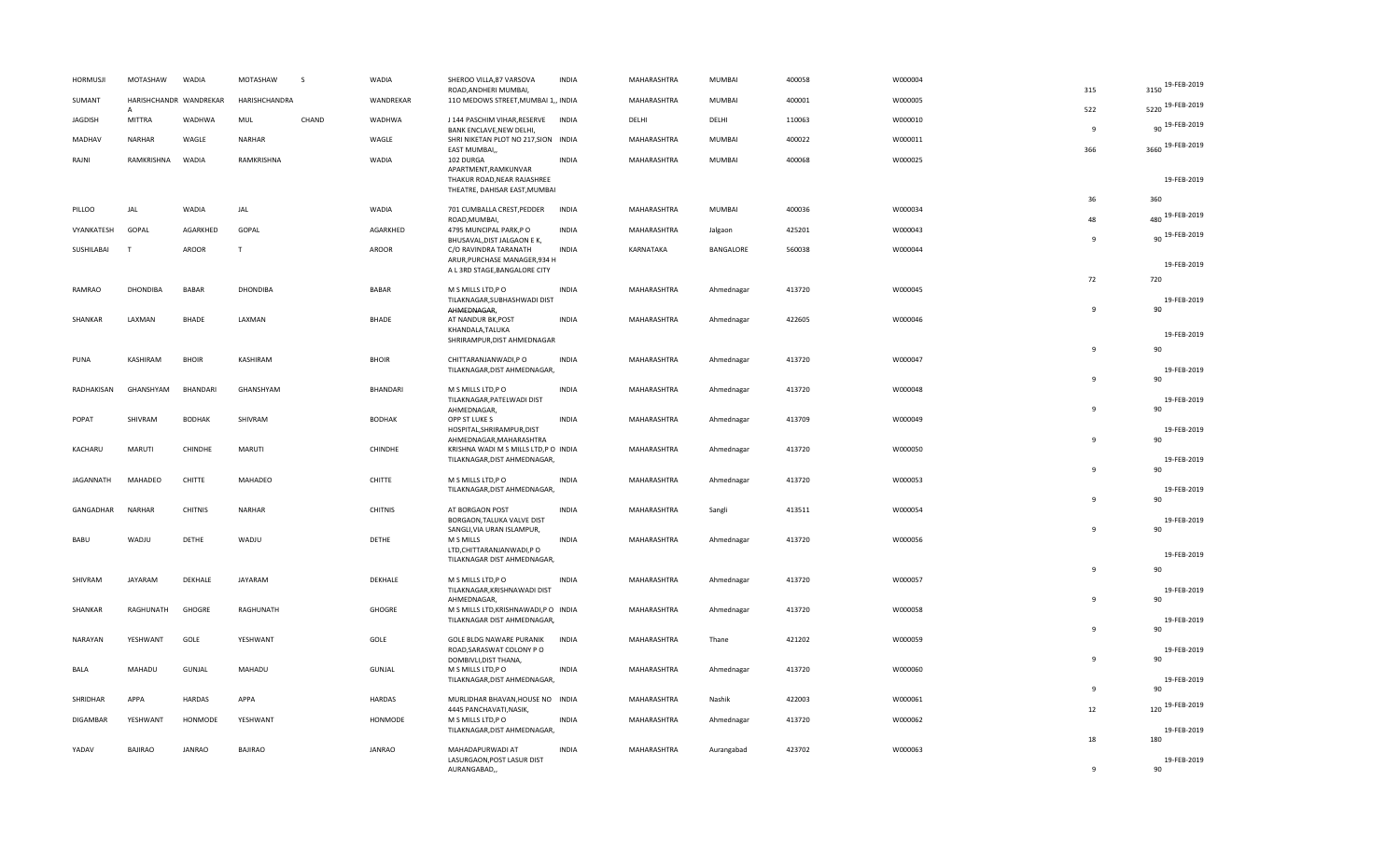| <b>HORMUSJI</b> | MOTASHAW               | <b>WADIA</b>   | MOTASHAW        | <sub>S</sub> | WADIA          | SHEROO VILLA, 87 VARSOVA<br>ROAD, ANDHERI MUMBAI,                | <b>INDIA</b> | MAHARASHTRA | MUMBAI        | 400058 | W000004 | 315            | 3150 19-FEB-2019   |
|-----------------|------------------------|----------------|-----------------|--------------|----------------|------------------------------------------------------------------|--------------|-------------|---------------|--------|---------|----------------|--------------------|
| SUMANT          | HARISHCHANDR WANDREKAR |                | HARISHCHANDRA   |              | WANDREKAR      | 110 MEDOWS STREET, MUMBAI 1,, INDIA                              |              | MAHARASHTRA | <b>MUMBAI</b> | 400001 | W000005 | 522            | 5220 19-FEB-2019   |
| <b>JAGDISH</b>  | <b>MITTRA</b>          | WADHWA         | MUL             | CHAND        | WADHWA         | J 144 PASCHIM VIHAR, RESERVE<br>BANK ENCLAVE, NEW DELHI,         | INDIA        | DELHI       | DELHI         | 110063 | W000010 | 9              | 90 19-FEB-2019     |
| MADHAV          | <b>NARHAR</b>          | WAGLE          | NARHAR          |              | WAGLE          | SHRI NIKETAN PLOT NO 217, SION INDIA                             |              | MAHARASHTRA | MUMBAI        | 400022 | W000011 |                | 3660 19-FEB-2019   |
| RAJNI           | RAMKRISHNA             | WADIA          | RAMKRISHNA      |              | WADIA          | EAST MUMBAI,<br>102 DURGA                                        | <b>INDIA</b> | MAHARASHTRA | MUMBAI        | 400068 | W000025 | 366            |                    |
|                 |                        |                |                 |              |                | APARTMENT, RAMKUNVAR<br>THAKUR ROAD, NEAR RAJASHREE              |              |             |               |        |         |                | 19-FEB-2019        |
|                 |                        |                |                 |              |                | THEATRE, DAHISAR EAST, MUMBAI                                    |              |             |               |        |         | 36             | 360                |
| PILLOO          | JAL                    | WADIA          | JAL             |              | WADIA          | 701 CUMBALLA CREST, PEDDER<br>ROAD, MUMBAI,                      | <b>INDIA</b> | MAHARASHTRA | MUMBAI        | 400036 | W000034 | 48             | 19-FEB-2019<br>480 |
| VYANKATESH      | GOPAL                  | AGARKHED       | GOPAL           |              | AGARKHED       | 4795 MUNCIPAL PARK,PO                                            | <b>INDIA</b> | MAHARASHTRA | Jalgaon       | 425201 | W000043 | $\mathbf{q}$   | 90 19-FEB-2019     |
| SUSHILABAI      |                        | <b>AROOR</b>   | T               |              | AROOR          | BHUSAVAL, DIST JALGAON E K,<br>C/O RAVINDRA TARANATH             | <b>INDIA</b> | KARNATAKA   | BANGALORE     | 560038 | W000044 |                |                    |
|                 |                        |                |                 |              |                | ARUR, PURCHASE MANAGER, 934 H<br>A L 3RD STAGE, BANGALORE CITY   |              |             |               |        |         |                | 19-FEB-2019        |
| RAMRAO          | <b>DHONDIBA</b>        | <b>BABAR</b>   | <b>DHONDIBA</b> |              | <b>BABAR</b>   | M S MILLS LTD, PO                                                | <b>INDIA</b> | MAHARASHTRA | Ahmednagar    | 413720 | W000045 | 72             | 720                |
|                 |                        |                |                 |              |                | TILAKNAGAR, SUBHASHWADI DIST<br>AHMEDNAGAR,                      |              |             |               |        |         | $\mathbf{q}$   | 19-FEB-2019<br>90  |
| SHANKAR         | LAXMAN                 | BHADE          | LAXMAN          |              | <b>BHADE</b>   | AT NANDUR BK, POST                                               | <b>INDIA</b> | MAHARASHTRA | Ahmednagar    | 422605 | W000046 |                |                    |
|                 |                        |                |                 |              |                | KHANDALA, TALUKA<br>SHRIRAMPUR, DIST AHMEDNAGAR                  |              |             |               |        |         |                | 19-FEB-2019        |
| PUNA            | KASHIRAM               | <b>BHOIR</b>   | KASHIRAM        |              | <b>BHOIR</b>   | CHITTARANJANWADI, PO                                             | <b>INDIA</b> | MAHARASHTRA | Ahmednagar    | 413720 | W000047 | $\mathbf{q}$   | 90                 |
|                 |                        |                |                 |              |                | TILAKNAGAR, DIST AHMEDNAGAR,                                     |              |             |               |        |         | $\mathbf{q}$   | 19-FEB-2019<br>90  |
| RADHAKISAN      | GHANSHYAM              | BHANDARI       | GHANSHYAM       |              | BHANDARI       | M S MILLS LTD, PO<br>TILAKNAGAR, PATELWADI DIST                  | <b>INDIA</b> | MAHARASHTRA | Ahmednagar    | 413720 | W000048 |                | 19-FEB-2019        |
|                 | SHIVRAM                |                | SHIVRAM         |              |                | AHMEDNAGAR,                                                      | <b>INDIA</b> |             |               |        |         | $\mathbf{q}$   | 90                 |
| POPAT           |                        | <b>BODHAK</b>  |                 |              | <b>BODHAK</b>  | OPP ST LUKE S<br>HOSPITAL, SHRIRAMPUR, DIST                      |              | MAHARASHTRA | Ahmednagar    | 413709 | W000049 |                | 19-FEB-2019        |
| KACHARU         | <b>MARUTI</b>          | CHINDHE        | <b>MARUTI</b>   |              | CHINDHE        | AHMEDNAGAR, MAHARASHTRA<br>KRISHNA WADI M S MILLS LTD, P O INDIA |              | MAHARASHTRA | Ahmednagar    | 413720 | W000050 | $\mathbf{q}$   | 90                 |
|                 |                        |                |                 |              |                | TILAKNAGAR, DIST AHMEDNAGAR,                                     |              |             |               |        |         | $\mathbf{q}$   | 19-FEB-2019<br>90  |
| JAGANNATH       | MAHADEO                | <b>CHITTE</b>  | MAHADEO         |              | <b>CHITTE</b>  | M S MILLS LTD, P O<br>TILAKNAGAR, DIST AHMEDNAGAR,               | <b>INDIA</b> | MAHARASHTRA | Ahmednagar    | 413720 | W000053 |                | 19-FEB-2019        |
| GANGADHAR       | <b>NARHAR</b>          | <b>CHITNIS</b> | NARHAR          |              | <b>CHITNIS</b> | AT BORGAON POST                                                  | <b>INDIA</b> | MAHARASHTRA | Sangli        | 413511 | W000054 | $\mathbf{q}$   | 90                 |
|                 |                        |                |                 |              |                | BORGAON, TALUKA VALVE DIST                                       |              |             |               |        |         |                | 19-FEB-2019        |
| BABU            | WADJU                  | DETHE          | WADJU           |              | DETHE          | SANGLI, VIA URAN ISLAMPUR,<br><b>M.S.MILLS</b>                   | <b>INDIA</b> | MAHARASHTRA | Ahmednagar    | 413720 | W000056 | $\mathbf{q}$   | 90                 |
|                 |                        |                |                 |              |                | LTD, CHITTARANJANWADI, PO<br>TILAKNAGAR DIST AHMEDNAGAR,         |              |             |               |        |         |                | 19-FEB-2019        |
| SHIVRAM         | JAYARAM                | DEKHALE        | JAYARAM         |              | DEKHALE        | M S MILLS LTD, PO                                                | <b>INDIA</b> | MAHARASHTRA | Ahmednagar    | 413720 | W000057 | $\overline{9}$ | 90                 |
|                 |                        |                |                 |              |                | TILAKNAGAR, KRISHNAWADI DIST<br>AHMEDNAGAR,                      |              |             |               |        |         | $\mathbf{q}$   | 19-FEB-2019<br>90  |
| SHANKAR         | RAGHUNATH              | <b>GHOGRE</b>  | RAGHUNATH       |              | <b>GHOGRE</b>  | M S MILLS LTD, KRISHNAWADI, PO INDIA                             |              | MAHARASHTRA | Ahmednagar    | 413720 | W000058 |                |                    |
|                 |                        |                |                 |              |                | TILAKNAGAR DIST AHMEDNAGAR,                                      |              |             |               |        |         | $\mathbf{q}$   | 19-FEB-2019<br>90  |
| NARAYAN         | YESHWANT               | GOLE           | YESHWANT        |              | GOLE           | GOLE BLDG NAWARE PURANIK<br>ROAD, SARASWAT COLONY PO             | <b>INDIA</b> | MAHARASHTRA | Thane         | 421202 | W000059 |                | 19-FEB-2019        |
| BALA            | MAHADU                 | GUNJAL         | MAHADU          |              | GUNJAL         | DOMBIVLI, DIST THANA,<br>M S MILLS LTD, P O                      | <b>INDIA</b> | MAHARASHTRA | Ahmednagar    | 413720 | W000060 | $\mathbf{q}$   | 90                 |
|                 |                        |                |                 |              |                | TILAKNAGAR, DIST AHMEDNAGAR,                                     |              |             |               |        |         | $\mathbf{q}$   | 19-FEB-2019<br>90  |
| SHRIDHAR        | APPA                   | <b>HARDAS</b>  | APPA            |              | <b>HARDAS</b>  | MURLIDHAR BHAVAN, HOUSE NO INDIA                                 |              | MAHARASHTRA | Nashik        | 422003 | W000061 |                | 120 19-FEB-2019    |
| <b>DIGAMBAR</b> | YESHWANT               | HONMODE        | YESHWANT        |              | HONMODE        | 4445 PANCHAVATI, NASIK,<br>M S MILLS LTD, PO                     | <b>INDIA</b> | MAHARASHTRA | Ahmednagar    | 413720 | W000062 | 12             |                    |
|                 |                        |                |                 |              |                | TILAKNAGAR, DIST AHMEDNAGAR,                                     |              |             |               |        |         | 18             | 19-FEB-2019<br>180 |
| YADAV           | <b>BAJIRAO</b>         | <b>JANRAO</b>  | <b>BAJIRAO</b>  |              | <b>JANRAO</b>  | MAHADAPURWADI AT<br>LASURGAON, POST LASUR DIST                   | <b>INDIA</b> | MAHARASHTRA | Aurangabad    | 423702 | W000063 |                | 19-FEB-2019        |
|                 |                        |                |                 |              |                | AURANGABAD,,                                                     |              |             |               |        |         | $\alpha$       | 90                 |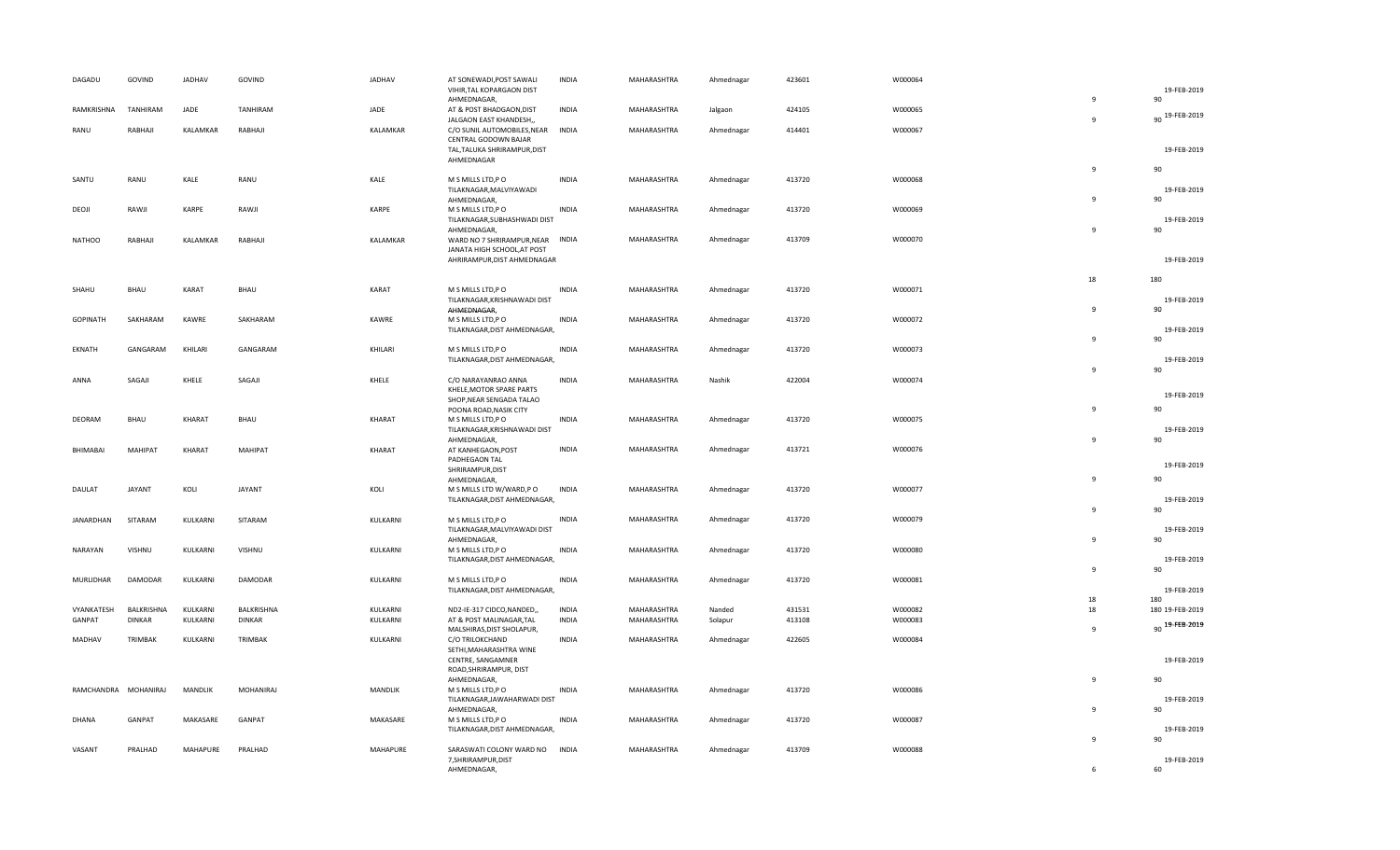| DAGADU               | GOVIND        | <b>JADHAV</b> | GOVIND         | JADHAV   | AT SONEWADI, POST SAWALI<br>VIHIR, TAL KOPARGAON DIST                                                 | <b>INDIA</b> | MAHARASHTRA | Ahmednagar | 423601 | W000064 |                                | 19-FEB-2019             |
|----------------------|---------------|---------------|----------------|----------|-------------------------------------------------------------------------------------------------------|--------------|-------------|------------|--------|---------|--------------------------------|-------------------------|
| RAMKRISHNA           | TANHIRAM      | JADE          | TANHIRAM       | JADE     | AHMEDNAGAR,<br>AT & POST BHADGAON, DIST                                                               | <b>INDIA</b> | MAHARASHTRA | Jalgaon    | 424105 | W000065 | 9<br>$\mathbf{q}$              | 90<br>90 19-FEB-2019    |
| RANU                 | RABHAJI       | KALAMKAR      | RABHAJI        | KALAMKAR | JALGAON EAST KHANDESH,,<br>C/O SUNIL AUTOMOBILES, NEAR<br>CENTRAL GODOWN BAJAR                        | INDIA        | MAHARASHTRA | Ahmednagar | 414401 | W000067 |                                |                         |
|                      |               |               |                |          | TAL, TALUKA SHRIRAMPUR, DIST<br>AHMEDNAGAR                                                            |              |             |            |        |         |                                | 19-FEB-2019             |
| SANTU                | RANU          | KALE          | RANU           | KALE     | M S MILLS LTD, PO<br>TILAKNAGAR, MALVIYAWADI<br>AHMEDNAGAR,                                           | <b>INDIA</b> | MAHARASHTRA | Ahmednagar | 413720 | W000068 | $\overline{9}$<br>$\mathbf{q}$ | 90<br>19-FEB-2019<br>90 |
| DEOJI                | RAWJI         | KARPE         | RAWJI          | KARPE    | M S MILLS LTD, PO<br>TILAKNAGAR, SUBHASHWADI DIST<br>AHMEDNAGAR,                                      | <b>INDIA</b> | MAHARASHTRA | Ahmednagar | 413720 | W000069 | $\mathbf{q}$                   | 19-FEB-2019<br>90       |
| <b>NATHOO</b>        | RABHAJI       | KALAMKAR      | RABHAJI        | KALAMKAR | WARD NO 7 SHRIRAMPUR, NEAR<br>JANATA HIGH SCHOOL, AT POST<br>AHRIRAMPUR, DIST AHMEDNAGAR              | <b>INDIA</b> | MAHARASHTRA | Ahmednagar | 413709 | W000070 |                                | 19-FEB-2019             |
|                      |               |               |                |          |                                                                                                       |              |             |            |        |         | 18                             | 180                     |
| SHAHU                | <b>BHAU</b>   | KARAT         | BHAU           | KARAT    | M S MILLS LTD, P O<br>TILAKNAGAR, KRISHNAWADI DIST<br>AHMEDNAGAR,                                     | <b>INDIA</b> | MAHARASHTRA | Ahmednagar | 413720 | W000071 | 9                              | 19-FEB-2019<br>90       |
| <b>GOPINATH</b>      | SAKHARAM      | KAWRE         | SAKHARAM       | KAWRE    | M S MILLS LTD, PO<br>TILAKNAGAR, DIST AHMEDNAGAR,                                                     | <b>INDIA</b> | MAHARASHTRA | Ahmednagar | 413720 | W000072 | $\mathbf{q}$                   | 19-FEB-2019<br>90       |
| EKNATH               | GANGARAM      | KHILARI       | GANGARAM       | KHILARI  | M S MILLS LTD, P O<br>TILAKNAGAR, DIST AHMEDNAGAR,                                                    | <b>INDIA</b> | MAHARASHTRA | Ahmednagar | 413720 | W000073 | 9                              | 19-FEB-2019<br>90       |
| ANNA                 | SAGAJI        | KHELE         | SAGAJI         | KHELE    | C/O NARAYANRAO ANNA<br>KHELE, MOTOR SPARE PARTS<br>SHOP, NEAR SENGADA TALAO<br>POONA ROAD, NASIK CITY | <b>INDIA</b> | MAHARASHTRA | Nashik     | 422004 | W000074 | 9                              | 19-FEB-2019<br>90       |
| DEORAM               | BHAU          | KHARAT        | BHAU           | KHARAT   | M S MILLS LTD, P O<br>TILAKNAGAR, KRISHNAWADI DIST<br>AHMEDNAGAR,                                     | <b>INDIA</b> | MAHARASHTRA | Ahmednagar | 413720 | W000075 | 9                              | 19-FEB-2019<br>90       |
| BHIMABAI             | MAHIPAT       | KHARAT        | MAHIPAT        | KHARAT   | AT KANHEGAON, POST<br>PADHEGAON TAL<br>SHRIRAMPUR, DIST<br>AHMEDNAGAR,                                | <b>INDIA</b> | MAHARASHTRA | Ahmednagar | 413721 | W000076 | $\mathbf{q}$                   | 19-FEB-2019<br>90       |
| DAULAT               | JAYANT        | KOLI          | JAYANT         | KOLI     | M S MILLS LTD W/WARD,P O<br>TILAKNAGAR, DIST AHMEDNAGAR,                                              | <b>INDIA</b> | MAHARASHTRA | Ahmednagar | 413720 | W000077 |                                | 19-FEB-2019             |
| JANARDHAN            | SITARAM       | KULKARNI      | SITARAM        | KULKARNI | M S MILLS LTD, PO<br>TILAKNAGAR, MALVIYAWADI DIST                                                     | <b>INDIA</b> | MAHARASHTRA | Ahmednagar | 413720 | W000079 | $\mathbf{q}$                   | 90<br>19-FEB-2019       |
| NARAYAN              | VISHNU        | KULKARNI      | VISHNU         | KULKARNI | AHMEDNAGAR,<br>M S MILLS LTD, PO<br>TILAKNAGAR, DIST AHMEDNAGAR,                                      | <b>INDIA</b> | MAHARASHTRA | Ahmednagar | 413720 | W000080 | 9                              | 90<br>19-FEB-2019       |
| <b>MURLIDHAR</b>     | DAMODAR       | KULKARNI      | <b>DAMODAR</b> | KULKARNI | M S MILLS LTD, P O<br>TILAKNAGAR, DIST AHMEDNAGAR,                                                    | <b>INDIA</b> | MAHARASHTRA | Ahmednagar | 413720 | W000081 | 9                              | 90<br>19-FEB-2019       |
| VYANKATESH           | BALKRISHNA    | KULKARNI      | BALKRISHNA     | KULKARNI | ND2-IE-317 CIDCO, NANDED,,                                                                            | <b>INDIA</b> | MAHARASHTRA | Nanded     | 431531 | W000082 | 18<br>18                       | 180<br>180 19-FEB-2019  |
| GANPAT               | <b>DINKAR</b> | KULKARNI      | <b>DINKAR</b>  | KULKARNI | AT & POST MALINAGAR, TAL<br>MALSHIRAS, DIST SHOLAPUR,                                                 | <b>INDIA</b> | MAHARASHTRA | Solapur    | 413108 | W000083 | $\mathbf{q}$                   | 90 19-FEB-2019          |
| MADHAV               | TRIMBAK       | KULKARNI      | TRIMBAK        | KULKARNI | C/O TRILOKCHAND<br>SETHI, MAHARASHTRA WINE<br>CENTRE, SANGAMNER<br>ROAD, SHRIRAMPUR, DIST             | <b>INDIA</b> | MAHARASHTRA | Ahmednagar | 422605 | W000084 |                                | 19-FEB-2019             |
| RAMCHANDRA MOHANIRAJ |               | MANDLIK       | MOHANIRAJ      | MANDLIK  | AHMEDNAGAR,<br>M S MILLS LTD, P O<br>TILAKNAGAR, JAWAHARWADI DIST                                     | <b>INDIA</b> | MAHARASHTRA | Ahmednagar | 413720 | W000086 | 9                              | 90<br>19-FEB-2019       |
| <b>DHANA</b>         | GANPAT        | MAKASARE      | GANPAT         | MAKASARE | AHMEDNAGAR,<br>M S MILLS LTD, PO                                                                      | <b>INDIA</b> | MAHARASHTRA | Ahmednagar | 413720 | W000087 | $\mathsf{q}$                   | 90                      |
| VASANT               | PRALHAD       | MAHAPURE      | PRALHAD        | MAHAPURE | TILAKNAGAR, DIST AHMEDNAGAR,                                                                          | <b>INDIA</b> | MAHARASHTRA |            | 413709 |         | $\mathbf{q}$                   | 19-FEB-2019<br>90       |
|                      |               |               |                |          | SARASWATI COLONY WARD NO<br>7, SHRIRAMPUR, DIST<br>AHMEDNAGAR,                                        |              |             | Ahmednagar |        | W000088 | 6                              | 19-FEB-2019<br>60       |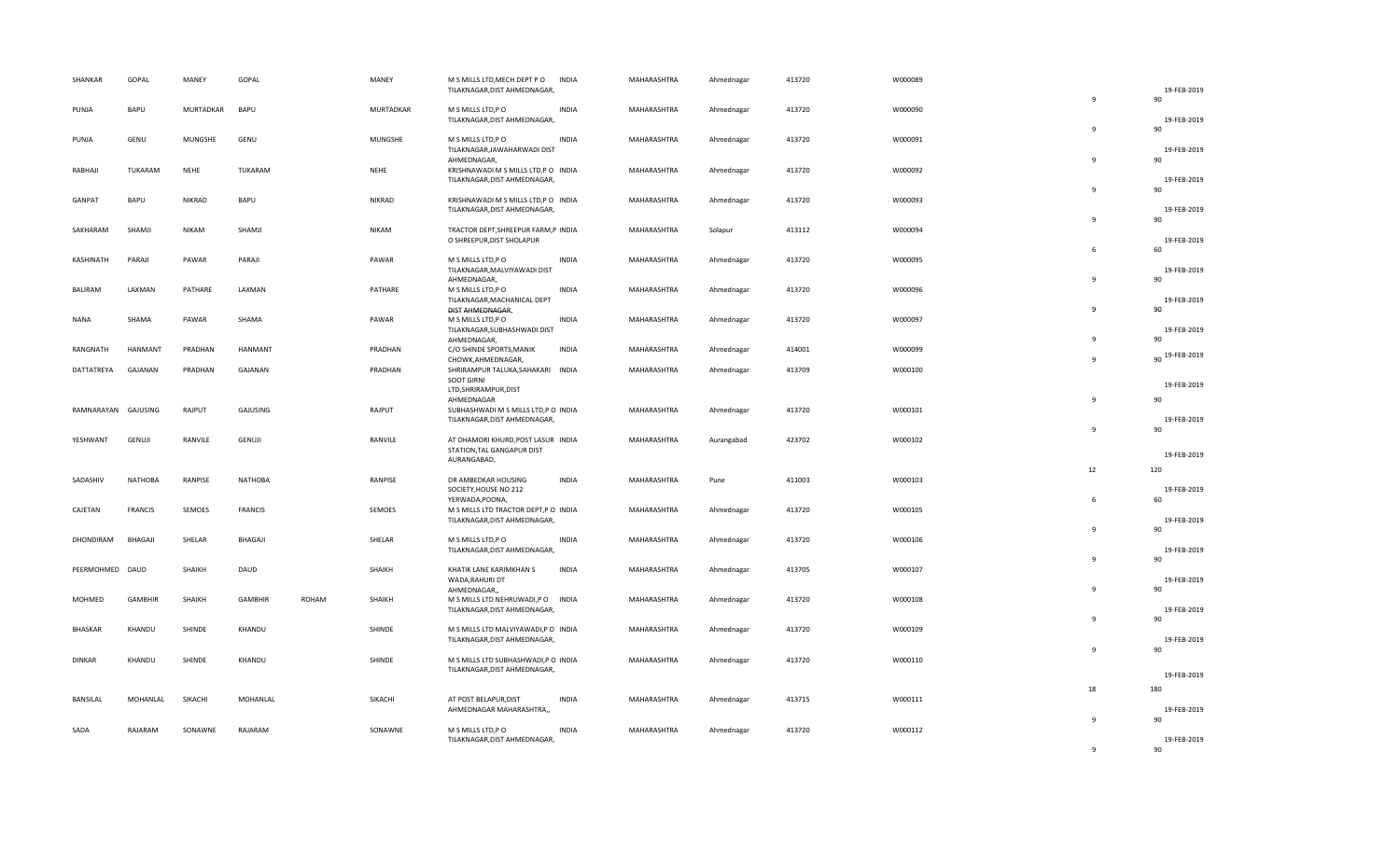| SHANKAR         | GOPAL          | MANEY        | GOPAL          |       | MANEY         | M S MILLS LTD, MECH DEPT PO<br>TILAKNAGAR, DIST AHMEDNAGAR,                        | <b>INDIA</b> | MAHARASHTRA | Ahmednagar | 413720 | W000089 |                          | 19-FEB-2019             |
|-----------------|----------------|--------------|----------------|-------|---------------|------------------------------------------------------------------------------------|--------------|-------------|------------|--------|---------|--------------------------|-------------------------|
| PUNJA           | BAPU           | MURTADKAR    | BAPU           |       | MURTADKAR     | M S MILLS LTD, P O<br>TILAKNAGAR, DIST AHMEDNAGAR,                                 | <b>INDIA</b> | MAHARASHTRA | Ahmednagar | 413720 | W000090 | $\mathbf{q}$             | 90<br>19-FEB-2019       |
| PUNJA           | GENU           | MUNGSHE      | GENU           |       | MUNGSHE       | M S MILLS LTD, P O<br>TILAKNAGAR, JAWAHARWADI DIST                                 | <b>INDIA</b> | MAHARASHTRA | Ahmednagar | 413720 | W000091 | $\mathbf{q}$             | 90<br>19-FEB-2019       |
| RABHAJI         | TUKARAM        | <b>NEHE</b>  | TUKARAM        |       | <b>NEHE</b>   | AHMEDNAGAR,<br>KRISHNAWADI M S MILLS LTD, PO INDIA<br>TILAKNAGAR, DIST AHMEDNAGAR, |              | MAHARASHTRA | Ahmednagar | 413720 | W000092 | $\mathbf{q}$             | 90<br>19-FEB-2019       |
| GANPAT          | BAPU           | NIKRAD       | BAPU           |       | <b>NIKRAD</b> | KRISHNAWADI M S MILLS LTD, P O INDIA<br>TILAKNAGAR, DIST AHMEDNAGAR,               |              | MAHARASHTRA | Ahmednagar | 413720 | W000093 | $\mathbf{q}$             | 90<br>19-FEB-2019       |
| SAKHARAM        | SHAMJI         | <b>NIKAM</b> | SHAMJI         |       | <b>NIKAM</b>  | TRACTOR DEPT, SHREEPUR FARM, P INDIA<br>O SHREEPUR, DIST SHOLAPUR                  |              | MAHARASHTRA | Solapur    | 413112 | W000094 | 9                        | 90<br>19-FEB-2019       |
| KASHINATH       | PARAJI         | PAWAR        | PARAJI         |       | PAWAR         | M S MILLS LTD, PO<br>TILAKNAGAR, MALVIYAWADI DIST                                  | <b>INDIA</b> | MAHARASHTRA | Ahmednagar | 413720 | W000095 | 6                        | 60<br>19-FEB-2019       |
| BALIRAM         | LAXMAN         | PATHARE      | LAXMAN         |       | PATHARE       | AHMEDNAGAR,<br>M S MILLS LTD, PO<br>TILAKNAGAR, MACHANICAL DEPT                    | <b>INDIA</b> | MAHARASHTRA | Ahmednagar | 413720 | W000096 | $\mathbf{q}$             | 90<br>19-FEB-2019       |
| <b>NANA</b>     | SHAMA          | PAWAR        | SHAMA          |       | PAWAR         | DIST AHMEDNAGAR,<br>M S MILLS LTD,P O<br>TILAKNAGAR, SUBHASHWADI DIST              | <b>INDIA</b> | MAHARASHTRA | Ahmednagar | 413720 | W000097 | $\mathbf{q}$             | 90<br>19-FEB-2019       |
| RANGNATH        | HANMANT        | PRADHAN      | HANMANT        |       | PRADHAN       | AHMEDNAGAR,<br>C/O SHINDE SPORTS, MANIK<br>CHOWK, AHMEDNAGAR,                      | <b>INDIA</b> | MAHARASHTRA | Ahmednagar | 414001 | W000099 | $\alpha$<br>$\mathbf{q}$ | 90<br>90 19-FEB-2019    |
| DATTATREYA      | GAJANAN        | PRADHAN      | GAJANAN        |       | PRADHAN       | SHRIRAMPUR TALUKA, SAHAKARI<br><b>SOOT GIRNI</b><br>LTD, SHRIRAMPUR, DIST          | <b>INDIA</b> | MAHARASHTRA | Ahmednagar | 413709 | W000100 |                          | 19-FEB-2019             |
| RAMNARAYAN      | GAJUSING       | RAJPUT       | GAJUSING       |       | RAJPUT        | AHMEDNAGAR<br>SUBHASHWADI M S MILLS LTD,P O INDIA<br>TILAKNAGAR, DIST AHMEDNAGAR,  |              | MAHARASHTRA | Ahmednagar | 413720 | W000101 | 9                        | 90<br>19-FEB-2019       |
| YESHWANT        | <b>GENUJI</b>  | RANVILE      | GENUJI         |       | RANVILE       | AT DHAMORI KHURD, POST LASUR INDIA<br>STATION, TAL GANGAPUR DIST                   |              | MAHARASHTRA | Aurangabad | 423702 | W000102 | $\mathbf{q}$             | 90                      |
|                 |                |              |                |       |               | AURANGABAD,                                                                        |              |             |            |        |         | 12                       | 19-FEB-2019<br>120      |
| SADASHIV        | <b>NATHOBA</b> | RANPISE      | <b>NATHOBA</b> |       | RANPISE       | DR AMBEDKAR HOUSING<br>SOCIETY, HOUSE NO 212<br>YERWADA, POONA,                    | <b>INDIA</b> | MAHARASHTRA | Pune       | 411003 | W000103 | 6                        | 19-FEB-2019<br>60       |
| CAJETAN         | <b>FRANCIS</b> | SEMOES       | <b>FRANCIS</b> |       | SEMOES        | M S MILLS LTD TRACTOR DEPT, P O INDIA<br>TILAKNAGAR, DIST AHMEDNAGAR,              |              | MAHARASHTRA | Ahmednagar | 413720 | W000105 | 9                        | 19-FEB-2019<br>90       |
| DHONDIRAM       | BHAGAJI        | SHELAR       | BHAGAJI        |       | SHELAR        | M S MILLS LTD, PO<br>TILAKNAGAR, DIST AHMEDNAGAR,                                  | <b>INDIA</b> | MAHARASHTRA | Ahmednagar | 413720 | W000106 | $\mathbf{q}$             | 19-FEB-2019<br>90       |
| PEERMOHMED DAUD |                | SHAIKH       | DAUD           |       | SHAIKH        | KHATIK LANE KARIMKHAN S<br>WADA, RAHURI DT                                         | <b>INDIA</b> | MAHARASHTRA | Ahmednagar | 413705 | W000107 | $\mathbf{q}$             | 19-FEB-2019             |
| MOHMED          | <b>GAMBHIR</b> | SHAIKH       | <b>GAMBHIR</b> | ROHAM | SHAIKH        | AHMEDNAGAR,,<br>M S MILLS LTD NEHRUWADI, P O<br>TILAKNAGAR, DIST AHMEDNAGAR,       | <b>INDIA</b> | MAHARASHTRA | Ahmednagar | 413720 | W000108 | $\mathbf{q}$             | 90<br>19-FEB-2019<br>90 |
| <b>BHASKAR</b>  | KHANDU         | SHINDE       | KHANDU         |       | SHINDE        | M S MILLS LTD MALVIYAWADI, P O INDIA<br>TILAKNAGAR, DIST AHMEDNAGAR,               |              | MAHARASHTRA | Ahmednagar | 413720 | W000109 | $\mathbf{q}$             | 19-FEB-2019<br>90       |
| <b>DINKAR</b>   | KHANDU         | SHINDE       | KHANDU         |       | SHINDE        | M S MILLS LTD SUBHASHWADI,P O INDIA<br>TILAKNAGAR, DIST AHMEDNAGAR,                |              | MAHARASHTRA | Ahmednagar | 413720 | W000110 |                          | 19-FEB-2019             |
|                 |                |              |                |       |               |                                                                                    |              |             |            |        |         | 18                       | 180                     |
| BANSILAL        | MOHANLAL       | SIKACHI      | MOHANLAL       |       | SIKACHI       | AT POST BELAPUR, DIST<br>AHMEDNAGAR MAHARASHTRA,,                                  | <b>INDIA</b> | MAHARASHTRA | Ahmednagar | 413715 | W000111 | 9                        | 19-FEB-2019<br>90       |
| SADA            | RAJARAM        | SONAWNE      | RAJARAM        |       | SONAWNE       | M S MILLS LTD, P O<br>TILAKNAGAR, DIST AHMEDNAGAR,                                 | <b>INDIA</b> | MAHARASHTRA | Ahmednagar | 413720 | W000112 | $\alpha$                 | 19-FEB-2019<br>90       |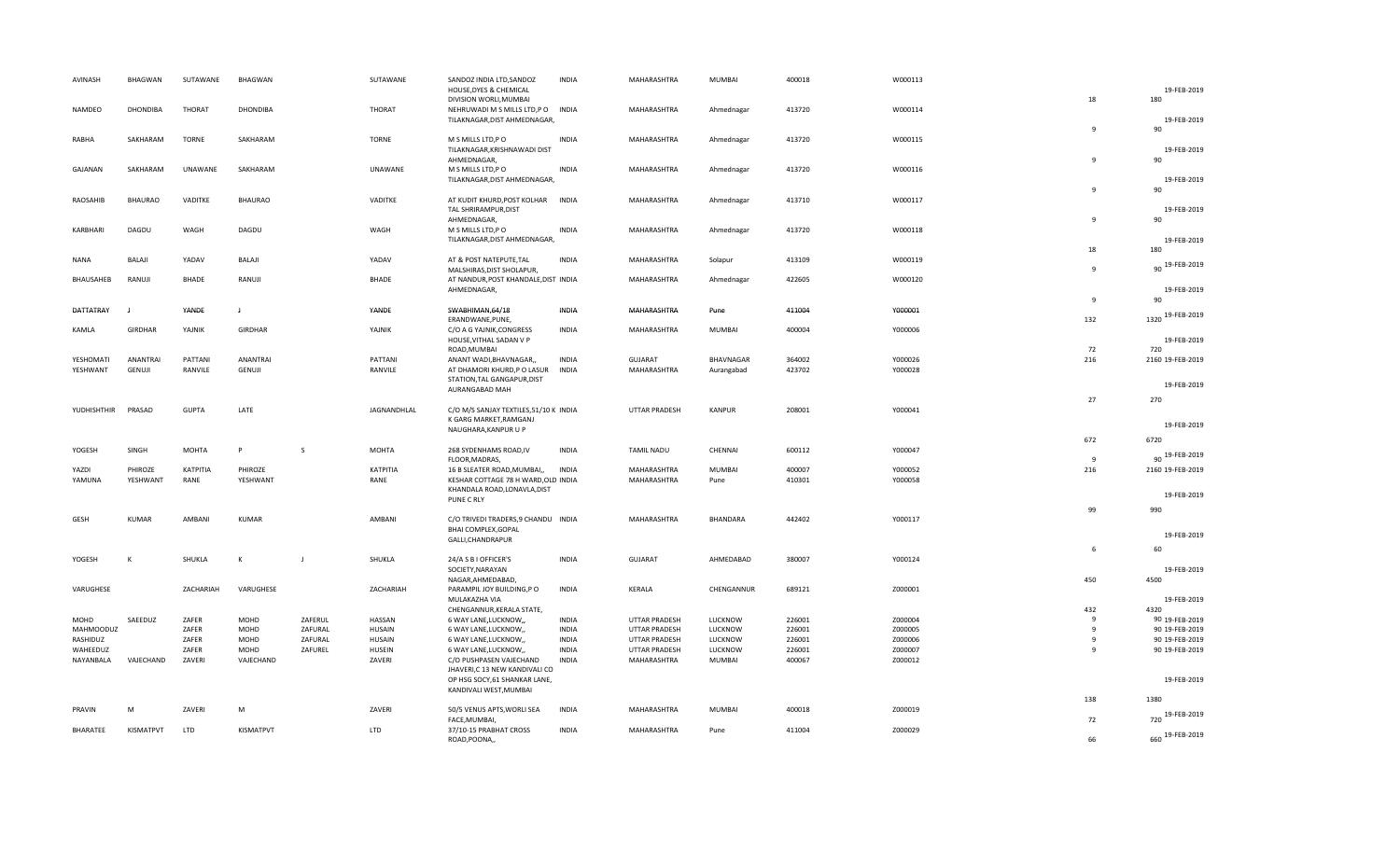| AVINASH                  | <b>BHAGWAN</b>  | SUTAWANE       | <b>BHAGWAN</b> |                    | SUTAWANE                       | SANDOZ INDIA LTD, SANDOZ<br>HOUSE, DYES & CHEMICAL | <b>INDIA</b>                 | MAHARASHTRA                                  | MUMBAI             | 400018           | W000113            |                   | 19-FEB-2019                      |
|--------------------------|-----------------|----------------|----------------|--------------------|--------------------------------|----------------------------------------------------|------------------------------|----------------------------------------------|--------------------|------------------|--------------------|-------------------|----------------------------------|
|                          |                 |                |                |                    |                                | DIVISION WORLI, MUMBAI                             |                              |                                              |                    |                  |                    | 18                | 180                              |
| NAMDEO                   | <b>DHONDIBA</b> | <b>THORAT</b>  | DHONDIBA       |                    | <b>THORAT</b>                  | NEHRUWADI M S MILLS LTD, PO INDIA                  |                              | MAHARASHTRA                                  | Ahmednagar         | 413720           | W000114            |                   |                                  |
|                          |                 |                |                |                    |                                | TILAKNAGAR, DIST AHMEDNAGAR,                       |                              |                                              |                    |                  |                    |                   | 19-FEB-2019                      |
|                          |                 |                |                |                    |                                |                                                    |                              |                                              |                    |                  |                    | $\mathbf{q}$      | 90                               |
| RABHA                    | SAKHARAM        | <b>TORNE</b>   | SAKHARAM       |                    | <b>TORNE</b>                   | M S MILLS LTD, PO                                  | <b>INDIA</b>                 | MAHARASHTRA                                  | Ahmednagar         | 413720           | W000115            |                   |                                  |
|                          |                 |                |                |                    |                                | TILAKNAGAR, KRISHNAWADI DIST<br>AHMEDNAGAR,        |                              |                                              |                    |                  |                    | 9                 | 19-FEB-2019<br>90                |
| GAJANAN                  | SAKHARAM        | UNAWANE        | SAKHARAM       |                    | UNAWANE                        | M S MILLS LTD, PO                                  | <b>INDIA</b>                 | MAHARASHTRA                                  | Ahmednagar         | 413720           | W000116            |                   |                                  |
|                          |                 |                |                |                    |                                | TILAKNAGAR, DIST AHMEDNAGAR,                       |                              |                                              |                    |                  |                    |                   | 19-FEB-2019                      |
|                          |                 |                |                |                    |                                |                                                    |                              |                                              |                    |                  |                    | -9                | 90                               |
| RAOSAHIB                 | <b>BHAURAO</b>  | VADITKE        | <b>BHAURAO</b> |                    | VADITKE                        | AT KUDIT KHURD, POST KOLHAR                        | <b>INDIA</b>                 | MAHARASHTRA                                  | Ahmednagar         | 413710           | W000117            |                   |                                  |
|                          |                 |                |                |                    |                                | TAL SHRIRAMPUR, DIST                               |                              |                                              |                    |                  |                    |                   | 19-FEB-2019                      |
|                          |                 |                |                |                    |                                | AHMEDNAGAR,                                        |                              |                                              |                    |                  |                    | $\mathbf{q}$      | 90                               |
| KARBHARI                 | DAGDU           | WAGH           | DAGDU          |                    | WAGH                           | M S MILLS LTD, PO                                  | <b>INDIA</b>                 | MAHARASHTRA                                  | Ahmednagar         | 413720           | W000118            |                   |                                  |
|                          |                 |                |                |                    |                                | TILAKNAGAR, DIST AHMEDNAGAR,                       |                              |                                              |                    |                  |                    |                   | 19-FEB-2019                      |
| NANA                     | BALAJI          | YADAV          | BALAJI         |                    | YADAV                          | AT & POST NATEPUTE, TAL                            | <b>INDIA</b>                 | MAHARASHTRA                                  | Solapur            | 413109           | W000119            | 18                | 180                              |
|                          |                 |                |                |                    |                                | MALSHIRAS, DIST SHOLAPUR,                          |                              |                                              |                    |                  |                    | $\mathbf{q}$      | 90 19-FEB-2019                   |
| BHAUSAHEB                | RANUJI          | BHADE          | RANUJI         |                    | <b>BHADE</b>                   | AT NANDUR, POST KHANDALE, DIST INDIA               |                              | MAHARASHTRA                                  | Ahmednagar         | 422605           | W000120            |                   |                                  |
|                          |                 |                |                |                    |                                | AHMEDNAGAR,                                        |                              |                                              |                    |                  |                    |                   | 19-FEB-2019                      |
|                          |                 |                |                |                    |                                |                                                    |                              |                                              |                    |                  |                    | 9                 | 90                               |
| DATTATRAY                |                 | YANDE          | $\mathbf{I}$   |                    | YANDE                          | SWABHIMAN, 64/18                                   | <b>INDIA</b>                 | MAHARASHTRA                                  | Pune               | 411004           | Y000001            |                   | 1320 19-FEB-2019                 |
|                          |                 |                |                |                    |                                | ERANDWANE, PUNE,                                   |                              |                                              |                    |                  |                    | 132               |                                  |
| KAMLA                    | GIRDHAR         | YAJNIK         | GIRDHAR        |                    | YAJNIK                         | C/O A G YAJNIK, CONGRESS                           | <b>INDIA</b>                 | MAHARASHTRA                                  | MUMBAI             | 400004           | Y000006            |                   |                                  |
|                          |                 |                |                |                    |                                | HOUSE, VITHAL SADAN V P<br>ROAD, MUMBAI            |                              |                                              |                    |                  |                    | 72                | 19-FEB-2019<br>720               |
| YESHOMATI                | ANANTRAI        | PATTANI        | ANANTRAI       |                    | PATTANI                        | ANANT WADI, BHAVNAGAR,                             | <b>INDIA</b>                 | GUJARAT                                      | BHAVNAGAR          | 364002           | Y000026            | 216               | 2160 19-FEB-2019                 |
| YESHWANT                 | GENUJI          | RANVILE        | GENUJI         |                    | RANVILE                        | AT DHAMORI KHURD,P O LASUR                         | <b>INDIA</b>                 | MAHARASHTRA                                  | Aurangabad         | 423702           | Y000028            |                   |                                  |
|                          |                 |                |                |                    |                                | STATION, TAL GANGAPUR, DIST                        |                              |                                              |                    |                  |                    |                   |                                  |
|                          |                 |                |                |                    |                                | AURANGABAD MAH                                     |                              |                                              |                    |                  |                    |                   | 19-FEB-2019                      |
|                          |                 |                |                |                    |                                |                                                    |                              |                                              |                    |                  |                    | 27                | 270                              |
| YUDHISHTHIR              | PRASAD          | <b>GUPTA</b>   | LATE           |                    | JAGNANDHLAL                    | C/O M/S SANJAY TEXTILES, 51/10 K INDIA             |                              | <b>UTTAR PRADESH</b>                         | <b>KANPUR</b>      | 208001           | Y000041            |                   |                                  |
|                          |                 |                |                |                    |                                | K GARG MARKET, RAMGANJ                             |                              |                                              |                    |                  |                    |                   | 19-FEB-2019                      |
|                          |                 |                |                |                    |                                | NAUGHARA, KANPUR U P                               |                              |                                              |                    |                  |                    |                   |                                  |
| YOGESH                   | SINGH           | <b>MOHTA</b>   | P              | <sub>S</sub>       | <b>MOHTA</b>                   | 268 SYDENHAMS ROAD, IV                             | <b>INDIA</b>                 | <b>TAMIL NADU</b>                            | CHENNAI            | 600112           | Y000047            | 672               | 6720                             |
|                          |                 |                |                |                    |                                | FLOOR, MADRAS,                                     |                              |                                              |                    |                  |                    | 9                 | 90 19-FEB-2019                   |
| YAZDI                    | PHIROZE         | ΚΑΤΡΙΤΙΑ       | PHIROZE        |                    | KATPITIA                       | 16 B SLEATER ROAD, MUMBAI,,                        | <b>INDIA</b>                 | MAHARASHTRA                                  | MUMBAI             | 400007           | Y000052            | 216               | 2160 19-FEB-2019                 |
| YAMUNA                   | YESHWANT        | RANE           | YESHWANT       |                    | RANE                           | KESHAR COTTAGE 78 H WARD, OLD INDIA                |                              | MAHARASHTRA                                  | Pune               | 410301           | Y000058            |                   |                                  |
|                          |                 |                |                |                    |                                | KHANDALA ROAD, LONAVLA, DIST                       |                              |                                              |                    |                  |                    |                   | 19-FEB-2019                      |
|                          |                 |                |                |                    |                                | PUNE C RLY                                         |                              |                                              |                    |                  |                    |                   |                                  |
|                          |                 |                |                |                    |                                |                                                    |                              |                                              |                    |                  |                    | 99                | 990                              |
| GESH                     | <b>KUMAR</b>    | AMBANI         | <b>KUMAR</b>   |                    | AMBANI                         | C/O TRIVEDI TRADERS, 9 CHANDU INDIA                |                              | MAHARASHTRA                                  | <b>BHANDARA</b>    | 442402           | Y000117            |                   |                                  |
|                          |                 |                |                |                    |                                | BHAI COMPLEX, GOPAL<br>GALLI, CHANDRAPUR           |                              |                                              |                    |                  |                    |                   | 19-FEB-2019                      |
|                          |                 |                |                |                    |                                |                                                    |                              |                                              |                    |                  |                    | 6                 | 60                               |
| YOGESH                   | К               | SHUKLA         | К              |                    | SHUKLA                         | 24/A S B I OFFICER'S                               | <b>INDIA</b>                 | <b>GUJARAT</b>                               | AHMEDABAD          | 380007           | Y000124            |                   |                                  |
|                          |                 |                |                |                    |                                | SOCIETY, NARAYAN                                   |                              |                                              |                    |                  |                    |                   | 19-FEB-2019                      |
|                          |                 |                |                |                    |                                | NAGAR, AHMEDABAD,                                  |                              |                                              |                    |                  |                    | 450               | 4500                             |
| VARUGHESE                |                 | ZACHARIAH      | VARUGHESE      |                    | ZACHARIAH                      | PARAMPIL JOY BUILDING, PO                          | INDIA                        | KERALA                                       | CHENGANNUR         | 689121           | Z000001            |                   |                                  |
|                          |                 |                |                |                    |                                | MULAKAZHA VIA                                      |                              |                                              |                    |                  |                    |                   | 19-FEB-2019                      |
|                          |                 |                |                |                    |                                | CHENGANNUR, KERALA STATE,                          |                              |                                              |                    |                  |                    | 432               | 4320                             |
| MOHD<br><b>MAHMOODUZ</b> | SAEEDUZ         | ZAFER<br>ZAFER | MOHD<br>MOHD   | ZAFERUL<br>ZAFURAL | <b>HASSAN</b><br><b>HUSAIN</b> | 6 WAY LANE, LUCKNOW,<br>6 WAY LANE, LUCKNOW,,      | <b>INDIA</b><br><b>INDIA</b> | <b>UTTAR PRADESH</b><br><b>UTTAR PRADESH</b> | LUCKNOW<br>LUCKNOW | 226001<br>226001 | Z000004<br>Z000005 | $\mathbf{q}$<br>9 | 90 19-FEB-2019<br>90 19-FEB-2019 |
| RASHIDUZ                 |                 | ZAFER          | MOHD           | ZAFURAL            | <b>HUSAIN</b>                  | 6 WAY LANE, LUCKNOW,                               | <b>INDIA</b>                 | <b>UTTAR PRADESH</b>                         | LUCKNOW            | 226001           | Z000006            | 9                 | 90 19-FEB-2019                   |
| WAHEEDUZ                 |                 | ZAFER          | <b>MOHD</b>    | ZAFUREL            | <b>HUSEIN</b>                  | 6 WAY LANE, LUCKNOW,                               | <b>INDIA</b>                 | <b>UTTAR PRADESH</b>                         | LUCKNOW            | 226001           | Z000007            | $\mathbf{q}$      | 90 19-FEB-2019                   |
| NAYANBALA                | VAJECHAND       | ZAVERI         | VAJECHAND      |                    | ZAVERI                         | C/O PUSHPASEN VAJECHAND                            | <b>INDIA</b>                 | MAHARASHTRA                                  | MUMBAI             | 400067           | Z000012            |                   |                                  |
|                          |                 |                |                |                    |                                | JHAVERI,C 13 NEW KANDIVALI CO                      |                              |                                              |                    |                  |                    |                   |                                  |
|                          |                 |                |                |                    |                                | OP HSG SOCY, 61 SHANKAR LANE,                      |                              |                                              |                    |                  |                    |                   | 19-FEB-2019                      |
|                          |                 |                |                |                    |                                | KANDIVALI WEST, MUMBAI                             |                              |                                              |                    |                  |                    |                   |                                  |
| PRAVIN                   | M               | ZAVERI         | M              |                    | ZAVERI                         | 50/5 VENUS APTS, WORLI SEA                         | <b>INDIA</b>                 | MAHARASHTRA                                  | <b>MUMBAI</b>      | 400018           | Z000019            | 138               | 1380                             |
|                          |                 |                |                |                    |                                | FACE, MUMBAI,                                      |                              |                                              |                    |                  |                    | 72                | 720 19-FEB-2019                  |
| BHARATEE                 | KISMATPVT       | <b>LTD</b>     | KISMATPVT      |                    | <b>LTD</b>                     | 37/10-15 PRABHAT CROSS                             | <b>INDIA</b>                 | MAHARASHTRA                                  | Pune               | 411004           | Z000029            |                   |                                  |
|                          |                 |                |                |                    |                                | ROAD.POONA                                         |                              |                                              |                    |                  |                    | 66                | 660 19-FEB-2019                  |